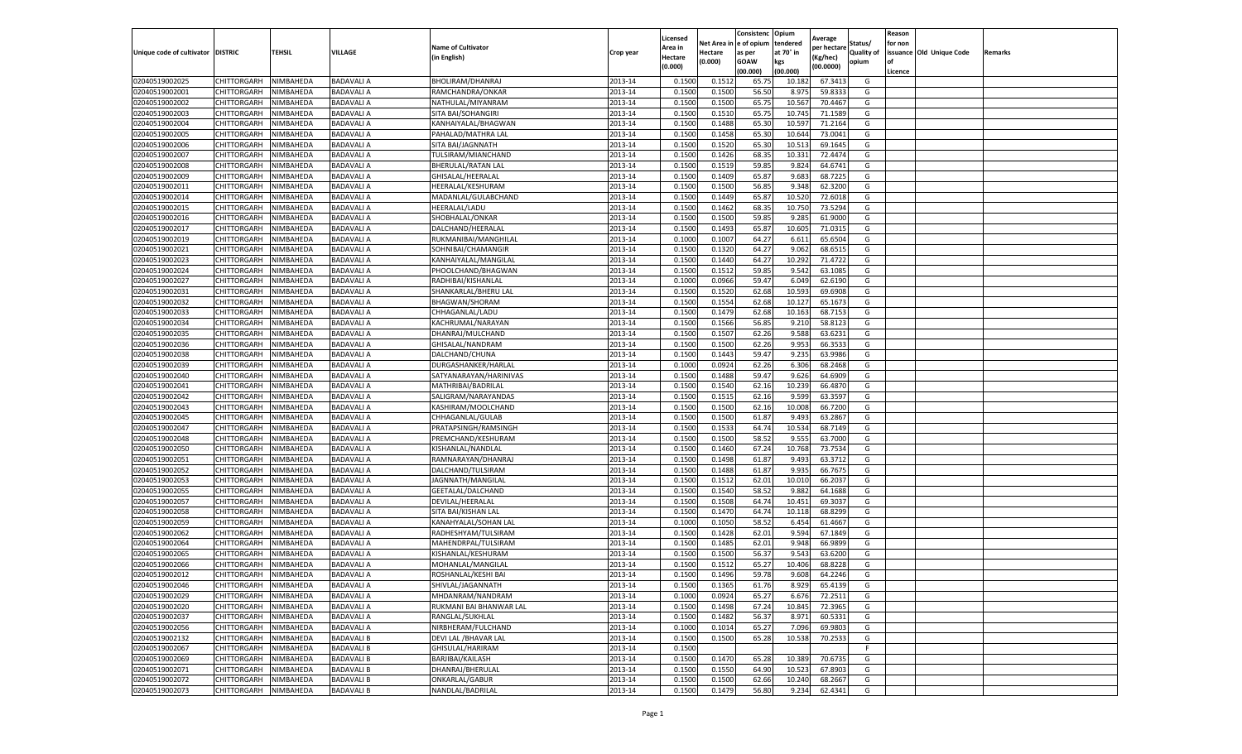|                                   |             |           |                   |                           |           | Licensed |            | Consistenc  | Opium     |                        |                   | Reason  |                          |         |
|-----------------------------------|-------------|-----------|-------------------|---------------------------|-----------|----------|------------|-------------|-----------|------------------------|-------------------|---------|--------------------------|---------|
|                                   |             |           |                   | <b>Name of Cultivator</b> |           | Area in  | Net Area i | e of opium  | tendered  | Average<br>per hectare | Status/           | for non |                          |         |
| Unique code of cultivator DISTRIC |             | TEHSIL    | VILLAGE           | (in English)              | Crop year | Hectare  | Hectare    | as per      | at 70° in | Kg/hec)                | <b>Quality of</b> |         | issuance Old Unique Code | Remarks |
|                                   |             |           |                   |                           |           | (0.000)  | (0.000)    | <b>GOAW</b> | kgs       | (00.0000)              | opium             |         |                          |         |
|                                   |             |           |                   |                           |           |          |            | (00.000     | (00.000)  |                        |                   | Licence |                          |         |
| 02040519002025                    | CHITTORGARH | NIMBAHEDA | <b>BADAVALI A</b> | BHOLIRAM/DHANRAJ          | 2013-14   | 0.1500   | 0.151      | 65.7        | 10.182    | 67.3413                | G                 |         |                          |         |
| 02040519002001                    | CHITTORGARH | NIMBAHEDA | <b>BADAVALI A</b> | RAMCHANDRA/ONKAR          | 2013-14   | 0.150    | 0.1500     | 56.50       | 8.975     | 59.8333                | G                 |         |                          |         |
| 02040519002002                    | CHITTORGARH | NIMBAHEDA | <b>BADAVALI A</b> | NATHULAL/MIYANRAM         | 2013-14   | 0.1500   | 0.1500     | 65.75       | 10.567    | 70.4467                | G                 |         |                          |         |
| 02040519002003                    | CHITTORGARH | NIMBAHEDA | <b>BADAVALI A</b> | SITA BAI/SOHANGIRI        | 2013-14   | 0.1500   | 0.1510     | 65.75       | 10.745    | 71.1589                | G                 |         |                          |         |
| 02040519002004                    | CHITTORGARH | NIMBAHEDA | <b>BADAVALI A</b> | KANHAIYALAL/BHAGWAN       | 2013-14   | 0.1500   | 0.1488     | 65.30       | 10.597    | 71.2164                | G                 |         |                          |         |
| 02040519002005                    | CHITTORGARH | NIMBAHEDA | <b>BADAVALI A</b> | PAHALAD/MATHRA LAL        | 2013-14   | 0.1500   | 0.1458     | 65.30       | 10.644    | 73.0041                | G                 |         |                          |         |
| 02040519002006                    | CHITTORGARH | NIMBAHEDA | <b>BADAVALI A</b> | SITA BAI/JAGNNATH         | 2013-14   | 0.1500   | 0.1520     | 65.30       | 10.513    | 69.1645                | G                 |         |                          |         |
| 02040519002007                    | CHITTORGARH | NIMBAHEDA | <b>BADAVALI A</b> | TULSIRAM/MIANCHAND        | 2013-14   | 0.1500   | 0.1426     | 68.3        | 10.33     | 72.4474                | G                 |         |                          |         |
| 02040519002008                    | CHITTORGARH | NIMBAHEDA | <b>BADAVALI A</b> | BHERULAL/RATAN LAL        | 2013-14   | 0.1500   | 0.1519     | 59.85       | 9.824     | 64.6741                | G                 |         |                          |         |
| 02040519002009                    | CHITTORGARH | NIMBAHEDA | <b>BADAVALI A</b> | GHISALAL/HEERALAL         | 2013-14   | 0.1500   | 0.1409     | 65.87       | 9.683     | 68.7225                | G                 |         |                          |         |
| 02040519002011                    | CHITTORGARH | NIMBAHEDA | <b>BADAVALI A</b> | HEERALAL/KESHURAM         | 2013-14   | 0.1500   | 0.1500     | 56.85       | 9.348     | 62.3200                | G                 |         |                          |         |
| 02040519002014                    | CHITTORGARH | NIMBAHEDA | <b>BADAVALI A</b> | MADANLAL/GULABCHAND       | 2013-14   | 0.1500   | 0.1449     | 65.87       | 10.520    | 72.6018                | G                 |         |                          |         |
| 02040519002015                    | CHITTORGARH | NIMBAHEDA | <b>BADAVALI A</b> | <b>HEERALAL/LADU</b>      | 2013-14   | 0.1500   | 0.1462     | 68.35       | 10.75     | 73.5294                | G                 |         |                          |         |
| 02040519002016                    | CHITTORGARH | NIMBAHEDA | <b>BADAVALI A</b> | SHOBHALAL/ONKAR           | 2013-14   | 0.1500   | 0.1500     | 59.85       | 9.285     | 61.9000                | G                 |         |                          |         |
| 02040519002017                    | CHITTORGARH | NIMBAHEDA | <b>BADAVALI A</b> | DALCHAND/HEERALAL         | 2013-14   | 0.1500   | 0.1493     | 65.87       | 10.605    | 71.0315                | G                 |         |                          |         |
| 02040519002019                    | CHITTORGARH | NIMBAHEDA | <b>BADAVALI A</b> | RUKMANIBAI/MANGHILAL      | 2013-14   | 0.1000   | 0.1007     | 64.27       | 6.611     | 65.6504                | G                 |         |                          |         |
| 02040519002021                    | CHITTORGARH | NIMBAHEDA | <b>BADAVALI A</b> | SOHNIBAI/CHAMANGIR        | 2013-14   | 0.1500   | 0.1320     | 64.27       | 9.062     | 68.651                 | G                 |         |                          |         |
| 02040519002023                    | CHITTORGARH | NIMBAHEDA | <b>BADAVALI A</b> | KANHAIYALAL/MANGILAL      | 2013-14   | 0.1500   | 0.1440     | 64.27       | 10.292    | 71.4722                | G                 |         |                          |         |
| 02040519002024                    | CHITTORGARH | NIMBAHEDA | <b>BADAVALI A</b> | PHOOLCHAND/BHAGWAN        | 2013-14   | 0.1500   | 0.1512     | 59.85       | 9.542     | 63.1085                | G                 |         |                          |         |
| 02040519002027                    | CHITTORGARH | NIMBAHEDA | <b>BADAVALI A</b> | RADHIBAI/KISHANLAI        | 2013-14   | 0.1000   | 0.0966     | 59.47       | 6.049     | 62.6190                | G                 |         |                          |         |
| 02040519002031                    | CHITTORGARH | NIMBAHEDA | <b>BADAVALI A</b> | SHANKARLAL/BHERU LAL      | 2013-14   | 0.1500   | 0.1520     | 62.68       | 10.593    | 69.6908                | G                 |         |                          |         |
| 02040519002032                    | CHITTORGARH | NIMBAHEDA | <b>BADAVALI A</b> | BHAGWAN/SHORAM            | 2013-14   | 0.1500   | 0.1554     | 62.68       | 10.127    | 65.1673                | G                 |         |                          |         |
| 02040519002033                    | CHITTORGARH | NIMBAHEDA | <b>BADAVALI A</b> | CHHAGANLAL/LADU           | 2013-14   | 0.1500   | 0.1479     | 62.68       | 10.163    | 68.7153                | G                 |         |                          |         |
| 02040519002034                    | CHITTORGARH | NIMBAHEDA | <b>BADAVALI A</b> | KACHRUMAL/NARAYAN         | 2013-14   | 0.1500   | 0.1566     | 56.85       | 9.21      | 58.8123                | G                 |         |                          |         |
| 02040519002035                    | CHITTORGARH | NIMBAHEDA | <b>BADAVALI A</b> | DHANRAJ/MULCHAND          | 2013-14   | 0.1500   | 0.1507     | 62.26       | 9.588     | 63.6231                | G                 |         |                          |         |
| 02040519002036                    | CHITTORGARH | NIMBAHEDA | <b>BADAVALI A</b> | GHISALAL/NANDRAM          | 2013-14   | 0.1500   | 0.1500     | 62.26       | 9.953     | 66.3533                | G                 |         |                          |         |
| 02040519002038                    | CHITTORGARH | NIMBAHEDA | <b>BADAVALI A</b> | DALCHAND/CHUNA            | 2013-14   | 0.1500   | 0.1443     | 59.47       | 9.235     | 63.9986                | G                 |         |                          |         |
| 02040519002039                    | CHITTORGARH | NIMBAHEDA | <b>BADAVALI A</b> | DURGASHANKER/HARLAL       | 2013-14   | 0.1000   | 0.0924     | 62.26       | 6.306     | 68.2468                | G                 |         |                          |         |
| 02040519002040                    | CHITTORGARH | NIMBAHEDA | <b>BADAVALI A</b> | SATYANARAYAN/HARINIVAS    | 2013-14   | 0.1500   | 0.1488     | 59.47       | 9.626     | 64.6909                | G                 |         |                          |         |
| 02040519002041                    | CHITTORGARH | NIMBAHEDA | <b>BADAVALI A</b> | MATHRIBAI/BADRILAL        | 2013-14   | 0.1500   | 0.1540     | 62.16       | 10.239    | 66.4870                | G                 |         |                          |         |
| 02040519002042                    | CHITTORGARH | NIMBAHEDA | <b>BADAVALI A</b> | SALIGRAM/NARAYANDAS       | 2013-14   | 0.1500   | 0.1515     | 62.16       | 9.599     | 63.3597                | G                 |         |                          |         |
| 02040519002043                    | CHITTORGARH | NIMBAHEDA | <b>BADAVALI A</b> | KASHIRAM/MOOLCHAND        | 2013-14   | 0.1500   | 0.1500     | 62.16       | 10.008    | 66.7200                | G                 |         |                          |         |
| 02040519002045                    | CHITTORGARH | NIMBAHEDA | <b>BADAVALI A</b> | CHHAGANLAL/GULAB          | 2013-14   | 0.1500   | 0.1500     | 61.87       | 9.493     | 63.2867                | G                 |         |                          |         |
| 02040519002047                    | CHITTORGARH | NIMBAHEDA | <b>BADAVALI A</b> | PRATAPSINGH/RAMSINGH      | 2013-14   | 0.1500   | 0.1533     | 64.74       | 10.534    | 68.7149                | G                 |         |                          |         |
| 02040519002048                    | CHITTORGARH | NIMBAHEDA | <b>BADAVALI A</b> | PREMCHAND/KESHURAM        | 2013-14   | 0.1500   | 0.1500     | 58.52       | 9.555     | 63.7000                | G                 |         |                          |         |
| 02040519002050                    | CHITTORGARH | NIMBAHEDA | <b>BADAVALI A</b> | KISHANLAL/NANDLAL         | 2013-14   | 0.1500   | 0.1460     | 67.24       | 10.768    | 73.7534                | G                 |         |                          |         |
| 02040519002051                    | CHITTORGARH | NIMBAHEDA | <b>BADAVALI A</b> | RAMNARAYAN/DHANRAJ        | 2013-14   | 0.1500   | 0.1498     | 61.87       | 9.493     | 63.3712                | G                 |         |                          |         |
| 02040519002052                    | CHITTORGARH | NIMBAHEDA | <b>BADAVALI A</b> | DALCHAND/TULSIRAM         | 2013-14   | 0.1500   | 0.1488     | 61.87       | 9.935     | 66.7675                | G                 |         |                          |         |
| 02040519002053                    | CHITTORGARH | NIMBAHEDA | <b>BADAVALI A</b> | JAGNNATH/MANGILAL         | 2013-14   | 0.1500   | 0.1512     | 62.01       | 10.010    | 66.2037                | G                 |         |                          |         |
| 02040519002055                    | CHITTORGARH | NIMBAHEDA | <b>BADAVALI A</b> | GEETALAL/DALCHAND         | 2013-14   | 0.1500   | 0.1540     | 58.52       | 9.882     | 64.1688                | G                 |         |                          |         |
| 02040519002057                    | CHITTORGARH | NIMBAHEDA | <b>BADAVALI A</b> | DEVILAL/HEERALAL          | 2013-14   | 0.1500   | 0.1508     | 64.74       | 10.451    | 69.3037                | G                 |         |                          |         |
| 02040519002058                    | CHITTORGARH | NIMBAHEDA | <b>BADAVALI A</b> | SITA BAI/KISHAN LAL       | 2013-14   | 0.1500   | 0.1470     | 64.74       | 10.118    | 68.8299                | G                 |         |                          |         |
| 02040519002059                    | CHITTORGARH | NIMBAHEDA | <b>BADAVALI A</b> | KANAHYALAL/SOHAN LAL      | 2013-14   | 0.1000   | 0.1050     | 58.52       | 6.454     | 61.4667                | G                 |         |                          |         |
| 02040519002062                    | CHITTORGARH | NIMBAHEDA | <b>BADAVALI A</b> | RADHESHYAM/TULSIRAM       | 2013-14   | 0.1500   | 0.1428     | 62.01       | 9.594     | 67.1849                | G                 |         |                          |         |
| 02040519002064                    | CHITTORGARH | NIMBAHEDA | <b>BADAVALI A</b> | MAHENDRPAL/TULSIRAM       | 2013-14   | 0.1500   | 0.1485     | 62.01       | 9.948     | 66.9899                | G                 |         |                          |         |
| 02040519002065                    | CHITTORGARH | NIMBAHEDA | <b>BADAVALI A</b> | KISHANLAL/KESHURAM        | 2013-14   | 0.150    | 0.1500     | 56.37       | 9.543     | 63.6200                | G                 |         |                          |         |
| 02040519002066                    | CHITTORGARH | NIMBAHEDA | <b>BADAVALI A</b> | MOHANLAL/MANGILAL         | 2013-14   | 0.1500   | 0.151      | 65.27       | 10.406    | 68.8228                | G                 |         |                          |         |
| 02040519002012                    | CHITTORGARH | NIMBAHEDA | <b>BADAVALI A</b> | ROSHANLAL/KESHI BAI       | 2013-14   | 0.1500   | 0.1496     | 59.78       | 9.608     | 64.2246                | G                 |         |                          |         |
| 02040519002046                    | CHITTORGARH | NIMBAHEDA | <b>BADAVALI A</b> | SHIVLAL/JAGANNATH         | 2013-14   | 0.1500   | 0.1365     | 61.76       | 8.929     | 65.4139                | G                 |         |                          |         |
| 02040519002029                    | CHITTORGARH | NIMBAHEDA | <b>BADAVALI A</b> | MHDANRAM/NANDRAM          | 2013-14   | 0.1000   | 0.0924     | 65.27       | 6.676     | 72.2511                | G                 |         |                          |         |
| 02040519002020                    | CHITTORGARH | NIMBAHEDA | <b>BADAVALI A</b> | RUKMANI BAI BHANWAR LAL   | 2013-14   | 0.1500   | 0.1498     | 67.24       | 10.845    | 72.3965                | G                 |         |                          |         |
| 02040519002037                    | CHITTORGARH | NIMBAHEDA | <b>BADAVALI A</b> | RANGLAL/SUKHLAL           | 2013-14   | 0.1500   | 0.1482     | 56.37       | 8.971     | 60.5331                | G                 |         |                          |         |
| 02040519002056                    | CHITTORGARH | NIMBAHEDA | <b>BADAVALI A</b> | NIRBHERAM/FULCHAND        | 2013-14   | 0.1000   | 0.1014     | 65.27       | 7.096     | 69.9803                | G                 |         |                          |         |
| 02040519002132                    | CHITTORGARH | NIMBAHEDA | <b>BADAVALI B</b> | DEVI LAL / BHAVAR LAL     | 2013-14   | 0.1500   | 0.1500     | 65.28       | 10.538    | 70.2533                | G                 |         |                          |         |
| 02040519002067                    | CHITTORGARH | NIMBAHEDA | <b>BADAVALI B</b> | GHISULAL/HARIRAM          | 2013-14   | 0.1500   |            |             |           |                        | F                 |         |                          |         |
| 02040519002069                    | CHITTORGARH | NIMBAHEDA | <b>BADAVALI B</b> | BARJIBAI/KAILASH          | 2013-14   | 0.1500   | 0.1470     | 65.28       | 10.389    | 70.6735                | G                 |         |                          |         |
| 02040519002071                    | CHITTORGARH | NIMBAHEDA | <b>BADAVALI B</b> | DHANRAJ/BHERULAL          | 2013-14   | 0.1500   | 0.1550     | 64.90       | 10.523    | 67.8903                | G                 |         |                          |         |
| 02040519002072                    | CHITTORGARH | NIMBAHEDA | <b>BADAVALI B</b> | ONKARLAL/GABUR            | 2013-14   | 0.1500   | 0.1500     | 62.66       | 10.240    | 68.2667                | G                 |         |                          |         |
| 02040519002073                    | CHITTORGARH | NIMBAHEDA | <b>BADAVALI B</b> | NANDLAL/BADRILAL          | 2013-14   | 0.1500   | 0.1479     | 56.80       | 9.234     | 62.4341                | G                 |         |                          |         |
|                                   |             |           |                   |                           |           |          |            |             |           |                        |                   |         |                          |         |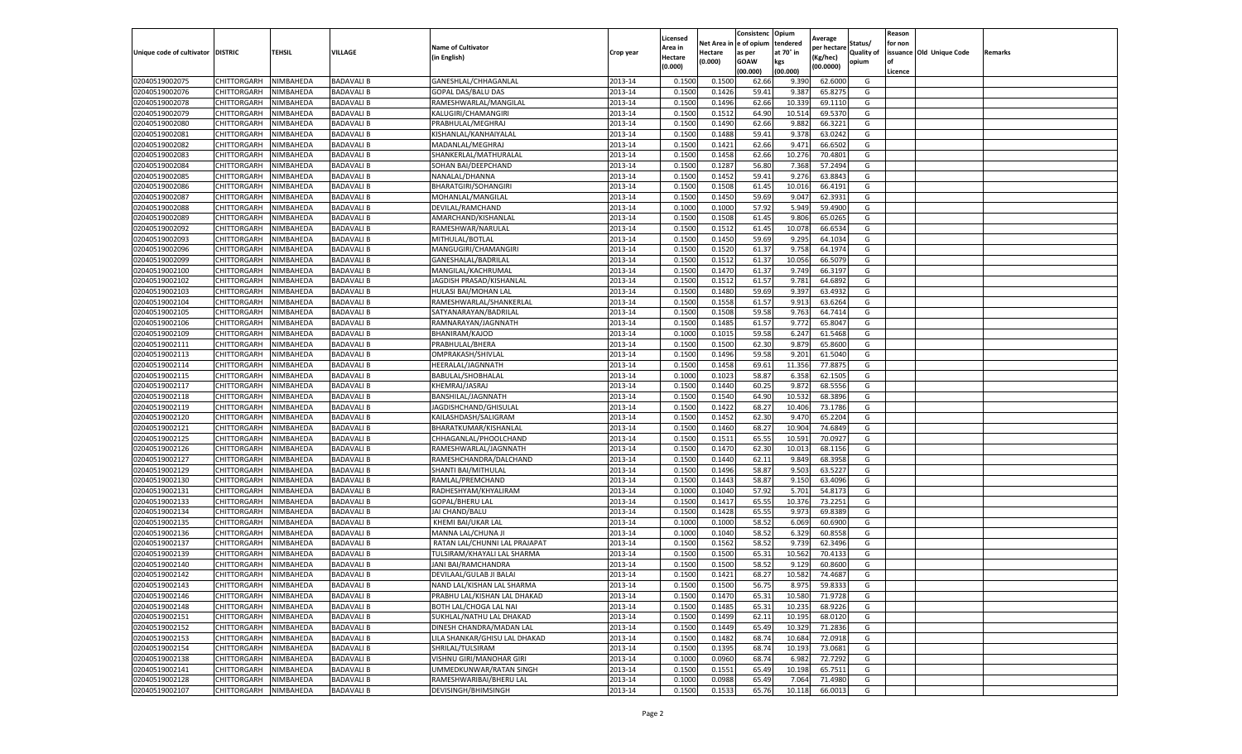|                                   |             |           |                   |                               |           | Licensed |            | Consistenc  | Opium     |                        |                   | Reason  |                          |         |
|-----------------------------------|-------------|-----------|-------------------|-------------------------------|-----------|----------|------------|-------------|-----------|------------------------|-------------------|---------|--------------------------|---------|
|                                   |             |           |                   | <b>Name of Cultivator</b>     |           | Area in  | Net Area i | e of opium  | tendered  | Average<br>per hectare | Status/           | for non |                          |         |
| Unique code of cultivator DISTRIC |             | TEHSIL    | VILLAGE           | (in English)                  | Crop year | Hectare  | Hectare    | as per      | at 70° in | (Kg/hec)               | <b>Quality of</b> |         | issuance Old Unique Code | Remarks |
|                                   |             |           |                   |                               |           | (0.000)  | (0.000)    | <b>GOAW</b> | kgs       | (00.0000)              | opium             | οf      |                          |         |
|                                   |             |           |                   |                               |           |          |            | (00.000     | (00.000)  |                        |                   | Licence |                          |         |
| 02040519002075                    | CHITTORGARH | NIMBAHEDA | <b>BADAVALI B</b> | GANESHLAL/CHHAGANLAL          | 2013-14   | 0.1500   | 0.1500     | 62.66       | 9.390     | 62.6000                | G                 |         |                          |         |
| 02040519002076                    | CHITTORGARH | NIMBAHEDA | <b>BADAVALI B</b> | GOPAL DAS/BALU DAS            | 2013-14   | 0.150    | 0.1426     | 59.4        | 9.387     | 65.8275                | G                 |         |                          |         |
| 02040519002078                    | CHITTORGARH | NIMBAHEDA | <b>BADAVALI B</b> | RAMESHWARLAL/MANGILAL         | 2013-14   | 0.1500   | 0.1496     | 62.66       | 10.339    | 69.1110                | G                 |         |                          |         |
| 02040519002079                    | CHITTORGARH | NIMBAHEDA | <b>BADAVALI B</b> | KALUGIRI/CHAMANGIRI           | 2013-14   | 0.1500   | 0.1512     | 64.90       | 10.514    | 69.5370                | G                 |         |                          |         |
| 02040519002080                    | CHITTORGARH | NIMBAHEDA | <b>BADAVALI B</b> | PRABHULAL/MEGHRAJ             | 2013-14   | 0.1500   | 0.1490     | 62.66       | 9.882     | 66.3221                | G                 |         |                          |         |
| 02040519002081                    | CHITTORGARH | NIMBAHEDA | <b>BADAVALI B</b> | KISHANLAL/KANHAIYALAI         | 2013-14   | 0.1500   | 0.1488     | 59.41       | 9.378     | 63.0242                | G                 |         |                          |         |
| 02040519002082                    | CHITTORGARH | NIMBAHEDA | <b>BADAVALI B</b> | MADANLAL/MEGHRAJ              | 2013-14   | 0.1500   | 0.1421     | 62.66       | 9.471     | 66.6502                | G                 |         |                          |         |
| 02040519002083                    | CHITTORGARH | NIMBAHEDA | <b>BADAVALI B</b> | SHANKERLAL/MATHURALAL         | 2013-14   | 0.1500   | 0.1458     | 62.66       | 10.276    | 70.4801                | G                 |         |                          |         |
| 02040519002084                    | CHITTORGARH | NIMBAHEDA | <b>BADAVALI B</b> | SOHAN BAI/DEEPCHAND           | 2013-14   | 0.1500   | 0.1287     | 56.80       | 7.368     | 57.2494                | G                 |         |                          |         |
| 02040519002085                    | CHITTORGARH | NIMBAHEDA | <b>BADAVALI B</b> | NANALAL/DHANNA                | 2013-14   | 0.1500   | 0.1452     | 59.41       | 9.276     | 63.8843                | G                 |         |                          |         |
| 02040519002086                    | CHITTORGARH | NIMBAHEDA | <b>BADAVALI B</b> | BHARATGIRI/SOHANGIRI          | 2013-14   | 0.1500   | 0.1508     | 61.45       | 10.016    | 66.4191                | G                 |         |                          |         |
| 02040519002087                    | CHITTORGARH | NIMBAHEDA | <b>BADAVALI B</b> | MOHANLAL/MANGILAL             | 2013-14   | 0.1500   | 0.1450     | 59.69       | 9.047     | 62.3931                | G                 |         |                          |         |
| 02040519002088                    | CHITTORGARH | NIMBAHEDA | <b>BADAVALI B</b> | DEVILAL/RAMCHAND              | 2013-14   | 0.1000   | 0.1000     | 57.92       | 5.949     | 59.4900                | G                 |         |                          |         |
| 02040519002089                    | CHITTORGARH | NIMBAHEDA | <b>BADAVALI B</b> | AMARCHAND/KISHANLAL           | 2013-14   | 0.1500   | 0.1508     | 61.4        | 9.806     | 65.0265                | G                 |         |                          |         |
| 02040519002092                    | CHITTORGARH | NIMBAHEDA | <b>BADAVALI B</b> | RAMESHWAR/NARULAL             | 2013-14   | 0.1500   | 0.1512     | 61.45       | 10.078    | 66.6534                | G                 |         |                          |         |
| 02040519002093                    | CHITTORGARH | NIMBAHEDA | <b>BADAVALI B</b> | MITHULAL/BOTLAL               | 2013-14   | 0.1500   | 0.1450     | 59.69       | 9.295     | 64.1034                | G                 |         |                          |         |
| 02040519002096                    | CHITTORGARH | NIMBAHEDA | <b>BADAVALI B</b> | MANGUGIRI/CHAMANGIRI          | 2013-14   | 0.1500   | 0.1520     | 61.37       | 9.75      | 64.1974                | G                 |         |                          |         |
| 02040519002099                    | CHITTORGARH | NIMBAHEDA | <b>BADAVALI B</b> | GANESHALAL/BADRILAL           | 2013-14   | 0.1500   | 0.1512     | 61.37       | 10.056    | 66.5079                | G                 |         |                          |         |
| 02040519002100                    | CHITTORGARH | NIMBAHEDA | <b>BADAVALI B</b> | MANGILAL/KACHRUMAL            | 2013-14   | 0.1500   | 0.1470     | 61.37       | 9.749     | 66.3197                | G                 |         |                          |         |
| 02040519002102                    | CHITTORGARH | NIMBAHEDA | <b>BADAVALI B</b> | JAGDISH PRASAD/KISHANLAI      | 2013-14   | 0.1500   | 0.1512     | 61.57       | 9.781     | 64.6892                | G                 |         |                          |         |
| 02040519002103                    | CHITTORGARH | NIMBAHEDA | <b>BADAVALI B</b> | HULASI BAI/MOHAN LAL          | 2013-14   | 0.1500   | 0.1480     | 59.69       | 9.397     | 63.4932                | G                 |         |                          |         |
| 02040519002104                    | CHITTORGARH | NIMBAHEDA | <b>BADAVALI B</b> | RAMESHWARLAL/SHANKERLAL       | 2013-14   | 0.1500   | 0.1558     | 61.57       | 9.913     | 63.6264                | G                 |         |                          |         |
| 02040519002105                    | CHITTORGARH | NIMBAHEDA | <b>BADAVALI B</b> | SATYANARAYAN/BADRILAL         | 2013-14   | 0.1500   | 0.1508     | 59.58       | 9.763     | 64.7414                | G                 |         |                          |         |
| 02040519002106                    | CHITTORGARH | NIMBAHEDA | <b>BADAVALI B</b> | RAMNARAYAN/JAGNNATH           | 2013-14   | 0.1500   | 0.1485     | 61.57       | 9.772     | 65.8047                | G                 |         |                          |         |
| 02040519002109                    | CHITTORGARH | NIMBAHEDA | <b>BADAVALI B</b> | BHANIRAM/KAJOD                | 2013-14   | 0.1000   | 0.1015     | 59.58       | 6.247     | 61.5468                | G                 |         |                          |         |
|                                   | CHITTORGARH | NIMBAHEDA |                   |                               |           |          |            |             |           |                        |                   |         |                          |         |
| 02040519002111                    |             |           | <b>BADAVALI B</b> | PRABHULAL/BHERA               | 2013-14   | 0.1500   | 0.1500     | 62.30       | 9.879     | 65.8600                | G                 |         |                          |         |
| 02040519002113                    | CHITTORGARH | NIMBAHEDA | <b>BADAVALI B</b> | OMPRAKASH/SHIVLAL             | 2013-14   | 0.1500   | 0.1496     | 59.58       | 9.201     | 61.5040                | G                 |         |                          |         |
| 02040519002114                    | CHITTORGARH | NIMBAHEDA | <b>BADAVALI B</b> | HEERALAL/JAGNNATH             | 2013-14   | 0.1500   | 0.1458     | 69.61       | 11.356    | 77.8875                | G                 |         |                          |         |
| 02040519002115                    | CHITTORGARH | NIMBAHEDA | <b>BADAVALI B</b> | BABULAL/SHOBHALAL             | 2013-14   | 0.1000   | 0.1023     | 58.87       | 6.358     | 62.1505                | G                 |         |                          |         |
| 02040519002117                    | CHITTORGARH | NIMBAHEDA | <b>BADAVALI B</b> | KHEMRAJ/JASRAJ                | 2013-14   | 0.1500   | 0.1440     | 60.25       | 9.872     | 68.5556                | G                 |         |                          |         |
| 02040519002118                    | CHITTORGARH | NIMBAHEDA | <b>BADAVALI B</b> | BANSHILAL/JAGNNATH            | 2013-14   | 0.1500   | 0.1540     | 64.90       | 10.532    | 68.3896                | G                 |         |                          |         |
| 02040519002119                    | CHITTORGARH | NIMBAHEDA | <b>BADAVALI B</b> | JAGDISHCHAND/GHISULAL         | 2013-14   | 0.1500   | 0.1422     | 68.27       | 10.406    | 73.1786                | G                 |         |                          |         |
| 02040519002120                    | CHITTORGARH | NIMBAHEDA | <b>BADAVALI B</b> | KAILASHDASH/SALIGRAM          | 2013-14   | 0.1500   | 0.1452     | 62.30       | 9.47      | 65.2204                | G                 |         |                          |         |
| 02040519002121                    | CHITTORGARH | NIMBAHEDA | <b>BADAVALI B</b> | BHARATKUMAR/KISHANLAL         | 2013-14   | 0.1500   | 0.1460     | 68.27       | 10.904    | 74.6849                | G                 |         |                          |         |
| 02040519002125                    | CHITTORGARH | NIMBAHEDA | <b>BADAVALI B</b> | CHHAGANLAL/PHOOLCHAND         | 2013-14   | 0.1500   | 0.1511     | 65.55       | 10.591    | 70.0927                | G                 |         |                          |         |
| 02040519002126                    | CHITTORGARH | NIMBAHEDA | <b>BADAVALI B</b> | RAMESHWARLAL/JAGNNATH         | 2013-14   | 0.1500   | 0.1470     | 62.30       | 10.013    | 68.1156                | G                 |         |                          |         |
| 02040519002127                    | CHITTORGARH | NIMBAHEDA | <b>BADAVALI B</b> | RAMESHCHANDRA/DALCHAND        | 2013-14   | 0.1500   | 0.1440     | 62.11       | 9.849     | 68.3958                | G                 |         |                          |         |
| 02040519002129                    | CHITTORGARH | NIMBAHEDA | <b>BADAVALI B</b> | SHANTI BAI/MITHULAL           | 2013-14   | 0.1500   | 0.1496     | 58.87       | 9.503     | 63.5227                | G                 |         |                          |         |
| 02040519002130                    | CHITTORGARH | NIMBAHEDA | <b>BADAVALI B</b> | RAMLAL/PREMCHAND              | 2013-14   | 0.1500   | 0.1443     | 58.87       | 9.15      | 63.4096                | G                 |         |                          |         |
| 02040519002131                    | CHITTORGARH | NIMBAHEDA | <b>BADAVALI B</b> | RADHESHYAM/KHYALIRAM          | 2013-14   | 0.1000   | 0.1040     | 57.92       | 5.701     | 54.8173                | G                 |         |                          |         |
| 02040519002133                    | CHITTORGARH | NIMBAHEDA | <b>BADAVALI B</b> | GOPAL/BHERU LAL               | 2013-14   | 0.1500   | 0.1417     | 65.55       | 10.376    | 73.2251                | G                 |         |                          |         |
| 02040519002134                    | CHITTORGARH | NIMBAHEDA | <b>BADAVALI B</b> | JAI CHAND/BALU                | 2013-14   | 0.1500   | 0.1428     | 65.55       | 9.973     | 69.8389                | G                 |         |                          |         |
| 02040519002135                    | CHITTORGARH | NIMBAHEDA | <b>BADAVALI B</b> | KHEMI BAI/UKAR LAL            | 2013-14   | 0.1000   | 0.1000     | 58.52       | 6.069     | 60.6900                | G                 |         |                          |         |
| 02040519002136                    | CHITTORGARH | NIMBAHEDA | <b>BADAVALI B</b> | MANNA LAL/CHUNA JI            | 2013-14   | 0.1000   | 0.1040     | 58.52       | 6.329     | 60.8558                | G                 |         |                          |         |
| 02040519002137                    | CHITTORGARH | NIMBAHEDA | <b>BADAVALI B</b> | RATAN LAL/CHUNNI LAL PRAJAPAT | 2013-14   | 0.1500   | 0.1562     | 58.52       | 9.739     | 62.3496                | G                 |         |                          |         |
| 02040519002139                    | CHITTORGARH | NIMBAHEDA | <b>BADAVALI B</b> | TULSIRAM/KHAYALI LAL SHARMA   | 2013-14   | 0.150    | 0.1500     | 65.3        | 10.562    | 70.4133                | G                 |         |                          |         |
| 02040519002140                    | CHITTORGARH | NIMBAHEDA | <b>BADAVALI B</b> | JANI BAI/RAMCHANDRA           | 2013-14   | 0.1500   | 0.1500     | 58.52       | 9.129     | 60.8600                | G                 |         |                          |         |
| 02040519002142                    | CHITTORGARH | NIMBAHEDA | <b>BADAVALI B</b> | DEVILAAL/GULAB JI BALAI       | 2013-14   | 0.1500   | 0.1421     | 68.27       | 10.582    | 74.4687                | G                 |         |                          |         |
| 02040519002143                    | CHITTORGARH | NIMBAHEDA | <b>BADAVALI B</b> | NAND LAL/KISHAN LAL SHARMA    | 2013-14   | 0.1500   | 0.1500     | 56.75       | 8.975     | 59.8333                | G                 |         |                          |         |
| 02040519002146                    | CHITTORGARH | NIMBAHEDA | <b>BADAVALI B</b> | PRABHU LAL/KISHAN LAL DHAKAD  | 2013-14   | 0.1500   | 0.1470     | 65.31       | 10.580    | 71.9728                | G                 |         |                          |         |
| 02040519002148                    | CHITTORGARH | NIMBAHEDA | <b>BADAVALI B</b> | BOTH LAL/CHOGA LAL NAI        | 2013-14   | 0.1500   | 0.1485     | 65.31       | 10.235    | 68.9226                | G                 |         |                          |         |
| 02040519002151                    | CHITTORGARH | NIMBAHEDA | <b>BADAVALI B</b> | SUKHLAL/NATHU LAL DHAKAD      | 2013-14   | 0.1500   | 0.1499     | 62.11       | 10.195    | 68.0120                | G                 |         |                          |         |
| 02040519002152                    | CHITTORGARH | NIMBAHEDA | BADAVALI B        | DINESH CHANDRA/MADAN LAL      | 2013-14   | 0.1500   | 0.1449     | 65.49       | 10.329    | 71.2836                | G                 |         |                          |         |
| 02040519002153                    | CHITTORGARH | NIMBAHEDA | <b>BADAVALI B</b> | LILA SHANKAR/GHISU LAL DHAKAD | 2013-14   | 0.1500   | 0.1482     | 68.74       | 10.684    | 72.0918                | G                 |         |                          |         |
| 02040519002154                    | CHITTORGARH | NIMBAHEDA | <b>BADAVALI B</b> | SHRILAL/TULSIRAM              | 2013-14   | 0.1500   | 0.1395     | 68.74       | 10.193    | 73.0681                | G                 |         |                          |         |
| 02040519002138                    | CHITTORGARH | NIMBAHEDA | <b>BADAVALI B</b> | VISHNU GIRI/MANOHAR GIRI      | 2013-14   | 0.1000   | 0.0960     | 68.74       | 6.982     | 72.7292                | G                 |         |                          |         |
| 02040519002141                    | CHITTORGARH | NIMBAHEDA | <b>BADAVALI B</b> | UMMEDKUNWAR/RATAN SINGH       | 2013-14   | 0.1500   | 0.1551     | 65.49       | 10.198    | 65.7511                | G                 |         |                          |         |
| 02040519002128                    | CHITTORGARH | NIMBAHEDA | <b>BADAVALI B</b> | RAMESHWARIBAI/BHERU LAL       | 2013-14   | 0.1000   | 0.0988     | 65.49       | 7.064     | 71.4980                | G                 |         |                          |         |
| 02040519002107                    | CHITTORGARH | NIMBAHEDA | <b>BADAVALI B</b> | DEVISINGH/BHIMSINGH           | 2013-14   | 0.1500   | 0.1533     | 65.76       | 10.118    | 66.0013                | G                 |         |                          |         |
|                                   |             |           |                   |                               |           |          |            |             |           |                        |                   |         |                          |         |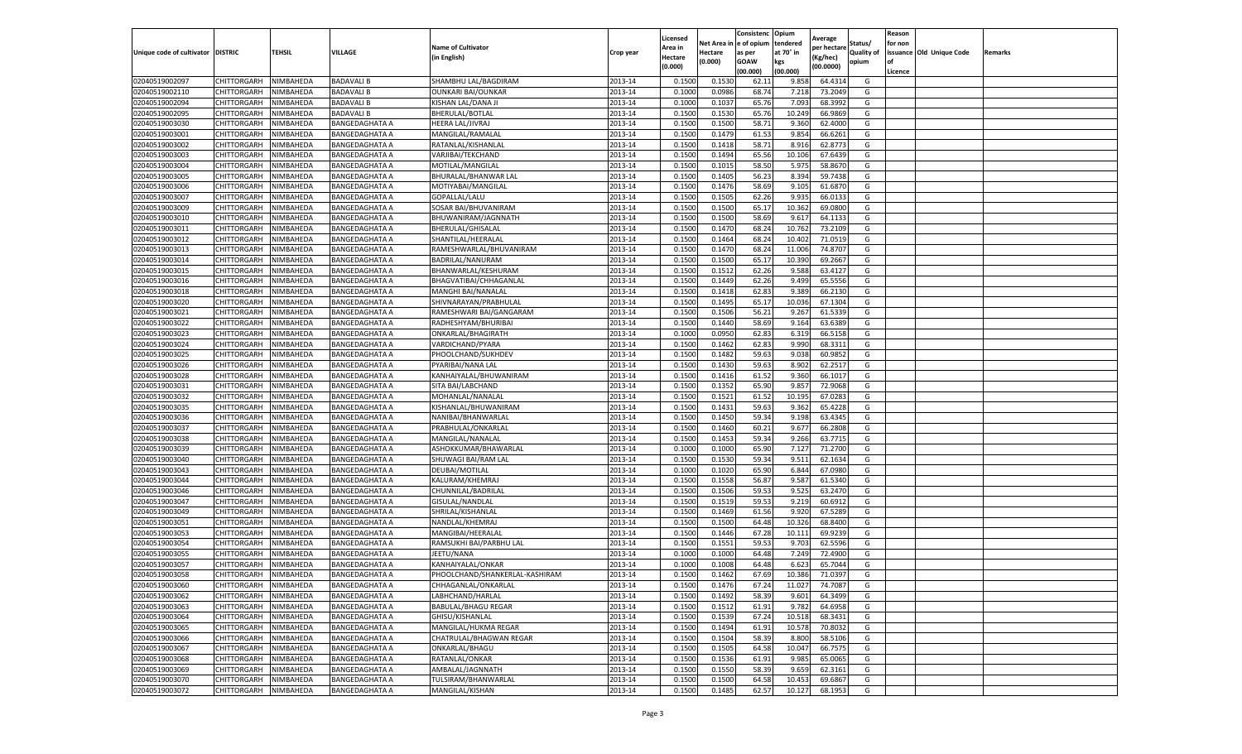|                                   |                            |                        |                                         |                                         |                    | Licensed         |                  | Consistenc     | Opium           | Average            |                   | Reason  |                          |         |
|-----------------------------------|----------------------------|------------------------|-----------------------------------------|-----------------------------------------|--------------------|------------------|------------------|----------------|-----------------|--------------------|-------------------|---------|--------------------------|---------|
|                                   |                            |                        |                                         | <b>Name of Cultivator</b>               |                    | Area in          | Net Area i       | e of opium     | tendered        | per hectare        | Status/           | for non |                          |         |
| Unique code of cultivator DISTRIC |                            | TEHSIL                 | VILLAGE                                 | (in English)                            | Crop year          | Hectare          | Hectare          | as per         | at 70° in       | (Kg/hec)           | <b>Quality of</b> |         | issuance Old Unique Code | Remarks |
|                                   |                            |                        |                                         |                                         |                    | (0.000)          | 0.000)           | <b>GOAW</b>    | kgs             | (00.0000)          | opium             | οf      |                          |         |
|                                   |                            |                        |                                         |                                         |                    |                  |                  | (00.000        | (00.000)        |                    |                   | Licence |                          |         |
| 02040519002097                    | CHITTORGARH                | NIMBAHEDA              | <b>BADAVALI B</b>                       | SHAMBHU LAL/BAGDIRAM                    | 2013-14            | 0.1500           | 0.1530           | 62.1           | 9.858           | 64.4314            | G                 |         |                          |         |
| 02040519002110                    | CHITTORGARH                | NIMBAHEDA              | <b>BADAVALI B</b>                       | <b>OUNKARI BAI/OUNKAR</b>               | 2013-14            | 0.100            | 0.0986           | 68.74          | 7.21            | 73.2049            | G                 |         |                          |         |
| 02040519002094                    | CHITTORGARH                | NIMBAHEDA              | <b>BADAVALI B</b>                       | KISHAN LAL/DANA JI                      | 2013-14            | 0.1000           | 0.1037           | 65.76          | 7.093           | 68.3992            | G                 |         |                          |         |
| 02040519002095                    | CHITTORGARH                | NIMBAHEDA              | <b>BADAVALI B</b>                       | BHERULAL/BOTLAL                         | 2013-14            | 0.1500           | 0.1530           | 65.76          | 10.249          | 66.9869            | G                 |         |                          |         |
| 02040519003030                    | CHITTORGARH                | NIMBAHEDA              | <b>BANGEDAGHATA A</b>                   | HEERA LAL/JIVRAJ                        | 2013-14            | 0.1500           | 0.1500           | 58.71          | 9.360           | 62.4000            | G                 |         |                          |         |
| 02040519003001                    | CHITTORGARH                | NIMBAHEDA              | <b>BANGEDAGHATA A</b>                   | MANGILAL/RAMALAI                        | 2013-14            | 0.1500           | 0.1479           | 61.53          | 9.854           | 66.6261            | G                 |         |                          |         |
| 02040519003002                    | CHITTORGARH                | NIMBAHEDA              | <b>BANGEDAGHATA A</b>                   | RATANLAL/KISHANLAL                      | 2013-14            | 0.1500           | 0.1418           | 58.71          | 8.916           | 62.8773            | G                 |         |                          |         |
| 02040519003003                    | CHITTORGARH                | NIMBAHEDA              | <b>BANGEDAGHATA A</b>                   | VARJIBAI/TEKCHAND                       | 2013-14            | 0.1500           | 0.1494           | 65.56          | 10.106          | 67.6439            | G                 |         |                          |         |
| 02040519003004                    | CHITTORGARH                | NIMBAHEDA              | <b>BANGEDAGHATA A</b>                   | MOTILAL/MANGILAL                        | 2013-14            | 0.1500           | 0.1015           | 58.50          | 5.975           | 58.8670            | G                 |         |                          |         |
| 02040519003005                    | CHITTORGARH                | NIMBAHEDA              | <b>BANGEDAGHATA A</b>                   | BHURALAL/BHANWAR LAL                    | 2013-14            | 0.1500           | 0.1405           | 56.23          | 8.394           | 59.7438            | G                 |         |                          |         |
| 02040519003006                    | CHITTORGARH                | NIMBAHEDA              | <b>BANGEDAGHATA A</b>                   | MOTIYABAI/MANGILAL                      | 2013-14            | 0.1500           | 0.1476           | 58.69          | 9.105           | 61.6870            | G                 |         |                          |         |
| 02040519003007                    | CHITTORGARH                | NIMBAHEDA              | <b>BANGEDAGHATA A</b>                   | GOPALLAL/LALU                           | 2013-14            | 0.1500           | 0.1505           | 62.26          | 9.935           | 66.0133            | G                 |         |                          |         |
| 02040519003009                    | CHITTORGARH                | NIMBAHEDA              | <b>BANGEDAGHATA A</b>                   | SOSAR BAI/BHUVANIRAM                    | 2013-14            | 0.1500           | 0.1500           | 65.17          | 10.362          | 69.0800            | G                 |         |                          |         |
| 02040519003010                    | CHITTORGARH                | NIMBAHEDA              | <b>BANGEDAGHATA A</b>                   | BHUWANIRAM/JAGNNATH                     | 2013-14            | 0.1500           | 0.1500           | 58.69          | 9.617           | 64.1133            | G                 |         |                          |         |
| 02040519003011                    | CHITTORGARH                | NIMBAHEDA              | <b>BANGEDAGHATA A</b>                   | BHERULAL/GHISALAL                       | 2013-14            | 0.1500           | 0.1470           | 68.24          | 10.762          | 73.2109            | G                 |         |                          |         |
| 02040519003012                    | CHITTORGARH                | NIMBAHEDA              | <b>BANGEDAGHATA A</b>                   | SHANTILAL/HEERALAL                      | 2013-14            | 0.1500           | 0.1464           | 68.24          | 10.402          | 71.0519            | G                 |         |                          |         |
| 02040519003013                    | CHITTORGARH                | NIMBAHEDA              | <b>BANGEDAGHATA A</b>                   | RAMESHWARLAL/BHUVANIRAM                 | 2013-14            | 0.1500           | 0.1470           | 68.24          | 11.006          | 74.8707            | G                 |         |                          |         |
| 02040519003014                    | CHITTORGARH                | NIMBAHEDA              | <b>BANGEDAGHATA A</b>                   | BADRILAL/NANURAM                        | 2013-14            | 0.1500           | 0.1500           | 65.1           | 10.390          | 69.2667            | G                 |         |                          |         |
| 02040519003015                    | CHITTORGARH                | NIMBAHEDA              | <b>BANGEDAGHATA A</b>                   | BHANWARLAL/KESHURAM                     | 2013-14            | 0.1500           | 0.1512           | 62.26          | 9.588           | 63.4127            | G                 |         |                          |         |
| 02040519003016                    | CHITTORGARH                | NIMBAHEDA              | <b>BANGEDAGHATA A</b>                   | BHAGVATIBAI/CHHAGANLAL                  | 2013-14            | 0.1500           | 0.1449           | 62.26          | 9.499           | 65.5556            | G                 |         |                          |         |
| 02040519003018                    | CHITTORGARH                | NIMBAHEDA              | <b>BANGEDAGHATA A</b>                   | MANGHI BAI/NANALAL                      | 2013-14            | 0.1500           | 0.1418           | 62.83          | 9.389           | 66.2130            | G                 |         |                          |         |
| 02040519003020                    | CHITTORGARH                | NIMBAHEDA              | BANGEDAGHATA A                          | SHIVNARAYAN/PRABHULAL                   | 2013-14            | 0.1500           | 0.1495           | 65.17          | 10.036          | 67.1304            | G                 |         |                          |         |
| 02040519003021                    | CHITTORGARH                | NIMBAHEDA              | <b>BANGEDAGHATA A</b>                   | RAMESHWARI BAI/GANGARAM                 | 2013-14            | 0.1500           | 0.1506           | 56.21          | 9.267           | 61.5339            | G                 |         |                          |         |
| 02040519003022                    | CHITTORGARH                | NIMBAHEDA              | <b>BANGEDAGHATA A</b>                   | RADHESHYAM/BHURIBAI                     | 2013-14            | 0.1500           | 0.1440           | 58.69          | 9.164           | 63.6389            | G                 |         |                          |         |
| 02040519003023                    | CHITTORGARH                | NIMBAHEDA              | <b>BANGEDAGHATA A</b>                   | ONKARLAL/BHAGIRATH                      | 2013-14            | 0.1000           | 0.0950           | 62.83          | 6.319           | 66.5158            | G                 |         |                          |         |
| 02040519003024                    | CHITTORGARH                | NIMBAHEDA              | <b>BANGEDAGHATA A</b>                   | VARDICHAND/PYARA                        | 2013-14            | 0.1500           | 0.1462           | 62.83          | 9.990           | 68.3311            | G                 |         |                          |         |
| 02040519003025                    | CHITTORGARH                | NIMBAHEDA              | <b>BANGEDAGHATA A</b>                   | PHOOLCHAND/SUKHDEV                      | 2013-14            | 0.1500           | 0.1482           | 59.63          | 9.038           | 60.9852            | G                 |         |                          |         |
| 02040519003026                    | CHITTORGARH                | NIMBAHEDA              | BANGEDAGHATA A                          | PYARIBAI/NANA LAL                       | 2013-14            | 0.1500           | 0.1430           | 59.63          | 8.902           | 62.2517            | G                 |         |                          |         |
| 02040519003028                    | CHITTORGARH                | NIMBAHEDA              | <b>BANGEDAGHATA A</b>                   | KANHAIYALAL/BHUWANIRAM                  | 2013-14            | 0.1500           | 0.1416           | 61.52          | 9.360           | 66.1017            | G                 |         |                          |         |
| 02040519003031                    | CHITTORGARH                | NIMBAHEDA              | <b>BANGEDAGHATA A</b>                   | SITA BAI/LABCHAND                       | 2013-14            | 0.1500           | 0.1352           | 65.90          | 9.857           | 72.9068            | G                 |         |                          |         |
| 02040519003032                    | CHITTORGARH                | NIMBAHEDA              | <b>BANGEDAGHATA A</b>                   | MOHANLAL/NANALAL                        | 2013-14            | 0.1500           | 0.1521           | 61.52          | 10.195          | 67.0283            | G                 |         |                          |         |
| 02040519003035                    | CHITTORGARH                | NIMBAHEDA              | <b>BANGEDAGHATA A</b>                   | KISHANLAL/BHUWANIRAM                    | 2013-14            | 0.1500           | 0.1431           | 59.63          | 9.362           | 65.4228            | G                 |         |                          |         |
| 02040519003036                    | CHITTORGARH                | NIMBAHEDA              | <b>BANGEDAGHATA A</b>                   | NANIBAI/BHANWARLAL                      | 2013-14            | 0.1500           | 0.1450           | 59.34          | 9.198           | 63.4345            | G                 |         |                          |         |
| 02040519003037                    | CHITTORGARH                | NIMBAHEDA              | <b>BANGEDAGHATA A</b>                   | PRABHULAL/ONKARLAL                      | 2013-14            | 0.1500           | 0.1460           | 60.21          | 9.677           | 66.2808            | G                 |         |                          |         |
| 02040519003038                    | CHITTORGARH                | NIMBAHEDA              | <b>BANGEDAGHATA A</b>                   | MANGILAL/NANALAL                        | 2013-14            | 0.1500           | 0.1453           | 59.34          | 9.266           | 63.7715            | G                 |         |                          |         |
| 02040519003039                    | CHITTORGARH                | NIMBAHEDA              | <b>BANGEDAGHATA A</b>                   | ASHOKKUMAR/BHAWARLAL                    | 2013-14            | 0.1000           | 0.1000           | 65.90          | 7.127           | 71.2700            | G                 |         |                          |         |
| 02040519003040                    | CHITTORGARH                | NIMBAHEDA              | <b>BANGEDAGHATA A</b>                   | SHUWAGI BAI/RAM LAL                     | 2013-14            | 0.1500           | 0.1530           | 59.34          | 9.511           | 62.1634            | G                 |         |                          |         |
| 02040519003043                    | CHITTORGARH                | NIMBAHEDA              | <b>BANGEDAGHATA A</b>                   | DEUBAI/MOTILAL                          | 2013-14            | 0.1000           | 0.1020           | 65.90          | 6.844           | 67.0980            | G                 |         |                          |         |
| 02040519003044                    | CHITTORGARH                | NIMBAHEDA              | <b>BANGEDAGHATA A</b>                   | KALURAM/KHEMRAJ                         | 2013-14            | 0.1500           | 0.1558           | 56.87          | 9.587           | 61.5340            | G                 |         |                          |         |
| 02040519003046                    | CHITTORGARH                | NIMBAHEDA              | <b>BANGEDAGHATA A</b>                   | CHUNNILAL/BADRILAL                      | 2013-14            | 0.1500           | 0.1506           | 59.53          | 9.525           | 63.2470            | G                 |         |                          |         |
| 02040519003047                    | CHITTORGARH                | NIMBAHEDA              | <b>BANGEDAGHATA A</b>                   | GISULAL/NANDLAL                         | 2013-14            | 0.1500           | 0.1519           | 59.53          | 9.219           | 60.6912            | G                 |         |                          |         |
| 02040519003049                    | CHITTORGARH                | NIMBAHEDA              | <b>BANGEDAGHATA A</b>                   | SHRILAL/KISHANLAL                       | 2013-14            | 0.1500           | 0.1469           | 61.56          | 9.920           | 67.5289            | G                 |         |                          |         |
| 02040519003051                    | CHITTORGARH                | NIMBAHEDA              | <b>BANGEDAGHATA A</b>                   | NANDLAL/KHEMRAJ                         | 2013-14            | 0.1500           | 0.1500           | 64.48          | 10.326          | 68.8400            | G                 |         |                          |         |
| 02040519003053                    | CHITTORGARH                | NIMBAHEDA              | <b>BANGEDAGHATA A</b>                   | MANGIBAI/HEERALAL                       | 2013-14            | 0.1500           | 0.1446           | 67.28          | 10.11           | 69.9239            | G                 |         |                          |         |
| 02040519003054                    | CHITTORGARH                | NIMBAHEDA              | <b>BANGEDAGHATA A</b>                   | RAMSUKHI BAI/PARBHU LAL                 | 2013-14            | 0.1500           | 0.1551           | 59.53          | 9.703           | 62.5596            | G                 |         |                          |         |
| 02040519003055                    | CHITTORGARH                | NIMBAHEDA              | <b>BANGEDAGHATA A</b>                   | JEETU/NANA                              | 2013-14            | 0.100            | 0.1000           | 64.48          | 7.249           | 72.4900            | G                 |         |                          |         |
| 02040519003057                    | CHITTORGARH                | NIMBAHEDA              | <b>BANGEDAGHATA A</b>                   | KANHAIYALAL/ONKAR                       | 2013-14            | 0.100            | 0.1008           | 64.48          | 6.623           | 65.7044            | G                 |         |                          |         |
| 02040519003058                    | CHITTORGARH                | NIMBAHEDA              | <b>BANGEDAGHATA A</b>                   | PHOOLCHAND/SHANKERLAL-KASHIRAM          | 2013-14            | 0.1500           | 0.1462           | 67.69          | 10.386          | 71.0397            | G                 |         |                          |         |
| 02040519003060                    | CHITTORGARH                | NIMBAHEDA              | <b>BANGEDAGHATA A</b>                   | CHHAGANLAL/ONKARLAL                     | 2013-14            | 0.1500           | 0.1476           | 67.24          | 11.027          | 74.7087            | G                 |         |                          |         |
| 02040519003062                    | CHITTORGARH                | NIMBAHEDA              | <b>BANGEDAGHATA A</b>                   | LABHCHAND/HARLAL                        | 2013-14            | 0.1500           | 0.1492           | 58.39          | 9.601           | 64.3499            | G                 |         |                          |         |
| 02040519003063                    | CHITTORGARH                | NIMBAHEDA              | <b>BANGEDAGHATA A</b>                   | <b>BABULAL/BHAGU REGAR</b>              | 2013-14            | 0.1500           | 0.1512           | 61.91          | 9.782           | 64.6958            | G                 |         |                          |         |
|                                   |                            |                        |                                         |                                         |                    |                  |                  |                |                 |                    |                   |         |                          |         |
| 02040519003064<br>02040519003065  | CHITTORGARH                | NIMBAHEDA              | <b>BANGEDAGHATA A</b>                   | GHISU/KISHANLAL<br>MANGILAL/HUKMA REGAR | 2013-14<br>2013-14 | 0.1500           | 0.1539<br>0.1494 | 67.24          | 10.518          | 68.3431            | G<br>G            |         |                          |         |
| 02040519003066                    | CHITTORGARH<br>CHITTORGARH | NIMBAHEDA<br>NIMBAHEDA | BANGEDAGHATA A<br><b>BANGEDAGHATA A</b> | CHATRULAL/BHAGWAN REGAR                 | 2013-14            | 0.1500<br>0.1500 | 0.1504           | 61.91<br>58.39 | 10.578<br>8.800 | 70.8032<br>58.5106 | G                 |         |                          |         |
|                                   |                            |                        |                                         | ONKARLAL/BHAGU                          |                    |                  |                  |                |                 |                    |                   |         |                          |         |
| 02040519003067                    | CHITTORGARH                | NIMBAHEDA              | <b>BANGEDAGHATA A</b>                   |                                         | 2013-14            | 0.1500           | 0.1505           | 64.58          | 10.047          | 66.7575            | G                 |         |                          |         |
| 02040519003068                    | CHITTORGARH                | NIMBAHEDA              | <b>BANGEDAGHATA A</b>                   | RATANLAL/ONKAR                          | 2013-14            | 0.1500           | 0.1536           | 61.91          | 9.985           | 65.0065            | G                 |         |                          |         |
| 02040519003069                    | CHITTORGARH                | NIMBAHEDA              | <b>BANGEDAGHATA A</b>                   | AMBALAL/JAGNNATH                        | 2013-14            | 0.1500           | 0.1550           | 58.39          | 9.659           | 62.3161            | G                 |         |                          |         |
| 02040519003070                    | CHITTORGARH                | NIMBAHEDA              | <b>BANGEDAGHATA A</b>                   | TULSIRAM/BHANWARLAL                     | 2013-14            | 0.1500           | 0.1500           | 64.58          | 10.453          | 69.6867            | G                 |         |                          |         |
| 02040519003072                    | CHITTORGARH                | NIMBAHEDA              | <b>BANGEDAGHATA A</b>                   | MANGILAL/KISHAN                         | 2013-14            | 0.1500           | 0.1485           | 62.57          | 10.127          | 68.1953            | G                 |         |                          |         |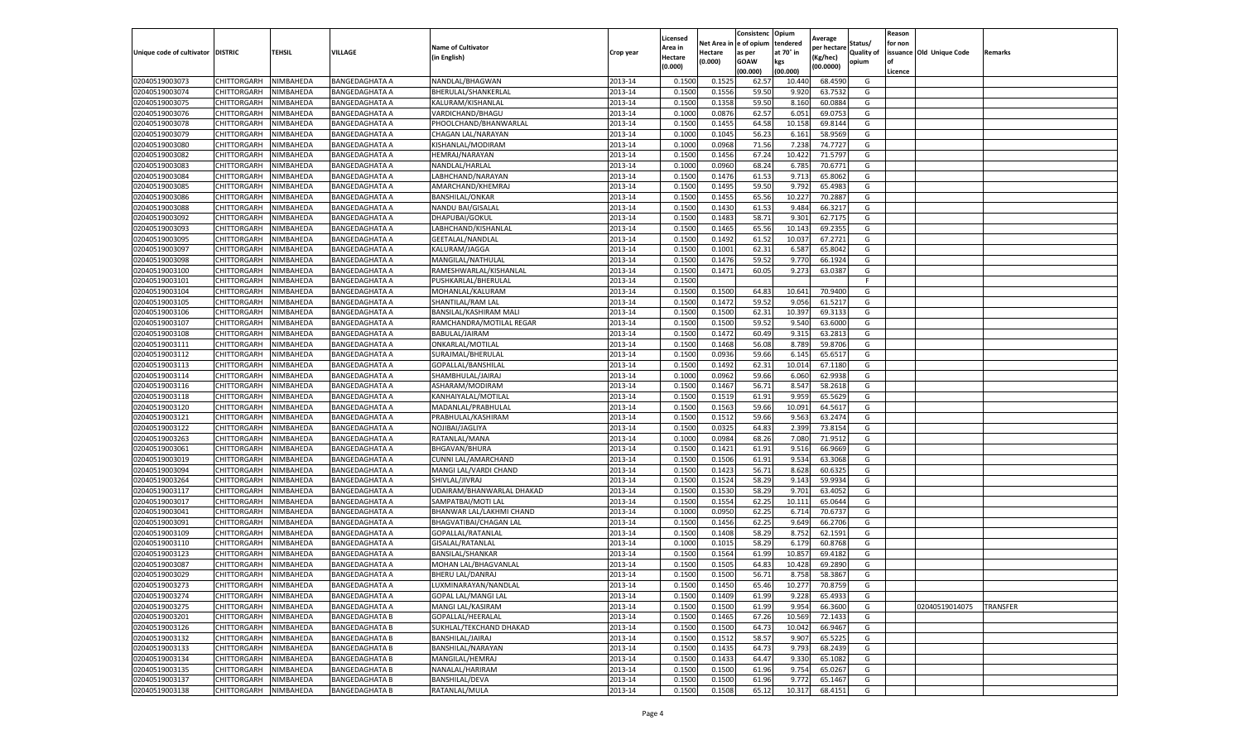|                                   |                    |           |                       |                           |           | Licensed |         | Consistenc             | Opium     |                        |            | Reason  |                          |                 |
|-----------------------------------|--------------------|-----------|-----------------------|---------------------------|-----------|----------|---------|------------------------|-----------|------------------------|------------|---------|--------------------------|-----------------|
|                                   |                    |           |                       | <b>Name of Cultivator</b> |           | Area in  |         | Net Area in e of opium | tendered  | Average<br>per hectare | Status/    | for non |                          |                 |
| Unique code of cultivator DISTRIC |                    | TEHSIL    | VILLAGE               | in English)               | Crop year | Hectare  | Hectare | as per                 | at 70° in | (Kg/hec                | Quality of |         | issuance Old Unique Code | <b>Remarks</b>  |
|                                   |                    |           |                       |                           |           | (0.000)  | (0.000) | <b>GOAW</b>            | kgs       | (00.0000)              | opium      |         |                          |                 |
|                                   |                    |           |                       |                           |           |          |         | (00.000)               | (00.000)  |                        |            | Licence |                          |                 |
| 02040519003073                    | CHITTORGARH        | NIMBAHEDA | <b>BANGEDAGHATA A</b> | NANDLAL/BHAGWAN           | 2013-14   | 0.1500   | 0.1525  | 62.57                  | 10.44     | 68.4590                | G          |         |                          |                 |
| 02040519003074                    | CHITTORGARH        | NIMBAHEDA | <b>BANGEDAGHATA A</b> | BHERULAL/SHANKERLAL       | 2013-14   | 0.1500   | 0.1556  | 59.50                  | 9.92      | 63.7532                | G          |         |                          |                 |
| 02040519003075                    | CHITTORGARH        | NIMBAHEDA | <b>BANGEDAGHATA A</b> | KALURAM/KISHANLAL         | 2013-14   | 0.1500   | 0.1358  | 59.50                  | 8.160     | 60.0884                | G          |         |                          |                 |
| 02040519003076                    | CHITTORGARH        | NIMBAHEDA | <b>BANGEDAGHATA A</b> | VARDICHAND/BHAGU          | 2013-14   | 0.1000   | 0.0876  | 62.57                  | 6.051     | 69.0753                | G          |         |                          |                 |
| 02040519003078                    | CHITTORGARH        | NIMBAHEDA | <b>BANGEDAGHATA A</b> | PHOOLCHAND/BHANWARLAL     | 2013-14   | 0.1500   | 0.1455  | 64.58                  | 10.15     | 69.8144                | G          |         |                          |                 |
| 02040519003079                    | CHITTORGARH        | NIMBAHEDA | BANGEDAGHATA A        | CHAGAN LAL/NARAYAN        | 2013-14   | 0.1000   | 0.1045  | 56.23                  | 6.161     | 58.9569                | G          |         |                          |                 |
| 02040519003080                    | CHITTORGARH        | NIMBAHEDA | <b>BANGEDAGHATA A</b> | KISHANLAL/MODIRAM         | 2013-14   | 0.1000   | 0.0968  | 71.56                  | 7.238     | 74.7727                | G          |         |                          |                 |
| 02040519003082                    | CHITTORGARH        | NIMBAHEDA | <b>BANGEDAGHATA A</b> | HEMRAJ/NARAYAN            | 2013-14   | 0.1500   | 0.1456  | 67.24                  | 10.422    | 71.5797                | G          |         |                          |                 |
| 02040519003083                    | CHITTORGARH        | NIMBAHEDA | <b>BANGEDAGHATA A</b> | NANDLAL/HARLAL            | 2013-14   | 0.1000   | 0.0960  | 68.24                  | 6.785     | 70.6771                | G          |         |                          |                 |
| 02040519003084                    | CHITTORGARH        | NIMBAHEDA | <b>BANGEDAGHATA A</b> | LABHCHAND/NARAYAN         | 2013-14   | 0.1500   | 0.1476  | 61.53                  | 9.713     | 65.8062                | G          |         |                          |                 |
| 02040519003085                    | CHITTORGARH        | NIMBAHEDA | <b>BANGEDAGHATA A</b> | AMARCHAND/KHEMRAJ         | 2013-14   | 0.1500   | 0.1495  | 59.50                  | 9.792     | 65.4983                | G          |         |                          |                 |
| 02040519003086                    | CHITTORGARH        | NIMBAHEDA | <b>BANGEDAGHATA A</b> | <b>BANSHILAL/ONKAR</b>    | 2013-14   | 0.1500   | 0.1455  | 65.56                  | 10.22     | 70.2887                | G          |         |                          |                 |
| 02040519003088                    | CHITTORGARH        | NIMBAHEDA | BANGEDAGHATA A        | NANDU BAI/GISALAL         | 2013-14   | 0.1500   | 0.1430  | 61.53                  | 9.484     | 66.3217                | G          |         |                          |                 |
| 02040519003092                    | CHITTORGARH        | NIMBAHEDA | <b>BANGEDAGHATA A</b> | DHAPUBAI/GOKUL            | 2013-14   | 0.1500   | 0.1483  | 58.71                  | 9.301     | 62.7175                | G          |         |                          |                 |
| 02040519003093                    | CHITTORGARH        | NIMBAHEDA | <b>BANGEDAGHATA A</b> | LABHCHAND/KISHANLAL       | 2013-14   | 0.1500   | 0.1465  | 65.56                  | 10.14     | 69.2355                | G          |         |                          |                 |
| 02040519003095                    | CHITTORGARH        | NIMBAHEDA | <b>BANGEDAGHATA A</b> | GEETALAL/NANDLAL          | 2013-14   | 0.1500   | 0.1492  | 61.52                  | 10.037    | 67.2721                | G          |         |                          |                 |
| 02040519003097                    | CHITTORGARH        | NIMBAHEDA | <b>BANGEDAGHATA A</b> | KALURAM/JAGGA             | 2013-14   | 0.1500   | 0.1001  | 62.31                  | 6.587     | 65.8042                | G          |         |                          |                 |
| 02040519003098                    | CHITTORGARH        | NIMBAHEDA | <b>BANGEDAGHATA A</b> | MANGILAL/NATHULAL         | 2013-14   | 0.1500   | 0.1476  | 59.52                  | 9.77      | 66.1924                | G          |         |                          |                 |
| 02040519003100                    | CHITTORGARH        | NIMBAHEDA | BANGEDAGHATA A        | RAMESHWARLAL/KISHANLAL    | 2013-14   | 0.1500   | 0.1471  | 60.05                  | 9.273     | 63.0387                | G          |         |                          |                 |
| 02040519003101                    | CHITTORGARH        | NIMBAHEDA | <b>BANGEDAGHATA A</b> | PUSHKARLAL/BHERULAL       | 2013-14   | 0.1500   |         |                        |           |                        | F.         |         |                          |                 |
| 02040519003104                    | CHITTORGARH        | NIMBAHEDA | <b>BANGEDAGHATA A</b> | MOHANLAL/KALURAM          | 2013-14   | 0.1500   | 0.1500  | 64.83                  | 10.641    | 70.9400                | G          |         |                          |                 |
| 02040519003105                    | CHITTORGARH        | NIMBAHEDA | <b>BANGEDAGHATA A</b> | SHANTILAL/RAM LAL         | 2013-14   | 0.1500   | 0.1472  | 59.52                  | 9.056     | 61.5217                | G          |         |                          |                 |
| 02040519003106                    | CHITTORGARH        | NIMBAHEDA | <b>BANGEDAGHATA A</b> | BANSILAL/KASHIRAM MALI    | 2013-14   | 0.1500   | 0.1500  | 62.31                  | 10.397    | 69.3133                | G          |         |                          |                 |
| 02040519003107                    | CHITTORGARH        | NIMBAHEDA | <b>BANGEDAGHATA A</b> | RAMCHANDRA/MOTILAL REGAR  | 2013-14   | 0.1500   | 0.1500  | 59.52                  | 9.540     | 63.6000                | G          |         |                          |                 |
| 02040519003108                    | CHITTORGARH        | NIMBAHEDA | BANGEDAGHATA A        | BABULAL/JAIRAM            | 2013-14   | 0.1500   | 0.1472  | 60.49                  | 9.315     | 63.2813                | G          |         |                          |                 |
| 02040519003111                    | CHITTORGARH        | NIMBAHEDA | <b>BANGEDAGHATA A</b> | ONKARLAL/MOTILAL          | 2013-14   | 0.1500   | 0.1468  | 56.08                  | 8.789     | 59.8706                | G          |         |                          |                 |
| 02040519003112                    | CHITTORGARH        | NIMBAHEDA | <b>BANGEDAGHATA A</b> | SURAJMAL/BHERULAI         | 2013-14   | 0.1500   | 0.0936  | 59.66                  | 6.145     | 65.6517                | G          |         |                          |                 |
| 02040519003113                    | CHITTORGARH        | NIMBAHEDA | <b>BANGEDAGHATA A</b> | GOPALLAL/BANSHILAL        | 2013-14   | 0.1500   | 0.1492  | 62.31                  | 10.014    | 67.1180                | G          |         |                          |                 |
| 02040519003114                    | CHITTORGARH        | NIMBAHEDA | <b>BANGEDAGHATA A</b> | SHAMBHULAL/JAIRAJ         | 2013-14   | 0.1000   | 0.0962  | 59.66                  | 6.060     | 62.9938                | G          |         |                          |                 |
| 02040519003116                    | CHITTORGARH        | NIMBAHEDA | <b>BANGEDAGHATA A</b> | ASHARAM/MODIRAM           | 2013-14   | 0.1500   | 0.1467  | 56.71                  | 8.547     | 58.2618                | G          |         |                          |                 |
| 02040519003118                    | CHITTORGARH        | NIMBAHEDA | BANGEDAGHATA A        | KANHAIYALAL/MOTILAL       | 2013-14   | 0.1500   | 0.1519  | 61.91                  | 9.95      | 65.5629                | G          |         |                          |                 |
| 02040519003120                    | CHITTORGARH        | NIMBAHEDA | <b>BANGEDAGHATA A</b> | MADANLAL/PRABHULAL        | 2013-14   | 0.1500   | 0.1563  | 59.66                  | 10.091    | 64.5617                | G          |         |                          |                 |
| 02040519003121                    | CHITTORGARH        | NIMBAHEDA | <b>BANGEDAGHATA A</b> | PRABHULAL/KASHIRAM        | 2013-14   | 0.1500   | 0.1512  | 59.66                  | 9.563     | 63.2474                | G          |         |                          |                 |
| 02040519003122                    | CHITTORGARH        | NIMBAHEDA | <b>BANGEDAGHATA A</b> | NOJIBAI/JAGLIYA           | 2013-14   | 0.1500   | 0.0325  | 64.83                  | 2.399     | 73.8154                | G          |         |                          |                 |
| 02040519003263                    | CHITTORGARH        | NIMBAHEDA | <b>BANGEDAGHATA A</b> | RATANLAL/MANA             | 2013-14   | 0.1000   | 0.0984  | 68.26                  | 7.080     | 71.9512                | G          |         |                          |                 |
| 02040519003061                    | CHITTORGARH        | NIMBAHEDA | <b>BANGEDAGHATA A</b> | <b>BHGAVAN/BHURA</b>      | 2013-14   | 0.1500   | 0.1421  | 61.91                  | 9.516     | 66.9669                | G          |         |                          |                 |
| 02040519003019                    | CHITTORGARH        | NIMBAHEDA | <b>BANGEDAGHATA A</b> | CUNNI LAL/AMARCHAND       | 2013-14   | 0.1500   | 0.1506  | 61.91                  | 9.534     | 63.3068                | G          |         |                          |                 |
| 02040519003094                    | CHITTORGARH        | NIMBAHEDA | BANGEDAGHATA A        | MANGI LAL/VARDI CHAND     | 2013-14   | 0.1500   | 0.1423  | 56.71                  | 8.628     | 60.6325                | G          |         |                          |                 |
| 02040519003264                    | CHITTORGARH        | NIMBAHEDA | <b>BANGEDAGHATA A</b> | SHIVLAL/JIVRAJ            | 2013-14   | 0.1500   | 0.1524  | 58.29                  | 9.143     | 59.9934                | G          |         |                          |                 |
| 02040519003117                    | CHITTORGARH        | NIMBAHEDA | <b>BANGEDAGHATA A</b> | UDAIRAM/BHANWARLAL DHAKAD | 2013-14   | 0.1500   | 0.1530  | 58.29                  | 9.701     | 63.4052                | G          |         |                          |                 |
| 02040519003017                    | CHITTORGARH        | NIMBAHEDA | BANGEDAGHATA A        | SAMPATBAI/MOTI LAL        | 2013-14   | 0.1500   | 0.1554  | 62.25                  | 10.11     | 65.0644                | G          |         |                          |                 |
| 02040519003041                    | CHITTORGARH        | NIMBAHEDA | <b>BANGEDAGHATA A</b> | BHANWAR LAL/LAKHMI CHAND  | 2013-14   | 0.1000   | 0.0950  | 62.25                  | 6.714     | 70.673                 | G          |         |                          |                 |
| 02040519003091                    | CHITTORGARH        | NIMBAHEDA | <b>BANGEDAGHATA A</b> | BHAGVATIBAI/CHAGAN LAL    | 2013-14   | 0.1500   | 0.1456  | 62.25                  | 9.649     | 66.2706                | G          |         |                          |                 |
| 02040519003109                    | CHITTORGARH        | NIMBAHEDA | BANGEDAGHATA A        | GOPALLAL/RATANLAI         | 2013-14   | 0.1500   | 0.1408  | 58.29                  | 8.752     | 62.1591                | G          |         |                          |                 |
| 02040519003110                    | CHITTORGARH        | NIMBAHEDA | <b>BANGEDAGHATA A</b> | GISALAL/RATANLAI          | 2013-14   | 0.1000   | 0.1015  | 58.29                  | 6.179     | 60.8768                | G          |         |                          |                 |
| 02040519003123                    | CHITTORGARH        | NIMBAHEDA | <b>BANGEDAGHATA A</b> | <b>BANSILAL/SHANKAR</b>   | 2013-14   | 0.1500   | 0.1564  | 61.99                  | 10.857    | 69.4182                | G          |         |                          |                 |
| 02040519003087                    | CHITTORGARH        | NIMBAHEDA | <b>BANGEDAGHATA A</b> | MOHAN LAL/BHAGVANLAL      | 2013-14   | 0.1500   | 0.1505  | 64.83                  | 10.428    | 69.2890                | G          |         |                          |                 |
| 02040519003029                    | CHITTORGARH        | NIMBAHEDA | <b>BANGEDAGHATA A</b> | BHERU LAL/DANRAJ          | 2013-14   | 0.1500   | 0.1500  | 56.71                  | 8.758     | 58.3867                | G          |         |                          |                 |
| 02040519003273                    | CHITTORGARH        | NIMBAHEDA | <b>BANGEDAGHATA A</b> | LUXMINARAYAN/NANDLAL      | 2013-14   | 0.1500   | 0.1450  | 65.46                  | 10.277    | 70.8759                | G          |         |                          |                 |
| 02040519003274                    | CHITTORGARH        | NIMBAHEDA | <b>BANGEDAGHATA A</b> | GOPAL LAL/MANGI LAL       | 2013-14   | 0.1500   | 0.1409  | 61.99                  | 9.228     | 65.4933                | G          |         |                          |                 |
| 02040519003275                    | CHITTORGARH        | NIMBAHEDA | <b>BANGEDAGHATA A</b> | MANGI LAL/KASIRAM         | 2013-14   | 0.1500   | 0.1500  | 61.99                  | 9.954     | 66.3600                | G          |         | 02040519014075           | <b>TRANSFER</b> |
| 02040519003201                    | CHITTORGARH        | NIMBAHEDA | <b>BANGEDAGHATA B</b> | GOPALLAL/HEERALAL         | 2013-14   | 0.1500   | 0.1465  | 67.26                  | 10.569    | 72.1433                | G          |         |                          |                 |
| 02040519003126                    | CHITTORGARH        | NIMBAHEDA | <b>BANGEDAGHATA B</b> | SUKHLAL/TEKCHAND DHAKAD   | 2013-14   | 0.1500   | 0.1500  | 64.73                  | 10.042    | 66.9467                | G          |         |                          |                 |
| 02040519003132                    | <b>CHITTORGARH</b> | NIMBAHEDA | <b>BANGEDAGHATA B</b> | BANSHILAL/JAIRAJ          | 2013-14   | 0.1500   | 0.1512  | 58.57                  | 9.907     | 65.5225                | G          |         |                          |                 |
| 02040519003133                    | CHITTORGARH        | NIMBAHEDA | <b>BANGEDAGHATA B</b> | BANSHILAL/NARAYAN         | 2013-14   | 0.1500   | 0.1435  | 64.73                  | 9.793     | 68.2439                | G          |         |                          |                 |
| 02040519003134                    | CHITTORGARH        | NIMBAHEDA | <b>BANGEDAGHATA B</b> | MANGILAL/HEMRAJ           | 2013-14   | 0.1500   | 0.1433  | 64.47                  | 9.330     | 65.1082                | G          |         |                          |                 |
| 02040519003135                    | CHITTORGARH        | NIMBAHEDA | <b>BANGEDAGHATA B</b> | NANALAL/HARIRAM           | 2013-14   | 0.1500   | 0.1500  | 61.96                  | 9.754     | 65.0267                | G          |         |                          |                 |
| 02040519003137                    | CHITTORGARH        | NIMBAHEDA | <b>BANGEDAGHATA B</b> | BANSHILAL/DEVA            | 2013-14   | 0.1500   | 0.1500  | 61.96                  | 9.772     | 65.1467                | G          |         |                          |                 |
| 02040519003138                    | <b>CHITTORGARH</b> | NIMBAHEDA | <b>BANGEDAGHATA B</b> | RATANLAL/MULA             | 2013-14   | 0.1500   | 0.1508  | 65.12                  | 10.317    | 68.4151                | G          |         |                          |                 |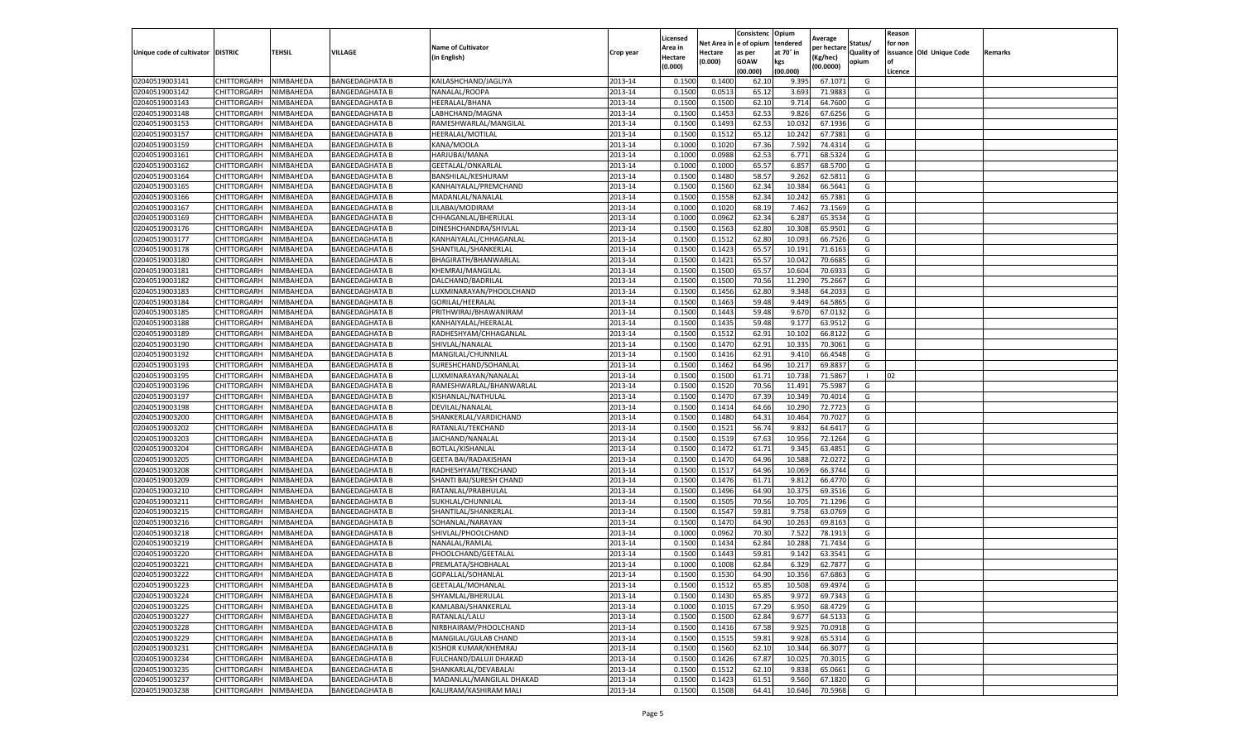|                                   |             |           |                       |                             |           | Licensed |            | Consistenc  | Opium     | Average     |                   | Reason  |                          |         |
|-----------------------------------|-------------|-----------|-----------------------|-----------------------------|-----------|----------|------------|-------------|-----------|-------------|-------------------|---------|--------------------------|---------|
|                                   |             |           |                       | <b>Name of Cultivator</b>   |           | Area in  | Net Area i | e of opium  | tendered  | per hectare | Status/           | for non |                          |         |
| Unique code of cultivator DISTRIC |             | TEHSIL    | VILLAGE               | (in English)                | Crop year | Hectare  | Hectare    | as per      | at 70° in | (Kg/hec)    | <b>Quality of</b> |         | issuance Old Unique Code | Remarks |
|                                   |             |           |                       |                             |           | (0.000)  | 0.000)     | <b>GOAW</b> | kgs       | (00.0000)   | opium             | οf      |                          |         |
|                                   |             |           |                       |                             |           |          |            | (00.000     | (00.000)  |             |                   | Licence |                          |         |
| 02040519003141                    | CHITTORGARH | NIMBAHEDA | <b>BANGEDAGHATA B</b> | KAILASHCHAND/JAGLIYA        | 2013-14   | 0.1500   | 0.1400     | 62.1        | 9.395     | 67.1071     | G                 |         |                          |         |
| 02040519003142                    | CHITTORGARH | NIMBAHEDA | <b>BANGEDAGHATA B</b> | NANALAL/ROOPA               | 2013-14   | 0.150    | 0.0513     | 65.12       | 3.693     | 71.9883     | G                 |         |                          |         |
| 02040519003143                    | CHITTORGARH | NIMBAHEDA | <b>BANGEDAGHATA B</b> | HEERALAL/BHANA              | 2013-14   | 0.1500   | 0.1500     | 62.10       | 9.714     | 64.7600     | G                 |         |                          |         |
| 02040519003148                    | CHITTORGARH | NIMBAHEDA | <b>BANGEDAGHATA B</b> | LABHCHAND/MAGNA             | 2013-14   | 0.1500   | 0.1453     | 62.53       | 9.826     | 67.6256     | G                 |         |                          |         |
| 02040519003153                    | CHITTORGARH | NIMBAHEDA | <b>BANGEDAGHATA B</b> | RAMESHWARLAL/MANGILAL       | 2013-14   | 0.1500   | 0.1493     | 62.53       | 10.032    | 67.1936     | G                 |         |                          |         |
| 02040519003157                    | CHITTORGARH | NIMBAHEDA | <b>BANGEDAGHATA B</b> | HEERALAL/MOTILAL            | 2013-14   | 0.1500   | 0.1512     | 65.12       | 10.242    | 67.7381     | G                 |         |                          |         |
| 02040519003159                    | CHITTORGARH | NIMBAHEDA | <b>BANGEDAGHATA B</b> | KANA/MOOLA                  | 2013-14   | 0.1000   | 0.1020     | 67.36       | 7.592     | 74.4314     | G                 |         |                          |         |
| 02040519003161                    | CHITTORGARH | NIMBAHEDA | <b>BANGEDAGHATA B</b> | HARJUBAI/MANA               | 2013-14   | 0.100    | 0.0988     | 62.53       | 6.771     | 68.5324     | G                 |         |                          |         |
| 02040519003162                    | CHITTORGARH | NIMBAHEDA | <b>BANGEDAGHATA B</b> | GEETALAL/ONKARLAL           | 2013-14   | 0.100    | 0.1000     | 65.57       | 6.857     | 68.5700     | G                 |         |                          |         |
| 02040519003164                    | CHITTORGARH | NIMBAHEDA | <b>BANGEDAGHATA B</b> | BANSHILAL/KESHURAM          | 2013-14   | 0.1500   | 0.1480     | 58.57       | 9.262     | 62.5811     | G                 |         |                          |         |
| 02040519003165                    | CHITTORGARH | NIMBAHEDA | <b>BANGEDAGHATA B</b> | KANHAIYALAL/PREMCHAND       | 2013-14   | 0.1500   | 0.1560     | 62.34       | 10.384    | 66.5641     | G                 |         |                          |         |
| 02040519003166                    | CHITTORGARH | NIMBAHEDA | <b>BANGEDAGHATA B</b> | MADANLAL/NANALAL            | 2013-14   | 0.1500   | 0.1558     | 62.34       | 10.242    | 65.7381     | G                 |         |                          |         |
| 02040519003167                    | CHITTORGARH | NIMBAHEDA | <b>BANGEDAGHATA B</b> | LILABAI/MODIRAM             | 2013-14   | 0.1000   | 0.1020     | 68.19       | 7.462     | 73.1569     | G                 |         |                          |         |
| 02040519003169                    | CHITTORGARH | NIMBAHEDA | <b>BANGEDAGHATA B</b> | CHHAGANLAL/BHERULAL         | 2013-14   | 0.100    | 0.0962     | 62.34       | 6.287     | 65.3534     | G                 |         |                          |         |
| 02040519003176                    | CHITTORGARH | NIMBAHEDA | <b>BANGEDAGHATA B</b> | DINESHCHANDRA/SHIVLAL       | 2013-14   | 0.1500   | 0.1563     | 62.80       | 10.308    | 65.9501     | G                 |         |                          |         |
| 02040519003177                    | CHITTORGARH | NIMBAHEDA | <b>BANGEDAGHATA B</b> | KANHAIYALAL/CHHAGANLAL      | 2013-14   | 0.1500   | 0.1512     | 62.80       | 10.093    | 66.7526     | G                 |         |                          |         |
| 02040519003178                    | CHITTORGARH | NIMBAHEDA | <b>BANGEDAGHATA B</b> | SHANTILAL/SHANKERLAL        | 2013-14   | 0.1500   | 0.1423     | 65.57       | 10.19     | 71.6163     | G                 |         |                          |         |
| 02040519003180                    | CHITTORGARH | NIMBAHEDA | <b>BANGEDAGHATA B</b> | BHAGIRATH/BHANWARLAL        | 2013-14   | 0.1500   | 0.1421     | 65.57       | 10.042    | 70.6685     | G                 |         |                          |         |
| 02040519003181                    | CHITTORGARH | NIMBAHEDA | <b>BANGEDAGHATA B</b> | KHEMRAJ/MANGILAL            | 2013-14   | 0.1500   | 0.1500     | 65.57       | 10.604    | 70.693      | G                 |         |                          |         |
| 02040519003182                    | CHITTORGARH |           | <b>BANGEDAGHATA B</b> | DALCHAND/BADRILAL           | 2013-14   | 0.1500   | 0.1500     | 70.56       | 11.290    | 75.2667     | G                 |         |                          |         |
|                                   |             | NIMBAHEDA |                       | LUXMINARAYAN/PHOOLCHAND     |           |          | 0.1456     |             |           | 64.2033     | G                 |         |                          |         |
| 02040519003183                    | CHITTORGARH | NIMBAHEDA | <b>BANGEDAGHATA B</b> |                             | 2013-14   | 0.1500   |            | 62.80       | 9.348     |             |                   |         |                          |         |
| 02040519003184                    | CHITTORGARH | NIMBAHEDA | <b>BANGEDAGHATA B</b> | GORILAL/HEERALAL            | 2013-14   | 0.1500   | 0.1463     | 59.48       | 9.449     | 64.5865     | G                 |         |                          |         |
| 02040519003185                    | CHITTORGARH | NIMBAHEDA | <b>BANGEDAGHATA B</b> | PRITHWIRAJ/BHAWANIRAM       | 2013-14   | 0.1500   | 0.1443     | 59.48       | 9.670     | 67.0132     | G                 |         |                          |         |
| 02040519003188                    | CHITTORGARH | NIMBAHEDA | <b>BANGEDAGHATA B</b> | KANHAIYALAL/HEERALAL        | 2013-14   | 0.1500   | 0.1435     | 59.48       | 9.177     | 63.9512     | G                 |         |                          |         |
| 02040519003189                    | CHITTORGARH | NIMBAHEDA | <b>BANGEDAGHATA B</b> | RADHESHYAM/CHHAGANLAI       | 2013-14   | 0.1500   | 0.1512     | 62.91       | 10.102    | 66.8122     | G                 |         |                          |         |
| 02040519003190                    | CHITTORGARH | NIMBAHEDA | <b>BANGEDAGHATA B</b> | SHIVLAL/NANALAL             | 2013-14   | 0.1500   | 0.1470     | 62.91       | 10.335    | 70.3061     | G                 |         |                          |         |
| 02040519003192                    | CHITTORGARH | NIMBAHEDA | <b>BANGEDAGHATA B</b> | MANGILAL/CHUNNILAL          | 2013-14   | 0.1500   | 0.1416     | 62.91       | 9.41      | 66.4548     | G                 |         |                          |         |
| 02040519003193                    | CHITTORGARH | NIMBAHEDA | BANGEDAGHATA B        | SURESHCHAND/SOHANLAL        | 2013-14   | 0.1500   | 0.1462     | 64.96       | 10.217    | 69.8837     | G                 |         |                          |         |
| 02040519003195                    | CHITTORGARH | NIMBAHEDA | <b>BANGEDAGHATA B</b> | LUXMINARAYAN/NANALAL        | 2013-14   | 0.1500   | 0.1500     | 61.71       | 10.738    | 71.5867     | л.                | 02      |                          |         |
| 02040519003196                    | CHITTORGARH | NIMBAHEDA | <b>BANGEDAGHATA B</b> | RAMESHWARLAL/BHANWARLAL     | 2013-14   | 0.1500   | 0.1520     | 70.56       | 11.491    | 75.5987     | G                 |         |                          |         |
| 02040519003197                    | CHITTORGARH | NIMBAHEDA | <b>BANGEDAGHATA B</b> | KISHANLAL/NATHULAL          | 2013-14   | 0.1500   | 0.1470     | 67.39       | 10.349    | 70.4014     | G                 |         |                          |         |
| 02040519003198                    | CHITTORGARH | NIMBAHEDA | <b>BANGEDAGHATA B</b> | DEVILAL/NANALAL             | 2013-14   | 0.1500   | 0.1414     | 64.66       | 10.290    | 72.7723     | G                 |         |                          |         |
| 02040519003200                    | CHITTORGARH | NIMBAHEDA | <b>BANGEDAGHATA B</b> | SHANKERLAL/VARDICHAND       | 2013-14   | 0.1500   | 0.1480     | 64.3        | 10.464    | 70.7027     | G                 |         |                          |         |
| 02040519003202                    | CHITTORGARH | NIMBAHEDA | <b>BANGEDAGHATA B</b> | RATANLAL/TEKCHAND           | 2013-14   | 0.1500   | 0.1521     | 56.74       | 9.832     | 64.6417     | G                 |         |                          |         |
| 02040519003203                    | CHITTORGARH | NIMBAHEDA | <b>BANGEDAGHATA B</b> | JAICHAND/NANALAL            | 2013-14   | 0.1500   | 0.1519     | 67.63       | 10.956    | 72.1264     | G                 |         |                          |         |
| 02040519003204                    | CHITTORGARH | NIMBAHEDA | <b>BANGEDAGHATA B</b> | BOTLAL/KISHANLAL            | 2013-14   | 0.1500   | 0.1472     | 61.71       | 9.345     | 63.4851     | G                 |         |                          |         |
| 02040519003205                    | CHITTORGARH | NIMBAHEDA | <b>BANGEDAGHATA B</b> | <b>GEETA BAI/RADAKISHAN</b> | 2013-14   | 0.1500   | 0.1470     | 64.96       | 10.588    | 72.0272     | G                 |         |                          |         |
| 02040519003208                    | CHITTORGARH | NIMBAHEDA | <b>BANGEDAGHATA B</b> | RADHESHYAM/TEKCHAND         | 2013-14   | 0.1500   | 0.1517     | 64.96       | 10.069    | 66.3744     | G                 |         |                          |         |
| 02040519003209                    | CHITTORGARH | NIMBAHEDA | <b>BANGEDAGHATA B</b> | SHANTI BAI/SURESH CHAND     | 2013-14   | 0.1500   | 0.1476     | 61.7        | 9.812     | 66.4770     | G                 |         |                          |         |
| 02040519003210                    | CHITTORGARH | NIMBAHEDA | <b>BANGEDAGHATA B</b> | RATANLAL/PRABHULAL          | 2013-14   | 0.1500   | 0.1496     | 64.90       | 10.375    | 69.3516     | G                 |         |                          |         |
| 02040519003211                    | CHITTORGARH | NIMBAHEDA | <b>BANGEDAGHATA B</b> | SUKHLAL/CHUNNILAL           | 2013-14   | 0.1500   | 0.1505     | 70.56       | 10.705    | 71.1296     | G                 |         |                          |         |
| 02040519003215                    | CHITTORGARH | NIMBAHEDA | <b>BANGEDAGHATA B</b> | SHANTILAL/SHANKERLAL        | 2013-14   | 0.1500   | 0.1547     | 59.81       | 9.758     | 63.0769     | G                 |         |                          |         |
| 02040519003216                    | CHITTORGARH | NIMBAHEDA | <b>BANGEDAGHATA B</b> | SOHANLAL/NARAYAN            | 2013-14   | 0.1500   | 0.1470     | 64.90       | 10.263    | 69.8163     | G                 |         |                          |         |
| 02040519003218                    | CHITTORGARH | NIMBAHEDA | <b>BANGEDAGHATA B</b> | SHIVLAL/PHOOLCHAND          | 2013-14   | 0.1000   | 0.0962     | 70.30       | 7.522     | 78.1913     | G                 |         |                          |         |
| 02040519003219                    | CHITTORGARH | NIMBAHEDA | <b>BANGEDAGHATA B</b> | NANALAL/RAMLAL              | 2013-14   | 0.1500   | 0.1434     | 62.84       | 10.288    | 71.7434     | G                 |         |                          |         |
| 02040519003220                    | CHITTORGARH | NIMBAHEDA | <b>BANGEDAGHATA B</b> | PHOOLCHAND/GEETALAL         | 2013-14   | 0.150    | 0.1443     | 59.8        | 9.142     | 63.3541     | G                 |         |                          |         |
| 02040519003221                    | CHITTORGARH | NIMBAHEDA | <b>BANGEDAGHATA B</b> | PREMLATA/SHOBHALAL          | 2013-14   | 0.1000   | 0.1008     | 62.84       | 6.329     | 62.7877     | G                 |         |                          |         |
| 02040519003222                    | CHITTORGARH | NIMBAHEDA | <b>BANGEDAGHATA B</b> | GOPALLAL/SOHANLAL           | 2013-14   | 0.1500   | 0.1530     | 64.90       | 10.356    | 67.6863     | G                 |         |                          |         |
| 02040519003223                    | CHITTORGARH | NIMBAHEDA | <b>BANGEDAGHATA B</b> | GEETALAL/MOHANLAL           | 2013-14   | 0.1500   | 0.1512     | 65.85       | 10.508    | 69.4974     | G                 |         |                          |         |
| 02040519003224                    | CHITTORGARH | NIMBAHEDA | <b>BANGEDAGHATA B</b> | SHYAMLAL/BHERULAL           | 2013-14   | 0.1500   | 0.1430     | 65.85       | 9.972     | 69.7343     | G                 |         |                          |         |
| 02040519003225                    | CHITTORGARH | NIMBAHEDA | <b>BANGEDAGHATA B</b> | KAMLABAI/SHANKERLAL         | 2013-14   | 0.1000   | 0.1015     | 67.29       | 6.950     | 68.4729     | G                 |         |                          |         |
| 02040519003227                    | CHITTORGARH | NIMBAHEDA | <b>BANGEDAGHATA B</b> | RATANLAL/LALU               | 2013-14   | 0.1500   | 0.1500     | 62.84       | 9.677     | 64.5133     |                   |         |                          |         |
|                                   |             |           |                       |                             |           |          |            |             |           |             | G                 |         |                          |         |
| 02040519003228                    | CHITTORGARH | NIMBAHEDA | <b>BANGEDAGHATA B</b> | NIRBHAIRAM/PHOOLCHAND       | 2013-14   | 0.1500   | 0.1416     | 67.58       | 9.925     | 70.0918     | G                 |         |                          |         |
| 02040519003229                    | CHITTORGARH | NIMBAHEDA | <b>BANGEDAGHATA B</b> | MANGILAL/GULAB CHAND        | 2013-14   | 0.1500   | 0.1515     | 59.81       | 9.928     | 65.5314     | G                 |         |                          |         |
| 02040519003231                    | CHITTORGARH | NIMBAHEDA | <b>BANGEDAGHATA B</b> | KISHOR KUMAR/KHEMRAJ        | 2013-14   | 0.1500   | 0.1560     | 62.10       | 10.344    | 66.3077     | G                 |         |                          |         |
| 02040519003234                    | CHITTORGARH | NIMBAHEDA | <b>BANGEDAGHATA B</b> | FULCHAND/DALUJI DHAKAD      | 2013-14   | 0.1500   | 0.1426     | 67.87       | 10.025    | 70.3015     | G                 |         |                          |         |
| 02040519003235                    | CHITTORGARH | NIMBAHEDA | <b>BANGEDAGHATA B</b> | SHANKARLAL/DEVABALAI        | 2013-14   | 0.1500   | 0.1512     | 62.10       | 9.838     | 65.0661     | G                 |         |                          |         |
| 02040519003237                    | CHITTORGARH | NIMBAHEDA | <b>BANGEDAGHATA B</b> | MADANLAL/MANGILAL DHAKAD    | 2013-14   | 0.1500   | 0.1423     | 61.51       | 9.560     | 67.1820     | G                 |         |                          |         |
| 02040519003238                    | CHITTORGARH | NIMBAHEDA | <b>BANGEDAGHATA B</b> | KALURAM/KASHIRAM MALI       | 2013-14   | 0.1500   | 0.1508     | 64.41       | 10.646    | 70.5968     | G                 |         |                          |         |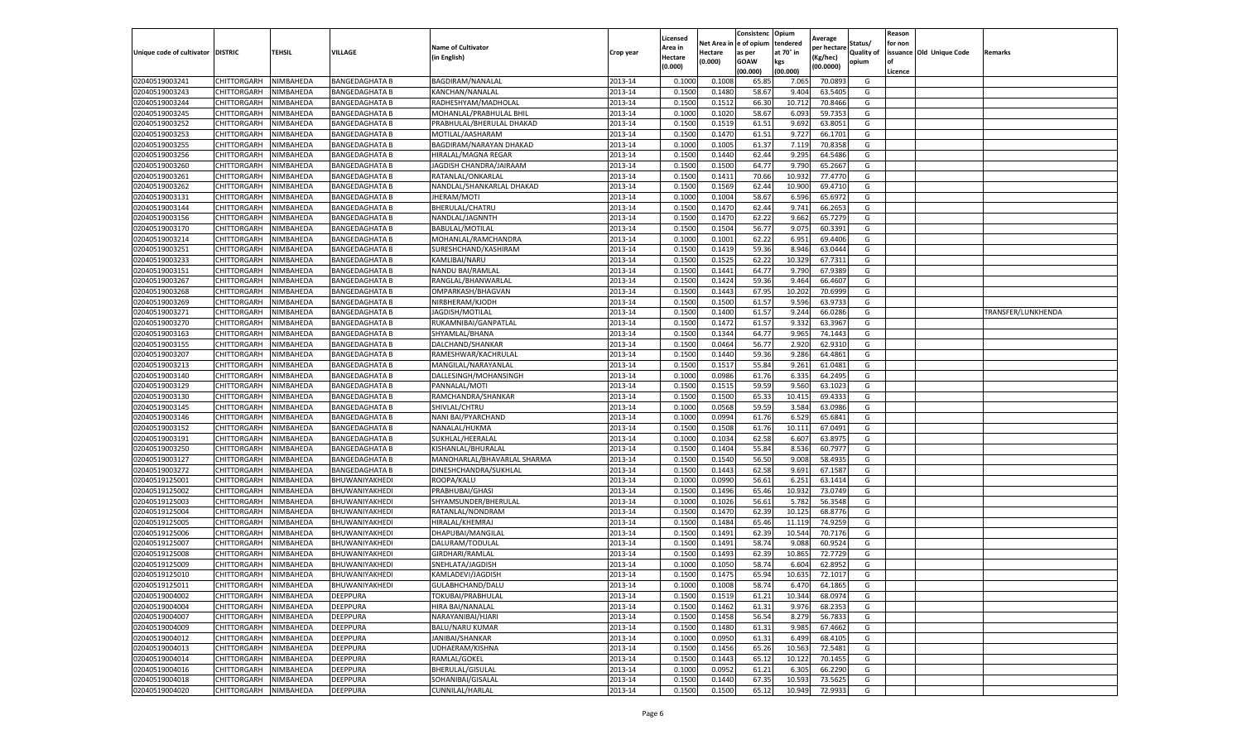|                           |                    |           |                       |                             |           | Licensed |         | Consistenc             | Opium     |                        |                   | Reason  |                          |                    |
|---------------------------|--------------------|-----------|-----------------------|-----------------------------|-----------|----------|---------|------------------------|-----------|------------------------|-------------------|---------|--------------------------|--------------------|
|                           |                    |           |                       | <b>Name of Cultivator</b>   |           | Area in  |         | Net Area in e of opium | tendered  | Average<br>per hectare | Status/           | for non |                          |                    |
| Unique code of cultivator | <b>DISTRIC</b>     | TEHSIL    | VILLAGE               | in English)                 | Crop year | Hectare  | Hectare | as per                 | at 70° in | (Kg/hec                | <b>Quality of</b> |         | issuance Old Unique Code | <b>Remarks</b>     |
|                           |                    |           |                       |                             |           | (0.000)  | (0.000) | <b>GOAW</b>            | kgs       | (00.0000)              | opium             |         |                          |                    |
|                           |                    |           |                       |                             |           |          |         | (00.000)               | (00.000)  |                        |                   | Licence |                          |                    |
| 02040519003241            | CHITTORGARH        | NIMBAHEDA | <b>BANGEDAGHATA B</b> | BAGDIRAM/NANALAL            | 2013-14   | 0.1000   | 0.1008  | 65.85                  | 7.065     | 70.089                 | G                 |         |                          |                    |
| 02040519003243            | CHITTORGARH        | NIMBAHEDA | <b>BANGEDAGHATA B</b> | KANCHAN/NANALAL             | 2013-14   | 0.1500   | 0.1480  | 58.67                  | 9.404     | 63.5405                | G                 |         |                          |                    |
| 02040519003244            | CHITTORGARH        | NIMBAHEDA | <b>BANGEDAGHATA B</b> | RADHESHYAM/MADHOLAL         | 2013-14   | 0.1500   | 0.1512  | 66.30                  | 10.712    | 70.8466                | G                 |         |                          |                    |
| 02040519003245            | CHITTORGARH        | NIMBAHEDA | <b>BANGEDAGHATA B</b> | MOHANLAL/PRABHULAL BHIL     | 2013-14   | 0.1000   | 0.1020  | 58.67                  | 6.093     | 59.7353                | G                 |         |                          |                    |
| 02040519003252            | CHITTORGARH        | NIMBAHEDA | <b>BANGEDAGHATA B</b> | PRABHULAL/BHERULAL DHAKAD   | 2013-14   | 0.1500   | 0.1519  | 61.51                  | 9.692     | 63.8051                | G                 |         |                          |                    |
| 02040519003253            | CHITTORGARH        | NIMBAHEDA | BANGEDAGHATA B        | MOTILAL/AASHARAM            | 2013-14   | 0.1500   | 0.1470  | 61.51                  | 9.727     | 66.1701                | G                 |         |                          |                    |
| 02040519003255            | CHITTORGARH        | NIMBAHEDA | <b>BANGEDAGHATA B</b> | BAGDIRAM/NARAYAN DHAKAD     | 2013-14   | 0.1000   | 0.1005  | 61.37                  | 7.119     | 70.8358                | G                 |         |                          |                    |
| 02040519003256            | CHITTORGARH        | NIMBAHEDA | <b>BANGEDAGHATA B</b> | HIRALAL/MAGNA REGAR         | 2013-14   | 0.1500   | 0.1440  | 62.44                  | 9.295     | 64.5486                | G                 |         |                          |                    |
| 02040519003260            | CHITTORGARH        | NIMBAHEDA | <b>BANGEDAGHATA B</b> | JAGDISH CHANDRA/JAIRAAM     | 2013-14   | 0.1500   | 0.1500  | 64.77                  | 9.790     | 65.2667                | G                 |         |                          |                    |
| 02040519003261            | CHITTORGARH        | NIMBAHEDA | <b>BANGEDAGHATA B</b> | RATANLAL/ONKARLAL           | 2013-14   | 0.1500   | 0.1411  | 70.66                  | 10.932    | 77.4770                | G                 |         |                          |                    |
| 02040519003262            | CHITTORGARH        | NIMBAHEDA | <b>BANGEDAGHATA B</b> | NANDLAL/SHANKARLAL DHAKAD   | 2013-14   | 0.1500   | 0.1569  | 62.44                  | 10.900    | 69.4710                | G                 |         |                          |                    |
| 02040519003131            | CHITTORGARH        | NIMBAHEDA | <b>BANGEDAGHATA B</b> | JHERAM/MOTI                 | 2013-14   | 0.1000   | 0.1004  | 58.67                  | 6.59      | 65.6972                | G                 |         |                          |                    |
| 02040519003144            | CHITTORGARH        | NIMBAHEDA | <b>BANGEDAGHATA B</b> | BHERULAL/CHATRU             | 2013-14   | 0.1500   | 0.1470  | 62.44                  | 9.74      | 66.2653                | G                 |         |                          |                    |
| 02040519003156            | CHITTORGARH        | NIMBAHEDA | <b>BANGEDAGHATA B</b> | NANDLAL/JAGNNTH             | 2013-14   | 0.1500   | 0.1470  | 62.22                  | 9.662     | 65.7279                | G                 |         |                          |                    |
| 02040519003170            | CHITTORGARH        | NIMBAHEDA | <b>BANGEDAGHATA B</b> | BABULAL/MOTILAL             | 2013-14   | 0.1500   | 0.1504  | 56.77                  | 9.075     | 60.3391                | G                 |         |                          |                    |
| 02040519003214            | CHITTORGARH        | NIMBAHEDA | <b>BANGEDAGHATA B</b> | MOHANLAL/RAMCHANDRA         | 2013-14   | 0.1000   | 0.1001  | 62.22                  | 6.951     | 69.4406                | G                 |         |                          |                    |
| 02040519003251            | CHITTORGARH        | NIMBAHEDA | <b>BANGEDAGHATA B</b> | SURESHCHAND/KASHIRAM        | 2013-14   | 0.1500   | 0.1419  | 59.36                  | 8.946     | 63.0444                | G                 |         |                          |                    |
| 02040519003233            | CHITTORGARH        | NIMBAHEDA | <b>BANGEDAGHATA B</b> | KAMLIBAI/NARU               | 2013-14   | 0.1500   | 0.1525  | 62.22                  | 10.329    | 67.7311                | G                 |         |                          |                    |
| 02040519003151            | CHITTORGARH        | NIMBAHEDA | <b>BANGEDAGHATA B</b> | NANDU BAI/RAMLAI            | 2013-14   | 0.1500   | 0.1441  | 64.77                  | 9.79      | 67.9389                | G                 |         |                          |                    |
| 02040519003267            | CHITTORGARH        | NIMBAHEDA | <b>BANGEDAGHATA B</b> | RANGLAL/BHANWARLAL          | 2013-14   | 0.1500   | 0.1424  | 59.36                  | 9.464     | 66.4607                | G                 |         |                          |                    |
| 02040519003268            | CHITTORGARH        | NIMBAHEDA | <b>BANGEDAGHATA B</b> | OMPARKASH/BHAGVAN           | 2013-14   | 0.1500   | 0.1443  | 67.95                  | 10.202    | 70.6999                | G                 |         |                          |                    |
| 02040519003269            | CHITTORGARH        | NIMBAHEDA | <b>BANGEDAGHATA B</b> | NIRBHERAM/KJODH             | 2013-14   | 0.1500   | 0.1500  | 61.57                  | 9.596     | 63.9733                | G                 |         |                          |                    |
| 02040519003271            | CHITTORGARH        | NIMBAHEDA | <b>BANGEDAGHATA B</b> | JAGDISH/MOTILAL             | 2013-14   | 0.1500   | 0.1400  | 61.57                  | 9.244     | 66.0286                | G                 |         |                          | TRANSFER/LUNKHENDA |
| 02040519003270            | CHITTORGARH        | NIMBAHEDA | <b>BANGEDAGHATA B</b> | RUKAMNIBAI/GANPATLAL        | 2013-14   | 0.1500   | 0.1472  | 61.57                  | 9.332     | 63.3967                | G                 |         |                          |                    |
| 02040519003163            | CHITTORGARH        | NIMBAHEDA | BANGEDAGHATA B        | SHYAMLAL/BHANA              | 2013-14   | 0.1500   | 0.1344  | 64.77                  | 9.965     | 74.1443                | G                 |         |                          |                    |
| 02040519003155            | CHITTORGARH        | NIMBAHEDA | <b>BANGEDAGHATA B</b> | DALCHAND/SHANKAR            | 2013-14   | 0.1500   | 0.0464  | 56.77                  | 2.920     | 62.9310                | G                 |         |                          |                    |
| 02040519003207            | CHITTORGARH        | NIMBAHEDA | <b>BANGEDAGHATA B</b> | RAMESHWAR/KACHRULAL         | 2013-14   | 0.1500   | 0.1440  | 59.36                  | 9.286     | 64.4861                | G                 |         |                          |                    |
| 02040519003213            | CHITTORGARH        | NIMBAHEDA | <b>BANGEDAGHATA B</b> | MANGILAL/NARAYANLAL         | 2013-14   | 0.1500   | 0.1517  | 55.84                  | 9.261     | 61.0481                | G                 |         |                          |                    |
| 02040519003140            | CHITTORGARH        | NIMBAHEDA | <b>BANGEDAGHATA B</b> | DALLESINGH/MOHANSINGH       | 2013-14   | 0.1000   | 0.0986  | 61.76                  | 6.335     | 64.2495                | G                 |         |                          |                    |
| 02040519003129            | CHITTORGARH        | NIMBAHEDA | <b>BANGEDAGHATA B</b> | PANNALAL/MOTI               | 2013-14   | 0.1500   | 0.1515  | 59.59                  | 9.560     | 63.1023                | G                 |         |                          |                    |
| 02040519003130            | CHITTORGARH        | NIMBAHEDA | BANGEDAGHATA B        | RAMCHANDRA/SHANKAR          | 2013-14   | 0.1500   | 0.1500  | 65.33                  | 10.41     | 69.4333                | G                 |         |                          |                    |
| 02040519003145            | CHITTORGARH        | NIMBAHEDA | <b>BANGEDAGHATA B</b> | SHIVLAL/CHTRU               | 2013-14   | 0.1000   | 0.0568  | 59.59                  | 3.584     | 63.0986                | G                 |         |                          |                    |
| 02040519003146            | CHITTORGARH        | NIMBAHEDA | <b>BANGEDAGHATA B</b> | NANI BAI/PYARCHAND          | 2013-14   | 0.1000   | 0.0994  | 61.76                  | 6.529     | 65.6841                | G                 |         |                          |                    |
| 02040519003152            | CHITTORGARH        | NIMBAHEDA | <b>BANGEDAGHATA B</b> | NANALAL/HUKMA               | 2013-14   | 0.1500   | 0.1508  | 61.76                  | 10.111    | 67.0491                | G                 |         |                          |                    |
| 02040519003191            | CHITTORGARH        | NIMBAHEDA | <b>BANGEDAGHATA B</b> | SUKHLAL/HEERALAL            | 2013-14   | 0.1000   | 0.1034  | 62.58                  | 6.607     | 63.8975                | G                 |         |                          |                    |
| 02040519003250            | CHITTORGARH        | NIMBAHEDA | <b>BANGEDAGHATA B</b> | KISHANLAL/BHURALAL          | 2013-14   | 0.1500   | 0.1404  | 55.84                  | 8.536     | 60.7977                | G                 |         |                          |                    |
| 02040519003127            | CHITTORGARH        | NIMBAHEDA | <b>BANGEDAGHATA B</b> | MANOHARLAL/BHAVARLAL SHARMA | 2013-14   | 0.1500   | 0.1540  | 56.50                  | 9.008     | 58.4935                | G                 |         |                          |                    |
| 02040519003272            | CHITTORGARH        | NIMBAHEDA | BANGEDAGHATA B        | DINESHCHANDRA/SUKHLAL       | 2013-14   | 0.1500   | 0.1443  | 62.58                  | 9.691     | 67.1587                | G                 |         |                          |                    |
| 02040519125001            | CHITTORGARH        | NIMBAHEDA | BHUWANIYAKHEDI        | ROOPA/KALU                  | 2013-14   | 0.1000   | 0.0990  | 56.61                  | 6.25      | 63.1414                | G                 |         |                          |                    |
| 02040519125002            | CHITTORGARH        | NIMBAHEDA | BHUWANIYAKHEDI        | PRABHUBAI/GHASI             | 2013-14   | 0.1500   | 0.1496  | 65.46                  | 10.932    | 73.0749                | G                 |         |                          |                    |
| 02040519125003            | CHITTORGARH        | NIMBAHEDA | BHUWANIYAKHEDI        | SHYAMSUNDER/BHERULAL        | 2013-14   | 0.1000   | 0.1026  | 56.61                  | 5.782     | 56.3548                | G                 |         |                          |                    |
| 02040519125004            | CHITTORGARH        | NIMBAHEDA | BHUWANIYAKHEDI        | RATANLAL/NONDRAM            | 2013-14   | 0.1500   | 0.1470  | 62.39                  | 10.125    | 68.8776                | G                 |         |                          |                    |
| 02040519125005            | CHITTORGARH        | NIMBAHEDA | BHUWANIYAKHEDI        | HIRALAL/KHEMRAJ             | 2013-14   | 0.1500   | 0.1484  | 65.46                  | 11.119    | 74.9259                | G                 |         |                          |                    |
| 02040519125006            | CHITTORGARH        | NIMBAHEDA | BHUWANIYAKHEDI        | DHAPUBAI/MANGILAL           | 2013-14   | 0.1500   | 0.1491  | 62.39                  | 10.54     | 70.7176                | G                 |         |                          |                    |
| 02040519125007            | CHITTORGARH        | NIMBAHEDA | BHUWANIYAKHEDI        | DALURAM/TODULAL             | 2013-14   | 0.1500   | 0.1491  | 58.74                  | 9.088     | 60.952                 | G                 |         |                          |                    |
| 02040519125008            | CHITTORGARH        | NIMBAHEDA | BHUWANIYAKHEDI        | GIRDHARI/RAMLAL             | 2013-14   | 0.1500   | 0.1493  | 62.39                  | 10.865    | 72.7729                | G                 |         |                          |                    |
| 02040519125009            | CHITTORGARH        | NIMBAHEDA | BHUWANIYAKHEDI        | SNEHLATA/JAGDISH            | 2013-14   | 0.1000   | 0.1050  | 58.74                  | 6.604     | 62.8952                | G                 |         |                          |                    |
| 02040519125010            | CHITTORGARH        | NIMBAHEDA | BHUWANIYAKHEDI        | KAMLADEVI/JAGDISH           | 2013-14   | 0.1500   | 0.1475  | 65.94                  | 10.635    | 72.1017                | G                 |         |                          |                    |
| 02040519125011            | CHITTORGARH        | NIMBAHEDA | BHUWANIYAKHEDI        | GULABHCHAND/DALU            | 2013-14   | 0.1000   | 0.1008  | 58.74                  | 6.470     | 64.1865                | G                 |         |                          |                    |
| 02040519004002            | CHITTORGARH        | NIMBAHEDA | <b>DEEPPURA</b>       | TOKUBAI/PRABHULAL           | 2013-14   | 0.1500   | 0.1519  | 61.21                  | 10.344    | 68.0974                | G                 |         |                          |                    |
| 02040519004004            | CHITTORGARH        | NIMBAHEDA | DEEPPURA              | HIRA BAI/NANALAL            | 2013-14   | 0.1500   | 0.1462  | 61.31                  | 9.976     | 68.2353                | G                 |         |                          |                    |
| 02040519004007            | CHITTORGARH        | NIMBAHEDA | DEEPPURA              | NARAYANIBAI/HJARI           | 2013-14   | 0.1500   | 0.1458  | 56.54                  | 8.279     | 56.7833                | G                 |         |                          |                    |
| 02040519004009            | CHITTORGARH        | NIMBAHEDA | DEEPPURA              | <b>BALU/NARU KUMAR</b>      | 2013-14   | 0.1500   | 0.1480  | 61.31                  | 9.985     | 67.4662                | G                 |         |                          |                    |
| 02040519004012            | <b>CHITTORGARH</b> | NIMBAHEDA | <b>DEEPPURA</b>       | JANIBAI/SHANKAR             | 2013-14   | 0.1000   | 0.0950  | 61.31                  | 6.499     | 68.4105                | G                 |         |                          |                    |
| 02040519004013            | CHITTORGARH        | NIMBAHEDA | DEEPPURA              | UDHAERAM/KISHNA             | 2013-14   | 0.1500   | 0.1456  | 65.26                  | 10.563    | 72.5481                | G                 |         |                          |                    |
| 02040519004014            | CHITTORGARH        | NIMBAHEDA | DEEPPURA              | RAMLAL/GOKEL                | 2013-14   | 0.1500   | 0.1443  | 65.12                  | 10.122    | 70.1455                | G                 |         |                          |                    |
| 02040519004016            | CHITTORGARH        | NIMBAHEDA | DEEPPURA              | BHERULAL/GISULAL            | 2013-14   | 0.1000   | 0.0952  | 61.21                  | 6.305     | 66.2290                | G                 |         |                          |                    |
| 02040519004018            | CHITTORGARH        | NIMBAHEDA | DEEPPURA              | SOHANIBAI/GISALAL           | 2013-14   | 0.1500   | 0.1440  | 67.35                  | 10.593    | 73.5625                | G                 |         |                          |                    |
| 02040519004020            | <b>CHITTORGARH</b> | NIMBAHEDA | <b>DEEPPURA</b>       | CUNNILAL/HARLAL             | 2013-14   | 0.1500   | 0.1500  | 65.12                  | 10.949    | 72.9933                | G                 |         |                          |                    |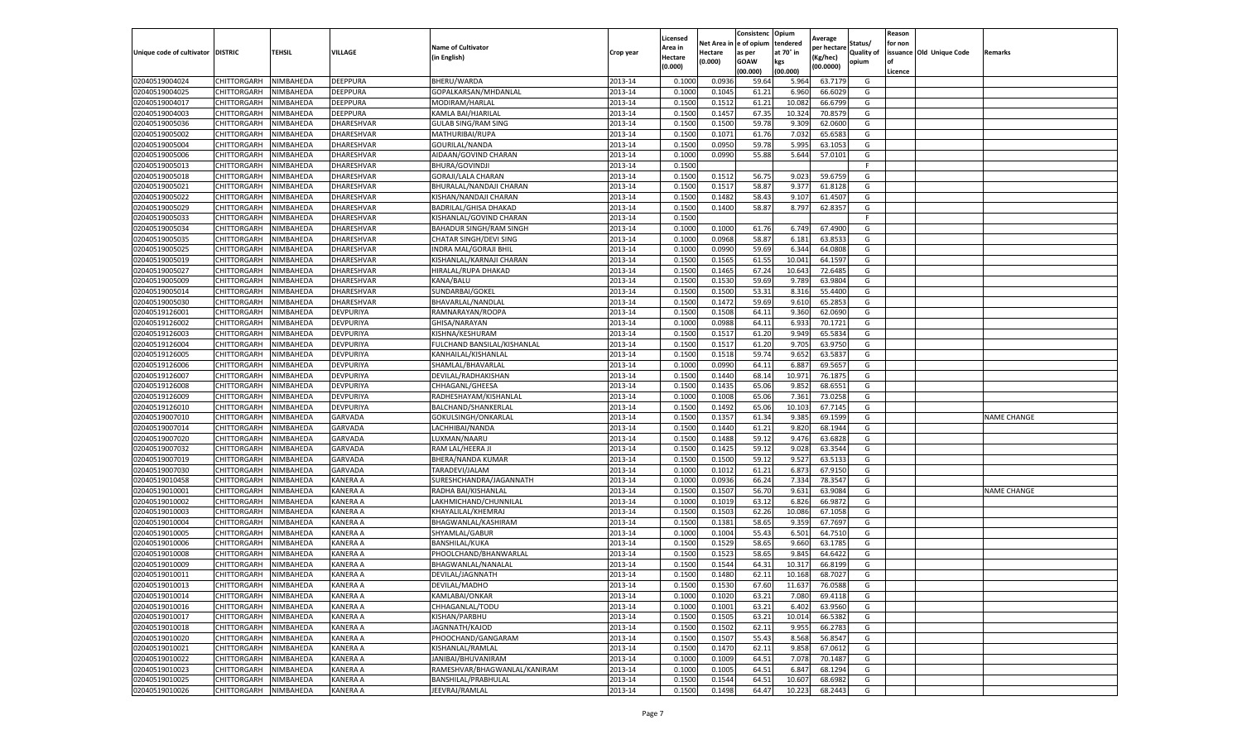|                           |                    |           |                 |                                          |           |                    |         | Consistenc             | Opium     |                       |            | Reason  |                          |                    |
|---------------------------|--------------------|-----------|-----------------|------------------------------------------|-----------|--------------------|---------|------------------------|-----------|-----------------------|------------|---------|--------------------------|--------------------|
|                           |                    |           |                 |                                          |           | Licensed           |         | Net Area in e of opium | tendered  | Average               | Status/    | for non |                          |                    |
| Unique code of cultivator | <b>DISTRIC</b>     | TEHSIL    | VILLAGE         | <b>Name of Cultivator</b><br>in English) | Crop year | Area in<br>Hectare | Hectare | as per                 | at 70° in | er hectar<br>(Kg/hec) | Quality of |         | issuance Old Unique Code | Remarks            |
|                           |                    |           |                 |                                          |           | (0.000)            | (0.000) | <b>GOAW</b>            | kgs       | (00.0000)             | opium      | of      |                          |                    |
|                           |                    |           |                 |                                          |           |                    |         | (00.000)               | (00.000)  |                       |            | Licence |                          |                    |
| 02040519004024            | CHITTORGARH        | NIMBAHEDA | DEEPPURA        | BHERU/WARDA                              | 2013-14   | 0.1000             | 0.0936  | 59.64                  | 5.964     | 63.7179               | G          |         |                          |                    |
| 02040519004025            | CHITTORGARH        | NIMBAHEDA | DEEPPURA        | GOPALKARSAN/MHDANLAL                     | 2013-14   | 0.1000             | 0.1045  | 61.21                  | 6.960     | 66.6029               | G          |         |                          |                    |
| 02040519004017            | CHITTORGARH        | NIMBAHEDA | DEEPPURA        | MODIRAM/HARLAL                           | 2013-14   | 0.1500             | 0.1512  | 61.21                  | 10.082    | 66.6799               | G          |         |                          |                    |
| 02040519004003            | CHITTORGARH        | NIMBAHEDA | DEEPPURA        | KAMLA BAI/HJARILAL                       | 2013-14   | 0.1500             | 0.1457  | 67.35                  | 10.32     | 70.8579               | G          |         |                          |                    |
| 02040519005036            | CHITTORGARH        | NIMBAHEDA | DHARESHVAR      | <b>GULAB SING/RAM SING</b>               | 2013-14   | 0.1500             | 0.1500  | 59.78                  | 9.309     | 62.0600               | G          |         |                          |                    |
| 02040519005002            | CHITTORGARH        | NIMBAHEDA | DHARESHVAR      | MATHURIBAI/RUPA                          | 2013-14   | 0.1500             | 0.1071  | 61.76                  | 7.032     | 65.6583               | G          |         |                          |                    |
| 02040519005004            | CHITTORGARH        | NIMBAHEDA | DHARESHVAR      | GOURILAL/NANDA                           | 2013-14   | 0.1500             | 0.0950  | 59.78                  | 5.995     | 63.1053               | G          |         |                          |                    |
| 02040519005006            | CHITTORGARH        | NIMBAHEDA | DHARESHVAR      | AIDAAN/GOVIND CHARAN                     | 2013-14   | 0.1000             | 0.0990  | 55.88                  | 5.644     | 57.0101               | G          |         |                          |                    |
| 02040519005013            | CHITTORGARH        | NIMBAHEDA | DHARESHVAR      | BHURA/GOVINDJI                           | 2013-14   | 0.1500             |         |                        |           |                       | F          |         |                          |                    |
| 02040519005018            | CHITTORGARH        | NIMBAHEDA | DHARESHVAR      | GORAJI/LALA CHARAN                       | 2013-14   | 0.1500             | 0.1512  | 56.75                  | 9.023     | 59.6759               | G          |         |                          |                    |
| 02040519005021            | CHITTORGARH        | NIMBAHEDA | DHARESHVAR      | BHURALAL/NANDAJI CHARAN                  | 2013-14   | 0.1500             | 0.1517  | 58.87                  | 9.377     | 61.8128               | G          |         |                          |                    |
| 02040519005022            | CHITTORGARH        | NIMBAHEDA | DHARESHVAR      | KISHAN/NANDAJI CHARAN                    | 2013-14   | 0.1500             | 0.1482  | 58.43                  | 9.107     | 61.4507               | G          |         |                          |                    |
| 02040519005029            | CHITTORGARH        | NIMBAHEDA | DHARESHVAR      | BADRILAL/GHISA DHAKAD                    | 2013-14   | 0.1500             | 0.1400  | 58.87                  | 8.797     | 62.8357               | G          |         |                          |                    |
| 02040519005033            | CHITTORGARH        | NIMBAHEDA | DHARESHVAR      | KISHANLAL/GOVIND CHARAN                  | 2013-14   | 0.1500             |         |                        |           |                       | F          |         |                          |                    |
| 02040519005034            | CHITTORGARH        | NIMBAHEDA | DHARESHVAR      | BAHADUR SINGH/RAM SINGH                  | 2013-14   | 0.1000             | 0.1000  | 61.76                  | 6.749     | 67.4900               | G          |         |                          |                    |
| 02040519005035            | CHITTORGARH        | NIMBAHEDA | DHARESHVAR      | CHATAR SINGH/DEVI SING                   | 2013-14   | 0.1000             | 0.0968  | 58.87                  | 6.181     | 63.8533               | G          |         |                          |                    |
| 02040519005025            | CHITTORGARH        | NIMBAHEDA | DHARESHVAR      | INDRA MAL/GORAJI BHIL                    | 2013-14   | 0.1000             | 0.0990  | 59.69                  | 6.344     | 64.0808               | G          |         |                          |                    |
| 02040519005019            | CHITTORGARH        | NIMBAHEDA | DHARESHVAR      | KISHANLAL/KARNAJI CHARAN                 | 2013-14   | 0.1500             | 0.1565  | 61.55                  | 10.041    | 64.1597               | G          |         |                          |                    |
|                           |                    |           |                 |                                          |           |                    |         |                        |           |                       |            |         |                          |                    |
| 02040519005027            | CHITTORGARH        | NIMBAHEDA | DHARESHVAR      | HIRALAL/RUPA DHAKAD                      | 2013-14   | 0.1500             | 0.1465  | 67.24                  | 10.64     | 72.6485               | G          |         |                          |                    |
| 02040519005009            | CHITTORGARH        | NIMBAHEDA | DHARESHVAR      | KANA/BALU                                | 2013-14   | 0.1500             | 0.1530  | 59.69                  | 9.789     | 63.9804               | G          |         |                          |                    |
| 02040519005014            | CHITTORGARH        | NIMBAHEDA | DHARESHVAR      | SUNDARBAI/GOKEL                          | 2013-14   | 0.1500             | 0.1500  | 53.31                  | 8.316     | 55.4400               | G          |         |                          |                    |
| 02040519005030            | CHITTORGARH        | NIMBAHEDA | DHARESHVAR      | BHAVARLAL/NANDLAL                        | 2013-14   | 0.1500             | 0.1472  | 59.69                  | 9.610     | 65.2853               | G          |         |                          |                    |
| 02040519126001            | CHITTORGARH        | NIMBAHEDA | DEVPURIYA       | RAMNARAYAN/ROOPA                         | 2013-14   | 0.1500             | 0.1508  | 64.11                  | 9.360     | 62.0690               | G          |         |                          |                    |
| 02040519126002            | CHITTORGARH        | NIMBAHEDA | DEVPURIYA       | GHISA/NARAYAN                            | 2013-14   | 0.1000             | 0.0988  | 64.11                  | 6.93      | 70.1721               | G          |         |                          |                    |
| 02040519126003            | CHITTORGARH        | NIMBAHEDA | DEVPURIYA       | KISHNA/KESHURAM                          | 2013-14   | 0.1500             | 0.1517  | 61.20                  | 9.949     | 65.5834               | G          |         |                          |                    |
| 02040519126004            | CHITTORGARH        | NIMBAHEDA | DEVPURIYA       | FULCHAND BANSILAL/KISHANLAL              | 2013-14   | 0.1500             | 0.1517  | 61.20                  | 9.705     | 63.9750               | G          |         |                          |                    |
| 02040519126005            | CHITTORGARH        | NIMBAHEDA | DEVPURIYA       | KANHAILAL/KISHANLAL                      | 2013-14   | 0.1500             | 0.1518  | 59.74                  | 9.652     | 63.5837               | G          |         |                          |                    |
| 02040519126006            | CHITTORGARH        | NIMBAHEDA | DEVPURIYA       | SHAMLAL/BHAVARLAL                        | 2013-14   | 0.1000             | 0.0990  | 64.11                  | 6.887     | 69.5657               | G          |         |                          |                    |
| 02040519126007            | CHITTORGARH        | NIMBAHEDA | DEVPURIYA       | DEVILAL/RADHAKISHAN                      | 2013-14   | 0.1500             | 0.1440  | 68.14                  | 10.971    | 76.1875               | G          |         |                          |                    |
| 02040519126008            | CHITTORGARH        | NIMBAHEDA | DEVPURIYA       | CHHAGANL/GHEESA                          | 2013-14   | 0.1500             | 0.1435  | 65.06                  | 9.852     | 68.6551               | G          |         |                          |                    |
| 02040519126009            | CHITTORGARH        | NIMBAHEDA | DEVPURIYA       | RADHESHAYAM/KISHANLAL                    | 2013-14   | 0.1000             | 0.1008  | 65.06                  | 7.361     | 73.0258               | G          |         |                          |                    |
| 02040519126010            | CHITTORGARH        | NIMBAHEDA | DEVPURIYA       | BALCHAND/SHANKERLAL                      | 2013-14   | 0.1500             | 0.1492  | 65.06                  | 10.103    | 67.7145               | G          |         |                          |                    |
| 02040519007010            | CHITTORGARH        | NIMBAHEDA | <b>GARVADA</b>  | GOKULSINGH/ONKARLAL                      | 2013-14   | 0.1500             | 0.1357  | 61.34                  | 9.385     | 69.1599               | G          |         |                          | <b>NAME CHANGE</b> |
| 02040519007014            | CHITTORGARH        | NIMBAHEDA | <b>GARVADA</b>  | LACHHIBAI/NANDA                          | 2013-14   | 0.1500             | 0.1440  | 61.21                  | 9.82      | 68.1944               | G          |         |                          |                    |
| 02040519007020            | CHITTORGARH        | NIMBAHEDA | <b>GARVADA</b>  | LUXMAN/NAARU                             | 2013-14   | 0.1500             | 0.1488  | 59.12                  | 9.476     | 63.6828               | G          |         |                          |                    |
| 02040519007032            | CHITTORGARH        | NIMBAHEDA | <b>GARVADA</b>  | RAM LAL/HEERA JI                         | 2013-14   | 0.1500             | 0.1425  | 59.12                  | 9.028     | 63.3544               | G          |         |                          |                    |
| 02040519007019            | CHITTORGARH        | NIMBAHEDA | <b>GARVADA</b>  | BHERA/NANDA KUMAR                        | 2013-14   | 0.1500             | 0.1500  | 59.12                  | 9.527     | 63.5133               | G          |         |                          |                    |
| 02040519007030            | CHITTORGARH        | NIMBAHEDA | GARVADA         | TARADEVI/JALAM                           | 2013-14   | 0.1000             | 0.1012  | 61.21                  | 6.873     | 67.9150               | G          |         |                          |                    |
| 02040519010458            | CHITTORGARH        | NIMBAHEDA | KANERA A        | SURESHCHANDRA/JAGANNATH                  | 2013-14   | 0.1000             | 0.0936  | 66.24                  | 7.334     | 78.3547               | G          |         |                          |                    |
| 02040519010001            | CHITTORGARH        | NIMBAHEDA | KANERA A        | RADHA BAI/KISHANLAI                      | 2013-14   | 0.1500             | 0.1507  | 56.70                  | 9.631     | 63.9084               | G          |         |                          | <b>NAME CHANGE</b> |
| 02040519010002            | CHITTORGARH        | NIMBAHEDA | KANERA A        | LAKHMICHAND/CHUNNILAL                    | 2013-14   | 0.1000             | 0.1019  | 63.12                  | 6.826     | 66.9872               | G          |         |                          |                    |
| 02040519010003            | CHITTORGARH        | NIMBAHEDA | KANERA A        | KHAYALILAL/KHEMRAJ                       | 2013-14   | 0.1500             | 0.1503  | 62.26                  | 10.086    | 67.1058               | G          |         |                          |                    |
| 02040519010004            | CHITTORGARH        | NIMBAHEDA | KANERA A        | BHAGWANLAL/KASHIRAM                      | 2013-14   | 0.1500             | 0.1381  | 58.65                  | 9.35      | 67.7697               | G          |         |                          |                    |
| 02040519010005            | CHITTORGARH        | NIMBAHEDA | KANERA A        | SHYAMLAL/GABUR                           | 2013-14   | 0.1000             | 0.1004  | 55.43                  | 6.501     | 64.7510               | G          |         |                          |                    |
| 02040519010006            | CHITTORGARH        | NIMBAHEDA | KANERA A        | <b>BANSHILAL/KUKA</b>                    | 2013-14   | 0.1500             | 0.1529  | 58.65                  | 9.660     | 63.1785               | G          |         |                          |                    |
| 02040519010008            | CHITTORGARH        | NIMBAHEDA | KANERA A        | PHOOLCHAND/BHANWARLAL                    | 2013-14   | 0.1500             | 0.1523  | 58.65                  | 9.84      | 64.6422               | G          |         |                          |                    |
| 02040519010009            | CHITTORGARH        | NIMBAHEDA | KANERA A        | BHAGWANLAL/NANALAL                       | 2013-14   | 0.1500             | 0.1544  | 64.31                  | 10.317    | 66.8199               | G          |         |                          |                    |
| 02040519010011            | CHITTORGARH        | NIMBAHEDA | KANERA A        | DEVILAL/JAGNNATH                         | 2013-14   | 0.1500             | 0.1480  | 62.11                  | 10.168    | 68.7027               | G          |         |                          |                    |
| 02040519010013            | CHITTORGARH        | NIMBAHEDA | <b>KANERA A</b> | DEVILAL/MADHO                            | 2013-14   | 0.1500             | 0.1530  | 67.60                  | 11.637    | 76.0588               | G          |         |                          |                    |
| 02040519010014            | CHITTORGARH        | NIMBAHEDA | KANERA A        | KAMLABAI/ONKAR                           | 2013-14   | 0.1000             | 0.1020  | 63.21                  | 7.080     | 69.4118               | G          |         |                          |                    |
| 02040519010016            | CHITTORGARH        | NIMBAHEDA | KANERA A        | CHHAGANLAL/TODU                          | 2013-14   | 0.1000             | 0.1001  | 63.21                  | 6.402     | 63.9560               | G          |         |                          |                    |
|                           |                    |           | KANERA A        |                                          |           |                    |         | 63.21                  |           |                       |            |         |                          |                    |
| 02040519010017            | CHITTORGARH        | NIMBAHEDA |                 | KISHAN/PARBHU                            | 2013-14   | 0.1500             | 0.1505  |                        | 10.014    | 66.5382               | G          |         |                          |                    |
| 02040519010018            | <b>CHITTORGARH</b> | NIMBAHEDA | KANERA A        | JAGNNATH/KAJOD                           | 2013-14   | 0.1500             | 0.1502  | 62.11                  | 9.955     | 66.2783               | G          |         |                          |                    |
| 02040519010020            | <b>CHITTORGARH</b> | NIMBAHEDA | KANERA A        | PHOOCHAND/GANGARAM                       | 2013-14   | 0.1500             | 0.1507  | 55.43                  | 8.568     | 56.8547               | G          |         |                          |                    |
| 02040519010021            | CHITTORGARH        | NIMBAHEDA | KANERA A        | KISHANLAL/RAMLAL                         | 2013-14   | 0.1500             | 0.1470  | 62.11                  | 9.858     | 67.0612               | G          |         |                          |                    |
| 02040519010022            | CHITTORGARH        | NIMBAHEDA | KANERA A        | JANIBAI/BHUVANIRAM                       | 2013-14   | 0.1000             | 0.1009  | 64.51                  | 7.078     | 70.1487               | G          |         |                          |                    |
| 02040519010023            | <b>CHITTORGARH</b> | NIMBAHEDA | KANERA A        | RAMESHVAR/BHAGWANLAL/KANIRAM             | 2013-14   | 0.1000             | 0.1005  | 64.51                  | 6.847     | 68.1294               | G          |         |                          |                    |
| 02040519010025            | <b>CHITTORGARH</b> | NIMBAHEDA | KANERA A        | BANSHILAL/PRABHULAL                      | 2013-14   | 0.1500             | 0.1544  | 64.51                  | 10.607    | 68.6982               | G          |         |                          |                    |
| 02040519010026            | CHITTORGARH        | NIMBAHEDA | KANERA A        | JEEVRAJ/RAMLAL                           | 2013-14   | 0.1500             | 0.1498  | 64.47                  | 10.223    | 68.2443               | G          |         |                          |                    |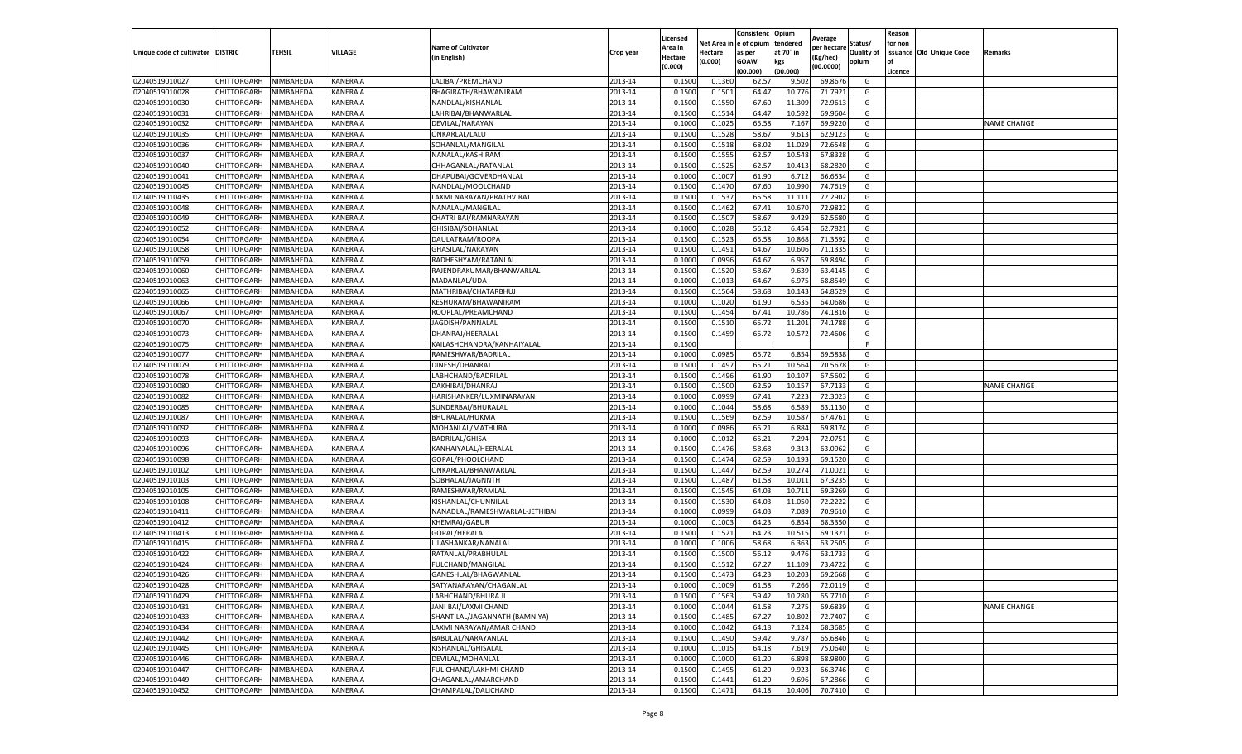|                                   |             |           |                 |                                |           | Licensed |            | Consistenc  | Opium     | Average     |                   | Reason  |                          |                    |
|-----------------------------------|-------------|-----------|-----------------|--------------------------------|-----------|----------|------------|-------------|-----------|-------------|-------------------|---------|--------------------------|--------------------|
|                                   |             |           |                 | <b>Name of Cultivator</b>      |           | Area in  | Net Area i | e of opium  | tendered  | per hectare | Status/           | for non |                          |                    |
| Unique code of cultivator DISTRIC |             | TEHSIL    | VILLAGE         | (in English)                   | Crop year | Hectare  | Hectare    | as per      | at 70° in | (Kg/hec)    | <b>Quality of</b> |         | issuance Old Unique Code | Remarks            |
|                                   |             |           |                 |                                |           | (0.000)  | (0.000)    | <b>GOAW</b> | kgs       | (00.0000)   | opium             | οf      |                          |                    |
|                                   |             |           |                 |                                |           |          |            | (00.000     | (00.000)  |             |                   | Licence |                          |                    |
| 02040519010027                    | CHITTORGARH | NIMBAHEDA | <b>KANERA A</b> | LALIBAI/PREMCHAND              | 2013-14   | 0.1500   | 0.1360     | 62.57       | 9.502     | 69.8676     | G                 |         |                          |                    |
| 02040519010028                    | CHITTORGARH | NIMBAHEDA | <b>KANERA A</b> | BHAGIRATH/BHAWANIRAM           | 2013-14   | 0.150    | 0.1501     | 64.47       | 10.77     | 71.7921     | G                 |         |                          |                    |
| 02040519010030                    | CHITTORGARH | NIMBAHEDA | KANERA A        | NANDLAL/KISHANLAL              | 2013-14   | 0.1500   | 0.1550     | 67.60       | 11.309    | 72.9613     | G                 |         |                          |                    |
| 02040519010031                    | CHITTORGARH | NIMBAHEDA | KANERA A        | LAHRIBAI/BHANWARLAL            | 2013-14   | 0.1500   | 0.1514     | 64.47       | 10.592    | 69.9604     | G                 |         |                          |                    |
| 02040519010032                    | CHITTORGARH | NIMBAHEDA | <b>KANERA A</b> | DEVILAL/NARAYAN                | 2013-14   | 0.1000   | 0.1025     | 65.58       | 7.167     | 69.9220     | G                 |         |                          | <b>NAME CHANGE</b> |
| 02040519010035                    | CHITTORGARH | NIMBAHEDA | KANERA A        | ONKARLAL/LALU                  | 2013-14   | 0.1500   | 0.1528     | 58.67       | 9.613     | 62.9123     | G                 |         |                          |                    |
| 02040519010036                    | CHITTORGARH | NIMBAHEDA | <b>KANERA A</b> | SOHANLAL/MANGILAL              | 2013-14   | 0.1500   | 0.1518     | 68.02       | 11.029    | 72.6548     | G                 |         |                          |                    |
| 02040519010037                    | CHITTORGARH | NIMBAHEDA | KANERA A        | NANALAL/KASHIRAM               | 2013-14   | 0.1500   | 0.1555     | 62.57       | 10.548    | 67.8328     | G                 |         |                          |                    |
| 02040519010040                    | CHITTORGARH | NIMBAHEDA | <b>KANERA A</b> | CHHAGANLAL/RATANLAL            | 2013-14   | 0.1500   | 0.1525     | 62.57       | 10.413    | 68.2820     | G                 |         |                          |                    |
| 02040519010041                    | CHITTORGARH | NIMBAHEDA | KANERA A        | DHAPUBAI/GOVERDHANLAL          | 2013-14   | 0.1000   | 0.1007     | 61.90       | 6.712     | 66.6534     | G                 |         |                          |                    |
| 02040519010045                    | CHITTORGARH | NIMBAHEDA | <b>KANERA A</b> | NANDLAL/MOOLCHAND              | 2013-14   | 0.1500   | 0.1470     | 67.60       | 10.990    | 74.7619     | G                 |         |                          |                    |
| 02040519010435                    | CHITTORGARH | NIMBAHEDA | <b>KANERA A</b> | LAXMI NARAYAN/PRATHVIRAJ       | 2013-14   | 0.1500   | 0.1537     | 65.58       | 11.111    | 72.2902     | G                 |         |                          |                    |
| 02040519010048                    | CHITTORGARH | NIMBAHEDA | <b>KANERA A</b> | NANALAL/MANGILAL               | 2013-14   | 0.1500   | 0.1462     | 67.4        | 10.67     | 72.9822     | G                 |         |                          |                    |
| 02040519010049                    | CHITTORGARH | NIMBAHEDA | KANERA A        | CHATRI BAI/RAMNARAYAN          | 2013-14   | 0.1500   | 0.1507     | 58.67       | 9.429     | 62.5680     | G                 |         |                          |                    |
| 02040519010052                    | CHITTORGARH | NIMBAHEDA | KANERA A        | GHISIBAI/SOHANLAL              | 2013-14   | 0.1000   | 0.1028     | 56.12       | 6.454     | 62.7821     | G                 |         |                          |                    |
| 02040519010054                    | CHITTORGARH | NIMBAHEDA | KANERA A        | DAULATRAM/ROOPA                | 2013-14   | 0.1500   | 0.1523     | 65.58       | 10.868    | 71.3592     | G                 |         |                          |                    |
| 02040519010058                    | CHITTORGARH | NIMBAHEDA | KANERA A        | GHASILAL/NARAYAN               | 2013-14   | 0.1500   | 0.1491     | 64.67       | 10.606    | 71.133      | G                 |         |                          |                    |
| 02040519010059                    | CHITTORGARH | NIMBAHEDA | KANERA A        | RADHESHYAM/RATANLAL            | 2013-14   | 0.1000   | 0.0996     | 64.67       | 6.957     | 69.8494     | G                 |         |                          |                    |
| 02040519010060                    | CHITTORGARH | NIMBAHEDA | <b>KANERA A</b> | RAJENDRAKUMAR/BHANWARLAL       | 2013-14   | 0.1500   | 0.1520     | 58.67       | 9.639     | 63.4145     | G                 |         |                          |                    |
| 02040519010063                    | CHITTORGARH | NIMBAHEDA | <b>KANERA A</b> | MADANLAL/UDA                   | 2013-14   | 0.1000   | 0.1013     | 64.67       | 6.975     | 68.8549     | G                 |         |                          |                    |
| 02040519010065                    | CHITTORGARH | NIMBAHEDA | KANERA A        | MATHRIBAI/CHATARBHUJ           | 2013-14   | 0.1500   | 0.1564     | 58.68       | 10.143    | 64.8529     | G                 |         |                          |                    |
| 02040519010066                    | CHITTORGARH | NIMBAHEDA | KANERA A        | KESHURAM/BHAWANIRAM            | 2013-14   | 0.1000   | 0.1020     | 61.90       | 6.535     | 64.0686     | G                 |         |                          |                    |
| 02040519010067                    | CHITTORGARH | NIMBAHEDA | <b>KANERA A</b> | ROOPLAL/PREAMCHAND             | 2013-14   | 0.1500   | 0.1454     | 67.41       | 10.786    | 74.1816     | G                 |         |                          |                    |
| 02040519010070                    | CHITTORGARH | NIMBAHEDA | KANERA A        | JAGDISH/PANNALAL               | 2013-14   | 0.1500   | 0.1510     | 65.72       | 11.201    | 74.1788     | G                 |         |                          |                    |
| 02040519010073                    | CHITTORGARH | NIMBAHEDA | KANERA A        | DHANRAJ/HEERALAL               | 2013-14   | 0.1500   | 0.1459     | 65.72       | 10.572    | 72.4606     | G                 |         |                          |                    |
| 02040519010075                    | CHITTORGARH | NIMBAHEDA | <b>KANERA A</b> | KAILASHCHANDRA/KANHAIYALAL     | 2013-14   | 0.1500   |            |             |           |             | F                 |         |                          |                    |
| 02040519010077                    | CHITTORGARH | NIMBAHEDA | KANERA A        | RAMESHWAR/BADRILAL             | 2013-14   | 0.1000   | 0.0985     | 65.72       | 6.854     | 69.5838     | G                 |         |                          |                    |
| 02040519010079                    | CHITTORGARH | NIMBAHEDA | KANERA A        | DINESH/DHANRAJ                 | 2013-14   | 0.1500   | 0.1497     | 65.21       | 10.564    | 70.5678     | G                 |         |                          |                    |
| 02040519010078                    | CHITTORGARH | NIMBAHEDA | KANERA A        | LABHCHAND/BADRILAL             | 2013-14   | 0.1500   | 0.1496     | 61.90       | 10.107    | 67.5602     | G                 |         |                          |                    |
| 02040519010080                    | CHITTORGARH | NIMBAHEDA | KANERA A        | DAKHIBAI/DHANRAJ               | 2013-14   | 0.1500   | 0.1500     | 62.59       | 10.157    | 67.7133     | G                 |         |                          | <b>NAME CHANGE</b> |
| 02040519010082                    | CHITTORGARH | NIMBAHEDA | KANERA A        | HARISHANKER/LUXMINARAYAN       | 2013-14   | 0.1000   | 0.0999     | 67.43       | 7.223     | 72.3023     | G                 |         |                          |                    |
| 02040519010085                    | CHITTORGARH | NIMBAHEDA | <b>KANERA A</b> | SUNDERBAI/BHURALAI             | 2013-14   | 0.1000   | 0.1044     | 58.68       | 6.589     | 63.1130     | G                 |         |                          |                    |
| 02040519010087                    | CHITTORGARH | NIMBAHEDA | KANERA A        | BHURALAL/HUKMA                 | 2013-14   | 0.1500   | 0.1569     | 62.59       | 10.587    | 67.4761     | G                 |         |                          |                    |
| 02040519010092                    | CHITTORGARH | NIMBAHEDA | KANERA A        | MOHANLAL/MATHURA               | 2013-14   | 0.1000   | 0.0986     | 65.21       | 6.884     | 69.8174     | G                 |         |                          |                    |
| 02040519010093                    | CHITTORGARH | NIMBAHEDA | KANERA A        | <b>BADRILAL/GHISA</b>          | 2013-14   | 0.1000   | 0.1012     | 65.21       | 7.294     | 72.0751     | G                 |         |                          |                    |
| 02040519010096                    | CHITTORGARH | NIMBAHEDA | KANERA A        | KANHAIYALAL/HEERALAL           | 2013-14   | 0.1500   | 0.1476     | 58.68       | 9.313     | 63.0962     | G                 |         |                          |                    |
| 02040519010098                    | CHITTORGARH | NIMBAHEDA | <b>KANERA A</b> | GOPAL/PHOOLCHAND               | 2013-14   | 0.1500   | 0.1474     | 62.59       | 10.193    | 69.1520     | G                 |         |                          |                    |
| 02040519010102                    | CHITTORGARH | NIMBAHEDA | KANERA A        | ONKARLAL/BHANWARLAI            | 2013-14   | 0.1500   | 0.1447     | 62.59       | 10.27     | 71.0021     | G                 |         |                          |                    |
| 02040519010103                    | CHITTORGARH | NIMBAHEDA | KANERA A        | SOBHALAL/JAGNNTH               | 2013-14   | 0.1500   | 0.1487     | 61.58       | 10.01     | 67.3235     | G                 |         |                          |                    |
| 02040519010105                    | CHITTORGARH | NIMBAHEDA | KANERA A        | RAMESHWAR/RAMLAL               | 2013-14   | 0.1500   | 0.1545     | 64.03       | 10.711    | 69.3269     | G                 |         |                          |                    |
| 02040519010108                    | CHITTORGARH | NIMBAHEDA | KANERA A        | KISHANLAL/CHUNNILAL            | 2013-14   | 0.1500   | 0.1530     | 64.03       | 11.050    | 72.2222     | G                 |         |                          |                    |
| 02040519010411                    | CHITTORGARH | NIMBAHEDA | KANERA A        | NANADLAL/RAMESHWARLAL-JETHIBAI | 2013-14   | 0.1000   | 0.0999     | 64.03       | 7.089     | 70.9610     | G                 |         |                          |                    |
| 02040519010412                    | CHITTORGARH | NIMBAHEDA | <b>KANERA A</b> | <b>KHEMRAJ/GABUR</b>           | 2013-14   | 0.1000   | 0.1003     | 64.23       | 6.854     | 68.3350     | G                 |         |                          |                    |
| 02040519010413                    | CHITTORGARH | NIMBAHEDA | KANERA A        | GOPAL/HERALAL                  | 2013-14   | 0.1500   | 0.1521     | 64.23       | 10.515    | 69.1321     | G                 |         |                          |                    |
| 02040519010415                    | CHITTORGARH | NIMBAHEDA | <b>KANERA A</b> | LILASHANKAR/NANALAI            | 2013-14   | 0.1000   | 0.1006     | 58.68       | 6.363     | 63.2505     | G                 |         |                          |                    |
| 02040519010422                    | CHITTORGARH | NIMBAHEDA | KANERA A        | RATANLAL/PRABHULAL             | 2013-14   | 0.150    | 0.1500     | 56.12       | 9.476     | 63.1733     | G                 |         |                          |                    |
| 02040519010424                    | CHITTORGARH | NIMBAHEDA | KANERA A        | FULCHAND/MANGILAL              | 2013-14   | 0.1500   | 0.151      | 67.27       | 11.109    | 73.4722     | G                 |         |                          |                    |
| 02040519010426                    | CHITTORGARH | NIMBAHEDA | KANERA A        | GANESHLAL/BHAGWANLAL           | 2013-14   | 0.1500   | 0.1473     | 64.23       | 10.203    | 69.2668     | G                 |         |                          |                    |
| 02040519010428                    | CHITTORGARH | NIMBAHEDA | KANERA A        | SATYANARAYAN/CHAGANLAL         | 2013-14   | 0.1000   | 0.1009     | 61.58       | 7.266     | 72.0119     | G                 |         |                          |                    |
| 02040519010429                    | CHITTORGARH | NIMBAHEDA | KANERA A        | LABHCHAND/BHURA JI             | 2013-14   | 0.1500   | 0.1563     | 59.42       | 10.280    | 65.7710     | G                 |         |                          |                    |
| 02040519010431                    | CHITTORGARH | NIMBAHEDA | KANERA A        | JANI BAI/LAXMI CHAND           | 2013-14   | 0.1000   | 0.1044     | 61.58       | 7.275     | 69.6839     | G                 |         |                          | <b>NAME CHANGE</b> |
| 02040519010433                    | CHITTORGARH | NIMBAHEDA | KANERA A        | SHANTILAL/JAGANNATH (BAMNIYA)  | 2013-14   | 0.1500   | 0.1485     | 67.27       | 10.802    | 72.7407     | G                 |         |                          |                    |
| 02040519010434                    | CHITTORGARH | NIMBAHEDA | KANERA A        | LAXMI NARAYAN/AMAR CHAND       | 2013-14   | 0.1000   | 0.1042     | 64.18       | 7.124     | 68.3685     | G                 |         |                          |                    |
| 02040519010442                    | CHITTORGARH | NIMBAHEDA | <b>KANERA A</b> | BABULAL/NARAYANLAL             | 2013-14   | 0.1500   | 0.1490     | 59.42       | 9.787     | 65.6846     | G                 |         |                          |                    |
| 02040519010445                    | CHITTORGARH | NIMBAHEDA | KANERA A        | KISHANLAL/GHISALAL             | 2013-14   | 0.1000   | 0.1015     | 64.18       | 7.619     | 75.0640     | G                 |         |                          |                    |
| 02040519010446                    | CHITTORGARH | NIMBAHEDA | KANERA A        | DEVILAL/MOHANLAL               | 2013-14   | 0.1000   | 0.1000     | 61.20       | 6.898     | 68.9800     | G                 |         |                          |                    |
| 02040519010447                    | CHITTORGARH | NIMBAHEDA | KANERA A        | FUL CHAND/LAKHMI CHAND         | 2013-14   | 0.1500   | 0.1495     | 61.20       | 9.923     | 66.3746     | G                 |         |                          |                    |
| 02040519010449                    | CHITTORGARH | NIMBAHEDA | KANERA A        | CHAGANLAL/AMARCHAND            | 2013-14   | 0.1500   | 0.1441     | 61.20       | 9.696     | 67.2866     | G                 |         |                          |                    |
| 02040519010452                    | CHITTORGARH | NIMBAHEDA | <b>KANERA A</b> | CHAMPALAL/DALICHAND            | 2013-14   | 0.1500   | 0.1471     | 64.18       | 10.406    | 70.7410     | G                 |         |                          |                    |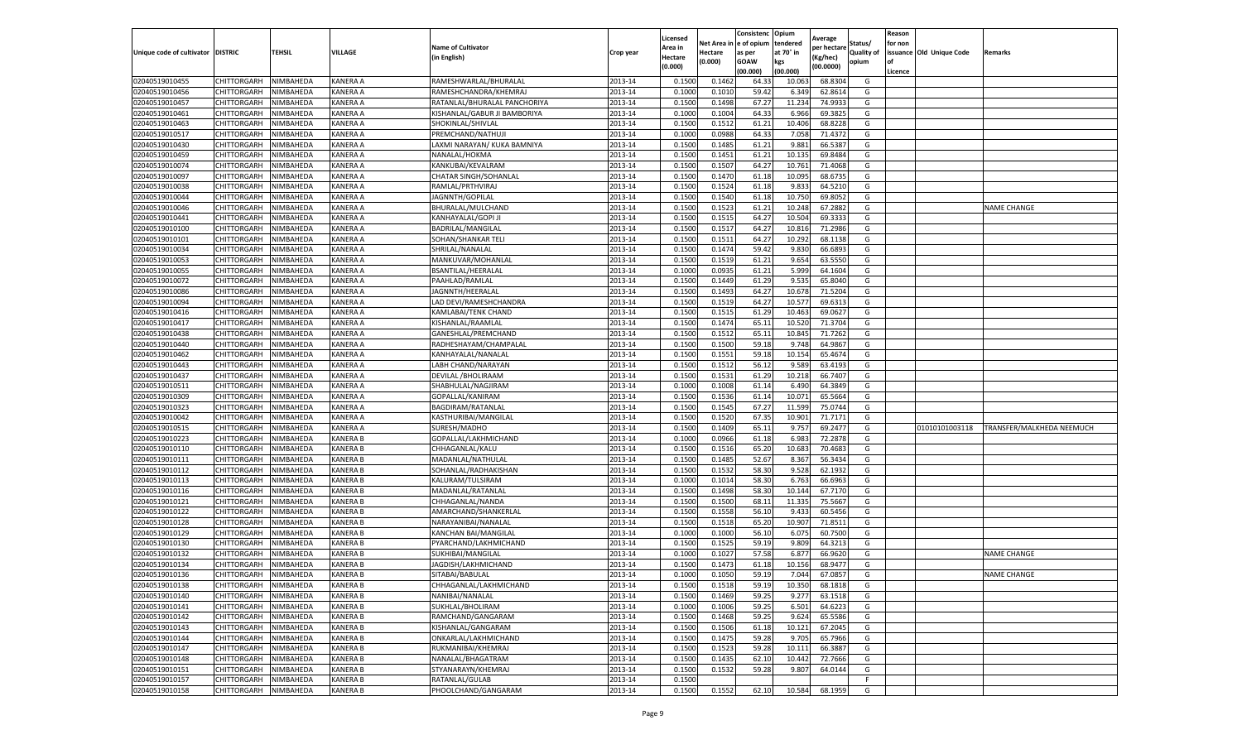|                                   |             |                  |                 |                              |           | Licensed |         | Consistenc              | Opium     | Average     |            | Reason  |                          |                           |
|-----------------------------------|-------------|------------------|-----------------|------------------------------|-----------|----------|---------|-------------------------|-----------|-------------|------------|---------|--------------------------|---------------------------|
|                                   |             |                  |                 | <b>Name of Cultivator</b>    |           | Area in  |         | Net Area in le of opium | tendered  | per hectare | Status/    | for non |                          |                           |
| Unique code of cultivator DISTRIC |             | TEHSIL           | VILLAGE         | (in English)                 | Crop year | Hectare  | Hectare | as per                  | at 70° in | Kg/hec)     | Quality of |         | issuance Old Unique Code | Remarks                   |
|                                   |             |                  |                 |                              |           | (0.000)  | (0.000) | GOAW                    | kgs       | (00.0000)   | opium      | l of    |                          |                           |
|                                   |             |                  |                 |                              |           |          |         | (00.000)                | (00.000)  |             |            | Licence |                          |                           |
| 02040519010455                    | CHITTORGARH | NIMBAHEDA        | KANERA A        | RAMESHWARLAL/BHURALAL        | 2013-14   | 0.150    | 0.146   | 64.3                    | 10.06     | 68.830      | G          |         |                          |                           |
| 02040519010456                    | CHITTORGARH | NIMBAHEDA        | KANERA A        | RAMESHCHANDRA/KHEMRA,        | 2013-14   | 0.100    | 0.101   | 59.42                   | 6.349     | 62.861      | G          |         |                          |                           |
| 02040519010457                    | CHITTORGARH | NIMBAHEDA        | KANERA A        | RATANLAL/BHURALAL PANCHORIYA | 2013-14   | 0.1500   | 0.1498  | 67.27                   | 11.234    | 74.993      | G          |         |                          |                           |
| 02040519010461                    | CHITTORGARH | NIMBAHEDA        | KANERA A        | KISHANLAL/GABUR JI BAMBORIYA | 2013-14   | 0.1000   | 0.1004  | 64.33                   | 6.966     | 69.3825     | G          |         |                          |                           |
| 02040519010463                    | CHITTORGARH | NIMBAHEDA        | KANERA A        | SHOKINLAL/SHIVLAL            | 2013-14   | 0.1500   | 0.1512  | 61.21                   | 10.406    | 68.822      | G          |         |                          |                           |
| 02040519010517                    | CHITTORGARH | NIMBAHEDA        | KANERA A        | PREMCHAND/NATHUJI            | 2013-14   | 0.1000   | 0.0988  | 64.3                    | 7.058     | 71.437      | G          |         |                          |                           |
| 02040519010430                    | CHITTORGARH | NIMBAHEDA        | KANERA A        | LAXMI NARAYAN/ KUKA BAMNIYA  | 2013-14   | 0.1500   | 0.148   | 61.21                   | 9.88      | 66.538      | G          |         |                          |                           |
| 02040519010459                    | CHITTORGARH | NIMBAHEDA        | KANERA A        | NANALAL/HOKMA                | 2013-14   | 0.1500   | 0.145   | 61.21                   | 10.13     | 69.848      | G          |         |                          |                           |
| 02040519010074                    | CHITTORGARH | NIMBAHEDA        | KANERA A        | KANKUBAI/KEVALRAM            | 2013-14   | 0.1500   | 0.1507  | 64.27                   | 10.761    | 71.406      | G          |         |                          |                           |
| 02040519010097                    | CHITTORGARH | NIMBAHEDA        | KANERA A        | <b>CHATAR SINGH/SOHANLAL</b> | 2013-14   | 0.1500   | 0.1470  | 61.18                   | 10.095    | 68.673      | G          |         |                          |                           |
| 02040519010038                    | CHITTORGARH | NIMBAHEDA        | KANERA A        | RAMLAL/PRTHVIRAJ             | 2013-14   | 0.1500   | 0.1524  | 61.18                   | 9.833     | 64.521      | G          |         |                          |                           |
| 02040519010044                    | CHITTORGARH | NIMBAHEDA        | KANERA A        | JAGNNTH/GOPILAL              | 2013-14   | 0.1500   | 0.154   | 61.18                   | 10.750    | 69.805      | G          |         |                          |                           |
| 02040519010046                    | CHITTORGARH | <b>NIMBAHEDA</b> | KANERA A        | BHURALAL/MULCHAND            | 2013-14   | 0.1500   | 0.152   | 61.21                   | 10.248    | 67.288      | G          |         |                          | <b>NAME CHANGE</b>        |
| 02040519010441                    | CHITTORGARH | NIMBAHEDA        | KANERA A        | KANHAYALAL/GOPI JI           | 2013-14   | 0.1500   | 0.151   | 64.27                   | 10.504    | 69.333      | G          |         |                          |                           |
| 02040519010100                    | CHITTORGARH | NIMBAHEDA        | KANERA A        | BADRILAL/MANGILAL            | 2013-14   | 0.1500   | 0.151   | 64.27                   | 10.816    | 71.298      | G          |         |                          |                           |
| 02040519010101                    | CHITTORGARH | NIMBAHEDA        | KANERA A        | SOHAN/SHANKAR TELI           | 2013-14   | 0.1500   | 0.151   | 64.27                   | 10.292    | 68.113      | G          |         |                          |                           |
| 02040519010034                    | CHITTORGARH | NIMBAHEDA        | KANERA A        | SHRILAL/NANALAL              | 2013-14   | 0.1500   | 0.1474  | 59.4                    | 9.830     | 66.6893     | G          |         |                          |                           |
| 02040519010053                    | CHITTORGARH | NIMBAHEDA        | KANERA A        | MANKUVAR/MOHANLAL            | 2013-14   | 0.1500   | 0.1519  | 61.21                   | 9.654     | 63.555      | G          |         |                          |                           |
| 02040519010055                    | CHITTORGARH | <b>NIMBAHEDA</b> | KANERA A        | BSANTILAL/HEERALAI           | 2013-14   | 0.1000   | 0.093!  | 61.21                   | 5.999     | 64.160      | G          |         |                          |                           |
| 02040519010072                    | CHITTORGARH | <b>NIMBAHEDA</b> | KANERA A        | PAAHLAD/RAMLAL               | 2013-14   | 0.1500   | 0.1449  | 61.29                   | 9.53      | 65.804      | G          |         |                          |                           |
| 02040519010086                    | CHITTORGARH | NIMBAHEDA        | KANERA A        | JAGNNTH/HEERALAL             | 2013-14   | 0.1500   | 0.1493  | 64.27                   | 10.678    | 71.5204     | G          |         |                          |                           |
| 02040519010094                    | CHITTORGARH | NIMBAHEDA        | KANERA A        | LAD DEVI/RAMESHCHANDRA       | 2013-14   | 0.1500   | 0.1519  | 64.2                    | 10.57     | 69.631      | G          |         |                          |                           |
| 02040519010416                    | CHITTORGARH | NIMBAHEDA        | KANERA A        | KAMLABAI/TENK CHAND          | 2013-14   | 0.1500   | 0.1515  | 61.29                   | 10.463    | 69.062      | G          |         |                          |                           |
| 02040519010417                    | CHITTORGARH | NIMBAHEDA        | KANERA A        | KISHANLAL/RAAMLAL            | 2013-14   | 0.1500   | 0.1474  | 65.11                   | 10.520    | 71.370      | G          |         |                          |                           |
| 02040519010438                    | CHITTORGARH | NIMBAHEDA        | KANERA A        | GANESHLAL/PREMCHAND          | 2013-14   | 0.1500   | 0.151   | 65.11                   | 10.845    | 71.726      | G          |         |                          |                           |
| 02040519010440                    | CHITTORGARH | NIMBAHEDA        | KANERA A        | RADHESHAYAM/CHAMPALAI        | 2013-14   | 0.1500   | 0.150   | 59.18                   | 9.748     | 64.986      | G          |         |                          |                           |
| 02040519010462                    | CHITTORGARH | NIMBAHEDA        | KANERA A        | KANHAYALAL/NANALAL           | 2013-14   | 0.1500   | 0.155   | 59.18                   | 10.154    | 65.467      | G          |         |                          |                           |
| 02040519010443                    | CHITTORGARH | NIMBAHEDA        | KANERA A        | LABH CHAND/NARAYAN           | 2013-14   | 0.1500   | 0.1512  | 56.12                   | 9.589     | 63.419      | G          |         |                          |                           |
| 02040519010437                    | CHITTORGARH | NIMBAHEDA        | KANERA A        | DEVILAL / BHOLIRAAM          | 2013-14   | 0.1500   | 0.1532  | 61.29                   | 10.218    | 66.7407     | G          |         |                          |                           |
| 02040519010511                    | CHITTORGARH | NIMBAHEDA        | KANERA A        | SHABHULAL/NAGJIRAM           | 2013-14   | 0.1000   | 0.1008  | 61.14                   | 6.490     | 64.3849     | G          |         |                          |                           |
| 02040519010309                    | CHITTORGARH | NIMBAHEDA        | KANERA A        | GOPALLAL/KANIRAM             | 2013-14   | 0.150    | 0.153   | 61.14                   | 10.07     | 65.566      | G          |         |                          |                           |
| 02040519010323                    | CHITTORGARH | NIMBAHEDA        | KANERA A        |                              | 2013-14   | 0.1500   | 0.154   | 67.27                   | 11.599    | 75.074      | G          |         |                          |                           |
| 02040519010042                    |             |                  | KANERA A        | BAGDIRAM/RATANLAL            | 2013-14   | 0.1500   | 0.1520  |                         | 10.90     | 71.717      |            |         |                          |                           |
|                                   | CHITTORGARH | NIMBAHEDA        |                 | KASTHURIBAI/MANGILAL         |           |          |         | 67.3                    |           |             | G          |         |                          |                           |
| 02040519010515                    | CHITTORGARH | NIMBAHEDA        | KANERA A        | SURESH/MADHO                 | 2013-14   | 0.1500   | 0.1409  | 65.11                   | 9.757     | 69.247      | G          |         | 01010101003118           | TRANSFER/MALKHEDA NEEMUCH |
| 02040519010223                    | CHITTORGARH | NIMBAHEDA        | KANERA B        | GOPALLAL/LAKHMICHAND         | 2013-14   | 0.1000   | 0.0966  | 61.18                   | 6.983     | 72.287      | G          |         |                          |                           |
| 02040519010110                    | CHITTORGARH | NIMBAHEDA        | KANERA B        | CHHAGANLAL/KALU              | 2013-14   | 0.1500   | 0.1516  | 65.20                   | 10.683    | 70.468      | G          |         |                          |                           |
| 02040519010111                    | CHITTORGARH | NIMBAHEDA        | KANERA B        | MADANLAL/NATHULAL            | 2013-14   | 0.1500   | 0.148   | 52.67                   | 8.367     | 56.343      | G          |         |                          |                           |
| 02040519010112                    | CHITTORGARH | NIMBAHEDA        | <b>KANERA B</b> | SOHANLAL/RADHAKISHAN         | 2013-14   | 0.1500   | 0.153   | 58.30                   | 9.528     | 62.193      | G          |         |                          |                           |
| 02040519010113                    | CHITTORGARH | NIMBAHEDA        | KANERA B        | KALURAM/TULSIRAM             | 2013-14   | 0.1000   | 0.1014  | 58.30                   | 6.763     | 66.696      | G          |         |                          |                           |
| 02040519010116                    | CHITTORGARH | NIMBAHEDA        | KANERA B        | MADANLAL/RATANLAL            | 2013-14   | 0.1500   | 0.1498  | 58.30                   | 10.144    | 67.717      | G          |         |                          |                           |
| 02040519010121                    | CHITTORGARH | NIMBAHEDA        | KANERA B        | CHHAGANLAL/NANDA             | 2013-14   | 0.1500   | 0.150   | 68.11                   | 11.33     | 75.566      | G          |         |                          |                           |
| 02040519010122                    | CHITTORGARH | NIMBAHEDA        | KANERA B        | AMARCHAND/SHANKERLAL         | 2013-14   | 0.1500   | 0.1558  | 56.10                   | 9.433     | 60.545      | G          |         |                          |                           |
| 02040519010128                    | CHITTORGARH | NIMBAHEDA        | KANERA B        | NARAYANIBAI/NANALAL          | 2013-14   | 0.1500   | 0.1518  | 65.20                   | 10.907    | 71.851      | G          |         |                          |                           |
| 02040519010129                    | CHITTORGARH | NIMBAHEDA        | <b>KANERA B</b> | KANCHAN BAI/MANGILAL         | 2013-14   | 0.1000   | 0.1000  | 56.10                   | 6.07      | 60.750      | G          |         |                          |                           |
| 02040519010130                    | CHITTORGARH | NIMBAHEDA        | KANERA B        | PYARCHAND/LAKHMICHAND        | 2013-14   | 0.1500   | 0.1525  | 59.19                   | 9.809     | 64.321      | G          |         |                          |                           |
| 02040519010132                    | CHITTORGARH | NIMBAHEDA        | KANERA B        | SUKHIBAI/MANGILAL            | 2013-14   | 0.1000   | 0.102   | 57.58                   | 6.87      | 66.962      | G          |         |                          | <b>NAME CHANGE</b>        |
| 02040519010134                    | CHITTORGARH | NIMBAHEDA        | KANERA B        | JAGDISH/LAKHMICHAND          | 2013-14   | 0.1500   | 0.1473  | 61.18                   | 10.156    | 68.947      | G          |         |                          |                           |
| 02040519010136                    | CHITTORGARH | <b>NIMBAHEDA</b> | KANERA B        | SITABAI/BABULAL              | 2013-14   | 0.1000   | 0.1050  | 59.19                   | 7.044     | 67.0857     | G          |         |                          | <b>NAME CHANGE</b>        |
| 02040519010138                    | CHITTORGARH | NIMBAHEDA        | KANERA B        | CHHAGANLAL/LAKHMICHAND       | 2013-14   | 0.1500   | 0.1518  | 59.19                   | 10.350    | 68.1818     | G          |         |                          |                           |
| 02040519010140                    | CHITTORGARH | NIMBAHEDA        | KANERA B        | NANIBAI/NANALAL              | 2013-14   | 0.1500   | 0.1469  | 59.25                   | 9.277     | 63.1518     | G          |         |                          |                           |
| 02040519010141                    | CHITTORGARH | NIMBAHEDA        | KANERA B        | SUKHLAL/BHOLIRAM             | 2013-14   | 0.1000   | 0.1006  | 59.25                   | 6.501     | 64.6223     | G          |         |                          |                           |
| 02040519010142                    | CHITTORGARH | NIMBAHEDA        | KANERA B        | RAMCHAND/GANGARAM            | 2013-14   | 0.1500   | 0.1468  | 59.25                   | 9.624     | 65.5586     | G          |         |                          |                           |
| 02040519010143                    | CHITTORGARH | NIMBAHEDA        | KANERA B        | KISHANLAL/GANGARAM           | 2013-14   | 0.1500   | 0.1506  | 61.18                   | 10.121    | 67.2045     | G          |         |                          |                           |
| 02040519010144                    | CHITTORGARH | NIMBAHEDA        | <b>KANERA B</b> | ONKARLAL/LAKHMICHAND         | 2013-14   | 0.1500   | 0.1475  | 59.28                   | 9.705     | 65.7966     | G          |         |                          |                           |
| 02040519010147                    | CHITTORGARH | NIMBAHEDA        | KANERA B        | RUKMANIBAI/KHEMRAJ           | 2013-14   | 0.1500   | 0.1523  | 59.28                   | 10.111    | 66.3887     | G          |         |                          |                           |
| 02040519010148                    | CHITTORGARH | NIMBAHEDA        | KANERA B        | NANALAL/BHAGATRAM            | 2013-14   | 0.1500   | 0.1435  | 62.10                   | 10.442    | 72.7666     | G          |         |                          |                           |
| 02040519010151                    | CHITTORGARH | NIMBAHEDA        | KANERA B        | STYANARAYN/KHEMRAJ           | 2013-14   | 0.1500   | 0.1532  | 59.28                   | 9.807     | 64.0144     | G          |         |                          |                           |
| 02040519010157                    | CHITTORGARH | NIMBAHEDA        | KANERA B        | RATANLAL/GULAB               | 2013-14   | 0.1500   |         |                         |           |             | F.         |         |                          |                           |
| 02040519010158                    | CHITTORGARH | NIMBAHEDA        | KANERA B        | PHOOLCHAND/GANGARAM          | 2013-14   | 0.1500   | 0.1552  | 62.10                   | 10.584    | 68.1959     | G          |         |                          |                           |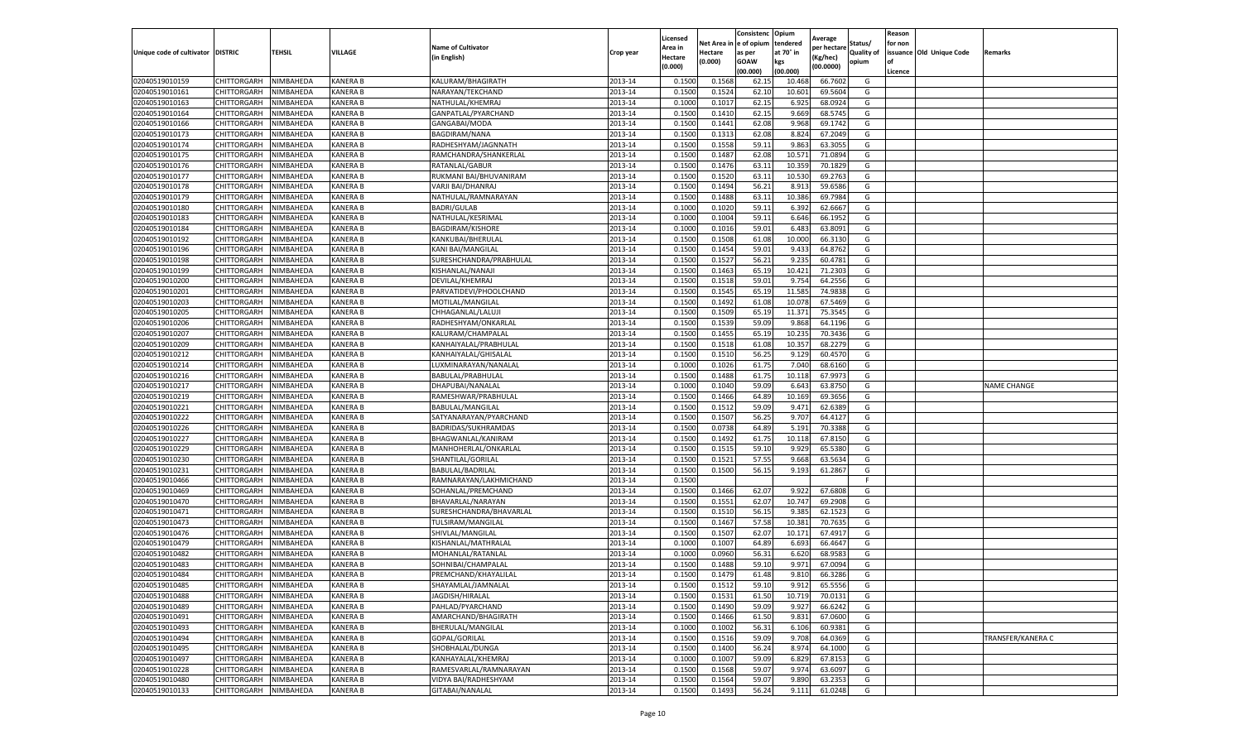|                                   |             |           |                 |                           |           | Licensed |            | Consistenc  | Opium     | Average     |                   | Reason  |                          |                    |
|-----------------------------------|-------------|-----------|-----------------|---------------------------|-----------|----------|------------|-------------|-----------|-------------|-------------------|---------|--------------------------|--------------------|
|                                   |             |           |                 | <b>Name of Cultivator</b> |           | Area in  | Net Area i | e of opium  | tendered  | per hectare | Status/           | for non |                          |                    |
| Unique code of cultivator DISTRIC |             | TEHSIL    | VILLAGE         | (in English)              | Crop year | Hectare  | Hectare    | as per      | at 70° in | (Kg/hec)    | <b>Quality of</b> |         | issuance Old Unique Code | Remarks            |
|                                   |             |           |                 |                           |           | (0.000)  | (0.000)    | <b>GOAW</b> | kgs       | (00.0000)   | opium             | οf      |                          |                    |
|                                   |             |           |                 |                           |           |          |            | (00.000     | (00.000)  |             |                   | Licence |                          |                    |
| 02040519010159                    | CHITTORGARH | NIMBAHEDA | <b>KANERA B</b> | KALURAM/BHAGIRATH         | 2013-14   | 0.1500   | 0.1568     | 62.1        | 10.468    | 66.7602     | G                 |         |                          |                    |
| 02040519010161                    | CHITTORGARH | NIMBAHEDA | <b>KANERA B</b> | NARAYAN/TEKCHAND          | 2013-14   | 0.150    | 0.1524     | 62.10       | 10.601    | 69.5604     | G                 |         |                          |                    |
| 02040519010163                    | CHITTORGARH | NIMBAHEDA | <b>KANERA B</b> | NATHULAL/KHEMRAJ          | 2013-14   | 0.1000   | 0.1017     | 62.15       | 6.925     | 68.0924     | G                 |         |                          |                    |
| 02040519010164                    | CHITTORGARH | NIMBAHEDA | <b>KANERA B</b> | GANPATLAL/PYARCHAND       | 2013-14   | 0.1500   | 0.1410     | 62.15       | 9.669     | 68.5745     | G                 |         |                          |                    |
| 02040519010166                    | CHITTORGARH | NIMBAHEDA | <b>KANERA B</b> | GANGABAI/MODA             | 2013-14   | 0.1500   | 0.1441     | 62.08       | 9.968     | 69.1742     | G                 |         |                          |                    |
| 02040519010173                    | CHITTORGARH | NIMBAHEDA | <b>KANERA B</b> | BAGDIRAM/NANA             | 2013-14   | 0.1500   | 0.1313     | 62.08       | 8.824     | 67.2049     | G                 |         |                          |                    |
| 02040519010174                    | CHITTORGARH | NIMBAHEDA | <b>KANERA B</b> | RADHESHYAM/JAGNNATH       | 2013-14   | 0.1500   | 0.1558     | 59.11       | 9.863     | 63.3055     | G                 |         |                          |                    |
| 02040519010175                    | CHITTORGARH | NIMBAHEDA | KANERA B        | RAMCHANDRA/SHANKERLAL     | 2013-14   | 0.1500   | 0.1487     | 62.08       | 10.57     | 71.0894     | G                 |         |                          |                    |
| 02040519010176                    | CHITTORGARH | NIMBAHEDA | <b>KANERA B</b> | RATANLAL/GABUR            | 2013-14   | 0.1500   | 0.1476     | 63.11       | 10.359    | 70.1829     | G                 |         |                          |                    |
| 02040519010177                    | CHITTORGARH | NIMBAHEDA | KANERA B        | RUKMANI BAI/BHUVANIRAM    | 2013-14   | 0.1500   | 0.1520     | 63.11       | 10.530    | 69.2763     | G                 |         |                          |                    |
| 02040519010178                    | CHITTORGARH | NIMBAHEDA | <b>KANERA B</b> | VARJI BAI/DHANRAJ         | 2013-14   | 0.1500   | 0.1494     | 56.21       | 8.913     | 59.6586     | G                 |         |                          |                    |
| 02040519010179                    | CHITTORGARH | NIMBAHEDA | <b>KANERA B</b> | NATHULAL/RAMNARAYAN       | 2013-14   | 0.1500   | 0.1488     | 63.11       | 10.386    | 69.7984     | G                 |         |                          |                    |
| 02040519010180                    | CHITTORGARH | NIMBAHEDA | <b>KANERA B</b> | <b>BADRI/GULAB</b>        | 2013-14   | 0.1000   | 0.1020     | 59.1        | 6.392     | 62.6667     | G                 |         |                          |                    |
| 02040519010183                    | CHITTORGARH | NIMBAHEDA | <b>KANERA B</b> | NATHULAL/KESRIMAL         | 2013-14   | 0.100    | 0.1004     | 59.1        | 6.646     | 66.1952     | G                 |         |                          |                    |
| 02040519010184                    | CHITTORGARH | NIMBAHEDA | <b>KANERA B</b> | <b>BAGDIRAM/KISHORE</b>   | 2013-14   | 0.1000   | 0.1016     | 59.01       | 6.483     | 63.8091     | G                 |         |                          |                    |
| 02040519010192                    | CHITTORGARH | NIMBAHEDA | <b>KANERA B</b> | KANKUBAI/BHERULAL         | 2013-14   | 0.1500   | 0.1508     | 61.08       | 10.000    | 66.3130     | G                 |         |                          |                    |
| 02040519010196                    | CHITTORGARH | NIMBAHEDA | KANERA B        | KANI BAI/MANGILAL         | 2013-14   | 0.1500   | 0.1454     | 59.01       | 9.433     | 64.8762     | G                 |         |                          |                    |
| 02040519010198                    | CHITTORGARH | NIMBAHEDA | KANERA B        | SURESHCHANDRA/PRABHULAL   | 2013-14   | 0.1500   | 0.1527     | 56.21       | 9.235     | 60.4781     | G                 |         |                          |                    |
| 02040519010199                    | CHITTORGARH | NIMBAHEDA | <b>KANERA B</b> | KISHANLAL/NANAJI          | 2013-14   | 0.1500   | 0.1463     | 65.19       | 10.42     | 71.2303     | G                 |         |                          |                    |
| 02040519010200                    | CHITTORGARH | NIMBAHEDA | <b>KANERA B</b> | DEVILAL/KHEMRAJ           | 2013-14   | 0.1500   | 0.1518     | 59.01       | 9.754     | 64.2556     | G                 |         |                          |                    |
| 02040519010201                    | CHITTORGARH | NIMBAHEDA | KANERA B        | PARVATIDEVI/PHOOLCHAND    | 2013-14   | 0.1500   | 0.1545     | 65.19       | 11.585    | 74.9838     | G                 |         |                          |                    |
|                                   |             |           |                 |                           |           |          |            |             |           |             |                   |         |                          |                    |
| 02040519010203                    | CHITTORGARH | NIMBAHEDA | <b>KANERA B</b> | MOTILAL/MANGILAL          | 2013-14   | 0.1500   | 0.1492     | 61.08       | 10.078    | 67.5469     | G                 |         |                          |                    |
| 02040519010205                    | CHITTORGARH | NIMBAHEDA | KANERA B        | CHHAGANLAL/LALUJI         | 2013-14   | 0.1500   | 0.1509     | 65.19       | 11.371    | 75.3545     | G                 |         |                          |                    |
| 02040519010206                    | CHITTORGARH | NIMBAHEDA | KANERA B        | RADHESHYAM/ONKARLAL       | 2013-14   | 0.1500   | 0.1539     | 59.09       | 9.868     | 64.1196     | G                 |         |                          |                    |
| 02040519010207                    | CHITTORGARH | NIMBAHEDA | <b>KANERA B</b> | KALURAM/CHAMPALAL         | 2013-14   | 0.1500   | 0.1455     | 65.19       | 10.235    | 70.3436     | G                 |         |                          |                    |
| 02040519010209                    | CHITTORGARH | NIMBAHEDA | KANERA B        | KANHAIYALAL/PRABHULAI     | 2013-14   | 0.1500   | 0.1518     | 61.08       | 10.357    | 68.2279     | G                 |         |                          |                    |
| 02040519010212                    | CHITTORGARH | NIMBAHEDA | KANERA B        | KANHAIYALAL/GHISALAL      | 2013-14   | 0.1500   | 0.1510     | 56.25       | 9.129     | 60.4570     | G                 |         |                          |                    |
| 02040519010214                    | CHITTORGARH | NIMBAHEDA | <b>KANERA B</b> | LUXMINARAYAN/NANALAL      | 2013-14   | 0.1000   | 0.1026     | 61.75       | 7.040     | 68.6160     | G                 |         |                          |                    |
| 02040519010216                    | CHITTORGARH | NIMBAHEDA | <b>KANERA B</b> | BABULAL/PRABHULAL         | 2013-14   | 0.1500   | 0.1488     | 61.75       | 10.118    | 67.9973     | G                 |         |                          |                    |
| 02040519010217                    | CHITTORGARH | NIMBAHEDA | <b>KANERA B</b> | DHAPUBAI/NANALAL          | 2013-14   | 0.1000   | 0.1040     | 59.09       | 6.643     | 63.8750     | G                 |         |                          | <b>NAME CHANGE</b> |
| 02040519010219                    | CHITTORGARH | NIMBAHEDA | <b>KANERA B</b> | RAMESHWAR/PRABHULAL       | 2013-14   | 0.1500   | 0.1466     | 64.89       | 10.169    | 69.3656     | G                 |         |                          |                    |
| 02040519010221                    | CHITTORGARH | NIMBAHEDA | <b>KANERA B</b> | BABULAL/MANGILAL          | 2013-14   | 0.1500   | 0.1512     | 59.09       | 9.471     | 62.6389     | G                 |         |                          |                    |
| 02040519010222                    | CHITTORGARH | NIMBAHEDA | <b>KANERA B</b> | SATYANARAYAN/PYARCHAND    | 2013-14   | 0.1500   | 0.1507     | 56.25       | 9.707     | 64.4127     | G                 |         |                          |                    |
| 02040519010226                    | CHITTORGARH | NIMBAHEDA | <b>KANERA B</b> | BADRIDAS/SUKHRAMDAS       | 2013-14   | 0.1500   | 0.0738     | 64.89       | 5.191     | 70.3388     | G                 |         |                          |                    |
| 02040519010227                    | CHITTORGARH | NIMBAHEDA | <b>KANERA B</b> | BHAGWANLAL/KANIRAM        | 2013-14   | 0.1500   | 0.1492     | 61.75       | 10.118    | 67.8150     | G                 |         |                          |                    |
| 02040519010229                    | CHITTORGARH | NIMBAHEDA | <b>KANERA B</b> | MANHOHERLAL/ONKARLAL      | 2013-14   | 0.1500   | 0.1515     | 59.10       | 9.929     | 65.5380     | G                 |         |                          |                    |
| 02040519010230                    | CHITTORGARH | NIMBAHEDA | KANERA B        | SHANTILAL/GORILAL         | 2013-14   | 0.1500   | 0.1521     | 57.55       | 9.668     | 63.5634     | G                 |         |                          |                    |
| 02040519010231                    | CHITTORGARH | NIMBAHEDA | <b>KANERA B</b> | BABULAL/BADRILAL          | 2013-14   | 0.1500   | 0.1500     | 56.15       | 9.193     | 61.2867     | G                 |         |                          |                    |
| 02040519010466                    | CHITTORGARH | NIMBAHEDA | KANERA B        | RAMNARAYAN/LAKHMICHAND    | 2013-14   | 0.1500   |            |             |           |             | F.                |         |                          |                    |
| 02040519010469                    | CHITTORGARH | NIMBAHEDA | KANERA B        | SOHANLAL/PREMCHAND        | 2013-14   | 0.1500   | 0.1466     | 62.07       | 9.922     | 67.6808     | G                 |         |                          |                    |
| 02040519010470                    | CHITTORGARH | NIMBAHEDA | <b>KANERA B</b> | BHAVARLAL/NARAYAN         | 2013-14   | 0.1500   | 0.1551     | 62.07       | 10.747    | 69.2908     | G                 |         |                          |                    |
| 02040519010471                    | CHITTORGARH | NIMBAHEDA | KANERA B        | SURESHCHANDRA/BHAVARLAL   | 2013-14   | 0.1500   | 0.1510     | 56.15       | 9.385     | 62.1523     | G                 |         |                          |                    |
| 02040519010473                    | CHITTORGARH | NIMBAHEDA | KANERA B        | TULSIRAM/MANGILAL         | 2013-14   | 0.1500   | 0.1467     | 57.58       | 10.381    | 70.7635     | G                 |         |                          |                    |
| 02040519010476                    | CHITTORGARH | NIMBAHEDA | KANERA B        | SHIVLAL/MANGILAL          | 2013-14   | 0.1500   | 0.1507     | 62.07       | 10.17     | 67.4917     | G                 |         |                          |                    |
| 02040519010479                    | CHITTORGARH | NIMBAHEDA | <b>KANERA B</b> | KISHANLAL/MATHRALAL       | 2013-14   | 0.1000   | 0.1007     | 64.89       | 6.693     | 66.4647     | G                 |         |                          |                    |
| 02040519010482                    | CHITTORGARH | NIMBAHEDA | <b>KANERA B</b> | MOHANLAL/RATANLAL         | 2013-14   | 0.100    | 0.0960     | 56.31       | 6.620     | 68.9583     | G                 |         |                          |                    |
| 02040519010483                    | CHITTORGARH | NIMBAHEDA | <b>KANERA B</b> | SOHNIBAI/CHAMPALAL        | 2013-14   | 0.1500   | 0.1488     | 59.10       | 9.971     | 67.0094     | G                 |         |                          |                    |
| 02040519010484                    | CHITTORGARH | NIMBAHEDA | KANERA B        | PREMCHAND/KHAYALILAL      | 2013-14   | 0.1500   | 0.1479     | 61.48       | 9.810     | 66.3286     | G                 |         |                          |                    |
| 02040519010485                    | CHITTORGARH | NIMBAHEDA | KANERA B        | SHAYAMLAL/JAMNALAL        | 2013-14   | 0.1500   | 0.1512     | 59.10       | 9.912     | 65.5556     | G                 |         |                          |                    |
| 02040519010488                    | CHITTORGARH | NIMBAHEDA | KANERA B        | JAGDISH/HIRALAL           | 2013-14   | 0.1500   | 0.1531     | 61.50       | 10.719    | 70.0131     | G                 |         |                          |                    |
| 02040519010489                    | CHITTORGARH | NIMBAHEDA | KANERA B        | PAHLAD/PYARCHAND          | 2013-14   | 0.1500   | 0.1490     | 59.09       | 9.927     | 66.6242     | G                 |         |                          |                    |
| 02040519010491                    | CHITTORGARH | NIMBAHEDA | <b>KANERA B</b> | AMARCHAND/BHAGIRATH       | 2013-14   | 0.1500   | 0.1466     | 61.50       | 9.831     | 67.0600     | G                 |         |                          |                    |
| 02040519010493                    | CHITTORGARH | NIMBAHEDA | KANERA B        | BHERULAL/MANGILAL         | 2013-14   | 0.1000   | 0.1002     | 56.31       | 6.106     | 60.9381     | G                 |         |                          |                    |
| 02040519010494                    |             |           |                 | GOPAL/GORILAL             | 2013-14   |          |            |             |           |             | G                 |         |                          |                    |
|                                   | CHITTORGARH | NIMBAHEDA | <b>KANERA B</b> |                           |           | 0.1500   | 0.1516     | 59.09       | 9.708     | 64.0369     |                   |         |                          | TRANSFER/KANERA C  |
| 02040519010495                    | CHITTORGARH | NIMBAHEDA | KANERA B        | SHOBHALAL/DUNGA           | 2013-14   | 0.1500   | 0.1400     | 56.24       | 8.974     | 64.1000     | G                 |         |                          |                    |
| 02040519010497                    | CHITTORGARH | NIMBAHEDA | KANERA B        | KANHAYALAL/KHEMRAJ        | 2013-14   | 0.1000   | 0.1007     | 59.09       | 6.829     | 67.8153     | G                 |         |                          |                    |
| 02040519010228                    | CHITTORGARH | NIMBAHEDA | KANERA B        | RAMESVARLAL/RAMNARAYAN    | 2013-14   | 0.1500   | 0.1568     | 59.07       | 9.974     | 63.6097     | G                 |         |                          |                    |
| 02040519010480                    | CHITTORGARH | NIMBAHEDA | <b>KANERA B</b> | VIDYA BAI/RADHESHYAM      | 2013-14   | 0.1500   | 0.1564     | 59.07       | 9.890     | 63.2353     | G                 |         |                          |                    |
| 02040519010133                    | CHITTORGARH | NIMBAHEDA | <b>KANERA B</b> | GITABAI/NANALAL           | 2013-14   | 0.1500   | 0.1493     | 56.24       | 9.111     | 61.0248     | G                 |         |                          |                    |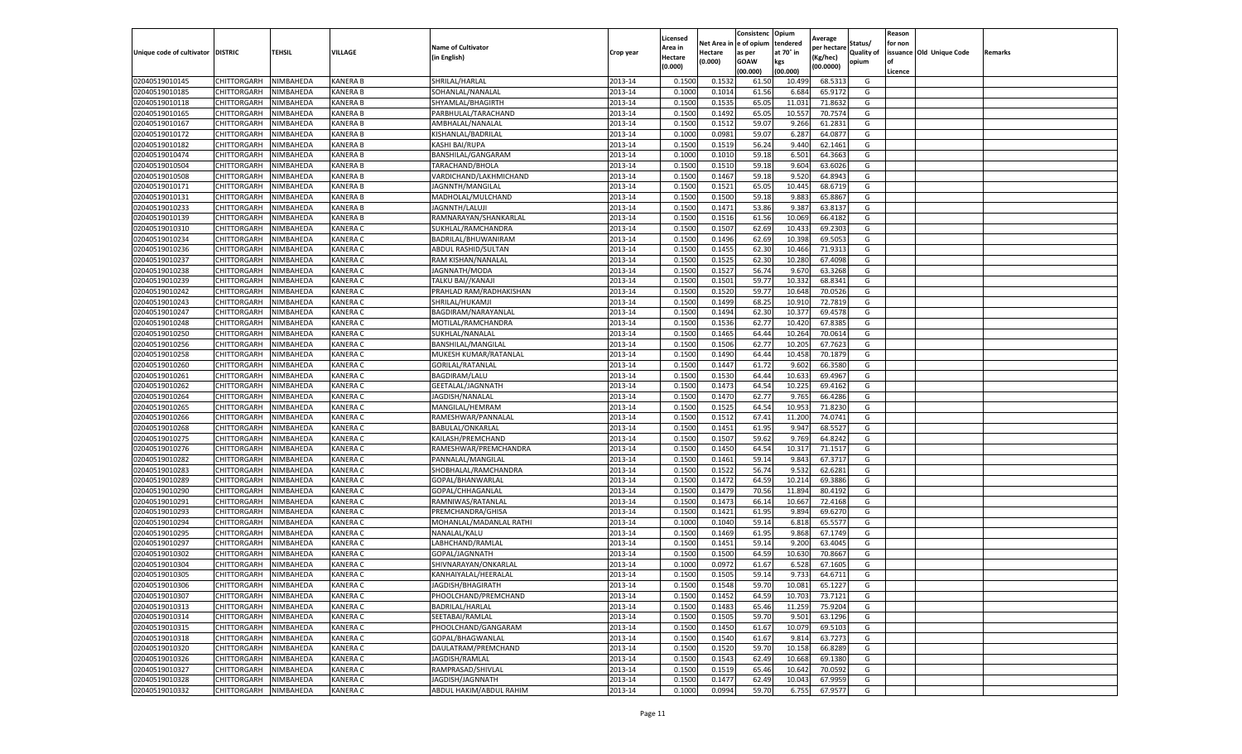|                                   |                    |           |                 |                           |           | Licensed |         | Consistenc             | Opium     |                        |                   | Reason  |                          |                |
|-----------------------------------|--------------------|-----------|-----------------|---------------------------|-----------|----------|---------|------------------------|-----------|------------------------|-------------------|---------|--------------------------|----------------|
|                                   |                    |           |                 | <b>Name of Cultivator</b> |           | Area in  |         | Net Area in e of opium | tendered  | Average<br>per hectare | Status/           | for non |                          |                |
| Unique code of cultivator DISTRIC |                    | TEHSIL    | VILLAGE         | in English)               | Crop year | Hectare  | Hectare | as per                 | at 70° in | (Kg/hec                | <b>Quality of</b> |         | issuance Old Unique Code | <b>Remarks</b> |
|                                   |                    |           |                 |                           |           | (0.000)  | (0.000) | <b>GOAW</b>            | kgs       | (00.0000)              | opium             |         |                          |                |
|                                   |                    |           |                 |                           |           |          |         | (00.000)               | (00.000)  |                        |                   | Licence |                          |                |
| 02040519010145                    | CHITTORGARH        | NIMBAHEDA | <b>KANERA B</b> | SHRILAL/HARLAL            | 2013-14   | 0.1500   | 0.1532  | 61.50                  | 10.499    | 68.5313                | G                 |         |                          |                |
| 02040519010185                    | CHITTORGARH        | NIMBAHEDA | <b>KANERA B</b> | SOHANLAL/NANALAL          | 2013-14   | 0.1000   | 0.1014  | 61.56                  | 6.684     | 65.9172                | G                 |         |                          |                |
| 02040519010118                    | CHITTORGARH        | NIMBAHEDA | <b>KANERA B</b> | SHYAMLAL/BHAGIRTH         | 2013-14   | 0.1500   | 0.1535  | 65.05                  | 11.031    | 71.8632                | G                 |         |                          |                |
| 02040519010165                    | CHITTORGARH        | NIMBAHEDA | KANERA B        | PARBHULAL/TARACHAND       | 2013-14   | 0.1500   | 0.1492  | 65.05                  | 10.557    | 70.7574                | G                 |         |                          |                |
| 02040519010167                    | CHITTORGARH        | NIMBAHEDA | KANERA B        | AMBHALAL/NANALAL          | 2013-14   | 0.1500   | 0.1512  | 59.07                  | 9.266     | 61.2831                | G                 |         |                          |                |
| 02040519010172                    | CHITTORGARH        | NIMBAHEDA | <b>KANERA B</b> | KISHANLAL/BADRILAL        | 2013-14   | 0.1000   | 0.0981  | 59.07                  | 6.287     | 64.0877                | G                 |         |                          |                |
| 02040519010182                    | CHITTORGARH        | NIMBAHEDA | <b>KANERA B</b> | KASHI BAI/RUPA            | 2013-14   | 0.1500   | 0.1519  | 56.24                  | 9.440     | 62.1461                | G                 |         |                          |                |
| 02040519010474                    | CHITTORGARH        | NIMBAHEDA | <b>KANERA B</b> | BANSHILAL/GANGARAM        | 2013-14   | 0.1000   | 0.1010  | 59.18                  | 6.501     | 64.3663                | G                 |         |                          |                |
| 02040519010504                    | CHITTORGARH        | NIMBAHEDA | <b>KANERA B</b> | TARACHAND/BHOLA           | 2013-14   | 0.1500   | 0.1510  | 59.18                  | 9.604     | 63.6026                | G                 |         |                          |                |
| 02040519010508                    | CHITTORGARH        | NIMBAHEDA | KANERA B        | VARDICHAND/LAKHMICHAND    | 2013-14   | 0.1500   | 0.1467  | 59.18                  | 9.520     | 64.8943                | G                 |         |                          |                |
| 02040519010171                    | CHITTORGARH        | NIMBAHEDA | <b>KANERA B</b> | JAGNNTH/MANGILAL          | 2013-14   | 0.1500   | 0.1521  | 65.05                  | 10.445    | 68.6719                | G                 |         |                          |                |
| 02040519010131                    | CHITTORGARH        | NIMBAHEDA | KANERA B        | MADHOLAL/MULCHAND         | 2013-14   | 0.1500   | 0.1500  | 59.18                  | 9.88      | 65.8867                | G                 |         |                          |                |
| 02040519010233                    | CHITTORGARH        | NIMBAHEDA | KANERA B        | JAGNNTH/LALUJ             | 2013-14   | 0.1500   | 0.1471  | 53.86                  | 9.387     | 63.8137                | G                 |         |                          |                |
| 02040519010139                    | CHITTORGARH        | NIMBAHEDA | <b>KANERA B</b> | RAMNARAYAN/SHANKARLAL     | 2013-14   | 0.1500   | 0.1516  | 61.56                  | 10.069    | 66.4182                | G                 |         |                          |                |
| 02040519010310                    | CHITTORGARH        | NIMBAHEDA | <b>KANERA C</b> | SUKHLAL/RAMCHANDRA        | 2013-14   | 0.1500   | 0.1507  | 62.69                  | 10.433    | 69.2303                | G                 |         |                          |                |
| 02040519010234                    | CHITTORGARH        | NIMBAHEDA | <b>KANERA C</b> | BADRILAL/BHUWANIRAM       | 2013-14   | 0.1500   | 0.1496  | 62.69                  | 10.398    | 69.5053                | G                 |         |                          |                |
| 02040519010236                    | CHITTORGARH        | NIMBAHEDA | KANERA C        | ABDUL RASHID/SULTAN       | 2013-14   | 0.1500   | 0.1455  | 62.30                  | 10.466    | 71.9313                | G                 |         |                          |                |
| 02040519010237                    | CHITTORGARH        | NIMBAHEDA | <b>KANERA C</b> | RAM KISHAN/NANALAL        | 2013-14   | 0.1500   | 0.1525  | 62.30                  | 10.28     | 67.4098                | G                 |         |                          |                |
| 02040519010238                    | CHITTORGARH        | NIMBAHEDA | KANERA C        | JAGNNATH/MODA             | 2013-14   | 0.1500   | 0.1527  | 56.74                  | 9.67      | 63.3268                | G                 |         |                          |                |
| 02040519010239                    | CHITTORGARH        | NIMBAHEDA | KANERA C        | TALKU BAI//KANAJI         | 2013-14   | 0.1500   | 0.1501  | 59.77                  | 10.33     | 68.8341                | G                 |         |                          |                |
| 02040519010242                    | CHITTORGARH        | NIMBAHEDA | <b>KANERA C</b> | PRAHLAD RAM/RADHAKISHAN   | 2013-14   | 0.1500   | 0.1520  | 59.77                  | 10.648    | 70.0526                | G                 |         |                          |                |
| 02040519010243                    | CHITTORGARH        | NIMBAHEDA | KANERA C        | SHRILAL/HUKAMJI           | 2013-14   | 0.1500   | 0.1499  | 68.25                  | 10.91     | 72.7819                | G                 |         |                          |                |
| 02040519010247                    | CHITTORGARH        | NIMBAHEDA | KANERA C        | BAGDIRAM/NARAYANLAL       | 2013-14   | 0.1500   | 0.1494  | 62.30                  | 10.377    | 69.4578                | G                 |         |                          |                |
| 02040519010248                    | CHITTORGARH        | NIMBAHEDA | KANERA C        | MOTILAL/RAMCHANDRA        | 2013-14   | 0.1500   | 0.1536  | 62.77                  | 10.42     | 67.8385                | G                 |         |                          |                |
| 02040519010250                    | CHITTORGARH        | NIMBAHEDA | KANERA C        | SUKHLAL/NANALAL           | 2013-14   | 0.1500   | 0.1465  | 64.44                  | 10.264    | 70.0614                | G                 |         |                          |                |
| 02040519010256                    | CHITTORGARH        | NIMBAHEDA | KANERA C        | BANSHILAL/MANGILAL        | 2013-14   | 0.1500   | 0.1506  | 62.77                  | 10.205    | 67.7623                | G                 |         |                          |                |
| 02040519010258                    | CHITTORGARH        | NIMBAHEDA | KANERA C        | MUKESH KUMAR/RATANLAL     | 2013-14   | 0.1500   | 0.1490  | 64.44                  | 10.458    | 70.1879                | G                 |         |                          |                |
| 02040519010260                    | CHITTORGARH        | NIMBAHEDA | KANERA C        | GORILAL/RATANLAL          | 2013-14   | 0.1500   | 0.1447  | 61.72                  | 9.602     | 66.3580                | G                 |         |                          |                |
| 02040519010261                    | CHITTORGARH        | NIMBAHEDA | KANERA C        | BAGDIRAM/LALU             | 2013-14   | 0.1500   | 0.1530  | 64.44                  | 10.633    | 69.4967                | G                 |         |                          |                |
| 02040519010262                    | CHITTORGARH        | NIMBAHEDA | KANERA C        | GEETALAL/JAGNNATH         | 2013-14   | 0.1500   | 0.1473  | 64.54                  | 10.225    | 69.4162                | G                 |         |                          |                |
| 02040519010264                    | CHITTORGARH        | NIMBAHEDA | KANERA C        | JAGDISH/NANALAL           | 2013-14   | 0.1500   | 0.1470  | 62.77                  | 9.765     | 66.4286                | G                 |         |                          |                |
| 02040519010265                    | CHITTORGARH        | NIMBAHEDA | KANERA C        | MANGILAL/HEMRAM           | 2013-14   | 0.1500   | 0.1525  | 64.54                  | 10.953    | 71.8230                | G                 |         |                          |                |
| 02040519010266                    | CHITTORGARH        | NIMBAHEDA | KANERA C        | RAMESHWAR/PANNALAI        | 2013-14   | 0.1500   | 0.1512  | 67.41                  | 11.20     | 74.0741                | G                 |         |                          |                |
| 02040519010268                    | CHITTORGARH        | NIMBAHEDA | <b>KANERA C</b> | BABULAL/ONKARLAL          | 2013-14   | 0.1500   | 0.1451  | 61.95                  | 9.947     | 68.5527                | G                 |         |                          |                |
| 02040519010275                    | CHITTORGARH        | NIMBAHEDA | KANERA C        | KAILASH/PREMCHAND         | 2013-14   | 0.1500   | 0.1507  | 59.62                  | 9.769     | 64.8242                | G                 |         |                          |                |
| 02040519010276                    | CHITTORGARH        | NIMBAHEDA | KANERA C        | RAMESHWAR/PREMCHANDRA     | 2013-14   | 0.1500   | 0.1450  | 64.54                  | 10.31     | 71.1517                | G                 |         |                          |                |
| 02040519010282                    | CHITTORGARH        | NIMBAHEDA | <b>KANERA C</b> | PANNALAL/MANGILAL         | 2013-14   | 0.1500   | 0.1461  | 59.14                  | 9.84      | 67.3717                | G                 |         |                          |                |
| 02040519010283                    | CHITTORGARH        | NIMBAHEDA | KANERA C        | SHOBHALAL/RAMCHANDRA      | 2013-14   | 0.1500   | 0.1522  | 56.74                  | 9.53      | 62.6281                | G                 |         |                          |                |
| 02040519010289                    | CHITTORGARH        | NIMBAHEDA | KANERA C        | GOPAL/BHANWARLAL          | 2013-14   | 0.1500   | 0.1472  | 64.59                  | 10.21     | 69.3886                | G                 |         |                          |                |
| 02040519010290                    | CHITTORGARH        | NIMBAHEDA | KANERA C        | GOPAL/CHHAGANLAL          | 2013-14   | 0.1500   | 0.1479  | 70.56                  | 11.894    | 80.4192                | G                 |         |                          |                |
| 02040519010291                    | CHITTORGARH        | NIMBAHEDA | KANERA C        | RAMNIWAS/RATANLAL         | 2013-14   | 0.1500   | 0.1473  | 66.14                  | 10.667    | 72.4168                | G                 |         |                          |                |
| 02040519010293                    | CHITTORGARH        | NIMBAHEDA | KANERA C        | PREMCHANDRA/GHISA         | 2013-14   | 0.1500   | 0.1421  | 61.95                  | 9.894     | 69.6270                | G                 |         |                          |                |
| 02040519010294                    | CHITTORGARH        | NIMBAHEDA | <b>KANERA C</b> | MOHANLAL/MADANLAL RATHI   | 2013-14   | 0.1000   | 0.1040  | 59.14                  | 6.81      | 65.5577                | G                 |         |                          |                |
| 02040519010295                    | CHITTORGARH        | NIMBAHEDA | KANERA C        | NANALAL/KALU              | 2013-14   | 0.1500   | 0.1469  | 61.95                  | 9.868     | 67.1749                | G                 |         |                          |                |
| 02040519010297                    | CHITTORGARH        | NIMBAHEDA | KANERA C        | LABHCHAND/RAMLAL          | 2013-14   | 0.1500   | 0.1451  | 59.14                  | 9.200     | 63.4045                | G                 |         |                          |                |
| 02040519010302                    | CHITTORGARH        | NIMBAHEDA | <b>KANERA C</b> | GOPAL/JAGNNATH            | 2013-14   | 0.1500   | 0.1500  | 64.59                  | 10.63     | 70.8667                | G                 |         |                          |                |
| 02040519010304                    | CHITTORGARH        | NIMBAHEDA | <b>KANERA C</b> | SHIVNARAYAN/ONKARLAL      | 2013-14   | 0.1000   | 0.0972  | 61.67                  | 6.528     | 67.1605                | G                 |         |                          |                |
| 02040519010305                    | CHITTORGARH        | NIMBAHEDA | <b>KANERA C</b> | KANHAIYALAL/HEERALAL      | 2013-14   | 0.1500   | 0.1505  | 59.14                  | 9.733     | 64.6711                | G                 |         |                          |                |
| 02040519010306                    | CHITTORGARH        | NIMBAHEDA | <b>KANERA C</b> | JAGDISH/BHAGIRATH         | 2013-14   | 0.1500   | 0.1548  | 59.70                  | 10.081    | 65.1227                | G                 |         |                          |                |
| 02040519010307                    | CHITTORGARH        | NIMBAHEDA | KANERA C        | PHOOLCHAND/PREMCHAND      | 2013-14   | 0.1500   | 0.1452  | 64.59                  | 10.703    | 73.7121                | G                 |         |                          |                |
| 02040519010313                    | CHITTORGARH        | NIMBAHEDA | KANERA C        | <b>BADRILAL/HARLAL</b>    | 2013-14   | 0.1500   | 0.1483  | 65.46                  | 11.259    | 75.9204                | G                 |         |                          |                |
| 02040519010314                    | CHITTORGARH        | NIMBAHEDA | KANERA C        | SEETABAI/RAMLAL           | 2013-14   | 0.1500   | 0.1505  | 59.70                  | 9.501     | 63.1296                | G                 |         |                          |                |
| 02040519010315                    | <b>CHITTORGARH</b> | NIMBAHEDA | KANERA C        | PHOOLCHAND/GANGARAM       | 2013-14   | 0.1500   | 0.1450  | 61.67                  | 10.079    | 69.5103                | G                 |         |                          |                |
| 02040519010318                    | <b>CHITTORGARH</b> | NIMBAHEDA | <b>KANERA C</b> | GOPAL/BHAGWANLAL          | 2013-14   | 0.1500   | 0.1540  | 61.67                  | 9.814     | 63.7273                | G                 |         |                          |                |
| 02040519010320                    | CHITTORGARH        | NIMBAHEDA | KANERA C        | DAULATRAM/PREMCHAND       | 2013-14   | 0.1500   | 0.1520  | 59.70                  | 10.15     | 66.8289                | G                 |         |                          |                |
| 02040519010326                    | CHITTORGARH        | NIMBAHEDA | KANERA C        | JAGDISH/RAMLAL            | 2013-14   | 0.1500   | 0.1543  | 62.49                  | 10.668    | 69.1380                | G                 |         |                          |                |
| 02040519010327                    | CHITTORGARH        | NIMBAHEDA | KANERA C        | RAMPRASAD/SHIVLAL         | 2013-14   | 0.1500   | 0.1519  | 65.46                  | 10.642    | 70.0592                | G                 |         |                          |                |
| 02040519010328                    | CHITTORGARH        | NIMBAHEDA | KANERA C        | JAGDISH/JAGNNATH          | 2013-14   | 0.1500   | 0.1477  | 62.49                  | 10.04     | 67.9959                | G                 |         |                          |                |
| 02040519010332                    | <b>CHITTORGARH</b> | NIMBAHEDA | <b>KANERA C</b> | ABDUL HAKIM/ABDUL RAHIM   | 2013-14   | 0.1000   | 0.0994  | 59.70                  | 6.755     | 67.9577                | G                 |         |                          |                |
|                                   |                    |           |                 |                           |           |          |         |                        |           |                        |                   |         |                          |                |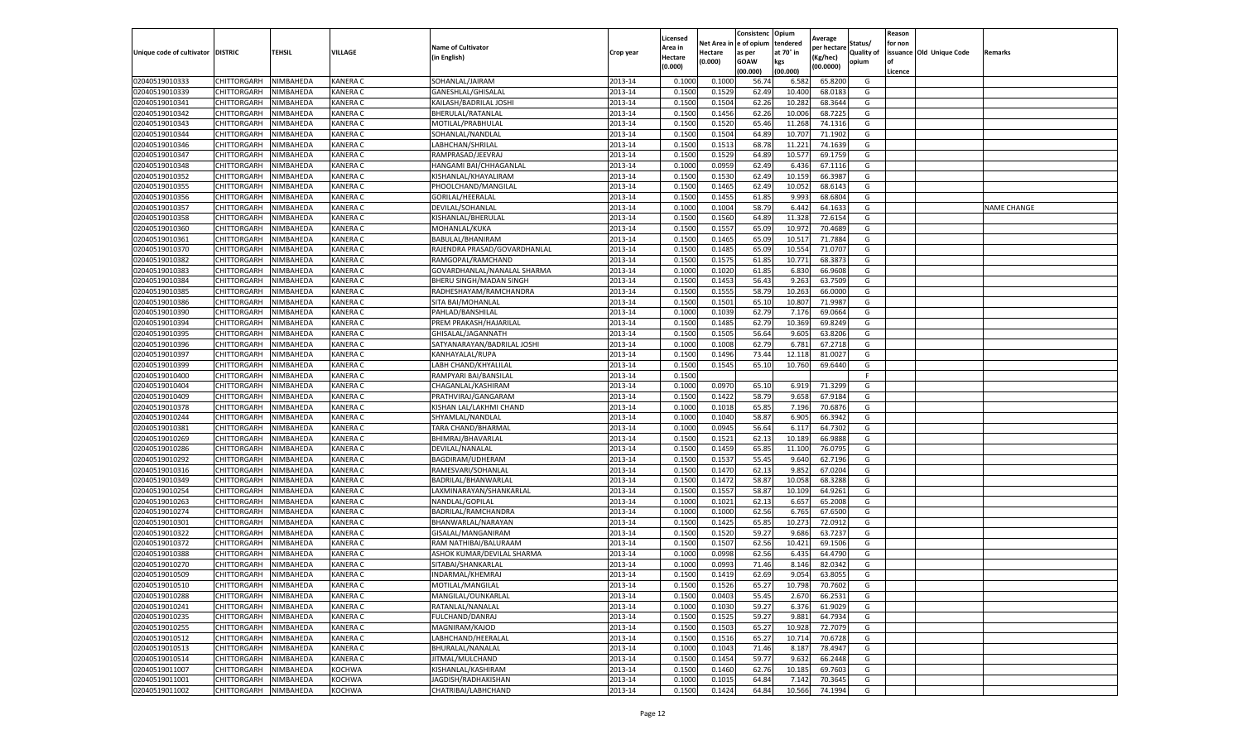|                                   |                            |           |                             |                                        |                    | Licensed         |                  | Consistenc             | Opium           |                        |                   | Reason  |                          |                    |
|-----------------------------------|----------------------------|-----------|-----------------------------|----------------------------------------|--------------------|------------------|------------------|------------------------|-----------------|------------------------|-------------------|---------|--------------------------|--------------------|
|                                   |                            |           |                             | <b>Name of Cultivator</b>              |                    | Area in          |                  | Net Area in e of opium | tendered        | Average<br>per hectare | Status/           | for non |                          |                    |
| Unique code of cultivator DISTRIC |                            | TEHSIL    | VILLAGE                     | in English)                            | Crop year          | Hectare          | Hectare          | as per                 | at 70° in       | (Kg/hec                | <b>Quality of</b> |         | issuance Old Unique Code | <b>Remarks</b>     |
|                                   |                            |           |                             |                                        |                    | (0.000)          | (0.000)          | <b>GOAW</b>            | kgs             | (00.0000)              | opium             |         |                          |                    |
|                                   |                            |           |                             |                                        |                    |                  |                  | (00.000)               | (00.000)        |                        |                   | Licence |                          |                    |
| 02040519010333                    | CHITTORGARH                | NIMBAHEDA | <b>KANERA C</b>             | SOHANLAL/JAIRAM                        | 2013-14            | 0.1000           | 0.1000           | 56.74                  | 6.582           | 65.8200                | G                 |         |                          |                    |
| 02040519010339                    | CHITTORGARH                | NIMBAHEDA | <b>KANERA C</b>             | GANESHLAL/GHISALAL                     | 2013-14            | 0.1500           | 0.1529           | 62.49                  | 10.400          | 68.018                 | G                 |         |                          |                    |
| 02040519010341                    | CHITTORGARH                | NIMBAHEDA | <b>KANERA C</b>             | KAILASH/BADRILAL JOSHI                 | 2013-14            | 0.1500           | 0.1504           | 62.26                  | 10.282          | 68.3644                | G                 |         |                          |                    |
| 02040519010342                    | CHITTORGARH                | NIMBAHEDA | KANERA C                    | BHERULAL/RATANLAL                      | 2013-14            | 0.1500           | 0.1456           | 62.26                  | 10.006          | 68.7225                | G                 |         |                          |                    |
| 02040519010343                    | CHITTORGARH                | NIMBAHEDA | KANERA C                    | MOTILAL/PRABHULAL                      | 2013-14            | 0.1500           | 0.1520           | 65.46                  | 11.268          | 74.1316                | G                 |         |                          |                    |
| 02040519010344                    | CHITTORGARH                | NIMBAHEDA | KANERA C                    | SOHANLAL/NANDLAL                       | 2013-14            | 0.1500           | 0.1504           | 64.89                  | 10.707          | 71.1902                | G                 |         |                          |                    |
| 02040519010346                    | CHITTORGARH                | NIMBAHEDA | KANERA C                    | LABHCHAN/SHRILAL                       | 2013-14            | 0.1500           | 0.1513           | 68.78                  | 11.221          | 74.1639                | G                 |         |                          |                    |
| 02040519010347                    | CHITTORGARH                | NIMBAHEDA | KANERA C                    | RAMPRASAD/JEEVRA                       | 2013-14            | 0.1500           | 0.1529           | 64.89                  | 10.57           | 69.1759                | G                 |         |                          |                    |
| 02040519010348                    | CHITTORGARH                | NIMBAHEDA | <b>KANERA C</b>             | HANGAMI BAI/CHHAGANLAI                 | 2013-14            | 0.1000           | 0.0959           | 62.49                  | 6.436           | 67.1116                | G                 |         |                          |                    |
| 02040519010352                    | CHITTORGARH                | NIMBAHEDA | KANERA C                    | KISHANLAL/KHAYALIRAM                   | 2013-14            | 0.1500           | 0.1530           | 62.49                  | 10.159          | 66.3987                | G                 |         |                          |                    |
| 02040519010355                    | CHITTORGARH                | NIMBAHEDA | KANERA C                    | PHOOLCHAND/MANGILAL                    | 2013-14            | 0.1500           | 0.1465           | 62.49                  | 10.052          | 68.6143                | G                 |         |                          |                    |
| 02040519010356                    | CHITTORGARH                | NIMBAHEDA | KANERA C                    | GORILAL/HEERALAL                       | 2013-14            | 0.1500           | 0.1455           | 61.85                  | 9.99            | 68.6804                | G                 |         |                          |                    |
| 02040519010357                    | CHITTORGARH                | NIMBAHEDA | KANERA C                    | DEVILAL/SOHANLAL                       | 2013-14            | 0.1000           | 0.1004           | 58.79                  | 6.44            | 64.163                 | G                 |         |                          | <b>NAME CHANGE</b> |
| 02040519010358                    | CHITTORGARH                | NIMBAHEDA | KANERA C                    | KISHANLAL/BHERULAL                     | 2013-14            | 0.1500           | 0.1560           | 64.89                  | 11.32           | 72.615                 | G                 |         |                          |                    |
| 02040519010360                    | CHITTORGARH                | NIMBAHEDA | <b>KANERA C</b>             | MOHANLAL/KUKA                          | 2013-14            | 0.1500           | 0.1557           | 65.09                  | 10.972          | 70.4689                | G                 |         |                          |                    |
| 02040519010361                    | CHITTORGARH                | NIMBAHEDA | <b>KANERA C</b>             | BABULAL/BHANIRAM                       | 2013-14            | 0.1500           | 0.1465           | 65.09                  | 10.51           | 71.7884                | G                 |         |                          |                    |
| 02040519010370                    | CHITTORGARH                | NIMBAHEDA | KANERA C                    | RAJENDRA PRASAD/GOVARDHANLAL           | 2013-14            | 0.1500           | 0.1485           | 65.09                  | 10.554          | 71.0707                | G                 |         |                          |                    |
| 02040519010382                    | CHITTORGARH                | NIMBAHEDA | <b>KANERA C</b>             | RAMGOPAL/RAMCHAND                      | 2013-14            | 0.1500           | 0.1575           | 61.85                  | 10.771          | 68.387                 | G                 |         |                          |                    |
| 02040519010383                    | CHITTORGARH                | NIMBAHEDA | KANERA C                    | GOVARDHANLAL/NANALAL SHARMA            | 2013-14            | 0.1000           | 0.1020           | 61.85                  | 6.83            | 66.9608                | G                 |         |                          |                    |
| 02040519010384                    | CHITTORGARH                | NIMBAHEDA | KANERA C                    | BHERU SINGH/MADAN SINGH                | 2013-14            | 0.1500           | 0.1453           | 56.43                  | 9.263           | 63.7509                | G                 |         |                          |                    |
| 02040519010385                    | CHITTORGARH                | NIMBAHEDA | <b>KANERA C</b>             | RADHESHAYAM/RAMCHANDRA                 | 2013-14            | 0.1500           | 0.1555           | 58.79                  | 10.263          | 66.0000                | G                 |         |                          |                    |
| 02040519010386                    | CHITTORGARH                | NIMBAHEDA | KANERA C                    | SITA BAI/MOHANLAL                      | 2013-14            | 0.1500           | 0.1501           | 65.10                  | 10.807          | 71.9987                | G                 |         |                          |                    |
| 02040519010390                    | CHITTORGARH                | NIMBAHEDA | KANERA C                    | PAHLAD/BANSHILAL                       | 2013-14            | 0.1000           | 0.1039           | 62.79                  | 7.176           | 69.0664                | G                 |         |                          |                    |
| 02040519010394                    | CHITTORGARH                | NIMBAHEDA | KANERA C                    | PREM PRAKASH/HAJARILAL                 | 2013-14            | 0.1500           | 0.1485           | 62.79                  | 10.369          | 69.8249                | G                 |         |                          |                    |
| 02040519010395                    | CHITTORGARH                | NIMBAHEDA | KANERA C                    | GHISALAL/JAGANNATH                     | 2013-14            | 0.1500           | 0.1505           | 56.64                  | 9.605           | 63.8206                | G                 |         |                          |                    |
| 02040519010396                    | CHITTORGARH                | NIMBAHEDA | KANERA C                    | SATYANARAYAN/BADRILAL JOSHI            | 2013-14            | 0.1000           | 0.1008           | 62.79                  | 6.781           | 67.2718                | G                 |         |                          |                    |
| 02040519010397                    | CHITTORGARH                | NIMBAHEDA | KANERA C                    | <b>KANHAYALAL/RUPA</b>                 | 2013-14            | 0.1500           | 0.1496           | 73.44                  | 12.11           | 81.0027                | G                 |         |                          |                    |
| 02040519010399                    | CHITTORGARH                | NIMBAHEDA | KANERA C                    | LABH CHAND/KHYALILAL                   | 2013-14            | 0.1500           | 0.1545           | 65.10                  | 10.760          | 69.6440                | G                 |         |                          |                    |
| 02040519010400                    | CHITTORGARH                | NIMBAHEDA | KANERA C                    | RAMPYARI BAI/BANSILAL                  | 2013-14            | 0.1500           |                  |                        |                 |                        | F.                |         |                          |                    |
| 02040519010404                    | CHITTORGARH                | NIMBAHEDA | KANERA C                    | CHAGANLAL/KASHIRAM                     | 2013-14            | 0.1000           | 0.0970           | 65.10                  | 6.919           | 71.3299                | G                 |         |                          |                    |
| 02040519010409                    | CHITTORGARH                | NIMBAHEDA | KANERA C                    | PRATHVIRAJ/GANGARAM                    | 2013-14            | 0.1500           | 0.1422           | 58.79                  | 9.65            | 67.9184                | G                 |         |                          |                    |
| 02040519010378                    | CHITTORGARH                | NIMBAHEDA | KANERA C                    | KISHAN LAL/LAKHMI CHAND                | 2013-14            | 0.1000           | 0.1018           | 65.85                  | 7.196           | 70.6876                | G                 |         |                          |                    |
| 02040519010244                    | CHITTORGARH                | NIMBAHEDA | KANERA C                    | SHYAMLAL/NANDLAL                       | 2013-14            | 0.1000           | 0.1040           | 58.87                  | 6.905           | 66.3942                | G                 |         |                          |                    |
| 02040519010381                    | CHITTORGARH                | NIMBAHEDA | <b>KANERA C</b>             | TARA CHAND/BHARMAL                     | 2013-14            | 0.1000           | 0.0945           | 56.64                  | 6.117           | 64.7302                | G                 |         |                          |                    |
| 02040519010269                    | CHITTORGARH                | NIMBAHEDA | KANERA C                    | BHIMRAJ/BHAVARLAL                      | 2013-14            | 0.1500           | 0.1521           | 62.13                  | 10.189          | 66.9888                | G                 |         |                          |                    |
| 02040519010286                    | CHITTORGARH                | NIMBAHEDA | KANERA C                    | DEVILAL/NANALAL                        | 2013-14            | 0.1500           | 0.1459           | 65.85                  | 11.100          | 76.0795                | G                 |         |                          |                    |
| 02040519010292                    | CHITTORGARH                | NIMBAHEDA | <b>KANERA C</b>             | BAGDIRAM/UDHERAM                       | 2013-14            | 0.1500           | 0.1537           | 55.45                  | 9.640           | 62.7196                | G                 |         |                          |                    |
| 02040519010316                    | CHITTORGARH                | NIMBAHEDA | KANERA C                    | RAMESVARI/SOHANLAL                     | 2013-14            | 0.1500           | 0.1470           | 62.13                  | 9.85            | 67.0204                | G                 |         |                          |                    |
| 02040519010349                    | CHITTORGARH                | NIMBAHEDA | KANERA C                    | BADRILAL/BHANWARLAL                    | 2013-14            | 0.1500           | 0.1472           | 58.87                  | 10.05           | 68.3288                | G                 |         |                          |                    |
| 02040519010254                    | CHITTORGARH                | NIMBAHEDA | KANERA C                    | LAXMINARAYAN/SHANKARLAL                | 2013-14            | 0.1500           | 0.1557           | 58.87                  | 10.109          | 64.9261                | G                 |         |                          |                    |
| 02040519010263                    | CHITTORGARH                | NIMBAHEDA | KANERA C                    | NANDLAL/GOPILAL                        | 2013-14            | 0.1000           | 0.1021           | 62.13                  | 6.65            | 65.2008                | G                 |         |                          |                    |
| 02040519010274                    | CHITTORGARH                | NIMBAHEDA | KANERA C                    | BADRILAL/RAMCHANDRA                    | 2013-14            | 0.1000           | 0.1000           | 62.56                  | 6.765           | 67.6500                | G                 |         |                          |                    |
| 02040519010301                    | CHITTORGARH                | NIMBAHEDA | <b>KANERA C</b>             | BHANWARLAL/NARAYAN                     | 2013-14            | 0.1500           | 0.1425           | 65.85                  | 10.273          | 72.0912                | G                 |         |                          |                    |
| 02040519010322                    | CHITTORGARH                | NIMBAHEDA | KANERA C                    | GISALAL/MANGANIRAM                     | 2013-14            | 0.1500           | 0.1520           | 59.27                  | 9.686           | 63.7237                | G                 |         |                          |                    |
| 02040519010372                    | CHITTORGARH                | NIMBAHEDA | KANERA C                    | RAM NATHIBAI/BALURAAM                  | 2013-14            | 0.1500           | 0.1507           | 62.56                  | 10.421          | 69.1506                | G                 |         |                          |                    |
| 02040519010388                    | CHITTORGARH                | NIMBAHEDA | <b>KANERA C</b>             | ASHOK KUMAR/DEVILAL SHARMA             | 2013-14            | 0.1000           | 0.0998           | 62.56                  | 6.435           | 64.4790                | G                 |         |                          |                    |
| 02040519010270                    | CHITTORGARH                | NIMBAHEDA | <b>KANERA C</b>             | SITABAI/SHANKARLAL                     | 2013-14            | 0.1000           | 0.0993           | 71.46                  | 8.14            | 82.0342                | G                 |         |                          |                    |
|                                   |                            | NIMBAHEDA | <b>KANERA C</b>             |                                        |                    | 0.1500           |                  | 62.69                  | 9.054           | 63.8055                | G                 |         |                          |                    |
| 02040519010509                    | CHITTORGARH                |           |                             | INDARMAL/KHEMRAJ                       | 2013-14            |                  | 0.1419           |                        |                 |                        |                   |         |                          |                    |
| 02040519010510                    | CHITTORGARH<br>CHITTORGARH | NIMBAHEDA | <b>KANERA C</b><br>KANERA C | MOTILAL/MANGILAL<br>MANGILAL/OUNKARLAL | 2013-14<br>2013-14 | 0.1500<br>0.1500 | 0.1526<br>0.0403 | 65.27<br>55.45         | 10.798<br>2.670 | 70.7602<br>66.2531     | G<br>G            |         |                          |                    |
| 02040519010288                    |                            | NIMBAHEDA |                             |                                        |                    |                  |                  |                        |                 |                        |                   |         |                          |                    |
| 02040519010241                    | CHITTORGARH                | NIMBAHEDA | KANERA C                    | RATANLAL/NANALAL                       | 2013-14            | 0.1000           | 0.1030           | 59.27                  | 6.376           | 61.9029                | G                 |         |                          |                    |
| 02040519010235                    | CHITTORGARH                | NIMBAHEDA | KANERA C                    | FULCHAND/DANRAJ                        | 2013-14            | 0.1500           | 0.1525           | 59.27                  | 9.881           | 64.7934                | G                 |         |                          |                    |
| 02040519010255                    | CHITTORGARH                | NIMBAHEDA | KANERA C                    | MAGNIRAM/KAJOD                         | 2013-14            | 0.1500           | 0.1503           | 65.27                  | 10.928          | 72.7079                | G                 |         |                          |                    |
| 02040519010512                    | <b>CHITTORGARH</b>         | NIMBAHEDA | <b>KANERA C</b>             | LABHCHAND/HEERALAL                     | 2013-14            | 0.1500           | 0.1516           | 65.27                  | 10.714          | 70.6728                | G                 |         |                          |                    |
| 02040519010513                    | CHITTORGARH                | NIMBAHEDA | KANERA C                    | BHURALAL/NANALAL                       | 2013-14            | 0.1000           | 0.1043           | 71.46                  | 8.187           | 78.4947                | G                 |         |                          |                    |
| 02040519010514                    | <b>CHITTORGARH</b>         | NIMBAHEDA | <b>KANERA C</b>             | JITMAL/MULCHAND                        | 2013-14            | 0.1500           | 0.1454           | 59.77                  | 9.632           | 66.2448                | G                 |         |                          |                    |
| 02040519011007                    | CHITTORGARH                | NIMBAHEDA | KOCHWA                      | KISHANLAL/KASHIRAM                     | 2013-14            | 0.1500           | 0.1460           | 62.76                  | 10.185          | 69.7603                | G                 |         |                          |                    |
| 02040519011001                    | CHITTORGARH                | NIMBAHEDA | KOCHWA                      | JAGDISH/RADHAKISHAN                    | 2013-14            | 0.1000           | 0.1015           | 64.84                  | 7.142           | 70.3645                | G                 |         |                          |                    |
| 02040519011002                    | <b>CHITTORGARH</b>         | NIMBAHEDA | KOCHWA                      | CHATRIBAI/LABHCHAND                    | 2013-14            | 0.1500           | 0.1424           | 64.84                  | 10.566          | 74.1994                | G                 |         |                          |                    |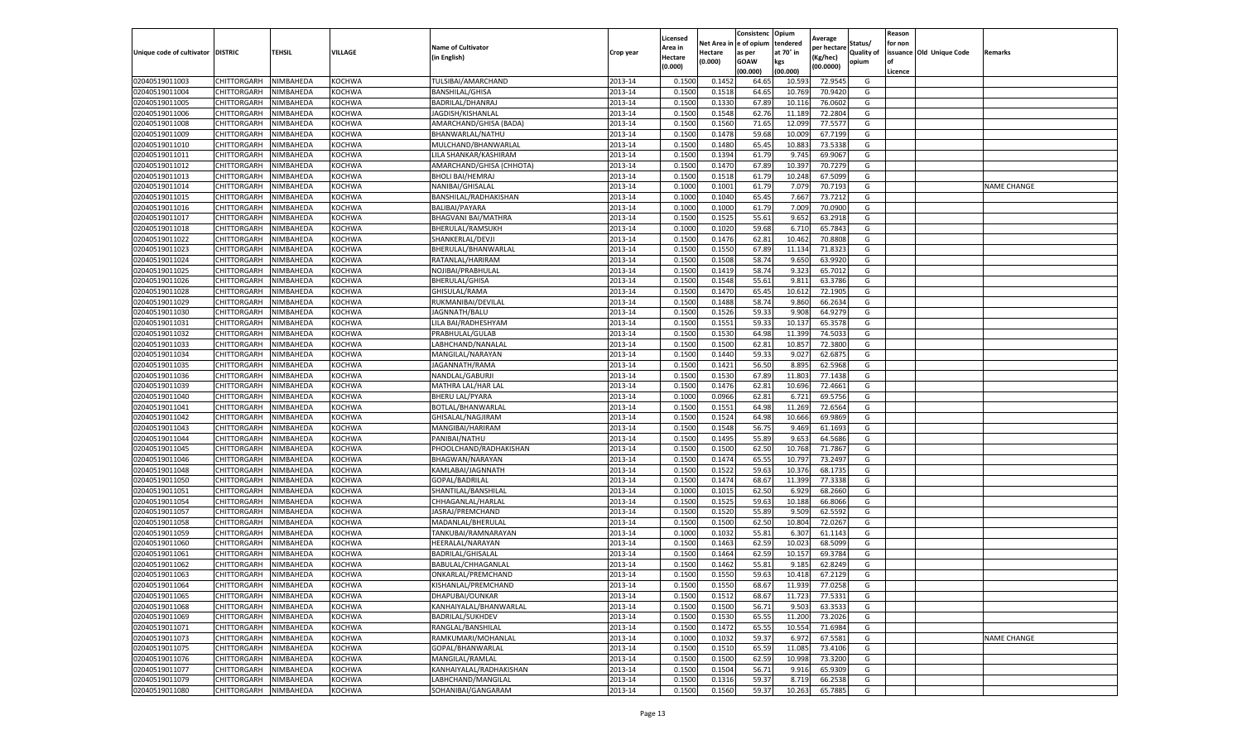|                                   |             |           |               |                           |           | Licensed |            | Consistenc  | Opium     | Average     |                   | Reason  |                          |                    |
|-----------------------------------|-------------|-----------|---------------|---------------------------|-----------|----------|------------|-------------|-----------|-------------|-------------------|---------|--------------------------|--------------------|
|                                   |             |           |               | <b>Name of Cultivator</b> |           | Area in  | Net Area i | e of opium  | tendered  | per hectare | Status/           | for non |                          |                    |
| Unique code of cultivator DISTRIC |             | TEHSIL    | VILLAGE       | (in English)              | Crop year | Hectare  | Hectare    | as per      | at 70° in | (Kg/hec)    | <b>Quality of</b> |         | issuance Old Unique Code | Remarks            |
|                                   |             |           |               |                           |           | (0.000)  | (0.000)    | <b>GOAW</b> | kgs       | (00.0000)   | opium             |         |                          |                    |
|                                   |             |           |               |                           |           |          |            | (00.000     | (00.000)  |             |                   | Licence |                          |                    |
| 02040519011003                    | CHITTORGARH | NIMBAHEDA | <b>KOCHWA</b> | TULSIBAI/AMARCHAND        | 2013-14   | 0.1500   | 0.145      | 64.65       | 10.593    | 72.9545     | G                 |         |                          |                    |
| 02040519011004                    | CHITTORGARH | NIMBAHEDA | KOCHWA        | <b>BANSHILAL/GHISA</b>    | 2013-14   | 0.150    | 0.1518     | 64.65       | 10.769    | 70.9420     | G                 |         |                          |                    |
| 02040519011005                    | CHITTORGARH | NIMBAHEDA | KOCHWA        | BADRILAL/DHANRAJ          | 2013-14   | 0.1500   | 0.1330     | 67.89       | 10.116    | 76.0602     | G                 |         |                          |                    |
| 02040519011006                    | CHITTORGARH | NIMBAHEDA | <b>KOCHWA</b> | JAGDISH/KISHANLAL         | 2013-14   | 0.1500   | 0.1548     | 62.76       | 11.189    | 72.2804     | G                 |         |                          |                    |
| 02040519011008                    | CHITTORGARH | NIMBAHEDA | KOCHWA        | AMARCHAND/GHISA (BADA)    | 2013-14   | 0.1500   | 0.1560     | 71.65       | 12.099    | 77.5577     | G                 |         |                          |                    |
| 02040519011009                    | CHITTORGARH | NIMBAHEDA | KOCHWA        | BHANWARLAL/NATHU          | 2013-14   | 0.1500   | 0.1478     | 59.68       | 10.009    | 67.7199     | G                 |         |                          |                    |
| 02040519011010                    | CHITTORGARH | NIMBAHEDA | KOCHWA        | MULCHAND/BHANWARLAL       | 2013-14   | 0.1500   | 0.1480     | 65.45       | 10.883    | 73.5338     | G                 |         |                          |                    |
| 02040519011011                    | CHITTORGARH | NIMBAHEDA | KOCHWA        | LILA SHANKAR/KASHIRAM     | 2013-14   | 0.1500   | 0.1394     | 61.79       | 9.745     | 69.9067     | G                 |         |                          |                    |
| 02040519011012                    | CHITTORGARH | NIMBAHEDA | KOCHWA        | AMARCHAND/GHISA (CHHOTA)  | 2013-14   | 0.1500   | 0.1470     | 67.89       | 10.397    | 70.7279     | G                 |         |                          |                    |
| 02040519011013                    | CHITTORGARH | NIMBAHEDA | KOCHWA        | <b>BHOLI BAI/HEMRAJ</b>   | 2013-14   | 0.1500   | 0.1518     | 61.79       | 10.248    | 67.5099     | G                 |         |                          |                    |
| 02040519011014                    | CHITTORGARH | NIMBAHEDA | KOCHWA        | NANIBAI/GHISALAL          | 2013-14   | 0.1000   | 0.1001     | 61.79       | 7.079     | 70.7193     | G                 |         |                          | <b>NAME CHANGE</b> |
| 02040519011015                    | CHITTORGARH | NIMBAHEDA | <b>KOCHWA</b> | BANSHILAL/RADHAKISHAN     | 2013-14   | 0.1000   | 0.1040     | 65.45       | 7.667     | 73.7212     | G                 |         |                          |                    |
| 02040519011016                    | CHITTORGARH | NIMBAHEDA | <b>KOCHWA</b> | BALIBAI/PAYARA            | 2013-14   | 0.1000   | 0.1000     | 61.79       | 7.009     | 70.0900     | G                 |         |                          |                    |
| 02040519011017                    | CHITTORGARH | NIMBAHEDA | KOCHWA        | BHAGVANI BAI/MATHRA       | 2013-14   | 0.1500   | 0.1525     | 55.61       | 9.652     | 63.2918     | G                 |         |                          |                    |
| 02040519011018                    | CHITTORGARH | NIMBAHEDA | KOCHWA        | BHERULAL/RAMSUKH          | 2013-14   | 0.1000   | 0.1020     | 59.68       | 6.710     | 65.7843     | G                 |         |                          |                    |
| 02040519011022                    | CHITTORGARH | NIMBAHEDA | <b>KOCHWA</b> | SHANKERLAL/DEVJI          | 2013-14   | 0.1500   | 0.1476     | 62.81       | 10.462    | 70.8808     | G                 |         |                          |                    |
| 02040519011023                    | CHITTORGARH | NIMBAHEDA | KOCHWA        | BHERULAL/BHANWARLAL       | 2013-14   | 0.1500   | 0.1550     | 67.89       | 11.134    | 71.8323     | G                 |         |                          |                    |
| 02040519011024                    | CHITTORGARH | NIMBAHEDA | <b>KOCHWA</b> | RATANLAL/HARIRAM          | 2013-14   | 0.1500   | 0.1508     | 58.74       | 9.650     | 63.9920     | G                 |         |                          |                    |
| 02040519011025                    | CHITTORGARH | NIMBAHEDA | <b>KOCHWA</b> | NOJIBAI/PRABHULAL         | 2013-14   | 0.1500   | 0.1419     | 58.74       | 9.323     | 65.7012     | G                 |         |                          |                    |
| 02040519011026                    | CHITTORGARH | NIMBAHEDA | <b>KOCHWA</b> | BHERULAL/GHISA            | 2013-14   | 0.1500   | 0.1548     | 55.61       | 9.81      | 63.3786     | G                 |         |                          |                    |
| 02040519011028                    | CHITTORGARH | NIMBAHEDA | KOCHWA        | GHISULAL/RAMA             | 2013-14   | 0.1500   | 0.1470     | 65.45       | 10.612    | 72.1905     | G                 |         |                          |                    |
| 02040519011029                    | CHITTORGARH | NIMBAHEDA | KOCHWA        | RUKMANIBAI/DEVILAL        | 2013-14   | 0.1500   | 0.1488     | 58.74       | 9.860     | 66.2634     | G                 |         |                          |                    |
| 02040519011030                    | CHITTORGARH | NIMBAHEDA | KOCHWA        | JAGNNATH/BALU             | 2013-14   | 0.1500   | 0.1526     | 59.33       | 9.908     | 64.9279     | G                 |         |                          |                    |
| 02040519011031                    | CHITTORGARH | NIMBAHEDA | <b>KOCHWA</b> | LILA BAI/RADHESHYAM       | 2013-14   | 0.1500   | 0.1551     | 59.33       | 10.137    | 65.3578     | G                 |         |                          |                    |
| 02040519011032                    | CHITTORGARH | NIMBAHEDA | KOCHWA        | PRABHULAL/GULAB           | 2013-14   | 0.1500   | 0.1530     | 64.98       | 11.399    | 74.503      | G                 |         |                          |                    |
| 02040519011033                    | CHITTORGARH | NIMBAHEDA | KOCHWA        | LABHCHAND/NANALAI         | 2013-14   | 0.1500   | 0.1500     | 62.81       | 10.857    | 72.3800     | G                 |         |                          |                    |
| 02040519011034                    | CHITTORGARH | NIMBAHEDA | KOCHWA        | MANGILAL/NARAYAN          | 2013-14   | 0.1500   | 0.1440     | 59.33       | 9.027     | 62.687      | G                 |         |                          |                    |
| 02040519011035                    | CHITTORGARH | NIMBAHEDA | <b>KOCHWA</b> | JAGANNATH/RAMA            | 2013-14   | 0.1500   | 0.1421     | 56.50       | 8.895     | 62.5968     | G                 |         |                          |                    |
| 02040519011036                    | CHITTORGARH | NIMBAHEDA | KOCHWA        | NANDLAL/GABURJI           | 2013-14   | 0.1500   | 0.1530     | 67.89       | 11.803    | 77.1438     | G                 |         |                          |                    |
| 02040519011039                    | CHITTORGARH | NIMBAHEDA | KOCHWA        | MATHRA LAL/HAR LAL        | 2013-14   | 0.1500   | 0.1476     | 62.81       | 10.696    | 72.4661     | G                 |         |                          |                    |
| 02040519011040                    | CHITTORGARH | NIMBAHEDA | KOCHWA        | <b>BHERU LAL/PYARA</b>    | 2013-14   | 0.1000   | 0.0966     | 62.8        | 6.721     | 69.5756     | G                 |         |                          |                    |
| 02040519011041                    | CHITTORGARH | NIMBAHEDA | KOCHWA        | BOTLAL/BHANWARLAI         | 2013-14   | 0.1500   | 0.1551     | 64.98       | 11.269    | 72.6564     | G                 |         |                          |                    |
| 02040519011042                    | CHITTORGARH | NIMBAHEDA | KOCHWA        | GHISALAL/NAGJIRAM         | 2013-14   | 0.1500   | 0.1524     | 64.98       | 10.666    | 69.9869     | G                 |         |                          |                    |
| 02040519011043                    | CHITTORGARH | NIMBAHEDA | KOCHWA        | MANGIBAI/HARIRAM          | 2013-14   | 0.1500   | 0.1548     | 56.75       | 9.469     | 61.1693     | G                 |         |                          |                    |
| 02040519011044                    | CHITTORGARH | NIMBAHEDA | KOCHWA        | PANIBAI/NATHU             | 2013-14   | 0.1500   | 0.1495     | 55.89       | 9.653     | 64.5686     | G                 |         |                          |                    |
| 02040519011045                    | CHITTORGARH | NIMBAHEDA | KOCHWA        | PHOOLCHAND/RADHAKISHAN    | 2013-14   | 0.1500   | 0.1500     | 62.50       | 10.768    | 71.7867     | G                 |         |                          |                    |
| 02040519011046                    | CHITTORGARH | NIMBAHEDA | KOCHWA        | BHAGWAN/NARAYAN           | 2013-14   | 0.1500   | 0.1474     | 65.55       | 10.797    | 73.2497     | G                 |         |                          |                    |
| 02040519011048                    | CHITTORGARH | NIMBAHEDA | KOCHWA        | KAMLABAI/JAGNNATH         | 2013-14   | 0.1500   | 0.1522     | 59.63       | 10.37     | 68.1735     | G                 |         |                          |                    |
| 02040519011050                    | CHITTORGARH | NIMBAHEDA | KOCHWA        | GOPAL/BADRILAL            | 2013-14   | 0.1500   | 0.1474     | 68.67       | 11.399    | 77.3338     | G                 |         |                          |                    |
| 02040519011051                    | CHITTORGARH | NIMBAHEDA | KOCHWA        | SHANTILAL/BANSHILAL       | 2013-14   | 0.1000   | 0.1015     | 62.50       | 6.929     | 68.2660     | G                 |         |                          |                    |
| 02040519011054                    | CHITTORGARH | NIMBAHEDA | KOCHWA        | CHHAGANLAL/HARLAL         | 2013-14   | 0.1500   | 0.1525     | 59.63       | 10.188    | 66.8066     | G                 |         |                          |                    |
| 02040519011057                    | CHITTORGARH | NIMBAHEDA | KOCHWA        | JASRAJ/PREMCHAND          | 2013-14   | 0.1500   | 0.1520     | 55.89       | 9.509     | 62.5592     | G                 |         |                          |                    |
| 02040519011058                    | CHITTORGARH | NIMBAHEDA | <b>KOCHWA</b> | MADANLAL/BHERULAL         | 2013-14   | 0.1500   | 0.1500     | 62.50       | 10.804    | 72.0267     | G                 |         |                          |                    |
| 02040519011059                    | CHITTORGARH | NIMBAHEDA | KOCHWA        | TANKUBAI/RAMNARAYAN       | 2013-14   | 0.1000   | 0.1032     | 55.81       | 6.307     | 61.1143     | G                 |         |                          |                    |
| 02040519011060                    | CHITTORGARH | NIMBAHEDA | KOCHWA        | HEERALAL/NARAYAN          | 2013-14   | 0.1500   | 0.1463     | 62.59       | 10.023    | 68.5099     | G                 |         |                          |                    |
| 02040519011061                    | CHITTORGARH | NIMBAHEDA | KOCHWA        | BADRILAL/GHISALAL         | 2013-14   | 0.150    | 0.1464     | 62.59       | 10.157    | 69.3784     | G                 |         |                          |                    |
| 02040519011062                    | CHITTORGARH | NIMBAHEDA | <b>KOCHWA</b> | BABULAL/CHHAGANLAL        | 2013-14   | 0.1500   | 0.1462     | 55.81       | 9.185     | 62.8249     | G                 |         |                          |                    |
| 02040519011063                    | CHITTORGARH | NIMBAHEDA | <b>KOCHWA</b> | ONKARLAL/PREMCHAND        | 2013-14   | 0.1500   | 0.1550     | 59.63       | 10.418    | 67.2129     | G                 |         |                          |                    |
| 02040519011064                    | CHITTORGARH | NIMBAHEDA | KOCHWA        | KISHANLAL/PREMCHAND       | 2013-14   | 0.1500   | 0.1550     | 68.67       | 11.939    | 77.0258     | G                 |         |                          |                    |
| 02040519011065                    | CHITTORGARH | NIMBAHEDA | KOCHWA        | DHAPUBAI/OUNKAR           | 2013-14   | 0.1500   | 0.1512     | 68.67       | 11.723    | 77.5331     | G                 |         |                          |                    |
| 02040519011068                    | CHITTORGARH | NIMBAHEDA | KOCHWA        | KANHAIYALAL/BHANWARLAL    | 2013-14   | 0.1500   | 0.1500     | 56.71       | 9.503     | 63.3533     | G                 |         |                          |                    |
| 02040519011069                    | CHITTORGARH | NIMBAHEDA | KOCHWA        | BADRILAL/SUKHDEV          | 2013-14   | 0.1500   | 0.1530     | 65.55       | 11.200    | 73.2026     | G                 |         |                          |                    |
| 02040519011071                    | CHITTORGARH | NIMBAHEDA | KOCHWA        | RANGLAL/BANSHILAL         | 2013-14   | 0.1500   | 0.1472     | 65.55       | 10.554    | 71.6984     | G                 |         |                          |                    |
| 02040519011073                    | CHITTORGARH | NIMBAHEDA | <b>KOCHWA</b> | RAMKUMARI/MOHANLAL        | 2013-14   | 0.1000   | 0.1032     | 59.37       | 6.972     | 67.5581     | G                 |         |                          | <b>NAME CHANGE</b> |
| 02040519011075                    | CHITTORGARH | NIMBAHEDA | KOCHWA        | GOPAL/BHANWARLAL          | 2013-14   | 0.1500   | 0.1510     | 65.59       | 11.085    | 73.4106     | G                 |         |                          |                    |
| 02040519011076                    | CHITTORGARH | NIMBAHEDA | KOCHWA        | MANGILAL/RAMLAL           | 2013-14   | 0.1500   | 0.1500     | 62.59       | 10.998    | 73.3200     | G                 |         |                          |                    |
| 02040519011077                    | CHITTORGARH | NIMBAHEDA | <b>KOCHWA</b> | KANHAIYALAL/RADHAKISHAN   | 2013-14   | 0.1500   | 0.1504     | 56.71       | 9.916     | 65.9309     | G                 |         |                          |                    |
| 02040519011079                    | CHITTORGARH | NIMBAHEDA | KOCHWA        | LABHCHAND/MANGILAL        | 2013-14   | 0.1500   | 0.1316     | 59.37       | 8.719     | 66.2538     | G                 |         |                          |                    |
| 02040519011080                    | CHITTORGARH | NIMBAHEDA | <b>KOCHWA</b> | SOHANIBAI/GANGARAM        | 2013-14   | 0.1500   | 0.1560     | 59.37       | 10.263    | 65.7885     | G                 |         |                          |                    |
|                                   |             |           |               |                           |           |          |            |             |           |             |                   |         |                          |                    |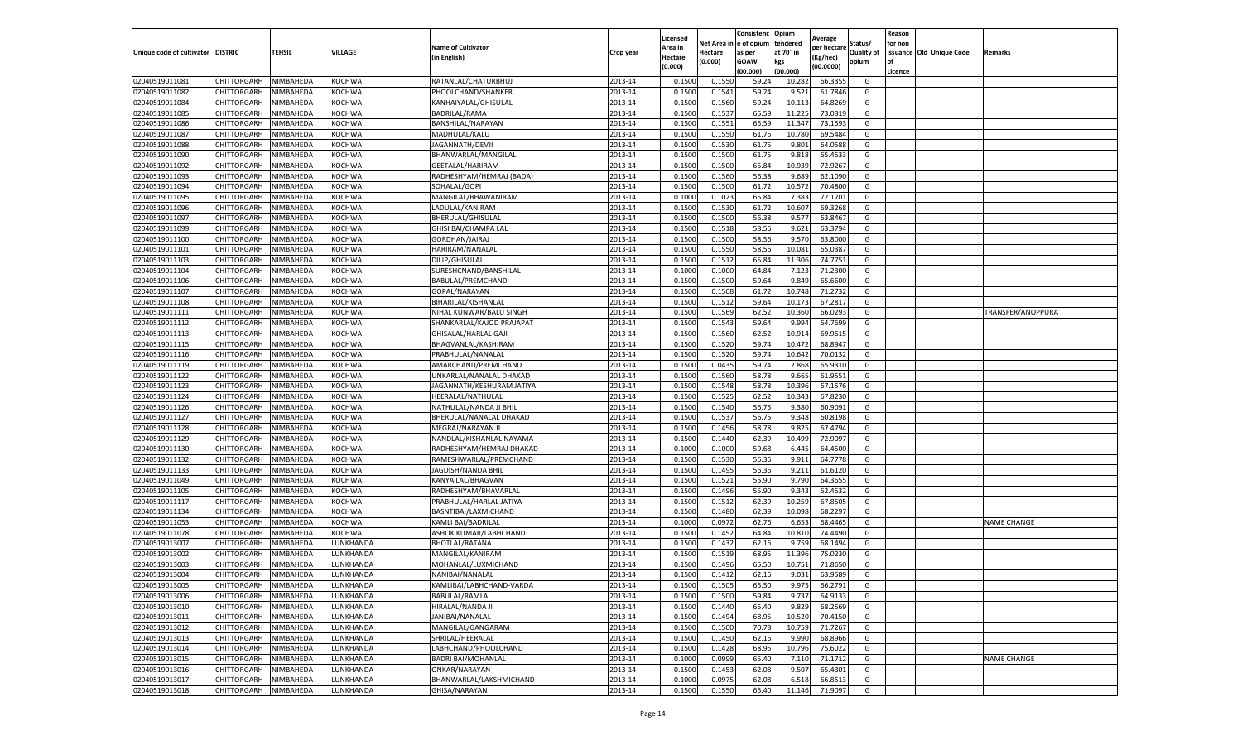|                           |                    |           |           |                           |           | Licensed |         | Consistenc             | Opium     |                        |            | Reason  |                          |                    |
|---------------------------|--------------------|-----------|-----------|---------------------------|-----------|----------|---------|------------------------|-----------|------------------------|------------|---------|--------------------------|--------------------|
|                           |                    |           |           | <b>Name of Cultivator</b> |           | Area in  |         | Net Area in e of opium | tendered  | Average<br>per hectare | Status/    | for non |                          |                    |
| Unique code of cultivator | <b>DISTRIC</b>     | TEHSIL    | VILLAGE   | in English)               | Crop year | Hectare  | Hectare | as per                 | at 70° in | (Kg/hec                | Quality of |         | issuance Old Unique Code | Remarks            |
|                           |                    |           |           |                           |           | (0.000)  | (0.000) | <b>GOAW</b>            | kgs       | (00.0000)              | opium      |         |                          |                    |
|                           |                    |           |           |                           |           |          |         | (00.000)               | (00.000)  |                        |            | Licence |                          |                    |
| 02040519011081            | <b>CHITTORGARH</b> | NIMBAHEDA | KOCHWA    | RATANLAL/CHATURBHUJ       | 2013-14   | 0.1500   | 0.1550  | 59.24                  | 10.28     | 66.3355                | G          |         |                          |                    |
| 02040519011082            | CHITTORGARH        | NIMBAHEDA | KOCHWA    | PHOOLCHAND/SHANKER        | 2013-14   | 0.1500   | 0.1541  | 59.24                  | 9.52      | 61.7846                | G          |         |                          |                    |
| 02040519011084            | CHITTORGARH        | NIMBAHEDA | KOCHWA    | KANHAIYALAL/GHISULAL      | 2013-14   | 0.1500   | 0.1560  | 59.24                  | 10.11     | 64.8269                | G          |         |                          |                    |
| 02040519011085            | CHITTORGARH        | NIMBAHEDA | KOCHWA    | BADRILAL/RAMA             | 2013-14   | 0.1500   | 0.1537  | 65.59                  | 11.225    | 73.0319                | G          |         |                          |                    |
| 02040519011086            | CHITTORGARH        | NIMBAHEDA | KOCHWA    | BANSHILAL/NARAYAN         | 2013-14   | 0.1500   | 0.1551  | 65.59                  | 11.347    | 73.1593                | G          |         |                          |                    |
| 02040519011087            | CHITTORGARH        | NIMBAHEDA | KOCHWA    | MADHULAL/KALU             | 2013-14   | 0.1500   | 0.1550  | 61.75                  | 10.78     | 69.5484                | G          |         |                          |                    |
| 02040519011088            | CHITTORGARH        | NIMBAHEDA | KOCHWA    | JAGANNATH/DEVJI           | 2013-14   | 0.1500   | 0.1530  | 61.75                  | 9.801     | 64.0588                | G          |         |                          |                    |
| 02040519011090            | CHITTORGARH        | NIMBAHEDA | KOCHWA    | BHANWARLAL/MANGILAL       | 2013-14   | 0.1500   | 0.1500  | 61.75                  | 9.81      | 65.453                 | G          |         |                          |                    |
| 02040519011092            | CHITTORGARH        | NIMBAHEDA | KOCHWA    | GEETALAL/HARIRAM          | 2013-14   | 0.1500   | 0.1500  | 65.84                  | 10.939    | 72.9267                | G          |         |                          |                    |
| 02040519011093            | CHITTORGARH        | NIMBAHEDA | KOCHWA    | RADHESHYAM/HEMRAJ (BADA)  | 2013-14   | 0.1500   | 0.1560  | 56.38                  | 9.689     | 62.1090                | G          |         |                          |                    |
| 02040519011094            | CHITTORGARH        | NIMBAHEDA | KOCHWA    | SOHALAL/GOPI              | 2013-14   | 0.1500   | 0.1500  | 61.72                  | 10.57     | 70.4800                | G          |         |                          |                    |
| 02040519011095            | CHITTORGARH        | NIMBAHEDA | KOCHWA    | MANGILAL/BHAWANIRAM       | 2013-14   | 0.1000   | 0.1023  | 65.84                  | 7.38      | 72.1701                | G          |         |                          |                    |
| 02040519011096            | CHITTORGARH        | NIMBAHEDA | KOCHWA    | LADULAL/KANIRAN           | 2013-14   | 0.1500   | 0.1530  | 61.72                  | 10.607    | 69.3268                | G          |         |                          |                    |
| 02040519011097            | CHITTORGARH        | NIMBAHEDA | KOCHWA    | BHERULAL/GHISULAL         | 2013-14   | 0.1500   | 0.1500  | 56.38                  | 9.577     | 63.8467                | G          |         |                          |                    |
| 02040519011099            | CHITTORGARH        | NIMBAHEDA | KOCHWA    | GHISI BAI/CHAMPA LAL      | 2013-14   | 0.1500   | 0.1518  | 58.56                  | 9.621     | 63.3794                | G          |         |                          |                    |
| 02040519011100            | CHITTORGARH        | NIMBAHEDA | KOCHWA    | GORDHAN/JAIRAJ            | 2013-14   | 0.1500   | 0.1500  | 58.56                  | 9.57      | 63.8000                | G          |         |                          |                    |
| 02040519011101            | CHITTORGARH        | NIMBAHEDA | KOCHWA    | HARIRAM/NANALAL           | 2013-14   | 0.1500   | 0.1550  | 58.56                  | 10.081    | 65.0387                | G          |         |                          |                    |
| 02040519011103            | CHITTORGARH        | NIMBAHEDA | KOCHWA    | DILIP/GHISULAL            | 2013-14   | 0.1500   | 0.1512  | 65.84                  | 11.306    | 74.7751                | G          |         |                          |                    |
| 02040519011104            | CHITTORGARH        | NIMBAHEDA | KOCHWA    | SURESHCNAND/BANSHILAL     | 2013-14   | 0.1000   | 0.1000  | 64.84                  | 7.12      | 71.2300                | G          |         |                          |                    |
| 02040519011106            | CHITTORGARH        | NIMBAHEDA | KOCHWA    | BABULAL/PREMCHAND         | 2013-14   | 0.1500   | 0.1500  | 59.64                  | 9.849     | 65.6600                | G          |         |                          |                    |
| 02040519011107            | CHITTORGARH        | NIMBAHEDA | KOCHWA    | GOPAL/NARAYAN             | 2013-14   | 0.1500   | 0.1508  | 61.72                  | 10.748    | 71.2732                | G          |         |                          |                    |
| 02040519011108            | CHITTORGARH        | NIMBAHEDA | KOCHWA    | BIHARILAL/KISHANLAL       | 2013-14   | 0.1500   | 0.1512  | 59.64                  | 10.17     | 67.2817                | G          |         |                          |                    |
| 02040519011111            | CHITTORGARH        | NIMBAHEDA | KOCHWA    | NIHAL KUNWAR/BALU SINGH   | 2013-14   | 0.1500   | 0.1569  | 62.52                  | 10.360    | 66.0293                | G          |         |                          | TRANSFER/ANOPPURA  |
| 02040519011112            | CHITTORGARH        | NIMBAHEDA | KOCHWA    | SHANKARLAL/KAJOD PRAJAPAT | 2013-14   | 0.1500   | 0.1543  | 59.64                  | 9.99      | 64.7699                | G          |         |                          |                    |
| 02040519011113            | CHITTORGARH        | NIMBAHEDA | KOCHWA    | GHISALAL/HARLAL GAJ       | 2013-14   | 0.1500   | 0.1560  | 62.52                  | 10.91     | 69.9615                | G          |         |                          |                    |
| 02040519011115            | CHITTORGARH        | NIMBAHEDA | KOCHWA    | BHAGVANLAL/KASHIRAM       | 2013-14   | 0.1500   | 0.1520  | 59.74                  | 10.47     | 68.8947                | G          |         |                          |                    |
| 02040519011116            | CHITTORGARH        | NIMBAHEDA | KOCHWA    | PRABHULAL/NANALAL         | 2013-14   | 0.1500   | 0.1520  | 59.74                  | 10.64     | 70.0132                | G          |         |                          |                    |
| 02040519011119            | CHITTORGARH        | NIMBAHEDA | KOCHWA    | AMARCHAND/PREMCHAND       | 2013-14   | 0.1500   | 0.0435  | 59.74                  | 2.868     | 65.9310                | G          |         |                          |                    |
| 02040519011122            | CHITTORGARH        | NIMBAHEDA | KOCHWA    | UNKARLAL/NANALAL DHAKAD   | 2013-14   | 0.1500   | 0.1560  | 58.78                  | 9.665     | 61.9551                | G          |         |                          |                    |
| 02040519011123            | CHITTORGARH        | NIMBAHEDA | KOCHWA    | JAGANNATH/KESHURAM JATIYA | 2013-14   | 0.1500   | 0.1548  | 58.78                  | 10.396    | 67.1576                | G          |         |                          |                    |
| 02040519011124            | CHITTORGARH        | NIMBAHEDA | KOCHWA    | HEERALAL/NATHULAI         | 2013-14   | 0.1500   | 0.1525  | 62.52                  | 10.34     | 67.8230                | G          |         |                          |                    |
| 02040519011126            | CHITTORGARH        | NIMBAHEDA | KOCHWA    | NATHULAL/NANDA JI BHIL    | 2013-14   | 0.1500   | 0.1540  | 56.75                  | 9.380     | 60.9091                | G          |         |                          |                    |
| 02040519011127            | CHITTORGARH        | NIMBAHEDA | KOCHWA    | BHERULAL/NANALAL DHAKAD   | 2013-14   | 0.1500   | 0.1537  | 56.75                  | 9.348     | 60.8198                | G          |         |                          |                    |
| 02040519011128            | CHITTORGARH        | NIMBAHEDA | KOCHWA    | MEGRAJ/NARAYAN JI         | 2013-14   | 0.1500   | 0.1456  | 58.78                  | 9.825     | 67.4794                | G          |         |                          |                    |
| 02040519011129            | CHITTORGARH        | NIMBAHEDA | KOCHWA    | NANDLAL/KISHANLAL NAYAMA  | 2013-14   | 0.1500   | 0.1440  | 62.39                  | 10.499    | 72.9097                | G          |         |                          |                    |
| 02040519011130            | CHITTORGARH        | NIMBAHEDA | KOCHWA    | RADHESHYAM/HEMRAJ DHAKAD  | 2013-14   | 0.1000   | 0.1000  | 59.68                  | 6.445     | 64.4500                | G          |         |                          |                    |
| 02040519011132            | CHITTORGARH        | NIMBAHEDA | KOCHWA    | RAMESHWARLAL/PREMCHAND    | 2013-14   | 0.1500   | 0.1530  | 56.36                  | 9.911     | 64.7778                | G          |         |                          |                    |
| 02040519011133            | CHITTORGARH        | NIMBAHEDA | KOCHWA    | JAGDISH/NANDA BHII        | 2013-14   | 0.1500   | 0.1495  | 56.36                  | 9.21      | 61.6120                | G          |         |                          |                    |
| 02040519011049            | CHITTORGARH        | NIMBAHEDA | KOCHWA    | KANYA LAL/BHAGVAN         | 2013-14   | 0.1500   | 0.1521  | 55.90                  | 9.790     | 64.3655                | G          |         |                          |                    |
| 02040519011105            | CHITTORGARH        | NIMBAHEDA | KOCHWA    | RADHESHYAM/BHAVARLAL      | 2013-14   | 0.1500   | 0.1496  | 55.90                  | 9.343     | 62.4532                | G          |         |                          |                    |
| 02040519011117            | CHITTORGARH        | NIMBAHEDA | KOCHWA    | PRABHULAL/HARLAL JATIYA   | 2013-14   | 0.1500   | 0.1512  | 62.39                  | 10.25     | 67.8505                | G          |         |                          |                    |
| 02040519011134            | CHITTORGARH        | NIMBAHEDA | KOCHWA    | BASNTIBAI/LAXMICHAND      | 2013-14   | 0.1500   | 0.1480  | 62.39                  | 10.098    | 68.2297                | G          |         |                          |                    |
| 02040519011053            | CHITTORGARH        | NIMBAHEDA | KOCHWA    | KAMLI BAI/BADRILAL        | 2013-14   | 0.1000   | 0.0972  | 62.76                  | 6.65      | 68.4465                | G          |         |                          | <b>NAME CHANGE</b> |
| 02040519011078            | CHITTORGARH        | NIMBAHEDA | KOCHWA    | ASHOK KUMAR/LABHCHAND     | 2013-14   | 0.1500   | 0.1452  | 64.84                  | 10.81     | 74.4490                | G          |         |                          |                    |
| 02040519013007            | CHITTORGARH        | NIMBAHEDA | LUNKHANDA | BHOTLAL/RATANA            | 2013-14   | 0.1500   | 0.1432  | 62.16                  | 9.759     | 68.149                 | G          |         |                          |                    |
| 02040519013002            | CHITTORGARH        | NIMBAHEDA | LUNKHANDA | MANGILAL/KANIRAM          | 2013-14   | 0.1500   | 0.1519  | 68.95                  | 11.39     | 75.0230                | G          |         |                          |                    |
| 02040519013003            | CHITTORGARH        | NIMBAHEDA | UNKHANDA  | MOHANLAL/LUXMICHAND       | 2013-14   | 0.1500   | 0.1496  | 65.50                  | 10.751    | 71.8650                | G          |         |                          |                    |
| 02040519013004            | CHITTORGARH        | NIMBAHEDA | LUNKHANDA | NANIBAI/NANALAL           | 2013-14   | 0.1500   | 0.1412  | 62.16                  | 9.031     | 63.9589                | G          |         |                          |                    |
| 02040519013005            | CHITTORGARH        | NIMBAHEDA | LUNKHANDA | KAMLIBAI/LABHCHAND-VARDA  | 2013-14   | 0.1500   | 0.1505  | 65.50                  | 9.975     | 66.2791                | G          |         |                          |                    |
| 02040519013006            | CHITTORGARH        | NIMBAHEDA | LUNKHANDA | BABULAL/RAMLAL            | 2013-14   | 0.1500   | 0.1500  | 59.84                  | 9.737     | 64.9133                | G          |         |                          |                    |
| 02040519013010            | CHITTORGARH        | NIMBAHEDA | LUNKHANDA | HIRALAL/NANDA JI          | 2013-14   | 0.1500   | 0.1440  | 65.40                  | 9.829     | 68.2569                | G          |         |                          |                    |
| 02040519013011            | CHITTORGARH        | NIMBAHEDA | LUNKHANDA | JANIBAI/NANALAL           | 2013-14   | 0.1500   | 0.1494  | 68.95                  | 10.520    | 70.4150                | G          |         |                          |                    |
| 02040519013012            | CHITTORGARH        | NIMBAHEDA | LUNKHANDA | MANGILAL/GANGARAM         | 2013-14   | 0.1500   | 0.1500  | 70.78                  | 10.759    | 71.7267                | G          |         |                          |                    |
| 02040519013013            | <b>CHITTORGARH</b> | NIMBAHEDA | LUNKHANDA | SHRILAL/HEERALAL          | 2013-14   | 0.1500   | 0.1450  | 62.16                  | 9.990     | 68.8966                | G          |         |                          |                    |
| 02040519013014            | CHITTORGARH        | NIMBAHEDA | LUNKHANDA | LABHCHAND/PHOOLCHAND      | 2013-14   | 0.1500   | 0.1428  | 68.95                  | 10.796    | 75.6022                | G          |         |                          |                    |
| 02040519013015            | CHITTORGARH        | NIMBAHEDA | LUNKHANDA | <b>BADRI BAI/MOHANLAL</b> | 2013-14   | 0.1000   | 0.0999  | 65.40                  | 7.11      | 71.1712                | G          |         |                          | <b>NAME CHANGE</b> |
| 02040519013016            | CHITTORGARH        | NIMBAHEDA | LUNKHANDA | ONKAR/NARAYAN             | 2013-14   | 0.1500   | 0.1453  | 62.08                  | 9.507     | 65.4301                | G          |         |                          |                    |
| 02040519013017            | CHITTORGARH        | NIMBAHEDA | LUNKHANDA | BHANWARLAL/LAKSHMICHAND   | 2013-14   | 0.1000   | 0.0975  | 62.08                  | 6.518     | 66.8513                | G          |         |                          |                    |
| 02040519013018            | <b>CHITTORGARH</b> | NIMBAHEDA | LUNKHANDA | GHISA/NARAYAN             | 2013-14   | 0.1500   | 0.1550  | 65.40                  | 11.146    | 71.9097                | G          |         |                          |                    |
|                           |                    |           |           |                           |           |          |         |                        |           |                        |            |         |                          |                    |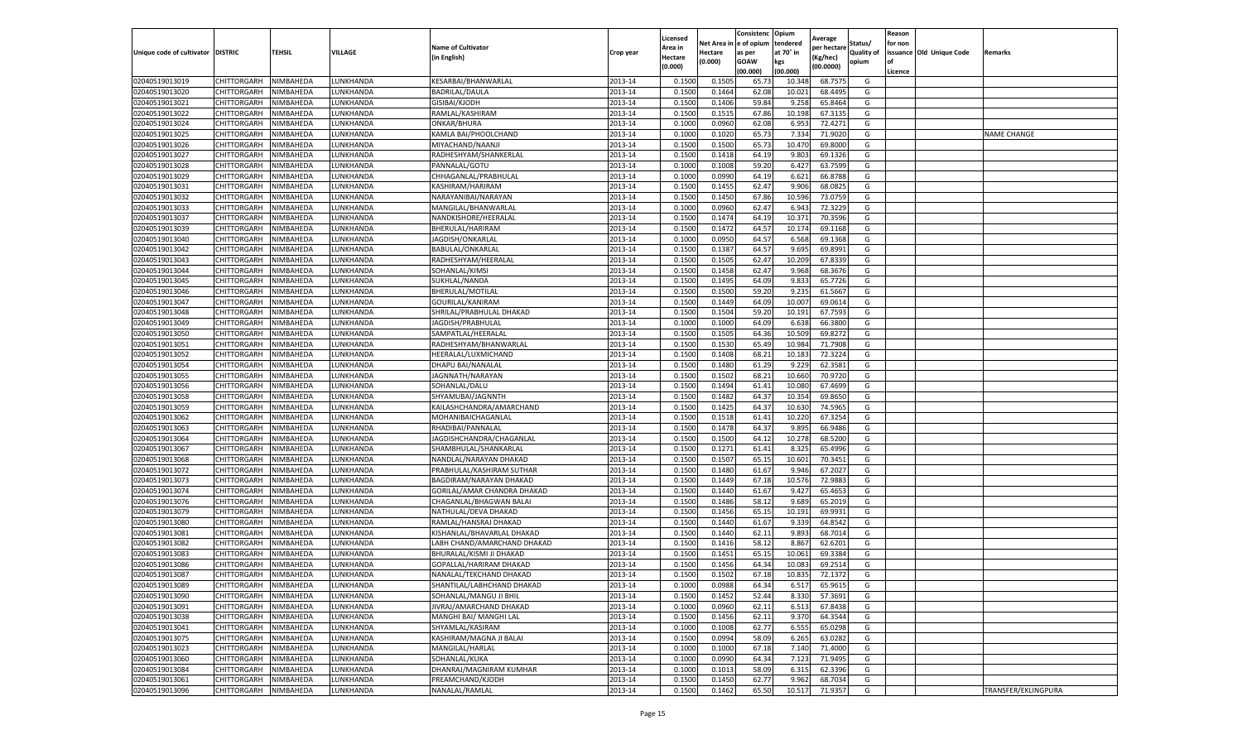|                           |                    |           |                 |                             |           | Licensed |         | Consistenc             | Opium     |                        |                   | Reason  |                          |                     |
|---------------------------|--------------------|-----------|-----------------|-----------------------------|-----------|----------|---------|------------------------|-----------|------------------------|-------------------|---------|--------------------------|---------------------|
|                           |                    |           |                 | <b>Name of Cultivator</b>   |           | Area in  |         | Net Area in e of opium | tendered  | Average<br>per hectare | Status/           | for non |                          |                     |
| Unique code of cultivator | <b>DISTRIC</b>     | TEHSIL    | VILLAGE         | in English)                 | Crop year | Hectare  | Hectare | as per                 | at 70° in | (Kg/hec                | <b>Quality of</b> |         | issuance Old Unique Code | <b>Remarks</b>      |
|                           |                    |           |                 |                             |           | (0.000)  | (0.000) | <b>GOAW</b>            | kgs       | (00.0000)              | opium             |         |                          |                     |
|                           |                    |           |                 |                             |           |          |         | (00.000)               | (00.000)  |                        |                   | Licence |                          |                     |
| 02040519013019            | CHITTORGARH        | NIMBAHEDA | LUNKHANDA       | KESARBAI/BHANWARLAL         | 2013-14   | 0.1500   | 0.1505  | 65.73                  | 10.34     | 68.7575                | G                 |         |                          |                     |
| 02040519013020            | CHITTORGARH        | NIMBAHEDA | LUNKHANDA       | <b>BADRILAL/DAULA</b>       | 2013-14   | 0.1500   | 0.1464  | 62.08                  | 10.02     | 68.4495                | G                 |         |                          |                     |
| 02040519013021            | CHITTORGARH        | NIMBAHEDA | UNKHANDA.       | GISIBAI/KJODH               | 2013-14   | 0.1500   | 0.1406  | 59.84                  | 9.25      | 65.8464                | G                 |         |                          |                     |
| 02040519013022            | CHITTORGARH        | NIMBAHEDA | LUNKHANDA       | RAMLAL/KASHIRAM             | 2013-14   | 0.1500   | 0.1515  | 67.86                  | 10.198    | 67.3135                | G                 |         |                          |                     |
| 02040519013024            | CHITTORGARH        | NIMBAHEDA | LUNKHANDA       | ONKAR/BHURA                 | 2013-14   | 0.1000   | 0.0960  | 62.08                  | 6.953     | 72.4271                | G                 |         |                          |                     |
| 02040519013025            | CHITTORGARH        | NIMBAHEDA | <b>UNKHANDA</b> | KAMLA BAI/PHOOLCHAND        | 2013-14   | 0.1000   | 0.1020  | 65.73                  | 7.334     | 71.9020                | G                 |         |                          | NAME CHANGE         |
| 02040519013026            | CHITTORGARH        | NIMBAHEDA | LUNKHANDA       | MIYACHAND/NAANJI            | 2013-14   | 0.1500   | 0.1500  | 65.73                  | 10.47     | 69.8000                | G                 |         |                          |                     |
| 02040519013027            | CHITTORGARH        | NIMBAHEDA | LUNKHANDA       | RADHESHYAM/SHANKERLAL       | 2013-14   | 0.1500   | 0.1418  | 64.19                  | 9.80      | 69.1326                | G                 |         |                          |                     |
| 02040519013028            | CHITTORGARH        | NIMBAHEDA | LUNKHANDA       | PANNALAL/GOTU               | 2013-14   | 0.1000   | 0.1008  | 59.20                  | 6.427     | 63.7599                | G                 |         |                          |                     |
| 02040519013029            | CHITTORGARH        | NIMBAHEDA | LUNKHANDA       | CHHAGANLAL/PRABHULAL        | 2013-14   | 0.1000   | 0.0990  | 64.19                  | 6.621     | 66.8788                | G                 |         |                          |                     |
| 02040519013031            | CHITTORGARH        | NIMBAHEDA | LUNKHANDA       | KASHIRAM/HARIRAM            | 2013-14   | 0.1500   | 0.1455  | 62.47                  | 9.906     | 68.0825                | G                 |         |                          |                     |
| 02040519013032            | CHITTORGARH        | NIMBAHEDA | UNKHANDA.       | NARAYANIBAI/NARAYAN         | 2013-14   | 0.1500   | 0.1450  | 67.86                  | 10.59     | 73.0759                | G                 |         |                          |                     |
| 02040519013033            | CHITTORGARH        | NIMBAHEDA | LUNKHANDA       | MANGILAL/BHANWARLAI         | 2013-14   | 0.1000   | 0.0960  | 62.47                  | 6.94      | 72.3229                | G                 |         |                          |                     |
| 02040519013037            | CHITTORGARH        | NIMBAHEDA | LUNKHANDA       | NANDKISHORE/HEERALAL        | 2013-14   | 0.1500   | 0.1474  | 64.19                  | 10.37     | 70.3596                | G                 |         |                          |                     |
| 02040519013039            | CHITTORGARH        | NIMBAHEDA | LUNKHANDA       | BHERULAL/HARIRAM            | 2013-14   | 0.1500   | 0.1472  | 64.57                  | 10.17     | 69.1168                | G                 |         |                          |                     |
| 02040519013040            | CHITTORGARH        | NIMBAHEDA | LUNKHANDA       | JAGDISH/ONKARLAL            | 2013-14   | 0.1000   | 0.0950  | 64.57                  | 6.568     | 69.1368                | G                 |         |                          |                     |
| 02040519013042            | CHITTORGARH        | NIMBAHEDA | LUNKHANDA       | BABULAL/ONKARLAL            | 2013-14   | 0.1500   | 0.1387  | 64.57                  | 9.695     | 69.8991                | G                 |         |                          |                     |
| 02040519013043            | CHITTORGARH        | NIMBAHEDA | LUNKHANDA       | RADHESHYAM/HEERALAL         | 2013-14   | 0.1500   | 0.1505  | 62.47                  | 10.209    | 67.8339                | G                 |         |                          |                     |
| 02040519013044            | CHITTORGARH        | NIMBAHEDA | UNKHANDA        | SOHANLAL/KIMSI              | 2013-14   | 0.1500   | 0.1458  | 62.47                  | 9.968     | 68.3676                | G                 |         |                          |                     |
| 02040519013045            | CHITTORGARH        | NIMBAHEDA | UNKHANDA        | SUKHLAL/NANDA               | 2013-14   | 0.1500   | 0.1495  | 64.09                  | 9.83      | 65.7726                | G                 |         |                          |                     |
| 02040519013046            | CHITTORGARH        | NIMBAHEDA | LUNKHANDA       | BHERULAL/MOTILAL            | 2013-14   | 0.1500   | 0.1500  | 59.20                  | 9.235     | 61.5667                | G                 |         |                          |                     |
| 02040519013047            | CHITTORGARH        | NIMBAHEDA | UNKHANDA.       | GOURILAL/KANIRAM            | 2013-14   | 0.1500   | 0.1449  | 64.09                  | 10.007    | 69.0614                | G                 |         |                          |                     |
| 02040519013048            | CHITTORGARH        | NIMBAHEDA | LUNKHANDA       | SHRILAL/PRABHULAL DHAKAD    | 2013-14   | 0.1500   | 0.1504  | 59.20                  | 10.191    | 67.7593                | G                 |         |                          |                     |
| 02040519013049            | CHITTORGARH        | NIMBAHEDA | LUNKHANDA       | JAGDISH/PRABHULAL           | 2013-14   | 0.1000   | 0.1000  | 64.09                  | 6.638     | 66.3800                | G                 |         |                          |                     |
| 02040519013050            | CHITTORGARH        | NIMBAHEDA | UNKHANDA.       | SAMPATLAL/HEERALAL          | 2013-14   | 0.1500   | 0.1505  | 64.36                  | 10.50     | 69.8272                | G                 |         |                          |                     |
| 02040519013051            | CHITTORGARH        | NIMBAHEDA | LUNKHANDA       | RADHESHYAM/BHANWARLAL       | 2013-14   | 0.1500   | 0.1530  | 65.49                  | 10.984    | 71.7908                | G                 |         |                          |                     |
| 02040519013052            | CHITTORGARH        | NIMBAHEDA | LUNKHANDA       | HEERALAL/LUXMICHAND         | 2013-14   | 0.1500   | 0.1408  | 68.21                  | 10.18     | 72.3224                | G                 |         |                          |                     |
| 02040519013054            | CHITTORGARH        | NIMBAHEDA | UNKHANDA.       | DHAPU BAI/NANALAL           | 2013-14   | 0.1500   | 0.1480  | 61.29                  | 9.229     | 62.3581                | G                 |         |                          |                     |
| 02040519013055            | CHITTORGARH        | NIMBAHEDA | LUNKHANDA       | JAGNNATH/NARAYAN            | 2013-14   | 0.1500   | 0.1502  | 68.21                  | 10.660    | 70.9720                | G                 |         |                          |                     |
| 02040519013056            | CHITTORGARH        | NIMBAHEDA | LUNKHANDA       | SOHANLAL/DALU               | 2013-14   | 0.1500   | 0.1494  | 61.41                  | 10.08     | 67.4699                | G                 |         |                          |                     |
| 02040519013058            | CHITTORGARH        | NIMBAHEDA | UNKHANDA.       | SHYAMUBAI/JAGNNTH           | 2013-14   | 0.1500   | 0.1482  | 64.37                  | 10.35     | 69.8650                | G                 |         |                          |                     |
| 02040519013059            | CHITTORGARH        | NIMBAHEDA | LUNKHANDA       | KAILASHCHANDRA/AMARCHAND    | 2013-14   | 0.1500   | 0.1425  | 64.37                  | 10.63     | 74.5965                | G                 |         |                          |                     |
| 02040519013062            | CHITTORGARH        | NIMBAHEDA | LUNKHANDA       | MOHANIBAICHAGANLAL          | 2013-14   | 0.1500   | 0.1518  | 61.41                  | 10.22     | 67.3254                | G                 |         |                          |                     |
| 02040519013063            | CHITTORGARH        | NIMBAHEDA | LUNKHANDA       | RHADIBAI/PANNALAL           | 2013-14   | 0.1500   | 0.1478  | 64.37                  | 9.895     | 66.9486                | G                 |         |                          |                     |
| 02040519013064            | CHITTORGARH        | NIMBAHEDA | LUNKHANDA       | JAGDISHCHANDRA/CHAGANLAL    | 2013-14   | 0.1500   | 0.1500  | 64.12                  | 10.278    | 68.5200                | G                 |         |                          |                     |
| 02040519013067            | CHITTORGARH        | NIMBAHEDA | LUNKHANDA       | SHAMBHULAL/SHANKARLAL       | 2013-14   | 0.1500   | 0.1271  | 61.41                  | 8.325     | 65.4996                | G                 |         |                          |                     |
| 02040519013068            | CHITTORGARH        | NIMBAHEDA | LUNKHANDA       | NANDLAL/NARAYAN DHAKAD      | 2013-14   | 0.1500   | 0.1507  | 65.15                  | 10.601    | 70.3451                | G                 |         |                          |                     |
| 02040519013072            | CHITTORGARH        | NIMBAHEDA | UNKHANDA        | PRABHULAL/KASHIRAM SUTHAR   | 2013-14   | 0.1500   | 0.1480  | 61.67                  | 9.94      | 67.2027                | G                 |         |                          |                     |
| 02040519013073            | CHITTORGARH        | NIMBAHEDA | LUNKHANDA       | BAGDIRAM/NARAYAN DHAKAD     | 2013-14   | 0.1500   | 0.1449  | 67.18                  | 10.57     | 72.9883                | G                 |         |                          |                     |
| 02040519013074            | CHITTORGARH        | NIMBAHEDA | LUNKHANDA       | GORILAL/AMAR CHANDRA DHAKAD | 2013-14   | 0.1500   | 0.1440  | 61.67                  | 9.427     | 65.4653                | G                 |         |                          |                     |
| 02040519013076            | CHITTORGARH        | NIMBAHEDA | UNKHANDA.       | CHAGANLAL/BHAGWAN BALAI     | 2013-14   | 0.1500   | 0.1486  | 58.12                  | 9.689     | 65.2019                | G                 |         |                          |                     |
| 02040519013079            | CHITTORGARH        | NIMBAHEDA | LUNKHANDA       | NATHULAL/DEVA DHAKAD        | 2013-14   | 0.1500   | 0.1456  | 65.15                  | 10.191    | 69.9931                | G                 |         |                          |                     |
| 02040519013080            | CHITTORGARH        | NIMBAHEDA | LUNKHANDA       | RAMLAL/HANSRAJ DHAKAD       | 2013-14   | 0.1500   | 0.1440  | 61.67                  | 9.339     | 64.8542                | G                 |         |                          |                     |
| 02040519013081            | CHITTORGARH        | NIMBAHEDA | LUNKHANDA       | KISHANLAL/BHAVARLAL DHAKAD  | 2013-14   | 0.1500   | 0.1440  | 62.11                  | 9.893     | 68.7014                | G                 |         |                          |                     |
| 02040519013082            | CHITTORGARH        | NIMBAHEDA | LUNKHANDA       | LABH CHAND/AMARCHAND DHAKAD | 2013-14   | 0.1500   | 0.1416  | 58.12                  | 8.867     | 62.6201                | G                 |         |                          |                     |
| 02040519013083            | CHITTORGARH        | NIMBAHEDA | LUNKHANDA       | BHURALAL/KISMI JI DHAKAD    | 2013-14   | 0.1500   | 0.1451  | 65.15                  | 10.061    | 69.3384                | G                 |         |                          |                     |
| 02040519013086            | CHITTORGARH        | NIMBAHEDA | UNKHANDA.       | GOPALLAL/HARIRAM DHAKAD     | 2013-14   | 0.1500   | 0.1456  | 64.34                  | 10.08     | 69.2514                | G                 |         |                          |                     |
| 02040519013087            | CHITTORGARH        | NIMBAHEDA | LUNKHANDA       | NANALAL/TEKCHAND DHAKAD     | 2013-14   | 0.1500   | 0.1502  | 67.18                  | 10.835    | 72.1372                | G                 |         |                          |                     |
| 02040519013089            | CHITTORGARH        | NIMBAHEDA | LUNKHANDA       | SHANTILAL/LABHCHAND DHAKAD  | 2013-14   | 0.1000   | 0.0988  | 64.34                  | 6.517     | 65.9615                | G                 |         |                          |                     |
| 02040519013090            | CHITTORGARH        | NIMBAHEDA | LUNKHANDA       | SOHANLAL/MANGU JI BHIL      | 2013-14   | 0.1500   | 0.1452  | 52.44                  | 8.330     | 57.3691                | G                 |         |                          |                     |
| 02040519013091            | CHITTORGARH        | NIMBAHEDA | LUNKHANDA       | JIVRAJ/AMARCHAND DHAKAD     | 2013-14   | 0.1000   | 0.0960  | 62.11                  | 6.513     | 67.8438                | G                 |         |                          |                     |
| 02040519013038            | CHITTORGARH        | NIMBAHEDA | LUNKHANDA       | MANGHI BAI/ MANGHI LAL      | 2013-14   | 0.1500   | 0.1456  | 62.11                  | 9.370     | 64.3544                | G                 |         |                          |                     |
| 02040519013041            | CHITTORGARH        | NIMBAHEDA | LUNKHANDA       | SHYAMLAL/KASIRAM            | 2013-14   | 0.1000   | 0.1008  | 62.77                  | 6.555     | 65.0298                | G                 |         |                          |                     |
| 02040519013075            | <b>CHITTORGARH</b> | NIMBAHEDA | LUNKHANDA       | KASHIRAM/MAGNA JI BALAI     | 2013-14   | 0.1500   | 0.0994  | 58.09                  | 6.265     | 63.0282                | G                 |         |                          |                     |
| 02040519013023            | CHITTORGARH        | NIMBAHEDA | LUNKHANDA       | MANGILAL/HARLAL             | 2013-14   | 0.1000   | 0.1000  | 67.18                  | 7.140     | 71.4000                | G                 |         |                          |                     |
| 02040519013060            | CHITTORGARH        | NIMBAHEDA | LUNKHANDA       | SOHANLAL/KUKA               | 2013-14   | 0.1000   | 0.0990  | 64.34                  | 7.123     | 71.9495                | G                 |         |                          |                     |
| 02040519013084            | CHITTORGARH        | NIMBAHEDA | LUNKHANDA       | DHANRAJ/MAGNIRAM KUMHAR     | 2013-14   | 0.1000   | 0.1013  | 58.09                  | 6.315     | 62.3396                | G                 |         |                          |                     |
| 02040519013061            | CHITTORGARH        | NIMBAHEDA | LUNKHANDA       | PREAMCHAND/KJODH            | 2013-14   | 0.1500   | 0.1450  | 62.77                  | 9.962     | 68.7034                | G                 |         |                          |                     |
| 02040519013096            | <b>CHITTORGARH</b> | NIMBAHEDA | LUNKHANDA       | NANALAL/RAMLAL              | 2013-14   | 0.1500   | 0.1462  | 65.50                  | 10.517    | 71.9357                | G                 |         |                          | TRANSFER/EKLINGPURA |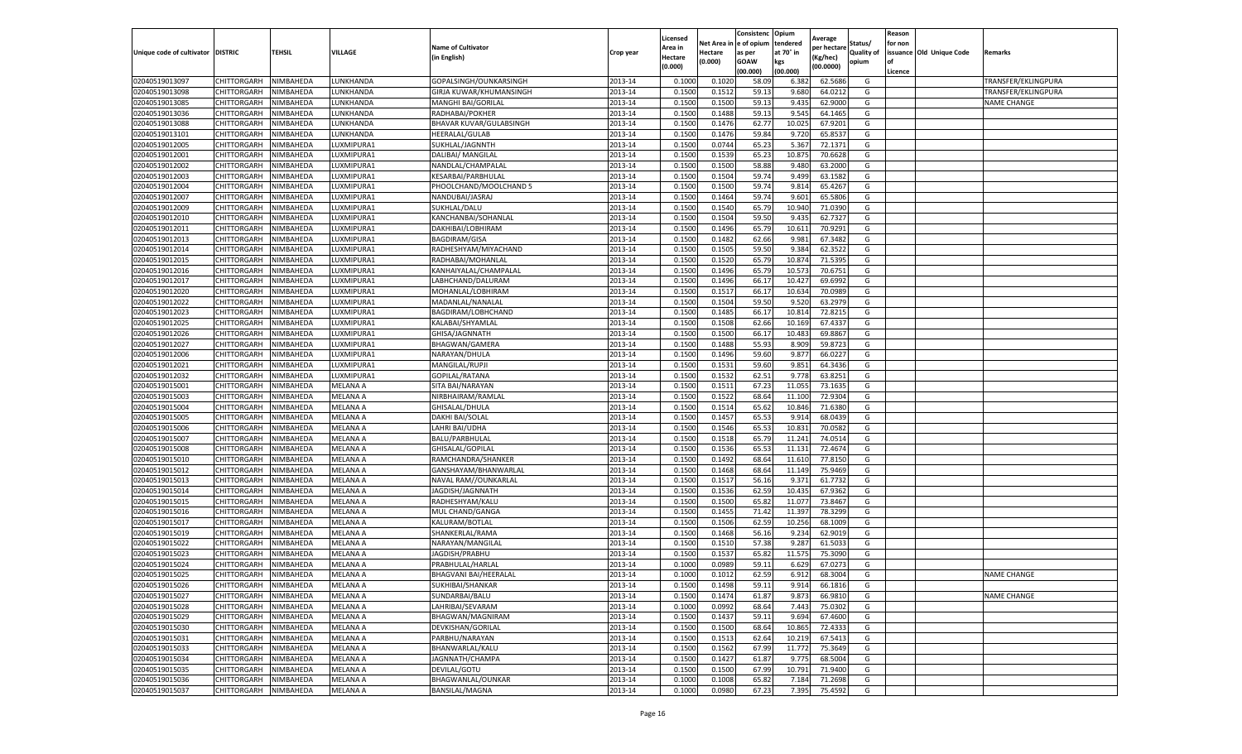|                           |                            |                  |                 |                                 |           | Licensed |         | Consistenc             | Opium     |                        |                   | Reason  |                          |                     |
|---------------------------|----------------------------|------------------|-----------------|---------------------------------|-----------|----------|---------|------------------------|-----------|------------------------|-------------------|---------|--------------------------|---------------------|
|                           |                            |                  |                 | <b>Name of Cultivator</b>       |           | Area in  |         | Net Area in e of opium | tendered  | Average<br>per hectare | Status/           | for non |                          |                     |
| Unique code of cultivator | <b>DISTRIC</b>             | TEHSIL           | VILLAGE         | in English)                     | Crop year | Hectare  | Hectare | as per                 | at 70° in | (Kg/hec                | <b>Quality of</b> |         | issuance Old Unique Code | <b>Remarks</b>      |
|                           |                            |                  |                 |                                 |           | (0.000)  | (0.000) | <b>GOAW</b>            | kgs       | (00.0000)              | opium             |         |                          |                     |
|                           |                            |                  |                 |                                 |           |          |         | (00.000)               | (00.000)  |                        |                   | Licence |                          |                     |
| 02040519013097            | CHITTORGARH                | NIMBAHEDA        | LUNKHANDA       | GOPALSINGH/OUNKARSINGH          | 2013-14   | 0.1000   | 0.1020  | 58.09                  | 6.382     | 62.5686                | G                 |         |                          | TRANSFER/EKLINGPURA |
| 02040519013098            | CHITTORGARH                | NIMBAHEDA        | LUNKHANDA       | GIRJA KUWAR/KHUMANSINGH         | 2013-14   | 0.1500   | 0.1512  | 59.13                  | 9.680     | 64.0212                | G                 |         |                          | TRANSFER/EKLINGPURA |
| 02040519013085            | CHITTORGARH                | NIMBAHEDA        | UNKHANDA.       | MANGHI BAI/GORILAL              | 2013-14   | 0.1500   | 0.1500  | 59.13                  | 9.435     | 62.9000                | G                 |         |                          | <b>NAME CHANGE</b>  |
| 02040519013036            | CHITTORGARH                | NIMBAHEDA        | LUNKHANDA       | RADHABAI/POKHER                 | 2013-14   | 0.1500   | 0.1488  | 59.13                  | 9.545     | 64.1465                | G                 |         |                          |                     |
| 02040519013088            | CHITTORGARH                | NIMBAHEDA        | LUNKHANDA       | BHAVAR KUVAR/GULABSINGH         | 2013-14   | 0.1500   | 0.1476  | 62.77                  | 10.025    | 67.9201                | G                 |         |                          |                     |
| 02040519013101            | CHITTORGARH                | NIMBAHEDA        | UNKHANDA        | <b>HEERALAL/GULAB</b>           | 2013-14   | 0.1500   | 0.1476  | 59.84                  | 9.72      | 65.8537                | G                 |         |                          |                     |
| 02040519012005            | CHITTORGARH                | NIMBAHEDA        | LUXMIPURA1      | SUKHLAL/JAGNNTH                 | 2013-14   | 0.1500   | 0.0744  | 65.23                  | 5.367     | 72.1371                | G                 |         |                          |                     |
| 02040519012001            | CHITTORGARH                | NIMBAHEDA        | LUXMIPURA1      | DALIBAI/ MANGILAL               | 2013-14   | 0.1500   | 0.1539  | 65.23                  | 10.875    | 70.6628                | G                 |         |                          |                     |
| 02040519012002            | CHITTORGARH                | NIMBAHEDA        | LUXMIPURA1      | NANDLAL/CHAMPALAI               | 2013-14   | 0.1500   | 0.1500  | 58.88                  | 9.480     | 63.2000                | G                 |         |                          |                     |
| 02040519012003            | CHITTORGARH                | NIMBAHEDA        | LUXMIPURA1      | KESARBAI/PARBHULAL              | 2013-14   | 0.1500   | 0.1504  | 59.74                  | 9.499     | 63.1582                | G                 |         |                          |                     |
| 02040519012004            | CHITTORGARH                | NIMBAHEDA        | LUXMIPURA1      | PHOOLCHAND/MOOLCHAND 5          | 2013-14   | 0.1500   | 0.1500  | 59.74                  | 9.81      | 65.4267                | G                 |         |                          |                     |
| 02040519012007            | CHITTORGARH                | NIMBAHEDA        | LUXMIPURA1      | NANDUBAI/JASRAJ                 | 2013-14   | 0.1500   | 0.1464  | 59.74                  | 9.601     | 65.5806                | G                 |         |                          |                     |
| 02040519012009            | CHITTORGARH                | NIMBAHEDA        | LUXMIPURA1      | SUKHLAL/DALU                    | 2013-14   | 0.1500   | 0.1540  | 65.79                  | 10.94     | 71.0390                | G                 |         |                          |                     |
| 02040519012010            | CHITTORGARH                | NIMBAHEDA        | LUXMIPURA1      | KANCHANBAI/SOHANLAL             | 2013-14   | 0.1500   | 0.1504  | 59.50                  | 9.435     | 62.7327                | G                 |         |                          |                     |
| 02040519012011            | CHITTORGARH                | NIMBAHEDA        | LUXMIPURA1      | DAKHIBAI/LOBHIRAM               | 2013-14   | 0.1500   | 0.1496  | 65.79                  | 10.61     | 70.9291                | G                 |         |                          |                     |
| 02040519012013            | CHITTORGARH                | NIMBAHEDA        | LUXMIPURA1      | <b>BAGDIRAM/GISA</b>            | 2013-14   | 0.1500   | 0.1482  | 62.66                  | 9.981     | 67.3482                | G                 |         |                          |                     |
| 02040519012014            | CHITTORGARH                | NIMBAHEDA        | LUXMIPURA1      | RADHESHYAM/MIYACHAND            | 2013-14   | 0.1500   | 0.1505  | 59.50                  | 9.384     | 62.3522                | G                 |         |                          |                     |
| 02040519012015            | CHITTORGARH                | NIMBAHEDA        | LUXMIPURA1      | RADHABAI/MOHANLAI               | 2013-14   | 0.1500   | 0.1520  | 65.79                  | 10.87     | 71.5395                | G                 |         |                          |                     |
| 02040519012016            | CHITTORGARH                | NIMBAHEDA        | LUXMIPURA1      | KANHAIYALAL/CHAMPALAL           | 2013-14   | 0.1500   | 0.1496  | 65.79                  | 10.57     | 70.6751                | G                 |         |                          |                     |
| 02040519012017            | CHITTORGARH                | NIMBAHEDA        | LUXMIPURA1      | LABHCHAND/DALURAM               | 2013-14   | 0.1500   | 0.1496  | 66.17                  | 10.427    | 69.6992                | G                 |         |                          |                     |
| 02040519012020            | CHITTORGARH                | NIMBAHEDA        | LUXMIPURA1      | MOHANLAL/LOBHIRAM               | 2013-14   | 0.1500   | 0.1517  | 66.17                  | 10.634    | 70.0989                | G                 |         |                          |                     |
| 02040519012022            | CHITTORGARH                | NIMBAHEDA        | UXMIPURA1       | MADANLAL/NANALAL                | 2013-14   | 0.1500   | 0.1504  | 59.50                  | 9.52      | 63.2979                | G                 |         |                          |                     |
| 02040519012023            | CHITTORGARH                | NIMBAHEDA        | LUXMIPURA1      | BAGDIRAM/LOBHCHAND              | 2013-14   | 0.1500   | 0.1485  | 66.17                  | 10.814    | 72.8215                | G                 |         |                          |                     |
| 02040519012025            | CHITTORGARH                | NIMBAHEDA        | LUXMIPURA1      | KALABAI/SHYAMLAL                | 2013-14   | 0.1500   | 0.1508  | 62.66                  | 10.169    | 67.4337                | G                 |         |                          |                     |
| 02040519012026            | CHITTORGARH                | NIMBAHEDA        | LUXMIPURA1      | GHISA/JAGNNATH                  | 2013-14   | 0.1500   | 0.1500  | 66.1                   | 10.48     | 69.8867                | G                 |         |                          |                     |
| 02040519012027            | CHITTORGARH                | NIMBAHEDA        | LUXMIPURA1      | BHAGWAN/GAMERA                  | 2013-14   | 0.1500   | 0.1488  | 55.93                  | 8.909     | 59.8723                | G                 |         |                          |                     |
|                           |                            |                  |                 |                                 |           |          |         |                        |           |                        |                   |         |                          |                     |
| 02040519012006            | CHITTORGARH<br>CHITTORGARH | NIMBAHEDA        | LUXMIPURA1      | NARAYAN/DHULA<br>MANGILAL/RUPJI | 2013-14   | 0.1500   | 0.1496  | 59.60                  | 9.877     | 66.0227<br>64.3436     | G                 |         |                          |                     |
| 02040519012021            |                            | NIMBAHEDA        | UXMIPURA1       |                                 | 2013-14   | 0.1500   | 0.1531  | 59.60                  | 9.851     |                        | G                 |         |                          |                     |
| 02040519012032            | CHITTORGARH                | NIMBAHEDA        | LUXMIPURA1      | GOPILAL/RATANA                  | 2013-14   | 0.1500   | 0.1532  | 62.51                  | 9.778     | 63.8251                | G                 |         |                          |                     |
| 02040519015001            | CHITTORGARH                | NIMBAHEDA        | MELANA A        | SITA BAI/NARAYAN                | 2013-14   | 0.1500   | 0.1511  | 67.23                  | 11.055    | 73.1635                | G                 |         |                          |                     |
| 02040519015003            | CHITTORGARH                | NIMBAHEDA        | MELANA A        | NIRBHAIRAM/RAMLAL               | 2013-14   | 0.1500   | 0.1522  | 68.64                  | 11.10     | 72.9304                | G                 |         |                          |                     |
| 02040519015004            | CHITTORGARH                | NIMBAHEDA        | MELANA A        | GHISALAL/DHULA                  | 2013-14   | 0.1500   | 0.1514  | 65.62                  | 10.846    | 71.6380                | G                 |         |                          |                     |
| 02040519015005            | CHITTORGARH                | NIMBAHEDA        | MELANA A        | DAKHI BAI/SOLAL                 | 2013-14   | 0.1500   | 0.1457  | 65.53                  | 9.91      | 68.0439                | G                 |         |                          |                     |
| 02040519015006            | CHITTORGARH                | NIMBAHEDA        | MELANA A        | LAHRI BAI/UDHA                  | 2013-14   | 0.1500   | 0.1546  | 65.53                  | 10.831    | 70.0582                | G                 |         |                          |                     |
| 02040519015007            | CHITTORGARH                | NIMBAHEDA        | MELANA A        | BALU/PARBHULAL                  | 2013-14   | 0.1500   | 0.1518  | 65.79                  | 11.241    | 74.0514                | G                 |         |                          |                     |
| 02040519015008            | CHITTORGARH                | NIMBAHEDA        | MELANA A        | GHISALAL/GOPILAL                | 2013-14   | 0.1500   | 0.1536  | 65.53                  | 11.131    | 72.4674                | G                 |         |                          |                     |
| 02040519015010            | CHITTORGARH                | NIMBAHEDA        | MELANA A        | RAMCHANDRA/SHANKER              | 2013-14   | 0.1500   | 0.1492  | 68.64                  | 11.61     | 77.8150                | G                 |         |                          |                     |
| 02040519015012            | CHITTORGARH                | NIMBAHEDA        | MELANA A        | GANSHAYAM/BHANWARLAL            | 2013-14   | 0.1500   | 0.1468  | 68.64                  | 11.14     | 75.9469                | G                 |         |                          |                     |
| 02040519015013            | CHITTORGARH                | NIMBAHEDA        | MELANA A        | NAVAL RAM//OUNKARLAL            | 2013-14   | 0.1500   | 0.1517  | 56.16                  | 9.371     | 61.7732                | G                 |         |                          |                     |
| 02040519015014            | CHITTORGARH                | NIMBAHEDA        | MELANA A        | JAGDISH/JAGNNATH                | 2013-14   | 0.1500   | 0.1536  | 62.59                  | 10.435    | 67.9362                | G                 |         |                          |                     |
| 02040519015015            | CHITTORGARH                | NIMBAHEDA        | MELANA A        | RADHESHYAM/KALU                 | 2013-14   | 0.1500   | 0.1500  | 65.82                  | 11.07     | 73.8467                | G                 |         |                          |                     |
| 02040519015016            | CHITTORGARH                | NIMBAHEDA        | MELANA A        | MUL CHAND/GANGA                 | 2013-14   | 0.1500   | 0.1455  | 71.42                  | 11.397    | 78.3299                | G                 |         |                          |                     |
| 02040519015017            | CHITTORGARH                | NIMBAHEDA        | MELANA A        | KALURAM/BOTLAL                  | 2013-14   | 0.1500   | 0.1506  | 62.59                  | 10.25     | 68.1009                | G                 |         |                          |                     |
| 02040519015019            | CHITTORGARH                | NIMBAHEDA        | MELANA A        | SHANKERLAL/RAMA                 | 2013-14   | 0.1500   | 0.1468  | 56.16                  | 9.234     | 62.9019                | G                 |         |                          |                     |
| 02040519015022            | <b>CHITTORGARH</b>         | NIMBAHEDA        | MELANA A        | NARAYAN/MANGILAL                | 2013-14   | 0.1500   | 0.1510  | 57.38                  | 9.287     | 61.5033                | G                 |         |                          |                     |
| 02040519015023            | CHITTORGARH                | NIMBAHEDA        | MELANA A        | JAGDISH/PRABHU                  | 2013-14   | 0.1500   | 0.1537  | 65.82                  | 11.575    | 75.3090                | G                 |         |                          |                     |
| 02040519015024            | CHITTORGARH                | NIMBAHEDA        | MELANA A        | PRABHULAL/HARLAL                | 2013-14   | 0.1000   | 0.0989  | 59.11                  | 6.629     | 67.0273                | G                 |         |                          |                     |
| 02040519015025            | CHITTORGARH                | NIMBAHEDA        | MELANA A        | BHAGVANI BAI/HEERALAL           | 2013-14   | 0.1000   | 0.1012  | 62.59                  | 6.912     | 68.3004                | G                 |         |                          | <b>NAME CHANGE</b>  |
| 02040519015026            | CHITTORGARH                | NIMBAHEDA        | <b>MELANA A</b> | SUKHIBAI/SHANKAR                | 2013-14   | 0.1500   | 0.1498  | 59.11                  | 9.914     | 66.1816                | G                 |         |                          |                     |
| 02040519015027            | CHITTORGARH                | NIMBAHEDA        | MELANA A        | SUNDARBAI/BALU                  | 2013-14   | 0.1500   | 0.1474  | 61.87                  | 9.873     | 66.9810                | G                 |         |                          | <b>NAME CHANGE</b>  |
| 02040519015028            | <b>CHITTORGARH</b>         | NIMBAHEDA        | MELANA A        | LAHRIBAI/SEVARAM                | 2013-14   | 0.1000   | 0.0992  | 68.64                  | 7.443     | 75.0302                | G                 |         |                          |                     |
| 02040519015029            | <b>CHITTORGARH</b>         | NIMBAHEDA        | MELANA A        | BHAGWAN/MAGNIRAM                | 2013-14   | 0.1500   | 0.1437  | 59.11                  | 9.694     | 67.4600                | G                 |         |                          |                     |
| 02040519015030            | <b>CHITTORGARH</b>         | <b>NIMBAHEDA</b> | MELANA A        | DEVKISHAN/GORILAL               | 2013-14   | 0.1500   | 0.1500  | 68.64                  | 10.865    | 72.4333                | G                 |         |                          |                     |
| 02040519015031            | <b>CHITTORGARH</b>         | NIMBAHEDA        | <b>MELANA A</b> | PARBHU/NARAYAN                  | 2013-14   | 0.1500   | 0.1513  | 62.64                  | 10.219    | 67.5413                | G                 |         |                          |                     |
| 02040519015033            | CHITTORGARH                | NIMBAHEDA        | MELANA A        | BHANWARLAL/KALU                 | 2013-14   | 0.1500   | 0.1562  | 67.99                  | 11.772    | 75.3649                | G                 |         |                          |                     |
| 02040519015034            | <b>CHITTORGARH</b>         | NIMBAHEDA        | MELANA A        | JAGNNATH/CHAMPA                 | 2013-14   | 0.1500   | 0.1427  | 61.87                  | 9.775     | 68.5004                | G                 |         |                          |                     |
| 02040519015035            | CHITTORGARH                | NIMBAHEDA        | <b>MELANA A</b> | DEVILAL/GOTU                    | 2013-14   | 0.1500   | 0.1500  | 67.99                  | 10.791    | 71.9400                | G                 |         |                          |                     |
| 02040519015036            | <b>CHITTORGARH</b>         | NIMBAHEDA        | MELANA A        | BHAGWANLAL/OUNKAR               | 2013-14   | 0.1000   | 0.1008  | 65.82                  | 7.184     | 71.2698                | G                 |         |                          |                     |
| 02040519015037            | <b>CHITTORGARH</b>         | NIMBAHEDA        | MELANA A        | BANSILAL/MAGNA                  | 2013-14   | 0.1000   | 0.0980  | 67.23                  | 7.395     | 75.4592                | G                 |         |                          |                     |
|                           |                            |                  |                 |                                 |           |          |         |                        |           |                        |                   |         |                          |                     |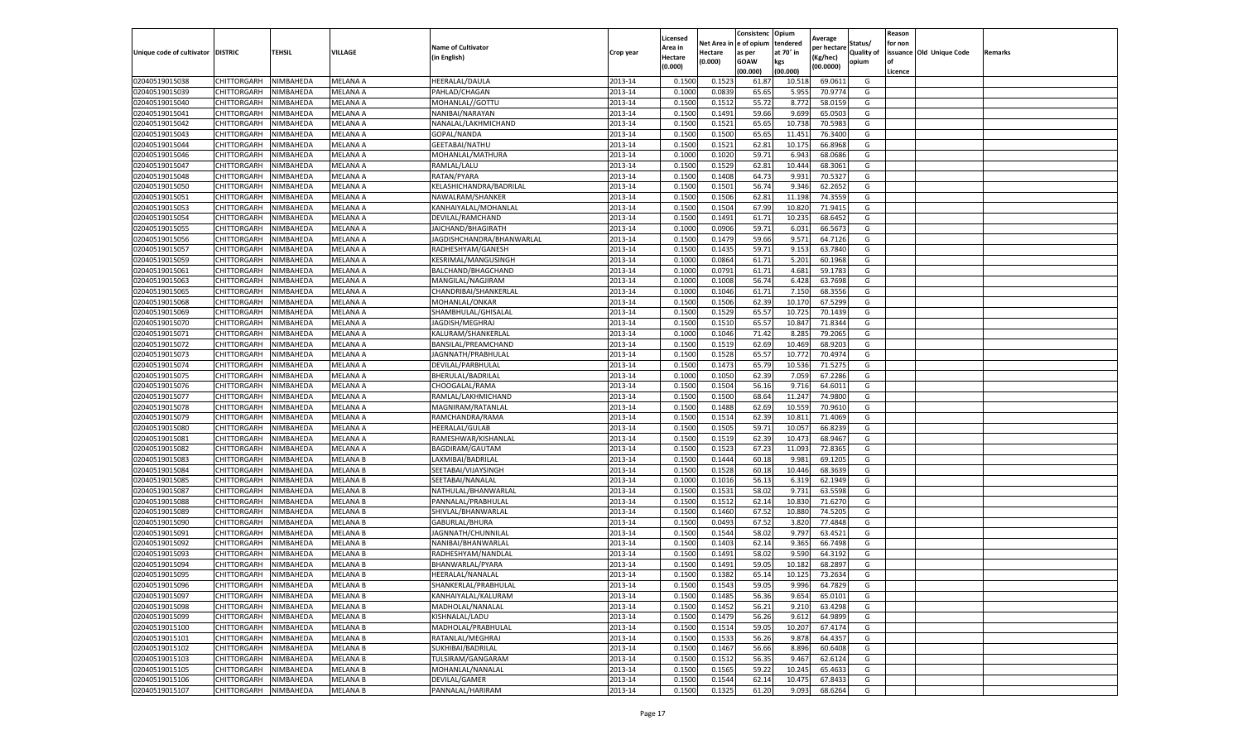|                                   |                            |                        |                             |                                             |                    |                     |                  | Consistenc             | Opium          |                        |                   | Reason  |                          |                |
|-----------------------------------|----------------------------|------------------------|-----------------------------|---------------------------------------------|--------------------|---------------------|------------------|------------------------|----------------|------------------------|-------------------|---------|--------------------------|----------------|
|                                   |                            |                        |                             | <b>Name of Cultivator</b>                   |                    | Licensed<br>Area in |                  | Net Area in e of opium | tendered       | Average<br>per hectare | Status/           | for non |                          |                |
| Unique code of cultivator DISTRIC |                            | TEHSIL                 | VILLAGE                     | in English)                                 | Crop year          | Hectare             | Hectare          | as per                 | at 70° in      | (Kg/hec                | <b>Quality of</b> |         | issuance Old Unique Code | <b>Remarks</b> |
|                                   |                            |                        |                             |                                             |                    | (0.000)             | (0.000)          | <b>GOAW</b>            | kgs            | (00.0000)              | opium             |         |                          |                |
|                                   |                            |                        |                             |                                             |                    |                     |                  | (00.000)               | (00.000)       |                        |                   | Licence |                          |                |
| 02040519015038                    | CHITTORGARH                | NIMBAHEDA              | MELANA A                    | HEERALAL/DAULA                              | 2013-14            | 0.1500              | 0.1523           | 61.87                  | 10.51          | 69.0611                | G                 |         |                          |                |
| 02040519015039                    | CHITTORGARH                | NIMBAHEDA              | MELANA A                    | PAHLAD/CHAGAN                               | 2013-14            | 0.1000              | 0.0839           | 65.65                  | 5.955          | 70.9774                | G                 |         |                          |                |
| 02040519015040                    | CHITTORGARH                | NIMBAHEDA              | MELANA A                    | MOHANLAL//GOTTU                             | 2013-14            | 0.1500              | 0.1512           | 55.72                  | 8.772          | 58.0159                | G                 |         |                          |                |
| 02040519015041                    | CHITTORGARH                | NIMBAHEDA              | MELANA A                    | NANIBAI/NARAYAN                             | 2013-14            | 0.1500              | 0.1491           | 59.66                  | 9.699          | 65.0503                | G                 |         |                          |                |
| 02040519015042                    | CHITTORGARH                | NIMBAHEDA              | MELANA A                    | NANALAL/LAKHMICHAND                         | 2013-14            | 0.1500              | 0.1521           | 65.65                  | 10.73          | 70.5983                | G                 |         |                          |                |
| 02040519015043                    | CHITTORGARH                | NIMBAHEDA              | MELANA A                    | GOPAL/NANDA                                 | 2013-14            | 0.1500              | 0.1500           | 65.65                  | 11.45          | 76.3400                | G                 |         |                          |                |
| 02040519015044                    | CHITTORGARH                | NIMBAHEDA              | MELANA A                    | GEETABAI/NATHU                              | 2013-14            | 0.1500              | 0.1521           | 62.81                  | 10.175         | 66.8968                | G                 |         |                          |                |
| 02040519015046                    | CHITTORGARH                | NIMBAHEDA              | MELANA A                    | MOHANLAL/MATHURA                            | 2013-14            | 0.1000              | 0.1020           | 59.71                  | 6.943          | 68.0686                | G                 |         |                          |                |
| 02040519015047                    | CHITTORGARH                | NIMBAHEDA              | MELANA A                    | RAMLAL/LALU                                 | 2013-14            | 0.1500              | 0.1529           | 62.81                  | 10.444         | 68.3061                | G                 |         |                          |                |
| 02040519015048                    | CHITTORGARH                | NIMBAHEDA              | MELANA A                    | RATAN/PYARA                                 | 2013-14            | 0.1500              | 0.1408           | 64.73                  | 9.931          | 70.5327                | G                 |         |                          |                |
| 02040519015050                    | CHITTORGARH                | NIMBAHEDA              | MELANA A                    | KELASHICHANDRA/BADRILAL                     | 2013-14            | 0.1500              | 0.1501           | 56.74                  | 9.346          | 62.2652                | G                 |         |                          |                |
| 02040519015051                    | CHITTORGARH                | NIMBAHEDA              | MELANA A                    | NAWALRAM/SHANKER                            | 2013-14            | 0.1500              | 0.1506           | 62.81                  | 11.19          | 74.3559                | G                 |         |                          |                |
| 02040519015053                    | CHITTORGARH                | NIMBAHEDA              | MELANA A                    | KANHAIYALAL/MOHANLAI                        | 2013-14            | 0.1500              | 0.1504           | 67.99                  | 10.82          | 71.9415                | G                 |         |                          |                |
| 02040519015054                    | CHITTORGARH                | NIMBAHEDA              | MELANA A                    | DEVILAL/RAMCHAND                            | 2013-14            | 0.1500              | 0.1491           | 61.71                  | 10.23          | 68.6452                | G                 |         |                          |                |
| 02040519015055                    | CHITTORGARH                | NIMBAHEDA              | MELANA A                    | JAICHAND/BHAGIRATH                          | 2013-14            | 0.1000              | 0.0906           | 59.71                  | 6.031          | 66.567                 | G                 |         |                          |                |
| 02040519015056                    | CHITTORGARH                | NIMBAHEDA              | MELANA A                    | JAGDISHCHANDRA/BHANWARLAL                   | 2013-14            | 0.1500              | 0.1479           | 59.66                  | 9.571          | 64.7126                | G                 |         |                          |                |
| 02040519015057                    | CHITTORGARH                | NIMBAHEDA              | MELANA A                    | RADHESHYAM/GANESH                           | 2013-14            | 0.1500              | 0.1435           | 59.71                  | 9.153          | 63.7840                | G                 |         |                          |                |
| 02040519015059                    | CHITTORGARH                | NIMBAHEDA              | MELANA A                    | KESRIMAL/MANGUSINGH                         | 2013-14            | 0.1000              | 0.0864           | 61.71                  | 5.201          | 60.1968                | G                 |         |                          |                |
| 02040519015061                    | CHITTORGARH                | NIMBAHEDA              | MELANA A                    | BALCHAND/BHAGCHAND                          | 2013-14            | 0.1000              | 0.0791           | 61.71                  | 4.681          | 59.178                 | G                 |         |                          |                |
| 02040519015063                    | CHITTORGARH                | NIMBAHEDA              | MELANA A                    | MANGILAL/NAGJIRAM                           | 2013-14            | 0.1000              | 0.1008           | 56.74                  | 6.428          | 63.7698                | G                 |         |                          |                |
| 02040519015065                    | CHITTORGARH                | NIMBAHEDA              | MELANA A                    | CHANDRIBAI/SHANKERLAL                       | 2013-14            | 0.1000              | 0.1046           | 61.71                  | 7.150          | 68.3556                | G                 |         |                          |                |
| 02040519015068                    | CHITTORGARH                | NIMBAHEDA              | MELANA A                    | MOHANLAL/ONKAR                              | 2013-14            | 0.1500              | 0.1506           | 62.39                  | 10.17          | 67.5299                | G                 |         |                          |                |
| 02040519015069                    | CHITTORGARH                | NIMBAHEDA              | MELANA A                    | SHAMBHULAL/GHISALAL                         | 2013-14            | 0.1500              | 0.1529           | 65.57                  | 10.725         | 70.1439                | G                 |         |                          |                |
| 02040519015070                    | CHITTORGARH                | NIMBAHEDA              | MELANA A                    | JAGDISH/MEGHRAJ                             | 2013-14            | 0.1500              | 0.1510           | 65.57                  | 10.84          | 71.8344                | G                 |         |                          |                |
| 02040519015071                    | CHITTORGARH                | NIMBAHEDA              | MELANA A                    | KALURAM/SHANKERLAL                          | 2013-14            | 0.1000              | 0.1046           | 71.42                  | 8.285          | 79.2065                | G                 |         |                          |                |
| 02040519015072                    | CHITTORGARH                | NIMBAHEDA              | MELANA A                    | BANSILAL/PREAMCHAND                         | 2013-14            | 0.1500              | 0.1519           | 62.69                  | 10.469         | 68.9203                | G                 |         |                          |                |
| 02040519015073                    | CHITTORGARH                | NIMBAHEDA              | MELANA A                    | JAGNNATH/PRABHULAL                          | 2013-14            | 0.1500              | 0.1528           | 65.57                  | 10.772         | 70.4974                | G                 |         |                          |                |
| 02040519015074                    | CHITTORGARH                | NIMBAHEDA              | MELANA A                    | DEVILAL/PARBHULAL                           | 2013-14            | 0.1500              | 0.1473           | 65.79                  | 10.536         | 71.5275                | G                 |         |                          |                |
| 02040519015075                    | CHITTORGARH                | NIMBAHEDA              | MELANA A                    | BHERULAL/BADRILAL                           | 2013-14            | 0.1000              | 0.1050           | 62.39                  | 7.059          | 67.2286                | G                 |         |                          |                |
| 02040519015076                    | CHITTORGARH                | NIMBAHEDA              | MELANA A                    | CHOOGALAL/RAMA                              | 2013-14            | 0.1500              | 0.1504           | 56.16                  | 9.71           | 64.6011                | G                 |         |                          |                |
| 02040519015077                    | CHITTORGARH                | NIMBAHEDA              | MELANA A                    | RAMLAL/LAKHMICHAND                          | 2013-14            | 0.1500              | 0.1500           | 68.64                  | 11.24          | 74.9800                | G                 |         |                          |                |
| 02040519015078                    | CHITTORGARH                | NIMBAHEDA              | MELANA A                    | MAGNIRAM/RATANLAL                           | 2013-14            | 0.1500              | 0.1488           | 62.69                  | 10.55          | 70.9610                | G                 |         |                          |                |
| 02040519015079                    | CHITTORGARH                | NIMBAHEDA              | MELANA A                    | RAMCHANDRA/RAMA                             | 2013-14            | 0.1500              | 0.1514           | 62.39                  | 10.81          | 71.4069                | G                 |         |                          |                |
| 02040519015080                    | CHITTORGARH                | NIMBAHEDA              | MELANA A                    | <b>HEERALAL/GULAB</b>                       | 2013-14            | 0.1500              | 0.1505           | 59.71                  | 10.05          | 66.8239                | G                 |         |                          |                |
| 02040519015081                    | CHITTORGARH                | NIMBAHEDA              | MELANA A                    | RAMESHWAR/KISHANLAL                         | 2013-14            | 0.1500              | 0.1519           | 62.39                  | 10.473         | 68.9467                | G                 |         |                          |                |
| 02040519015082                    | CHITTORGARH                | NIMBAHEDA              | MELANA A                    | BAGDIRAM/GAUTAM                             | 2013-14            | 0.1500              | 0.1523           | 67.23                  | 11.093         | 72.8365                | G                 |         |                          |                |
| 02040519015083                    | CHITTORGARH                | NIMBAHEDA              | <b>MELANA B</b>             | LAXMIBAI/BADRILAL                           | 2013-14            | 0.1500              | 0.1444           | 60.18                  | 9.981          | 69.1205                | G                 |         |                          |                |
| 02040519015084                    | CHITTORGARH                | NIMBAHEDA              | MELANA B                    | SEETABAI/VIJAYSINGH                         | 2013-14            | 0.1500              | 0.1528           | 60.18                  | 10.44          | 68.3639                | G                 |         |                          |                |
| 02040519015085                    | CHITTORGARH                | NIMBAHEDA              | <b>MELANA B</b>             | SEETABAI/NANALAL                            | 2013-14            | 0.1000              | 0.1016           | 56.13                  | 6.319          | 62.1949                | G                 |         |                          |                |
| 02040519015087                    | CHITTORGARH                | NIMBAHEDA              | MELANA B                    | NATHULAL/BHANWARLAL                         | 2013-14            | 0.1500              | 0.1531           | 58.02                  | 9.731          | 63.5598                | G                 |         |                          |                |
| 02040519015088                    | CHITTORGARH                | NIMBAHEDA              | MELANA B                    | PANNALAL/PRABHULAL                          | 2013-14            | 0.1500              | 0.1512           | 62.14                  | 10.83          | 71.6270                | G                 |         |                          |                |
| 02040519015089                    | CHITTORGARH                | NIMBAHEDA              | MELANA B                    | SHIVLAL/BHANWARLAL                          | 2013-14            | 0.1500              | 0.1460           | 67.52                  | 10.88          | 74.5205                | G                 |         |                          |                |
| 02040519015090                    | CHITTORGARH                | NIMBAHEDA              | MELANA B                    | GABURLAL/BHURA                              | 2013-14            | 0.1500              | 0.0493           | 67.52                  | 3.82           | 77.4848                | G                 |         |                          |                |
| 02040519015091                    | CHITTORGARH                | NIMBAHEDA              | MELANA B                    | JAGNNATH/CHUNNILAL                          | 2013-14            | 0.1500              | 0.1544           | 58.02                  | 9.797          | 63.4521                | G                 |         |                          |                |
| 02040519015092                    | CHITTORGARH                | NIMBAHEDA              | <b>MELANA B</b>             | NANIBAI/BHANWARLAL                          | 2013-14            | 0.1500              | 0.1403           | 62.14                  | 9.365          | 66.7498                | G                 |         |                          |                |
| 02040519015093                    | CHITTORGARH                | NIMBAHEDA              | MELANA B                    | RADHESHYAM/NANDLAL                          | 2013-14            | 0.1500              | 0.1491           | 58.02                  | 9.590          | 64.3192                | G                 |         |                          |                |
| 02040519015094                    | CHITTORGARH                | NIMBAHEDA              | <b>MELANA B</b>             | BHANWARLAL/PYARA                            | 2013-14            | 0.1500              | 0.1491           | 59.05                  | 10.18          | 68.2897                | G                 |         |                          |                |
| 02040519015095                    | CHITTORGARH                | NIMBAHEDA              | <b>MELANA B</b>             | <b>HEERALAL/NANALAL</b>                     | 2013-14            | 0.1500              | 0.1382           | 65.14                  | 10.125         | 73.2634                | G                 |         |                          |                |
|                                   |                            |                        |                             |                                             |                    |                     |                  |                        |                |                        |                   |         |                          |                |
| 02040519015096<br>02040519015097  | CHITTORGARH<br>CHITTORGARH | NIMBAHEDA<br>NIMBAHEDA | <b>MELANA B</b><br>MELANA B | SHANKERLAL/PRABHULAL<br>KANHAIYALAL/KALURAM | 2013-14<br>2013-14 | 0.1500<br>0.1500    | 0.1543<br>0.1485 | 59.05<br>56.36         | 9.996<br>9.654 | 64.7829<br>65.0101     | G<br>G            |         |                          |                |
| 02040519015098                    | CHITTORGARH                | NIMBAHEDA              | MELANA B                    | MADHOLAL/NANALAL                            | 2013-14            | 0.1500              | 0.1452           | 56.21                  | 9.210          | 63.4298                | G                 |         |                          |                |
|                                   |                            |                        |                             |                                             |                    |                     |                  |                        |                |                        |                   |         |                          |                |
| 02040519015099                    | CHITTORGARH                | NIMBAHEDA              | MELANA B                    | KISHNALAL/LADU                              | 2013-14            | 0.1500              | 0.1479           | 56.26                  | 9.612          | 64.9899                | G<br>G            |         |                          |                |
| 02040519015100                    | CHITTORGARH                | NIMBAHEDA              | MELANA B                    | MADHOLAL/PRABHULAL                          | 2013-14            | 0.1500              | 0.1514           | 59.05                  | 10.207         | 67.4174                |                   |         |                          |                |
| 02040519015101                    | <b>CHITTORGARH</b>         | NIMBAHEDA              | <b>MELANA B</b>             | RATANLAL/MEGHRAJ                            | 2013-14            | 0.1500              | 0.1533           | 56.26                  | 9.878          | 64.4357                | G                 |         |                          |                |
| 02040519015102                    | CHITTORGARH                | NIMBAHEDA              | MELANA B                    | SUKHIBAI/BADRILAL                           | 2013-14            | 0.1500              | 0.1467           | 56.66                  | 8.896          | 60.6408                | G                 |         |                          |                |
| 02040519015103                    | CHITTORGARH                | NIMBAHEDA              | <b>MELANA B</b>             | TULSIRAM/GANGARAM                           | 2013-14            | 0.1500              | 0.1512           | 56.35                  | 9.467          | 62.6124                | G                 |         |                          |                |
| 02040519015105                    | CHITTORGARH                | NIMBAHEDA              | MELANA B                    | MOHANLAL/NANALAL                            | 2013-14            | 0.1500              | 0.1565           | 59.22                  | 10.245         | 65.4633                | G                 |         |                          |                |
| 02040519015106                    | CHITTORGARH                | NIMBAHEDA              | MELANA B                    | DEVILAL/GAMER                               | 2013-14            | 0.1500              | 0.1544           | 62.14                  | 10.475         | 67.8433                | G                 |         |                          |                |
| 02040519015107                    | <b>CHITTORGARH</b>         | NIMBAHEDA              | MELANA B                    | PANNALAL/HARIRAM                            | 2013-14            | 0.1500              | 0.1325           | 61.20                  | 9.093          | 68.6264                | G                 |         |                          |                |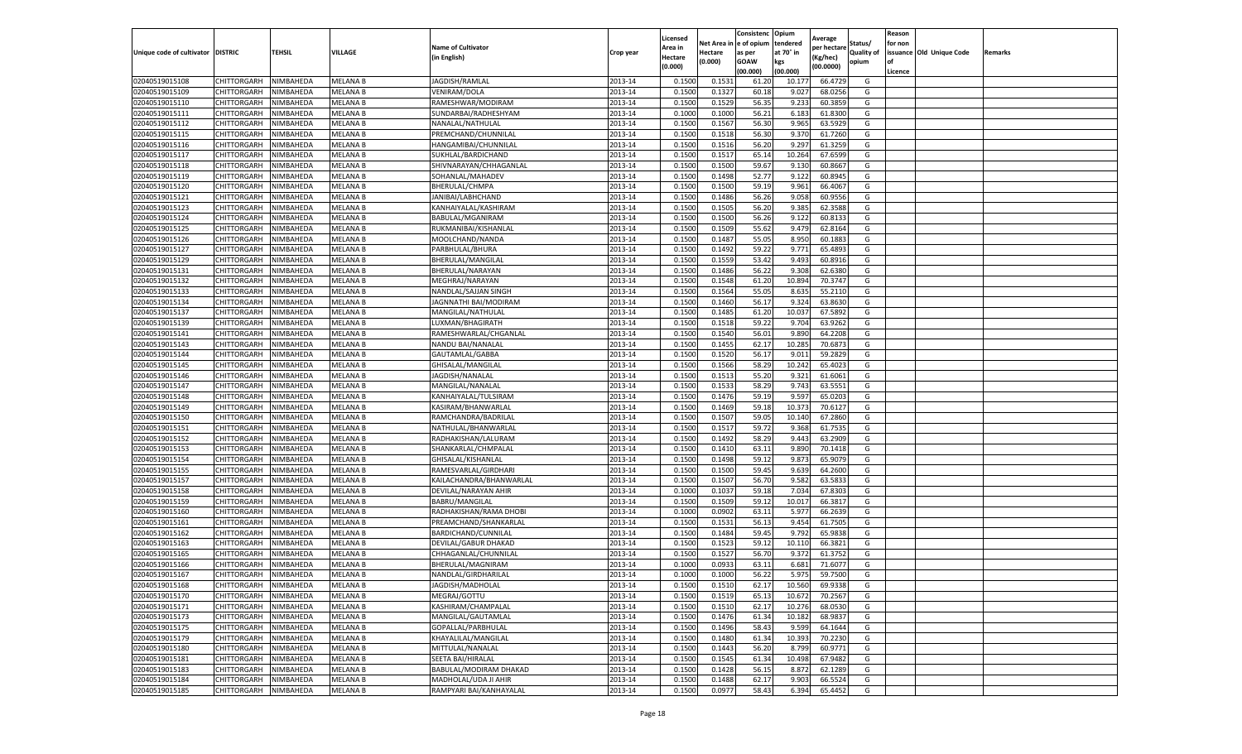|                                   |             |           |                 |                                      |                    | Licensed |            | Consistenc  | Opium     | Average     |                   | Reason  |                          |         |
|-----------------------------------|-------------|-----------|-----------------|--------------------------------------|--------------------|----------|------------|-------------|-----------|-------------|-------------------|---------|--------------------------|---------|
|                                   |             |           |                 | <b>Name of Cultivator</b>            |                    | Area in  | Net Area i | e of opium  | tendered  | per hectare | Status/           | for non |                          |         |
| Unique code of cultivator DISTRIC |             | TEHSIL    | VILLAGE         | (in English)                         | Crop year          | Hectare  | Hectare    | as per      | at 70° in | (Kg/hec)    | <b>Quality of</b> |         | issuance Old Unique Code | Remarks |
|                                   |             |           |                 |                                      |                    | (0.000)  | (0.000)    | <b>GOAW</b> | kgs       | (00.0000)   | opium             | οf      |                          |         |
|                                   |             |           |                 |                                      |                    |          |            | (00.000     | (00.000)  |             |                   | Licence |                          |         |
| 02040519015108                    | CHITTORGARH | NIMBAHEDA | <b>MELANA B</b> | JAGDISH/RAMLAI                       | 2013-14            | 0.1500   | 0.153      | 61.20       | 10.177    | 66.4729     | G                 |         |                          |         |
| 02040519015109                    | CHITTORGARH | NIMBAHEDA | MELANA B        | <b>VENIRAM/DOLA</b>                  | 2013-14            | 0.150    | 0.1327     | 60.18       | 9.027     | 68.0256     | G                 |         |                          |         |
| 02040519015110                    | CHITTORGARH | NIMBAHEDA | MELANA B        | RAMESHWAR/MODIRAM                    | 2013-14            | 0.1500   | 0.1529     | 56.35       | 9.233     | 60.3859     | G                 |         |                          |         |
| 02040519015111                    | CHITTORGARH | NIMBAHEDA | <b>MELANA B</b> | SUNDARBAI/RADHESHYAM                 | 2013-14            | 0.1000   | 0.1000     | 56.21       | 6.183     | 61.8300     | G                 |         |                          |         |
| 02040519015112                    | CHITTORGARH | NIMBAHEDA | MELANA B        | NANALAL/NATHULAL                     | 2013-14            | 0.1500   | 0.1567     | 56.30       | 9.965     | 63.5929     | G                 |         |                          |         |
| 02040519015115                    | CHITTORGARH | NIMBAHEDA | MELANA B        | PREMCHAND/CHUNNILAL                  | 2013-14            | 0.1500   | 0.1518     | 56.30       | 9.37      | 61.7260     | G                 |         |                          |         |
| 02040519015116                    | CHITTORGARH | NIMBAHEDA | MELANA B        | HANGAMIBAI/CHUNNILAI                 | 2013-14            | 0.1500   | 0.1516     | 56.20       | 9.297     | 61.3259     | G                 |         |                          |         |
| 02040519015117                    | CHITTORGARH | NIMBAHEDA | MELANA B        | SUKHLAL/BARDICHAND                   | 2013-14            | 0.1500   | 0.1517     | 65.1        | 10.264    | 67.6599     | G                 |         |                          |         |
| 02040519015118                    | CHITTORGARH | NIMBAHEDA | MELANA B        | SHIVNARAYAN/CHHAGANLAL               | 2013-14            | 0.1500   | 0.1500     | 59.67       | 9.130     | 60.8667     | G                 |         |                          |         |
| 02040519015119                    | CHITTORGARH | NIMBAHEDA | MELANA B        | SOHANLAL/MAHADEV                     | 2013-14            | 0.1500   | 0.1498     | 52.77       | 9.122     | 60.8945     | G                 |         |                          |         |
| 02040519015120                    | CHITTORGARH | NIMBAHEDA | MELANA B        | BHERULAL/CHMPA                       | 2013-14            | 0.1500   | 0.1500     | 59.19       | 9.961     | 66.4067     | G                 |         |                          |         |
| 02040519015121                    | CHITTORGARH | NIMBAHEDA | MELANA B        | JANIBAI/LABHCHAND                    | 2013-14            | 0.1500   | 0.1486     | 56.26       | 9.058     | 60.9556     | G                 |         |                          |         |
| 02040519015123                    | CHITTORGARH | NIMBAHEDA | MELANA B        | KANHAIYALAL/KASHIRAM                 | 2013-14            | 0.1500   | 0.1505     | 56.20       | 9.385     | 62.3588     | G                 |         |                          |         |
| 02040519015124                    | CHITTORGARH | NIMBAHEDA | MELANA B        | BABULAL/MGANIRAM                     | 2013-14            | 0.1500   | 0.1500     | 56.26       | 9.122     | 60.813      | G                 |         |                          |         |
| 02040519015125                    | CHITTORGARH | NIMBAHEDA | MELANA B        | RUKMANIBAI/KISHANLAI                 | 2013-14            | 0.1500   | 0.1509     | 55.62       | 9.479     | 62.8164     | G                 |         |                          |         |
| 02040519015126                    | CHITTORGARH | NIMBAHEDA | <b>MELANA B</b> | MOOLCHAND/NANDA                      | 2013-14            | 0.1500   | 0.1487     | 55.05       | 8.950     | 60.1883     | G                 |         |                          |         |
| 02040519015127                    | CHITTORGARH | NIMBAHEDA | MELANA B        | PARBHULAL/BHURA                      | 2013-14            | 0.1500   | 0.1492     | 59.22       | 9.771     | 65.4893     | G                 |         |                          |         |
| 02040519015129                    | CHITTORGARH | NIMBAHEDA | <b>MELANA B</b> | BHERULAL/MANGILAL                    | 2013-14            | 0.1500   | 0.1559     | 53.42       | 9.493     | 60.8916     | G                 |         |                          |         |
| 02040519015131                    | CHITTORGARH | NIMBAHEDA | <b>MELANA B</b> | BHERULAL/NARAYAN                     | 2013-14            | 0.1500   | 0.1486     | 56.22       | 9.308     | 62.6380     | G                 |         |                          |         |
| 02040519015132                    | CHITTORGARH | NIMBAHEDA | MELANA B        | MEGHRAJ/NARAYAN                      | 2013-14            | 0.1500   | 0.1548     | 61.20       | 10.894    | 70.3747     | G                 |         |                          |         |
| 02040519015133                    | CHITTORGARH | NIMBAHEDA | MELANA B        | NANDLAL/SAJJAN SINGH                 | 2013-14            | 0.1500   | 0.1564     | 55.05       | 8.635     | 55.2110     | G                 |         |                          |         |
| 02040519015134                    | CHITTORGARH | NIMBAHEDA | MELANA B        | JAGNNATHI BAI/MODIRAM                | 2013-14            | 0.1500   | 0.1460     | 56.17       | 9.324     | 63.8630     | G                 |         |                          |         |
| 02040519015137                    | CHITTORGARH | NIMBAHEDA | <b>MELANA B</b> | MANGILAL/NATHULAL                    | 2013-14            | 0.1500   | 0.1485     | 61.20       | 10.037    | 67.5892     | G                 |         |                          |         |
| 02040519015139                    | CHITTORGARH | NIMBAHEDA | MELANA B        | LUXMAN/BHAGIRATH                     | 2013-14            | 0.1500   | 0.1518     | 59.22       | 9.704     | 63.9262     | G                 |         |                          |         |
| 02040519015141                    | CHITTORGARH | NIMBAHEDA | <b>MELANA B</b> | RAMESHWARLAL/CHGANLAL                | 2013-14            | 0.1500   | 0.1540     | 56.01       | 9.890     | 64.2208     | G                 |         |                          |         |
| 02040519015143                    | CHITTORGARH | NIMBAHEDA | <b>MELANA B</b> | NANDU BAI/NANALAI                    | 2013-14            | 0.1500   | 0.1455     | 62.17       | 10.285    | 70.687      | G                 |         |                          |         |
| 02040519015144                    |             |           |                 |                                      |                    |          |            |             |           |             |                   |         |                          |         |
|                                   | CHITTORGARH | NIMBAHEDA | MELANA B        | GAUTAMLAL/GABBA<br>GHISALAL/MANGILAL | 2013-14<br>2013-14 | 0.1500   | 0.1520     | 56.17       | 9.01      | 59.2829     | G                 |         |                          |         |
| 02040519015145                    | CHITTORGARH | NIMBAHEDA | MELANA B        |                                      |                    | 0.1500   | 0.1566     | 58.29       | 10.242    | 65.4023     | G                 |         |                          |         |
| 02040519015146                    | CHITTORGARH | NIMBAHEDA | MELANA B        | JAGDISH/NANALAL                      | 2013-14            | 0.1500   | 0.1513     | 55.20       | 9.321     | 61.6061     | G                 |         |                          |         |
| 02040519015147                    | CHITTORGARH | NIMBAHEDA | MELANA B        | MANGILAL/NANALAL                     | 2013-14            | 0.1500   | 0.1533     | 58.29       | 9.743     | 63.5551     | G                 |         |                          |         |
| 02040519015148                    | CHITTORGARH | NIMBAHEDA | <b>MELANA B</b> | KANHAIYALAL/TULSIRAM                 | 2013-14            | 0.1500   | 0.1476     | 59.19       | 9.597     | 65.0203     | G                 |         |                          |         |
| 02040519015149                    | CHITTORGARH | NIMBAHEDA | MELANA B        | KASIRAM/BHANWARLAL                   | 2013-14            | 0.1500   | 0.1469     | 59.18       | 10.373    | 70.6127     | G                 |         |                          |         |
| 02040519015150                    | CHITTORGARH | NIMBAHEDA | MELANA B        | RAMCHANDRA/BADRILAL                  | 2013-14            | 0.1500   | 0.1507     | 59.05       | 10.140    | 67.2860     | G                 |         |                          |         |
| 02040519015151                    | CHITTORGARH | NIMBAHEDA | MELANA B        | NATHULAL/BHANWARLAL                  | 2013-14            | 0.1500   | 0.1517     | 59.72       | 9.368     | 61.7535     | G                 |         |                          |         |
| 02040519015152                    | CHITTORGARH | NIMBAHEDA | <b>MELANA B</b> | RADHAKISHAN/LALURAM                  | 2013-14            | 0.1500   | 0.1492     | 58.29       | 9.443     | 63.2909     | G                 |         |                          |         |
| 02040519015153                    | CHITTORGARH | NIMBAHEDA | MELANA B        | SHANKARLAL/CHMPALAL                  | 2013-14            | 0.1500   | 0.1410     | 63.11       | 9.890     | 70.1418     | G                 |         |                          |         |
| 02040519015154                    | CHITTORGARH | NIMBAHEDA | MELANA B        | GHISALAL/KISHANLAL                   | 2013-14            | 0.1500   | 0.1498     | 59.12       | 9.873     | 65.9079     | G                 |         |                          |         |
| 02040519015155                    | CHITTORGARH | NIMBAHEDA | <b>MELANA B</b> | RAMESVARLAL/GIRDHARI                 | 2013-14            | 0.1500   | 0.1500     | 59.45       | 9.639     | 64.2600     | G                 |         |                          |         |
| 02040519015157                    | CHITTORGARH | NIMBAHEDA | MELANA B        | KAILACHANDRA/BHANWARLAL              | 2013-14            | 0.1500   | 0.1507     | 56.70       | 9.582     | 63.5833     | G                 |         |                          |         |
| 02040519015158                    | CHITTORGARH | NIMBAHEDA | MELANA B        | DEVILAL/NARAYAN AHIR                 | 2013-14            | 0.1000   | 0.1037     | 59.18       | 7.034     | 67.8303     | G                 |         |                          |         |
| 02040519015159                    | CHITTORGARH | NIMBAHEDA | MELANA B        | BABRU/MANGILAL                       | 2013-14            | 0.1500   | 0.1509     | 59.1        | 10.017    | 66.3817     | G                 |         |                          |         |
| 02040519015160                    | CHITTORGARH | NIMBAHEDA | MELANA B        | RADHAKISHAN/RAMA DHOBI               | 2013-14            | 0.1000   | 0.0902     | 63.11       | 5.977     | 66.2639     | G                 |         |                          |         |
| 02040519015161                    | CHITTORGARH | NIMBAHEDA | <b>MELANA B</b> | PREAMCHAND/SHANKARLAL                | 2013-14            | 0.1500   | 0.1531     | 56.13       | 9.454     | 61.7505     | G                 |         |                          |         |
| 02040519015162                    | CHITTORGARH | NIMBAHEDA | <b>MELANA B</b> | BARDICHAND/CUNNILAL                  | 2013-14            | 0.1500   | 0.1484     | 59.45       | 9.792     | 65.9838     | G                 |         |                          |         |
| 02040519015163                    | CHITTORGARH | NIMBAHEDA | MELANA B        | DEVILAL/GABUR DHAKAD                 | 2013-14            | 0.1500   | 0.1523     | 59.12       | 10.110    | 66.3821     | G                 |         |                          |         |
| 02040519015165                    | CHITTORGARH | NIMBAHEDA | MELANA B        | CHHAGANLAL/CHUNNILAI                 | 2013-14            | 0.150    | 0.1527     | 56.70       | 9.372     | 61.3752     | G                 |         |                          |         |
| 02040519015166                    | CHITTORGARH | NIMBAHEDA | MELANA B        | BHERULAL/MAGNIRAM                    | 2013-14            | 0.1000   | 0.0933     | 63.11       | 6.681     | 71.6077     | G                 |         |                          |         |
| 02040519015167                    | CHITTORGARH | NIMBAHEDA | <b>MELANA B</b> | NANDLAL/GIRDHARILAL                  | 2013-14            | 0.1000   | 0.1000     | 56.22       | 5.975     | 59.7500     | G                 |         |                          |         |
| 02040519015168                    | CHITTORGARH | NIMBAHEDA | <b>MELANA B</b> | JAGDISH/MADHOLAL                     | 2013-14            | 0.1500   | 0.1510     | 62.17       | 10.560    | 69.9338     | G                 |         |                          |         |
| 02040519015170                    | CHITTORGARH | NIMBAHEDA | <b>MELANA B</b> | MEGRAJ/GOTTU                         | 2013-14            | 0.1500   | 0.1519     | 65.13       | 10.672    | 70.2567     | G                 |         |                          |         |
| 02040519015171                    | CHITTORGARH | NIMBAHEDA | MELANA B        | KASHIRAM/CHAMPALAL                   | 2013-14            | 0.1500   | 0.1510     | 62.17       | 10.276    | 68.0530     | G                 |         |                          |         |
| 02040519015173                    | CHITTORGARH | NIMBAHEDA | MELANA B        | MANGILAL/GAUTAMLAL                   | 2013-14            | 0.1500   | 0.1476     | 61.34       | 10.182    | 68.9837     | G                 |         |                          |         |
| 02040519015175                    | CHITTORGARH | NIMBAHEDA | MELANA B        | GOPALLAL/PARBHULAL                   | 2013-14            | 0.1500   | 0.1496     | 58.43       | 9.599     | 64.1644     | G                 |         |                          |         |
| 02040519015179                    | CHITTORGARH | NIMBAHEDA | <b>MELANA B</b> | KHAYALILAL/MANGILAL                  | 2013-14            | 0.1500   | 0.1480     | 61.34       | 10.393    | 70.2230     | G                 |         |                          |         |
| 02040519015180                    | CHITTORGARH | NIMBAHEDA | MELANA B        | MITTULAL/NANALAL                     | 2013-14            | 0.1500   | 0.1443     | 56.20       | 8.799     | 60.9771     | G                 |         |                          |         |
| 02040519015181                    | CHITTORGARH | NIMBAHEDA | MELANA B        | SEETA BAI/HIRALAL                    | 2013-14            | 0.1500   | 0.1545     | 61.34       | 10.498    | 67.9482     | G                 |         |                          |         |
| 02040519015183                    | CHITTORGARH | NIMBAHEDA | <b>MELANA B</b> | BABULAL/MODIRAM DHAKAD               | 2013-14            | 0.1500   | 0.1428     | 56.15       | 8.872     | 62.1289     | G                 |         |                          |         |
| 02040519015184                    | CHITTORGARH | NIMBAHEDA | MELANA B        | MADHOLAL/UDA JI AHIR                 | 2013-14            | 0.1500   | 0.1488     | 62.17       | 9.903     | 66.5524     | G                 |         |                          |         |
| 02040519015185                    | CHITTORGARH | NIMBAHEDA | <b>MELANA B</b> | RAMPYARI BAI/KANHAYALAL              | 2013-14            | 0.1500   | 0.0977     | 58.43       | 6.394     | 65.4452     | G                 |         |                          |         |
|                                   |             |           |                 |                                      |                    |          |            |             |           |             |                   |         |                          |         |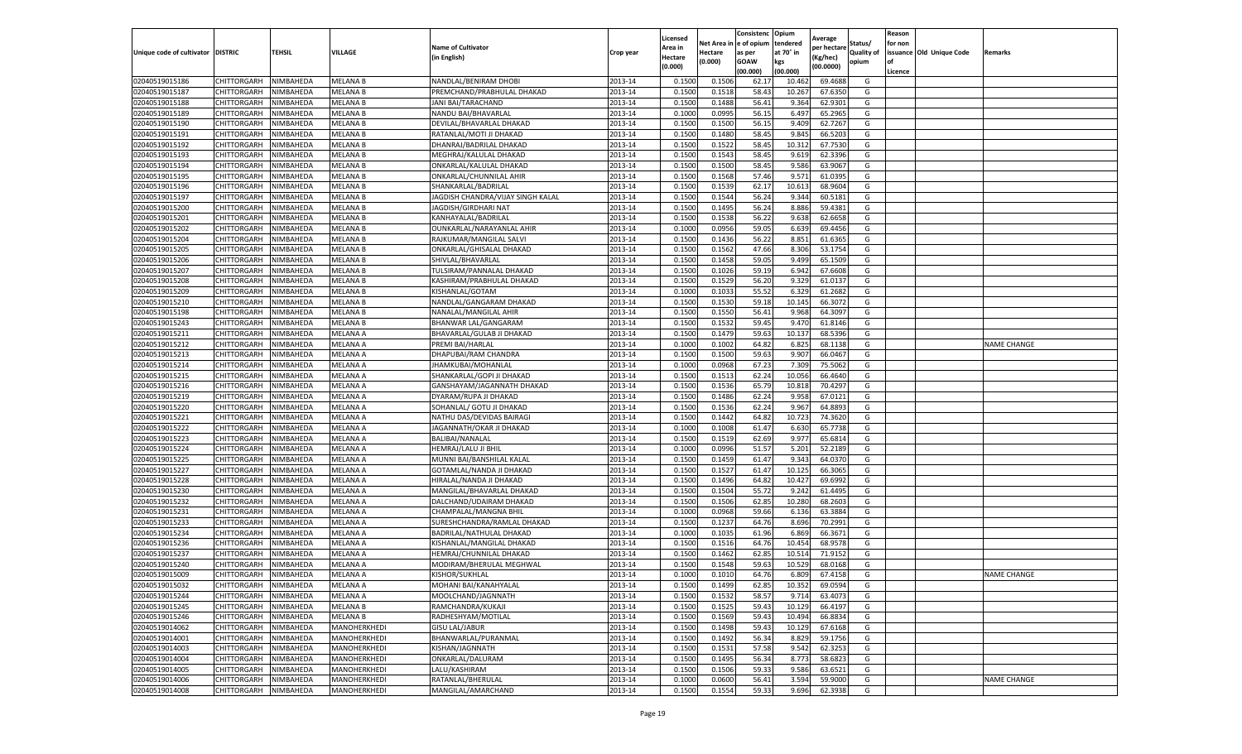|                                   |                    |                        |                                 |                                             |                    | Licensed         |                  | Consistenc     | Opium            | Average            |                   | Reason  |                          |                    |
|-----------------------------------|--------------------|------------------------|---------------------------------|---------------------------------------------|--------------------|------------------|------------------|----------------|------------------|--------------------|-------------------|---------|--------------------------|--------------------|
|                                   |                    |                        |                                 | <b>Name of Cultivator</b>                   |                    | Area in          | Net Area i       | n e of opium   | tendered         | per hectarı        | Status/           | for non |                          |                    |
| Unique code of cultivator DISTRIC |                    | TEHSIL                 | VILLAGE                         | (in English)                                | Crop year          | Hectare          | Hectare          | as per         | at 70° in        | (Kg/hec)           | <b>Quality of</b> |         | issuance Old Unique Code | Remarks            |
|                                   |                    |                        |                                 |                                             |                    | (0.000)          | (0.000)          | <b>GOAW</b>    | kgs              | (00.0000)          | opium             | οf      |                          |                    |
|                                   |                    |                        |                                 |                                             |                    |                  |                  | (00.000)       | (00.000)         |                    |                   | Licence |                          |                    |
| 02040519015186                    | CHITTORGARH        | NIMBAHEDA              | <b>MELANA B</b>                 | NANDLAL/BENIRAM DHOBI                       | 2013-14            | 0.1500           | 0.1506           | 62.1           | 10.462           | 69.4688            | G                 |         |                          |                    |
| 02040519015187                    | CHITTORGARH        | NIMBAHEDA              | <b>MELANA B</b>                 | PREMCHAND/PRABHULAL DHAKAD                  | 2013-14            | 0.1500           | 0.1518           | 58.43          | 10.267           | 67.6350            | G                 |         |                          |                    |
| 02040519015188                    | CHITTORGARH        | NIMBAHEDA              | <b>MELANA B</b>                 | JANI BAI/TARACHAND                          | 2013-14            | 0.1500           | 0.1488           | 56.4           | 9.364            | 62.9301            | G                 |         |                          |                    |
| 02040519015189                    | CHITTORGARH        | NIMBAHEDA              | <b>MELANA B</b>                 | NANDU BAI/BHAVARLAL                         | 2013-14            | 0.1000           | 0.0995           | 56.15          | 6.497            | 65.2965            | G                 |         |                          |                    |
| 02040519015190                    | CHITTORGARH        | NIMBAHEDA              | <b>MELANA B</b>                 | DEVILAL/BHAVARLAL DHAKAD                    | 2013-14            | 0.1500           | 0.1500           | 56.15          | 9.409            | 62.7267            | G                 |         |                          |                    |
| 02040519015191                    | CHITTORGARH        | NIMBAHEDA              | <b>MELANA B</b>                 | RATANLAL/MOTI JI DHAKAD                     | 2013-14            | 0.1500           | 0.1480           | 58.45          | 9.845            | 66.5203            | G                 |         |                          |                    |
| 02040519015192                    | CHITTORGARH        | NIMBAHEDA              | <b>MELANA B</b>                 | DHANRAJ/BADRILAL DHAKAD                     | 2013-14            | 0.1500           | 0.1522           | 58.45          | 10.312           | 67.7530            | G                 |         |                          |                    |
| 02040519015193                    | CHITTORGARH        | NIMBAHEDA              | <b>MELANA B</b>                 | MEGHRAJ/KALULAL DHAKAD                      | 2013-14            | 0.1500           | 0.1543           | 58.4           | 9.619            | 62.3396            | G                 |         |                          |                    |
| 02040519015194                    | CHITTORGARH        | NIMBAHEDA              | <b>MELANA B</b>                 | ONKARLAL/KALULAL DHAKAD                     | 2013-14            | 0.1500           | 0.1500           | 58.45          | 9.586            | 63.9067            | G                 |         |                          |                    |
| 02040519015195                    | CHITTORGARH        | NIMBAHEDA              | <b>MELANA B</b>                 | ONKARLAL/CHUNNILAL AHIR                     | 2013-14            | 0.1500           | 0.1568           | 57.46          | 9.571            | 61.0395            | G                 |         |                          |                    |
| 02040519015196                    | CHITTORGARH        | NIMBAHEDA              | <b>MELANA B</b>                 | SHANKARLAL/BADRILAL                         | 2013-14            | 0.1500           | 0.1539           | 62.17          | 10.613           | 68.9604            | G                 |         |                          |                    |
| 02040519015197                    | CHITTORGARH        | NIMBAHEDA              | MELANA B                        | JAGDISH CHANDRA/VIJAY SINGH KALAL           | 2013-14            | 0.1500           | 0.1544           | 56.24          | 9.344            | 60.5181            | G                 |         |                          |                    |
| 02040519015200                    | CHITTORGARH        | NIMBAHEDA              | <b>MELANA B</b>                 | JAGDISH/GIRDHARI NAT                        | 2013-14            | 0.1500           | 0.1495           | 56.24          | 8.886            | 59.4381            | G                 |         |                          |                    |
| 02040519015201                    | CHITTORGARH        | NIMBAHEDA              | <b>MELANA B</b>                 | KANHAYALAL/BADRILAL                         | 2013-14            | 0.1500           | 0.1538           | 56.22          | 9.638            | 62.6658            | G                 |         |                          |                    |
| 02040519015202                    | CHITTORGARH        | NIMBAHEDA              | <b>MELANA B</b>                 | OUNKARLAL/NARAYANLAL AHIR                   | 2013-14            | 0.1000           | 0.0956           | 59.05          | 6.639            | 69.4456            | G                 |         |                          |                    |
| 02040519015204                    | CHITTORGARH        | NIMBAHEDA              | <b>MELANA B</b>                 | RAJKUMAR/MANGILAL SALVI                     | 2013-14            | 0.1500           | 0.1436           | 56.22          | 8.851            | 61.6365            | G                 |         |                          |                    |
| 02040519015205                    | CHITTORGARH        | NIMBAHEDA              | <b>MELANA B</b>                 | ONKARLAL/GHISALAL DHAKAD                    | 2013-14            | 0.1500           | 0.1562           | 47.66          | 8.306            | 53.1754            | G                 |         |                          |                    |
| 02040519015206                    | CHITTORGARH        | NIMBAHEDA              | <b>MELANA B</b>                 | SHIVLAL/BHAVARLAL                           | 2013-14            | 0.1500           | 0.1458           | 59.05          | 9.499            | 65.1509            | G                 |         |                          |                    |
| 02040519015207                    | CHITTORGARH        | NIMBAHEDA              | <b>MELANA B</b>                 | TULSIRAM/PANNALAL DHAKAD                    | 2013-14            | 0.1500           | 0.1026           | 59.19          | 6.942            | 67.6608            | G                 |         |                          |                    |
| 02040519015208                    | CHITTORGARH        | NIMBAHEDA              | <b>MELANA B</b>                 | KASHIRAM/PRABHULAL DHAKAD                   | 2013-14            | 0.1500           | 0.1529           | 56.20          | 9.329            | 61.0137            | G                 |         |                          |                    |
| 02040519015209                    | CHITTORGARH        | NIMBAHEDA              | <b>MELANA B</b>                 | KISHANLAL/GOTAM                             | 2013-14            | 0.1000           | 0.1033           | 55.52          | 6.329            | 61.2682            | G                 |         |                          |                    |
| 02040519015210                    | CHITTORGARH        | NIMBAHEDA              | MELANA B                        | NANDLAL/GANGARAM DHAKAD                     | 2013-14            | 0.1500           | 0.1530           | 59.18          | 10.145           | 66.3072            | G                 |         |                          |                    |
| 02040519015198                    | CHITTORGARH        | NIMBAHEDA              | <b>MELANA B</b>                 | NANALAL/MANGILAL AHIR                       | 2013-14            | 0.1500           | 0.1550           | 56.41          | 9.968            | 64.3097            | G                 |         |                          |                    |
| 02040519015243                    | CHITTORGARH        | NIMBAHEDA              | MELANA B                        | BHANWAR LAL/GANGARAM                        | 2013-14            | 0.1500           | 0.1532           | 59.45          | 9.47             | 61.8146            | G                 |         |                          |                    |
| 02040519015211                    | CHITTORGARH        | NIMBAHEDA              | MELANA A                        | BHAVARLAL/GULAB JI DHAKAD                   | 2013-14            | 0.1500           | 0.1479           | 59.63          | 10.137           | 68.5396            | G                 |         |                          |                    |
| 02040519015212                    | CHITTORGARH        | NIMBAHEDA              | <b>MELANA A</b>                 | PREMI BAI/HARLAL                            | 2013-14            | 0.1000           | 0.1002           | 64.82          | 6.825            | 68.1138            | G                 |         |                          | <b>NAME CHANGE</b> |
| 02040519015213                    | CHITTORGARH        | NIMBAHEDA              | <b>MELANA A</b>                 | DHAPUBAI/RAM CHANDRA                        | 2013-14            | 0.1500           | 0.1500           | 59.63          | 9.907            | 66.0467            | G                 |         |                          |                    |
| 02040519015214                    | CHITTORGARH        | NIMBAHEDA              | <b>MELANA A</b>                 | JHAMKUBAI/MOHANLAL                          | 2013-14            | 0.1000           | 0.0968           | 67.23          | 7.309            | 75.5062            | G                 |         |                          |                    |
| 02040519015215                    | CHITTORGARH        | NIMBAHEDA              | <b>MELANA A</b>                 | SHANKARLAL/GOPI JI DHAKAD                   | 2013-14            | 0.1500           | 0.1513           | 62.24          | 10.056           | 66.4640            | G                 |         |                          |                    |
| 02040519015216                    | CHITTORGARH        | NIMBAHEDA              | <b>MELANA A</b>                 | GANSHAYAM/JAGANNATH DHAKAD                  | 2013-14            | 0.1500           | 0.1536           | 65.79          | 10.818           | 70.4297            | G                 |         |                          |                    |
| 02040519015219                    | CHITTORGARH        | NIMBAHEDA              | <b>MELANA A</b>                 | DYARAM/RUPA JI DHAKAD                       | 2013-14            | 0.1500           | 0.1486           | 62.24          | 9.95             | 67.0121            | G                 |         |                          |                    |
| 02040519015220                    | CHITTORGARH        | NIMBAHEDA              | <b>MELANA A</b>                 | SOHANLAL/ GOTU JI DHAKAD                    | 2013-14            | 0.1500           | 0.1536           | 62.24          | 9.967            | 64.8893            | G                 |         |                          |                    |
| 02040519015221                    | CHITTORGARH        | NIMBAHEDA              | <b>MELANA A</b>                 | NATHU DAS/DEVIDAS BAIRAGI                   | 2013-14            | 0.1500           | 0.1442           | 64.82          | 10.723           | 74.3620            | G                 |         |                          |                    |
| 02040519015222                    | CHITTORGARH        | NIMBAHEDA              | <b>MELANA A</b>                 | JAGANNATH/OKAR JI DHAKAD                    | 2013-14            | 0.1000           | 0.1008           | 61.47          | 6.630            | 65.7738            | G                 |         |                          |                    |
| 02040519015223                    | CHITTORGARH        | NIMBAHEDA              | <b>MELANA A</b>                 | BALIBAI/NANALAL                             | 2013-14            | 0.1500           | 0.1519           | 62.69          | 9.977            | 65.6814            | G                 |         |                          |                    |
| 02040519015224                    | CHITTORGARH        | NIMBAHEDA              | MELANA A                        | HEMRAJ/LALU JI BHIL                         | 2013-14            | 0.1000           | 0.0996           | 51.57          | 5.201            | 52.2189            | G                 |         |                          |                    |
| 02040519015225                    | CHITTORGARH        | NIMBAHEDA              | <b>MELANA A</b>                 | MUNNI BAI/BANSHILAL KALAL                   | 2013-14            | 0.1500           | 0.1459           | 61.47          | 9.343            | 64.0370            | G                 |         |                          |                    |
| 02040519015227                    | CHITTORGARH        | NIMBAHEDA              | MELANA A                        | GOTAMLAL/NANDA JI DHAKAD                    | 2013-14            | 0.1500           | 0.1527           | 61.47          | 10.125           | 66.3065            | G                 |         |                          |                    |
| 02040519015228                    | CHITTORGARH        | NIMBAHEDA              | MELANA A                        | HIRALAL/NANDA JI DHAKAD                     | 2013-14            | 0.1500           | 0.1496           | 64.82          | 10.427           | 69.699             | G                 |         |                          |                    |
| 02040519015230                    | CHITTORGARH        | NIMBAHEDA              | <b>MELANA A</b>                 | MANGILAL/BHAVARLAL DHAKAD                   | 2013-14            | 0.1500           | 0.1504           | 55.72          | 9.242            | 61.4495            | G                 |         |                          |                    |
| 02040519015232                    | CHITTORGARH        | NIMBAHEDA              | MELANA A                        | DALCHAND/UDAIRAM DHAKAD                     | 2013-14            | 0.1500           | 0.1506           | 62.85          | 10.280           | 68.2603            | G                 |         |                          |                    |
| 02040519015231                    | CHITTORGARH        | NIMBAHEDA              | MELANA A                        | CHAMPALAL/MANGNA BHIL                       | 2013-14            | 0.1000           | 0.0968           | 59.66          | 6.136            | 63.3884            | G                 |         |                          |                    |
| 02040519015233                    | CHITTORGARH        | NIMBAHEDA              | MELANA A                        | SURESHCHANDRA/RAMLAL DHAKAD                 | 2013-14            | 0.1500           | 0.1237           | 64.76          | 8.696            | 70.2991            | G                 |         |                          |                    |
| 02040519015234                    | CHITTORGARH        | NIMBAHEDA              | <b>MELANA A</b>                 | BADRILAL/NATHULAL DHAKAD                    | 2013-14            | 0.1000           | 0.1035           | 61.96          | 6.869            | 66.3671            | G                 |         |                          |                    |
| 02040519015236                    | CHITTORGARH        | NIMBAHEDA              | MELANA A                        | KISHANLAL/MANGILAL DHAKAD                   | 2013-14            | 0.1500           | 0.1516           | 64.76          | 10.454           | 68.9578            | G                 |         |                          |                    |
| 02040519015237                    | CHITTORGARH        | NIMBAHEDA              | MELANA A                        | HEMRAJ/CHUNNILAL DHAKAD                     | 2013-14            | 0.1500           | 0.1462           | 62.85          | 10.514           | 71.9152            | G                 |         |                          |                    |
| 02040519015240                    | CHITTORGARH        | NIMBAHEDA              | <b>MELANA A</b>                 | MODIRAM/BHERULAL MEGHWAL                    | 2013-14            | 0.1500           | 0.1548           | 59.63          | 10.529           | 68.0168            | G                 |         |                          |                    |
| 02040519015009                    | CHITTORGARH        | NIMBAHEDA              | <b>MELANA A</b>                 | KISHOR/SUKHLAL                              | 2013-14            | 0.1000           | 0.1010           | 64.76          | 6.809            | 67.4158            | G                 |         |                          | <b>NAME CHANGE</b> |
| 02040519015032                    | <b>CHITTORGARH</b> | NIMBAHEDA              | <b>MELANA A</b>                 | MOHANI BAI/KANAHYALAL                       | 2013-14            | 0.1500           | 0.1499           | 62.85          | 10.352           | 69.0594            | G                 |         |                          |                    |
| 02040519015244                    | CHITTORGARH        | NIMBAHEDA              | MELANA A                        | MOOLCHAND/JAGNNATH                          | 2013-14            | 0.1500           | 0.1532           | 58.57          | 9.714            | 63.4073            | G                 |         |                          |                    |
| 02040519015245                    | CHITTORGARH        | NIMBAHEDA              | <b>MELANA B</b>                 | RAMCHANDRA/KUKAJI                           | 2013-14            | 0.1500           | 0.1525           | 59.43          | 10.129           | 66.4197            | G                 |         |                          |                    |
| 02040519015246                    | <b>CHITTORGARH</b> |                        |                                 |                                             |                    |                  |                  |                |                  |                    |                   |         |                          |                    |
| 02040519014062                    | CHITTORGARH        | NIMBAHEDA<br>NIMBAHEDA | <b>MELANA B</b><br>MANOHERKHEDI | RADHESHYAM/MOTILAL<br><b>GISU LAL/JABUR</b> | 2013-14<br>2013-14 | 0.1500<br>0.1500 | 0.1569<br>0.1498 | 59.43<br>59.43 | 10.494<br>10.129 | 66.8834<br>67.6168 | G<br>G            |         |                          |                    |
| 02040519014001                    |                    |                        |                                 |                                             |                    |                  |                  |                |                  |                    | G                 |         |                          |                    |
|                                   | CHITTORGARH        | NIMBAHEDA              | MANOHERKHEDI                    | BHANWARLAL/PURANMAL                         | 2013-14            | 0.1500           | 0.1492           | 56.34          | 8.829            | 59.1756            |                   |         |                          |                    |
| 02040519014003                    | CHITTORGARH        | NIMBAHEDA              | MANOHERKHEDI                    | KISHAN/JAGNNATH                             | 2013-14            | 0.1500           | 0.1531           | 57.58          | 9.542            | 62.3253            | G                 |         |                          |                    |
| 02040519014004                    | CHITTORGARH        | NIMBAHEDA              | <b>MANOHERKHEDI</b>             | ONKARLAL/DALURAM                            | 2013-14            | 0.1500           | 0.1495           | 56.34          | 8.773            | 58.6823            | G                 |         |                          |                    |
| 02040519014005                    | CHITTORGARH        | NIMBAHEDA              | MANOHERKHEDI                    | LALU/KASHIRAM                               | 2013-14            | 0.1500           | 0.1506           | 59.33          | 9.586            | 63.6521            | G                 |         |                          |                    |
| 02040519014006                    | <b>CHITTORGARH</b> | NIMBAHEDA              | MANOHERKHEDI                    | RATANLAL/BHERULAL                           | 2013-14            | 0.1000           | 0.0600           | 56.41          | 3.594            | 59.9000            | G                 |         |                          | <b>NAME CHANGE</b> |
| 02040519014008                    | CHITTORGARH        | NIMBAHEDA              | MANOHERKHEDI                    | MANGILAL/AMARCHAND                          | 2013-14            | 0.1500           | 0.1554           | 59.33          | 9.696            | 62.3938            | G                 |         |                          |                    |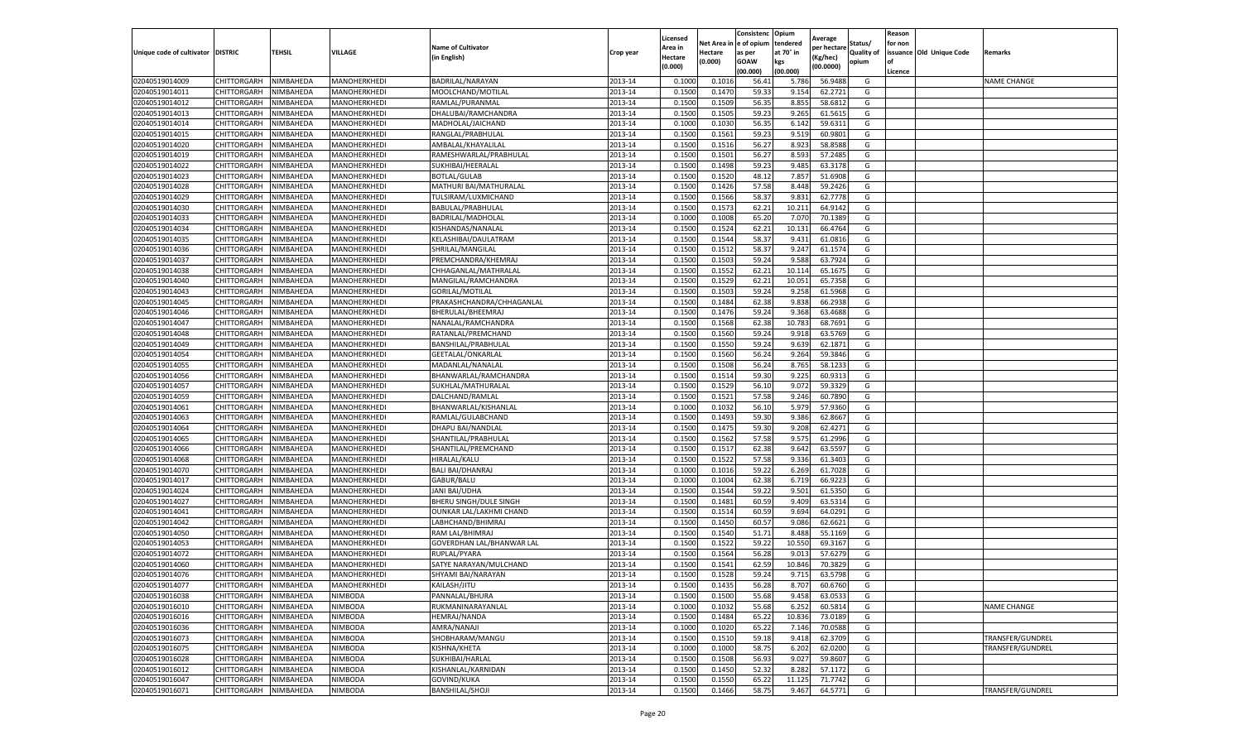|                                   |                    |           |              |                           |           | Licensed |         | Consistenc             | Opium     |                        |                   | Reason  |                          |                    |
|-----------------------------------|--------------------|-----------|--------------|---------------------------|-----------|----------|---------|------------------------|-----------|------------------------|-------------------|---------|--------------------------|--------------------|
|                                   |                    |           |              | <b>Name of Cultivator</b> |           | Area in  |         | Net Area in e of opium | tendered  | Average<br>per hectare | Status/           | for non |                          |                    |
| Unique code of cultivator DISTRIC |                    | TEHSIL    | VILLAGE      | in English)               | Crop year | Hectare  | Hectare | as per                 | at 70° in | (Kg/hec                | <b>Quality of</b> |         | issuance Old Unique Code | <b>Remarks</b>     |
|                                   |                    |           |              |                           |           | (0.000)  | (0.000) | <b>GOAW</b>            | kgs       | (00.0000)              | opium             |         |                          |                    |
|                                   |                    |           |              |                           |           |          |         | (00.000)               | (00.000)  |                        |                   | Licence |                          |                    |
| 02040519014009                    | CHITTORGARH        | NIMBAHEDA | MANOHERKHEDI | BADRILAL/NARAYAN          | 2013-14   | 0.1000   | 0.1016  | 56.4                   | 5.786     | 56.9488                | G                 |         |                          | <b>NAME CHANGE</b> |
| 02040519014011                    | CHITTORGARH        | NIMBAHEDA | MANOHERKHEDI | MOOLCHAND/MOTILAL         | 2013-14   | 0.1500   | 0.1470  | 59.33                  | 9.154     | 62.2721                | G                 |         |                          |                    |
| 02040519014012                    | CHITTORGARH        | NIMBAHEDA | MANOHERKHEDI | RAMLAL/PURANMAL           | 2013-14   | 0.1500   | 0.1509  | 56.35                  | 8.855     | 58.6812                | G                 |         |                          |                    |
| 02040519014013                    | CHITTORGARH        | NIMBAHEDA | MANOHERKHEDI | DHALUBAI/RAMCHANDRA       | 2013-14   | 0.1500   | 0.1505  | 59.23                  | 9.265     | 61.5615                | G                 |         |                          |                    |
| 02040519014014                    | CHITTORGARH        | NIMBAHEDA | MANOHERKHEDI | MADHOLAL/JAICHAND         | 2013-14   | 0.1000   | 0.1030  | 56.35                  | 6.142     | 59.6311                | G                 |         |                          |                    |
| 02040519014015                    | CHITTORGARH        | NIMBAHEDA | MANOHERKHEDI | RANGLAL/PRABHULAL         | 2013-14   | 0.1500   | 0.1561  | 59.23                  | 9.519     | 60.9801                | G                 |         |                          |                    |
| 02040519014020                    | CHITTORGARH        | NIMBAHEDA | MANOHERKHEDI | AMBALAL/KHAYALILAL        | 2013-14   | 0.1500   | 0.1516  | 56.27                  | 8.923     | 58.8588                | G                 |         |                          |                    |
| 02040519014019                    | CHITTORGARH        | NIMBAHEDA | MANOHERKHEDI | RAMESHWARLAL/PRABHULAL    | 2013-14   | 0.1500   | 0.1501  | 56.27                  | 8.593     | 57.2485                | G                 |         |                          |                    |
| 02040519014022                    | CHITTORGARH        | NIMBAHEDA | MANOHERKHEDI | SUKHIBAI/HEERALAL         | 2013-14   | 0.1500   | 0.1498  | 59.23                  | 9.485     | 63.3178                | G                 |         |                          |                    |
| 02040519014023                    | CHITTORGARH        | NIMBAHEDA | MANOHERKHEDI | <b>BOTLAL/GULAB</b>       | 2013-14   | 0.1500   | 0.1520  | 48.12                  | 7.857     | 51.6908                | G                 |         |                          |                    |
| 02040519014028                    | CHITTORGARH        | NIMBAHEDA | MANOHERKHEDI | MATHURI BAI/MATHURALAL    | 2013-14   | 0.1500   | 0.1426  | 57.58                  | 8.448     | 59.2426                | G                 |         |                          |                    |
| 02040519014029                    | CHITTORGARH        | NIMBAHEDA | MANOHERKHEDI | TULSIRAM/LUXMICHAND       | 2013-14   | 0.1500   | 0.1566  | 58.37                  | 9.83      | 62.7778                | G                 |         |                          |                    |
| 02040519014030                    | CHITTORGARH        | NIMBAHEDA | MANOHERKHEDI | BABULAL/PRABHULAL         | 2013-14   | 0.1500   | 0.1573  | 62.21                  | 10.21     | 64.9142                | G                 |         |                          |                    |
| 02040519014033                    | CHITTORGARH        | NIMBAHEDA | MANOHERKHEDI | BADRILAL/MADHOLAL         | 2013-14   | 0.1000   | 0.1008  | 65.20                  | 7.07      | 70.1389                | G                 |         |                          |                    |
| 02040519014034                    | CHITTORGARH        | NIMBAHEDA | MANOHERKHEDI | KISHANDAS/NANALAL         | 2013-14   | 0.1500   | 0.1524  | 62.21                  | 10.13     | 66.4764                | G                 |         |                          |                    |
| 02040519014035                    | CHITTORGARH        | NIMBAHEDA | MANOHERKHEDI | KELASHIBAI/DAULATRAM      | 2013-14   | 0.1500   | 0.1544  | 58.37                  | 9.431     | 61.0816                | G                 |         |                          |                    |
| 02040519014036                    | CHITTORGARH        | NIMBAHEDA | MANOHERKHEDI | SHRILAL/MANGILAL          | 2013-14   | 0.1500   | 0.1512  | 58.37                  | 9.247     | 61.1574                | G                 |         |                          |                    |
| 02040519014037                    | CHITTORGARH        | NIMBAHEDA | MANOHERKHEDI | PREMCHANDRA/KHEMRAJ       | 2013-14   | 0.1500   | 0.1503  | 59.24                  | 9.588     | 63.7924                | G                 |         |                          |                    |
| 02040519014038                    | CHITTORGARH        | NIMBAHEDA | MANOHERKHEDI | CHHAGANLAL/MATHRALAI      | 2013-14   | 0.1500   | 0.1552  | 62.21                  | 10.11     | 65.1675                | G                 |         |                          |                    |
| 02040519014040                    | CHITTORGARH        | NIMBAHEDA | MANOHERKHEDI | MANGILAL/RAMCHANDRA       | 2013-14   | 0.1500   | 0.1529  | 62.21                  | 10.051    | 65.7358                | G                 |         |                          |                    |
| 02040519014043                    | CHITTORGARH        | NIMBAHEDA | MANOHERKHEDI | GORILAL/MOTILAL           | 2013-14   | 0.1500   | 0.1503  | 59.24                  | 9.258     | 61.5968                | G                 |         |                          |                    |
| 02040519014045                    | CHITTORGARH        | NIMBAHEDA | MANOHERKHEDI | PRAKASHCHANDRA/CHHAGANLAL | 2013-14   | 0.1500   | 0.1484  | 62.38                  | 9.838     | 66.2938                | G                 |         |                          |                    |
| 02040519014046                    | CHITTORGARH        | NIMBAHEDA | MANOHERKHEDI | BHERULAL/BHEEMRAJ         | 2013-14   | 0.1500   | 0.1476  | 59.24                  | 9.368     | 63.4688                | G                 |         |                          |                    |
| 02040519014047                    | CHITTORGARH        | NIMBAHEDA | MANOHERKHEDI | NANALAL/RAMCHANDRA        | 2013-14   | 0.1500   | 0.1568  | 62.38                  | 10.783    | 68.7691                | G                 |         |                          |                    |
| 02040519014048                    | CHITTORGARH        | NIMBAHEDA | MANOHERKHEDI | RATANLAL/PREMCHAND        | 2013-14   | 0.1500   | 0.1560  | 59.24                  | 9.91      | 63.5769                | G                 |         |                          |                    |
| 02040519014049                    | CHITTORGARH        | NIMBAHEDA | MANOHERKHEDI | BANSHILAL/PRABHULAL       | 2013-14   | 0.1500   | 0.1550  | 59.24                  | 9.639     | 62.1871                | G                 |         |                          |                    |
| 02040519014054                    | CHITTORGARH        | NIMBAHEDA | MANOHERKHEDI | GEETALAL/ONKARLAL         | 2013-14   | 0.1500   | 0.1560  | 56.24                  | 9.264     | 59.3846                | G                 |         |                          |                    |
| 02040519014055                    | CHITTORGARH        | NIMBAHEDA | MANOHERKHEDI | MADANLAL/NANALAL          | 2013-14   | 0.1500   | 0.1508  | 56.24                  | 8.765     | 58.1233                | G                 |         |                          |                    |
| 02040519014056                    | CHITTORGARH        | NIMBAHEDA | MANOHERKHEDI | BHANWARLAL/RAMCHANDRA     | 2013-14   | 0.1500   | 0.1514  | 59.30                  | 9.225     | 60.9313                | G                 |         |                          |                    |
| 02040519014057                    | CHITTORGARH        | NIMBAHEDA | MANOHERKHEDI | SUKHLAL/MATHURALAL        | 2013-14   | 0.1500   | 0.1529  | 56.10                  | 9.072     | 59.3329                | G                 |         |                          |                    |
| 02040519014059                    | CHITTORGARH        | NIMBAHEDA | MANOHERKHEDI | DALCHAND/RAMLAL           | 2013-14   | 0.1500   | 0.1521  | 57.58                  | 9.246     | 60.7890                | G                 |         |                          |                    |
| 02040519014061                    | CHITTORGARH        | NIMBAHEDA | MANOHERKHEDI | BHANWARLAL/KISHANLAL      | 2013-14   | 0.1000   | 0.1032  | 56.10                  | 5.979     | 57.9360                | G                 |         |                          |                    |
| 02040519014063                    | CHITTORGARH        | NIMBAHEDA | MANOHERKHEDI | RAMLAL/GULABCHAND         | 2013-14   | 0.1500   | 0.1493  | 59.30                  | 9.386     | 62.8667                | G                 |         |                          |                    |
| 02040519014064                    | CHITTORGARH        | NIMBAHEDA | MANOHERKHEDI | DHAPU BAI/NANDLAL         | 2013-14   | 0.1500   | 0.1475  | 59.30                  | 9.208     | 62.4271                | G                 |         |                          |                    |
| 02040519014065                    | CHITTORGARH        | NIMBAHEDA | MANOHERKHEDI | SHANTILAL/PRABHULAL       | 2013-14   | 0.1500   | 0.1562  | 57.58                  | 9.575     | 61.2996                | G                 |         |                          |                    |
| 02040519014066                    | CHITTORGARH        | NIMBAHEDA | MANOHERKHEDI | SHANTILAL/PREMCHAND       | 2013-14   | 0.1500   | 0.1517  | 62.38                  | 9.642     | 63.5597                | G                 |         |                          |                    |
| 02040519014068                    | CHITTORGARH        | NIMBAHEDA | MANOHERKHEDI | HIRALAL/KALU              | 2013-14   | 0.1500   | 0.1522  | 57.58                  | 9.336     | 61.3403                | G                 |         |                          |                    |
| 02040519014070                    | CHITTORGARH        | NIMBAHEDA | MANOHERKHEDI | <b>BALI BAI/DHANRAJ</b>   | 2013-14   | 0.1000   | 0.1016  | 59.22                  | 6.269     | 61.7028                | G                 |         |                          |                    |
| 02040519014017                    | CHITTORGARH        | NIMBAHEDA | MANOHERKHEDI | GABUR/BALU                | 2013-14   | 0.1000   | 0.1004  | 62.38                  | 6.719     | 66.9223                | G                 |         |                          |                    |
| 02040519014024                    | CHITTORGARH        | NIMBAHEDA | MANOHERKHEDI | JANI BAI/UDHA             | 2013-14   | 0.1500   | 0.1544  | 59.22                  | 9.501     | 61.5350                | G                 |         |                          |                    |
| 02040519014027                    | CHITTORGARH        | NIMBAHEDA | MANOHERKHEDI | BHERU SINGH/DULE SINGH    | 2013-14   | 0.1500   | 0.1481  | 60.59                  | 9.409     | 63.5314                | G                 |         |                          |                    |
| 02040519014041                    | CHITTORGARH        | NIMBAHEDA | MANOHERKHEDI | OUNKAR LAL/LAKHMI CHAND   | 2013-14   | 0.1500   | 0.1514  | 60.59                  | 9.694     | 64.0291                | G                 |         |                          |                    |
| 02040519014042                    | CHITTORGARH        | NIMBAHEDA | MANOHERKHEDI | LABHCHAND/BHIMRAJ         | 2013-14   | 0.1500   | 0.1450  | 60.57                  | 9.086     | 62.6621                | G                 |         |                          |                    |
| 02040519014050                    | CHITTORGARH        | NIMBAHEDA | MANOHERKHEDI | RAM LAL/BHIMRAJ           | 2013-14   | 0.1500   | 0.1540  | 51.71                  | 8.488     | 55.1169                | G                 |         |                          |                    |
| 02040519014053                    | CHITTORGARH        | NIMBAHEDA | MANOHERKHEDI | GOVERDHAN LAL/BHANWAR LAL | 2013-14   | 0.1500   | 0.1522  | 59.22                  | 10.550    | 69.3167                | G                 |         |                          |                    |
| 02040519014072                    | CHITTORGARH        | NIMBAHEDA | MANOHERKHEDI | RUPLAL/PYARA              | 2013-14   | 0.1500   | 0.1564  | 56.28                  | 9.01      | 57.6279                | G                 |         |                          |                    |
| 02040519014060                    | CHITTORGARH        | NIMBAHEDA | MANOHERKHEDI | SATYE NARAYAN/MULCHAND    | 2013-14   | 0.1500   | 0.1541  | 62.59                  | 10.84     | 70.3829                | G                 |         |                          |                    |
| 02040519014076                    | CHITTORGARH        | NIMBAHEDA | MANOHERKHEDI | SHYAMI BAI/NARAYAN        | 2013-14   | 0.1500   | 0.1528  | 59.24                  | 9.715     | 63.5798                | G                 |         |                          |                    |
| 02040519014077                    | <b>CHITTORGARH</b> | NIMBAHEDA | MANOHERKHEDI | KAILASH/JITU              | 2013-14   | 0.1500   | 0.1435  | 56.28                  | 8.707     | 60.6760                | G                 |         |                          |                    |
| 02040519016038                    | CHITTORGARH        | NIMBAHEDA | NIMBODA      | PANNALAL/BHURA            | 2013-14   | 0.1500   | 0.1500  | 55.68                  | 9.458     | 63.0533                | G                 |         |                          |                    |
| 02040519016010                    | CHITTORGARH        | NIMBAHEDA | NIMBODA      | RUKMANINARAYANLAL         | 2013-14   | 0.1000   | 0.1032  | 55.68                  | 6.252     | 60.5814                | G                 |         |                          | <b>NAME CHANGE</b> |
| 02040519016016                    | CHITTORGARH        | NIMBAHEDA | NIMBODA      | <b>HEMRAJ/NANDA</b>       | 2013-14   | 0.1500   | 0.1484  | 65.22                  | 10.836    | 73.0189                | G                 |         |                          |                    |
| 02040519016036                    | CHITTORGARH        | NIMBAHEDA | NIMBODA      | AMRA/NANAJI               | 2013-14   | 0.1000   | 0.1020  | 65.22                  | 7.146     | 70.0588                | G                 |         |                          |                    |
| 02040519016073                    | <b>CHITTORGARH</b> | NIMBAHEDA | NIMBODA      | SHOBHARAM/MANGU           | 2013-14   | 0.1500   | 0.1510  | 59.18                  | 9.418     | 62.3709                | G                 |         |                          | TRANSFER/GUNDREL   |
| 02040519016075                    | CHITTORGARH        | NIMBAHEDA | NIMBODA      | KISHNA/KHETA              | 2013-14   | 0.1000   | 0.1000  | 58.75                  | 6.202     | 62.0200                | G                 |         |                          | TRANSFER/GUNDREL   |
| 02040519016028                    | CHITTORGARH        | NIMBAHEDA | NIMBODA      | SUKHIBAI/HARLAL           | 2013-14   | 0.1500   | 0.1508  | 56.93                  | 9.027     | 59.8607                | G                 |         |                          |                    |
| 02040519016012                    | CHITTORGARH        | NIMBAHEDA | NIMBODA      | KISHANLAL/KARNIDAN        | 2013-14   | 0.1500   | 0.1450  | 52.32                  | 8.282     | 57.1172                | G                 |         |                          |                    |
| 02040519016047                    | CHITTORGARH        | NIMBAHEDA | NIMBODA      | GOVIND/KUKA               | 2013-14   | 0.1500   | 0.1550  | 65.22                  | 11.125    | 71.7742                | G                 |         |                          |                    |
| 02040519016071                    | <b>CHITTORGARH</b> | NIMBAHEDA | NIMBODA      | BANSHILAL/SHOJI           | 2013-14   | 0.1500   | 0.1466  | 58.75                  | 9.467     | 64.5771                | G                 |         |                          | TRANSFER/GUNDREL   |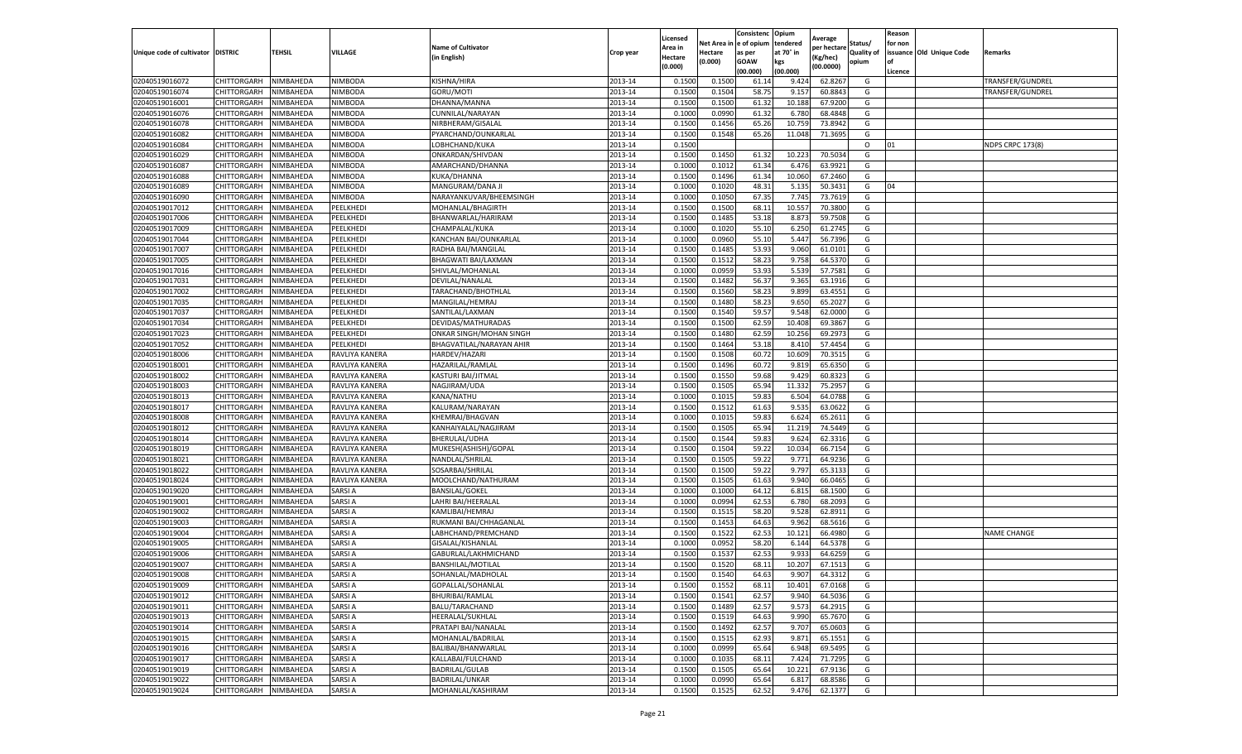|                                   |                    |                  |                  |                           |           | Licensed |          | Consistenc  | Opium     | Average     |                   | Reason  |                          |                         |
|-----------------------------------|--------------------|------------------|------------------|---------------------------|-----------|----------|----------|-------------|-----------|-------------|-------------------|---------|--------------------------|-------------------------|
|                                   |                    |                  |                  | <b>Name of Cultivator</b> |           | Area in  | Net Area | e of opium  | tendered  | per hectarı | Status/           | for non |                          |                         |
| Unique code of cultivator DISTRIC |                    | TEHSIL           | VILLAGE          | (in English)              | Crop year | Hectare  | Hectare  | as per      | at 70° in | (Kg/hec)    | <b>Quality of</b> |         | issuance Old Unique Code | Remarks                 |
|                                   |                    |                  |                  |                           |           | (0.000)  | (0.000)  | <b>GOAW</b> | kgs       | (00.0000)   | opium             | οf      |                          |                         |
|                                   |                    |                  |                  |                           |           |          |          | (00.000)    | (00.000)  |             |                   | Licence |                          |                         |
| 02040519016072                    | CHITTORGARH        | NIMBAHEDA        | <b>NIMBODA</b>   | KISHNA/HIRA               | 2013-14   | 0.1500   | 0.1500   | 61.14       | 9.424     | 62.8267     | G                 |         |                          | <b>TRANSFER/GUNDREL</b> |
| 02040519016074                    | CHITTORGARH        | NIMBAHEDA        | <b>NIMBODA</b>   | GORU/MOTI                 | 2013-14   | 0.1500   | 0.1504   | 58.7        | 9.157     | 60.8843     | G                 |         |                          | TRANSFER/GUNDREL        |
| 02040519016001                    | CHITTORGARH        | NIMBAHEDA        | <b>NIMBODA</b>   | DHANNA/MANNA              | 2013-14   | 0.1500   | 0.1500   | 61.32       | 10.188    | 67.9200     | G                 |         |                          |                         |
| 02040519016076                    | CHITTORGARH        | NIMBAHEDA        | NIMBODA          | CUNNILAL/NARAYAN          | 2013-14   | 0.1000   | 0.0990   | 61.32       | 6.780     | 68.4848     | G                 |         |                          |                         |
| 02040519016078                    | CHITTORGARH        | NIMBAHEDA        | NIMBODA          | NIRBHERAM/GISALAL         | 2013-14   | 0.1500   | 0.1456   | 65.26       | 10.759    | 73.8942     | G                 |         |                          |                         |
| 02040519016082                    | CHITTORGARH        | NIMBAHEDA        | <b>NIMBODA</b>   | PYARCHAND/OUNKARLAI       | 2013-14   | 0.1500   | 0.1548   | 65.26       | 11.048    | 71.3695     | G                 |         |                          |                         |
| 02040519016084                    | CHITTORGARH        | NIMBAHEDA        | <b>NIMBODA</b>   | LOBHCHAND/KUKA            | 2013-14   | 0.1500   |          |             |           |             | $\circ$           | 01      |                          | <b>NDPS CRPC 173(8)</b> |
| 02040519016029                    | CHITTORGARH        | NIMBAHEDA        | NIMBODA          | ONKARDAN/SHIVDAN          | 2013-14   | 0.1500   | 0.1450   | 61.32       | 10.223    | 70.503      | G                 |         |                          |                         |
| 02040519016087                    | CHITTORGARH        | NIMBAHEDA        | NIMBODA          | AMARCHAND/DHANNA          | 2013-14   | 0.1000   | 0.1012   | 61.34       | 6.476     | 63.9921     | G                 |         |                          |                         |
| 02040519016088                    | CHITTORGARH        | NIMBAHEDA        | <b>NIMBODA</b>   | KUKA/DHANNA               | 2013-14   | 0.1500   | 0.1496   | 61.34       | 10.060    | 67.2460     | G                 |         |                          |                         |
| 02040519016089                    | CHITTORGARH        | NIMBAHEDA        | NIMBODA          | MANGURAM/DANA JI          | 2013-14   | 0.1000   | 0.1020   | 48.31       | 5.135     | 50.3431     | G                 | 04      |                          |                         |
| 02040519016090                    | CHITTORGARH        | NIMBAHEDA        | NIMBODA          | NARAYANKUVAR/BHEEMSINGH   | 2013-14   | 0.1000   | 0.1050   | 67.35       | 7.745     | 73.7619     | G                 |         |                          |                         |
| 02040519017012                    | CHITTORGARH        | <b>NIMBAHEDA</b> | PEELKHEDI        | MOHANLAL/BHAGIRTH         | 2013-14   | 0.1500   | 0.1500   | 68.11       | 10.557    | 70.3800     | G                 |         |                          |                         |
| 02040519017006                    | CHITTORGARH        | NIMBAHEDA        | PEELKHEDI        | BHANWARLAL/HARIRAM        | 2013-14   | 0.1500   | 0.1485   | 53.18       | 8.873     | 59.7508     | G                 |         |                          |                         |
| 02040519017009                    | CHITTORGARH        | NIMBAHEDA        | PEELKHEDI        | CHAMPALAL/KUKA            | 2013-14   | 0.1000   | 0.1020   | 55.10       | 6.250     | 61.2745     | G                 |         |                          |                         |
| 02040519017044                    | CHITTORGARH        | NIMBAHEDA        | PEELKHEDI        | KANCHAN BAI/OUNKARLAL     | 2013-14   | 0.1000   | 0.0960   | 55.10       | 5.447     | 56.7396     | G                 |         |                          |                         |
| 02040519017007                    | CHITTORGARH        | NIMBAHEDA        | PEELKHEDI        | RADHA BAI/MANGILAL        | 2013-14   | 0.1500   | 0.1485   | 53.93       | 9.060     | 61.0101     | G                 |         |                          |                         |
| 02040519017005                    | CHITTORGARH        | NIMBAHEDA        | <b>PEELKHEDI</b> | BHAGWATI BAI/LAXMAN       | 2013-14   | 0.1500   | 0.1512   | 58.23       | 9.758     | 64.5370     | G                 |         |                          |                         |
| 02040519017016                    | CHITTORGARH        | <b>NIMBAHEDA</b> | PEELKHEDI        | SHIVLAL/MOHANLAI          | 2013-14   | 0.1000   | 0.0959   | 53.93       | 5.539     | 57.7581     | G                 |         |                          |                         |
| 02040519017031                    | CHITTORGARH        | NIMBAHEDA        | PEELKHEDI        | DEVILAL/NANALAL           | 2013-14   | 0.1500   | 0.1482   | 56.37       | 9.365     | 63.1916     | G                 |         |                          |                         |
| 02040519017002                    | CHITTORGARH        | NIMBAHEDA        | PEELKHEDI        | TARACHAND/BHOTHLAL        | 2013-14   | 0.1500   | 0.1560   | 58.23       | 9.899     | 63.4551     | G                 |         |                          |                         |
| 02040519017035                    | CHITTORGARH        | NIMBAHEDA        | PEELKHEDI        | MANGILAL/HEMRAJ           | 2013-14   | 0.1500   | 0.1480   | 58.23       | 9.650     | 65.2027     | G                 |         |                          |                         |
| 02040519017037                    | CHITTORGARH        | NIMBAHEDA        | PEELKHEDI        | SANTILAL/LAXMAN           | 2013-14   | 0.1500   | 0.1540   | 59.57       | 9.548     | 62.0000     | G                 |         |                          |                         |
| 02040519017034                    | CHITTORGARH        | NIMBAHEDA        | <b>PEELKHEDI</b> | DEVIDAS/MATHURADAS        | 2013-14   | 0.1500   | 0.1500   | 62.59       | 10.408    | 69.3867     | G                 |         |                          |                         |
| 02040519017023                    | CHITTORGARH        | NIMBAHEDA        | PEELKHEDI        | ONKAR SINGH/MOHAN SINGH   | 2013-14   | 0.1500   | 0.1480   | 62.59       | 10.25     | 69.297      | G                 |         |                          |                         |
| 02040519017052                    | CHITTORGARH        | NIMBAHEDA        | PEELKHEDI        | BHAGVATILAL/NARAYAN AHIR  | 2013-14   | 0.1500   | 0.1464   | 53.18       | 8.410     | 57.4454     | G                 |         |                          |                         |
| 02040519018006                    | CHITTORGARH        | NIMBAHEDA        | RAVLIYA KANERA   | <b>HARDEV/HAZARI</b>      | 2013-14   | 0.1500   | 0.1508   | 60.7        | 10.609    | 70.351      | G                 |         |                          |                         |
| 02040519018001                    | CHITTORGARH        | NIMBAHEDA        | RAVLIYA KANERA   | HAZARILAL/RAMLAL          | 2013-14   | 0.1500   | 0.1496   | 60.72       | 9.819     | 65.6350     | G                 |         |                          |                         |
| 02040519018002                    | CHITTORGARH        | NIMBAHEDA        | RAVLIYA KANERA   | KASTURI BAI/JITMAL        | 2013-14   | 0.1500   | 0.1550   | 59.68       | 9.429     | 60.8323     | G                 |         |                          |                         |
| 02040519018003                    | CHITTORGARH        | NIMBAHEDA        | RAVLIYA KANERA   | NAGJIRAM/UDA              | 2013-14   | 0.1500   | 0.1505   | 65.94       | 11.332    | 75.2957     | G                 |         |                          |                         |
| 02040519018013                    | CHITTORGARH        | NIMBAHEDA        | RAVLIYA KANERA   | KANA/NATHU                | 2013-14   | 0.1000   | 0.1015   | 59.83       | 6.504     | 64.0788     | G                 |         |                          |                         |
| 02040519018017                    | CHITTORGARH        | NIMBAHEDA        | RAVLIYA KANERA   | KALURAM/NARAYAN           | 2013-14   | 0.1500   | 0.1512   | 61.63       | 9.535     | 63.0622     | G                 |         |                          |                         |
| 02040519018008                    | CHITTORGARH        | NIMBAHEDA        | RAVLIYA KANERA   | KHEMRAJ/BHAGVAN           | 2013-14   | 0.1000   | 0.1015   | 59.83       | 6.624     | 65.2611     | G                 |         |                          |                         |
| 02040519018012                    | CHITTORGARH        | NIMBAHEDA        | RAVLIYA KANERA   | KANHAIYALAL/NAGJIRAM      | 2013-14   | 0.1500   | 0.1505   | 65.94       | 11.219    | 74.5449     | G                 |         |                          |                         |
| 02040519018014                    | CHITTORGARH        | NIMBAHEDA        | RAVLIYA KANERA   | BHERULAL/UDHA             | 2013-14   | 0.1500   | 0.1544   | 59.83       | 9.624     | 62.3316     | G                 |         |                          |                         |
| 02040519018019                    | CHITTORGARH        | NIMBAHEDA        | RAVLIYA KANERA   | MUKESH(ASHISH)/GOPAL      | 2013-14   | 0.1500   | 0.1504   | 59.22       | 10.034    | 66.7154     | G                 |         |                          |                         |
| 02040519018021                    | CHITTORGARH        | NIMBAHEDA        | RAVLIYA KANERA   | NANDLAL/SHRILAL           | 2013-14   | 0.1500   | 0.1505   | 59.22       | 9.771     | 64.9236     | G                 |         |                          |                         |
| 02040519018022                    | CHITTORGARH        | NIMBAHEDA        | RAVLIYA KANERA   | SOSARBAI/SHRILAL          | 2013-14   | 0.1500   | 0.1500   | 59.22       | 9.797     | 65.313      | G                 |         |                          |                         |
| 02040519018024                    | CHITTORGARH        | NIMBAHEDA        | RAVLIYA KANERA   | MOOLCHAND/NATHURAM        | 2013-14   | 0.1500   | 0.1505   | 61.63       | 9.940     | 66.0465     | G                 |         |                          |                         |
| 02040519019020                    | CHITTORGARH        | NIMBAHEDA        | SARSI A          | <b>BANSILAL/GOKEL</b>     | 2013-14   | 0.1000   | 0.1000   | 64.12       | 6.815     | 68.1500     | G                 |         |                          |                         |
| 02040519019001                    | CHITTORGARH        | NIMBAHEDA        | SARSI A          | LAHRI BAI/HEERALAL        | 2013-14   | 0.1000   | 0.0994   | 62.53       | 6.780     | 68.2093     | G                 |         |                          |                         |
| 02040519019002                    | CHITTORGARH        | NIMBAHEDA        | SARSI A          | KAMLIBAI/HEMRAJ           | 2013-14   | 0.1500   | 0.1515   | 58.20       | 9.528     | 62.8911     | G                 |         |                          |                         |
| 02040519019003                    | CHITTORGARH        | NIMBAHEDA        | SARSI A          | RUKMANI BAI/CHHAGANLAL    | 2013-14   | 0.1500   | 0.1453   | 64.63       | 9.962     | 68.5616     | G                 |         |                          |                         |
| 02040519019004                    | CHITTORGARH        | NIMBAHEDA        | SARSI A          | LABHCHAND/PREMCHAND       | 2013-14   | 0.1500   | 0.1522   | 62.53       | 10.12     | 66.4980     | G                 |         |                          | <b>NAME CHANGE</b>      |
| 02040519019005                    | CHITTORGARH        | NIMBAHEDA        | SARSI A          | GISALAL/KISHANLAL         | 2013-14   | 0.1000   | 0.0952   | 58.20       | 6.144     | 64.5378     | G                 |         |                          |                         |
| 02040519019006                    | CHITTORGARH        | NIMBAHEDA        | SARSI A          | GABURLAL/LAKHMICHAND      | 2013-14   | 0.1500   | 0.1537   | 62.53       | 9.933     | 64.6259     | G                 |         |                          |                         |
| 02040519019007                    | CHITTORGARH        | NIMBAHEDA        | SARSI A          | BANSHILAL/MOTILAL         | 2013-14   | 0.1500   | 0.1520   | 68.11       | 10.207    | 67.1513     | G                 |         |                          |                         |
| 02040519019008                    | CHITTORGARH        | NIMBAHEDA        | SARSI A          | SOHANLAL/MADHOLAL         | 2013-14   | 0.1500   | 0.1540   | 64.63       | 9.907     | 64.3312     | G                 |         |                          |                         |
| 02040519019009                    | <b>CHITTORGARH</b> | NIMBAHEDA        | <b>SARSIA</b>    | GOPALLAL/SOHANLAL         | 2013-14   | 0.1500   | 0.1552   | 68.11       | 10.401    | 67.0168     | G                 |         |                          |                         |
| 02040519019012                    | CHITTORGARH        | NIMBAHEDA        | SARSI A          | <b>BHURIBAI/RAMLAL</b>    | 2013-14   | 0.1500   | 0.1541   | 62.57       | 9.940     | 64.5036     | G                 |         |                          |                         |
| 02040519019011                    | <b>CHITTORGARH</b> | NIMBAHEDA        | SARSI A          | BALU/TARACHAND            | 2013-14   | 0.1500   | 0.1489   | 62.57       | 9.573     | 64.2915     | G                 |         |                          |                         |
| 02040519019013                    | CHITTORGARH        | NIMBAHEDA        | SARSI A          | HEERALAL/SUKHLAL          | 2013-14   | 0.1500   | 0.1519   | 64.63       | 9.990     | 65.7670     | G                 |         |                          |                         |
| 02040519019014                    | <b>CHITTORGARH</b> | NIMBAHEDA        | SARSI A          | PRATAPI BAI/NANALAL       | 2013-14   | 0.1500   | 0.1492   | 62.57       | 9.707     | 65.0603     | G                 |         |                          |                         |
| 02040519019015                    | CHITTORGARH        | NIMBAHEDA        | SARSI A          | MOHANLAL/BADRILAL         | 2013-14   | 0.1500   | 0.1515   | 62.93       | 9.871     | 65.1551     | G                 |         |                          |                         |
| 02040519019016                    | CHITTORGARH        | NIMBAHEDA        | SARSI A          | BALIBAI/BHANWARLAL        | 2013-14   | 0.1000   | 0.0999   | 65.64       | 6.948     | 69.5495     | G                 |         |                          |                         |
| 02040519019017                    | CHITTORGARH        | NIMBAHEDA        | SARSI A          | KALLABAI/FULCHAND         | 2013-14   | 0.1000   | 0.1035   | 68.11       | 7.424     | 71.7295     | G                 |         |                          |                         |
| 02040519019019                    | <b>CHITTORGARH</b> | NIMBAHEDA        | SARSI A          | BADRILAL/GULAB            | 2013-14   | 0.1500   | 0.1505   | 65.64       | 10.221    | 67.9136     | G                 |         |                          |                         |
|                                   |                    | NIMBAHEDA        |                  |                           |           |          |          |             |           |             |                   |         |                          |                         |
| 02040519019022                    | CHITTORGARH        |                  | SARSI A          | BADRILAL/UNKAR            | 2013-14   | 0.1000   | 0.0990   | 65.64       | 6.817     | 68.8586     | G                 |         |                          |                         |
| 02040519019024                    | CHITTORGARH        | NIMBAHEDA        | <b>SARSIA</b>    | MOHANLAL/KASHIRAM         | 2013-14   | 0.1500   | 0.1525   | 62.52       | 9.476     | 62.1377     | G                 |         |                          |                         |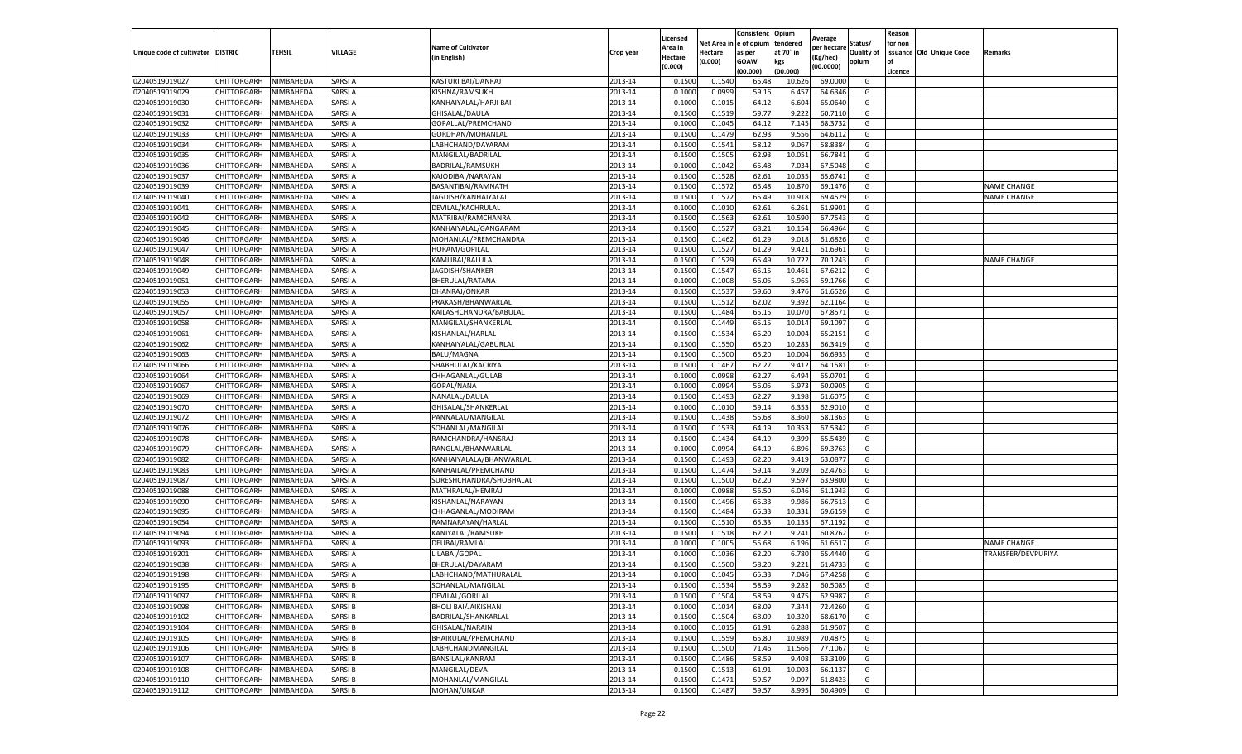|                           |                       |           |               |                            |           | Licensed |         | Consistenc             | Opium     |                        |            | Reason  |                          |                    |
|---------------------------|-----------------------|-----------|---------------|----------------------------|-----------|----------|---------|------------------------|-----------|------------------------|------------|---------|--------------------------|--------------------|
|                           |                       |           |               | <b>Name of Cultivator</b>  |           | Area in  |         | Net Area in e of opium | tendered  | Average<br>oer hectare | Status/    | for non |                          |                    |
| Unique code of cultivator | <b>DISTRIC</b>        | TEHSIL    | VILLAGE       | in English)                | Crop year | Hectare  | Hectare | as per                 | at 70° in | (Kg/hec                | Quality of |         | issuance Old Unique Code | Remarks            |
|                           |                       |           |               |                            |           | (0.000)  | (0.000) | <b>GOAW</b>            | kgs       | (00.0000)              | opium      |         |                          |                    |
|                           |                       |           |               |                            |           |          |         | (00.000)               | (00.000)  |                        |            | Licence |                          |                    |
| 02040519019027            | <b>CHITTORGARH</b>    | NIMBAHEDA | SARSI A       | KASTURI BAI/DANRAJ         | 2013-14   | 0.1500   | 0.1540  | 65.48                  | 10.626    | 69.0000                | G          |         |                          |                    |
| 02040519019029            | CHITTORGARH           | NIMBAHEDA | SARSI A       | KISHNA/RAMSUKH             | 2013-14   | 0.1000   | 0.0999  | 59.16                  | 6.457     | 64.6346                | G          |         |                          |                    |
| 02040519019030            | CHITTORGARH           | NIMBAHEDA | SARSI A       | KANHAIYALAL/HARJI BAI      | 2013-14   | 0.1000   | 0.1015  | 64.12                  | 6.604     | 65.0640                | G          |         |                          |                    |
| 02040519019031            | CHITTORGARH           | NIMBAHEDA | SARSI A       | GHISALAL/DAULA             | 2013-14   | 0.1500   | 0.1519  | 59.77                  | 9.222     | 60.7110                | G          |         |                          |                    |
| 02040519019032            | CHITTORGARH           | NIMBAHEDA | SARSI A       | GOPALLAL/PREMCHAND         | 2013-14   | 0.1000   | 0.1045  | 64.12                  | 7.145     | 68.3732                | G          |         |                          |                    |
| 02040519019033            | CHITTORGARH           | NIMBAHEDA | SARSI A       | GORDHAN/MOHANLAL           | 2013-14   | 0.1500   | 0.1479  | 62.93                  | 9.556     | 64.6112                | G          |         |                          |                    |
| 02040519019034            | CHITTORGARH           | NIMBAHEDA | SARSI A       | LABHCHAND/DAYARAM          | 2013-14   | 0.1500   | 0.1541  | 58.12                  | 9.067     | 58.8384                | G          |         |                          |                    |
| 02040519019035            | CHITTORGARH           | NIMBAHEDA | SARSI A       | MANGILAL/BADRILAL          | 2013-14   | 0.1500   | 0.1505  | 62.93                  | 10.05     | 66.7841                | G          |         |                          |                    |
| 02040519019036            | CHITTORGARH           | NIMBAHEDA | SARSI A       | BADRILAL/RAMSUKH           | 2013-14   | 0.1000   | 0.1042  | 65.48                  | 7.034     | 67.5048                | G          |         |                          |                    |
| 02040519019037            | CHITTORGARH           | NIMBAHEDA | SARSI A       | KAJODIBAI/NARAYAN          | 2013-14   | 0.1500   | 0.1528  | 62.61                  | 10.035    | 65.6741                | G          |         |                          |                    |
| 02040519019039            | CHITTORGARH           | NIMBAHEDA | SARSI A       | BASANTIBAI/RAMNATH         | 2013-14   | 0.1500   | 0.1572  | 65.48                  | 10.87     | 69.1476                | G          |         |                          | <b>NAME CHANGE</b> |
| 02040519019040            | CHITTORGARH           | NIMBAHEDA | SARSI A       | JAGDISH/KANHAIYALAL        | 2013-14   | 0.1500   | 0.1572  | 65.49                  | 10.91     | 69.4529                | G          |         |                          | <b>NAME CHANGE</b> |
| 02040519019041            | CHITTORGARH           | NIMBAHEDA | SARSI A       | DEVILAL/KACHRULAL          | 2013-14   | 0.1000   | 0.1010  | 62.61                  | 6.261     | 61.9901                | G          |         |                          |                    |
| 02040519019042            | CHITTORGARH           | NIMBAHEDA | SARSI A       | MATRIBAI/RAMCHANRA         | 2013-14   | 0.1500   | 0.1563  | 62.61                  | 10.59     | 67.7543                | G          |         |                          |                    |
| 02040519019045            | CHITTORGARH           | NIMBAHEDA | SARSI A       | KANHAIYALAL/GANGARAM       | 2013-14   | 0.1500   | 0.1527  | 68.21                  | 10.154    | 66.4964                | G          |         |                          |                    |
| 02040519019046            | CHITTORGARH           | NIMBAHEDA | SARSI A       | MOHANLAL/PREMCHANDRA       | 2013-14   | 0.1500   | 0.1462  | 61.29                  | 9.01      | 61.6826                | G          |         |                          |                    |
| 02040519019047            | CHITTORGARH           | NIMBAHEDA | SARSI A       | HORAM/GOPILAL              | 2013-14   | 0.1500   | 0.1527  | 61.29                  | 9.421     | 61.6961                | G          |         |                          |                    |
| 02040519019048            | CHITTORGARH           | NIMBAHEDA | SARSI A       | KAMLIBAI/BALULAL           | 2013-14   | 0.1500   | 0.1529  | 65.49                  | 10.722    | 70.1243                | G          |         |                          | <b>NAME CHANGE</b> |
| 02040519019049            | CHITTORGARH           | NIMBAHEDA | SARSI A       | JAGDISH/SHANKER            | 2013-14   | 0.1500   | 0.1547  | 65.15                  | 10.461    | 67.6212                | G          |         |                          |                    |
| 02040519019051            | CHITTORGARH           | NIMBAHEDA | SARSI A       | BHERULAL/RATANA            | 2013-14   | 0.1000   | 0.1008  | 56.05                  | 5.965     | 59.1766                | G          |         |                          |                    |
| 02040519019053            | CHITTORGARH           | NIMBAHEDA | SARSI A       | DHANRAJ/ONKAR              | 2013-14   | 0.1500   | 0.1537  | 59.60                  | 9.476     | 61.6526                | G          |         |                          |                    |
| 02040519019055            | CHITTORGARH           | NIMBAHEDA | SARSI A       | PRAKASH/BHANWARLAL         | 2013-14   | 0.1500   | 0.1512  | 62.02                  | 9.392     | 62.1164                | G          |         |                          |                    |
| 02040519019057            | CHITTORGARH           | NIMBAHEDA | SARSI A       | KAILASHCHANDRA/BABULAL     | 2013-14   | 0.1500   | 0.1484  | 65.15                  | 10.07     | 67.8571                | G          |         |                          |                    |
| 02040519019058            | CHITTORGARH           | NIMBAHEDA | SARSI A       | MANGILAL/SHANKERLAL        | 2013-14   | 0.1500   | 0.1449  | 65.15                  | 10.01     | 69.1097                | G          |         |                          |                    |
| 02040519019061            | CHITTORGARH           | NIMBAHEDA | SARSI A       | KISHANLAL/HARLAL           | 2013-14   | 0.1500   | 0.1534  | 65.20                  | 10.00     | 65.2151                | G          |         |                          |                    |
| 02040519019062            | CHITTORGARH           | NIMBAHEDA | SARSI A       | KANHAIYALAL/GABURLAL       | 2013-14   | 0.1500   | 0.1550  | 65.20                  | 10.283    | 66.3419                | G          |         |                          |                    |
| 02040519019063            | CHITTORGARH           | NIMBAHEDA | SARSI A       | <b>BALU/MAGNA</b>          | 2013-14   | 0.1500   | 0.1500  | 65.20                  | 10.004    | 66.6933                | G          |         |                          |                    |
| 02040519019066            | CHITTORGARH           | NIMBAHEDA | SARSI A       | SHABHULAL/KACRIYA          | 2013-14   | 0.1500   | 0.1467  | 62.27                  | 9.412     | 64.1581                | G          |         |                          |                    |
| 02040519019064            | CHITTORGARH           | NIMBAHEDA | SARSI A       | CHHAGANLAL/GULAB           | 2013-14   | 0.1000   | 0.0998  | 62.27                  | 6.494     | 65.0701                | G          |         |                          |                    |
| 02040519019067            | CHITTORGARH           | NIMBAHEDA | SARSI A       | GOPAL/NANA                 | 2013-14   | 0.1000   | 0.0994  | 56.05                  | 5.973     | 60.0905                | G          |         |                          |                    |
| 02040519019069            | CHITTORGARH           | NIMBAHEDA | SARSI A       | NANALAL/DAULA              | 2013-14   | 0.1500   | 0.1493  | 62.27                  | 9.19      | 61.607                 | G          |         |                          |                    |
| 02040519019070            | CHITTORGARH           | NIMBAHEDA | SARSI A       | GHISALAL/SHANKERLAL        | 2013-14   | 0.1000   | 0.1010  | 59.14                  | 6.353     | 62.9010                | G          |         |                          |                    |
| 02040519019072            | CHITTORGARH           | NIMBAHEDA | SARSI A       | PANNALAL/MANGILAL          | 2013-14   | 0.1500   | 0.1438  | 55.68                  | 8.360     | 58.1363                | G          |         |                          |                    |
| 02040519019076            | CHITTORGARH           | NIMBAHEDA | SARSI A       | SOHANLAL/MANGILAL          | 2013-14   | 0.1500   | 0.1533  | 64.19                  | 10.353    | 67.5342                | G          |         |                          |                    |
| 02040519019078            | CHITTORGARH           | NIMBAHEDA | SARSI A       | RAMCHANDRA/HANSRAJ         | 2013-14   | 0.1500   | 0.1434  | 64.19                  | 9.399     | 65.5439                | G          |         |                          |                    |
| 02040519019079            | CHITTORGARH           | NIMBAHEDA | SARSI A       | RANGLAL/BHANWARLAL         | 2013-14   | 0.1000   | 0.0994  | 64.19                  | 6.896     | 69.3763                | G          |         |                          |                    |
| 02040519019082            | CHITTORGARH           | NIMBAHEDA | SARSI A       | KANHAIYALALA/BHANWARLAL    | 2013-14   | 0.1500   | 0.1493  | 62.20                  | 9.419     | 63.0877                | G          |         |                          |                    |
| 02040519019083            | CHITTORGARH           | NIMBAHEDA | SARSI A       | KANHAILAL/PREMCHAND        | 2013-14   | 0.1500   | 0.1474  | 59.14                  | 9.209     | 62.4763                | G          |         |                          |                    |
| 02040519019087            | CHITTORGARH           | NIMBAHEDA | SARSI A       | SURESHCHANDRA/SHOBHALAL    | 2013-14   | 0.1500   | 0.1500  | 62.20                  | 9.597     | 63.9800                | G          |         |                          |                    |
| 02040519019088            | CHITTORGARH           | NIMBAHEDA | SARSI A       | MATHRALAL/HEMRAJ           | 2013-14   | 0.1000   | 0.0988  | 56.50                  | 6.046     | 61.1943                | G          |         |                          |                    |
| 02040519019090            | CHITTORGARH           | NIMBAHEDA | SARSI A       | KISHANLAL/NARAYAN          | 2013-14   | 0.1500   | 0.1496  | 65.33                  | 9.986     | 66.7513                | G          |         |                          |                    |
| 02040519019095            | CHITTORGARH           | NIMBAHEDA | SARSI A       | CHHAGANLAL/MODIRAM         | 2013-14   | 0.1500   | 0.1484  | 65.33                  | 10.33     | 69.6159                | G          |         |                          |                    |
| 02040519019054            | CHITTORGARH           | NIMBAHEDA | SARSI A       | RAMNARAYAN/HARLAL          | 2013-14   | 0.1500   | 0.1510  | 65.33                  | 10.13     | 67.1192                | G          |         |                          |                    |
| 02040519019094            | CHITTORGARH           | NIMBAHEDA | SARSI A       | KANIYALAL/RAMSUKH          | 2013-14   | 0.1500   | 0.1518  | 62.20                  | 9.241     | 60.8762                | G          |         |                          |                    |
| 02040519019093            | CHITTORGARH           | NIMBAHEDA | SARSI A       | DEUBAI/RAMLAL              | 2013-14   | 0.1000   | 0.1005  | 55.68                  | 6.196     | 61.6517                | G          |         |                          | <b>NAME CHANGE</b> |
| 02040519019201            | CHITTORGARH           | NIMBAHEDA | SARSI A       | LILABAI/GOPAL              | 2013-14   | 0.1000   | 0.1036  | 62.20                  | 6.78      | 65.4440                | G          |         |                          | TRANSFER/DEVPURIYA |
| 02040519019038            | CHITTORGARH           | NIMBAHEDA | SARSI A       | BHERULAL/DAYARAM           | 2013-14   | 0.1500   | 0.1500  | 58.20                  | 9.221     | 61.4733                | G          |         |                          |                    |
| 02040519019198            | CHITTORGARH           | NIMBAHEDA | SARSI A       | LABHCHAND/MATHURALAL       | 2013-14   | 0.1000   | 0.1045  | 65.33                  | 7.046     | 67.4258                | G          |         |                          |                    |
| 02040519019195            | CHITTORGARH NIMBAHEDA |           | SARSI B       | SOHANLAL/MANGILAL          | 2013-14   | 0.1500   | 0.1534  | 58.59                  | 9.282     | 60.5085                | G          |         |                          |                    |
| 02040519019097            | CHITTORGARH           | NIMBAHEDA | SARSI B       | DEVILAL/GORILAL            | 2013-14   | 0.1500   | 0.1504  | 58.59                  | 9.475     | 62.9987                | G          |         |                          |                    |
| 02040519019098            | <b>CHITTORGARH</b>    | NIMBAHEDA | SARSI B       | <b>BHOLI BAI/JAIKISHAN</b> | 2013-14   | 0.1000   | 0.1014  | 68.09                  | 7.344     | 72.4260                | G          |         |                          |                    |
| 02040519019102            | <b>CHITTORGARH</b>    | NIMBAHEDA | SARSI B       | BADRILAL/SHANKARLAL        | 2013-14   | 0.1500   | 0.1504  | 68.09                  | 10.320    | 68.6170                | G          |         |                          |                    |
| 02040519019104            | <b>CHITTORGARH</b>    | NIMBAHEDA | SARSI B       | GHISALAL/NARAIN            | 2013-14   | 0.1000   | 0.1015  | 61.91                  | 6.288     | 61.9507                | G          |         |                          |                    |
| 02040519019105            | <b>CHITTORGARH</b>    | NIMBAHEDA | <b>SARSIB</b> | BHAIRULAL/PREMCHAND        | 2013-14   | 0.1500   | 0.1559  | 65.80                  | 10.989    | 70.4875                | G          |         |                          |                    |
| 02040519019106            | CHITTORGARH           | NIMBAHEDA | SARSI B       | LABHCHANDMANGILAL          | 2013-14   | 0.1500   | 0.1500  | 71.46                  | 11.566    | 77.1067                | G          |         |                          |                    |
| 02040519019107            | CHITTORGARH           | NIMBAHEDA | SARSI B       | BANSILAL/KANRAM            | 2013-14   | 0.1500   | 0.1486  | 58.59                  | 9.408     | 63.3109                | G          |         |                          |                    |
| 02040519019108            | CHITTORGARH           | NIMBAHEDA | SARSI B       | MANGILAL/DEVA              | 2013-14   | 0.1500   | 0.1513  | 61.91                  | 10.003    | 66.1137                | G          |         |                          |                    |
| 02040519019110            | CHITTORGARH           | NIMBAHEDA | SARSI B       | MOHANLAL/MANGILAL          | 2013-14   | 0.1500   | 0.1471  | 59.57                  | 9.097     | 61.8423                | G          |         |                          |                    |
| 02040519019112            | <b>CHITTORGARH</b>    | NIMBAHEDA | <b>SARSIB</b> | MOHAN/UNKAR                | 2013-14   | 0.1500   | 0.1487  | 59.57                  | 8.995     | 60.4909                | G          |         |                          |                    |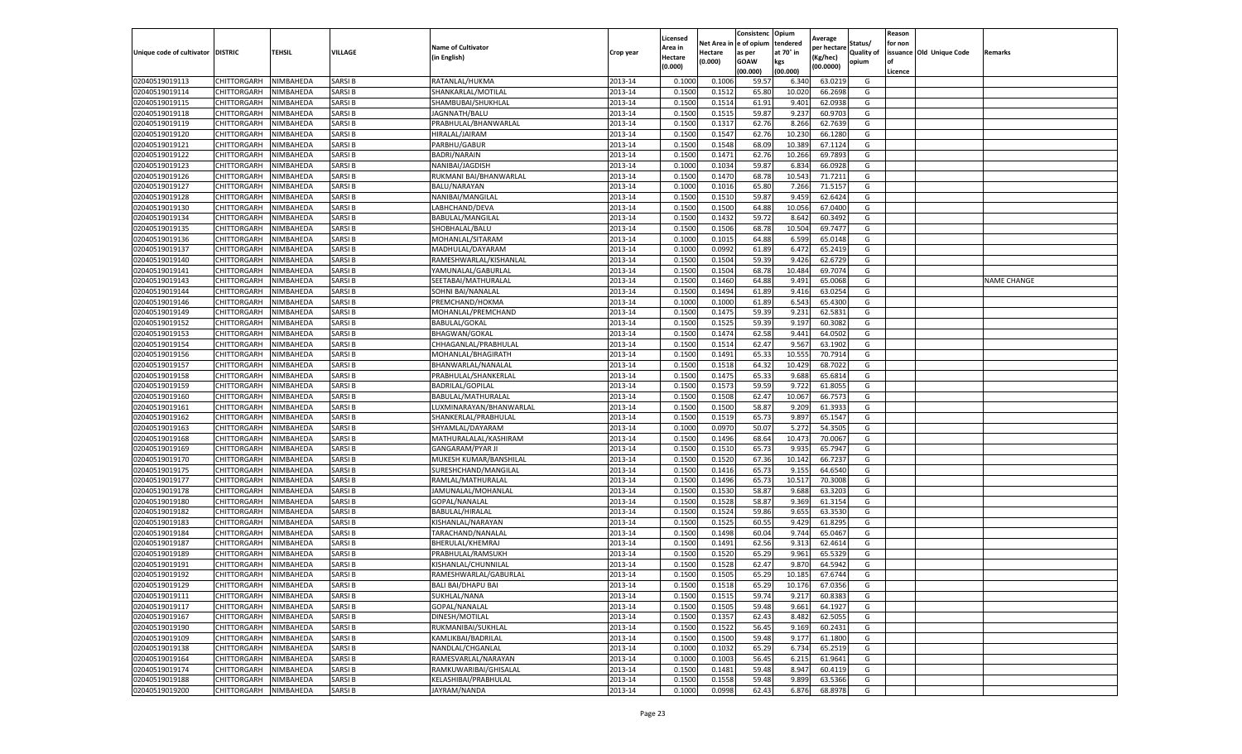|                                   |             |           |               |                           |           | Licensed |            | Consistenc  | Opium     | Average     |                   | Reason  |                          |                    |
|-----------------------------------|-------------|-----------|---------------|---------------------------|-----------|----------|------------|-------------|-----------|-------------|-------------------|---------|--------------------------|--------------------|
|                                   |             |           |               | <b>Name of Cultivator</b> |           | Area in  | Net Area i | e of opium  | tendered  | per hectare | Status/           | for non |                          |                    |
| Unique code of cultivator DISTRIC |             | TEHSIL    | VILLAGE       | (in English)              | Crop year | Hectare  | Hectare    | as per      | at 70° in | (Kg/hec)    | <b>Quality of</b> |         | issuance Old Unique Code | Remarks            |
|                                   |             |           |               |                           |           | (0.000)  | (0.000)    | <b>GOAW</b> | kgs       | (00.0000)   | opium             | οf      |                          |                    |
|                                   |             |           |               |                           |           |          |            | (00.000     | (00.000)  |             |                   | Licence |                          |                    |
| 02040519019113                    | CHITTORGARH | NIMBAHEDA | SARSI B       | RATANLAL/HUKMA            | 2013-14   | 0.1000   | 0.100(     | 59.57       | 6.340     | 63.0219     | G                 |         |                          |                    |
| 02040519019114                    | CHITTORGARH | NIMBAHEDA | SARSI B       | SHANKARLAL/MOTILAL        | 2013-14   | 0.150    | 0.151      | 65.80       | 10.02     | 66.2698     | G                 |         |                          |                    |
| 02040519019115                    | CHITTORGARH | NIMBAHEDA | SARSI B       | SHAMBUBAI/SHUKHLAL        | 2013-14   | 0.1500   | 0.1514     | 61.91       | 9.401     | 62.0938     | G                 |         |                          |                    |
| 02040519019118                    | CHITTORGARH | NIMBAHEDA | <b>SARSIB</b> | JAGNNATH/BALU             | 2013-14   | 0.1500   | 0.1515     | 59.87       | 9.237     | 60.9703     | G                 |         |                          |                    |
| 02040519019119                    | CHITTORGARH | NIMBAHEDA | SARSI B       | PRABHULAL/BHANWARLAL      | 2013-14   | 0.1500   | 0.1317     | 62.76       | 8.266     | 62.7639     | G                 |         |                          |                    |
| 02040519019120                    | CHITTORGARH | NIMBAHEDA | SARSI B       | HIRALAL/JAIRAM            | 2013-14   | 0.1500   | 0.1547     | 62.76       | 10.23     | 66.1280     | G                 |         |                          |                    |
| 02040519019121                    | CHITTORGARH | NIMBAHEDA | SARSI B       | PARBHU/GABUR              | 2013-14   | 0.1500   | 0.1548     | 68.09       | 10.389    | 67.1124     | G                 |         |                          |                    |
| 02040519019122                    | CHITTORGARH | NIMBAHEDA | SARSI B       | <b>BADRI/NARAIN</b>       | 2013-14   | 0.1500   | 0.147      | 62.76       | 10.266    | 69.7893     | G                 |         |                          |                    |
| 02040519019123                    | CHITTORGARH | NIMBAHEDA | SARSI B       | NANIBAI/JAGDISH           | 2013-14   | 0.100    | 0.1034     | 59.87       | 6.834     | 66.0928     | G                 |         |                          |                    |
| 02040519019126                    | CHITTORGARH | NIMBAHEDA | SARSI B       | RUKMANI BAI/BHANWARLAL    | 2013-14   | 0.1500   | 0.1470     | 68.78       | 10.543    | 71.7211     | G                 |         |                          |                    |
| 02040519019127                    | CHITTORGARH | NIMBAHEDA | SARSI B       | BALU/NARAYAN              | 2013-14   | 0.1000   | 0.1016     | 65.80       | 7.266     | 71.5157     | G                 |         |                          |                    |
| 02040519019128                    | CHITTORGARH | NIMBAHEDA | SARSI B       | NANIBAI/MANGILAL          | 2013-14   | 0.1500   | 0.1510     | 59.87       | 9.459     | 62.6424     | G                 |         |                          |                    |
| 02040519019130                    | CHITTORGARH | NIMBAHEDA | SARSI B       | LABHCHAND/DEVA            | 2013-14   | 0.1500   | 0.1500     | 64.88       | 10.056    | 67.0400     | G                 |         |                          |                    |
| 02040519019134                    | CHITTORGARH | NIMBAHEDA | SARSI B       | BABULAL/MANGILAL          | 2013-14   | 0.1500   | 0.1432     | 59.72       | 8.642     | 60.3492     | G                 |         |                          |                    |
| 02040519019135                    | CHITTORGARH | NIMBAHEDA | SARSI B       | SHOBHALAL/BALU            | 2013-14   | 0.1500   | 0.1506     | 68.78       | 10.504    | 69.7477     | G                 |         |                          |                    |
| 02040519019136                    | CHITTORGARH | NIMBAHEDA | SARSI B       | MOHANLAL/SITARAM          | 2013-14   | 0.1000   | 0.1015     | 64.88       | 6.599     | 65.0148     | G                 |         |                          |                    |
| 02040519019137                    | CHITTORGARH | NIMBAHEDA | SARSI B       | MADHULAL/DAYARAM          | 2013-14   | 0.1000   | 0.0992     | 61.89       | 6.472     | 65.2419     | G                 |         |                          |                    |
| 02040519019140                    | CHITTORGARH | NIMBAHEDA | SARSI B       | RAMESHWARLAL/KISHANLAL    | 2013-14   | 0.1500   | 0.1504     | 59.39       | 9.426     | 62.6729     | G                 |         |                          |                    |
| 02040519019141                    | CHITTORGARH | NIMBAHEDA | SARSI B       | YAMUNALAL/GABURLAL        | 2013-14   | 0.1500   | 0.1504     | 68.78       | 10.484    | 69.7074     | G                 |         |                          |                    |
| 02040519019143                    | CHITTORGARH | NIMBAHEDA | SARSI B       | SEETABAI/MATHURALAL       | 2013-14   | 0.1500   | 0.1460     | 64.88       | 9.491     | 65.0068     | G                 |         |                          | <b>NAME CHANGE</b> |
| 02040519019144                    | CHITTORGARH | NIMBAHEDA | SARSI B       | SOHNI BAI/NANALAL         | 2013-14   | 0.1500   | 0.1494     | 61.89       | 9.416     | 63.0254     | G                 |         |                          |                    |
| 02040519019146                    | CHITTORGARH | NIMBAHEDA | SARSI B       | PREMCHAND/HOKMA           | 2013-14   | 0.1000   | 0.1000     | 61.89       | 6.543     | 65.4300     | G                 |         |                          |                    |
| 02040519019149                    | CHITTORGARH | NIMBAHEDA | <b>SARSIB</b> | MOHANLAL/PREMCHAND        | 2013-14   | 0.1500   | 0.1475     | 59.39       | 9.231     | 62.5831     | G                 |         |                          |                    |
| 02040519019152                    | CHITTORGARH | NIMBAHEDA | SARSI B       | <b>BABULAL/GOKAL</b>      | 2013-14   | 0.1500   | 0.1525     | 59.39       | 9.197     | 60.3082     | G                 |         |                          |                    |
| 02040519019153                    | CHITTORGARH | NIMBAHEDA | SARSI B       | BHAGWAN/GOKAL             | 2013-14   | 0.1500   | 0.1474     | 62.58       | 9.441     | 64.0502     | G                 |         |                          |                    |
| 02040519019154                    | CHITTORGARH | NIMBAHEDA | SARSI B       | CHHAGANLAL/PRABHULAL      | 2013-14   | 0.1500   | 0.1514     | 62.47       | 9.567     | 63.1902     | G                 |         |                          |                    |
| 02040519019156                    | CHITTORGARH | NIMBAHEDA | SARSI B       | MOHANLAL/BHAGIRATH        | 2013-14   | 0.1500   | 0.1491     | 65.33       | 10.555    | 70.7914     | G                 |         |                          |                    |
| 02040519019157                    | CHITTORGARH | NIMBAHEDA | SARSI B       | BHANWARLAL/NANALAL        | 2013-14   | 0.1500   | 0.1518     | 64.32       | 10.429    | 68.7022     | G                 |         |                          |                    |
| 02040519019158                    | CHITTORGARH | NIMBAHEDA | SARSI B       | PRABHULAL/SHANKERLAL      | 2013-14   | 0.1500   | 0.1475     | 65.33       | 9.688     | 65.6814     | G                 |         |                          |                    |
| 02040519019159                    | CHITTORGARH | NIMBAHEDA | SARSI B       | <b>BADRILAL/GOPILAL</b>   | 2013-14   | 0.1500   | 0.1573     | 59.59       | 9.722     | 61.8055     | G                 |         |                          |                    |
| 02040519019160                    | CHITTORGARH | NIMBAHEDA | SARSI B       | BABULAL/MATHURALAL        | 2013-14   | 0.1500   | 0.1508     | 62.47       | 10.067    | 66.7573     | G                 |         |                          |                    |
| 02040519019161                    | CHITTORGARH | NIMBAHEDA | SARSI B       | LUXMINARAYAN/BHANWARLAL   | 2013-14   | 0.1500   | 0.1500     | 58.87       | 9.209     | 61.3933     | G                 |         |                          |                    |
| 02040519019162                    | CHITTORGARH | NIMBAHEDA | SARSI B       | SHANKERLAL/PRABHULAL      | 2013-14   | 0.1500   | 0.1519     | 65.73       | 9.897     | 65.1547     | G                 |         |                          |                    |
| 02040519019163                    | CHITTORGARH | NIMBAHEDA | SARSI B       | SHYAMLAL/DAYARAM          | 2013-14   | 0.1000   | 0.0970     | 50.07       | 5.272     | 54.3505     | G                 |         |                          |                    |
| 02040519019168                    | CHITTORGARH | NIMBAHEDA | <b>SARSIB</b> | MATHURALALAL/KASHIRAM     | 2013-14   | 0.1500   | 0.1496     | 68.64       | 10.473    | 70.0067     | G                 |         |                          |                    |
| 02040519019169                    | CHITTORGARH | NIMBAHEDA | SARSI B       | <b>GANGARAM/PYAR JI</b>   | 2013-14   | 0.1500   | 0.1510     | 65.73       | 9.935     | 65.7947     | G                 |         |                          |                    |
| 02040519019170                    | CHITTORGARH | NIMBAHEDA | SARSI B       | MUKESH KUMAR/BANSHILAI    | 2013-14   | 0.1500   | 0.1520     | 67.36       | 10.142    | 66.7237     | G                 |         |                          |                    |
| 02040519019175                    | CHITTORGARH | NIMBAHEDA | SARSI B       | SURESHCHAND/MANGILAL      | 2013-14   | 0.1500   | 0.1416     | 65.73       | 9.155     | 64.6540     | G                 |         |                          |                    |
| 02040519019177                    | CHITTORGARH | NIMBAHEDA | SARSI B       | RAMLAL/MATHURALAI         | 2013-14   | 0.1500   | 0.1496     | 65.73       | 10.517    | 70.3008     | G                 |         |                          |                    |
| 02040519019178                    | CHITTORGARH | NIMBAHEDA | SARSI B       | JAMUNALAL/MOHANLAL        | 2013-14   | 0.1500   | 0.1530     | 58.87       | 9.688     | 63.3203     | G                 |         |                          |                    |
| 02040519019180                    | CHITTORGARH | NIMBAHEDA | SARSI B       | GOPAL/NANALAL             | 2013-14   | 0.1500   | 0.1528     | 58.87       | 9.369     | 61.3154     | G                 |         |                          |                    |
| 02040519019182                    | CHITTORGARH | NIMBAHEDA | SARSI B       | BABULAL/HIRALAL           | 2013-14   | 0.1500   | 0.1524     | 59.86       | 9.655     | 63.3530     | G                 |         |                          |                    |
| 02040519019183                    | CHITTORGARH | NIMBAHEDA | SARSI B       | KISHANLAL/NARAYAN         | 2013-14   | 0.1500   | 0.1525     | 60.55       | 9.429     | 61.8295     | G                 |         |                          |                    |
| 02040519019184                    | CHITTORGARH | NIMBAHEDA | SARSI B       | TARACHAND/NANALAL         | 2013-14   | 0.1500   | 0.1498     | 60.04       | 9.744     | 65.0467     | G                 |         |                          |                    |
| 02040519019187                    | CHITTORGARH | NIMBAHEDA | SARSI B       | BHERULAL/KHEMRAJ          | 2013-14   | 0.1500   | 0.1491     | 62.56       | 9.313     | 62.4614     | G                 |         |                          |                    |
| 02040519019189                    | CHITTORGARH | NIMBAHEDA | SARSI B       | PRABHULAL/RAMSUKH         | 2013-14   | 0.150    | 0.1520     | 65.29       | 9.961     | 65.5329     | G                 |         |                          |                    |
| 02040519019191                    | CHITTORGARH | NIMBAHEDA | SARSI B       | KISHANLAL/CHUNNILAL       | 2013-14   | 0.1500   | 0.1528     | 62.47       | 9.870     | 64.5942     | G                 |         |                          |                    |
| 02040519019192                    | CHITTORGARH | NIMBAHEDA | SARSI B       | RAMESHWARLAL/GABURLAL     | 2013-14   | 0.1500   | 0.1505     | 65.29       | 10.185    | 67.6744     | G                 |         |                          |                    |
| 02040519019129                    | CHITTORGARH | NIMBAHEDA | SARSI B       | <b>BALI BAI/DHAPU BAI</b> | 2013-14   | 0.1500   | 0.1518     | 65.29       | 10.176    | 67.0356     | G                 |         |                          |                    |
| 02040519019111                    | CHITTORGARH | NIMBAHEDA | SARSI B       | SUKHLAL/NANA              | 2013-14   | 0.1500   | 0.1515     | 59.74       | 9.217     | 60.8383     | G                 |         |                          |                    |
| 02040519019117                    | CHITTORGARH | NIMBAHEDA | SARSI B       | GOPAL/NANALAL             | 2013-14   | 0.1500   | 0.1505     | 59.48       | 9.661     | 64.1927     | G                 |         |                          |                    |
| 02040519019167                    | CHITTORGARH | NIMBAHEDA | SARSI B       | DINESH/MOTILAL            | 2013-14   | 0.1500   | 0.1357     | 62.43       | 8.482     | 62.5055     | G                 |         |                          |                    |
| 02040519019190                    | CHITTORGARH | NIMBAHEDA | SARSI B       | RUKMANIBAI/SUKHLAL        | 2013-14   | 0.1500   | 0.1522     | 56.45       | 9.169     | 60.2431     | G                 |         |                          |                    |
| 02040519019109                    | CHITTORGARH | NIMBAHEDA | <b>SARSIB</b> | KAMLIKBAI/BADRILAL        | 2013-14   | 0.1500   | 0.1500     | 59.48       | 9.177     | 61.1800     | G                 |         |                          |                    |
| 02040519019138                    | CHITTORGARH | NIMBAHEDA | SARSI B       | NANDLAL/CHGANLAL          | 2013-14   | 0.1000   | 0.1032     | 65.29       | 6.734     | 65.2519     | G                 |         |                          |                    |
| 02040519019164                    | CHITTORGARH | NIMBAHEDA | SARSI B       | RAMESVARLAL/NARAYAN       | 2013-14   | 0.1000   | 0.1003     | 56.45       | 6.215     | 61.9641     | G                 |         |                          |                    |
| 02040519019174                    | CHITTORGARH | NIMBAHEDA | <b>SARSIB</b> | RAMKUWARIBAI/GHISALAL     | 2013-14   | 0.1500   | 0.1481     | 59.48       | 8.947     | 60.4119     | G                 |         |                          |                    |
| 02040519019188                    | CHITTORGARH | NIMBAHEDA | SARSI B       | KELASHIBAI/PRABHULAL      | 2013-14   | 0.1500   | 0.1558     | 59.48       | 9.899     | 63.5366     | G                 |         |                          |                    |
| 02040519019200                    | CHITTORGARH | NIMBAHEDA | SARSI B       | JAYRAM/NANDA              | 2013-14   | 0.1000   | 0.0998     | 62.43       | 6.876     | 68.8978     | G                 |         |                          |                    |
|                                   |             |           |               |                           |           |          |            |             |           |             |                   |         |                          |                    |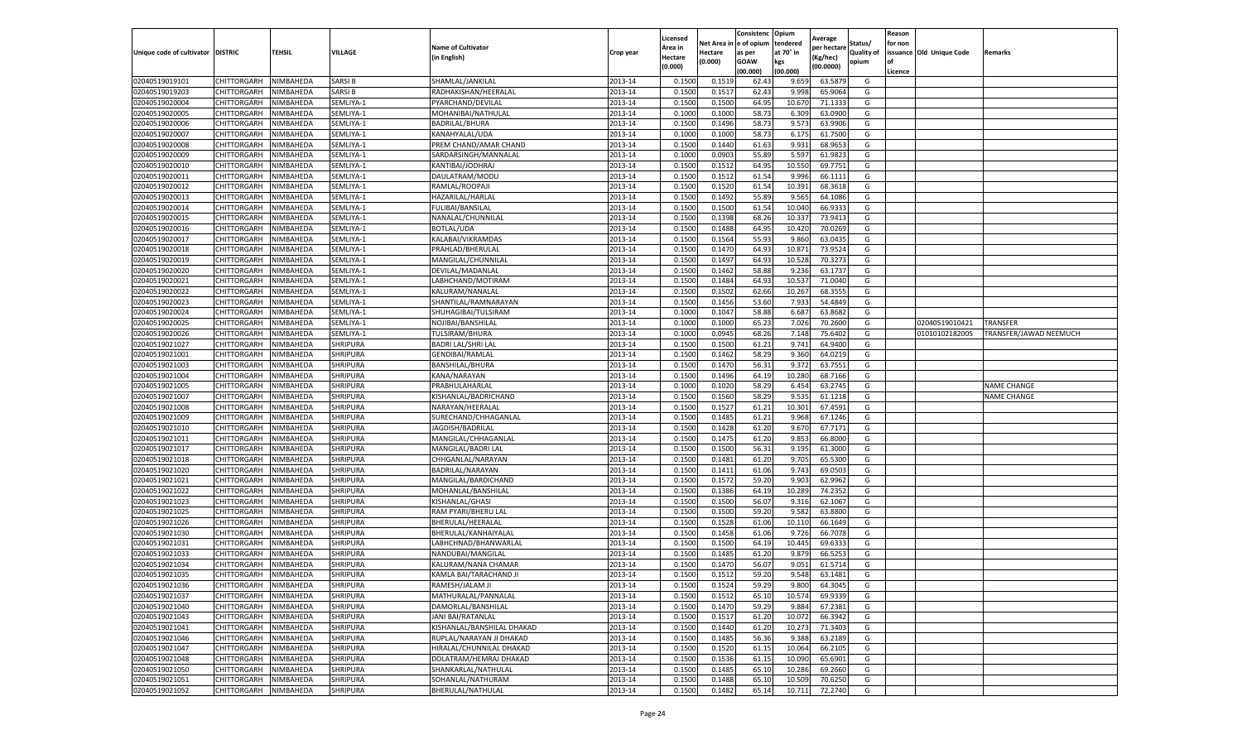|                           |                    |           |                 |                            |           | Licensed |         | Consistenc             | Opium     |                        |                   | Reason  |                          |                        |
|---------------------------|--------------------|-----------|-----------------|----------------------------|-----------|----------|---------|------------------------|-----------|------------------------|-------------------|---------|--------------------------|------------------------|
|                           |                    |           |                 | <b>Name of Cultivator</b>  |           | Area in  |         | Net Area in e of opium | tendered  | Average<br>per hectare | Status/           | for non |                          |                        |
| Unique code of cultivator | <b>DISTRIC</b>     | TEHSIL    | VILLAGE         | in English)                | Crop year | Hectare  | Hectare | as per                 | at 70° in | (Kg/hec                | <b>Quality of</b> |         | issuance Old Unique Code | <b>Remarks</b>         |
|                           |                    |           |                 |                            |           | (0.000)  | (0.000) | <b>GOAW</b>            | kgs       | (00.0000)              | opium             |         |                          |                        |
|                           |                    |           |                 |                            |           |          |         | (00.000)               | (00.000)  |                        |                   | Licence |                          |                        |
| 02040519019101            | CHITTORGARH        | NIMBAHEDA | SARSI B         | SHAMLAL/JANKILAL           | 2013-14   | 0.1500   | 0.1519  | 62.43                  | 9.659     | 63.5879                | G                 |         |                          |                        |
| 02040519019203            | CHITTORGARH        | NIMBAHEDA | SARSI B         | RADHAKISHAN/HEERALAL       | 2013-14   | 0.1500   | 0.1517  | 62.43                  | 9.998     | 65.9064                | G                 |         |                          |                        |
| 02040519020004            | CHITTORGARH        | NIMBAHEDA | SEMLIYA-1       | PYARCHAND/DEVILAL          | 2013-14   | 0.1500   | 0.1500  | 64.95                  | 10.67     | 71.1333                | G                 |         |                          |                        |
| 02040519020005            | CHITTORGARH        | NIMBAHEDA | SEMLIYA-1       | MOHANIBAI/NATHULAL         | 2013-14   | 0.1000   | 0.1000  | 58.73                  | 6.309     | 63.0900                | G                 |         |                          |                        |
| 02040519020006            | CHITTORGARH        | NIMBAHEDA | SEMLIYA-1       | BADRILAL/BHURA             | 2013-14   | 0.1500   | 0.1496  | 58.73                  | 9.573     | 63.9906                | G                 |         |                          |                        |
| 02040519020007            | CHITTORGARH        | NIMBAHEDA | SEMLIYA-1       | KANAHYALAL/UDA             | 2013-14   | 0.1000   | 0.1000  | 58.73                  | 6.175     | 61.7500                | G                 |         |                          |                        |
| 02040519020008            | CHITTORGARH        | NIMBAHEDA | SEMLIYA-1       | PREM CHAND/AMAR CHAND      | 2013-14   | 0.1500   | 0.1440  | 61.63                  | 9.931     | 68.9653                | G                 |         |                          |                        |
| 02040519020009            | CHITTORGARH        | NIMBAHEDA | SEMLIYA-1       | SARDARSINGH/MANNALAL       | 2013-14   | 0.1000   | 0.0903  | 55.89                  | 5.597     | 61.9823                | G                 |         |                          |                        |
| 02040519020010            | CHITTORGARH        | NIMBAHEDA | SEMLIYA-1       | KANTIBAI/JODHRAJ           | 2013-14   | 0.1500   | 0.1512  | 64.95                  | 10.550    | 69.7751                | G                 |         |                          |                        |
| 02040519020011            | CHITTORGARH        | NIMBAHEDA | SEMLIYA-1       | DAULATRAM/MODU             | 2013-14   | 0.1500   | 0.1512  | 61.54                  | 9.996     | 66.1111                | G                 |         |                          |                        |
| 02040519020012            | CHITTORGARH        | NIMBAHEDA | SEMLIYA-1       | RAMLAL/ROOPAJI             | 2013-14   | 0.1500   | 0.1520  | 61.54                  | 10.391    | 68.3618                | G                 |         |                          |                        |
| 02040519020013            | CHITTORGARH        | NIMBAHEDA | SEMLIYA-1       | HAZARILAL/HARLAL           | 2013-14   | 0.1500   | 0.1492  | 55.89                  | 9.565     | 64.1086                | G                 |         |                          |                        |
| 02040519020014            | CHITTORGARH        | NIMBAHEDA | SEMLIYA-1       | <b>FULIBAI/BANSILAL</b>    | 2013-14   | 0.1500   | 0.1500  | 61.54                  | 10.04     | 66.933                 | G                 |         |                          |                        |
| 02040519020015            | CHITTORGARH        | NIMBAHEDA | SEMLIYA-1       | NANALAL/CHUNNILAL          | 2013-14   | 0.1500   | 0.1398  | 68.26                  | 10.33     | 73.9413                | G                 |         |                          |                        |
| 02040519020016            | CHITTORGARH        | NIMBAHEDA | SEMLIYA-1       | BOTLAL/UDA                 | 2013-14   | 0.1500   | 0.1488  | 64.95                  | 10.420    | 70.0269                | G                 |         |                          |                        |
| 02040519020017            | CHITTORGARH        | NIMBAHEDA | SEMLIYA-1       | KALABAI/VIKRAMDAS          | 2013-14   | 0.1500   | 0.1564  | 55.93                  | 9.860     | 63.0435                | G                 |         |                          |                        |
| 02040519020018            | CHITTORGARH        | NIMBAHEDA | SEMLIYA-1       | PRAHLAD/BHERULAL           | 2013-14   | 0.1500   | 0.1470  | 64.93                  | 10.871    | 73.9524                | G                 |         |                          |                        |
| 02040519020019            | CHITTORGARH        | NIMBAHEDA | SEMLIYA-1       | MANGILAL/CHUNNILAL         | 2013-14   | 0.1500   | 0.1497  | 64.93                  | 10.528    | 70.3273                | G                 |         |                          |                        |
| 02040519020020            | CHITTORGARH        | NIMBAHEDA | SEMLIYA-1       | DEVILAL/MADANLAL           | 2013-14   | 0.1500   | 0.1462  | 58.88                  | 9.236     | 63.1737                | G                 |         |                          |                        |
| 02040519020021            | CHITTORGARH        | NIMBAHEDA | SEMLIYA-1       | LABHCHAND/MOTIRAM          | 2013-14   | 0.1500   | 0.1484  | 64.93                  | 10.537    | 71.0040                | G                 |         |                          |                        |
|                           |                    | NIMBAHEDA |                 |                            | 2013-14   | 0.1500   |         |                        |           |                        | G                 |         |                          |                        |
| 02040519020022            | CHITTORGARH        |           | SEMLIYA-1       | KALURAM/NANALAL            |           |          | 0.1502  | 62.66                  | 10.267    | 68.3555                |                   |         |                          |                        |
| 02040519020023            | CHITTORGARH        | NIMBAHEDA | SEMLIYA-1       | SHANTILAL/RAMNARAYAN       | 2013-14   | 0.1500   | 0.1456  | 53.60                  | 7.933     | 54.4849                | G                 |         |                          |                        |
| 02040519020024            | CHITTORGARH        | NIMBAHEDA | SEMLIYA-1       | SHUHAGIBAI/TULSIRAM        | 2013-14   | 0.1000   | 0.1047  | 58.88                  | 6.687     | 63.8682                | G                 |         |                          |                        |
| 02040519020025            | CHITTORGARH        | NIMBAHEDA | SEMLIYA-1       | NOJIBAI/BANSHILAL          | 2013-14   | 0.1000   | 0.1000  | 65.23                  | 7.026     | 70.2600                | G                 |         | 02040519010421           | <b>TRANSFER</b>        |
| 02040519020026            | CHITTORGARH        | NIMBAHEDA | SEMLIYA-1       | TULSIRAM/BHURA             | 2013-14   | 0.1000   | 0.0945  | 68.26                  | 7.148     | 75.6402                | G                 |         | 01010102182005           | TRANSFER/JAWAD NEEMUCH |
| 02040519021027            | CHITTORGARH        | NIMBAHEDA | <b>SHRIPURA</b> | <b>BADRI LAL/SHRI LAL</b>  | 2013-14   | 0.1500   | 0.1500  | 61.21                  | 9.741     | 64.9400                | G                 |         |                          |                        |
| 02040519021001            | CHITTORGARH        | NIMBAHEDA | SHRIPURA        | <b>GENDIBAI/RAMLAL</b>     | 2013-14   | 0.1500   | 0.1462  | 58.29                  | 9.360     | 64.0219                | G                 |         |                          |                        |
| 02040519021003            | CHITTORGARH        | NIMBAHEDA | SHRIPURA        | BANSHILAL/BHURA            | 2013-14   | 0.1500   | 0.1470  | 56.31                  | 9.372     | 63.7551                | G                 |         |                          |                        |
| 02040519021004            | CHITTORGARH        | NIMBAHEDA | SHRIPURA        | KANA/NARAYAN               | 2013-14   | 0.1500   | 0.1496  | 64.19                  | 10.280    | 68.7166                | G                 |         |                          |                        |
| 02040519021005            | CHITTORGARH        | NIMBAHEDA | SHRIPURA        | PRABHULAHARLAL             | 2013-14   | 0.1000   | 0.1020  | 58.29                  | 6.454     | 63.2745                | G                 |         |                          | <b>NAME CHANGE</b>     |
| 02040519021007            | CHITTORGARH        | NIMBAHEDA | <b>SHRIPURA</b> | KISHANLAL/BADRICHAND       | 2013-14   | 0.1500   | 0.1560  | 58.29                  | 9.53      | 61.1218                | G                 |         |                          | <b>NAME CHANGE</b>     |
| 02040519021008            | CHITTORGARH        | NIMBAHEDA | <b>SHRIPURA</b> | NARAYAN/HEERALAI           | 2013-14   | 0.1500   | 0.1527  | 61.21                  | 10.301    | 67.4591                | G                 |         |                          |                        |
| 02040519021009            | CHITTORGARH        | NIMBAHEDA | SHRIPURA        | SURECHAND/CHHAGANLAL       | 2013-14   | 0.1500   | 0.1485  | 61.21                  | 9.968     | 67.1246                | G                 |         |                          |                        |
| 02040519021010            | CHITTORGARH        | NIMBAHEDA | SHRIPURA        | JAGDISH/BADRILAL           | 2013-14   | 0.1500   | 0.1428  | 61.20                  | 9.670     | 67.7171                | G                 |         |                          |                        |
| 02040519021011            | CHITTORGARH        | NIMBAHEDA | SHRIPURA        | MANGILAL/CHHAGANLAL        | 2013-14   | 0.1500   | 0.1475  | 61.20                  | 9.853     | 66.8000                | G                 |         |                          |                        |
| 02040519021017            | CHITTORGARH        | NIMBAHEDA | SHRIPURA        | MANGILAL/BADRI LAL         | 2013-14   | 0.1500   | 0.1500  | 56.31                  | 9.195     | 61.3000                | G                 |         |                          |                        |
| 02040519021018            | CHITTORGARH        | NIMBAHEDA | <b>SHRIPURA</b> | CHHGANLAL/NARAYAN          | 2013-14   | 0.1500   | 0.1481  | 61.20                  | 9.705     | 65.5300                | G                 |         |                          |                        |
| 02040519021020            | CHITTORGARH        | NIMBAHEDA | SHRIPURA        | BADRILAL/NARAYAN           | 2013-14   | 0.1500   | 0.1411  | 61.06                  | 9.743     | 69.0503                | G                 |         |                          |                        |
| 02040519021021            | CHITTORGARH        | NIMBAHEDA | SHRIPURA        | MANGILAL/BARDICHAND        | 2013-14   | 0.1500   | 0.1572  | 59.20                  | 9.903     | 62.9962                | G                 |         |                          |                        |
| 02040519021022            | CHITTORGARH        | NIMBAHEDA | <b>SHRIPURA</b> | MOHANLAL/BANSHILAL         | 2013-14   | 0.1500   | 0.1386  | 64.19                  | 10.289    | 74.2352                | G                 |         |                          |                        |
| 02040519021023            | CHITTORGARH        | NIMBAHEDA | SHRIPURA        | KISHANLAL/GHASI            | 2013-14   | 0.1500   | 0.1500  | 56.07                  | 9.31      | 62.1067                | G                 |         |                          |                        |
| 02040519021025            | CHITTORGARH        | NIMBAHEDA | SHRIPURA        | RAM PYARI/BHERU LAL        | 2013-14   | 0.1500   | 0.1500  | 59.20                  | 9.582     | 63.8800                | G                 |         |                          |                        |
| 02040519021026            | CHITTORGARH        | NIMBAHEDA | <b>SHRIPURA</b> | BHERULAL/HEERALAL          | 2013-14   | 0.1500   | 0.1528  | 61.06                  | 10.11     | 66.1649                | G                 |         |                          |                        |
| 02040519021030            | CHITTORGARH        | NIMBAHEDA | SHRIPURA        | BHERULAL/KANHAIYALAL       | 2013-14   | 0.1500   | 0.1458  | 61.06                  | 9.726     | 66.7078                | G                 |         |                          |                        |
| 02040519021031            | <b>CHITTORGARH</b> | NIMBAHEDA | <b>SHRIPURA</b> | LABHCHNAD/BHANWARLAL       | 2013-14   | 0.1500   | 0.1500  | 64.19                  | 10.445    | 69.633                 | G                 |         |                          |                        |
| 02040519021033            | CHITTORGARH        | NIMBAHEDA | SHRIPURA        | NANDUBAI/MANGILAL          | 2013-14   | 0.1500   | 0.1485  | 61.20                  | 9.87      | 66.525                 | G                 |         |                          |                        |
| 02040519021034            | CHITTORGARH        | NIMBAHEDA | <b>SHRIPURA</b> | KALURAM/NANA CHAMAR        | 2013-14   | 0.1500   | 0.1470  | 56.07                  | 9.051     | 61.5714                | G                 |         |                          |                        |
| 02040519021035            | CHITTORGARH        | NIMBAHEDA | SHRIPURA        | KAMLA BAI/TARACHAND JI     | 2013-14   | 0.1500   | 0.1512  | 59.20                  | 9.548     | 63.1481                | G                 |         |                          |                        |
| 02040519021036            | CHITTORGARH        | NIMBAHEDA | <b>SHRIPURA</b> | RAMESH/JALAM JI            | 2013-14   | 0.1500   | 0.1524  | 59.29                  | 9.800     | 64.3045                | G                 |         |                          |                        |
| 02040519021037            | CHITTORGARH        | NIMBAHEDA | SHRIPURA        | MATHURALAL/PANNALAL        | 2013-14   | 0.1500   | 0.1512  | 65.10                  | 10.574    | 69.9339                | G                 |         |                          |                        |
| 02040519021040            | CHITTORGARH        | NIMBAHEDA | SHRIPURA        | DAMORLAL/BANSHILAL         | 2013-14   | 0.1500   | 0.1470  | 59.29                  | 9.884     | 67.2381                | G                 |         |                          |                        |
| 02040519021043            | <b>CHITTORGARH</b> | NIMBAHEDA | SHRIPURA        | JANI BAI/RATANLAL          | 2013-14   | 0.1500   | 0.1517  | 61.20                  | 10.072    | 66.3942                |                   |         |                          |                        |
| 02040519021041            |                    | NIMBAHEDA | SHRIPURA        | KISHANLAL/BANSHILAL DHAKAD | 2013-14   | 0.1500   | 0.1440  | 61.20                  |           | 71.3403                | G<br>G            |         |                          |                        |
|                           | CHITTORGARH        |           |                 |                            |           |          |         |                        | 10.273    |                        |                   |         |                          |                        |
| 02040519021046            | <b>CHITTORGARH</b> | NIMBAHEDA | <b>SHRIPURA</b> | RUPLAL/NARAYAN JI DHAKAD   | 2013-14   | 0.1500   | 0.1485  | 56.36                  | 9.388     | 63.2189                | G                 |         |                          |                        |
| 02040519021047            | CHITTORGARH        | NIMBAHEDA | SHRIPURA        | HIRALAL/CHUNNILAL DHAKAD   | 2013-14   | 0.1500   | 0.1520  | 61.15                  | 10.064    | 66.2105                | G                 |         |                          |                        |
| 02040519021048            | CHITTORGARH        | NIMBAHEDA | SHRIPURA        | DOLATRAM/HEMRAJ DHAKAD     | 2013-14   | 0.1500   | 0.1536  | 61.15                  | 10.090    | 65.6901                | G                 |         |                          |                        |
| 02040519021050            | CHITTORGARH        | NIMBAHEDA | SHRIPURA        | SHANKARLAL/NATHULAL        | 2013-14   | 0.1500   | 0.1485  | 65.10                  | 10.286    | 69.2660                | G                 |         |                          |                        |
| 02040519021051            | CHITTORGARH        | NIMBAHEDA | SHRIPURA        | SOHANLAL/NATHURAM          | 2013-14   | 0.1500   | 0.1488  | 65.10                  | 10.509    | 70.6250                | G                 |         |                          |                        |
| 02040519021052            | <b>CHITTORGARH</b> | NIMBAHEDA | SHRIPURA        | BHERULAL/NATHULAL          | 2013-14   | 0.1500   | 0.1482  | 65.14                  | 10.711    | 72.2740                | G                 |         |                          |                        |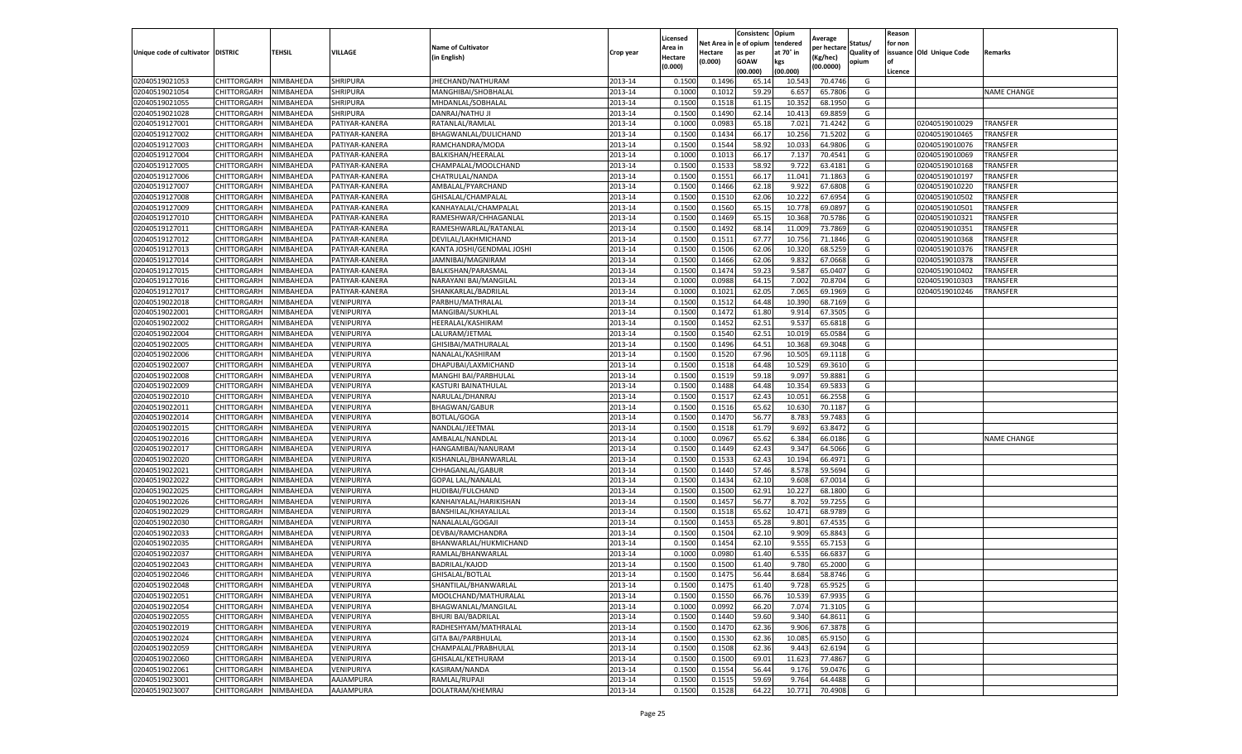|                                  |                       |                        |                          |                           |           | Licensed |                  | Consistenc             | Opium           | Average     |                   | Reason  |                          |                    |
|----------------------------------|-----------------------|------------------------|--------------------------|---------------------------|-----------|----------|------------------|------------------------|-----------------|-------------|-------------------|---------|--------------------------|--------------------|
|                                  |                       |                        |                          | <b>Name of Cultivator</b> |           | Area in  |                  | Net Area in e of opium | tendered        | per hectare | Status/           | for non |                          |                    |
| Unique code of cultivator        | <b>DISTRIC</b>        | TEHSIL                 | VILLAGE                  | in English)               | Crop year | Hectare  | Hectare          | as per                 | at 70° in       | (Kg/hec     | <b>Quality of</b> |         | issuance Old Unique Code | <b>Remarks</b>     |
|                                  |                       |                        |                          |                           |           | (0.000)  | (0.000)          | <b>GOAW</b>            | kgs             | (00.0000)   | opium             |         |                          |                    |
|                                  |                       |                        |                          |                           |           |          |                  | (00.000)               | (00.000)        |             |                   | Licence |                          |                    |
| 02040519021053                   | CHITTORGARH           | NIMBAHEDA              | <b>SHRIPURA</b>          | JHECHAND/NATHURAM         | 2013-14   | 0.1500   | 0.1496           | 65.14                  | 10.54           | 70.4746     | G                 |         |                          |                    |
| 02040519021054                   | CHITTORGARH           | NIMBAHEDA              | <b>SHRIPURA</b>          | MANGHIBAI/SHOBHALAL       | 2013-14   | 0.1000   | 0.1012           | 59.29                  | 6.65            | 65.7806     | G                 |         |                          | <b>NAME CHANGE</b> |
| 02040519021055                   | CHITTORGARH           | NIMBAHEDA              | SHRIPURA                 | MHDANLAL/SOBHALAL         | 2013-14   | 0.1500   | 0.1518           | 61.15                  | 10.352          | 68.1950     | G                 |         |                          |                    |
| 02040519021028                   | CHITTORGARH           | NIMBAHEDA              | SHRIPURA                 | DANRAJ/NATHU JI           | 2013-14   | 0.1500   | 0.1490           | 62.14                  | 10.413          | 69.8859     | G                 |         |                          |                    |
| 02040519127001                   | CHITTORGARH           | NIMBAHEDA              | PATIYAR-KANERA           | RATANLAL/RAMLAL           | 2013-14   | 0.1000   | 0.0983           | 65.18                  | 7.021           | 71.4242     | G                 |         | 02040519010029           | <b>TRANSFER</b>    |
| 02040519127002                   | CHITTORGARH           | NIMBAHEDA              | PATIYAR-KANERA           | BHAGWANLAL/DULICHAND      | 2013-14   | 0.1500   | 0.1434           | 66.17                  | 10.256          | 71.5202     | G                 |         | 02040519010465           | TRANSFER           |
| 02040519127003                   | CHITTORGARH           | NIMBAHEDA              | PATIYAR-KANERA           | RAMCHANDRA/MODA           | 2013-14   | 0.1500   | 0.1544           | 58.92                  | 10.03           | 64.9806     | G                 |         | 02040519010076           | <b>TRANSFER</b>    |
| 02040519127004                   | CHITTORGARH           | NIMBAHEDA              | PATIYAR-KANERA           | BALKISHAN/HEERALAL        | 2013-14   | 0.1000   | 0.1013           | 66.17                  | 7.13            | 70.4541     | G                 |         | 02040519010069           | TRANSFER           |
| 02040519127005                   | CHITTORGARH           | NIMBAHEDA              | PATIYAR-KANERA           | CHAMPALAL/MOOLCHAND       | 2013-14   | 0.1500   | 0.1533           | 58.92                  | 9.722           | 63.4181     | G                 |         | 02040519010168           | <b>TRANSFER</b>    |
| 02040519127006                   | CHITTORGARH           | NIMBAHEDA              | PATIYAR-KANERA           | CHATRULAL/NANDA           | 2013-14   | 0.1500   | 0.1551           | 66.17                  | 11.041          | 71.1863     | G                 |         | 02040519010197           | <b>TRANSFER</b>    |
| 02040519127007                   | CHITTORGARH           | NIMBAHEDA              | PATIYAR-KANERA           | AMBALAL/PYARCHAND         | 2013-14   | 0.1500   | 0.1466           | 62.18                  | 9.922           | 67.6808     | G                 |         | 02040519010220           | TRANSFER           |
| 02040519127008                   | CHITTORGARH           | NIMBAHEDA              | PATIYAR-KANERA           | GHISALAL/CHAMPALAL        | 2013-14   | 0.1500   | 0.1510           | 62.06                  | 10.22           | 67.6954     | G                 |         | 02040519010502           | TRANSFER           |
| 02040519127009                   | CHITTORGARH           | NIMBAHEDA              | PATIYAR-KANERA           | KANHAYALAL/CHAMPALAI      | 2013-14   | 0.1500   | 0.1560           | 65.15                  | 10.77           | 69.089      | G                 |         | 02040519010501           | TRANSFER           |
| 02040519127010                   | CHITTORGARH           | NIMBAHEDA              | PATIYAR-KANERA           | RAMESHWAR/CHHAGANLAL      | 2013-14   | 0.1500   | 0.1469           | 65.1                   | 10.36           | 70.5786     | G                 |         | 02040519010321           | TRANSFER           |
| 02040519127011                   | CHITTORGARH           | NIMBAHEDA              | PATIYAR-KANERA           | RAMESHWARLAL/RATANLAL     | 2013-14   | 0.1500   | 0.1492           | 68.14                  | 11.009          | 73.7869     | G                 |         | 02040519010351           | <b>TRANSFER</b>    |
| 02040519127012                   | CHITTORGARH           | NIMBAHEDA              | PATIYAR-KANERA           | DEVILAL/LAKHMICHAND       | 2013-14   | 0.1500   | 0.1511           | 67.77                  | 10.75           | 71.1846     | G                 |         | 02040519010368           | TRANSFER           |
| 02040519127013                   | CHITTORGARH           | NIMBAHEDA              | PATIYAR-KANERA           | KANTA JOSHI/GENDMAL JOSHI | 2013-14   | 0.1500   | 0.1506           | 62.06                  | 10.32           | 68.5259     | G                 |         | 02040519010376           | TRANSFER           |
| 02040519127014                   | CHITTORGARH           | NIMBAHEDA              | PATIYAR-KANERA           | JAMNIBAI/MAGNIRAM         | 2013-14   | 0.1500   | 0.1466           | 62.06                  | 9.83            | 67.0668     | G                 |         | 02040519010378           | TRANSFER           |
| 02040519127015                   | CHITTORGARH           | NIMBAHEDA              | PATIYAR-KANERA           | BALKISHAN/PARASMAL        | 2013-14   | 0.1500   | 0.1474           | 59.23                  | 9.58            | 65.040      | G                 |         | 02040519010402           | TRANSFER           |
| 02040519127016                   | CHITTORGARH           | NIMBAHEDA              | PATIYAR-KANERA           | NARAYANI BAI/MANGILAL     | 2013-14   | 0.1000   | 0.0988           | 64.15                  | 7.002           | 70.8704     | G                 |         | 02040519010303           | TRANSFER           |
| 02040519127017                   | CHITTORGARH           | NIMBAHEDA              | PATIYAR-KANERA           | SHANKARLAL/BADRILAL       | 2013-14   | 0.1000   | 0.1021           | 62.05                  | 7.065           | 69.1969     | G                 |         | 02040519010246           | TRANSFER           |
| 02040519022018                   | CHITTORGARH           | NIMBAHEDA              | VENIPURIYA               | PARBHU/MATHRALAI          | 2013-14   | 0.1500   | 0.1512           | 64.48                  | 10.390          | 68.7169     | G                 |         |                          |                    |
| 02040519022001                   | CHITTORGARH           | NIMBAHEDA              | VENIPURIYA               | MANGIBAI/SUKHLAL          | 2013-14   | 0.1500   | 0.1472           | 61.80                  | 9.914           | 67.3505     | G                 |         |                          |                    |
| 02040519022002                   | CHITTORGARH           | NIMBAHEDA              | VENIPURIYA               | HEERALAL/KASHIRAM         | 2013-14   | 0.1500   | 0.1452           | 62.51                  | 9.53            | 65.6818     | G                 |         |                          |                    |
| 02040519022004                   | CHITTORGARH           | NIMBAHEDA              | VENIPURIYA               | LALURAM/JETMAL            | 2013-14   | 0.1500   | 0.1540           | 62.51                  | 10.01           | 65.0584     | G                 |         |                          |                    |
| 02040519022005                   | CHITTORGARH           | NIMBAHEDA              | VENIPURIYA               | GHISIBAI/MATHURALAL       | 2013-14   | 0.1500   | 0.1496           | 64.51                  | 10.368          | 69.3048     | G                 |         |                          |                    |
| 02040519022006                   | CHITTORGARH           | NIMBAHEDA              | VENIPURIYA               | NANALAL/KASHIRAM          | 2013-14   | 0.1500   | 0.1520           | 67.96                  | 10.505          | 69.1118     | G                 |         |                          |                    |
| 02040519022007                   | CHITTORGARH           | NIMBAHEDA              | VENIPURIYA               | DHAPUBAI/LAXMICHAND       | 2013-14   | 0.1500   | 0.1518           | 64.48                  | 10.52           | 69.3610     | G                 |         |                          |                    |
| 02040519022008                   | CHITTORGARH           | NIMBAHEDA              | VENIPURIYA               | MANGHI BAI/PARBHULAL      | 2013-14   | 0.1500   | 0.1519           | 59.18                  | 9.097           | 59.8881     | G                 |         |                          |                    |
| 02040519022009                   | CHITTORGARH           | NIMBAHEDA              | VENIPURIYA               | KASTURI BAINATHULAL       | 2013-14   | 0.1500   | 0.1488           | 64.48                  | 10.354          | 69.583      | G                 |         |                          |                    |
| 02040519022010                   | CHITTORGARH           | NIMBAHEDA              | VENIPURIYA               | NARULAL/DHANRAJ           | 2013-14   | 0.1500   | 0.1517           | 62.43                  | 10.05           | 66.2558     | G                 |         |                          |                    |
| 02040519022011                   | CHITTORGARH           | NIMBAHEDA              | VENIPURIYA               | <b>BHAGWAN/GABUR</b>      | 2013-14   | 0.1500   | 0.1516           | 65.62                  | 10.63           | 70.1187     | G                 |         |                          |                    |
| 02040519022014                   | CHITTORGARH           | NIMBAHEDA              | VENIPURIYA               | <b>BOTLAL/GOGA</b>        | 2013-14   | 0.1500   | 0.1470           | 56.77                  | 8.78            | 59.7483     | G                 |         |                          |                    |
| 02040519022015                   | CHITTORGARH           | NIMBAHEDA              | VENIPURIYA               | NANDLAL/JEETMAL           | 2013-14   | 0.1500   | 0.1518           | 61.79                  | 9.692           | 63.8472     | G                 |         |                          |                    |
| 02040519022016                   | CHITTORGARH           | NIMBAHEDA              | VENIPURIYA               | AMBALAL/NANDLAL           | 2013-14   | 0.1000   | 0.0967           | 65.62                  | 6.384           | 66.0186     | G                 |         |                          | <b>NAME CHANGE</b> |
| 02040519022017                   | CHITTORGARH           | NIMBAHEDA              | VENIPURIYA               | HANGAMIBAI/NANURAM        | 2013-14   | 0.1500   | 0.1449           | 62.43                  | 9.347           | 64.5066     | G                 |         |                          |                    |
| 02040519022020                   | CHITTORGARH           | NIMBAHEDA              | VENIPURIYA               | KISHANLAL/BHANWARLAL      | 2013-14   | 0.1500   | 0.1533           | 62.43                  | 10.194          | 66.4971     | G                 |         |                          |                    |
| 02040519022021                   | CHITTORGARH           | NIMBAHEDA              | VENIPURIYA               | CHHAGANLAL/GABUR          | 2013-14   | 0.1500   | 0.1440           | 57.46                  | 8.57            | 59.5694     | G                 |         |                          |                    |
| 02040519022022                   | CHITTORGARH           | NIMBAHEDA              | VENIPURIYA               | <b>GOPAL LAL/NANALAL</b>  | 2013-14   | 0.1500   | 0.1434           | 62.10                  | 9.608           | 67.0014     | G                 |         |                          |                    |
| 02040519022025                   | CHITTORGARH           | NIMBAHEDA              | VENIPURIYA               | HUDIBAI/FULCHAND          | 2013-14   | 0.1500   | 0.1500           | 62.91                  | 10.227          | 68.1800     | G                 |         |                          |                    |
| 02040519022026                   | CHITTORGARH           | NIMBAHEDA              | VENIPURIYA               | KANHAIYALAL/HARIKISHAN    | 2013-14   | 0.1500   | 0.1457           | 56.77                  | 8.702           | 59.7255     | G                 |         |                          |                    |
| 02040519022029                   | CHITTORGARH           | NIMBAHEDA              | VENIPURIYA               | BANSHILAL/KHAYALILAL      | 2013-14   | 0.1500   | 0.1518           | 65.62                  | 10.471          | 68.9789     | G                 |         |                          |                    |
| 02040519022030                   | CHITTORGARH           | NIMBAHEDA              | VENIPURIYA               | NANALALAL/GOGAJI          | 2013-14   | 0.1500   | 0.1453           | 65.28                  | 9.801           | 67.4535     | G                 |         |                          |                    |
| 02040519022033                   | CHITTORGARH           | NIMBAHEDA              | VENIPURIYA               | DEVBAI/RAMCHANDRA         | 2013-14   | 0.1500   | 0.1504           | 62.10                  | 9.909           | 65.8843     | G                 |         |                          |                    |
| 02040519022035                   | CHITTORGARH           | NIMBAHEDA              | VENIPURIYA               | BHANWARLAL/HUKMICHAND     | 2013-14   | 0.1500   | 0.1454           | 62.10                  | 9.555           | 65.7153     | G                 |         |                          |                    |
| 02040519022037                   | CHITTORGARH           | NIMBAHEDA              | VENIPURIYA               | RAMLAL/BHANWARLAL         | 2013-14   | 0.1000   | 0.0980           | 61.40                  | 6.535           | 66.683      | G                 |         |                          |                    |
| 02040519022043                   | CHITTORGARH           | NIMBAHEDA              | VENIPURIYA               | <b>BADRILAL/KAJOD</b>     | 2013-14   | 0.1500   | 0.1500           | 61.40                  | 9.780           | 65.2000     | G                 |         |                          |                    |
| 02040519022046                   | CHITTORGARH           | NIMBAHEDA              | VENIPURIYA               | GHISALAL/BOTLAL           | 2013-14   | 0.1500   | 0.1475           | 56.44                  | 8.684           | 58.8746     | G                 |         |                          |                    |
| 02040519022048                   | CHITTORGARH NIMBAHEDA |                        | VENIPURIYA               | SHANTILAL/BHANWARLAL      | 2013-14   | 0.1500   | 0.1475           | 61.40                  | 9.728           | 65.9525     | G                 |         |                          |                    |
| 02040519022051                   | CHITTORGARH           | NIMBAHEDA              | VENIPURIYA               | MOOLCHAND/MATHURALAL      | 2013-14   | 0.1500   | 0.1550           | 66.76                  | 10.539          | 67.9935     | G                 |         |                          |                    |
| 02040519022054                   | <b>CHITTORGARH</b>    | NIMBAHEDA              | VENIPURIYA               | BHAGWANLAL/MANGILAL       | 2013-14   | 0.1000   | 0.0992           | 66.20                  | 7.074           | 71.3105     | G                 |         |                          |                    |
|                                  |                       |                        |                          |                           |           |          | 0.1440           | 59.60                  |                 |             |                   |         |                          |                    |
| 02040519022055<br>02040519022019 | CHITTORGARH           | NIMBAHEDA              | VENIPURIYA               | <b>BHURI BAI/BADRILAL</b> | 2013-14   | 0.1500   |                  |                        | 9.34            | 64.8611     | G<br>G            |         |                          |                    |
|                                  | CHITTORGARH           | NIMBAHEDA              | VENIPURIYA               | RADHESHYAM/MATHRALAL      | 2013-14   | 0.1500   | 0.1470<br>0.1530 | 62.36                  | 9.906<br>10.085 | 67.3878     | G                 |         |                          |                    |
| 02040519022024                   | <b>CHITTORGARH</b>    | NIMBAHEDA              | VENIPURIYA               | <b>GITA BAI/PARBHULAL</b> | 2013-14   | 0.1500   |                  | 62.36                  |                 | 65.9150     |                   |         |                          |                    |
| 02040519022059                   | CHITTORGARH           | NIMBAHEDA              | VENIPURIYA               | CHAMPALAL/PRABHULAL       | 2013-14   | 0.1500   | 0.1508           | 62.36                  | 9.443           | 62.6194     | G                 |         |                          |                    |
| 02040519022060<br>02040519022061 | CHITTORGARH           | NIMBAHEDA<br>NIMBAHEDA | VENIPURIYA<br>VENIPURIYA | GHISALAL/KETHURAM         | 2013-14   | 0.1500   | 0.1500           | 69.01                  | 11.623          | 77.4867     | G<br>G            |         |                          |                    |
|                                  | CHITTORGARH           |                        |                          | KASIRAM/NANDA             | 2013-14   | 0.1500   | 0.1554           | 56.44                  | 9.176           | 59.0476     |                   |         |                          |                    |
| 02040519023001                   | CHITTORGARH           | NIMBAHEDA              | AAJAMPURA                | RAMLAL/RUPAJI             | 2013-14   | 0.1500   | 0.1515           | 59.69                  | 9.764           | 64.4488     | G                 |         |                          |                    |
| 02040519023007                   | <b>CHITTORGARH</b>    | NIMBAHEDA              | AAJAMPURA                | DOLATRAM/KHEMRAJ          | 2013-14   | 0.1500   | 0.1528           | 64.22                  | 10.771          | 70.4908     | G                 |         |                          |                    |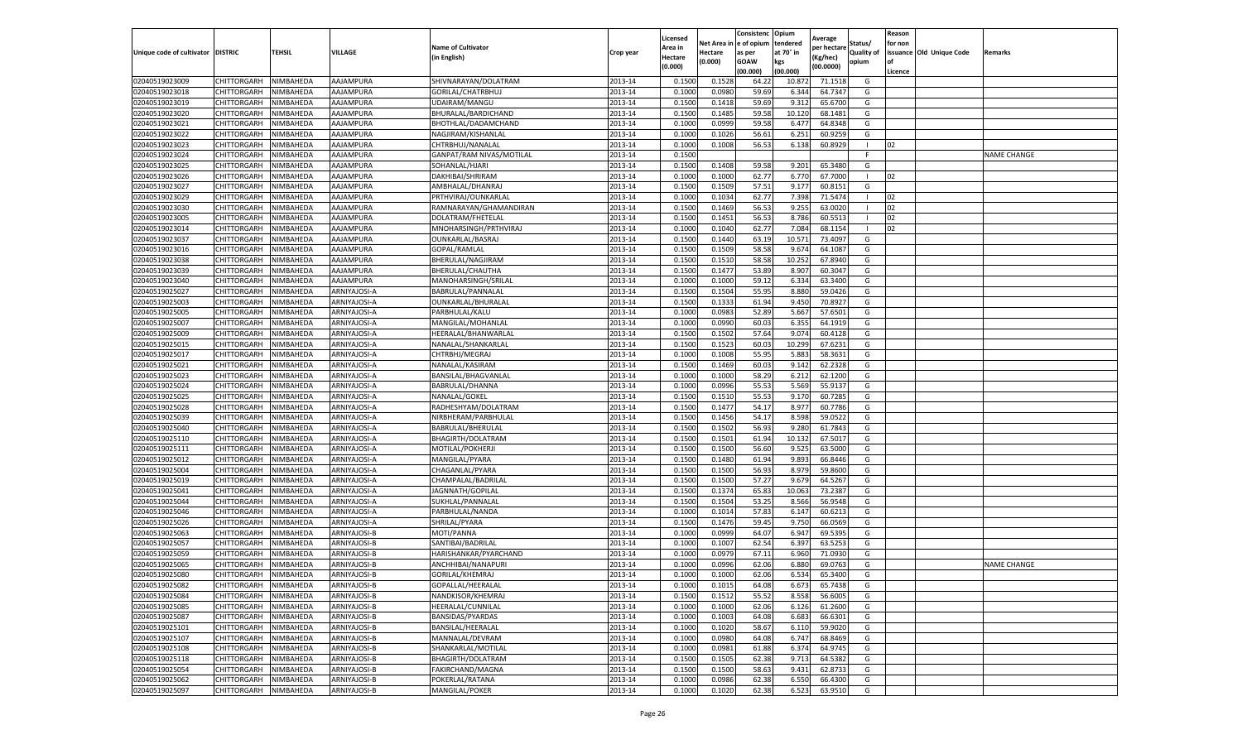|                                   |                    |           |              |                           |           | Licensed |         | Consistenc             | Opium     |                        |                | Reason  |                          |                    |
|-----------------------------------|--------------------|-----------|--------------|---------------------------|-----------|----------|---------|------------------------|-----------|------------------------|----------------|---------|--------------------------|--------------------|
|                                   |                    |           |              | <b>Name of Cultivator</b> |           | Area in  |         | Net Area in e of opium | tendered  | Average<br>oer hectare | Status/        | for non |                          |                    |
| Unique code of cultivator DISTRIC |                    | TEHSIL    | VILLAGE      | in English)               | Crop year | Hectare  | Hectare | as per                 | at 70° in | (Kg/hec                | Quality of     |         | issuance Old Unique Code | <b>Remarks</b>     |
|                                   |                    |           |              |                           |           | (0.000)  | (0.000) | <b>GOAW</b>            | kgs       | (00.0000)              | opium          |         |                          |                    |
|                                   |                    |           |              |                           |           |          |         | (00.000)               | (00.000)  |                        |                | Licence |                          |                    |
| 02040519023009                    | <b>CHITTORGARH</b> | NIMBAHEDA | AAJAMPURA    | SHIVNARAYAN/DOLATRAM      | 2013-14   | 0.1500   | 0.1528  | 64.22                  | 10.87     | 71.1518                | G              |         |                          |                    |
| 02040519023018                    | <b>CHITTORGARH</b> | NIMBAHEDA | AAJAMPURA    | GORILAL/CHATRBHUJ         | 2013-14   | 0.1000   | 0.0980  | 59.69                  | 6.344     | 64.7347                | G              |         |                          |                    |
| 02040519023019                    | CHITTORGARH        | NIMBAHEDA | AAJAMPURA    | UDAIRAM/MANGU             | 2013-14   | 0.1500   | 0.1418  | 59.69                  | 9.312     | 65.6700                | G              |         |                          |                    |
| 02040519023020                    | CHITTORGARH        | NIMBAHEDA | AAJAMPURA    | BHURALAL/BARDICHAND       | 2013-14   | 0.1500   | 0.1485  | 59.58                  | 10.120    | 68.1481                | G              |         |                          |                    |
| 02040519023021                    | <b>CHITTORGARH</b> | NIMBAHEDA | AAJAMPURA    | BHOTHLAL/DADAMCHAND       | 2013-14   | 0.1000   | 0.0999  | 59.58                  | 6.477     | 64.8348                | G              |         |                          |                    |
| 02040519023022                    | CHITTORGARH        | NIMBAHEDA | AAJAMPURA    | NAGJIRAM/KISHANLAL        | 2013-14   | 0.1000   | 0.1026  | 56.61                  | 6.251     | 60.925                 | G              |         |                          |                    |
| 02040519023023                    | CHITTORGARH        | NIMBAHEDA | AAJAMPURA    | CHTRBHUJ/NANALAL          | 2013-14   | 0.1000   | 0.1008  | 56.53                  | 6.138     | 60.8929                | $\blacksquare$ | 02      |                          |                    |
| 02040519023024                    | CHITTORGARH        | NIMBAHEDA | AAJAMPURA    | GANPAT/RAM NIVAS/MOTILAL  | 2013-14   | 0.1500   |         |                        |           |                        | F.             |         |                          | <b>NAME CHANGE</b> |
| 02040519023025                    | CHITTORGARH        | NIMBAHEDA | AAJAMPURA    | SOHANLAL/HJARI            | 2013-14   | 0.1500   | 0.1408  | 59.58                  | 9.201     | 65.3480                | G              |         |                          |                    |
| 02040519023026                    | CHITTORGARH        | NIMBAHEDA | AAJAMPURA    | DAKHIBAI/SHRIRAM          | 2013-14   | 0.1000   | 0.1000  | 62.77                  | 6.770     | 67.7000                | $\mathbf{I}$   | 02      |                          |                    |
| 02040519023027                    | CHITTORGARH        | NIMBAHEDA | AAJAMPURA    | AMBHALAL/DHANRAJ          | 2013-14   | 0.1500   | 0.1509  | 57.51                  | 9.177     | 60.8151                | G              |         |                          |                    |
| 02040519023029                    | CHITTORGARH        | NIMBAHEDA | AAJAMPURA    | PRTHVIRAJ/OUNKARLAL       | 2013-14   | 0.1000   | 0.1034  | 62.77                  | 7.398     | 71.5474                |                | 02      |                          |                    |
| 02040519023030                    | CHITTORGARH        | NIMBAHEDA | AAJAMPURA    | RAMNARAYAN/GHAMANDIRAN    | 2013-14   | 0.1500   | 0.1469  | 56.53                  | 9.255     | 63.0020                |                | 02      |                          |                    |
| 02040519023005                    | CHITTORGARH        | NIMBAHEDA | AAJAMPURA    | DOLATRAM/FHETELAL         | 2013-14   | 0.1500   | 0.1451  | 56.53                  | 8.786     | 60.5513                | - 1            | 02      |                          |                    |
| 02040519023014                    | CHITTORGARH        | NIMBAHEDA | AAJAMPURA    | MNOHARSINGH/PRTHVIRAJ     | 2013-14   | 0.1000   | 0.1040  | 62.77                  | 7.084     | 68.1154                | - 1            | 02      |                          |                    |
| 02040519023037                    | CHITTORGARH        | NIMBAHEDA | AAJAMPURA    | <b>OUNKARLAL/BASRAJ</b>   | 2013-14   | 0.1500   | 0.1440  | 63.19                  | 10.57     | 73.4097                | G              |         |                          |                    |
| 02040519023016                    | CHITTORGARH        | NIMBAHEDA | AAJAMPURA    | GOPAL/RAMLAL              | 2013-14   | 0.1500   | 0.1509  | 58.58                  | 9.67      | 64.1087                | G              |         |                          |                    |
| 02040519023038                    | CHITTORGARH        | NIMBAHEDA | AAJAMPURA    | BHERULAL/NAGJIRAM         | 2013-14   | 0.1500   | 0.1510  | 58.58                  | 10.25     | 67.8940                | G              |         |                          |                    |
| 02040519023039                    | CHITTORGARH        | NIMBAHEDA | AAJAMPURA    | BHERULAL/CHAUTHA          | 2013-14   | 0.1500   | 0.1477  | 53.89                  | 8.907     | 60.3047                | G              |         |                          |                    |
| 02040519023040                    | CHITTORGARH        | NIMBAHEDA | AAJAMPURA    | MANOHARSINGH/SRILAI       | 2013-14   | 0.1000   | 0.1000  | 59.12                  | 6.334     | 63.3400                | G              |         |                          |                    |
| 02040519025027                    | CHITTORGARH        | NIMBAHEDA | ARNIYAJOSI-A | BABRULAL/PANNALAL         | 2013-14   | 0.1500   | 0.1504  | 55.95                  | 8.880     | 59.0426                | G              |         |                          |                    |
| 02040519025003                    | CHITTORGARH        | NIMBAHEDA | ARNIYAJOSI-A | OUNKARLAL/BHURALAL        | 2013-14   | 0.1500   | 0.1333  | 61.94                  | 9.450     | 70.8927                | G              |         |                          |                    |
| 02040519025005                    | CHITTORGARH        | NIMBAHEDA | ARNIYAJOSI-A | PARBHULAL/KALU            | 2013-14   | 0.1000   | 0.0983  | 52.89                  | 5.667     | 57.6501                | G              |         |                          |                    |
| 02040519025007                    | CHITTORGARH        | NIMBAHEDA | ARNIYAJOSI-A | MANGILAL/MOHANLAL         | 2013-14   | 0.1000   | 0.0990  | 60.03                  | 6.355     | 64.1919                | G              |         |                          |                    |
| 02040519025009                    | CHITTORGARH        | NIMBAHEDA | ARNIYAJOSI-A | HEERALAL/BHANWARLAI       | 2013-14   | 0.1500   | 0.1502  | 57.64                  | 9.07      | 60.4128                | G              |         |                          |                    |
| 02040519025015                    | CHITTORGARH        | NIMBAHEDA | ARNIYAJOSI-A | NANALAL/SHANKARLAL        | 2013-14   | 0.1500   | 0.1523  | 60.03                  | 10.299    | 67.6231                | G              |         |                          |                    |
| 02040519025017                    | CHITTORGARH        | NIMBAHEDA | ARNIYAJOSI-A | CHTRBHJ/MEGRAJ            | 2013-14   | 0.1000   | 0.1008  | 55.95                  | 5.883     | 58.3631                | G              |         |                          |                    |
| 02040519025021                    | CHITTORGARH        | NIMBAHEDA | ARNIYAJOSI-A | NANALAL/KASIRAM           | 2013-14   | 0.1500   | 0.1469  | 60.03                  | 9.142     | 62.2328                | G              |         |                          |                    |
| 02040519025023                    | CHITTORGARH        | NIMBAHEDA | ARNIYAJOSI-A | BANSILAL/BHAGVANLAL       | 2013-14   | 0.1000   | 0.1000  | 58.29                  | 6.212     | 62.1200                | G              |         |                          |                    |
| 02040519025024                    | CHITTORGARH        | NIMBAHEDA | ARNIYAJOSI-A | BABRULAL/DHANNA           | 2013-14   | 0.1000   | 0.0996  | 55.53                  | 5.569     | 55.9137                | G              |         |                          |                    |
| 02040519025025                    | CHITTORGARH        | NIMBAHEDA | ARNIYAJOSI-A | NANALAL/GOKEL             | 2013-14   | 0.1500   | 0.1510  | 55.53                  | 9.17      | 60.7285                | G              |         |                          |                    |
| 02040519025028                    | CHITTORGARH        | NIMBAHEDA | ARNIYAJOSI-A | RADHESHYAM/DOLATRAM       | 2013-14   | 0.1500   | 0.1477  | 54.17                  | 8.977     | 60.7786                | G              |         |                          |                    |
| 02040519025039                    | CHITTORGARH        | NIMBAHEDA | ARNIYAJOSI-A | NIRBHERAM/PARBHULAL       | 2013-14   | 0.1500   | 0.1456  | 54.17                  | 8.598     | 59.0522                | G              |         |                          |                    |
| 02040519025040                    | CHITTORGARH        | NIMBAHEDA | ARNIYAJOSI-A | BABRULAL/BHERULAL         | 2013-14   | 0.1500   | 0.1502  | 56.93                  | 9.280     | 61.7843                | G              |         |                          |                    |
| 02040519025110                    | CHITTORGARH        | NIMBAHEDA | ARNIYAJOSI-A | BHAGIRTH/DOLATRAM         | 2013-14   | 0.1500   | 0.1501  | 61.94                  | 10.13     | 67.5017                | G              |         |                          |                    |
| 02040519025111                    | CHITTORGARH        | NIMBAHEDA | ARNIYAJOSI-A | MOTILAL/POKHERJI          | 2013-14   | 0.1500   | 0.1500  | 56.60                  | 9.525     | 63.5000                | G              |         |                          |                    |
| 02040519025012                    | CHITTORGARH        | NIMBAHEDA | ARNIYAJOSI-A | MANGILAL/PYARA            | 2013-14   | 0.1500   | 0.1480  | 61.94                  | 9.893     | 66.8446                | G              |         |                          |                    |
| 02040519025004                    | CHITTORGARH        | NIMBAHEDA | ARNIYAJOSI-A | CHAGANLAL/PYARA           | 2013-14   | 0.1500   | 0.1500  | 56.93                  | 8.97      | 59.8600                | G              |         |                          |                    |
| 02040519025019                    | CHITTORGARH        | NIMBAHEDA | ARNIYAJOSI-A | CHAMPALAL/BADRILAL        | 2013-14   | 0.1500   | 0.1500  | 57.27                  | 9.679     | 64.5267                | G              |         |                          |                    |
| 02040519025041                    | CHITTORGARH        | NIMBAHEDA | ARNIYAJOSI-A | JAGNNATH/GOPILAL          | 2013-14   | 0.1500   | 0.1374  | 65.83                  | 10.063    | 73.2387                | G              |         |                          |                    |
| 02040519025044                    | CHITTORGARH        | NIMBAHEDA | ARNIYAJOSI-A | SUKHLAL/PANNALAL          | 2013-14   | 0.1500   | 0.1504  | 53.25                  | 8.566     | 56.9548                | G              |         |                          |                    |
| 02040519025046                    | CHITTORGARH        | NIMBAHEDA | ARNIYAJOSI-A | PARBHULAL/NANDA           | 2013-14   | 0.1000   | 0.1014  | 57.83                  | 6.147     | 60.6213                | G              |         |                          |                    |
| 02040519025026                    | CHITTORGARH        | NIMBAHEDA | ARNIYAJOSI-A | SHRILAL/PYARA             | 2013-14   | 0.1500   | 0.1476  | 59.45                  | 9.750     | 66.0569                | G              |         |                          |                    |
| 02040519025063                    | CHITTORGARH        | NIMBAHEDA | ARNIYAJOSI-B | MOTI/PANNA                | 2013-14   | 0.1000   | 0.0999  | 64.07                  | 6.947     | 69.5395                | G              |         |                          |                    |
| 02040519025057                    | CHITTORGARH        | NIMBAHEDA | ARNIYAJOSI-B | SANTIBAI/BADRILAL         | 2013-14   | 0.1000   | 0.1007  | 62.54                  | 6.397     | 63.525                 | G              |         |                          |                    |
| 02040519025059                    | CHITTORGARH        | NIMBAHEDA | ARNIYAJOSI-B | HARISHANKAR/PYARCHAND     | 2013-14   | 0.1000   | 0.0979  | 67.11                  | 6.960     | 71.0930                | G              |         |                          |                    |
| 02040519025065                    | CHITTORGARH        | NIMBAHEDA | ARNIYAJOSI-B | ANCHHIBAI/NANAPURI        | 2013-14   | 0.1000   | 0.0996  | 62.06                  | 6.880     | 69.0763                | G              |         |                          | <b>NAME CHANGE</b> |
| 02040519025080                    | CHITTORGARH        | NIMBAHEDA | ARNIYAJOSI-B | <b>GORILAL/KHEMRAJ</b>    | 2013-14   | 0.1000   | 0.1000  | 62.06                  | 6.534     | 65.3400                | G              |         |                          |                    |
| 02040519025082                    | CHITTORGARH        | NIMBAHEDA | ARNIYAJOSI-B | GOPALLAL/HEERALAL         | 2013-14   | 0.1000   | 0.1015  | 64.08                  | 6.673     | 65.7438                | G              |         |                          |                    |
| 02040519025084                    | CHITTORGARH        | NIMBAHEDA | ARNIYAJOSI-B | NANDKISOR/KHEMRAJ         | 2013-14   | 0.1500   | 0.1512  | 55.52                  | 8.558     | 56.6005                | G              |         |                          |                    |
| 02040519025085                    | CHITTORGARH        | NIMBAHEDA | ARNIYAJOSI-B | HEERALAL/CUNNILAL         | 2013-14   | 0.1000   | 0.1000  | 62.06                  | 6.126     | 61.2600                | G              |         |                          |                    |
| 02040519025087                    | CHITTORGARH        | NIMBAHEDA | ARNIYAJOSI-B | BANSIDAS/PYARDAS          | 2013-14   | 0.1000   | 0.1003  | 64.08                  | 6.683     | 66.6301                | G              |         |                          |                    |
| 02040519025101                    | CHITTORGARH        | NIMBAHEDA | ARNIYAJOSI-B | BANSILAL/HEERALAL         | 2013-14   | 0.1000   | 0.1020  | 58.67                  | 6.11      | 59.9020                | G              |         |                          |                    |
| 02040519025107                    | <b>CHITTORGARH</b> | NIMBAHEDA | ARNIYAJOSI-B | MANNALAL/DEVRAM           | 2013-14   | 0.1000   | 0.0980  | 64.08                  | 6.747     | 68.8469                | G              |         |                          |                    |
| 02040519025108                    | CHITTORGARH        | NIMBAHEDA | ARNIYAJOSI-B | SHANKARLAL/MOTILAL        | 2013-14   | 0.1000   | 0.0981  | 61.88                  | 6.374     | 64.9745                | G              |         |                          |                    |
| 02040519025118                    | CHITTORGARH        | NIMBAHEDA | ARNIYAJOSI-B | BHAGIRTH/DOLATRAM         | 2013-14   | 0.1500   | 0.1505  | 62.38                  | 9.713     | 64.5382                | G              |         |                          |                    |
| 02040519025054                    | CHITTORGARH        | NIMBAHEDA | ARNIYAJOSI-B | FAKIRCHAND/MAGNA          | 2013-14   | 0.1500   | 0.1500  | 58.63                  | 9.431     | 62.8733                | G              |         |                          |                    |
| 02040519025062                    | CHITTORGARH        | NIMBAHEDA | ARNIYAJOSI-B | POKERLAL/RATANA           | 2013-14   | 0.1000   | 0.0986  | 62.38                  | 6.550     | 66.4300                | G              |         |                          |                    |
| 02040519025097                    | <b>CHITTORGARH</b> | NIMBAHEDA | ARNIYAJOSI-B | <b>MANGILAL/POKER</b>     | 2013-14   | 0.1000   | 0.1020  | 62.38                  | 6.523     | 63.9510                | G              |         |                          |                    |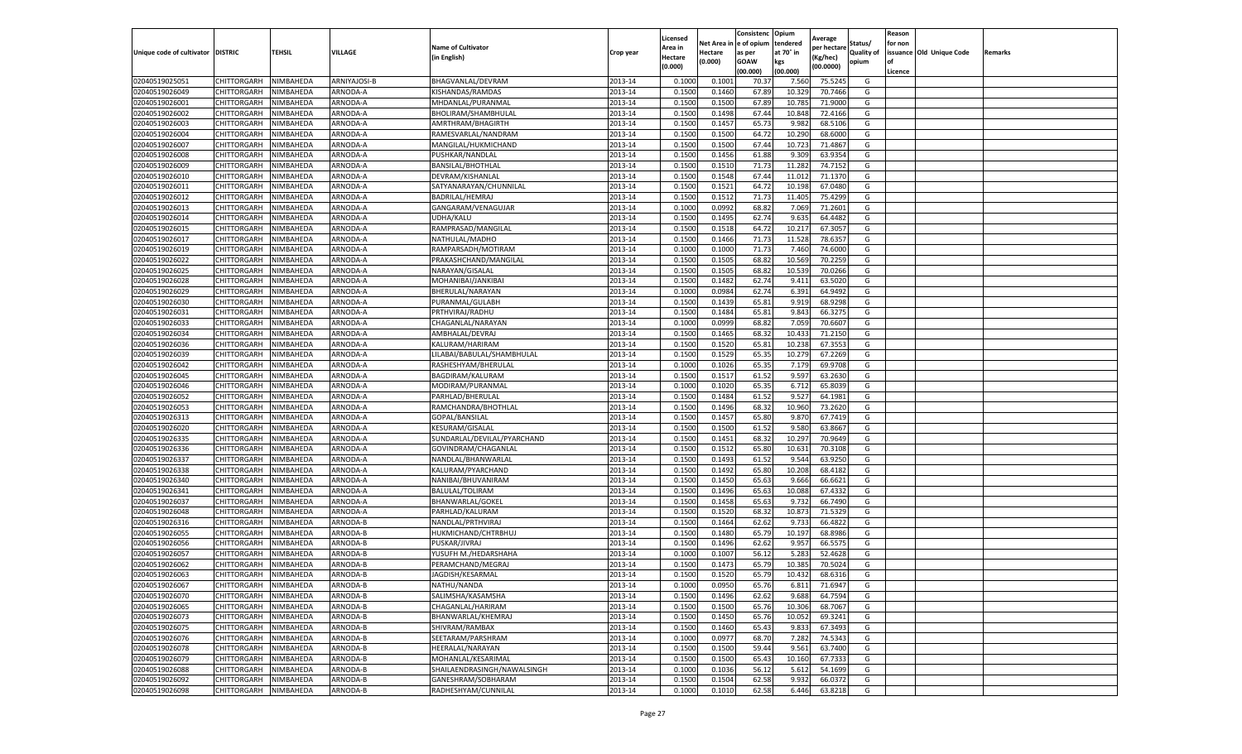|                                   |                    |           |              |                             |           | Licensed |         | Consistenc             | Opium     |                        |                   | Reason  |                          |                |
|-----------------------------------|--------------------|-----------|--------------|-----------------------------|-----------|----------|---------|------------------------|-----------|------------------------|-------------------|---------|--------------------------|----------------|
|                                   |                    |           |              | <b>Name of Cultivator</b>   |           | Area in  |         | Net Area in e of opium | tendered  | Average<br>per hectare | Status/           | for non |                          |                |
| Unique code of cultivator DISTRIC |                    | TEHSIL    | VILLAGE      | in English)                 | Crop year | Hectare  | Hectare | as per                 | at 70° in | (Kg/hec                | <b>Quality of</b> |         | issuance Old Unique Code | <b>Remarks</b> |
|                                   |                    |           |              |                             |           | (0.000)  | (0.000) | <b>GOAW</b>            | kgs       | (00.0000)              | opium             |         |                          |                |
|                                   |                    |           |              |                             |           |          |         | (00.000)               | (00.000)  |                        |                   | Licence |                          |                |
| 02040519025051                    | CHITTORGARH        | NIMBAHEDA | ARNIYAJOSI-B | BHAGVANLAL/DEVRAM           | 2013-14   | 0.1000   | 0.1001  | 70.37                  | 7.560     | 75.5245                | G                 |         |                          |                |
| 02040519026049                    | CHITTORGARH        | NIMBAHEDA | ARNODA-A     | KISHANDAS/RAMDAS            | 2013-14   | 0.1500   | 0.1460  | 67.89                  | 10.32     | 70.7466                | G                 |         |                          |                |
| 02040519026001                    | CHITTORGARH        | NIMBAHEDA | ARNODA-A     | MHDANLAL/PURANMAL           | 2013-14   | 0.1500   | 0.1500  | 67.89                  | 10.78     | 71.9000                | G                 |         |                          |                |
| 02040519026002                    | CHITTORGARH        | NIMBAHEDA | ARNODA-A     | BHOLIRAM/SHAMBHULAL         | 2013-14   | 0.1500   | 0.1498  | 67.44                  | 10.848    | 72.4166                | G                 |         |                          |                |
| 02040519026003                    | CHITTORGARH        | NIMBAHEDA | ARNODA-A     | AMRTHRAM/BHAGIRTH           | 2013-14   | 0.1500   | 0.1457  | 65.73                  | 9.98      | 68.5106                | G                 |         |                          |                |
| 02040519026004                    | CHITTORGARH        | NIMBAHEDA | ARNODA-A     | RAMESVARLAL/NANDRAM         | 2013-14   | 0.1500   | 0.1500  | 64.72                  | 10.29     | 68.6000                | G                 |         |                          |                |
| 02040519026007                    | CHITTORGARH        | NIMBAHEDA | ARNODA-A     | MANGILAL/HUKMICHAND         | 2013-14   | 0.1500   | 0.1500  | 67.44                  | 10.723    | 71.4867                | G                 |         |                          |                |
| 02040519026008                    | CHITTORGARH        | NIMBAHEDA | ARNODA-A     | PUSHKAR/NANDLAL             | 2013-14   | 0.1500   | 0.1456  | 61.88                  | 9.309     | 63.9354                | G                 |         |                          |                |
| 02040519026009                    | CHITTORGARH        | NIMBAHEDA | ARNODA-A     | BANSILAL/BHOTHLAL           | 2013-14   | 0.1500   | 0.1510  | 71.73                  | 11.28     | 74.7152                | G                 |         |                          |                |
| 02040519026010                    | CHITTORGARH        | NIMBAHEDA | ARNODA-A     | DEVRAM/KISHANLAL            | 2013-14   | 0.1500   | 0.1548  | 67.44                  | 11.012    | 71.1370                | G                 |         |                          |                |
| 02040519026011                    | CHITTORGARH        | NIMBAHEDA | ARNODA-A     | SATYANARAYAN/CHUNNILAL      | 2013-14   | 0.1500   | 0.1521  | 64.72                  | 10.198    | 67.0480                | G                 |         |                          |                |
| 02040519026012                    | CHITTORGARH        | NIMBAHEDA | ARNODA-A     | BADRILAL/HEMRAJ             | 2013-14   | 0.1500   | 0.1512  | 71.73                  | 11.405    | 75.4299                | G                 |         |                          |                |
| 02040519026013                    | CHITTORGARH        | NIMBAHEDA | ARNODA-A     | GANGARAM/VENAGUJAR          | 2013-14   | 0.1000   | 0.0992  | 68.82                  | 7.069     | 71.2601                | G                 |         |                          |                |
| 02040519026014                    | CHITTORGARH        | NIMBAHEDA | ARNODA-A     | UDHA/KALU                   | 2013-14   | 0.1500   | 0.1495  | 62.74                  | 9.635     | 64.4482                | G                 |         |                          |                |
| 02040519026015                    | CHITTORGARH        | NIMBAHEDA | ARNODA-A     | RAMPRASAD/MANGILAL          | 2013-14   | 0.1500   | 0.1518  | 64.72                  | 10.21     | 67.3057                | G                 |         |                          |                |
| 02040519026017                    | CHITTORGARH        | NIMBAHEDA | ARNODA-A     | NATHULAL/MADHO              | 2013-14   | 0.1500   | 0.1466  | 71.73                  | 11.528    | 78.6357                | G                 |         |                          |                |
| 02040519026019                    | CHITTORGARH        | NIMBAHEDA | ARNODA-A     | RAMPARSADH/MOTIRAM          | 2013-14   | 0.1000   | 0.1000  | 71.73                  | 7.460     | 74.6000                | G                 |         |                          |                |
| 02040519026022                    | CHITTORGARH        | NIMBAHEDA | ARNODA-A     | PRAKASHCHAND/MANGILAL       | 2013-14   | 0.1500   | 0.1505  | 68.82                  | 10.56     | 70.2259                | G                 |         |                          |                |
| 02040519026025                    | CHITTORGARH        | NIMBAHEDA | ARNODA-A     | NARAYAN/GISALAL             | 2013-14   | 0.1500   | 0.1505  | 68.82                  | 10.53     | 70.0266                | G                 |         |                          |                |
| 02040519026028                    | CHITTORGARH        | NIMBAHEDA | ARNODA-A     | MOHANIBAI/JANKIBAI          | 2013-14   | 0.1500   | 0.1482  | 62.74                  | 9.411     | 63.5020                | G                 |         |                          |                |
| 02040519026029                    | CHITTORGARH        | NIMBAHEDA | ARNODA-A     | BHERULAL/NARAYAN            | 2013-14   | 0.1000   | 0.0984  | 62.74                  | 6.391     | 64.9492                | G                 |         |                          |                |
| 02040519026030                    | CHITTORGARH        | NIMBAHEDA | ARNODA-A     | PURANMAL/GULABH             | 2013-14   | 0.1500   | 0.1439  | 65.81                  | 9.919     | 68.9298                | G                 |         |                          |                |
| 02040519026031                    | CHITTORGARH        | NIMBAHEDA | ARNODA-A     | PRTHVIRAJ/RADHU             | 2013-14   | 0.1500   | 0.1484  | 65.81                  | 9.843     | 66.3275                | G                 |         |                          |                |
| 02040519026033                    | CHITTORGARH        | NIMBAHEDA | ARNODA-A     | CHAGANLAL/NARAYAN           | 2013-14   | 0.1000   | 0.0999  | 68.82                  | 7.059     | 70.6607                | G                 |         |                          |                |
| 02040519026034                    | CHITTORGARH        | NIMBAHEDA | ARNODA-A     | AMBHALAL/DEVRAJ             | 2013-14   | 0.1500   | 0.1465  | 68.32                  | 10.43     | 71.2150                | G                 |         |                          |                |
| 02040519026036                    | CHITTORGARH        | NIMBAHEDA | ARNODA-A     | KALURAM/HARIRAM             | 2013-14   | 0.1500   | 0.1520  | 65.81                  | 10.23     | 67.3553                | G                 |         |                          |                |
| 02040519026039                    | CHITTORGARH        | NIMBAHEDA | ARNODA-A     | LILABAI/BABULAL/SHAMBHULAL  | 2013-14   | 0.1500   | 0.1529  | 65.35                  | 10.27     | 67.2269                | G                 |         |                          |                |
| 02040519026042                    | CHITTORGARH        | NIMBAHEDA | ARNODA-A     | RASHESHYAM/BHERULAL         | 2013-14   | 0.1000   | 0.1026  | 65.35                  | 7.179     | 69.9708                | G                 |         |                          |                |
| 02040519026045                    | CHITTORGARH        | NIMBAHEDA | ARNODA-A     | BAGDIRAM/KALURAM            | 2013-14   | 0.1500   | 0.1517  | 61.52                  | 9.597     | 63.2630                | G                 |         |                          |                |
| 02040519026046                    | CHITTORGARH        | NIMBAHEDA | ARNODA-A     | MODIRAM/PURANMAL            | 2013-14   | 0.1000   | 0.1020  | 65.35                  | 6.712     | 65.8039                | G                 |         |                          |                |
| 02040519026052                    | CHITTORGARH        | NIMBAHEDA | ARNODA-A     | PARHLAD/BHERULAL            | 2013-14   | 0.1500   | 0.1484  | 61.52                  | 9.52      | 64.1981                | G                 |         |                          |                |
| 02040519026053                    | CHITTORGARH        | NIMBAHEDA | ARNODA-A     | RAMCHANDRA/BHOTHLAL         | 2013-14   | 0.1500   | 0.1496  | 68.32                  | 10.960    | 73.2620                | G                 |         |                          |                |
| 02040519026313                    | CHITTORGARH        | NIMBAHEDA | ARNODA-A     | GOPAL/BANSILAL              | 2013-14   | 0.1500   | 0.1457  | 65.80                  | 9.87      | 67.7419                | G                 |         |                          |                |
| 02040519026020                    | CHITTORGARH        | NIMBAHEDA | ARNODA-A     | KESURAM/GISALAL             | 2013-14   | 0.1500   | 0.1500  | 61.52                  | 9.580     | 63.8667                | G                 |         |                          |                |
| 02040519026335                    | CHITTORGARH        | NIMBAHEDA | ARNODA-A     | SUNDARLAL/DEVILAL/PYARCHAND | 2013-14   | 0.1500   | 0.1451  | 68.32                  | 10.297    | 70.9649                | G                 |         |                          |                |
| 02040519026336                    | CHITTORGARH        | NIMBAHEDA | ARNODA-A     | GOVINDRAM/CHAGANLAL         | 2013-14   | 0.1500   | 0.1512  | 65.80                  | 10.63     | 70.3108                | G                 |         |                          |                |
| 02040519026337                    | CHITTORGARH        | NIMBAHEDA | ARNODA-A     | NANDLAL/BHANWARLAL          | 2013-14   | 0.1500   | 0.1493  | 61.52                  | 9.544     | 63.9250                | G                 |         |                          |                |
| 02040519026338                    | CHITTORGARH        | NIMBAHEDA | ARNODA-A     | KALURAM/PYARCHAND           | 2013-14   | 0.1500   | 0.1492  | 65.80                  | 10.208    | 68.4182                | G                 |         |                          |                |
| 02040519026340                    | CHITTORGARH        | NIMBAHEDA | ARNODA-A     | NANIBAI/BHUVANIRAM          | 2013-14   | 0.1500   | 0.1450  | 65.63                  | 9.666     | 66.6621                | G                 |         |                          |                |
| 02040519026341                    | CHITTORGARH        | NIMBAHEDA | ARNODA-A     | BALULAL/TOLIRAM             | 2013-14   | 0.1500   | 0.1496  | 65.63                  | 10.088    | 67.4332                | G                 |         |                          |                |
| 02040519026037                    | CHITTORGARH        | NIMBAHEDA | ARNODA-A     | <b>BHANWARLAL/GOKEL</b>     | 2013-14   | 0.1500   | 0.1458  | 65.63                  | 9.732     | 66.7490                | G                 |         |                          |                |
| 02040519026048                    | CHITTORGARH        | NIMBAHEDA | ARNODA-A     | PARHLAD/KALURAM             | 2013-14   | 0.1500   | 0.1520  | 68.32                  | 10.873    | 71.5329                | G                 |         |                          |                |
| 02040519026316                    | CHITTORGARH        | NIMBAHEDA | ARNODA-B     | NANDLAL/PRTHVIRAJ           | 2013-14   | 0.1500   | 0.1464  | 62.62                  | 9.73      | 66.4822                | G                 |         |                          |                |
| 02040519026055                    | CHITTORGARH        | NIMBAHEDA | ARNODA-B     | HUKMICHAND/CHTRBHUJ         | 2013-14   | 0.1500   | 0.1480  | 65.79                  | 10.19     | 68.8986                | G                 |         |                          |                |
| 02040519026056                    | CHITTORGARH        | NIMBAHEDA | ARNODA-B     | PUSKAR/JIVRAJ               | 2013-14   | 0.1500   | 0.1496  | 62.62                  | 9.957     | 66.5575                | G                 |         |                          |                |
| 02040519026057                    | CHITTORGARH        | NIMBAHEDA | ARNODA-B     | YUSUFH M./HEDARSHAHA        | 2013-14   | 0.1000   | 0.1007  | 56.12                  | 5.28      | 52.4628                | G                 |         |                          |                |
| 02040519026062                    | CHITTORGARH        | NIMBAHEDA | ARNODA-B     | PERAMCHAND/MEGRAJ           | 2013-14   | 0.1500   | 0.1473  | 65.79                  | 10.38     | 70.5024                | G                 |         |                          |                |
| 02040519026063                    | CHITTORGARH        | NIMBAHEDA | ARNODA-B     | JAGDISH/KESARMAL            | 2013-14   | 0.1500   | 0.1520  | 65.79                  | 10.432    | 68.6316                | G                 |         |                          |                |
| 02040519026067                    | CHITTORGARH        | NIMBAHEDA | ARNODA-B     | NATHU/NANDA                 | 2013-14   | 0.1000   | 0.0950  | 65.76                  | 6.811     | 71.6947                | G                 |         |                          |                |
| 02040519026070                    | CHITTORGARH        | NIMBAHEDA | ARNODA-B     | SALIMSHA/KASAMSHA           | 2013-14   | 0.1500   | 0.1496  | 62.62                  | 9.688     | 64.7594                | G                 |         |                          |                |
| 02040519026065                    | CHITTORGARH        | NIMBAHEDA | ARNODA-B     | CHAGANLAL/HARIRAM           | 2013-14   | 0.1500   | 0.1500  | 65.76                  | 10.306    | 68.7067                | G                 |         |                          |                |
| 02040519026073                    | CHITTORGARH        | NIMBAHEDA | ARNODA-B     | BHANWARLAL/KHEMRAJ          | 2013-14   | 0.1500   | 0.1450  | 65.76                  | 10.052    | 69.3241                | G                 |         |                          |                |
| 02040519026075                    | CHITTORGARH        | NIMBAHEDA | ARNODA-B     | SHIVRAM/RAMBAX              | 2013-14   | 0.1500   | 0.1460  | 65.43                  | 9.833     | 67.3493                | G                 |         |                          |                |
| 02040519026076                    | <b>CHITTORGARH</b> | NIMBAHEDA | ARNODA-B     | SEETARAM/PARSHRAM           | 2013-14   | 0.1000   | 0.0977  | 68.70                  | 7.282     | 74.5343                | G                 |         |                          |                |
| 02040519026078                    | CHITTORGARH        | NIMBAHEDA | ARNODA-B     | HEERALAL/NARAYAN            | 2013-14   | 0.1500   | 0.1500  | 59.44                  | 9.561     | 63.7400                | G                 |         |                          |                |
| 02040519026079                    | CHITTORGARH        | NIMBAHEDA | ARNODA-B     | MOHANLAL/KESARIMAL          | 2013-14   | 0.1500   | 0.1500  | 65.43                  | 10.160    | 67.7333                | G                 |         |                          |                |
| 02040519026088                    | CHITTORGARH        | NIMBAHEDA | ARNODA-B     | SHAILAENDRASINGH/NAWALSINGH | 2013-14   | 0.1000   | 0.1036  | 56.12                  | 5.612     | 54.1699                | G                 |         |                          |                |
| 02040519026092                    | CHITTORGARH        | NIMBAHEDA | ARNODA-B     | GANESHRAM/SOBHARAM          | 2013-14   | 0.1500   | 0.1504  | 62.58                  | 9.932     | 66.0372                | G                 |         |                          |                |
| 02040519026098                    | <b>CHITTORGARH</b> | NIMBAHEDA | ARNODA-B     | RADHESHYAM/CUNNILAL         | 2013-14   | 0.1000   | 0.1010  | 62.58                  | 6.446     | 63.8218                | G                 |         |                          |                |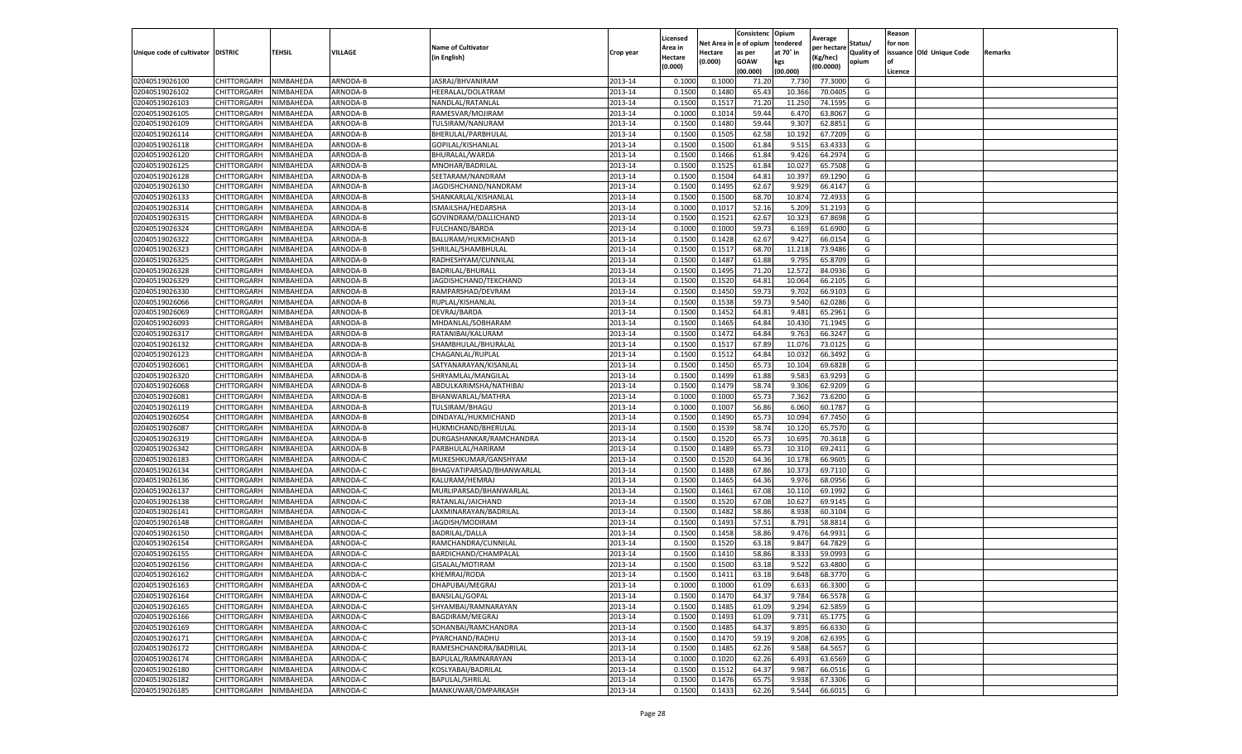|                                   |                            |           |                      |                           |           | Licensed |                  | Consistenc             | Opium          |                        |                   | Reason  |                          |                |
|-----------------------------------|----------------------------|-----------|----------------------|---------------------------|-----------|----------|------------------|------------------------|----------------|------------------------|-------------------|---------|--------------------------|----------------|
|                                   |                            |           |                      | <b>Name of Cultivator</b> |           | Area in  |                  | Net Area in e of opium | tendered       | Average<br>per hectare | Status/           | for non |                          |                |
| Unique code of cultivator DISTRIC |                            | TEHSIL    | VILLAGE              | in English)               | Crop year | Hectare  | Hectare          | as per                 | at 70° in      | (Kg/hec                | <b>Quality of</b> |         | issuance Old Unique Code | <b>Remarks</b> |
|                                   |                            |           |                      |                           |           | (0.000)  | (0.000)          | <b>GOAW</b>            | kgs            | (00.0000)              | opium             |         |                          |                |
|                                   |                            |           |                      |                           |           |          |                  | (00.000)               | (00.000)       |                        |                   | Licence |                          |                |
| 02040519026100                    | CHITTORGARH                | NIMBAHEDA | ARNODA-B             | JASRAJ/BHVANIRAM          | 2013-14   | 0.1000   | 0.1000           | 71.20                  | 7.73           | 77.3000                | G                 |         |                          |                |
| 02040519026102                    | CHITTORGARH                | NIMBAHEDA | ARNODA-B             | HEERALAL/DOLATRAM         | 2013-14   | 0.1500   | 0.1480           | 65.43                  | 10.36          | 70.0405                | G                 |         |                          |                |
| 02040519026103                    | CHITTORGARH                | NIMBAHEDA | ARNODA-B             | NANDLAL/RATANLAI          | 2013-14   | 0.1500   | 0.1517           | 71.20                  | 11.250         | 74.1595                | G                 |         |                          |                |
| 02040519026105                    | CHITTORGARH                | NIMBAHEDA | ARNODA-B             | RAMESVAR/MOJIRAM          | 2013-14   | 0.1000   | 0.1014           | 59.44                  | 6.470          | 63.8067                | G                 |         |                          |                |
| 02040519026109                    | <b>CHITTORGARH</b>         | NIMBAHEDA | ARNODA-B             | TULSIRAM/NANURAM          | 2013-14   | 0.1500   | 0.1480           | 59.44                  | 9.307          | 62.8851                | G                 |         |                          |                |
| 02040519026114                    | CHITTORGARH                | NIMBAHEDA | ARNODA-B             | BHERULAL/PARBHULAL        | 2013-14   | 0.1500   | 0.1505           | 62.58                  | 10.192         | 67.7209                | G                 |         |                          |                |
| 02040519026118                    | CHITTORGARH                | NIMBAHEDA | ARNODA-B             | GOPILAL/KISHANLAL         | 2013-14   | 0.1500   | 0.1500           | 61.84                  | 9.51           | 63.4333                | G                 |         |                          |                |
| 02040519026120                    | CHITTORGARH                | NIMBAHEDA | ARNODA-B             | BHURALAL/WARDA            | 2013-14   | 0.1500   | 0.1466           | 61.84                  | 9.426          | 64.297                 | G                 |         |                          |                |
| 02040519026125                    | CHITTORGARH                | NIMBAHEDA | ARNODA-B             | MNOHAR/BADRILAL           | 2013-14   | 0.1500   | 0.1525           | 61.84                  | 10.027         | 65.7508                | G                 |         |                          |                |
| 02040519026128                    | CHITTORGARH                | NIMBAHEDA | ARNODA-B             | SEETARAM/NANDRAM          | 2013-14   | 0.1500   | 0.1504           | 64.81                  | 10.397         | 69.1290                | G                 |         |                          |                |
| 02040519026130                    | CHITTORGARH                | NIMBAHEDA | ARNODA-B             | JAGDISHCHAND/NANDRAM      | 2013-14   | 0.1500   | 0.1495           | 62.67                  | 9.929          | 66.4147                | G                 |         |                          |                |
| 02040519026133                    | CHITTORGARH                | NIMBAHEDA | ARNODA-B             | SHANKARLAL/KISHANLAL      | 2013-14   | 0.1500   | 0.1500           | 68.70                  | 10.87          | 72.4933                | G                 |         |                          |                |
| 02040519026314                    | CHITTORGARH                | NIMBAHEDA | ARNODA-B             | ISMAILSHA/HEDARSHA        | 2013-14   | 0.1000   | 0.1017           | 52.16                  | 5.209          | 51.2193                | G                 |         |                          |                |
| 02040519026315                    | CHITTORGARH                | NIMBAHEDA | ARNODA-B             | GOVINDRAM/DALLICHAND      | 2013-14   | 0.1500   | 0.1521           | 62.67                  | 10.323         | 67.8698                | G                 |         |                          |                |
| 02040519026324                    | CHITTORGARH                | NIMBAHEDA | ARNODA-B             | FULCHAND/BARDA            | 2013-14   | 0.1000   | 0.1000           | 59.73                  | 6.169          | 61.6900                | G                 |         |                          |                |
| 02040519026322                    | CHITTORGARH                | NIMBAHEDA | ARNODA-B             | BALURAM/HUKMICHAND        | 2013-14   | 0.1500   | 0.1428           | 62.67                  | 9.427          | 66.0154                | G                 |         |                          |                |
| 02040519026323                    | CHITTORGARH                | NIMBAHEDA | ARNODA-B             | SHRILAL/SHAMBHULAL        | 2013-14   | 0.1500   | 0.1517           | 68.70                  | 11.218         | 73.9486                | G                 |         |                          |                |
| 02040519026325                    | CHITTORGARH                | NIMBAHEDA | ARNODA-B             | RADHESHYAM/CUNNILAL       | 2013-14   | 0.1500   | 0.1487           | 61.88                  | 9.795          | 65.8709                | G                 |         |                          |                |
| 02040519026328                    | CHITTORGARH                | NIMBAHEDA | ARNODA-B             | <b>BADRILAL/BHURALI</b>   | 2013-14   | 0.1500   | 0.1495           | 71.20                  | 12.57          | 84.0936                | G                 |         |                          |                |
| 02040519026329                    | CHITTORGARH                | NIMBAHEDA | ARNODA-B             | JAGDISHCHAND/TEKCHAND     | 2013-14   | 0.1500   | 0.1520           | 64.81                  | 10.064         | 66.2105                | G                 |         |                          |                |
| 02040519026330                    | CHITTORGARH                | NIMBAHEDA | ARNODA-B             | RAMPARSHAD/DEVRAM         | 2013-14   | 0.1500   | 0.1450           | 59.73                  | 9.702          | 66.9103                | G                 |         |                          |                |
| 02040519026066                    | CHITTORGARH                | NIMBAHEDA | ARNODA-B             | RUPLAL/KISHANLAL          | 2013-14   | 0.1500   | 0.1538           | 59.73                  | 9.540          | 62.0286                | G                 |         |                          |                |
| 02040519026069                    | CHITTORGARH                | NIMBAHEDA | ARNODA-B             | DEVRAJ/BARDA              | 2013-14   | 0.1500   | 0.1452           | 64.81                  | 9.481          | 65.2961                | G                 |         |                          |                |
| 02040519026093                    | CHITTORGARH                | NIMBAHEDA | ARNODA-B             | MHDANLAL/SOBHARAM         | 2013-14   | 0.1500   | 0.1465           | 64.84                  | 10.43          | 71.1945                | G                 |         |                          |                |
| 02040519026317                    | CHITTORGARH                | NIMBAHEDA | ARNODA-B             | RATANIBAI/KALURAM         | 2013-14   | 0.1500   | 0.1472           | 64.84                  | 9.763          | 66.3247                | G                 |         |                          |                |
| 02040519026132                    | CHITTORGARH                | NIMBAHEDA | ARNODA-B             | SHAMBHULAL/BHURALAI       | 2013-14   | 0.1500   | 0.1517           | 67.89                  | 11.076         | 73.0125                | G                 |         |                          |                |
| 02040519026123                    | CHITTORGARH                | NIMBAHEDA | ARNODA-B             | CHAGANLAL/RUPLAI          | 2013-14   | 0.1500   | 0.1512           | 64.84                  | 10.03          | 66.3492                | G                 |         |                          |                |
| 02040519026061                    | CHITTORGARH                | NIMBAHEDA | ARNODA-B             | SATYANARAYAN/KISANLAL     | 2013-14   | 0.1500   | 0.1450           | 65.73                  | 10.104         | 69.6828                | G                 |         |                          |                |
| 02040519026320                    | CHITTORGARH                | NIMBAHEDA | ARNODA-B             | SHRYAMLAL/MANGILAL        | 2013-14   | 0.1500   | 0.1499           | 61.88                  | 9.583          | 63.9293                | G                 |         |                          |                |
| 02040519026068                    | CHITTORGARH                | NIMBAHEDA | ARNODA-B             | ABDULKARIMSHA/NATHIBAI    | 2013-14   | 0.1500   | 0.1479           | 58.74                  | 9.306          | 62.9209                | G                 |         |                          |                |
| 02040519026081                    | CHITTORGARH                | NIMBAHEDA | ARNODA-B             | BHANWARLAL/MATHRA         | 2013-14   | 0.1000   | 0.1000           | 65.73                  | 7.362          | 73.6200                | G                 |         |                          |                |
| 02040519026119                    | CHITTORGARH                | NIMBAHEDA | ARNODA-B             | TULSIRAM/BHAGU            | 2013-14   | 0.1000   | 0.1007           | 56.86                  | 6.060          | 60.1787                | G                 |         |                          |                |
| 02040519026054                    | CHITTORGARH                | NIMBAHEDA | ARNODA-B             | DINDAYAL/HUKMICHAND       | 2013-14   | 0.1500   | 0.1490           | 65.73                  | 10.094         | 67.7450                | G                 |         |                          |                |
| 02040519026087                    | CHITTORGARH                | NIMBAHEDA | ARNODA-B             | HUKMICHAND/BHERULAL       | 2013-14   | 0.1500   | 0.1539           | 58.74                  | 10.12          | 65.7570                | G                 |         |                          |                |
| 02040519026319                    | CHITTORGARH                | NIMBAHEDA | ARNODA-B             | DURGASHANKAR/RAMCHANDRA   | 2013-14   | 0.1500   | 0.1520           | 65.73                  | 10.695         | 70.3618                | G                 |         |                          |                |
| 02040519026342                    | CHITTORGARH                | NIMBAHEDA | ARNODA-B             | PARBHULAL/HARIRAM         | 2013-14   | 0.1500   | 0.1489           | 65.73                  | 10.31          | 69.2411                | G                 |         |                          |                |
| 02040519026183                    | CHITTORGARH                | NIMBAHEDA | ARNODA-C             | MUKESHKUMAR/GANSHYAM      | 2013-14   | 0.1500   | 0.1520           | 64.36                  | 10.17          | 66.9605                | G                 |         |                          |                |
| 02040519026134                    | CHITTORGARH                | NIMBAHEDA | ARNODA-C             | BHAGVATIPARSAD/BHANWARLAL | 2013-14   | 0.1500   | 0.1488           | 67.86                  | 10.37          | 69.7110                | G                 |         |                          |                |
| 02040519026136                    | CHITTORGARH                | NIMBAHEDA | ARNODA-C             | KALURAM/HEMRAJ            | 2013-14   | 0.1500   | 0.1465           | 64.36                  | 9.976          | 68.0956                | G                 |         |                          |                |
| 02040519026137                    | CHITTORGARH                | NIMBAHEDA | ARNODA-C             | MURLIPARSAD/BHANWARLAL    | 2013-14   | 0.1500   | 0.1461           | 67.08                  | 10.11          | 69.1992                | G                 |         |                          |                |
| 02040519026138                    | CHITTORGARH                | NIMBAHEDA | ARNODA-C             | RATANLAL/JAICHAND         | 2013-14   | 0.1500   | 0.1520           | 67.08                  | 10.62          | 69.9145                | G                 |         |                          |                |
| 02040519026141                    | CHITTORGARH                | NIMBAHEDA | ARNODA-C             | LAXMINARAYAN/BADRILAL     | 2013-14   | 0.1500   | 0.1482           | 58.86                  | 8.938          | 60.3104                | G                 |         |                          |                |
| 02040519026148                    | CHITTORGARH                | NIMBAHEDA | ARNODA-C             | JAGDISH/MODIRAM           | 2013-14   | 0.1500   | 0.1493           | 57.51                  | 8.791          | 58.8814                | G                 |         |                          |                |
| 02040519026150                    | CHITTORGARH                | NIMBAHEDA | ARNODA-C             | <b>BADRILAL/DALLA</b>     | 2013-14   | 0.1500   | 0.1458           | 58.86                  | 9.476          | 64.9931                | G                 |         |                          |                |
| 02040519026154                    | CHITTORGARH                | NIMBAHEDA | ARNODA-C             | RAMCHANDRA/CUNNILAL       | 2013-14   | 0.1500   | 0.1520           | 63.18                  | 9.847          | 64.7829                | G                 |         |                          |                |
| 02040519026155                    | CHITTORGARH                | NIMBAHEDA | ARNODA-C             | BARDICHAND/CHAMPALAL      | 2013-14   | 0.1500   | 0.1410           | 58.86                  | 8.33           | 59.0993                | G                 |         |                          |                |
| 02040519026156                    | CHITTORGARH                | NIMBAHEDA | ARNODA-C             | GISALAL/MOTIRAM           | 2013-14   | 0.1500   | 0.1500           | 63.18                  | 9.522          | 63.4800                | G                 |         |                          |                |
| 02040519026162                    | CHITTORGARH                | NIMBAHEDA | ARNODA-C             | KHEMRAJ/RODA              | 2013-14   | 0.1500   | 0.1411           | 63.18                  | 9.648          | 68.3770                | G                 |         |                          |                |
| 02040519026163                    |                            |           |                      | DHAPUBAI/MEGRAJ           | 2013-14   | 0.1000   |                  |                        |                |                        |                   |         |                          |                |
|                                   | CHITTORGARH<br>CHITTORGARH | NIMBAHEDA | ARNODA-C<br>ARNODA-C |                           | 2013-14   | 0.1500   | 0.1000<br>0.1470 | 61.09<br>64.37         | 6.633          | 66.3300<br>66.5578     | G<br>G            |         |                          |                |
| 02040519026164                    |                            | NIMBAHEDA | ARNODA-C             | BANSILAL/GOPAL            | 2013-14   | 0.1500   |                  |                        | 9.784<br>9.294 | 62.5859                | G                 |         |                          |                |
| 02040519026165                    | CHITTORGARH                | NIMBAHEDA |                      | SHYAMBAI/RAMNARAYAN       |           |          | 0.1485           | 61.09                  |                |                        |                   |         |                          |                |
| 02040519026166                    | CHITTORGARH                | NIMBAHEDA | ARNODA-C             | BAGDIRAM/MEGRAJ           | 2013-14   | 0.1500   | 0.1493           | 61.09                  | 9.731          | 65.1775                | G                 |         |                          |                |
| 02040519026169                    | CHITTORGARH                | NIMBAHEDA | ARNODA-C             | SOHANBAI/RAMCHANDRA       | 2013-14   | 0.1500   | 0.1485           | 64.37                  | 9.895          | 66.6330                | G                 |         |                          |                |
| 02040519026171                    | <b>CHITTORGARH</b>         | NIMBAHEDA | ARNODA-C             | PYARCHAND/RADHU           | 2013-14   | 0.1500   | 0.1470           | 59.19                  | 9.208          | 62.6395                | G                 |         |                          |                |
| 02040519026172                    | CHITTORGARH                | NIMBAHEDA | ARNODA-C             | RAMESHCHANDRA/BADRILAL    | 2013-14   | 0.1500   | 0.1485           | 62.26                  | 9.588          | 64.5657                | G                 |         |                          |                |
| 02040519026174                    | <b>CHITTORGARH</b>         | NIMBAHEDA | ARNODA-C             | BAPULAL/RAMNARAYAN        | 2013-14   | 0.1000   | 0.1020           | 62.26                  | 6.493          | 63.6569                | G                 |         |                          |                |
| 02040519026180                    | CHITTORGARH                | NIMBAHEDA | ARNODA-C             | KOSLYABAI/BADRILAL        | 2013-14   | 0.1500   | 0.1512           | 64.37                  | 9.987          | 66.0516                | G                 |         |                          |                |
| 02040519026182                    | CHITTORGARH                | NIMBAHEDA | ARNODA-C             | <b>BAPULAL/SHRILAL</b>    | 2013-14   | 0.1500   | 0.1476           | 65.75                  | 9.938          | 67.3306                | G                 |         |                          |                |
| 02040519026185                    | <b>CHITTORGARH</b>         | NIMBAHEDA | ARNODA-C             | MANKUWAR/OMPARKASH        | 2013-14   | 0.1500   | 0.1433           | 62.26                  | 9.544          | 66.6015                | G                 |         |                          |                |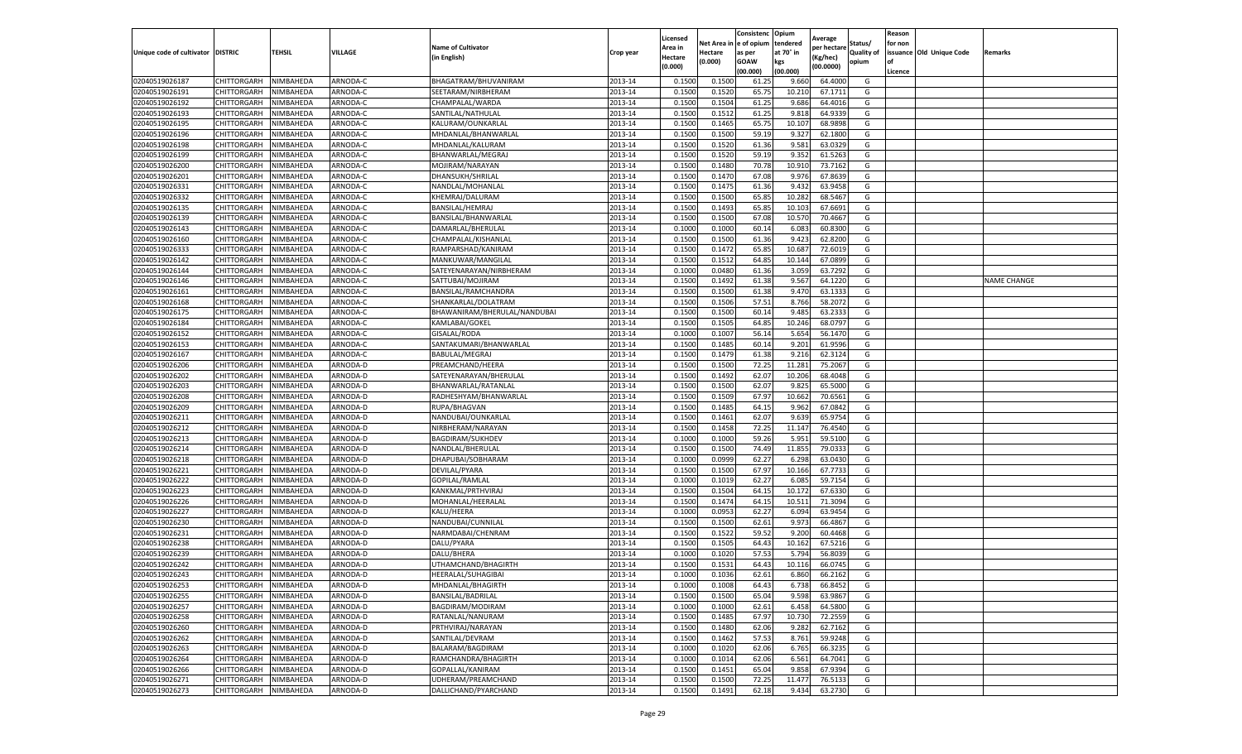|                                   |             |           |                 |                              |                    | Licensed         |            | Consistenc  | Opium     | Average     |                   | Reason  |                          |                    |
|-----------------------------------|-------------|-----------|-----------------|------------------------------|--------------------|------------------|------------|-------------|-----------|-------------|-------------------|---------|--------------------------|--------------------|
|                                   |             |           |                 | <b>Name of Cultivator</b>    |                    | Area in          | Net Area i | e of opium  | tendered  | per hectare | Status/           | for non |                          |                    |
| Unique code of cultivator DISTRIC |             | TEHSIL    | VILLAGE         | (in English)                 | Crop year          | Hectare          | Hectare    | as per      | at 70° in | (Kg/hec)    | <b>Quality of</b> |         | issuance Old Unique Code | Remarks            |
|                                   |             |           |                 |                              |                    | (0.000)          | (0.000)    | <b>GOAW</b> | kgs       | (00.0000)   | opium             | οf      |                          |                    |
|                                   |             |           |                 |                              |                    |                  |            | (00.000     | (00.000)  |             |                   | Licence |                          |                    |
| 02040519026187                    | CHITTORGARH | NIMBAHEDA | ARNODA-C        | BHAGATRAM/BHUVANIRAM         | 2013-14            | 0.1500           | 0.1500     | 61.25       | 9.660     | 64.4000     | G                 |         |                          |                    |
| 02040519026191                    | CHITTORGARH | NIMBAHEDA | ARNODA-C        | SEETARAM/NIRBHERAM           | 2013-14            | 0.150            | 0.1520     | 65.75       | 10.21     | 67.1711     | G                 |         |                          |                    |
| 02040519026192                    | CHITTORGARH | NIMBAHEDA | ARNODA-C        | CHAMPALAL/WARDA              | 2013-14            | 0.1500           | 0.1504     | 61.25       | 9.686     | 64.4016     | G                 |         |                          |                    |
| 02040519026193                    | CHITTORGARH | NIMBAHEDA | ARNODA-C        | SANTILAL/NATHULAL            | 2013-14            | 0.1500           | 0.1512     | 61.25       | 9.818     | 64.9339     | G                 |         |                          |                    |
| 02040519026195                    | CHITTORGARH | NIMBAHEDA | ARNODA-C        | KALURAM/OUNKARLAL            | 2013-14            | 0.1500           | 0.1465     | 65.75       | 10.107    | 68.9898     | G                 |         |                          |                    |
| 02040519026196                    | CHITTORGARH | NIMBAHEDA | ARNODA-C        | MHDANLAL/BHANWARLAI          | 2013-14            | 0.1500           | 0.1500     | 59.19       | 9.327     | 62.1800     | G                 |         |                          |                    |
| 02040519026198                    | CHITTORGARH | NIMBAHEDA | ARNODA-C        | MHDANLAL/KALURAM             | 2013-14            | 0.1500           | 0.1520     | 61.36       | 9.581     | 63.0329     | G                 |         |                          |                    |
| 02040519026199                    | CHITTORGARH | NIMBAHEDA | ARNODA-C        | BHANWARLAL/MEGRAJ            | 2013-14            | 0.1500           | 0.1520     | 59.19       | 9.352     | 61.5263     | G                 |         |                          |                    |
| 02040519026200                    | CHITTORGARH | NIMBAHEDA | ARNODA-C        | MOJIRAM/NARAYAN              | 2013-14            | 0.1500           | 0.1480     | 70.78       | 10.910    | 73.7162     | G                 |         |                          |                    |
| 02040519026201                    | CHITTORGARH | NIMBAHEDA | ARNODA-C        | DHANSUKH/SHRILAL             | 2013-14            | 0.1500           | 0.1470     | 67.08       | 9.976     | 67.8639     | G                 |         |                          |                    |
| 02040519026331                    | CHITTORGARH | NIMBAHEDA | ARNODA-C        | NANDLAL/MOHANLAI             | 2013-14            | 0.1500           | 0.1475     | 61.36       | 9.432     | 63.9458     | G                 |         |                          |                    |
| 02040519026332                    | CHITTORGARH | NIMBAHEDA | ARNODA-C        | KHEMRAJ/DALURAM              | 2013-14            | 0.1500           | 0.1500     | 65.85       | 10.282    | 68.5467     | G                 |         |                          |                    |
| 02040519026135                    | CHITTORGARH | NIMBAHEDA | <b>ARNODA-C</b> | BANSILAL/HEMRAJ              | 2013-14            | 0.1500           | 0.1493     | 65.85       | 10.103    | 67.6691     | G                 |         |                          |                    |
| 02040519026139                    | CHITTORGARH | NIMBAHEDA | ARNODA-C        | BANSILAL/BHANWARLAL          | 2013-14            | 0.1500           | 0.1500     | 67.08       | 10.570    | 70.4667     | G                 |         |                          |                    |
| 02040519026143                    | CHITTORGARH | NIMBAHEDA | ARNODA-C        | DAMARLAL/BHERULAL            | 2013-14            | 0.1000           | 0.1000     | 60.14       | 6.083     | 60.8300     | G                 |         |                          |                    |
| 02040519026160                    | CHITTORGARH | NIMBAHEDA | ARNODA-C        | CHAMPALAL/KISHANLAL          | 2013-14            | 0.1500           | 0.1500     | 61.36       | 9.423     | 62.8200     | G                 |         |                          |                    |
| 02040519026333                    | CHITTORGARH | NIMBAHEDA | ARNODA-C        | RAMPARSHAD/KANIRAM           | 2013-14            | 0.1500           | 0.1472     | 65.85       | 10.687    | 72.6019     | G                 |         |                          |                    |
| 02040519026142                    | CHITTORGARH | NIMBAHEDA | ARNODA-C        | MANKUWAR/MANGILAL            | 2013-14            | 0.1500           | 0.1512     | 64.85       | 10.144    | 67.0899     | G                 |         |                          |                    |
| 02040519026144                    | CHITTORGARH | NIMBAHEDA | ARNODA-C        | SATEYENARAYAN/NIRBHERAM      | 2013-14            | 0.1000           | 0.0480     | 61.36       | 3.059     | 63.7292     | G                 |         |                          |                    |
| 02040519026146                    | CHITTORGARH | NIMBAHEDA | ARNODA-C        | SATTUBAI/MOJIRAM             | 2013-14            | 0.1500           | 0.1492     | 61.38       | 9.567     | 64.1220     | G                 |         |                          | <b>NAME CHANGE</b> |
| 02040519026161                    | CHITTORGARH | NIMBAHEDA | ARNODA-C        | BANSILAL/RAMCHANDRA          | 2013-14            | 0.1500           | 0.1500     | 61.38       | 9.470     | 63.1333     | G                 |         |                          |                    |
| 02040519026168                    | CHITTORGARH | NIMBAHEDA | ARNODA-C        | SHANKARLAL/DOLATRAM          | 2013-14            | 0.1500           | 0.1506     | 57.51       | 8.766     | 58.2072     | G                 |         |                          |                    |
| 02040519026175                    | CHITTORGARH | NIMBAHEDA | ARNODA-C        | BHAWANIRAM/BHERULAL/NANDUBAI | 2013-14            | 0.1500           | 0.1500     | 60.14       | 9.485     | 63.2333     | G                 |         |                          |                    |
| 02040519026184                    | CHITTORGARH | NIMBAHEDA | ARNODA-C        | KAMLABAI/GOKEL               | 2013-14            | 0.1500           | 0.1505     | 64.85       | 10.246    | 68.0797     | G                 |         |                          |                    |
| 02040519026152                    | CHITTORGARH | NIMBAHEDA | ARNODA-C        | GISALAL/RODA                 | 2013-14            | 0.1000           | 0.1007     | 56.14       | 5.654     | 56.1470     | G                 |         |                          |                    |
| 02040519026153                    | CHITTORGARH | NIMBAHEDA | ARNODA-C        |                              | 2013-14            | 0.1500           | 0.1485     | 60.14       | 9.201     | 61.9596     | G                 |         |                          |                    |
|                                   |             |           |                 | SANTAKUMARI/BHANWARLAL       |                    |                  |            |             |           |             |                   |         |                          |                    |
| 02040519026167                    | CHITTORGARH | NIMBAHEDA | ARNODA-C        | <b>BABULAL/MEGRAJ</b>        | 2013-14<br>2013-14 | 0.1500<br>0.1500 | 0.1479     | 61.38       | 9.216     | 62.3124     | G                 |         |                          |                    |
| 02040519026206                    | CHITTORGARH | NIMBAHEDA | ARNODA-D        | PREAMCHAND/HEERA             |                    |                  | 0.1500     | 72.25       | 11.281    | 75.2067     | G                 |         |                          |                    |
| 02040519026202                    | CHITTORGARH | NIMBAHEDA | ARNODA-D        | SATEYENARAYAN/BHERULAL       | 2013-14            | 0.1500           | 0.1492     | 62.07       | 10.206    | 68.4048     | G                 |         |                          |                    |
| 02040519026203                    | CHITTORGARH | NIMBAHEDA | ARNODA-D        | BHANWARLAL/RATANLAL          | 2013-14            | 0.1500           | 0.1500     | 62.07       | 9.825     | 65.5000     | G                 |         |                          |                    |
| 02040519026208                    | CHITTORGARH | NIMBAHEDA | ARNODA-D        | RADHESHYAM/BHANWARLAL        | 2013-14            | 0.1500           | 0.1509     | 67.97       | 10.662    | 70.6561     | G                 |         |                          |                    |
| 02040519026209                    | CHITTORGARH | NIMBAHEDA | ARNODA-D        | RUPA/BHAGVAN                 | 2013-14            | 0.1500           | 0.1485     | 64.15       | 9.962     | 67.0842     | G                 |         |                          |                    |
| 02040519026211                    | CHITTORGARH | NIMBAHEDA | ARNODA-D        | NANDUBAI/OUNKARLAL           | 2013-14            | 0.1500           | 0.1461     | 62.07       | 9.639     | 65.9754     | G                 |         |                          |                    |
| 02040519026212                    | CHITTORGARH | NIMBAHEDA | ARNODA-D        | NIRBHERAM/NARAYAN            | 2013-14            | 0.1500           | 0.1458     | 72.25       | 11.147    | 76.4540     | G                 |         |                          |                    |
| 02040519026213                    | CHITTORGARH | NIMBAHEDA | ARNODA-D        | BAGDIRAM/SUKHDEV             | 2013-14            | 0.1000           | 0.1000     | 59.26       | 5.951     | 59.5100     | G                 |         |                          |                    |
| 02040519026214                    | CHITTORGARH | NIMBAHEDA | ARNODA-D        | NANDLAL/BHERULAL             | 2013-14            | 0.1500           | 0.1500     | 74.49       | 11.855    | 79.033      | G                 |         |                          |                    |
| 02040519026218                    | CHITTORGARH | NIMBAHEDA | ARNODA-D        | DHAPUBAI/SOBHARAM            | 2013-14            | 0.1000           | 0.0999     | 62.27       | 6.298     | 63.0430     | G                 |         |                          |                    |
| 02040519026221                    | CHITTORGARH | NIMBAHEDA | ARNODA-D        | DEVILAL/PYARA                | 2013-14            | 0.1500           | 0.1500     | 67.97       | 10.166    | 67.7733     | G                 |         |                          |                    |
| 02040519026222                    | CHITTORGARH | NIMBAHEDA | ARNODA-D        | GOPILAL/RAMLAL               | 2013-14            | 0.1000           | 0.1019     | 62.27       | 6.085     | 59.7154     | G                 |         |                          |                    |
| 02040519026223                    | CHITTORGARH | NIMBAHEDA | ARNODA-D        | KANKMAL/PRTHVIRAJ            | 2013-14            | 0.1500           | 0.1504     | 64.15       | 10.172    | 67.6330     | G                 |         |                          |                    |
| 02040519026226                    | CHITTORGARH | NIMBAHEDA | ARNODA-D        | MOHANLAL/HEERALAL            | 2013-14            | 0.1500           | 0.1474     | 64.15       | 10.51     | 71.3094     | G                 |         |                          |                    |
| 02040519026227                    | CHITTORGARH | NIMBAHEDA | ARNODA-D        | KALU/HEERA                   | 2013-14            | 0.1000           | 0.0953     | 62.27       | 6.094     | 63.9454     | G                 |         |                          |                    |
| 02040519026230                    | CHITTORGARH | NIMBAHEDA | ARNODA-D        | NANDUBAI/CUNNILAL            | 2013-14            | 0.1500           | 0.1500     | 62.61       | 9.973     | 66.4867     | G                 |         |                          |                    |
| 02040519026231                    | CHITTORGARH | NIMBAHEDA | ARNODA-D        | NARMDABAI/CHENRAM            | 2013-14            | 0.1500           | 0.1522     | 59.52       | 9.200     | 60.4468     | G                 |         |                          |                    |
| 02040519026238                    | CHITTORGARH | NIMBAHEDA | ARNODA-D        | DALU/PYARA                   | 2013-14            | 0.1500           | 0.1505     | 64.43       | 10.162    | 67.5216     | G                 |         |                          |                    |
| 02040519026239                    | CHITTORGARH | NIMBAHEDA | ARNODA-D        | DALU/BHERA                   | 2013-14            | 0.100            | 0.1020     | 57.53       | 5.794     | 56.8039     | G                 |         |                          |                    |
| 02040519026242                    | CHITTORGARH | NIMBAHEDA | ARNODA-D        | UTHAMCHAND/BHAGIRTH          | 2013-14            | 0.1500           | 0.1532     | 64.43       | 10.116    | 66.0745     | G                 |         |                          |                    |
| 02040519026243                    | CHITTORGARH | NIMBAHEDA | ARNODA-D        | <b>HEERALAL/SUHAGIBAI</b>    | 2013-14            | 0.1000           | 0.1036     | 62.61       | 6.860     | 66.2162     | G                 |         |                          |                    |
| 02040519026253                    | CHITTORGARH | NIMBAHEDA | ARNODA-D        | MHDANLAL/BHAGIRTH            | 2013-14            | 0.1000           | 0.1008     | 64.43       | 6.738     | 66.8452     | G                 |         |                          |                    |
| 02040519026255                    | CHITTORGARH | NIMBAHEDA | ARNODA-D        | BANSILAL/BADRILAL            | 2013-14            | 0.1500           | 0.1500     | 65.04       | 9.598     | 63.9867     | G                 |         |                          |                    |
| 02040519026257                    | CHITTORGARH | NIMBAHEDA | ARNODA-D        | BAGDIRAM/MODIRAM             | 2013-14            | 0.1000           | 0.1000     | 62.61       | 6.458     | 64.5800     | G                 |         |                          |                    |
| 02040519026258                    | CHITTORGARH | NIMBAHEDA | ARNODA-D        | RATANLAL/NANURAM             | 2013-14            | 0.1500           | 0.1485     | 67.97       | 10.730    | 72.2559     | G                 |         |                          |                    |
| 02040519026260                    | CHITTORGARH | NIMBAHEDA | ARNODA-D        | PRTHVIRAJ/NARAYAN            | 2013-14            | 0.1500           | 0.1480     | 62.06       | 9.282     | 62.7162     | G                 |         |                          |                    |
| 02040519026262                    | CHITTORGARH | NIMBAHEDA | ARNODA-D        | SANTILAL/DEVRAM              | 2013-14            | 0.1500           | 0.1462     | 57.53       | 8.761     | 59.9248     | G                 |         |                          |                    |
| 02040519026263                    | CHITTORGARH | NIMBAHEDA | ARNODA-D        | BALARAM/BAGDIRAM             | 2013-14            | 0.1000           | 0.1020     | 62.06       | 6.765     | 66.3235     | G                 |         |                          |                    |
| 02040519026264                    | CHITTORGARH | NIMBAHEDA | ARNODA-D        | RAMCHANDRA/BHAGIRTH          | 2013-14            | 0.1000           | 0.1014     | 62.06       | 6.561     | 64.7041     | G                 |         |                          |                    |
| 02040519026266                    | CHITTORGARH | NIMBAHEDA | ARNODA-D        | GOPALLAL/KANIRAM             | 2013-14            | 0.1500           | 0.1451     | 65.04       | 9.858     | 67.9394     | G                 |         |                          |                    |
| 02040519026271                    | CHITTORGARH | NIMBAHEDA | ARNODA-D        | UDHERAM/PREAMCHAND           | 2013-14            | 0.1500           | 0.1500     | 72.25       | 11.477    | 76.5133     | G                 |         |                          |                    |
| 02040519026273                    | CHITTORGARH | NIMBAHEDA | ARNODA-D        | DALLICHAND/PYARCHAND         | 2013-14            | 0.1500           | 0.1491     | 62.18       | 9.434     | 63.2730     | G                 |         |                          |                    |
|                                   |             |           |                 |                              |                    |                  |            |             |           |             |                   |         |                          |                    |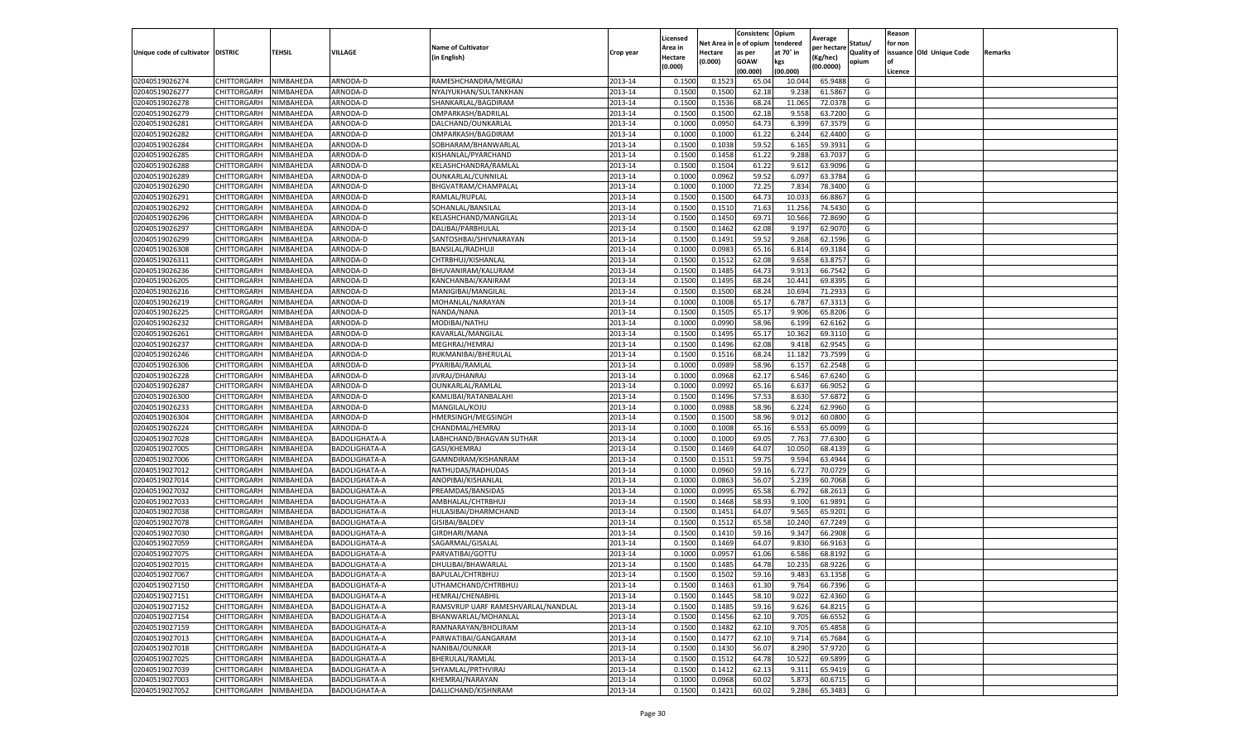|                                   |                                      |           |                                       |                                            |                    | Licensed         |                  | Consistenc             | Opium          |                        |                   | Reason  |                          |                |
|-----------------------------------|--------------------------------------|-----------|---------------------------------------|--------------------------------------------|--------------------|------------------|------------------|------------------------|----------------|------------------------|-------------------|---------|--------------------------|----------------|
|                                   |                                      |           |                                       | <b>Name of Cultivator</b>                  |                    | Area in          |                  | Net Area in e of opium | tendered       | Average<br>per hectare | Status/           | for non |                          |                |
| Unique code of cultivator DISTRIC |                                      | TEHSIL    | VILLAGE                               | in English)                                | Crop year          | Hectare          | Hectare          | as per                 | at 70° in      | (Kg/hec                | <b>Quality of</b> |         | issuance Old Unique Code | <b>Remarks</b> |
|                                   |                                      |           |                                       |                                            |                    | (0.000)          | (0.000)          | <b>GOAW</b>            | kgs            | (00.0000)              | opium             |         |                          |                |
|                                   |                                      |           |                                       |                                            |                    |                  |                  | (00.000)               | (00.000)       |                        |                   | Licence |                          |                |
| 02040519026274                    | CHITTORGARH                          | NIMBAHEDA | ARNODA-D                              | RAMESHCHANDRA/MEGRAJ                       | 2013-14            | 0.1500           | 0.1523           | 65.04                  | 10.04          | 65.9488                | G                 |         |                          |                |
| 02040519026277                    | CHITTORGARH                          | NIMBAHEDA | ARNODA-D                              | NYAJYUKHAN/SULTANKHAN                      | 2013-14            | 0.1500           | 0.1500           | 62.18                  | 9.23           | 61.5867                | G                 |         |                          |                |
| 02040519026278                    | CHITTORGARH                          | NIMBAHEDA | ARNODA-D                              | SHANKARLAL/BAGDIRAM                        | 2013-14            | 0.1500           | 0.1536           | 68.24                  | 11.065         | 72.0378                | G                 |         |                          |                |
| 02040519026279                    | CHITTORGARH                          | NIMBAHEDA | ARNODA-D                              | OMPARKASH/BADRILAL                         | 2013-14            | 0.1500           | 0.1500           | 62.18                  | 9.558          | 63.7200                | G                 |         |                          |                |
| 02040519026281                    | CHITTORGARH                          | NIMBAHEDA | ARNODA-D                              | DALCHAND/OUNKARLAL                         | 2013-14            | 0.1000           | 0.0950           | 64.73                  | 6.399          | 67.3579                | G                 |         |                          |                |
| 02040519026282                    | CHITTORGARH                          | NIMBAHEDA | ARNODA-D                              | OMPARKASH/BAGDIRAM                         | 2013-14            | 0.1000           | 0.1000           | 61.22                  | 6.244          | 62.4400                | G                 |         |                          |                |
| 02040519026284                    | CHITTORGARH                          | NIMBAHEDA | ARNODA-D                              | SOBHARAM/BHANWARLAI                        | 2013-14            | 0.1500           | 0.1038           | 59.52                  | 6.165          | 59.3931                | G                 |         |                          |                |
| 02040519026285                    | CHITTORGARH                          | NIMBAHEDA | ARNODA-D                              | KISHANLAL/PYARCHAND                        | 2013-14            | 0.1500           | 0.1458           | 61.22                  | 9.288          | 63.7037                | G                 |         |                          |                |
| 02040519026288                    | CHITTORGARH                          | NIMBAHEDA | ARNODA-D                              | KELASHCHANDRA/RAMLAI                       | 2013-14            | 0.1500           | 0.1504           | 61.22                  | 9.612          | 63.9096                | G                 |         |                          |                |
| 02040519026289                    | CHITTORGARH                          | NIMBAHEDA | ARNODA-D                              | OUNKARLAL/CUNNILAL                         | 2013-14            | 0.1000           | 0.0962           | 59.52                  | 6.097          | 63.3784                | G                 |         |                          |                |
| 02040519026290                    | CHITTORGARH                          | NIMBAHEDA | ARNODA-D                              | BHGVATRAM/CHAMPALAL                        | 2013-14            | 0.1000           | 0.1000           | 72.25                  | 7.834          | 78.3400                | G                 |         |                          |                |
| 02040519026291                    | CHITTORGARH                          | NIMBAHEDA | ARNODA-D                              | RAMLAL/RUPLAL                              | 2013-14            | 0.1500           | 0.1500           | 64.73                  | 10.03          | 66.8867                | G                 |         |                          |                |
| 02040519026292                    | CHITTORGARH                          | NIMBAHEDA | ARNODA-D                              | SOHANLAL/BANSILAL                          | 2013-14            | 0.1500           | 0.1510           | 71.63                  | 11.256         | 74.5430                | G                 |         |                          |                |
| 02040519026296                    | CHITTORGARH                          | NIMBAHEDA | ARNODA-D                              | KELASHCHAND/MANGILAL                       | 2013-14            | 0.1500           | 0.1450           | 69.71                  | 10.566         | 72.8690                | G                 |         |                          |                |
| 02040519026297                    | CHITTORGARH                          | NIMBAHEDA | ARNODA-D                              | DALIBAI/PARBHULAL                          | 2013-14            | 0.1500           | 0.1462           | 62.08                  | 9.197          | 62.9070                | G                 |         |                          |                |
| 02040519026299                    | CHITTORGARH                          | NIMBAHEDA | ARNODA-D                              | SANTOSHBAI/SHIVNARAYAN                     | 2013-14            | 0.1500           | 0.1491           | 59.52                  | 9.268          | 62.1596                | G                 |         |                          |                |
| 02040519026308                    | CHITTORGARH                          | NIMBAHEDA | ARNODA-D                              | BANSILAL/RADHUJI                           | 2013-14            | 0.1000           | 0.0983           | 65.16                  | 6.814          | 69.3184                | G                 |         |                          |                |
| 02040519026311                    | CHITTORGARH                          | NIMBAHEDA | ARNODA-D                              | CHTRBHUJ/KISHANLAL                         | 2013-14            | 0.1500           | 0.1512           | 62.08                  | 9.658          | 63.8757                | G                 |         |                          |                |
| 02040519026236                    | CHITTORGARH                          | NIMBAHEDA | ARNODA-D                              | BHUVANIRAM/KALURAM                         | 2013-14            | 0.1500           | 0.1485           | 64.73                  | 9.91           | 66.7542                | G                 |         |                          |                |
| 02040519026205                    | CHITTORGARH                          | NIMBAHEDA | ARNODA-D                              | KANCHANBAI/KANIRAM                         | 2013-14            | 0.1500           | 0.1495           | 68.24                  | 10.441         | 69.8395                | G                 |         |                          |                |
| 02040519026216                    | CHITTORGARH                          | NIMBAHEDA | ARNODA-D                              | MANIGIBAI/MANGILAL                         | 2013-14            | 0.1500           | 0.1500           | 68.24                  | 10.694         | 71.2933                | G                 |         |                          |                |
| 02040519026219                    | CHITTORGARH                          | NIMBAHEDA | ARNODA-D                              | MOHANLAL/NARAYAN                           | 2013-14            | 0.1000           | 0.1008           | 65.1                   | 6.787          | 67.3313                | G                 |         |                          |                |
| 02040519026225                    | CHITTORGARH                          | NIMBAHEDA | ARNODA-D                              | NANDA/NANA                                 | 2013-14            | 0.1500           | 0.1505           | 65.17                  | 9.906          | 65.8206                | G                 |         |                          |                |
| 02040519026232                    | CHITTORGARH                          | NIMBAHEDA | ARNODA-D                              | MODIBAI/NATHU                              | 2013-14            | 0.1000           | 0.0990           | 58.96                  | 6.199          | 62.6162                | G                 |         |                          |                |
| 02040519026261                    | CHITTORGARH                          | NIMBAHEDA | ARNODA-D                              | KAVARLAL/MANGILAL                          | 2013-14            | 0.1500           | 0.1495           | 65.17                  | 10.362         | 69.3110                | G                 |         |                          |                |
| 02040519026237                    | CHITTORGARH                          | NIMBAHEDA | ARNODA-D                              | MEGHRAJ/HEMRAJ                             | 2013-14            | 0.1500           | 0.1496           | 62.08                  | 9.418          | 62.9545                | G                 |         |                          |                |
| 02040519026246                    | CHITTORGARH                          | NIMBAHEDA | ARNODA-D                              | RUKMANIBAI/BHERULAL                        | 2013-14            | 0.1500           | 0.1516           | 68.24                  | 11.182         | 73.7599                | G                 |         |                          |                |
| 02040519026306                    | CHITTORGARH                          | NIMBAHEDA | ARNODA-D                              | PYARIBAI/RAMLAL                            | 2013-14            | 0.1000           | 0.0989           | 58.96                  | 6.157          | 62.2548                | G                 |         |                          |                |
| 02040519026228                    | CHITTORGARH                          | NIMBAHEDA | ARNODA-D                              | JIVRAJ/DHANRAJ                             | 2013-14            | 0.1000           | 0.0968           | 62.17                  | 6.546          | 67.6240                | G                 |         |                          |                |
| 02040519026287                    | CHITTORGARH                          | NIMBAHEDA | ARNODA-D                              | OUNKARLAL/RAMLAL                           | 2013-14            | 0.1000           | 0.0992           | 65.16                  | 6.637          | 66.9052                | G                 |         |                          |                |
| 02040519026300                    | CHITTORGARH                          | NIMBAHEDA | ARNODA-D                              | KAMLIBAI/RATANBALAHI                       | 2013-14            | 0.1500           | 0.1496           | 57.53                  | 8.63           | 57.687                 | G                 |         |                          |                |
| 02040519026233                    | CHITTORGARH                          | NIMBAHEDA | ARNODA-D                              | MANGILAL/KOJU                              | 2013-14            | 0.1000           | 0.0988           | 58.96                  | 6.224          | 62.9960                | G                 |         |                          |                |
| 02040519026304                    | CHITTORGARH                          | NIMBAHEDA | ARNODA-D                              | HMERSINGH/MEGSINGH                         | 2013-14            | 0.1500           | 0.1500           | 58.96                  | 9.012          | 60.0800                | G                 |         |                          |                |
| 02040519026224                    | CHITTORGARH                          | NIMBAHEDA | ARNODA-D                              | CHANDMAL/HEMRAJ                            | 2013-14            | 0.1000           | 0.1008           | 65.16                  | 6.553          | 65.0099                | G                 |         |                          |                |
| 02040519027028                    | CHITTORGARH                          | NIMBAHEDA | BADOLIGHATA-A                         | LABHCHAND/BHAGVAN SUTHAR                   | 2013-14            | 0.1000           | 0.1000           | 69.05                  | 7.763          | 77.6300                | G                 |         |                          |                |
| 02040519027005                    | CHITTORGARH                          | NIMBAHEDA | BADOLIGHATA-A                         | GASI/KHEMRAJ                               | 2013-14            | 0.1500           | 0.1469           | 64.07                  | 10.05          | 68.4139                | G                 |         |                          |                |
| 02040519027006                    | CHITTORGARH                          | NIMBAHEDA | BADOLIGHATA-A                         | GAMNDIRAM/KISHANRAM                        | 2013-14            | 0.1500           | 0.1511           | 59.75                  | 9.594          | 63.4944                | G                 |         |                          |                |
| 02040519027012                    | CHITTORGARH                          | NIMBAHEDA | BADOLIGHATA-A                         | NATHUDAS/RADHUDAS                          | 2013-14            | 0.1000           | 0.0960           | 59.16                  | 6.727          | 70.0729                | G                 |         |                          |                |
| 02040519027014                    | CHITTORGARH                          | NIMBAHEDA | <b>BADOLIGHATA-A</b>                  | ANOPIBAI/KISHANLAL                         | 2013-14            | 0.1000           | 0.0863           | 56.07                  | 5.239          | 60.7068                | G                 |         |                          |                |
| 02040519027032                    | CHITTORGARH                          | NIMBAHEDA | BADOLIGHATA-A                         | PREAMDAS/BANSIDAS                          | 2013-14            | 0.1000           | 0.0995           | 65.58                  | 6.792          | 68.2613                | G                 |         |                          |                |
| 02040519027033                    | CHITTORGARH                          | NIMBAHEDA | BADOLIGHATA-A                         | AMBHALAL/CHTRBHUJ                          | 2013-14            | 0.1500           | 0.1468           | 58.93                  | 9.100          | 61.9891                | G                 |         |                          |                |
| 02040519027038                    | CHITTORGARH                          | NIMBAHEDA | BADOLIGHATA-A                         | HULASIBAI/DHARMCHAND                       | 2013-14            | 0.1500           | 0.1451           | 64.07                  | 9.565          | 65.9201                | G                 |         |                          |                |
| 02040519027078                    | CHITTORGARH                          | NIMBAHEDA | BADOLIGHATA-A                         | GISIBAI/BALDEV                             | 2013-14            | 0.1500           | 0.1512           | 65.58                  | 10.24          | 67.7249                | G                 |         |                          |                |
| 02040519027030                    | CHITTORGARH                          | NIMBAHEDA | BADOLIGHATA-A                         | GIRDHARI/MANA                              | 2013-14            | 0.1500           | 0.1410           | 59.16                  | 9.34           | 66.2908                | G                 |         |                          |                |
| 02040519027059                    | CHITTORGARH                          | NIMBAHEDA | BADOLIGHATA-A                         | SAGARMAL/GISALAL                           | 2013-14            | 0.1500           | 0.1469           | 64.07                  | 9.830          | 66.9163                | G                 |         |                          |                |
| 02040519027075                    | CHITTORGARH                          | NIMBAHEDA | BADOLIGHATA-A                         | PARVATIBAI/GOTTU                           | 2013-14            | 0.1000           | 0.0957           | 61.06                  | 6.586          | 68.8192                | G                 |         |                          |                |
| 02040519027015                    | CHITTORGARH                          | NIMBAHEDA | BADOLIGHATA-A                         | DHULIBAI/BHAWARLAL                         | 2013-14            | 0.1500           | 0.1485           | 64.78                  | 10.23          | 68.9226                | G                 |         |                          |                |
| 02040519027067                    | CHITTORGARH                          | NIMBAHEDA | BADOLIGHATA-A                         | BAPULAL/CHTRBHUJ                           | 2013-14            | 0.1500           | 0.1502           | 59.16                  | 9.483          | 63.1358                | G                 |         |                          |                |
|                                   |                                      |           |                                       |                                            |                    |                  |                  |                        |                |                        |                   |         |                          |                |
| 02040519027150<br>02040519027151  | CHITTORGARH NIMBAHEDA<br>CHITTORGARH | NIMBAHEDA | <b>BADOLIGHATA-A</b><br>BADOLIGHATA-A | UTHAMCHAND/CHTRBHUJ<br>HEMRAJ/CHENABHIL    | 2013-14<br>2013-14 | 0.1500<br>0.1500 | 0.1463<br>0.1445 | 61.30<br>58.10         | 9.764<br>9.022 | 66.7396<br>62.4360     | G<br>G            |         |                          |                |
| 02040519027152                    | <b>CHITTORGARH</b>                   | NIMBAHEDA | BADOLIGHATA-A                         | RAMSVRUP UARF RAMESHVARLAL/NANDLAL         | 2013-14            | 0.1500           | 0.1485           | 59.16                  | 9.626          | 64.8215                | G                 |         |                          |                |
|                                   | <b>CHITTORGARH</b>                   |           | BADOLIGHATA-A                         |                                            |                    |                  |                  |                        |                |                        |                   |         |                          |                |
| 02040519027154                    | <b>CHITTORGARH</b>                   | NIMBAHEDA |                                       | BHANWARLAL/MOHANLAL<br>RAMNARAYAN/BHOLIRAM | 2013-14            | 0.1500           | 0.1456           | 62.10                  | 9.705          | 66.6552                | G<br>G            |         |                          |                |
| 02040519027159                    |                                      | NIMBAHEDA | BADOLIGHATA-A                         |                                            | 2013-14            | 0.1500           | 0.1482           | 62.10                  | 9.705          | 65.4858                |                   |         |                          |                |
| 02040519027013                    | <b>CHITTORGARH</b>                   | NIMBAHEDA | BADOLIGHATA-A                         | PARWATIBAI/GANGARAM                        | 2013-14            | 0.1500           | 0.1477           | 62.10                  | 9.714          | 65.7684                | G                 |         |                          |                |
| 02040519027018                    | CHITTORGARH                          | NIMBAHEDA | BADOLIGHATA-A                         | NANIBAI/OUNKAR                             | 2013-14            | 0.1500           | 0.1430           | 56.07                  | 8.290          | 57.9720                | G                 |         |                          |                |
| 02040519027025                    | CHITTORGARH                          | NIMBAHEDA | BADOLIGHATA-A                         | BHERULAL/RAMLAL                            | 2013-14            | 0.1500           | 0.1512           | 64.78                  | 10.522         | 69.5899                | G                 |         |                          |                |
| 02040519027039                    | CHITTORGARH                          | NIMBAHEDA | BADOLIGHATA-A                         | SHYAMLAL/PRTHVIRAJ                         | 2013-14            | 0.1500           | 0.1412           | 62.13                  | 9.311          | 65.9419                | G                 |         |                          |                |
| 02040519027003                    | CHITTORGARH                          | NIMBAHEDA | BADOLIGHATA-A                         | KHEMRAJ/NARAYAN                            | 2013-14            | 0.1000           | 0.0968           | 60.02                  | 5.873          | 60.6715                | G                 |         |                          |                |
| 02040519027052                    | <b>CHITTORGARH</b>                   | NIMBAHEDA | <b>BADOLIGHATA-A</b>                  | DALLICHAND/KISHNRAM                        | 2013-14            | 0.1500           | 0.1421           | 60.02                  | 9.286          | 65.3483                | G                 |         |                          |                |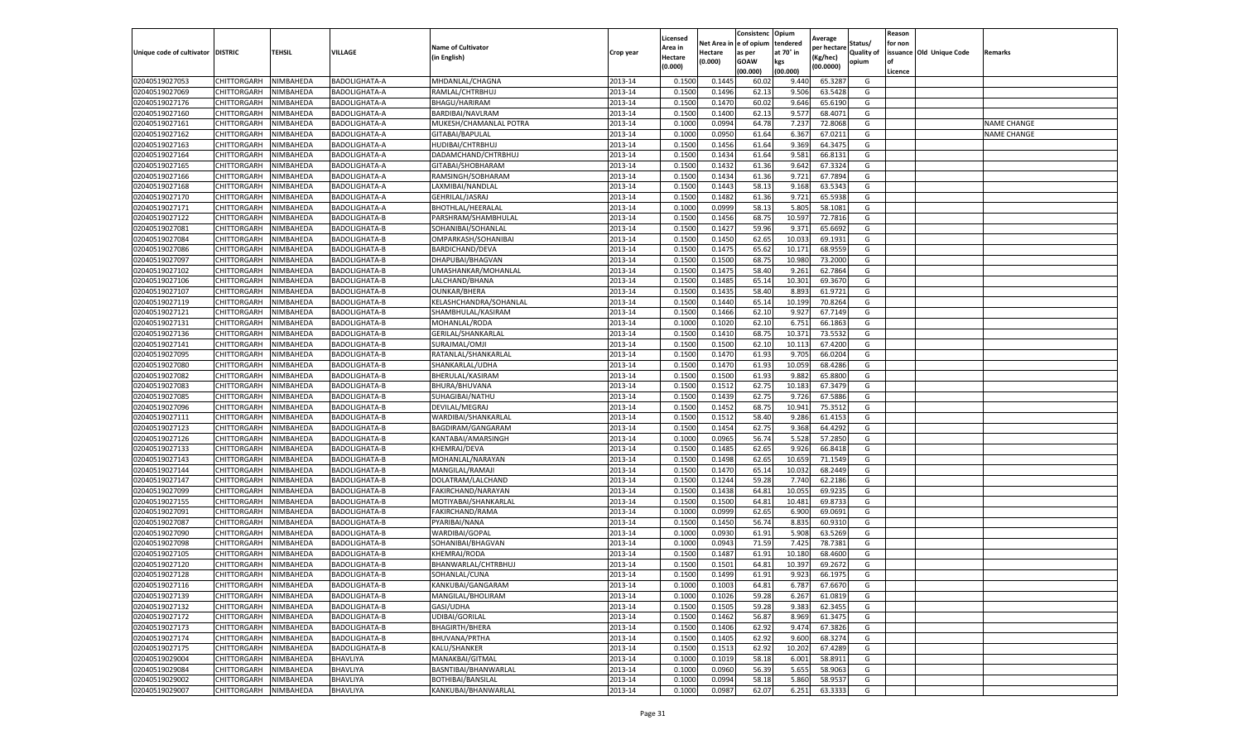|                                   |                       |           |                      |                           |           | Licensed |         | Consistenc             | Opium     |                        |                   | Reason  |                          |                    |
|-----------------------------------|-----------------------|-----------|----------------------|---------------------------|-----------|----------|---------|------------------------|-----------|------------------------|-------------------|---------|--------------------------|--------------------|
|                                   |                       |           |                      | <b>Name of Cultivator</b> |           | Area in  |         | Net Area in e of opium | tendered  | Average<br>per hectare | Status/           | for non |                          |                    |
| Unique code of cultivator DISTRIC |                       | TEHSIL    | VILLAGE              | in English)               | Crop year | Hectare  | Hectare | as per                 | at 70° in | (Kg/hec                | <b>Quality of</b> |         | issuance Old Unique Code | <b>Remarks</b>     |
|                                   |                       |           |                      |                           |           | (0.000)  | (0.000) | <b>GOAW</b>            | kgs       | (00.0000)              | opium             |         |                          |                    |
|                                   |                       |           |                      |                           |           |          |         | (00.000)               | (00.000)  |                        |                   | Licence |                          |                    |
| 02040519027053                    | CHITTORGARH           | NIMBAHEDA | <b>BADOLIGHATA-A</b> | MHDANLAL/CHAGNA           | 2013-14   | 0.1500   | 0.1445  | 60.02                  | 9.44      | 65.3287                | G                 |         |                          |                    |
| 02040519027069                    | CHITTORGARH           | NIMBAHEDA | <b>BADOLIGHATA-A</b> | RAMLAL/CHTRBHUJ           | 2013-14   | 0.1500   | 0.1496  | 62.13                  | 9.50      | 63.5428                | G                 |         |                          |                    |
| 02040519027176                    | CHITTORGARH           | NIMBAHEDA | BADOLIGHATA-A        | BHAGU/HARIRAM             | 2013-14   | 0.1500   | 0.1470  | 60.02                  | 9.646     | 65.6190                | G                 |         |                          |                    |
| 02040519027160                    | CHITTORGARH           | NIMBAHEDA | BADOLIGHATA-A        | BARDIBAI/NAVLRAM          | 2013-14   | 0.1500   | 0.1400  | 62.13                  | 9.577     | 68.4071                | G                 |         |                          |                    |
| 02040519027161                    | CHITTORGARH           | NIMBAHEDA | BADOLIGHATA-A        | MUKESH/CHAMANLAL POTRA    | 2013-14   | 0.1000   | 0.0994  | 64.78                  | 7.237     | 72.8068                | G                 |         |                          | <b>NAME CHANGE</b> |
| 02040519027162                    | CHITTORGARH           | NIMBAHEDA | BADOLIGHATA-A        | GITABAI/BAPULAL           | 2013-14   | 0.1000   | 0.0950  | 61.64                  | 6.367     | 67.0211                | G                 |         |                          | <b>NAME CHANGE</b> |
| 02040519027163                    | CHITTORGARH           | NIMBAHEDA | BADOLIGHATA-A        | HUDIBAI/CHTRBHUJ          | 2013-14   | 0.1500   | 0.1456  | 61.64                  | 9.369     | 64.3475                | G                 |         |                          |                    |
| 02040519027164                    | CHITTORGARH           | NIMBAHEDA | BADOLIGHATA-A        | DADAMCHAND/CHTRBHUJ       | 2013-14   | 0.1500   | 0.1434  | 61.64                  | 9.581     | 66.8131                | G                 |         |                          |                    |
| 02040519027165                    | CHITTORGARH           | NIMBAHEDA | BADOLIGHATA-A        | GITABAI/SHOBHARAM         | 2013-14   | 0.1500   | 0.1432  | 61.36                  | 9.642     | 67.3324                | G                 |         |                          |                    |
| 02040519027166                    | CHITTORGARH           | NIMBAHEDA | BADOLIGHATA-A        | RAMSINGH/SOBHARAM         | 2013-14   | 0.1500   | 0.1434  | 61.36                  | 9.721     | 67.7894                | G                 |         |                          |                    |
| 02040519027168                    | CHITTORGARH           | NIMBAHEDA | BADOLIGHATA-A        | LAXMIBAI/NANDLAL          | 2013-14   | 0.1500   | 0.1443  | 58.13                  | 9.168     | 63.5343                | G                 |         |                          |                    |
| 02040519027170                    | CHITTORGARH           | NIMBAHEDA | BADOLIGHATA-A        | GEHRILAL/JASRAJ           | 2013-14   | 0.1500   | 0.1482  | 61.36                  | 9.721     | 65.5938                | G                 |         |                          |                    |
| 02040519027171                    | CHITTORGARH           | NIMBAHEDA | BADOLIGHATA-A        | <b>BHOTHLAL/HEERALAI</b>  | 2013-14   | 0.1000   | 0.0999  | 58.13                  | 5.805     | 58.1081                | G                 |         |                          |                    |
| 02040519027122                    | CHITTORGARH           | NIMBAHEDA | BADOLIGHATA-B        | PARSHRAM/SHAMBHULAL       | 2013-14   | 0.1500   | 0.1456  | 68.75                  | 10.597    | 72.7816                | G                 |         |                          |                    |
| 02040519027081                    | CHITTORGARH           | NIMBAHEDA | BADOLIGHATA-B        | SOHANIBAI/SOHANLAL        | 2013-14   | 0.1500   | 0.1427  | 59.96                  | 9.371     | 65.6692                | G                 |         |                          |                    |
| 02040519027084                    | CHITTORGARH           | NIMBAHEDA | BADOLIGHATA-B        | OMPARKASH/SOHANIBAI       | 2013-14   | 0.1500   | 0.1450  | 62.65                  | 10.03     | 69.1931                | G                 |         |                          |                    |
| 02040519027086                    | CHITTORGARH           | NIMBAHEDA | BADOLIGHATA-B        | BARDICHAND/DEVA           | 2013-14   | 0.1500   | 0.1475  | 65.62                  | 10.171    | 68.9559                | G                 |         |                          |                    |
| 02040519027097                    | CHITTORGARH           | NIMBAHEDA | BADOLIGHATA-B        | DHAPUBAI/BHAGVAN          | 2013-14   | 0.1500   | 0.1500  | 68.75                  | 10.98     | 73.2000                | G                 |         |                          |                    |
| 02040519027102                    | CHITTORGARH           | NIMBAHEDA | BADOLIGHATA-B        | UMASHANKAR/MOHANLAL       | 2013-14   | 0.1500   | 0.1475  | 58.40                  | 9.261     | 62.7864                | G                 |         |                          |                    |
| 02040519027106                    | CHITTORGARH           | NIMBAHEDA | BADOLIGHATA-B        | LALCHAND/BHANA            | 2013-14   | 0.1500   | 0.1485  | 65.14                  | 10.301    | 69.3670                | G                 |         |                          |                    |
| 02040519027107                    | CHITTORGARH           | NIMBAHEDA | BADOLIGHATA-B        | <b>OUNKAR/BHERA</b>       | 2013-14   | 0.1500   | 0.1435  | 58.40                  | 8.893     | 61.9721                | G                 |         |                          |                    |
| 02040519027119                    | CHITTORGARH           | NIMBAHEDA | BADOLIGHATA-B        | KELASHCHANDRA/SOHANLAL    | 2013-14   | 0.1500   | 0.1440  | 65.14                  | 10.199    | 70.8264                | G                 |         |                          |                    |
| 02040519027121                    | CHITTORGARH           | NIMBAHEDA | BADOLIGHATA-B        | SHAMBHULAL/KASIRAM        | 2013-14   | 0.1500   | 0.1466  | 62.10                  | 9.927     | 67.7149                | G                 |         |                          |                    |
| 02040519027131                    | CHITTORGARH           | NIMBAHEDA | BADOLIGHATA-B        | MOHANLAL/RODA             | 2013-14   | 0.1000   | 0.1020  | 62.10                  | 6.751     | 66.1863                | G                 |         |                          |                    |
| 02040519027136                    | CHITTORGARH           | NIMBAHEDA | BADOLIGHATA-B        | GERILAL/SHANKARLAL        | 2013-14   | 0.1500   | 0.1410  | 68.75                  | 10.37     | 73.5532                | G                 |         |                          |                    |
| 02040519027141                    | CHITTORGARH           | NIMBAHEDA | <b>BADOLIGHATA-B</b> | SURAJMAL/OMJI             | 2013-14   | 0.1500   | 0.1500  | 62.10                  | 10.113    | 67.4200                | G                 |         |                          |                    |
| 02040519027095                    | CHITTORGARH           | NIMBAHEDA | <b>BADOLIGHATA-B</b> | RATANLAL/SHANKARLAL       | 2013-14   | 0.1500   | 0.1470  | 61.93                  | 9.705     | 66.0204                | G                 |         |                          |                    |
| 02040519027080                    | CHITTORGARH           | NIMBAHEDA | BADOLIGHATA-B        | SHANKARLAL/UDHA           | 2013-14   | 0.1500   | 0.1470  | 61.93                  | 10.059    | 68.4286                | G                 |         |                          |                    |
| 02040519027082                    | CHITTORGARH           | NIMBAHEDA | BADOLIGHATA-B        | BHERULAL/KASIRAM          | 2013-14   | 0.1500   | 0.1500  | 61.93                  | 9.882     | 65.8800                | G                 |         |                          |                    |
| 02040519027083                    | CHITTORGARH           | NIMBAHEDA | BADOLIGHATA-B        | BHURA/BHUVANA             | 2013-14   | 0.1500   | 0.1512  | 62.75                  | 10.18     | 67.3479                | G                 |         |                          |                    |
| 02040519027085                    | CHITTORGARH           | NIMBAHEDA | BADOLIGHATA-B        | SUHAGIBAI/NATHU           | 2013-14   | 0.1500   | 0.1439  | 62.75                  | 9.72      | 67.5886                | G                 |         |                          |                    |
| 02040519027096                    | CHITTORGARH           | NIMBAHEDA | BADOLIGHATA-B        | DEVILAL/MEGRAJ            | 2013-14   | 0.1500   | 0.1452  | 68.75                  | 10.941    | 75.3512                | G                 |         |                          |                    |
| 02040519027111                    | CHITTORGARH           | NIMBAHEDA | <b>BADOLIGHATA-B</b> | WARDIBAI/SHANKARLAL       | 2013-14   | 0.1500   | 0.1512  | 58.40                  | 9.286     | 61.4153                | G                 |         |                          |                    |
| 02040519027123                    | CHITTORGARH           | NIMBAHEDA | BADOLIGHATA-B        | BAGDIRAM/GANGARAM         | 2013-14   | 0.1500   | 0.1454  | 62.75                  | 9.368     | 64.4292                | G                 |         |                          |                    |
| 02040519027126                    | CHITTORGARH           | NIMBAHEDA | BADOLIGHATA-B        | KANTABAI/AMARSINGH        | 2013-14   | 0.1000   | 0.0965  | 56.74                  | 5.528     | 57.2850                | G                 |         |                          |                    |
| 02040519027133                    | CHITTORGARH           | NIMBAHEDA | BADOLIGHATA-B        | KHEMRAJ/DEVA              | 2013-14   | 0.1500   | 0.1485  | 62.65                  | 9.926     | 66.8418                | G                 |         |                          |                    |
| 02040519027143                    | CHITTORGARH           | NIMBAHEDA | BADOLIGHATA-B        | MOHANLAL/NARAYAN          | 2013-14   | 0.1500   | 0.1498  | 62.65                  | 10.65     | 71.1549                | G                 |         |                          |                    |
| 02040519027144                    | CHITTORGARH           | NIMBAHEDA | BADOLIGHATA-B        | MANGILAL/RAMAJ            | 2013-14   | 0.1500   | 0.1470  | 65.14                  | 10.03     | 68.2449                | G                 |         |                          |                    |
| 02040519027147                    | CHITTORGARH           | NIMBAHEDA | <b>BADOLIGHATA-B</b> | DOLATRAM/LALCHAND         | 2013-14   | 0.1500   | 0.1244  | 59.28                  | 7.74      | 62.2186                | G                 |         |                          |                    |
| 02040519027099                    | CHITTORGARH           | NIMBAHEDA | BADOLIGHATA-B        | FAKIRCHAND/NARAYAN        | 2013-14   | 0.1500   | 0.1438  | 64.81                  | 10.055    | 69.9235                | G                 |         |                          |                    |
| 02040519027155                    | CHITTORGARH           | NIMBAHEDA | <b>BADOLIGHATA-B</b> | MOTIYABAI/SHANKARLAL      | 2013-14   | 0.1500   | 0.1500  | 64.81                  | 10.481    | 69.8733                | G                 |         |                          |                    |
| 02040519027091                    | CHITTORGARH           | NIMBAHEDA | BADOLIGHATA-B        | FAKIRCHAND/RAMA           | 2013-14   | 0.1000   | 0.0999  | 62.65                  | 6.900     | 69.0691                | G                 |         |                          |                    |
| 02040519027087                    | CHITTORGARH           | NIMBAHEDA | BADOLIGHATA-B        | PYARIBAI/NANA             | 2013-14   | 0.1500   | 0.1450  | 56.74                  | 8.835     | 60.9310                | G                 |         |                          |                    |
| 02040519027090                    | CHITTORGARH           | NIMBAHEDA | BADOLIGHATA-B        | WARDIBAI/GOPAL            | 2013-14   | 0.1000   | 0.0930  | 61.91                  | 5.908     | 63.5269                | G                 |         |                          |                    |
| 02040519027098                    | CHITTORGARH           | NIMBAHEDA | BADOLIGHATA-B        | SOHANIBAI/BHAGVAN         | 2013-14   | 0.1000   | 0.0943  | 71.59                  | 7.425     | 78.7381                | G                 |         |                          |                    |
| 02040519027105                    | CHITTORGARH           | NIMBAHEDA | <b>BADOLIGHATA-B</b> | KHEMRAJ/RODA              | 2013-14   | 0.1500   | 0.1487  | 61.91                  | 10.18     | 68.4600                | G                 |         |                          |                    |
| 02040519027120                    | CHITTORGARH           | NIMBAHEDA | BADOLIGHATA-B        | BHANWARLAL/CHTRBHUJ       | 2013-14   | 0.1500   | 0.1501  | 64.81                  | 10.397    | 69.2672                | G                 |         |                          |                    |
| 02040519027128                    | CHITTORGARH           | NIMBAHEDA | BADOLIGHATA-B        | SOHANLAL/CUNA             | 2013-14   | 0.1500   | 0.1499  | 61.91                  | 9.923     | 66.1975                | G                 |         |                          |                    |
| 02040519027116                    | CHITTORGARH NIMBAHEDA |           | <b>BADOLIGHATA-B</b> | KANKUBAI/GANGARAM         | 2013-14   | 0.1000   | 0.1003  | 64.81                  | 6.787     | 67.6670                | G                 |         |                          |                    |
| 02040519027139                    | CHITTORGARH           | NIMBAHEDA | BADOLIGHATA-B        | MANGILAL/BHOLIRAM         | 2013-14   | 0.1000   | 0.1026  | 59.28                  | 6.267     | 61.0819                | G                 |         |                          |                    |
| 02040519027132                    | CHITTORGARH           | NIMBAHEDA | BADOLIGHATA-B        | GASI/UDHA                 | 2013-14   | 0.1500   | 0.1505  | 59.28                  | 9.383     | 62.3455                | G                 |         |                          |                    |
| 02040519027172                    | CHITTORGARH           | NIMBAHEDA | BADOLIGHATA-B        | UDIBAI/GORILAL            | 2013-14   | 0.1500   | 0.1462  | 56.87                  | 8.969     | 61.3475                | G                 |         |                          |                    |
| 02040519027173                    | CHITTORGARH           | NIMBAHEDA | BADOLIGHATA-B        | <b>BHAGIRTH/BHERA</b>     | 2013-14   | 0.1500   | 0.1406  | 62.92                  | 9.474     | 67.3826                | G                 |         |                          |                    |
| 02040519027174                    | <b>CHITTORGARH</b>    | NIMBAHEDA | BADOLIGHATA-B        | BHUVANA/PRTHA             | 2013-14   | 0.1500   | 0.1405  | 62.92                  | 9.600     | 68.3274                | G                 |         |                          |                    |
| 02040519027175                    | CHITTORGARH           | NIMBAHEDA | BADOLIGHATA-B        | KALU/SHANKER              | 2013-14   | 0.1500   | 0.1513  | 62.92                  | 10.202    | 67.4289                | G                 |         |                          |                    |
| 02040519029004                    | CHITTORGARH           | NIMBAHEDA | BHAVLIYA             | MANAKBAI/GITMAL           | 2013-14   | 0.1000   | 0.1019  | 58.18                  | 6.001     | 58.8911                | G                 |         |                          |                    |
| 02040519029084                    | CHITTORGARH           | NIMBAHEDA | BHAVLIYA             | BASNTIBAI/BHANWARLAL      | 2013-14   | 0.1000   | 0.0960  | 56.39                  | 5.655     | 58.9063                | G                 |         |                          |                    |
| 02040519029002                    | CHITTORGARH           | NIMBAHEDA | BHAVLIYA             | BOTHIBAI/BANSILAL         | 2013-14   | 0.1000   | 0.0994  | 58.18                  | 5.860     | 58.9537                | G                 |         |                          |                    |
| 02040519029007                    | <b>CHITTORGARH</b>    | NIMBAHEDA | BHAVLIYA             | KANKUBAI/BHANWARLAL       | 2013-14   | 0.1000   | 0.0987  | 62.07                  | 6.251     | 63.3333                | G                 |         |                          |                    |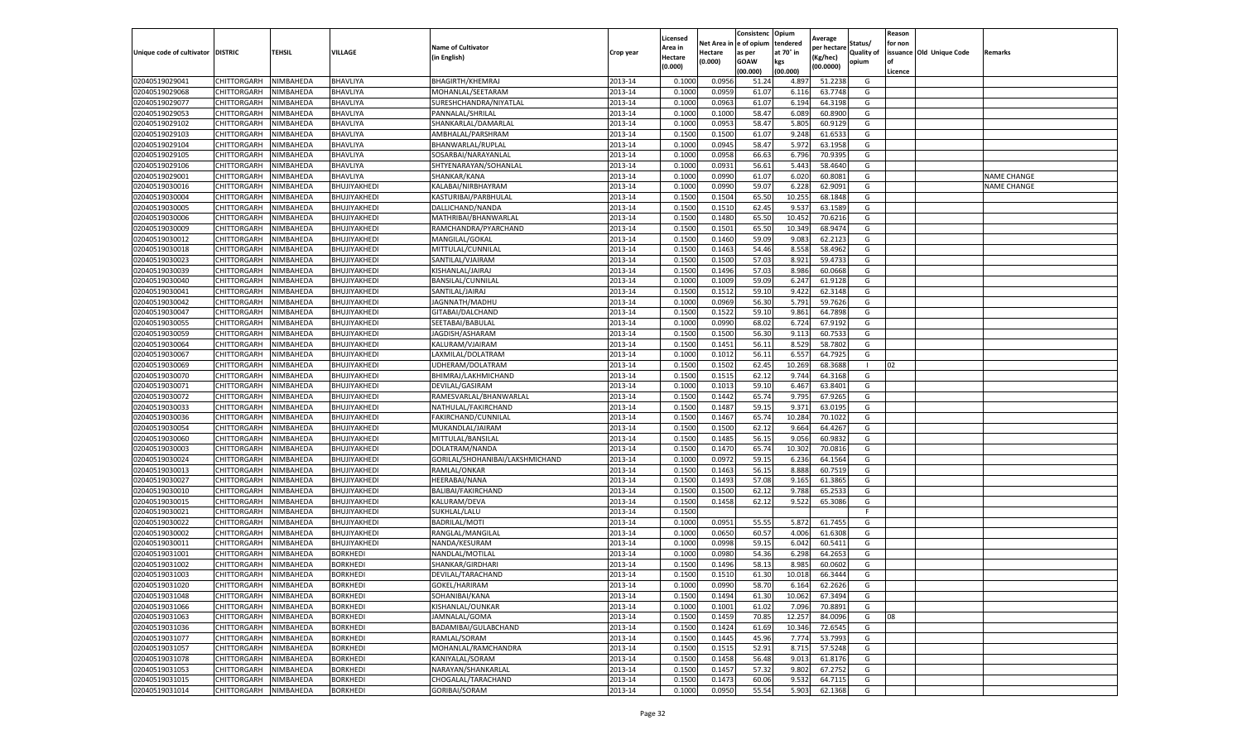|                           |                    |                        |                                    |                                 |           | Licensed |                  | Consistenc             | Opium            |                        |                   | Reason  |                          |                    |
|---------------------------|--------------------|------------------------|------------------------------------|---------------------------------|-----------|----------|------------------|------------------------|------------------|------------------------|-------------------|---------|--------------------------|--------------------|
|                           |                    |                        |                                    | <b>Name of Cultivator</b>       |           | Area in  |                  | Net Area in e of opium | tendered         | Average<br>per hectare | Status/           | for non |                          |                    |
| Unique code of cultivator | <b>DISTRIC</b>     | TEHSIL                 | VILLAGE                            | in English)                     | Crop year | Hectare  | Hectare          | as per                 | at 70° in        | (Kg/hec                | <b>Quality of</b> |         | issuance Old Unique Code | <b>Remarks</b>     |
|                           |                    |                        |                                    |                                 |           | (0.000)  | (0.000)          | <b>GOAW</b>            | kgs              | (00.0000)              | opium             |         |                          |                    |
|                           |                    |                        |                                    |                                 |           |          |                  | (00.000)               | (00.000)         |                        |                   | Licence |                          |                    |
| 02040519029041            | CHITTORGARH        | NIMBAHEDA              | BHAVLIYA                           | BHAGIRTH/KHEMRAJ                | 2013-14   | 0.1000   | 0.0956           | 51.24                  | 4.897            | 51.2238                | G                 |         |                          |                    |
| 02040519029068            | CHITTORGARH        | NIMBAHEDA              | BHAVLIYA                           | MOHANLAL/SEETARAM               | 2013-14   | 0.1000   | 0.0959           | 61.07                  | 6.11             | 63.7748                | G                 |         |                          |                    |
| 02040519029077            | CHITTORGARH        | NIMBAHEDA              | BHAVLIYA                           | SURESHCHANDRA/NIYATLAL          | 2013-14   | 0.1000   | 0.0963           | 61.07                  | 6.194            | 64.3198                | G                 |         |                          |                    |
| 02040519029053            | CHITTORGARH        | NIMBAHEDA              | BHAVLIYA                           | PANNALAL/SHRILAL                | 2013-14   | 0.1000   | 0.1000           | 58.47                  | 6.089            | 60.8900                | G                 |         |                          |                    |
| 02040519029102            | CHITTORGARH        | NIMBAHEDA              | BHAVLIYA                           | SHANKARLAL/DAMARLAL             | 2013-14   | 0.1000   | 0.0953           | 58.47                  | 5.805            | 60.9129                | G                 |         |                          |                    |
| 02040519029103            | CHITTORGARH        | NIMBAHEDA              | BHAVLIYA                           | AMBHALAL/PARSHRAM               | 2013-14   | 0.1500   | 0.1500           | 61.07                  | 9.248            | 61.6533                | G                 |         |                          |                    |
| 02040519029104            | CHITTORGARH        | NIMBAHEDA              | BHAVLIYA                           | BHANWARLAL/RUPLAL               | 2013-14   | 0.1000   | 0.0945           | 58.47                  | 5.972            | 63.1958                | G                 |         |                          |                    |
| 02040519029105            | CHITTORGARH        | NIMBAHEDA              | BHAVLIYA                           | SOSARBAI/NARAYANLAL             | 2013-14   | 0.1000   | 0.0958           | 66.63                  | 6.796            | 70.9395                | G                 |         |                          |                    |
| 02040519029106            | CHITTORGARH        | NIMBAHEDA              | BHAVLIYA                           | SHTYENARAYAN/SOHANLAL           | 2013-14   | 0.1000   | 0.0931           | 56.61                  | 5.443            | 58.4640                | G                 |         |                          |                    |
| 02040519029001            | CHITTORGARH        | NIMBAHEDA              | BHAVLIYA                           | SHANKAR/KANA                    | 2013-14   | 0.1000   | 0.0990           | 61.07                  | 6.020            | 60.8081                | G                 |         |                          | <b>NAME CHANGE</b> |
| 02040519030016            | CHITTORGARH        | NIMBAHEDA              | BHUJIYAKHEDI                       | KALABAI/NIRBHAYRAM              | 2013-14   | 0.1000   | 0.0990           | 59.07                  | 6.228            | 62.9091                | G                 |         |                          | <b>NAME CHANGE</b> |
| 02040519030004            | CHITTORGARH        | NIMBAHEDA              | BHUJIYAKHEDI                       | KASTURIBAI/PARBHULAL            | 2013-14   | 0.1500   | 0.1504           | 65.50                  | 10.255           | 68.1848                | G                 |         |                          |                    |
| 02040519030005            | CHITTORGARH        | NIMBAHEDA              | BHUJIYAKHEDI                       | DALLICHAND/NANDA                | 2013-14   | 0.1500   | 0.1510           | 62.45                  | 9.53             | 63.1589                | G                 |         |                          |                    |
| 02040519030006            | CHITTORGARH        | NIMBAHEDA              | BHUJIYAKHEDI                       | MATHRIBAI/BHANWARLAL            | 2013-14   | 0.1500   | 0.1480           | 65.50                  | 10.452           | 70.6216                | G                 |         |                          |                    |
| 02040519030009            | CHITTORGARH        | NIMBAHEDA              | BHUJIYAKHEDI                       | RAMCHANDRA/PYARCHAND            | 2013-14   | 0.1500   | 0.1501           | 65.50                  | 10.349           | 68.9474                | G                 |         |                          |                    |
| 02040519030012            | CHITTORGARH        | NIMBAHEDA              | BHUJIYAKHEDI                       | MANGILAL/GOKAL                  | 2013-14   | 0.1500   | 0.1460           | 59.09                  | 9.083            | 62.2123                | G                 |         |                          |                    |
| 02040519030018            | CHITTORGARH        | NIMBAHEDA              | BHUJIYAKHEDI                       | MITTULAL/CUNNILAL               | 2013-14   | 0.1500   | 0.1463           | 54.46                  | 8.55             | 58.4962                | G                 |         |                          |                    |
| 02040519030023            | CHITTORGARH        | NIMBAHEDA              | BHUJIYAKHEDI                       | SANTILAL/VJAIRAM                | 2013-14   | 0.1500   | 0.1500           | 57.03                  | 8.921            | 59.4733                | G                 |         |                          |                    |
| 02040519030039            | CHITTORGARH        | NIMBAHEDA              | BHUJIYAKHEDI                       | KISHANLAL/JAIRAJ                | 2013-14   | 0.1500   | 0.1496           | 57.03                  | 8.986            | 60.0668                | G                 |         |                          |                    |
| 02040519030040            | CHITTORGARH        | NIMBAHEDA              | BHUJIYAKHEDI                       | BANSILAL/CUNNILAL               | 2013-14   | 0.1000   | 0.1009           | 59.09                  | 6.247            | 61.9128                | G                 |         |                          |                    |
| 02040519030041            | CHITTORGARH        | NIMBAHEDA              | BHUJIYAKHEDI                       | SANTILAL/JAIRAJ                 | 2013-14   | 0.1500   | 0.1512           | 59.10                  | 9.422            | 62.3148                | G                 |         |                          |                    |
| 02040519030042            | CHITTORGARH        | NIMBAHEDA              | BHUJIYAKHEDI                       | JAGNNATH/MADHU                  | 2013-14   | 0.1000   | 0.0969           | 56.30                  | 5.791            | 59.7626                | G                 |         |                          |                    |
| 02040519030047            | CHITTORGARH        | NIMBAHEDA              | BHUJIYAKHEDI                       | GITABAI/DALCHAND                | 2013-14   | 0.1500   | 0.1522           | 59.10                  | 9.861            | 64.7898                | G                 |         |                          |                    |
| 02040519030055            | CHITTORGARH        | NIMBAHEDA              | BHUJIYAKHEDI                       | SEETABAI/BABULAL                | 2013-14   | 0.1000   | 0.0990           | 68.02                  | 6.724            | 67.9192                | G                 |         |                          |                    |
| 02040519030059            | CHITTORGARH        | NIMBAHEDA              | BHUJIYAKHEDI                       | JAGDISH/ASHARAM                 | 2013-14   | 0.1500   | 0.1500           | 56.30                  | 9.11             | 60.7533                | G                 |         |                          |                    |
| 02040519030064            | CHITTORGARH        | NIMBAHEDA              | BHUJIYAKHEDI                       | KALURAM/VJAIRAM                 | 2013-14   | 0.1500   | 0.1451           | 56.11                  | 8.529            | 58.7802                | G                 |         |                          |                    |
| 02040519030067            | CHITTORGARH        | NIMBAHEDA              | BHUJIYAKHEDI                       | LAXMILAL/DOLATRAM               | 2013-14   | 0.1000   | 0.1012           | 56.1                   | 6.557            | 64.7925                | G                 |         |                          |                    |
| 02040519030069            | CHITTORGARH        | NIMBAHEDA              | BHUJIYAKHEDI                       | UDHERAM/DOLATRAM                | 2013-14   | 0.1500   | 0.1502           | 62.45                  | 10.269           | 68.3688                | -1                | 02      |                          |                    |
| 02040519030070            | CHITTORGARH        | NIMBAHEDA              | BHUJIYAKHEDI                       | BHIMRAJ/LAKHMICHAND             | 2013-14   | 0.1500   | 0.1515           | 62.12                  | 9.744            | 64.3168                | G                 |         |                          |                    |
| 02040519030071            | CHITTORGARH        | NIMBAHEDA              | BHUJIYAKHEDI                       | DEVILAL/GASIRAM                 | 2013-14   | 0.1000   | 0.1013           | 59.10                  | 6.467            | 63.8401                | G                 |         |                          |                    |
| 02040519030072            | CHITTORGARH        | NIMBAHEDA              | BHUJIYAKHEDI                       | RAMESVARLAL/BHANWARLAL          | 2013-14   | 0.1500   | 0.1442           | 65.74                  | 9.795            | 67.9265                | G                 |         |                          |                    |
| 02040519030033            | CHITTORGARH        | NIMBAHEDA              | BHUJIYAKHEDI                       | NATHULAL/FAKIRCHAND             | 2013-14   | 0.1500   | 0.1487           | 59.15                  | 9.371            | 63.0195                | G                 |         |                          |                    |
| 02040519030036            | CHITTORGARH        | NIMBAHEDA              | BHUJIYAKHEDI                       | FAKIRCHAND/CUNNILAL             | 2013-14   | 0.1500   | 0.1467           | 65.74                  | 10.28            | 70.1022                | G                 |         |                          |                    |
| 02040519030054            | CHITTORGARH        | NIMBAHEDA              | BHUJIYAKHEDI                       | MUKANDLAL/JAIRAM                | 2013-14   | 0.1500   | 0.1500           | 62.12                  | 9.664            | 64.4267                | G                 |         |                          |                    |
| 02040519030060            | CHITTORGARH        | NIMBAHEDA              | BHUJIYAKHEDI                       | MITTULAL/BANSILAL               | 2013-14   | 0.1500   | 0.1485           | 56.15                  | 9.056            | 60.9832                | G                 |         |                          |                    |
| 02040519030003            | CHITTORGARH        | NIMBAHEDA              | BHUJIYAKHEDI                       | DOLATRAM/NANDA                  | 2013-14   | 0.1500   | 0.1470           | 65.74                  | 10.302           | 70.0816                | G                 |         |                          |                    |
| 02040519030024            | CHITTORGARH        | NIMBAHEDA              | BHUJIYAKHEDI                       | GORILAL/SHOHANIBAI/LAKSHMICHAND | 2013-14   | 0.1000   | 0.0972           | 59.15                  | 6.236            | 64.1564                | G                 |         |                          |                    |
| 02040519030013            | CHITTORGARH        | NIMBAHEDA              | BHUJIYAKHEDI                       | RAMLAL/ONKAR                    | 2013-14   | 0.1500   | 0.1463           | 56.15                  | 8.888            | 60.7519                | G                 |         |                          |                    |
| 02040519030027            | CHITTORGARH        | NIMBAHEDA              | BHUJIYAKHEDI                       | HEERABAI/NANA                   | 2013-14   | 0.1500   | 0.1493           | 57.08                  | 9.165            | 61.3865                | G                 |         |                          |                    |
| 02040519030010            | CHITTORGARH        | NIMBAHEDA              | BHUJIYAKHEDI                       | BALIBAI/FAKIRCHAND              | 2013-14   | 0.1500   | 0.1500           | 62.12                  | 9.788            | 65.2533                | G                 |         |                          |                    |
| 02040519030015            | CHITTORGARH        | NIMBAHEDA              | BHUJIYAKHEDI                       | KALURAM/DEVA                    | 2013-14   | 0.1500   | 0.1458           | 62.12                  | 9.522            | 65.3086                | G                 |         |                          |                    |
| 02040519030021            | CHITTORGARH        | NIMBAHEDA              | BHUJIYAKHEDI                       | SUKHLAL/LALU                    | 2013-14   | 0.1500   |                  |                        |                  |                        | F.                |         |                          |                    |
| 02040519030022            | CHITTORGARH        | NIMBAHEDA              | BHUJIYAKHEDI                       | BADRILAL/MOTI                   | 2013-14   | 0.1000   | 0.0951           | 55.55                  | 5.872            | 61.7455                | G                 |         |                          |                    |
| 02040519030002            | CHITTORGARH        | NIMBAHEDA              | BHUJIYAKHEDI                       | RANGLAL/MANGILAL                | 2013-14   | 0.1000   | 0.0650           | 60.57                  | 4.006            | 61.6308                | G                 |         |                          |                    |
| 02040519030011            | CHITTORGARH        | NIMBAHEDA              | BHUJIYAKHEDI                       | NANDA/KESURAM                   | 2013-14   | 0.1000   | 0.0998           | 59.15                  | 6.042            | 60.5411                | G                 |         |                          |                    |
| 02040519031001            | CHITTORGARH        | NIMBAHEDA              | BORKHEDI                           | NANDLAL/MOTILAL                 | 2013-14   | 0.1000   | 0.0980           | 54.36                  | 6.298            | 64.2653                | G                 |         |                          |                    |
| 02040519031002            | CHITTORGARH        | NIMBAHEDA              | <b>BORKHEDI</b>                    | SHANKAR/GIRDHARI                | 2013-14   | 0.1500   | 0.1496           | 58.13                  | 8.985            | 60.0602                | G                 |         |                          |                    |
| 02040519031003            | CHITTORGARH        | NIMBAHEDA              | <b>BORKHEDI</b>                    | DEVILAL/TARACHAND               | 2013-14   | 0.1500   | 0.1510           | 61.30                  | 10.018           | 66.3444                | G                 |         |                          |                    |
| 02040519031020            | CHITTORGARH        | NIMBAHEDA              | <b>BORKHEDI</b>                    | GOKEL/HARIRAM                   | 2013-14   | 0.1000   | 0.0990           | 58.70                  | 6.164            | 62.2626                | G                 |         |                          |                    |
| 02040519031048            | CHITTORGARH        | NIMBAHEDA              | <b>BORKHEDI</b>                    | SOHANIBAI/KANA                  | 2013-14   | 0.1500   | 0.1494           | 61.30                  | 10.062           | 67.3494                | G                 |         |                          |                    |
| 02040519031066            | <b>CHITTORGARH</b> | NIMBAHEDA              | <b>BORKHEDI</b>                    | KISHANLAL/OUNKAR                | 2013-14   | 0.1000   | 0.1001           | 61.02                  | 7.096            | 70.8891                | G                 |         |                          |                    |
|                           | <b>CHITTORGARH</b> |                        |                                    |                                 |           |          |                  |                        |                  |                        |                   |         |                          |                    |
| 02040519031063            |                    | NIMBAHEDA<br>NIMBAHEDA | <b>BORKHEDI</b><br><b>BORKHEDI</b> | JAMNALAL/GOMA                   | 2013-14   | 0.1500   | 0.1459           | 70.85                  | 12.257<br>10.346 | 84.0096                | G                 | 08      |                          |                    |
| 02040519031036            | <b>CHITTORGARH</b> |                        | <b>BORKHEDI</b>                    | BADAMIBAI/GULABCHAND            | 2013-14   | 0.1500   | 0.1424<br>0.1445 | 61.69                  |                  | 72.6545                | G<br>G            |         |                          |                    |
| 02040519031077            | <b>CHITTORGARH</b> | NIMBAHEDA              |                                    | RAMLAL/SORAM                    | 2013-14   | 0.1500   |                  | 45.96                  | 7.774            | 53.7993                |                   |         |                          |                    |
| 02040519031057            | CHITTORGARH        | NIMBAHEDA              | <b>BORKHEDI</b>                    | MOHANLAL/RAMCHANDRA             | 2013-14   | 0.1500   | 0.1515           | 52.91                  | 8.715            | 57.5248                | G                 |         |                          |                    |
| 02040519031078            | <b>CHITTORGARH</b> | NIMBAHEDA<br>NIMBAHEDA | <b>BORKHEDI</b><br><b>BORKHEDI</b> | KANIYALAL/SORAM                 | 2013-14   | 0.1500   | 0.1458<br>0.1457 | 56.48<br>57.32         | 9.013            | 61.8176<br>67.2752     | G<br>G            |         |                          |                    |
| 02040519031053            | CHITTORGARH        |                        |                                    | NARAYAN/SHANKARLAL              | 2013-14   | 0.1500   |                  |                        | 9.802            |                        |                   |         |                          |                    |
| 02040519031015            | CHITTORGARH        | NIMBAHEDA              | <b>BORKHEDI</b>                    | CHOGALAL/TARACHAND              | 2013-14   | 0.1500   | 0.1473           | 60.06                  | 9.532            | 64.7115                | G                 |         |                          |                    |
| 02040519031014            | <b>CHITTORGARH</b> | NIMBAHEDA              | <b>BORKHEDI</b>                    | GORIBAI/SORAM                   | 2013-14   | 0.1000   | 0.0950           | 55.54                  | 5.903            | 62.1368                | G                 |         |                          |                    |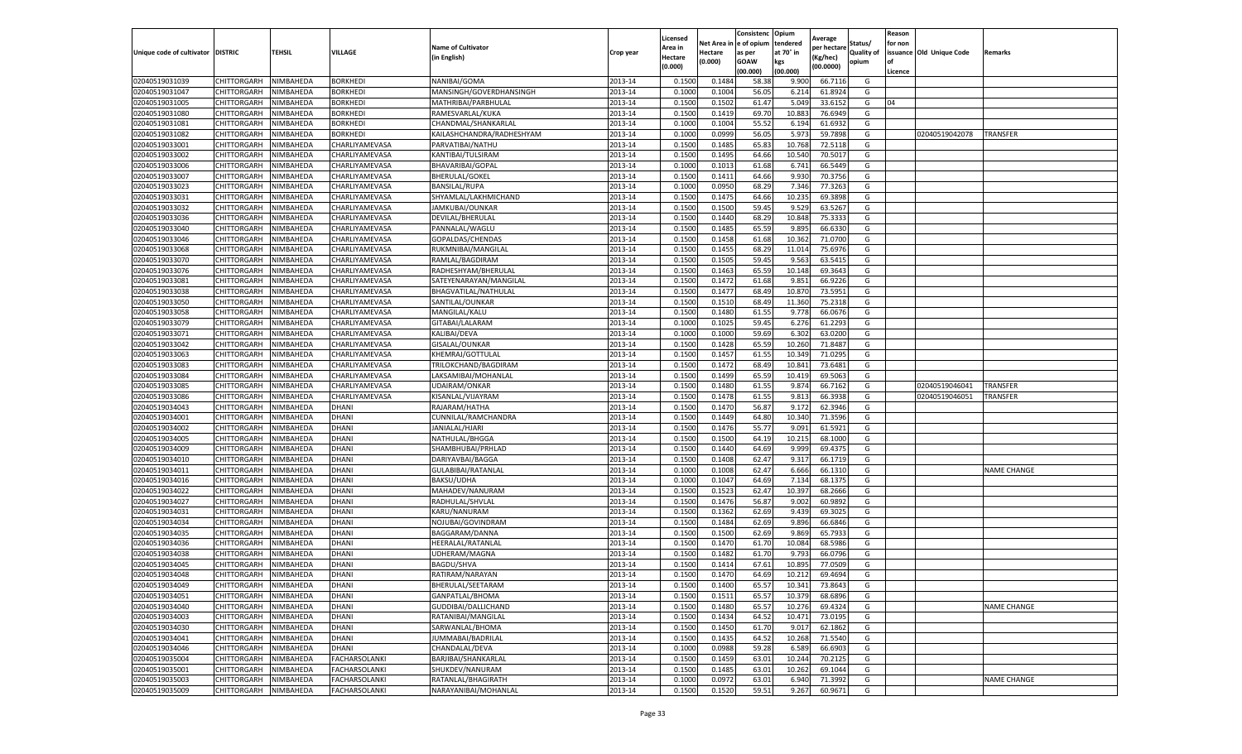|                                   |             |                  |                      |                           |           | Licensed |         | Consistenc              | Opium     | Average     |            | Reason  |                          |                    |
|-----------------------------------|-------------|------------------|----------------------|---------------------------|-----------|----------|---------|-------------------------|-----------|-------------|------------|---------|--------------------------|--------------------|
|                                   |             |                  |                      | <b>Name of Cultivator</b> |           | Area in  |         | Net Area in le of opium | tendered  | per hectare | Status/    | for non |                          |                    |
| Unique code of cultivator DISTRIC |             | TEHSIL           | VILLAGE              | (in English)              | Crop year | Hectare  | Hectare | as per                  | at 70° in | Kg/hec)     | Quality of |         | issuance Old Unique Code | Remarks            |
|                                   |             |                  |                      |                           |           | (0.000)  | (0.000) | GOAW                    | kgs       | (00.0000)   | opium      |         |                          |                    |
|                                   |             |                  |                      |                           |           |          |         | (00.000)                | (00.000)  |             |            | Licence |                          |                    |
| 02040519031039                    | CHITTORGARH | NIMBAHEDA        | <b>BORKHEDI</b>      | NANIBAI/GOMA              | 2013-14   | 0.150    | 0.148   | 58.38                   | 9.900     | 66.711      | G          |         |                          |                    |
| 02040519031047                    | CHITTORGARH | NIMBAHEDA        | BORKHEDI             | MANSINGH/GOVERDHANSINGH   | 2013-14   | 0.100    | 0.1004  | 56.05                   | 6.214     | 61.892      | G          |         |                          |                    |
| 02040519031005                    | CHITTORGARH | NIMBAHEDA        | BORKHEDI             | MATHRIBAI/PARBHULAL       | 2013-14   | 0.1500   | 0.1502  | 61.47                   | 5.049     | 33.615      | G          | 04      |                          |                    |
| 02040519031080                    | CHITTORGARH | NIMBAHEDA        | <b>BORKHEDI</b>      | RAMESVARLAL/KUKA          | 2013-14   | 0.1500   | 0.1419  | 69.70                   | 10.883    | 76.6949     | G          |         |                          |                    |
| 02040519031081                    | CHITTORGARH | NIMBAHEDA        | BORKHEDI             | CHANDMAL/SHANKARLAL       | 2013-14   | 0.1000   | 0.1004  | 55.5                    | 6.194     | 61.693      | G          |         |                          |                    |
| 02040519031082                    | CHITTORGARH | NIMBAHEDA        | BORKHEDI             | KAILASHCHANDRA/RADHESHYAM | 2013-14   | 0.1000   | 0.0999  | 56.05                   | 5.97      | 59.789      | G          |         | 02040519042078           | TRANSFER           |
| 02040519033001                    | CHITTORGARH | NIMBAHEDA        | CHARLIYAMEVASA       | PARVATIBAI/NATHU          | 2013-14   | 0.1500   | 0.148   | 65.83                   | 10.768    | 72.511      | G          |         |                          |                    |
| 02040519033002                    | CHITTORGARH | NIMBAHEDA        | CHARLIYAMEVASA       | KANTIBAI/TULSIRAM         | 2013-14   | 0.1500   | 0.149   | 64.66                   | 10.540    | 70.501      | G          |         |                          |                    |
| 02040519033006                    | CHITTORGARH | NIMBAHEDA        | CHARLIYAMEVASA       | BHAVARIBAI/GOPAL          | 2013-14   | 0.1000   | 0.1013  | 61.68                   | 6.741     | 66.5449     | G          |         |                          |                    |
| 02040519033007                    | CHITTORGARH | NIMBAHEDA        | CHARLIYAMEVASA       | BHERULAL/GOKEL            | 2013-14   | 0.1500   | 0.1411  | 64.66                   | 9.930     | 70.3756     | G          |         |                          |                    |
| 02040519033023                    | CHITTORGARH | NIMBAHEDA        | CHARLIYAMEVASA       | BANSILAL/RUPA             | 2013-14   | 0.1000   | 0.0950  | 68.29                   | 7.346     | 77.3263     | G          |         |                          |                    |
| 02040519033031                    | CHITTORGARH | NIMBAHEDA        | CHARLIYAMEVASA       | SHYAMLAL/LAKHMICHAND      | 2013-14   | 0.1500   | 0.1475  | 64.66                   | 10.235    | 69.389      | G          |         |                          |                    |
| 02040519033032                    | CHITTORGARH | <b>NIMBAHEDA</b> | CHARLIYAMEVASA       | JAMKUBAI/OUNKAR           | 2013-14   | 0.1500   | 0.150   | 59.4                    | 9.529     | 63.526      | G          |         |                          |                    |
| 02040519033036                    | CHITTORGARH | NIMBAHEDA        | CHARLIYAMEVASA       | DEVILAL/BHERULAL          | 2013-14   | 0.1500   | 0.1440  | 68.29                   | 10.848    | 75.333      | G          |         |                          |                    |
| 02040519033040                    | CHITTORGARH | NIMBAHEDA        | CHARLIYAMEVASA       | PANNALAL/WAGLU            | 2013-14   | 0.1500   | 0.1485  | 65.5                    | 9.895     | 66.633      | G          |         |                          |                    |
| 02040519033046                    | CHITTORGARH | NIMBAHEDA        | CHARLIYAMEVASA       | GOPALDAS/CHENDAS          | 2013-14   | 0.1500   | 0.1458  | 61.68                   | 10.362    | 71.070      | G          |         |                          |                    |
| 02040519033068                    | CHITTORGARH | NIMBAHEDA        | CHARLIYAMEVASA       | RUKMNIBAI/MANGILAL        | 2013-14   | 0.1500   | 0.1455  | 68.29                   | 11.014    | 75.697      | G          |         |                          |                    |
| 02040519033070                    | CHITTORGARH | NIMBAHEDA        | CHARLIYAMEVASA       | RAMLAL/BAGDIRAM           | 2013-14   | 0.1500   | 0.150   | 59.4                    | 9.563     | 63.541      | G          |         |                          |                    |
| 02040519033076                    | CHITTORGARH | NIMBAHEDA        | CHARLIYAMEVASA       | RADHESHYAM/BHERULAL       | 2013-14   | 0.1500   | 0.1463  | 65.5                    | 10.148    | 69.364      | G          |         |                          |                    |
| 02040519033081                    | CHITTORGARH | <b>NIMBAHEDA</b> | CHARLIYAMEVASA       | SATEYENARAYAN/MANGILAL    | 2013-14   | 0.1500   | 0.1472  | 61.68                   | 9.85      | 66.922      | G          |         |                          |                    |
| 02040519033038                    | CHITTORGARH | NIMBAHEDA        | CHARLIYAMEVASA       | BHAGVATILAL/NATHULAL      | 2013-14   | 0.1500   | 0.147   | 68.49                   | 10.870    | 73.5951     | G          |         |                          |                    |
| 02040519033050                    | CHITTORGARH | NIMBAHEDA        | CHARLIYAMEVASA       | SANTILAL/OUNKAR           | 2013-14   | 0.1500   | 0.1510  | 68.49                   | 11.360    | 75.231      | G          |         |                          |                    |
| 02040519033058                    | CHITTORGARH | NIMBAHEDA        | CHARLIYAMEVASA       | MANGILAL/KALU             | 2013-14   | 0.1500   | 0.1480  | 61.55                   | 9.778     | 66.067      | G          |         |                          |                    |
| 02040519033079                    | CHITTORGARH | NIMBAHEDA        | CHARLIYAMEVASA       | GITABAI/LALARAM           | 2013-14   | 0.1000   | 0.1025  | 59.4                    | 6.276     | 61.229      | G          |         |                          |                    |
| 02040519033071                    | CHITTORGARH | NIMBAHEDA        | CHARLIYAMEVASA       | KALIBAI/DEVA              | 2013-14   | 0.1000   | 0.1000  | 59.69                   | 6.302     | 63.020      | G          |         |                          |                    |
| 02040519033042                    | CHITTORGARH | NIMBAHEDA        | CHARLIYAMEVASA       | GISALAL/OUNKAR            | 2013-14   | 0.1500   | 0.1428  | 65.59                   | 10.260    | 71.8487     | G          |         |                          |                    |
| 02040519033063                    | CHITTORGARH | NIMBAHEDA        | CHARLIYAMEVASA       | KHEMRAJ/GOTTULAI          | 2013-14   | 0.1500   | 0.145   | 61.5                    | 10.349    | 71.029      | G          |         |                          |                    |
| 02040519033083                    | CHITTORGARH | NIMBAHEDA        | CHARLIYAMEVASA       | TRILOKCHAND/BAGDIRAM      | 2013-14   | 0.1500   | 0.1472  | 68.49                   | 10.84     | 73.6481     | G          |         |                          |                    |
| 02040519033084                    | CHITTORGARH | NIMBAHEDA        | CHARLIYAMEVASA       | LAKSAMIBAI/MOHANLAL       | 2013-14   | 0.1500   | 0.1499  | 65.59                   | 10.419    | 69.5063     | G          |         |                          |                    |
| 02040519033085                    | CHITTORGARH | NIMBAHEDA        | CHARLIYAMEVASA       | UDAIRAM/ONKAR             | 2013-14   | 0.1500   | 0.1480  | 61.55                   | 9.874     | 66.7162     | G          |         | 02040519046041           | TRANSFER           |
| 02040519033086                    | CHITTORGARH | NIMBAHEDA        | CHARLIYAMEVASA       | KISANLAL/VIJAYRAM         | 2013-14   | 0.1500   | 0.1478  | 61.5                    | 9.81      | 66.393      | G          |         | 02040519046051           | TRANSFER           |
| 02040519034043                    | CHITTORGARH | NIMBAHEDA        | DHANI                | RAJARAM/HATHA             | 2013-14   | 0.1500   | 0.147   | 56.87                   | 9.172     | 62.394      | G          |         |                          |                    |
| 02040519034001                    | CHITTORGARH | NIMBAHEDA        | DHANI                | CUNNILAL/RAMCHANDRA       | 2013-14   | 0.1500   | 0.1449  | 64.80                   | 10.34     | 71.359      | G          |         |                          |                    |
| 02040519034002                    | CHITTORGARH | NIMBAHEDA        | DHANI                | JANIALAL/HJARI            | 2013-14   | 0.1500   | 0.1476  | 55.77                   | 9.091     | 61.592      | G          |         |                          |                    |
| 02040519034005                    | CHITTORGARH | NIMBAHEDA        | <b>DHANI</b>         | NATHULAL/BHGGA            | 2013-14   | 0.1500   | 0.150   | 64.19                   | 10.215    | 68.1000     | G          |         |                          |                    |
| 02040519034009                    | CHITTORGARH | NIMBAHEDA        | DHANI                | SHAMBHUBAI/PRHLAD         | 2013-14   | 0.1500   | 0.1440  | 64.69                   | 9.999     | 69.437      | G          |         |                          |                    |
| 02040519034010                    | CHITTORGARH | NIMBAHEDA        | DHANI                | DARIYAVBAI/BAGGA          | 2013-14   | 0.1500   | 0.1408  | 62.47                   | 9.317     | 66.171      | G          |         |                          |                    |
| 02040519034011                    | CHITTORGARH | NIMBAHEDA        | DHANI                | GULABIBAI/RATANLAL        | 2013-14   | 0.1000   | 0.100   | 62.47                   | 6.666     | 66.131      | G          |         |                          | <b>NAME CHANGE</b> |
| 02040519034016                    | CHITTORGARH | NIMBAHEDA        | DHANI                | <b>BAKSU/UDHA</b>         | 2013-14   | 0.1000   | 0.1047  | 64.69                   | 7.134     | 68.137      | G          |         |                          |                    |
| 02040519034022                    | CHITTORGARH | NIMBAHEDA        | DHANI                | MAHADEV/NANURAM           | 2013-14   | 0.1500   | 0.1523  | 62.47                   | 10.397    | 68.2666     | G          |         |                          |                    |
| 02040519034027                    | CHITTORGARH | NIMBAHEDA        | DHANI                | RADHULAL/SHVLAL           | 2013-14   | 0.1500   | 0.1476  | 56.8                    | 9.002     | 60.989      | G          |         |                          |                    |
| 02040519034031                    | CHITTORGARH | NIMBAHEDA        | DHANI                | KARU/NANURAM              | 2013-14   | 0.1500   | 0.1362  | 62.69                   | 9.439     | 69.302      | G          |         |                          |                    |
| 02040519034034                    | CHITTORGARH | NIMBAHEDA        | DHANI                | NOJUBAI/GOVINDRAM         | 2013-14   | 0.1500   | 0.1484  | 62.69                   | 9.896     | 66.684      | G          |         |                          |                    |
| 02040519034035                    | CHITTORGARH | NIMBAHEDA        | DHANI                | BAGGARAM/DANNA            | 2013-14   | 0.1500   | 0.150   | 62.69                   | 9.869     | 65.793      | G          |         |                          |                    |
| 02040519034036                    | CHITTORGARH | NIMBAHEDA        | DHANI                | HEERALAL/RATANLAI         | 2013-14   | 0.1500   | 0.147   | 61.70                   | 10.084    | 68.598      | G          |         |                          |                    |
| 02040519034038                    | CHITTORGARH | NIMBAHEDA        | DHANI                | JDHERAM/MAGNA             | 2013-14   | 0.1500   | 0.1482  | 61.7                    | 9.793     | 66.079      | G          |         |                          |                    |
| 02040519034045                    | CHITTORGARH | NIMBAHEDA        | DHANI                | BAGDU/SHVA                | 2013-14   | 0.1500   | 0.1414  | 67.61                   | 10.895    | 77.050      | G          |         |                          |                    |
| 02040519034048                    | CHITTORGARH | <b>NIMBAHEDA</b> | <b>DHANI</b>         | RATIRAM/NARAYAN           | 2013-14   | 0.1500   | 0.1470  | 64.69                   | 10.212    | 69.4694     | G          |         |                          |                    |
| 02040519034049                    | CHITTORGARH | NIMBAHEDA        | DHANI                | BHERULAL/SEETARAM         | 2013-14   | 0.1500   | 0.1400  | 65.57                   | 10.341    | 73.8643     | G          |         |                          |                    |
| 02040519034051                    | CHITTORGARH | NIMBAHEDA        | DHANI                | GANPATLAL/BHOMA           | 2013-14   | 0.1500   | 0.151   | 65.57                   | 10.379    | 68.6896     | G          |         |                          |                    |
| 02040519034040                    | CHITTORGARH | NIMBAHEDA        | DHANI                | GUDDIBAI/DALLICHAND       | 2013-14   | 0.1500   | 0.1480  | 65.57                   | 10.276    | 69.4324     | G          |         |                          | NAME CHANGE        |
| 02040519034003                    | CHITTORGARH | NIMBAHEDA        | <b>DHANI</b>         | RATANIBAI/MANGILAL        | 2013-14   | 0.1500   | 0.1434  | 64.52                   | 10.471    | 73.0195     | G          |         |                          |                    |
| 02040519034030                    | CHITTORGARH | NIMBAHEDA        | DHANI                | SARWANLAL/BHOMA           | 2013-14   | 0.1500   | 0.1450  | 61.70                   | 9.01      | 62.1862     | G          |         |                          |                    |
| 02040519034041                    | CHITTORGARH | NIMBAHEDA        | <b>DHANI</b>         | JUMMABAI/BADRILAL         | 2013-14   | 0.1500   | 0.1435  | 64.52                   | 10.268    | 71.5540     | G          |         |                          |                    |
| 02040519034046                    | CHITTORGARH | NIMBAHEDA        | DHANI                | CHANDALAL/DEVA            | 2013-14   | 0.1000   | 0.0988  | 59.28                   | 6.589     | 66.6903     | G          |         |                          |                    |
| 02040519035004                    | CHITTORGARH | NIMBAHEDA        | FACHARSOLANKI        | BARJIBAI/SHANKARLAL       | 2013-14   | 0.1500   | 0.1459  | 63.01                   | 10.244    | 70.2125     | G          |         |                          |                    |
| 02040519035001                    | CHITTORGARH | NIMBAHEDA        | <b>FACHARSOLANKI</b> | SHUKDEV/NANURAM           | 2013-14   | 0.1500   | 0.1485  | 63.01                   | 10.262    | 69.1044     | G          |         |                          |                    |
| 02040519035003                    | CHITTORGARH | NIMBAHEDA        | FACHARSOLANKI        | RATANLAL/BHAGIRATH        | 2013-14   | 0.1000   | 0.0972  | 63.01                   | 6.940     | 71.399      | G          |         |                          | NAME CHANGE        |
| 02040519035009                    | CHITTORGARH | NIMBAHEDA        | <b>FACHARSOLANKI</b> | NARAYANIBAI/MOHANLAL      | 2013-14   | 0.1500   | 0.1520  | 59.51                   | 9.267     |             | G          |         |                          |                    |
|                                   |             |                  |                      |                           |           |          |         |                         |           | 60.9671     |            |         |                          |                    |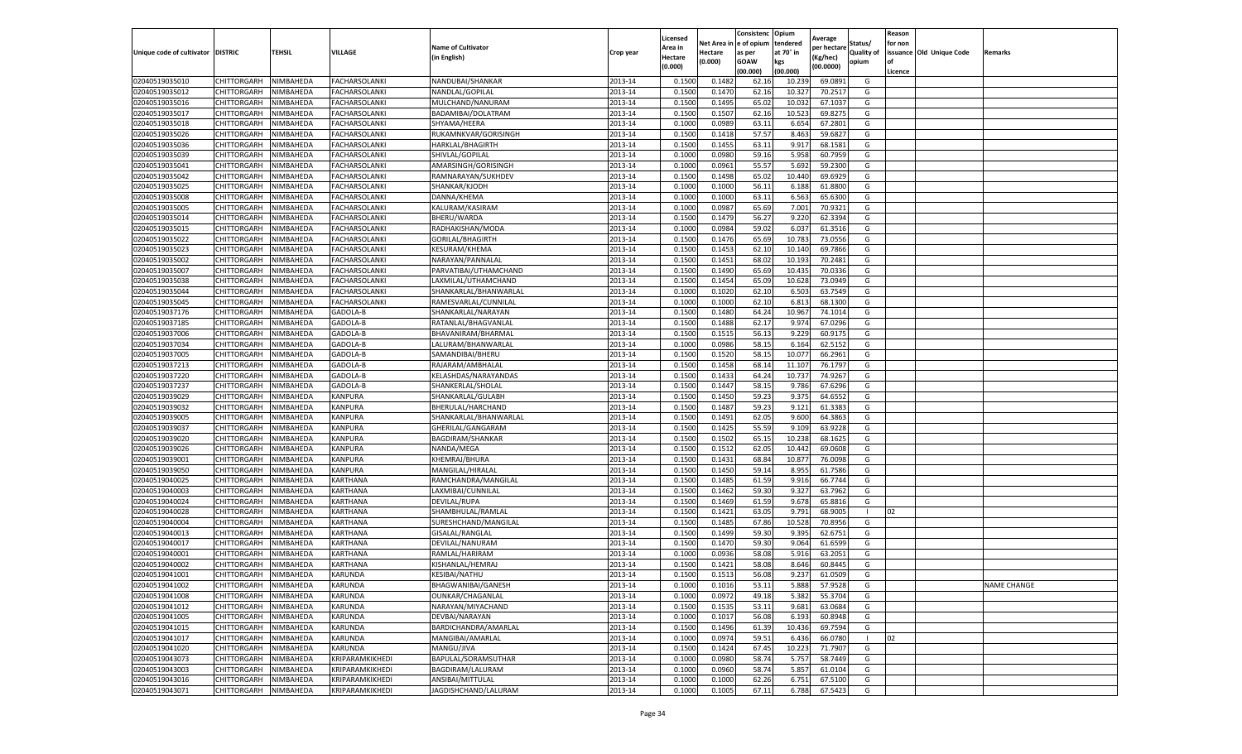|                                   |             |           |                      |                           |           | Licensed |            | Consistenc  | Opium     | Average     |                   | Reason  |                          |                    |
|-----------------------------------|-------------|-----------|----------------------|---------------------------|-----------|----------|------------|-------------|-----------|-------------|-------------------|---------|--------------------------|--------------------|
|                                   |             |           |                      | <b>Name of Cultivator</b> |           | Area in  | Net Area i | e of opium  | tendered  | per hectare | Status/           | for non |                          |                    |
| Unique code of cultivator DISTRIC |             | TEHSIL    | VILLAGE              | (in English)              | Crop year | Hectare  | Hectare    | as per      | at 70° in | (Kg/hec)    | <b>Quality of</b> |         | issuance Old Unique Code | Remarks            |
|                                   |             |           |                      |                           |           | (0.000)  | (0.000)    | <b>GOAW</b> | kgs       | (00.0000)   | opium             | οf      |                          |                    |
|                                   |             |           |                      |                           |           |          |            | (00.000     | (00.000)  |             |                   | Licence |                          |                    |
| 02040519035010                    | CHITTORGARH | NIMBAHEDA | <b>FACHARSOLANKI</b> | NANDUBAI/SHANKAR          | 2013-14   | 0.1500   | 0.148      | 62.16       | 10.23     | 69.0891     | G                 |         |                          |                    |
| 02040519035012                    | CHITTORGARH | NIMBAHEDA | <b>FACHARSOLANKI</b> | NANDLAL/GOPILAL           | 2013-14   | 0.150    | 0.147      | 62.16       | 10.32     | 70.2517     | G                 |         |                          |                    |
| 02040519035016                    | CHITTORGARH | NIMBAHEDA | FACHARSOLANKI        | MULCHAND/NANURAM          | 2013-14   | 0.1500   | 0.1495     | 65.02       | 10.032    | 67.1037     | G                 |         |                          |                    |
| 02040519035017                    | CHITTORGARH | NIMBAHEDA | FACHARSOLANKI        | BADAMIBAI/DOLATRAM        | 2013-14   | 0.1500   | 0.1507     | 62.16       | 10.523    | 69.8275     | G                 |         |                          |                    |
| 02040519035018                    | CHITTORGARH | NIMBAHEDA | <b>FACHARSOLANKI</b> | SHYAMA/HEERA              | 2013-14   | 0.1000   | 0.0989     | 63.11       | 6.654     | 67.2801     | G                 |         |                          |                    |
| 02040519035026                    | CHITTORGARH | NIMBAHEDA | <b>FACHARSOLANKI</b> | RUKAMNKVAR/GORISINGH      | 2013-14   | 0.1500   | 0.1418     | 57.57       | 8.463     | 59.6827     | G                 |         |                          |                    |
| 02040519035036                    | CHITTORGARH | NIMBAHEDA | <b>FACHARSOLANKI</b> | HARKLAL/BHAGIRTH          | 2013-14   | 0.1500   | 0.1455     | 63.11       | 9.917     | 68.1581     | G                 |         |                          |                    |
| 02040519035039                    | CHITTORGARH | NIMBAHEDA | FACHARSOLANKI        | SHIVLAL/GOPILAL           | 2013-14   | 0.100    | 0.0980     | 59.16       | 5.958     | 60.7959     | G                 |         |                          |                    |
| 02040519035041                    | CHITTORGARH | NIMBAHEDA | FACHARSOLANKI        | AMARSINGH/GORISINGH       | 2013-14   | 0.1000   | 0.0961     | 55.57       | 5.692     | 59.2300     | G                 |         |                          |                    |
| 02040519035042                    | CHITTORGARH | NIMBAHEDA | FACHARSOLANKI        | RAMNARAYAN/SUKHDEV        | 2013-14   | 0.1500   | 0.1498     | 65.02       | 10.440    | 69.6929     | G                 |         |                          |                    |
| 02040519035025                    | CHITTORGARH | NIMBAHEDA | FACHARSOLANKI        | SHANKAR/KJODH             | 2013-14   | 0.1000   | 0.1000     | 56.11       | 6.188     | 61.8800     | G                 |         |                          |                    |
| 02040519035008                    | CHITTORGARH | NIMBAHEDA | <b>FACHARSOLANKI</b> | DANNA/KHEMA               | 2013-14   | 0.1000   | 0.1000     | 63.11       | 6.563     | 65.6300     | G                 |         |                          |                    |
| 02040519035005                    | CHITTORGARH | NIMBAHEDA | <b>FACHARSOLANKI</b> | KALURAM/KASIRAM           | 2013-14   | 0.1000   | 0.0987     | 65.69       | 7.001     | 70.9321     | G                 |         |                          |                    |
| 02040519035014                    | CHITTORGARH | NIMBAHEDA | FACHARSOLANKI        | BHERU/WARDA               | 2013-14   | 0.1500   | 0.1479     | 56.27       | 9.220     | 62.3394     | G                 |         |                          |                    |
| 02040519035015                    | CHITTORGARH | NIMBAHEDA | <b>FACHARSOLANKI</b> | RADHAKISHAN/MODA          | 2013-14   | 0.1000   | 0.0984     | 59.02       | 6.037     | 61.3516     | G                 |         |                          |                    |
| 02040519035022                    | CHITTORGARH | NIMBAHEDA | <b>FACHARSOLANKI</b> | GORILAL/BHAGIRTH          | 2013-14   | 0.1500   | 0.1476     | 65.69       | 10.783    | 73.0556     | G                 |         |                          |                    |
| 02040519035023                    | CHITTORGARH | NIMBAHEDA | FACHARSOLANKI        | KESURAM/KHEMA             | 2013-14   | 0.1500   | 0.1453     | 62.10       | 10.14     | 69.7866     | G                 |         |                          |                    |
| 02040519035002                    | CHITTORGARH | NIMBAHEDA | <b>FACHARSOLANKI</b> | NARAYAN/PANNALAL          | 2013-14   | 0.1500   | 0.1451     | 68.02       | 10.19     | 70.2481     | G                 |         |                          |                    |
| 02040519035007                    | CHITTORGARH | NIMBAHEDA | <b>FACHARSOLANKI</b> | PARVATIBAI/UTHAMCHAND     | 2013-14   | 0.1500   | 0.1490     | 65.69       | 10.435    | 70.0336     | G                 |         |                          |                    |
| 02040519035038                    | CHITTORGARH | NIMBAHEDA | FACHARSOLANKI        | LAXMILAL/UTHAMCHAND       | 2013-14   | 0.1500   | 0.1454     | 65.09       | 10.628    | 73.0949     | G                 |         |                          |                    |
| 02040519035044                    | CHITTORGARH | NIMBAHEDA | <b>FACHARSOLANKI</b> | SHANKARLAL/BHANWARLAL     | 2013-14   | 0.1000   | 0.1020     | 62.10       | 6.503     | 63.7549     | G                 |         |                          |                    |
| 02040519035045                    | CHITTORGARH | NIMBAHEDA | <b>FACHARSOLANKI</b> | RAMESVARLAL/CUNNILAL      | 2013-14   | 0.1000   | 0.1000     | 62.10       | 6.813     | 68.1300     | G                 |         |                          |                    |
| 02040519037176                    | CHITTORGARH | NIMBAHEDA | GADOLA-B             | SHANKARLAL/NARAYAN        | 2013-14   | 0.1500   | 0.1480     | 64.24       | 10.967    | 74.1014     | G                 |         |                          |                    |
| 02040519037185                    | CHITTORGARH | NIMBAHEDA | GADOLA-B             | RATANLAL/BHAGVANLAL       | 2013-14   | 0.1500   | 0.1488     | 62.17       | 9.974     | 67.0296     | G                 |         |                          |                    |
| 02040519037006                    | CHITTORGARH | NIMBAHEDA | GADOLA-B             | BHAVANIRAM/BHARMAL        | 2013-14   | 0.1500   | 0.1515     | 56.13       | 9.229     | 60.9175     | G                 |         |                          |                    |
| 02040519037034                    | CHITTORGARH | NIMBAHEDA | GADOLA-B             | LALURAM/BHANWARLAL        | 2013-14   | 0.1000   | 0.0986     | 58.15       | 6.164     | 62.5152     | G                 |         |                          |                    |
| 02040519037005                    | CHITTORGARH | NIMBAHEDA | GADOLA-B             | SAMANDIBAI/BHERU          | 2013-14   | 0.1500   | 0.1520     | 58.1        | 10.077    | 66.2961     | G                 |         |                          |                    |
| 02040519037213                    | CHITTORGARH | NIMBAHEDA | GADOLA-B             | RAJARAM/AMBHALAL          | 2013-14   | 0.1500   | 0.1458     | 68.14       | 11.107    | 76.1797     | G                 |         |                          |                    |
| 02040519037220                    | CHITTORGARH | NIMBAHEDA | GADOLA-B             | KELASHDAS/NARAYANDAS      | 2013-14   | 0.1500   | 0.1433     | 64.24       | 10.737    | 74.9267     | G                 |         |                          |                    |
| 02040519037237                    | CHITTORGARH | NIMBAHEDA | GADOLA-B             | SHANKERLAL/SHOLAL         | 2013-14   | 0.1500   | 0.1447     | 58.15       | 9.786     | 67.6296     | G                 |         |                          |                    |
| 02040519039029                    | CHITTORGARH | NIMBAHEDA | KANPURA              | SHANKARLAL/GULABH         | 2013-14   | 0.1500   | 0.1450     | 59.23       | 9.375     | 64.6552     | G                 |         |                          |                    |
| 02040519039032                    | CHITTORGARH | NIMBAHEDA | KANPURA              | BHERULAL/HARCHAND         | 2013-14   | 0.1500   | 0.1487     | 59.23       | 9.121     | 61.3383     | G                 |         |                          |                    |
| 02040519039005                    | CHITTORGARH | NIMBAHEDA | KANPURA              | SHANKARLAL/BHANWARLAL     | 2013-14   | 0.1500   | 0.1491     | 62.05       | 9.600     | 64.3863     | G                 |         |                          |                    |
| 02040519039037                    | CHITTORGARH | NIMBAHEDA | KANPURA              | GHERILAL/GANGARAM         | 2013-14   | 0.1500   | 0.1425     | 55.59       | 9.109     | 63.9228     | G                 |         |                          |                    |
| 02040519039020                    | CHITTORGARH | NIMBAHEDA | KANPURA              | BAGDIRAM/SHANKAR          | 2013-14   | 0.1500   | 0.1502     | 65.15       | 10.238    | 68.1625     | G                 |         |                          |                    |
| 02040519039026                    | CHITTORGARH | NIMBAHEDA | KANPURA              | NANDA/MEGA                | 2013-14   | 0.1500   | 0.1512     | 62.05       | 10.442    | 69.0608     | G                 |         |                          |                    |
| 02040519039001                    | CHITTORGARH | NIMBAHEDA | KANPURA              | KHEMRAJ/BHURA             | 2013-14   | 0.1500   | 0.1431     | 68.84       | 10.877    | 76.0098     | G                 |         |                          |                    |
| 02040519039050                    | CHITTORGARH | NIMBAHEDA | KANPURA              | MANGILAL/HIRALAL          | 2013-14   | 0.1500   | 0.1450     | 59.14       | 8.955     | 61.7586     | G                 |         |                          |                    |
| 02040519040025                    | CHITTORGARH | NIMBAHEDA | KARTHANA             | RAMCHANDRA/MANGILAL       | 2013-14   | 0.1500   | 0.1485     | 61.59       | 9.916     | 66.7744     | G                 |         |                          |                    |
| 02040519040003                    | CHITTORGARH | NIMBAHEDA | KARTHANA             | LAXMIBAI/CUNNILAL         | 2013-14   | 0.1500   | 0.1462     | 59.30       | 9.327     | 63.7962     | G                 |         |                          |                    |
| 02040519040024                    | CHITTORGARH | NIMBAHEDA | KARTHANA             | <b>DEVILAL/RUPA</b>       | 2013-14   | 0.1500   | 0.1469     | 61.59       | 9.678     | 65.8816     | G                 |         |                          |                    |
| 02040519040028                    | CHITTORGARH | NIMBAHEDA | KARTHANA             | SHAMBHULAL/RAMLAL         | 2013-14   | 0.1500   | 0.1421     | 63.05       | 9.791     | 68.9005     |                   | 02      |                          |                    |
| 02040519040004                    | CHITTORGARH | NIMBAHEDA | KARTHANA             | SURESHCHAND/MANGILAL      | 2013-14   | 0.1500   | 0.1485     | 67.86       | 10.528    | 70.8956     | G                 |         |                          |                    |
| 02040519040013                    | CHITTORGARH | NIMBAHEDA | KARTHANA             | GISALAL/RANGLAL           | 2013-14   | 0.1500   | 0.1499     | 59.30       | 9.395     | 62.6751     | G                 |         |                          |                    |
| 02040519040017                    | CHITTORGARH | NIMBAHEDA | KARTHANA             | DEVILAL/NANURAM           | 2013-14   | 0.1500   | 0.1470     | 59.30       | 9.064     | 61.6599     | G                 |         |                          |                    |
| 02040519040001                    | CHITTORGARH | NIMBAHEDA | KARTHANA             | RAMLAL/HARIRAM            | 2013-14   | 0.100    | 0.0936     | 58.08       | 5.916     | 63.2051     | G                 |         |                          |                    |
| 02040519040002                    | CHITTORGARH | NIMBAHEDA | KARTHANA             | KISHANLAL/HEMRAJ          | 2013-14   | 0.1500   | 0.1421     | 58.08       | 8.646     | 60.8445     | G                 |         |                          |                    |
| 02040519041001                    | CHITTORGARH | NIMBAHEDA | KARUNDA              | KESIBAI/NATHU             | 2013-14   | 0.1500   | 0.1513     | 56.08       | 9.237     | 61.0509     | G                 |         |                          |                    |
| 02040519041002                    | CHITTORGARH | NIMBAHEDA | KARUNDA              | BHAGWANIBAI/GANESH        | 2013-14   | 0.1000   | 0.1016     | 53.11       | 5.888     | 57.9528     | G                 |         |                          | <b>NAME CHANGE</b> |
| 02040519041008                    | CHITTORGARH | NIMBAHEDA | KARUNDA              | OUNKAR/CHAGANLAL          | 2013-14   | 0.1000   | 0.0972     | 49.18       | 5.382     | 55.3704     | G                 |         |                          |                    |
| 02040519041012                    | CHITTORGARH | NIMBAHEDA | KARUNDA              | NARAYAN/MIYACHAND         | 2013-14   | 0.1500   | 0.1535     | 53.11       | 9.681     | 63.0684     | G                 |         |                          |                    |
| 02040519041005                    | CHITTORGARH | NIMBAHEDA | KARUNDA              | DEVBAI/NARAYAN            | 2013-14   | 0.1000   | 0.1017     | 56.08       | 6.193     | 60.8948     | G                 |         |                          |                    |
| 02040519041015                    | CHITTORGARH | NIMBAHEDA | KARUNDA              | BARDICHANDRA/AMARLAL      | 2013-14   | 0.1500   | 0.1496     | 61.39       | 10.436    | 69.7594     | G                 |         |                          |                    |
| 02040519041017                    | CHITTORGARH | NIMBAHEDA | KARUNDA              | MANGIBAI/AMARLAL          | 2013-14   | 0.1000   | 0.0974     | 59.51       | 6.436     | 66.0780     |                   | 02      |                          |                    |
| 02040519041020                    | CHITTORGARH | NIMBAHEDA | KARUNDA              | MANGU/JIVA                | 2013-14   | 0.1500   | 0.1424     | 67.45       | 10.223    | 71.7907     | G                 |         |                          |                    |
| 02040519043073                    | CHITTORGARH | NIMBAHEDA | KRIPARAMKIKHEDI      | BAPULAL/SORAMSUTHAR       | 2013-14   | 0.1000   | 0.0980     | 58.74       | 5.757     | 58.7449     | G                 |         |                          |                    |
| 02040519043003                    | CHITTORGARH | NIMBAHEDA | KRIPARAMKIKHEDI      | BAGDIRAM/LALURAM          | 2013-14   | 0.1000   | 0.0960     | 58.74       | 5.857     | 61.0104     | G                 |         |                          |                    |
| 02040519043016                    |             |           | KRIPARAMKIKHEDI      |                           |           |          |            |             |           |             |                   |         |                          |                    |
|                                   | CHITTORGARH | NIMBAHEDA |                      | ANSIBAI/MITTULAL          | 2013-14   | 0.1000   | 0.1000     | 62.26       | 6.751     | 67.5100     | G                 |         |                          |                    |
| 02040519043071                    | CHITTORGARH | NIMBAHEDA | KRIPARAMKIKHEDI      | JAGDISHCHAND/LALURAM      | 2013-14   | 0.1000   | 0.1005     | 67.11       | 6.788     | 67.5423     | G                 |         |                          |                    |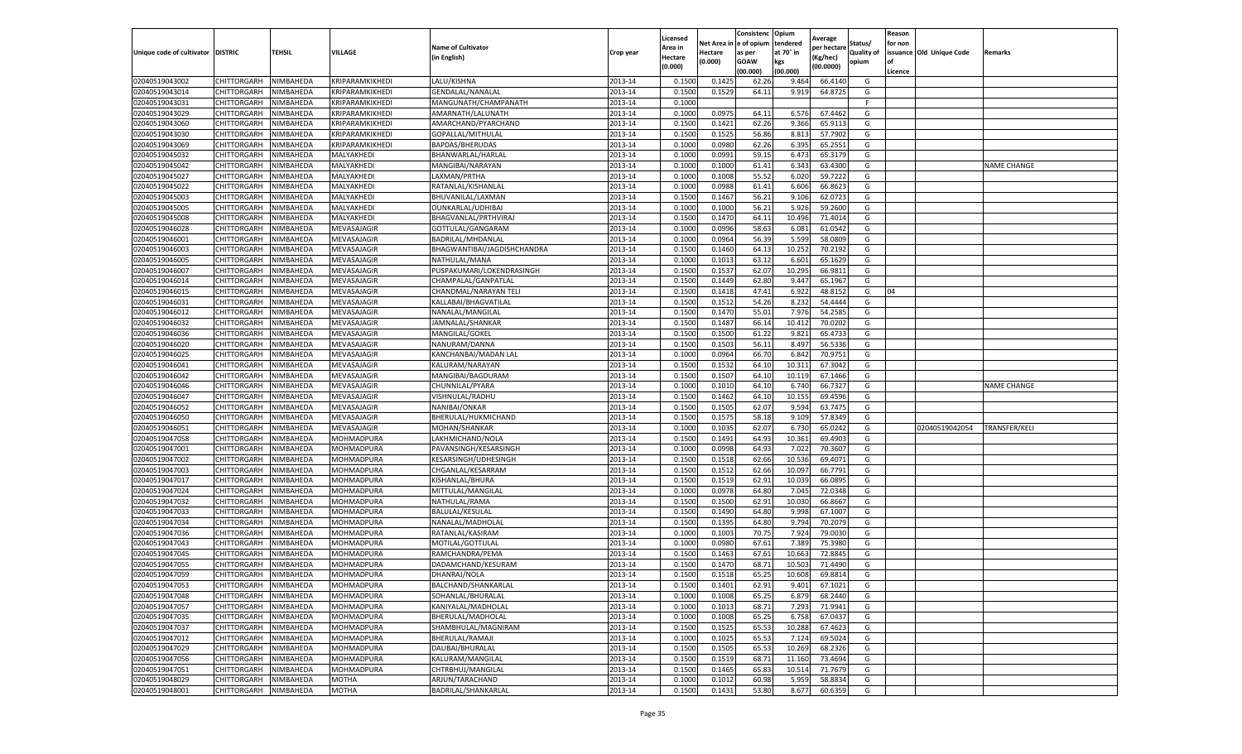|                           |                    |           |                   |                             |           | Licensed |         | Consistenc             | Opium     |                        |                   | Reason  |                          |                      |
|---------------------------|--------------------|-----------|-------------------|-----------------------------|-----------|----------|---------|------------------------|-----------|------------------------|-------------------|---------|--------------------------|----------------------|
|                           |                    |           |                   | <b>Name of Cultivator</b>   |           | Area in  |         | Net Area in e of opium | tendered  | Average<br>per hectare | Status/           | for non |                          |                      |
| Unique code of cultivator | <b>DISTRIC</b>     | TEHSIL    | VILLAGE           | in English)                 | Crop year | Hectare  | Hectare | as per                 | at 70° in | (Kg/hec                | <b>Quality of</b> |         | issuance Old Unique Code | <b>Remarks</b>       |
|                           |                    |           |                   |                             |           | (0.000)  | (0.000) | <b>GOAW</b>            | kgs       | (00.0000)              | opium             |         |                          |                      |
|                           |                    |           |                   |                             |           |          |         | (00.000)               | (00.000)  |                        |                   | Licence |                          |                      |
| 02040519043002            | CHITTORGARH        | NIMBAHEDA | KRIPARAMKIKHEDI   | LALU/KISHNA                 | 2013-14   | 0.1500   | 0.1425  | 62.26                  | 9.464     | 66.4140                | G                 |         |                          |                      |
| 02040519043014            | CHITTORGARH        | NIMBAHEDA | KRIPARAMKIKHEDI   | <b>GENDALAL/NANALAL</b>     | 2013-14   | 0.1500   | 0.1529  | 64.11                  | 9.919     | 64.8725                | G                 |         |                          |                      |
| 02040519043031            | CHITTORGARH        | NIMBAHEDA | KRIPARAMKIKHEDI   | MANGUNATH/CHAMPANATH        | 2013-14   | 0.1000   |         |                        |           |                        | F.                |         |                          |                      |
| 02040519043029            | CHITTORGARH        | NIMBAHEDA | KRIPARAMKIKHEDI   | AMARNATH/LALUNATH           | 2013-14   | 0.1000   | 0.0975  | 64.11                  | 6.576     | 67.4462                | G                 |         |                          |                      |
| 02040519043060            | <b>CHITTORGARH</b> | NIMBAHEDA | KRIPARAMKIKHEDI   | AMARCHAND/PYARCHAND         | 2013-14   | 0.1500   | 0.1421  | 62.26                  | 9.366     | 65.9113                | G                 |         |                          |                      |
| 02040519043030            | CHITTORGARH        | NIMBAHEDA | KRIPARAMKIKHEDI   | GOPALLAL/MITHULAL           | 2013-14   | 0.1500   | 0.1525  | 56.86                  | 8.81      | 57.7902                | G                 |         |                          |                      |
| 02040519043069            | CHITTORGARH        | NIMBAHEDA | KRIPARAMKIKHEDI   | BAPDAS/BHERUDAS             | 2013-14   | 0.1000   | 0.0980  | 62.26                  | 6.395     | 65.2551                | G                 |         |                          |                      |
| 02040519045032            | CHITTORGARH        | NIMBAHEDA | MALYAKHEDI        | BHANWARLAL/HARLAI           | 2013-14   | 0.1000   | 0.0991  | 59.15                  | 6.473     | 65.3179                | G                 |         |                          |                      |
| 02040519045042            | CHITTORGARH        | NIMBAHEDA | MALYAKHEDI        | MANGIBAI/NARAYAN            | 2013-14   | 0.1000   | 0.1000  | 61.41                  | 6.343     | 63.4300                | G                 |         |                          | <b>NAME CHANGE</b>   |
| 02040519045027            | CHITTORGARH        | NIMBAHEDA | MALYAKHEDI        | LAXMAN/PRTHA                | 2013-14   | 0.1000   | 0.1008  | 55.52                  | 6.020     | 59.7222                | G                 |         |                          |                      |
| 02040519045022            | CHITTORGARH        | NIMBAHEDA | MALYAKHEDI        | RATANLAL/KISHANLAL          | 2013-14   | 0.1000   | 0.0988  | 61.41                  | 6.606     | 66.8623                | G                 |         |                          |                      |
| 02040519045003            | CHITTORGARH        | NIMBAHEDA | MALYAKHEDI        | BHUVANILAL/LAXMAN           | 2013-14   | 0.1500   | 0.1467  | 56.21                  | 9.10      | 62.0723                | G                 |         |                          |                      |
| 02040519045005            | CHITTORGARH        | NIMBAHEDA | MALYAKHEDI        | OUNKARLAL/UDHIBAI           | 2013-14   | 0.1000   | 0.1000  | 56.21                  | 5.926     | 59.2600                | G                 |         |                          |                      |
| 02040519045008            | CHITTORGARH        | NIMBAHEDA | MALYAKHEDI        | BHAGVANLAL/PRTHVIRAJ        | 2013-14   | 0.1500   | 0.1470  | 64.11                  | 10.496    | 71.4014                | G                 |         |                          |                      |
| 02040519046028            | CHITTORGARH        | NIMBAHEDA | MEVASAJAGIR       | GOTTULAL/GANGARAM           | 2013-14   | 0.1000   | 0.0996  | 58.63                  | 6.081     | 61.0542                | G                 |         |                          |                      |
| 02040519046001            | CHITTORGARH        | NIMBAHEDA | MEVASAJAGIR       | BADRILAL/MHDANLAL           | 2013-14   | 0.1000   | 0.0964  | 56.39                  | 5.599     | 58.0809                | G                 |         |                          |                      |
| 02040519046003            | CHITTORGARH        | NIMBAHEDA | MEVASAJAGIR       | BHAGWANTIBAI/JAGDISHCHANDRA | 2013-14   | 0.1500   | 0.1460  | 64.13                  | 10.252    | 70.2192                | G                 |         |                          |                      |
| 02040519046005            | CHITTORGARH        | NIMBAHEDA | MEVASAJAGIR       | NATHULAL/MANA               | 2013-14   | 0.1000   | 0.1013  | 63.12                  | 6.601     | 65.1629                | G                 |         |                          |                      |
| 02040519046007            | CHITTORGARH        | NIMBAHEDA | MEVASAJAGIR       | PUSPAKUMARI/LOKENDRASINGH   | 2013-14   | 0.1500   | 0.1537  | 62.07                  | 10.295    | 66.981                 | G                 |         |                          |                      |
| 02040519046014            | CHITTORGARH        | NIMBAHEDA | MEVASAJAGIR       | CHAMPALAL/GANPATLAI         | 2013-14   | 0.1500   | 0.1449  | 62.80                  | 9.447     | 65.1967                | G                 |         |                          |                      |
| 02040519046015            | CHITTORGARH        | NIMBAHEDA | MEVASAJAGIR       | CHANDMAL/NARAYAN TELI       | 2013-14   | 0.1500   | 0.1418  | 47.41                  | 6.922     | 48.8152                | G                 | 04      |                          |                      |
| 02040519046031            | CHITTORGARH        | NIMBAHEDA | MEVASAJAGIR       | KALLABAI/BHAGVATILAL        | 2013-14   | 0.1500   | 0.1512  | 54.26                  | 8.232     | 54.4444                | G                 |         |                          |                      |
| 02040519046012            | CHITTORGARH        | NIMBAHEDA | MEVASAJAGIR       | NANALAL/MANGILAL            | 2013-14   | 0.1500   | 0.1470  | 55.01                  | 7.976     | 54.2585                | G                 |         |                          |                      |
| 02040519046032            | CHITTORGARH        | NIMBAHEDA | MEVASAJAGIR       | JAMNALAL/SHANKAR            | 2013-14   | 0.1500   | 0.1487  | 66.14                  | 10.412    | 70.0202                | G                 |         |                          |                      |
| 02040519046036            | CHITTORGARH        | NIMBAHEDA | MEVASAJAGIR       | MANGILAL/GOKEL              | 2013-14   | 0.1500   | 0.1500  | 61.22                  | 9.821     | 65.4733                | G                 |         |                          |                      |
| 02040519046020            | CHITTORGARH        | NIMBAHEDA | MEVASAJAGIR       | NANURAM/DANNA               | 2013-14   | 0.1500   | 0.1503  | 56.11                  | 8.497     | 56.5336                | G                 |         |                          |                      |
| 02040519046025            | CHITTORGARH        | NIMBAHEDA | MEVASAJAGIR       | KANCHANBAI/MADAN LAL        | 2013-14   | 0.1000   | 0.0964  | 66.70                  | 6.84      | 70.9751                | G                 |         |                          |                      |
| 02040519046041            | CHITTORGARH        | NIMBAHEDA | MEVASAJAGIR       | KALURAM/NARAYAN             | 2013-14   | 0.1500   | 0.1532  | 64.10                  | 10.31     | 67.3042                | G                 |         |                          |                      |
| 02040519046042            | CHITTORGARH        | NIMBAHEDA | MEVASAJAGIR       | MANGIBAI/BAGDURAM           | 2013-14   | 0.1500   | 0.1507  | 64.10                  | 10.119    | 67.1466                | G                 |         |                          |                      |
| 02040519046046            | CHITTORGARH        | NIMBAHEDA | MEVASAJAGIR       | CHUNNILAL/PYARA             | 2013-14   | 0.1000   | 0.1010  | 64.10                  | 6.74      | 66.7327                | G                 |         |                          | <b>NAME CHANGE</b>   |
| 02040519046047            | CHITTORGARH        | NIMBAHEDA | MEVASAJAGIR       | VISHNULAL/RADHU             | 2013-14   | 0.1500   | 0.1462  | 64.10                  | 10.15     | 69.4596                | G                 |         |                          |                      |
| 02040519046052            | CHITTORGARH        | NIMBAHEDA | MEVASAJAGIR       | NANIBAI/ONKAR               | 2013-14   | 0.1500   | 0.1505  | 62.07                  | 9.594     | 63.7475                | G                 |         |                          |                      |
| 02040519046050            | CHITTORGARH        | NIMBAHEDA | MEVASAJAGIR       | BHERULAL/HUKMICHAND         | 2013-14   | 0.1500   | 0.1575  | 58.18                  | 9.109     | 57.8349                | G                 |         |                          |                      |
| 02040519046051            | CHITTORGARH        | NIMBAHEDA | MEVASAJAGIR       | MOHAN/SHANKAR               | 2013-14   | 0.1000   | 0.1035  | 62.07                  | 6.730     | 65.0242                | G                 |         | 02040519042054           | <b>TRANSFER/KELI</b> |
| 02040519047058            | CHITTORGARH        | NIMBAHEDA | MOHMADPURA        | LAKHMICHAND/NOLA            | 2013-14   | 0.1500   | 0.1491  | 64.93                  | 10.361    | 69.4903                | G                 |         |                          |                      |
| 02040519047001            | CHITTORGARH        | NIMBAHEDA | MOHMADPURA        | PAVANSINGH/KESARSINGH       | 2013-14   | 0.1000   | 0.0998  | 64.93                  | 7.022     | 70.3607                | G                 |         |                          |                      |
| 02040519047002            | CHITTORGARH        | NIMBAHEDA | MOHMADPURA        | KESARSINGH/UDHESINGH        | 2013-14   | 0.1500   | 0.1518  | 62.66                  | 10.536    | 69.4071                | G                 |         |                          |                      |
| 02040519047003            | CHITTORGARH        | NIMBAHEDA | MOHMADPURA        | CHGANLAL/KESARRAM           | 2013-14   | 0.1500   | 0.1512  | 62.66                  | 10.09     | 66.7791                | G                 |         |                          |                      |
| 02040519047017            | CHITTORGARH        | NIMBAHEDA | MOHMADPURA        | KISHANLAL/BHURA             | 2013-14   | 0.1500   | 0.1519  | 62.91                  | 10.03     | 66.0895                | G                 |         |                          |                      |
| 02040519047024            | CHITTORGARH        | NIMBAHEDA | MOHMADPURA        | MITTULAL/MANGILAI           | 2013-14   | 0.1000   | 0.0978  | 64.80                  | 7.045     | 72.0348                | G                 |         |                          |                      |
| 02040519047032            | CHITTORGARH        | NIMBAHEDA | MOHMADPURA        | NATHULAL/RAMA               | 2013-14   | 0.1500   | 0.1500  | 62.91                  | 10.03     | 66.8667                | G                 |         |                          |                      |
| 02040519047033            | CHITTORGARH        | NIMBAHEDA | MOHMADPURA        | <b>BALULAL/KESULAL</b>      | 2013-14   | 0.1500   | 0.1490  | 64.80                  | 9.998     | 67.1007                | G                 |         |                          |                      |
| 02040519047034            | CHITTORGARH        | NIMBAHEDA | MOHMADPURA        | NANALAL/MADHOLAL            | 2013-14   | 0.1500   | 0.1395  | 64.80                  | 9.794     | 70.2079                | G                 |         |                          |                      |
| 02040519047036            | CHITTORGARH        | NIMBAHEDA | MOHMADPURA        | RATANLAL/KASIRAM            | 2013-14   | 0.1000   | 0.1003  | 70.75                  | 7.924     | 79.0030                | G                 |         |                          |                      |
| 02040519047043            | CHITTORGARH        | NIMBAHEDA | MOHMADPURA        | MOTILAL/GOTTULAL            | 2013-14   | 0.1000   | 0.0980  | 67.61                  | 7.389     | 75.3980                | G                 |         |                          |                      |
| 02040519047045            | CHITTORGARH        | NIMBAHEDA | MOHMADPURA        | RAMCHANDRA/PEMA             | 2013-14   | 0.1500   | 0.1463  | 67.61                  | 10.663    | 72.8845                | G                 |         |                          |                      |
| 02040519047055            | CHITTORGARH        | NIMBAHEDA | MOHMADPURA        | DADAMCHAND/KESURAM          | 2013-14   | 0.1500   | 0.1470  | 68.71                  | 10.503    | 71.4490                | G                 |         |                          |                      |
| 02040519047059            | CHITTORGARH        | NIMBAHEDA | <b>MOHMADPURA</b> | DHANRAJ/NOLA                | 2013-14   | 0.1500   | 0.1518  | 65.25                  | 10.608    | 69.8814                | G                 |         |                          |                      |
| 02040519047053            | CHITTORGARH        | NIMBAHEDA | <b>MOHMADPURA</b> | BALCHAND/SHANKARLAL         | 2013-14   | 0.1500   | 0.1401  | 62.91                  | 9.401     | 67.1021                | G                 |         |                          |                      |
| 02040519047048            | CHITTORGARH        | NIMBAHEDA | MOHMADPURA        | SOHANLAL/BHURALAL           | 2013-14   | 0.1000   | 0.1008  | 65.25                  | 6.879     | 68.2440                | G                 |         |                          |                      |
| 02040519047057            | <b>CHITTORGARH</b> | NIMBAHEDA | MOHMADPURA        | KANIYALAL/MADHOLAL          | 2013-14   | 0.1000   | 0.1013  | 68.71                  | 7.293     | 71.9941                | G                 |         |                          |                      |
| 02040519047035            | CHITTORGARH        | NIMBAHEDA | MOHMADPURA        | BHERULAL/MADHOLAL           | 2013-14   | 0.1000   | 0.1008  | 65.25                  | 6.758     | 67.0437                | G                 |         |                          |                      |
| 02040519047037            | CHITTORGARH        | NIMBAHEDA | MOHMADPURA        | SHAMBHULAL/MAGNIRAM         | 2013-14   | 0.1500   | 0.1525  | 65.53                  | 10.288    | 67.4623                | G                 |         |                          |                      |
| 02040519047012            | <b>CHITTORGARH</b> | NIMBAHEDA | MOHMADPURA        | BHERULAL/RAMAJI             | 2013-14   | 0.1000   | 0.1025  | 65.53                  | 7.124     | 69.5024                | G                 |         |                          |                      |
| 02040519047029            | CHITTORGARH        | NIMBAHEDA | MOHMADPURA        | DALIBAI/BHURALAL            | 2013-14   | 0.1500   | 0.1505  | 65.53                  | 10.269    | 68.2326                | G                 |         |                          |                      |
| 02040519047056            | CHITTORGARH        | NIMBAHEDA | MOHMADPURA        | KALURAM/MANGILAL            | 2013-14   | 0.1500   | 0.1519  | 68.71                  | 11.160    | 73.4694                | G                 |         |                          |                      |
| 02040519047051            | CHITTORGARH        | NIMBAHEDA | MOHMADPURA        | CHTRBHUJ/MANGILAL           | 2013-14   | 0.1500   | 0.1465  | 65.83                  | 10.514    | 71.7679                | G                 |         |                          |                      |
| 02040519048029            | CHITTORGARH        | NIMBAHEDA | MOTHA             | ARJUN/TARACHAND             | 2013-14   | 0.1000   | 0.1012  | 60.98                  | 5.959     | 58.8834                | G                 |         |                          |                      |
| 02040519048001            | <b>CHITTORGARH</b> | NIMBAHEDA | MOTHA             | BADRILAL/SHANKARLAL         | 2013-14   | 0.1500   | 0.1431  | 53.80                  | 8.677     | 60.6359                | G                 |         |                          |                      |
|                           |                    |           |                   |                             |           |          |         |                        |           |                        |                   |         |                          |                      |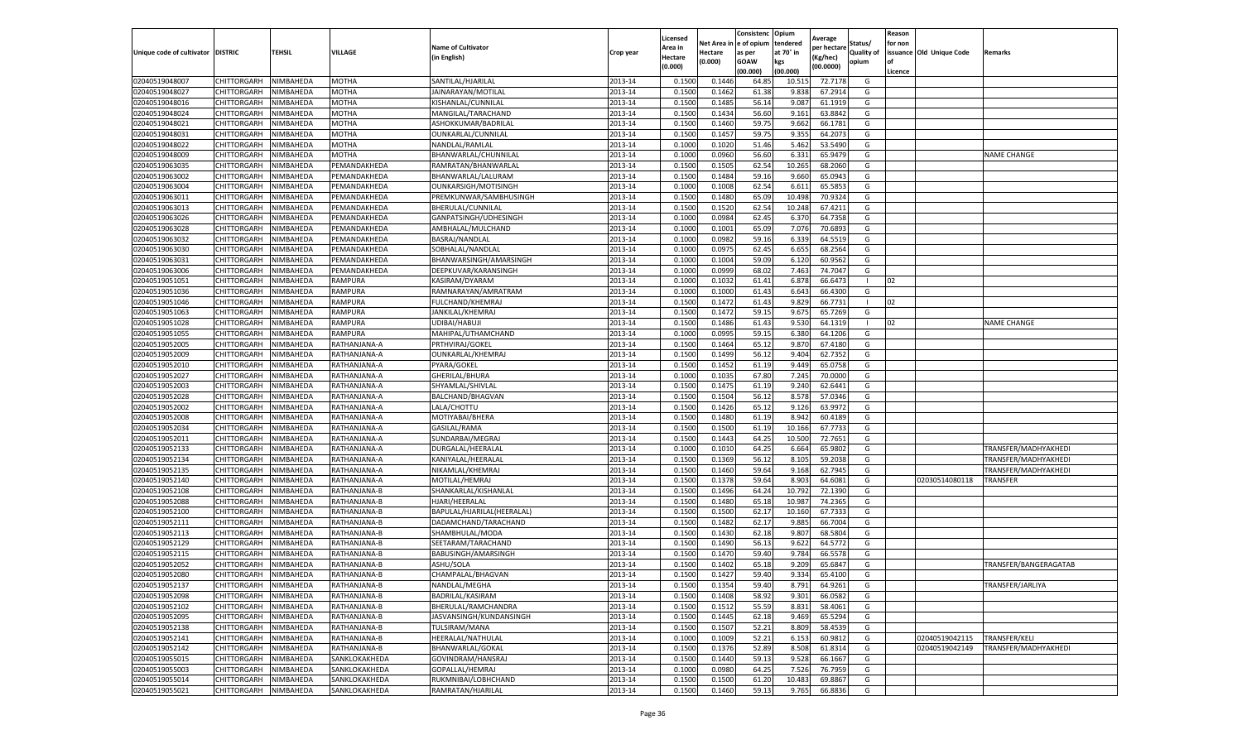|                           |                    |           |               |                            |           | Licensed |         | Consistenc             | Opium     |                        |                   | Reason  |                          |                       |
|---------------------------|--------------------|-----------|---------------|----------------------------|-----------|----------|---------|------------------------|-----------|------------------------|-------------------|---------|--------------------------|-----------------------|
|                           |                    |           |               | <b>Name of Cultivator</b>  |           | Area in  |         | Net Area in e of opium | tendered  | Average<br>per hectare | Status/           | for non |                          |                       |
| Unique code of cultivator | <b>DISTRIC</b>     | TEHSIL    | VILLAGE       | in English)                | Crop year | Hectare  | Hectare | as per                 | at 70° in | (Kg/hec                | <b>Quality of</b> |         | issuance Old Unique Code | <b>Remarks</b>        |
|                           |                    |           |               |                            |           | (0.000)  | (0.000) | <b>GOAW</b>            | kgs       | (00.0000)              | opium             |         |                          |                       |
|                           |                    |           |               |                            |           |          |         | (00.000)               | (00.000)  |                        |                   | Licence |                          |                       |
| 02040519048007            | <b>CHITTORGARH</b> | NIMBAHEDA | <b>MOTHA</b>  | SANTILAL/HJARILAL          | 2013-14   | 0.1500   | 0.1446  | 64.85                  | 10.51     | 72.7178                | G                 |         |                          |                       |
| 02040519048027            | CHITTORGARH        | NIMBAHEDA | MOTHA         | JAINARAYAN/MOTILAL         | 2013-14   | 0.1500   | 0.1462  | 61.38                  | 9.83      | 67.2914                | G                 |         |                          |                       |
| 02040519048016            | CHITTORGARH        | NIMBAHEDA | MOTHA         | KISHANLAL/CUNNILAL         | 2013-14   | 0.1500   | 0.1485  | 56.14                  | 9.087     | 61.1919                | G                 |         |                          |                       |
| 02040519048024            | CHITTORGARH        | NIMBAHEDA | MOTHA         | MANGILAL/TARACHAND         | 2013-14   | 0.1500   | 0.1434  | 56.60                  | 9.161     | 63.8842                | G                 |         |                          |                       |
| 02040519048021            | CHITTORGARH        | NIMBAHEDA | MOTHA         | ASHOKKUMAR/BADRILAL        | 2013-14   | 0.1500   | 0.1460  | 59.75                  | 9.662     | 66.1781                | G                 |         |                          |                       |
| 02040519048031            | CHITTORGARH        | NIMBAHEDA | MOTHA         | OUNKARLAL/CUNNILAL         | 2013-14   | 0.1500   | 0.1457  | 59.75                  | 9.355     | 64.207                 | G                 |         |                          |                       |
| 02040519048022            | CHITTORGARH        | NIMBAHEDA | MOTHA         | NANDLAL/RAMLAL             | 2013-14   | 0.1000   | 0.1020  | 51.46                  | 5.462     | 53.5490                | G                 |         |                          |                       |
| 02040519048009            | CHITTORGARH        | NIMBAHEDA | MOTHA         | BHANWARLAL/CHUNNILAI       | 2013-14   | 0.1000   | 0.0960  | 56.60                  | 6.33      | 65.9479                | G                 |         |                          | <b>NAME CHANGE</b>    |
| 02040519063035            | CHITTORGARH        | NIMBAHEDA | PEMANDAKHEDA  | RAMRATAN/BHANWARLAL        | 2013-14   | 0.1500   | 0.1505  | 62.54                  | 10.265    | 68.2060                | G                 |         |                          |                       |
| 02040519063002            | CHITTORGARH        | NIMBAHEDA | PEMANDAKHEDA  | BHANWARLAL/LALURAM         | 2013-14   | 0.1500   | 0.1484  | 59.16                  | 9.660     | 65.0943                | G                 |         |                          |                       |
| 02040519063004            | CHITTORGARH        | NIMBAHEDA | PEMANDAKHEDA  | OUNKARSIGH/MOTISINGH       | 2013-14   | 0.1000   | 0.1008  | 62.54                  | 6.61      | 65.585                 | G                 |         |                          |                       |
| 02040519063011            | CHITTORGARH        | NIMBAHEDA | PEMANDAKHEDA  | PREMKUNWAR/SAMBHUSINGH     | 2013-14   | 0.1500   | 0.1480  | 65.09                  | 10.49     | 70.9324                | G                 |         |                          |                       |
| 02040519063013            | CHITTORGARH        | NIMBAHEDA | PEMANDAKHEDA  | BHERULAL/CUNNILAL          | 2013-14   | 0.1500   | 0.1520  | 62.54                  | 10.24     | 67.4211                | G                 |         |                          |                       |
| 02040519063026            | CHITTORGARH        | NIMBAHEDA | PEMANDAKHEDA  | GANPATSINGH/UDHESINGH      | 2013-14   | 0.1000   | 0.0984  | 62.45                  | 6.37      | 64.7358                | G                 |         |                          |                       |
| 02040519063028            | CHITTORGARH        | NIMBAHEDA | PEMANDAKHEDA  | AMBHALAL/MULCHAND          | 2013-14   | 0.1000   | 0.1001  | 65.09                  | 7.076     | 70.6893                | G                 |         |                          |                       |
| 02040519063032            | CHITTORGARH        | NIMBAHEDA | PEMANDAKHEDA  | BASRAJ/NANDLAL             | 2013-14   | 0.1000   | 0.0982  | 59.16                  | 6.339     | 64.5519                | G                 |         |                          |                       |
| 02040519063030            | CHITTORGARH        | NIMBAHEDA | PEMANDAKHEDA  | SOBHALAL/NANDLAL           | 2013-14   | 0.1000   | 0.0975  | 62.45                  | 6.655     | 68.2564                | G                 |         |                          |                       |
| 02040519063031            | CHITTORGARH        | NIMBAHEDA | PEMANDAKHEDA  | BHANWARSINGH/AMARSINGH     | 2013-14   | 0.1000   | 0.1004  | 59.09                  | 6.120     | 60.9562                | G                 |         |                          |                       |
| 02040519063006            | CHITTORGARH        | NIMBAHEDA | PEMANDAKHEDA  | DEEPKUVAR/KARANSINGH       | 2013-14   | 0.1000   | 0.0999  | 68.02                  | 7.463     | 74.7047                | G                 |         |                          |                       |
| 02040519051051            | CHITTORGARH        | NIMBAHEDA | RAMPURA       | KASIRAM/DYARAM             | 2013-14   | 0.1000   | 0.1032  | 61.41                  | 6.878     | 66.647                 | -1                | 02      |                          |                       |
| 02040519051036            | CHITTORGARH        | NIMBAHEDA | RAMPURA       | RAMNARAYAN/AMRATRAM        | 2013-14   | 0.1000   | 0.1000  | 61.43                  | 6.643     | 66.4300                | G                 |         |                          |                       |
| 02040519051046            | CHITTORGARH        | NIMBAHEDA | RAMPURA       | <b>FULCHAND/KHEMRAJ</b>    | 2013-14   | 0.1500   | 0.1472  | 61.43                  | 9.829     | 66.7731                | -1                | 02      |                          |                       |
| 02040519051063            | CHITTORGARH        | NIMBAHEDA | RAMPURA       | JANKILAL/KHEMRAJ           | 2013-14   | 0.1500   | 0.1472  | 59.15                  | 9.675     | 65.7269                | G                 |         |                          |                       |
| 02040519051028            | CHITTORGARH        | NIMBAHEDA | RAMPURA       | UDIBAI/HABUJI              | 2013-14   | 0.1500   | 0.1486  | 61.43                  | 9.53      | 64.1319                |                   | 02      |                          | <b>NAME CHANGE</b>    |
| 02040519051055            | CHITTORGARH        | NIMBAHEDA | RAMPURA       | MAHIPAL/UTHAMCHAND         | 2013-14   | 0.1000   | 0.0995  | 59.15                  | 6.38      | 64.1206                | G                 |         |                          |                       |
| 02040519052005            | CHITTORGARH        | NIMBAHEDA | RATHANJANA-A  | PRTHVIRAJ/GOKEL            | 2013-14   | 0.1500   | 0.1464  | 65.12                  | 9.87      | 67.4180                | G                 |         |                          |                       |
| 02040519052009            | CHITTORGARH        | NIMBAHEDA | RATHANJANA-A  | OUNKARLAL/KHEMRAJ          | 2013-14   | 0.1500   | 0.1499  | 56.12                  | 9.404     | 62.7352                | G                 |         |                          |                       |
| 02040519052010            | CHITTORGARH        | NIMBAHEDA | RATHANJANA-A  | PYARA/GOKEL                | 2013-14   | 0.1500   | 0.1452  | 61.19                  | 9.449     | 65.0758                | G                 |         |                          |                       |
| 02040519052027            | CHITTORGARH        | NIMBAHEDA | RATHANJANA-A  | GHERILAL/BHURA             | 2013-14   | 0.1000   | 0.1035  | 67.80                  | 7.245     | 70.0000                | G                 |         |                          |                       |
| 02040519052003            | CHITTORGARH        | NIMBAHEDA | RATHANJANA-A  | SHYAMLAL/SHIVLAL           | 2013-14   | 0.1500   | 0.1475  | 61.19                  | 9.24      | 62.6441                | G                 |         |                          |                       |
| 02040519052028            | CHITTORGARH        | NIMBAHEDA | RATHANJANA-A  | BALCHAND/BHAGVAN           | 2013-14   | 0.1500   | 0.1504  | 56.12                  | 8.57      | 57.0346                | G                 |         |                          |                       |
| 02040519052002            | CHITTORGARH        | NIMBAHEDA | RATHANJANA-A  | LALA/CHOTTU                | 2013-14   | 0.1500   | 0.1426  | 65.12                  | 9.126     | 63.9972                | G                 |         |                          |                       |
| 02040519052008            | CHITTORGARH        | NIMBAHEDA | RATHANJANA-A  | MOTIYABAI/BHERA            | 2013-14   | 0.1500   | 0.1480  | 61.19                  | 8.942     | 60.4189                | G                 |         |                          |                       |
| 02040519052034            | CHITTORGARH        | NIMBAHEDA | RATHANJANA-A  | GASILAL/RAMA               | 2013-14   | 0.1500   | 0.1500  | 61.19                  | 10.166    | 67.7733                | G                 |         |                          |                       |
| 02040519052011            | CHITTORGARH        | NIMBAHEDA | RATHANJANA-A  | SUNDARBAI/MEGRAJ           | 2013-14   | 0.1500   | 0.1443  | 64.25                  | 10.500    | 72.7651                | G                 |         |                          |                       |
| 02040519052133            | CHITTORGARH        | NIMBAHEDA | RATHANJANA-A  | DURGALAL/HEERALAI          | 2013-14   | 0.1000   | 0.1010  | 64.25                  | 6.664     | 65.9802                | G                 |         |                          | TRANSFER/MADHYAKHEDI  |
| 02040519052134            | CHITTORGARH        | NIMBAHEDA | RATHANJANA-A  | KANIYALAL/HEERALAL         | 2013-14   | 0.1500   | 0.1369  | 56.12                  | 8.105     | 59.2038                | G                 |         |                          | TRANSFER/MADHYAKHEDI  |
| 02040519052135            | CHITTORGARH        | NIMBAHEDA | RATHANJANA-A  | NIKAMLAL/KHEMRAJ           | 2013-14   | 0.1500   | 0.1460  | 59.64                  | 9.16      | 62.7945                | G                 |         |                          | TRANSFER/MADHYAKHEDI  |
| 02040519052140            | CHITTORGARH        | NIMBAHEDA | RATHANJANA-A  | MOTILAL/HEMRAJ             | 2013-14   | 0.1500   | 0.1378  | 59.64                  | 8.903     | 64.6081                | G                 |         | 02030514080118           | TRANSFER              |
| 02040519052108            | CHITTORGARH        | NIMBAHEDA | RATHANJANA-B  | SHANKARLAL/KISHANLAL       | 2013-14   | 0.1500   | 0.1496  | 64.24                  | 10.792    | 72.1390                | G                 |         |                          |                       |
| 02040519052088            | CHITTORGARH        | NIMBAHEDA | RATHANJANA-B  | HJARI/HEERALAL             | 2013-14   | 0.1500   | 0.1480  | 65.18                  | 10.98     | 74.2365                | G                 |         |                          |                       |
| 02040519052100            | CHITTORGARH        | NIMBAHEDA | RATHANJANA-B  | BAPULAL/HJARILAL(HEERALAL) | 2013-14   | 0.1500   | 0.1500  | 62.17                  | 10.16     | 67.7333                | G                 |         |                          |                       |
| 02040519052111            | CHITTORGARH        | NIMBAHEDA | RATHANJANA-B  | DADAMCHAND/TARACHAND       | 2013-14   | 0.1500   | 0.1482  | 62.17                  | 9.88      | 66.7004                | G                 |         |                          |                       |
| 02040519052113            | CHITTORGARH        | NIMBAHEDA | RATHANJANA-B  | SHAMBHULAL/MODA            | 2013-14   | 0.1500   | 0.1430  | 62.18                  | 9.80      | 68.580                 | G                 |         |                          |                       |
| 02040519052129            | CHITTORGARH        | NIMBAHEDA | RATHANJANA-B  | SEETARAM/TARACHAND         | 2013-14   | 0.1500   | 0.1490  | 56.13                  | 9.622     | 64.5772                | G                 |         |                          |                       |
| 02040519052115            | CHITTORGARH        | NIMBAHEDA | RATHANJANA-B  | BABUSINGH/AMARSINGH        | 2013-14   | 0.1500   | 0.1470  | 59.40                  | 9.784     | 66.5578                | G                 |         |                          |                       |
| 02040519052052            | CHITTORGARH        | NIMBAHEDA | RATHANJANA-B  | ASHU/SOLA                  | 2013-14   | 0.1500   | 0.1402  | 65.18                  | 9.209     | 65.6847                | G                 |         |                          | TRANSFER/BANGERAGATAB |
| 02040519052080            | CHITTORGARH        | NIMBAHEDA | RATHANJANA-B  | CHAMPALAL/BHAGVAN          | 2013-14   | 0.1500   | 0.1427  | 59.40                  | 9.334     | 65.4100                | G                 |         |                          |                       |
| 02040519052137            | <b>CHITTORGARH</b> | NIMBAHEDA | RATHANJANA-B  | NANDLAL/MEGHA              | 2013-14   | 0.1500   | 0.1354  | 59.40                  | 8.791     | 64.9261                | G                 |         |                          | TRANSFER/JARLIYA      |
| 02040519052098            | CHITTORGARH        | NIMBAHEDA | RATHANJANA-B  | BADRILAL/KASIRAM           | 2013-14   | 0.1500   | 0.1408  | 58.92                  | 9.301     | 66.0582                | G                 |         |                          |                       |
| 02040519052102            | CHITTORGARH        | NIMBAHEDA | RATHANJANA-B  | BHERULAL/RAMCHANDRA        | 2013-14   | 0.1500   | 0.1512  | 55.59                  | 8.831     | 58.4061                | G                 |         |                          |                       |
| 02040519052095            | CHITTORGARH        | NIMBAHEDA | RATHANJANA-B  | JASVANSINGH/KUNDANSINGH    | 2013-14   | 0.1500   | 0.1445  | 62.18                  | 9.469     | 65.5294                | G                 |         |                          |                       |
| 02040519052138            | CHITTORGARH        | NIMBAHEDA | RATHANJANA-B  | TULSIRAM/MANA              | 2013-14   | 0.1500   | 0.1507  | 52.21                  | 8.809     | 58.4539                | G                 |         |                          |                       |
| 02040519052141            | <b>CHITTORGARH</b> | NIMBAHEDA | RATHANJANA-B  | HEERALAL/NATHULAL          | 2013-14   | 0.1000   | 0.1009  | 52.21                  | 6.153     | 60.9812                | G                 |         | 02040519042115           | <b>TRANSFER/KELI</b>  |
| 02040519052142            | CHITTORGARH        | NIMBAHEDA | RATHANJANA-B  | BHANWARLAL/GOKAL           | 2013-14   | 0.1500   | 0.1376  | 52.89                  | 8.508     | 61.8314                | G                 |         | 02040519042149           | TRANSFER/MADHYAKHEDI  |
| 02040519055015            | CHITTORGARH        | NIMBAHEDA | SANKLOKAKHEDA | GOVINDRAM/HANSRAJ          | 2013-14   | 0.1500   | 0.1440  | 59.13                  | 9.528     | 66.1667                | G                 |         |                          |                       |
| 02040519055003            | CHITTORGARH        | NIMBAHEDA | SANKLOKAKHEDA | GOPALLAL/HEMRAJ            | 2013-14   | 0.1000   | 0.0980  | 64.25                  | 7.526     | 76.7959                | G                 |         |                          |                       |
| 02040519055014            | CHITTORGARH        | NIMBAHEDA | SANKLOKAKHEDA | RUKMNIBAI/LOBHCHAND        | 2013-14   | 0.1500   | 0.1500  | 61.20                  | 10.483    | 69.8867                | G                 |         |                          |                       |
| 02040519055021            | <b>CHITTORGARH</b> | NIMBAHEDA | SANKLOKAKHEDA | RAMRATAN/HJARILAL          | 2013-14   | 0.1500   | 0.1460  | 59.13                  | 9.765     | 66.8836                | G                 |         |                          |                       |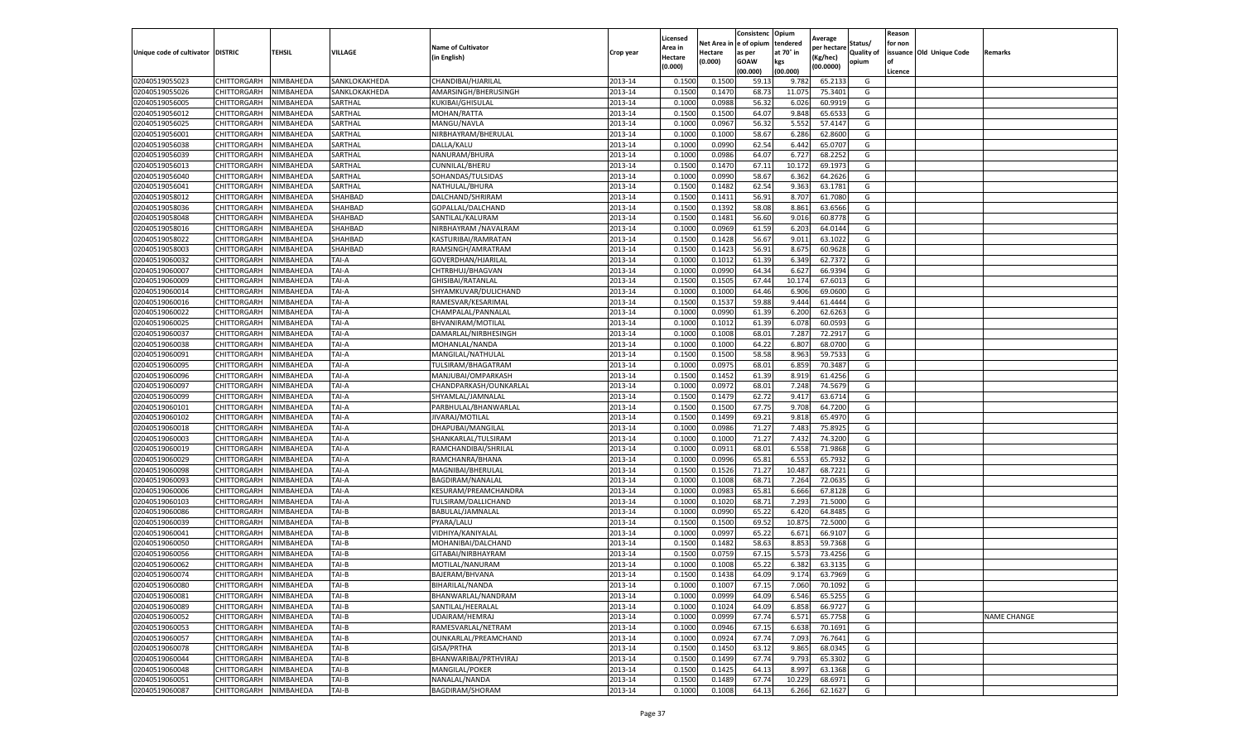|                                   |             |           |               |                           |           | Licensed |            | Consistenc  | Opium     | Average     |                   | Reason  |                          |                    |
|-----------------------------------|-------------|-----------|---------------|---------------------------|-----------|----------|------------|-------------|-----------|-------------|-------------------|---------|--------------------------|--------------------|
|                                   |             |           |               | <b>Name of Cultivator</b> |           | Area in  | Net Area i | e of opium  | tendered  | per hectare | Status/           | for non |                          |                    |
| Unique code of cultivator DISTRIC |             | TEHSIL    | VILLAGE       | (in English)              | Crop year | Hectare  | Hectare    | as per      | at 70° in | Kg/hec)     | <b>Quality of</b> |         | issuance Old Unique Code | Remarks            |
|                                   |             |           |               |                           |           | (0.000)  | (0.000)    | <b>GOAW</b> | kgs       | (00.0000)   | opium             |         |                          |                    |
|                                   |             |           |               |                           |           |          |            | (00.000     | (00.000)  |             |                   | Licence |                          |                    |
| 02040519055023                    | CHITTORGARH | NIMBAHEDA | SANKLOKAKHEDA | CHANDIBAI/HJARILAI        | 2013-14   | 0.1500   | 0.1500     | 59.1        | 9.782     | 65.2133     | G                 |         |                          |                    |
| 02040519055026                    | CHITTORGARH | NIMBAHEDA | SANKLOKAKHEDA | AMARSINGH/BHERUSINGH      | 2013-14   | 0.150    | 0.147      | 68.73       | 11.075    | 75.3401     | G                 |         |                          |                    |
| 02040519056005                    | CHITTORGARH | NIMBAHEDA | SARTHAL       | KUKIBAI/GHISULAL          | 2013-14   | 0.1000   | 0.0988     | 56.32       | 6.026     | 60.9919     | G                 |         |                          |                    |
| 02040519056012                    | CHITTORGARH | NIMBAHEDA | SARTHAL       | MOHAN/RATTA               | 2013-14   | 0.1500   | 0.1500     | 64.07       | 9.848     | 65.6533     | G                 |         |                          |                    |
| 02040519056025                    | CHITTORGARH | NIMBAHEDA | SARTHAL       | MANGU/NAVLA               | 2013-14   | 0.1000   | 0.0967     | 56.32       | 5.552     | 57.4147     | G                 |         |                          |                    |
| 02040519056001                    | CHITTORGARH | NIMBAHEDA | SARTHAL       | NIRBHAYRAM/BHERULAL       | 2013-14   | 0.1000   | 0.1000     | 58.67       | 6.286     | 62.8600     | G                 |         |                          |                    |
| 02040519056038                    | CHITTORGARH | NIMBAHEDA | SARTHAL       | DALLA/KALU                | 2013-14   | 0.1000   | 0.0990     | 62.54       | 6.442     | 65.0707     | G                 |         |                          |                    |
| 02040519056039                    | CHITTORGARH | NIMBAHEDA | SARTHAL       | NANURAM/BHURA             | 2013-14   | 0.100    | 0.0986     | 64.07       | 6.727     | 68.2252     | G                 |         |                          |                    |
| 02040519056013                    | CHITTORGARH | NIMBAHEDA | SARTHAL       | CUNNILAL/BHERU            | 2013-14   | 0.1500   | 0.1470     | 67.11       | 10.172    | 69.1973     | G                 |         |                          |                    |
| 02040519056040                    | CHITTORGARH | NIMBAHEDA | SARTHAL       | SOHANDAS/TULSIDAS         | 2013-14   | 0.1000   | 0.0990     | 58.67       | 6.362     | 64.2626     | G                 |         |                          |                    |
| 02040519056041                    | CHITTORGARH | NIMBAHEDA | SARTHAL       | NATHULAL/BHURA            | 2013-14   | 0.1500   | 0.1482     | 62.54       | 9.363     | 63.1781     | G                 |         |                          |                    |
| 02040519058012                    | CHITTORGARH | NIMBAHEDA | SHAHBAD       | DALCHAND/SHRIRAM          | 2013-14   | 0.1500   | 0.1411     | 56.91       | 8.707     | 61.7080     | G                 |         |                          |                    |
| 02040519058036                    | CHITTORGARH | NIMBAHEDA | SHAHBAD       | GOPALLAL/DALCHAND         | 2013-14   | 0.1500   | 0.1392     | 58.08       | 8.861     | 63.6566     | G                 |         |                          |                    |
| 02040519058048                    | CHITTORGARH | NIMBAHEDA | SHAHBAD       | SANTILAL/KALURAM          | 2013-14   | 0.1500   | 0.1481     | 56.60       | 9.016     | 60.8778     | G                 |         |                          |                    |
| 02040519058016                    | CHITTORGARH | NIMBAHEDA | SHAHBAD       | NIRBHAYRAM / NAVALRAM     | 2013-14   | 0.1000   | 0.0969     | 61.59       | 6.203     | 64.0144     | G                 |         |                          |                    |
| 02040519058022                    | CHITTORGARH | NIMBAHEDA | SHAHBAD       | KASTURIBAI/RAMRATAN       | 2013-14   | 0.1500   | 0.1428     | 56.67       | 9.011     | 63.1022     | G                 |         |                          |                    |
| 02040519058003                    | CHITTORGARH | NIMBAHEDA | SHAHBAD       | RAMSINGH/AMRATRAM         | 2013-14   | 0.1500   | 0.1423     | 56.91       | 8.675     | 60.9628     | G                 |         |                          |                    |
| 02040519060032                    | CHITTORGARH | NIMBAHEDA | TAI-A         | GOVERDHAN/HJARILAL        | 2013-14   | 0.1000   | 0.1012     | 61.39       | 6.349     | 62.7372     | G                 |         |                          |                    |
| 02040519060007                    | CHITTORGARH | NIMBAHEDA | TAI-A         | CHTRBHUJ/BHAGVAN          | 2013-14   | 0.1000   | 0.0990     | 64.34       | 6.62      | 66.9394     | G                 |         |                          |                    |
| 02040519060009                    | CHITTORGARH | NIMBAHEDA | TAI-A         | GHISIBAI/RATANLAL         | 2013-14   | 0.1500   | 0.1505     | 67.44       | 10.17     | 67.6013     | G                 |         |                          |                    |
| 02040519060014                    | CHITTORGARH | NIMBAHEDA | TAI-A         | SHYAMKUVAR/DULICHAND      | 2013-14   | 0.1000   | 0.1000     | 64.46       | 6.906     | 69.0600     | G                 |         |                          |                    |
| 02040519060016                    | CHITTORGARH | NIMBAHEDA | TAI-A         | RAMESVAR/KESARIMAL        | 2013-14   | 0.1500   | 0.1537     | 59.88       | 9.444     | 61.4444     | G                 |         |                          |                    |
| 02040519060022                    | CHITTORGARH | NIMBAHEDA | TAI-A         | CHAMPALAL/PANNALAL        | 2013-14   | 0.1000   | 0.0990     | 61.39       | 6.200     | 62.6263     | G                 |         |                          |                    |
| 02040519060025                    | CHITTORGARH | NIMBAHEDA | TAI-A         | BHVANIRAM/MOTILAL         | 2013-14   | 0.1000   | 0.1012     | 61.39       | 6.078     | 60.0593     | G                 |         |                          |                    |
| 02040519060037                    | CHITTORGARH | NIMBAHEDA | TAI-A         | DAMARLAL/NIRBHESINGH      | 2013-14   | 0.1000   | 0.1008     | 68.01       | 7.287     | 72.291      | G                 |         |                          |                    |
| 02040519060038                    | CHITTORGARH | NIMBAHEDA | TAI-A         | MOHANLAL/NANDA            | 2013-14   | 0.1000   | 0.1000     | 64.22       | 6.807     | 68.0700     | G                 |         |                          |                    |
| 02040519060091                    | CHITTORGARH | NIMBAHEDA | TAI-A         | MANGILAL/NATHULAL         | 2013-14   | 0.1500   | 0.1500     | 58.58       | 8.963     | 59.7533     | G                 |         |                          |                    |
| 02040519060095                    | CHITTORGARH | NIMBAHEDA | TAI-A         | TULSIRAM/BHAGATRAM        | 2013-14   | 0.1000   | 0.0975     | 68.01       | 6.859     | 70.3487     | G                 |         |                          |                    |
| 02040519060096                    | CHITTORGARH | NIMBAHEDA | TAI-A         | MANJUBAI/OMPARKASH        | 2013-14   | 0.1500   | 0.1452     | 61.39       | 8.919     | 61.4256     | G                 |         |                          |                    |
| 02040519060097                    | CHITTORGARH | NIMBAHEDA | TAI-A         | CHANDPARKASH/OUNKARLAL    | 2013-14   | 0.1000   | 0.0972     | 68.01       | 7.248     | 74.5679     | G                 |         |                          |                    |
| 02040519060099                    | CHITTORGARH | NIMBAHEDA | TAI-A         | SHYAMLAL/JAMNALAL         | 2013-14   | 0.1500   | 0.1479     | 62.72       | 9.417     | 63.6714     | G                 |         |                          |                    |
| 02040519060101                    | CHITTORGARH | NIMBAHEDA | TAI-A         | PARBHULAL/BHANWARLAL      | 2013-14   | 0.1500   | 0.1500     | 67.75       | 9.708     | 64.7200     | G                 |         |                          |                    |
| 02040519060102                    | CHITTORGARH | NIMBAHEDA | TAI-A         | JIVARAJ/MOTILAL           | 2013-14   | 0.1500   | 0.1499     | 69.2        | 9.818     | 65.4970     | G                 |         |                          |                    |
| 02040519060018                    | CHITTORGARH | NIMBAHEDA | TAI-A         | DHAPUBAI/MANGILAL         | 2013-14   | 0.1000   | 0.0986     | 71.27       | 7.483     | 75.8925     | G                 |         |                          |                    |
| 02040519060003                    | CHITTORGARH | NIMBAHEDA | TAI-A         | SHANKARLAL/TULSIRAM       | 2013-14   | 0.1000   | 0.1000     | 71.27       | 7.432     | 74.3200     | G                 |         |                          |                    |
| 02040519060019                    | CHITTORGARH | NIMBAHEDA | TAI-A         | RAMCHANDIBAI/SHRILAL      | 2013-14   | 0.1000   | 0.0911     | 68.01       | 6.558     | 71.9868     | G                 |         |                          |                    |
| 02040519060029                    | CHITTORGARH | NIMBAHEDA | TAI-A         | RAMCHANRA/BHANA           | 2013-14   | 0.1000   | 0.0996     | 65.81       | 6.553     | 65.7932     | G                 |         |                          |                    |
| 02040519060098                    | CHITTORGARH | NIMBAHEDA | TAI-A         | MAGNIBAI/BHERULAI         | 2013-14   | 0.1500   | 0.1526     | 71.27       | 10.487    | 68.7221     | G                 |         |                          |                    |
| 02040519060093                    | CHITTORGARH | NIMBAHEDA | TAI-A         | BAGDIRAM/NANALAL          | 2013-14   | 0.1000   | 0.1008     | 68.7        | 7.264     | 72.0635     | G                 |         |                          |                    |
| 02040519060006                    | CHITTORGARH | NIMBAHEDA | TAI-A         | KESURAM/PREAMCHANDRA      | 2013-14   | 0.100    | 0.0983     | 65.81       | 6.666     | 67.8128     | G                 |         |                          |                    |
| 02040519060103                    | CHITTORGARH | NIMBAHEDA | TAI-A         | TULSIRAM/DALLICHAND       | 2013-14   | 0.100    | 0.1020     | 68.7        | 7.293     | 71.5000     | G                 |         |                          |                    |
| 02040519060086                    | CHITTORGARH | NIMBAHEDA | TAI-B         | BABULAL/JAMNALAL          | 2013-14   | 0.1000   | 0.0990     | 65.22       | 6.420     | 64.8485     | G                 |         |                          |                    |
| 02040519060039                    | CHITTORGARH | NIMBAHEDA | TAI-B         | PYARA/LALU                | 2013-14   | 0.1500   | 0.1500     | 69.52       | 10.875    | 72.5000     | G                 |         |                          |                    |
| 02040519060041                    | CHITTORGARH | NIMBAHEDA | TAI-B         | VIDHIYA/KANIYALAL         | 2013-14   | 0.1000   | 0.0997     | 65.22       | 6.671     | 66.9107     | G                 |         |                          |                    |
| 02040519060050                    | CHITTORGARH | NIMBAHEDA | TAI-B         | MOHANIBAI/DALCHAND        | 2013-14   | 0.1500   | 0.1482     | 58.63       | 8.853     | 59.7368     | G                 |         |                          |                    |
| 02040519060056                    | CHITTORGARH | NIMBAHEDA | TAI-B         | GITABAI/NIRBHAYRAM        | 2013-14   | 0.150    | 0.0759     | 67.15       | 5.573     | 73.4256     | G                 |         |                          |                    |
| 02040519060062                    | CHITTORGARH | NIMBAHEDA | TAI-B         | MOTILAL/NANURAM           | 2013-14   | 0.1000   | 0.1008     | 65.22       | 6.382     | 63.3135     | G                 |         |                          |                    |
| 02040519060074                    | CHITTORGARH | NIMBAHEDA | TAI-B         | BAJERAM/BHVANA            | 2013-14   | 0.1500   | 0.1438     | 64.09       | 9.174     | 63.7969     | G                 |         |                          |                    |
| 02040519060080                    | CHITTORGARH | NIMBAHEDA | TAI-B         | BIHARILAL/NANDA           | 2013-14   | 0.1000   | 0.1007     | 67.15       | 7.060     | 70.1092     | G                 |         |                          |                    |
| 02040519060081                    | CHITTORGARH | NIMBAHEDA | TAI-B         | BHANWARLAL/NANDRAM        | 2013-14   | 0.1000   | 0.0999     | 64.09       | 6.546     | 65.5255     | G                 |         |                          |                    |
| 02040519060089                    | CHITTORGARH | NIMBAHEDA | TAI-B         | SANTILAL/HEERALAL         | 2013-14   | 0.1000   | 0.1024     | 64.09       | 6.858     | 66.9727     | G                 |         |                          |                    |
| 02040519060052                    | CHITTORGARH | NIMBAHEDA | TAI-B         | UDAIRAM/HEMRAJ            | 2013-14   | 0.1000   | 0.0999     | 67.74       | 6.571     | 65.7758     | G                 |         |                          | <b>NAME CHANGE</b> |
| 02040519060053                    | CHITTORGARH | NIMBAHEDA | TAI-B         | RAMESVARLAL/NETRAM        | 2013-14   | 0.1000   | 0.0946     | 67.15       | 6.638     | 70.1691     | G                 |         |                          |                    |
| 02040519060057                    | CHITTORGARH | NIMBAHEDA | TAI-B         | OUNKARLAL/PREAMCHAND      | 2013-14   | 0.1000   | 0.0924     | 67.74       | 7.093     | 76.7641     | G                 |         |                          |                    |
| 02040519060078                    | CHITTORGARH | NIMBAHEDA | TAI-B         | GISA/PRTHA                | 2013-14   | 0.1500   | 0.1450     | 63.12       | 9.865     | 68.0345     | G                 |         |                          |                    |
| 02040519060044                    | CHITTORGARH | NIMBAHEDA | TAI-B         | BHANWARIBAI/PRTHVIRAJ     | 2013-14   | 0.1500   | 0.1499     | 67.74       | 9.793     | 65.3302     | G                 |         |                          |                    |
| 02040519060048                    | CHITTORGARH | NIMBAHEDA | TAI-B         | MANGILAL/POKER            | 2013-14   | 0.1500   | 0.1425     | 64.13       | 8.997     | 63.1368     | G                 |         |                          |                    |
| 02040519060051                    | CHITTORGARH | NIMBAHEDA | TAI-B         | NANALAL/NANDA             | 2013-14   | 0.1500   | 0.1489     | 67.74       | 10.229    | 68.6971     | G                 |         |                          |                    |
| 02040519060087                    | CHITTORGARH | NIMBAHEDA | TAI-B         | BAGDIRAM/SHORAM           | 2013-14   | 0.1000   | 0.1008     | 64.13       | 6.266     | 62.1627     | G                 |         |                          |                    |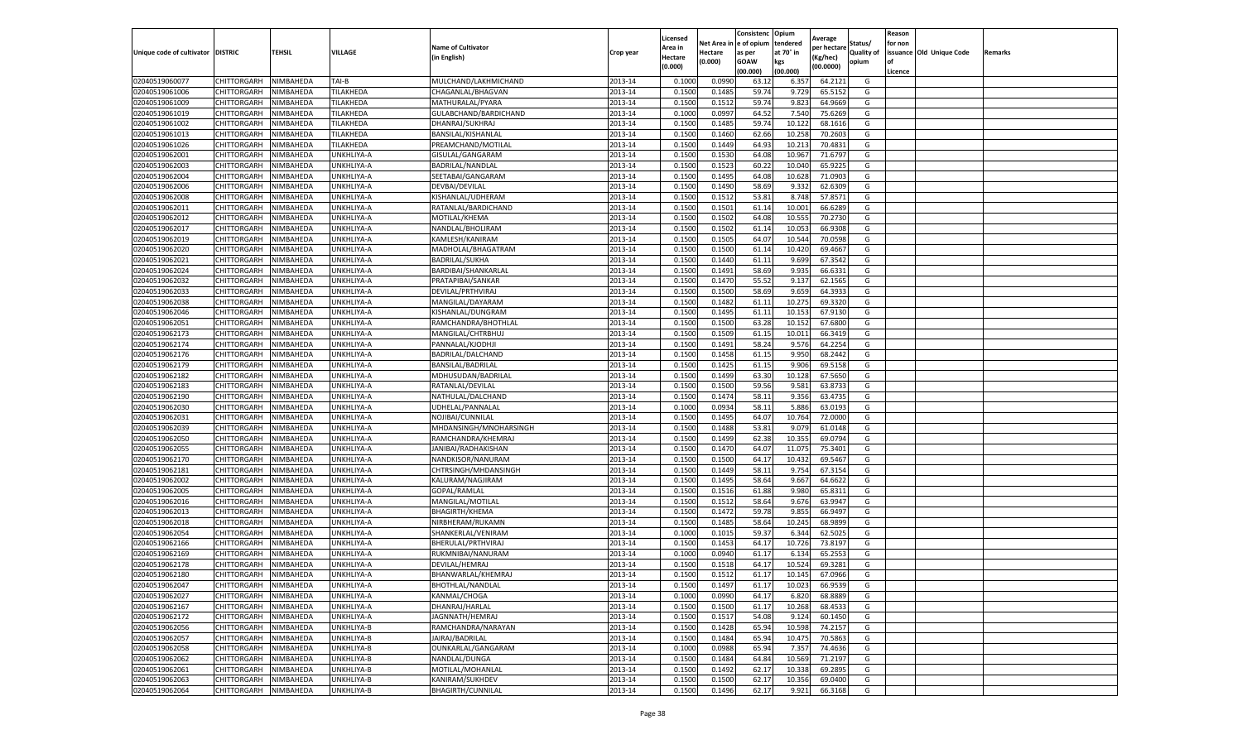|                                   |                            |                        |            |                           |           | Licensed         |                  | Consistenc     | Opium           |                        |                   | Reason  |                          |         |
|-----------------------------------|----------------------------|------------------------|------------|---------------------------|-----------|------------------|------------------|----------------|-----------------|------------------------|-------------------|---------|--------------------------|---------|
|                                   |                            |                        |            | <b>Name of Cultivator</b> |           | Area in          | Net Area i       | e of opium     | tendered        | Average<br>per hectare | Status/           | for non |                          |         |
| Unique code of cultivator DISTRIC |                            | TEHSIL                 | VILLAGE    | (in English)              | Crop year | Hectare          | Hectare          | as per         | at 70° in       | (Kg/hec)               | <b>Quality of</b> |         | issuance Old Unique Code | Remarks |
|                                   |                            |                        |            |                           |           | (0.000)          | (0.000)          | <b>GOAW</b>    | kgs             | (00.0000)              | opium             | οf      |                          |         |
|                                   |                            |                        |            |                           |           |                  |                  | (00.000        | (00.000)        |                        |                   | Licence |                          |         |
| 02040519060077                    | CHITTORGARH                | NIMBAHEDA              | TAI-B      | MULCHAND/LAKHMICHAND      | 2013-14   | 0.1000           | 0.0990           | 63.1           | 6.357           | 64.2121                | G                 |         |                          |         |
| 02040519061006                    | CHITTORGARH                | NIMBAHEDA              | TILAKHEDA  | CHAGANLAL/BHAGVAN         | 2013-14   | 0.150            | 0.148            | 59.74          | 9.729           | 65.5152                | G                 |         |                          |         |
| 02040519061009                    | CHITTORGARH                | NIMBAHEDA              | TILAKHEDA  | MATHURALAL/PYARA          | 2013-14   | 0.1500           | 0.1512           | 59.74          | 9.823           | 64.9669                | G                 |         |                          |         |
| 02040519061019                    | CHITTORGARH                | NIMBAHEDA              | TILAKHEDA  | GULABCHAND/BARDICHAND     | 2013-14   | 0.1000           | 0.0997           | 64.52          | 7.540           | 75.6269                | G                 |         |                          |         |
| 02040519061002                    | CHITTORGARH                | NIMBAHEDA              | TILAKHEDA  | DHANRAJ/SUKHRAJ           | 2013-14   | 0.1500           | 0.1485           | 59.74          | 10.122          | 68.1616                | G                 |         |                          |         |
| 02040519061013                    | CHITTORGARH                | NIMBAHEDA              | TILAKHEDA  | BANSILAL/KISHANLAL        | 2013-14   | 0.1500           | 0.1460           | 62.66          | 10.25           | 70.2603                | G                 |         |                          |         |
| 02040519061026                    | CHITTORGARH                | NIMBAHEDA              | TILAKHEDA  | PREAMCHAND/MOTILAL        | 2013-14   | 0.1500           | 0.1449           | 64.93          | 10.213          | 70.4831                | G                 |         |                          |         |
| 02040519062001                    | CHITTORGARH                | NIMBAHEDA              | UNKHLIYA-A | GISULAL/GANGARAM          | 2013-14   | 0.1500           | 0.1530           | 64.08          | 10.967          | 71.6797                | G                 |         |                          |         |
| 02040519062003                    | CHITTORGARH                | NIMBAHEDA              | UNKHLIYA-A | BADRILAL/NANDLAL          | 2013-14   | 0.1500           | 0.1523           | 60.22          | 10.040          | 65.9225                | G                 |         |                          |         |
| 02040519062004                    | CHITTORGARH                | NIMBAHEDA              | UNKHLIYA-A | SEETABAI/GANGARAM         | 2013-14   | 0.1500           | 0.1495           | 64.08          | 10.628          | 71.0903                | G                 |         |                          |         |
| 02040519062006                    | CHITTORGARH                | NIMBAHEDA              | UNKHLIYA-A | DEVBAI/DEVILAL            | 2013-14   | 0.1500           | 0.1490           | 58.69          | 9.332           | 62.6309                | G                 |         |                          |         |
| 02040519062008                    | CHITTORGARH                | NIMBAHEDA              | UNKHLIYA-A | KISHANLAL/UDHERAM         | 2013-14   | 0.1500           | 0.1512           | 53.81          | 8.748           | 57.8571                | G                 |         |                          |         |
| 02040519062011                    | CHITTORGARH                | NIMBAHEDA              | UNKHLIYA-A | RATANLAL/BARDICHAND       | 2013-14   | 0.1500           | 0.1501           | 61.14          | 10.001          | 66.6289                | G                 |         |                          |         |
| 02040519062012                    | CHITTORGARH                | NIMBAHEDA              | UNKHLIYA-A | MOTILAL/KHEMA             | 2013-14   | 0.1500           | 0.1502           | 64.08          | 10.555          | 70.2730                | G                 |         |                          |         |
| 02040519062017                    | CHITTORGARH                | NIMBAHEDA              | UNKHLIYA-A | NANDLAL/BHOLIRAM          | 2013-14   | 0.1500           | 0.1502           | 61.14          | 10.053          | 66.9308                | G                 |         |                          |         |
| 02040519062019                    | CHITTORGARH                | NIMBAHEDA              | UNKHLIYA-A | KAMLESH/KANIRAM           | 2013-14   | 0.1500           | 0.1505           | 64.07          | 10.544          | 70.0598                | G                 |         |                          |         |
| 02040519062020                    | CHITTORGARH                | NIMBAHEDA              | UNKHLIYA-A | MADHOLAL/BHAGATRAM        | 2013-14   | 0.1500           | 0.1500           | 61.1           | 10.420          | 69.4667                | G                 |         |                          |         |
| 02040519062021                    | CHITTORGARH                | NIMBAHEDA              | UNKHLIYA-A | <b>BADRILAL/SUKHA</b>     | 2013-14   | 0.1500           | 0.1440           | 61.11          | 9.699           | 67.3542                | G                 |         |                          |         |
| 02040519062024                    | CHITTORGARH                | NIMBAHEDA              | UNKHLIYA-A | BARDIBAI/SHANKARLAL       | 2013-14   | 0.1500           | 0.1491           | 58.69          | 9.935           | 66.6331                | G                 |         |                          |         |
| 02040519062032                    | CHITTORGARH                | NIMBAHEDA              | UNKHLIYA-A | PRATAPIBAI/SANKAR         | 2013-14   | 0.1500           | 0.1470           | 55.52          | 9.137           | 62.1565                | G                 |         |                          |         |
| 02040519062033                    | CHITTORGARH                | NIMBAHEDA              | UNKHLIYA-A | DEVILAL/PRTHVIRAJ         | 2013-14   | 0.1500           | 0.1500           | 58.69          | 9.659           | 64.3933                | G                 |         |                          |         |
| 02040519062038                    | CHITTORGARH                | NIMBAHEDA              | UNKHLIYA-A | MANGILAL/DAYARAM          | 2013-14   | 0.1500           | 0.1482           | 61.11          | 10.275          | 69.3320                | G                 |         |                          |         |
| 02040519062046                    | CHITTORGARH                | NIMBAHEDA              | UNKHLIYA-A | KISHANLAL/DUNGRAM         | 2013-14   | 0.1500           | 0.1495           | 61.11          | 10.153          | 67.9130                | G                 |         |                          |         |
| 02040519062051                    | CHITTORGARH                | NIMBAHEDA              | UNKHLIYA-A | RAMCHANDRA/BHOTHLAL       | 2013-14   | 0.1500           | 0.1500           | 63.28          | 10.152          | 67.6800                | G                 |         |                          |         |
| 02040519062173                    | CHITTORGARH                | NIMBAHEDA              | UNKHLIYA-A | MANGILAL/CHTRBHUJ         | 2013-14   | 0.1500           | 0.1509           | 61.15          | 10.01           | 66.3419                | G                 |         |                          |         |
| 02040519062174                    | CHITTORGARH                | NIMBAHEDA              | UNKHLIYA-A | PANNALAL/KJODHJI          | 2013-14   | 0.1500           | 0.1491           | 58.24          | 9.576           | 64.2254                | G                 |         |                          |         |
| 02040519062176                    | CHITTORGARH                | NIMBAHEDA              | UNKHLIYA-A | BADRILAL/DALCHAND         | 2013-14   | 0.1500           | 0.1458           | 61.1           | 9.950           | 68.2442                | G                 |         |                          |         |
| 02040519062179                    | CHITTORGARH                | NIMBAHEDA              | UNKHLIYA-A | BANSILAL/BADRILAL         | 2013-14   | 0.1500           | 0.1425           | 61.15          | 9.906           | 69.5158                | G                 |         |                          |         |
| 02040519062182                    | CHITTORGARH                | NIMBAHEDA              | UNKHLIYA-A | MDHUSUDAN/BADRILAL        | 2013-14   | 0.1500           | 0.1499           | 63.30          | 10.128          | 67.5650                | G                 |         |                          |         |
| 02040519062183                    | CHITTORGARH                | NIMBAHEDA              | UNKHLIYA-A | RATANLAL/DEVILAL          | 2013-14   | 0.1500           | 0.1500           | 59.56          | 9.581           | 63.8733                | G                 |         |                          |         |
| 02040519062190                    | CHITTORGARH                | NIMBAHEDA              | UNKHLIYA-A | NATHULAL/DALCHAND         | 2013-14   | 0.1500           | 0.1474           | 58.1           | 9.356           | 63.4735                | G                 |         |                          |         |
| 02040519062030                    | CHITTORGARH                | NIMBAHEDA              | UNKHLIYA-A | UDHELAL/PANNALAI          | 2013-14   | 0.1000           | 0.0934           | 58.11          | 5.886           | 63.0193                | G                 |         |                          |         |
| 02040519062031                    | CHITTORGARH                | NIMBAHEDA              | UNKHLIYA-A | NOJIBAI/CUNNILAL          | 2013-14   | 0.1500           | 0.1495           | 64.07          | 10.764          | 72.0000                | G                 |         |                          |         |
| 02040519062039                    | CHITTORGARH                | NIMBAHEDA              | UNKHLIYA-A | MHDANSINGH/MNOHARSINGH    | 2013-14   | 0.1500           | 0.1488           | 53.81          | 9.079           | 61.0148                | G                 |         |                          |         |
| 02040519062050                    | CHITTORGARH                | NIMBAHEDA              | UNKHLIYA-A | RAMCHANDRA/KHEMRAJ        | 2013-14   | 0.1500           | 0.1499           | 62.38          | 10.355          | 69.0794                | G                 |         |                          |         |
| 02040519062055                    | CHITTORGARH                | NIMBAHEDA              | UNKHLIYA-A | JANIBAI/RADHAKISHAN       | 2013-14   | 0.1500           | 0.1470           | 64.07          | 11.075          | 75.3401                | G                 |         |                          |         |
| 02040519062170                    | CHITTORGARH                | NIMBAHEDA              | UNKHLIYA-A | NANDKISOR/NANURAM         | 2013-14   | 0.1500           | 0.1500           | 64.17          | 10.432          | 69.5467                | G                 |         |                          |         |
| 02040519062181                    | CHITTORGARH                | NIMBAHEDA              | UNKHLIYA-A | CHTRSINGH/MHDANSINGH      | 2013-14   | 0.1500           | 0.1449           | 58.13          | 9.754           | 67.3154                | G                 |         |                          |         |
| 02040519062002                    | CHITTORGARH                | NIMBAHEDA              | UNKHLIYA-A | KALURAM/NAGJIRAM          | 2013-14   | 0.1500           | 0.1495           | 58.64          | 9.667           | 64.6622                | G                 |         |                          |         |
| 02040519062005                    | CHITTORGARH                | NIMBAHEDA              | UNKHLIYA-A | GOPAL/RAMLAL              | 2013-14   | 0.1500           | 0.1516           | 61.88          | 9.980           | 65.8311                | G                 |         |                          |         |
| 02040519062016                    | CHITTORGARH                | NIMBAHEDA              | UNKHLIYA-A | MANGILAL/MOTILAL          | 2013-14   | 0.1500           | 0.1512           | 58.64          | 9.676           | 63.9947                | G                 |         |                          |         |
| 02040519062013                    | CHITTORGARH                | NIMBAHEDA              | UNKHLIYA-A | <b>BHAGIRTH/KHEMA</b>     | 2013-14   | 0.1500           | 0.1472           | 59.78          | 9.855           | 66.9497                | G                 |         |                          |         |
| 02040519062018                    | CHITTORGARH                | NIMBAHEDA              | UNKHLIYA-A | NIRBHERAM/RUKAMN          | 2013-14   | 0.1500           | 0.1485           | 58.64          | 10.245          | 68.9899                | G                 |         |                          |         |
| 02040519062054                    | CHITTORGARH                | NIMBAHEDA              | UNKHLIYA-A | SHANKERLAL/VENIRAM        | 2013-14   | 0.1000           | 0.1015           | 59.37          | 6.344           | 62.5025                | G                 |         |                          |         |
| 02040519062166                    | CHITTORGARH                | NIMBAHEDA              | UNKHLIYA-A | BHERULAL/PRTHVIRAJ        | 2013-14   | 0.1500           | 0.1453           | 64.17          | 10.726          | 73.8197                | G                 |         |                          |         |
| 02040519062169                    | CHITTORGARH                | NIMBAHEDA              | UNKHLIYA-A | RUKMNIBAI/NANURAM         | 2013-14   | 0.100            | 0.0940           | 61.17          | 6.134           | 65.2553                | G                 |         |                          |         |
| 02040519062178                    | CHITTORGARH                | NIMBAHEDA              | UNKHLIYA-A | DEVILAL/HEMRAJ            | 2013-14   | 0.1500           | 0.1518           | 64.17          | 10.524          | 69.3281                | G                 |         |                          |         |
| 02040519062180                    | CHITTORGARH                | NIMBAHEDA              | UNKHLIYA-A | BHANWARLAL/KHEMRAJ        | 2013-14   | 0.1500           | 0.1512           | 61.17          | 10.145          | 67.0966                | G                 |         |                          |         |
|                                   |                            |                        |            |                           | 2013-14   |                  |                  |                |                 |                        |                   |         |                          |         |
| 02040519062047<br>02040519062027  | CHITTORGARH<br>CHITTORGARH | NIMBAHEDA<br>NIMBAHEDA | UNKHLIYA-A | BHOTHLAL/NANDLAL          | 2013-14   | 0.1500<br>0.1000 | 0.1497<br>0.0990 | 61.17<br>64.17 | 10.023<br>6.820 | 66.9539<br>68.8889     | G<br>G            |         |                          |         |
|                                   |                            |                        | UNKHLIYA-A | KANMAL/CHOGA              | 2013-14   |                  |                  |                | 10.268          |                        | G                 |         |                          |         |
| 02040519062167                    | CHITTORGARH                | NIMBAHEDA              | UNKHLIYA-A | DHANRAJ/HARLAL            |           | 0.1500           | 0.1500           | 61.17          |                 | 68.4533                |                   |         |                          |         |
| 02040519062172                    | CHITTORGARH                | NIMBAHEDA              | UNKHLIYA-A | JAGNNATH/HEMRAJ           | 2013-14   | 0.1500           | 0.1517           | 54.08          | 9.124           | 60.1450                | G                 |         |                          |         |
| 02040519062056                    | CHITTORGARH                | NIMBAHEDA              | UNKHLIYA-B | RAMCHANDRA/NARAYAN        | 2013-14   | 0.1500           | 0.1428           | 65.94          | 10.598          | 74.2157                | G                 |         |                          |         |
| 02040519062057                    | CHITTORGARH                | NIMBAHEDA              | UNKHLIYA-B | JAIRAJ/BADRILAL           | 2013-14   | 0.1500           | 0.1484           | 65.94          | 10.475          | 70.5863                | G                 |         |                          |         |
| 02040519062058                    | CHITTORGARH                | NIMBAHEDA              | UNKHLIYA-B | OUNKARLAL/GANGARAM        | 2013-14   | 0.1000           | 0.0988           | 65.94          | 7.357           | 74.4636                | G                 |         |                          |         |
| 02040519062062                    | CHITTORGARH                | NIMBAHEDA              | UNKHLIYA-B | NANDLAL/DUNGA             | 2013-14   | 0.1500           | 0.1484           | 64.84          | 10.569          | 71.2197                | G                 |         |                          |         |
| 02040519062061                    | CHITTORGARH                | NIMBAHEDA              | UNKHLIYA-B | MOTILAL/MOHANLAL          | 2013-14   | 0.1500           | 0.1492           | 62.17          | 10.338          | 69.2895                | G                 |         |                          |         |
| 02040519062063                    | CHITTORGARH                | NIMBAHEDA              | UNKHLIYA-B | KANIRAM/SUKHDEV           | 2013-14   | 0.1500           | 0.1500           | 62.17          | 10.356          | 69.0400                | G                 |         |                          |         |
| 02040519062064                    | CHITTORGARH                | NIMBAHEDA              | UNKHLIYA-B | <b>BHAGIRTH/CUNNILAL</b>  | 2013-14   | 0.1500           | 0.1496           | 62.17          | 9.921           | 66.3168                | G                 |         |                          |         |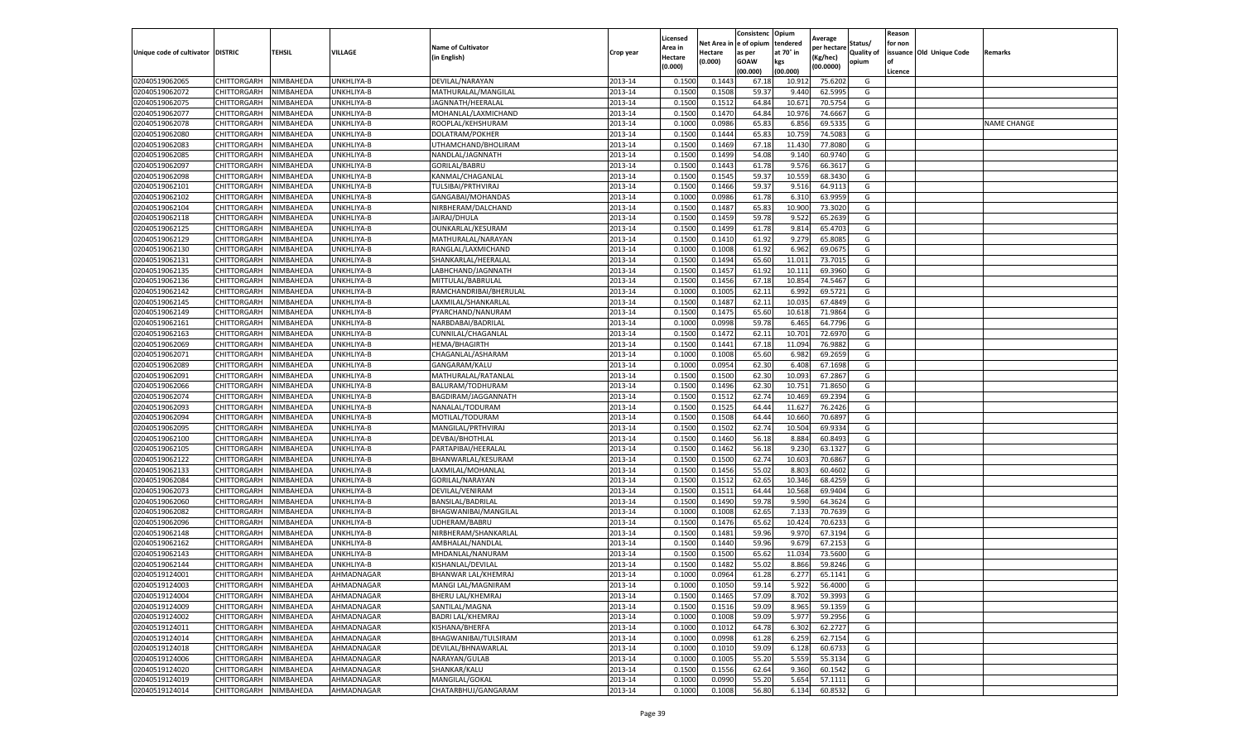|                                   |             |           |            |                           |           | Licensed |            | Consistenc  | Opium     | Average     |                   | Reason  |                          |                    |
|-----------------------------------|-------------|-----------|------------|---------------------------|-----------|----------|------------|-------------|-----------|-------------|-------------------|---------|--------------------------|--------------------|
|                                   |             |           |            | <b>Name of Cultivator</b> |           | Area in  | Net Area i | e of opium  | tendered  | per hectare | Status/           | for non |                          |                    |
| Unique code of cultivator DISTRIC |             | TEHSIL    | VILLAGE    | (in English)              | Crop year | Hectare  | Hectare    | as per      | at 70° in | (Kg/hec)    | <b>Quality of</b> |         | issuance Old Unique Code | Remarks            |
|                                   |             |           |            |                           |           | (0.000)  | (0.000)    | <b>GOAW</b> | kgs       | (00.0000)   | opium             | οf      |                          |                    |
|                                   |             |           |            |                           |           |          |            | (00.000     | (00.000)  |             |                   | Licence |                          |                    |
| 02040519062065                    | CHITTORGARH | NIMBAHEDA | UNKHLIYA-B | DEVILAL/NARAYAN           | 2013-14   | 0.1500   | 0.1443     | 67.18       | 10.91     | 75.6202     | G                 |         |                          |                    |
| 02040519062072                    | CHITTORGARH | NIMBAHEDA | UNKHLIYA-B | MATHURALAL/MANGILAL       | 2013-14   | 0.150    | 0.1508     | 59.37       | 9.440     | 62.5995     | G                 |         |                          |                    |
| 02040519062075                    | CHITTORGARH | NIMBAHEDA | UNKHLIYA-B | JAGNNATH/HEERALAL         | 2013-14   | 0.1500   | 0.1512     | 64.84       | 10.671    | 70.5754     | G                 |         |                          |                    |
| 02040519062077                    | CHITTORGARH | NIMBAHEDA | UNKHLIYA-B | MOHANLAL/LAXMICHAND       | 2013-14   | 0.1500   | 0.1470     | 64.84       | 10.976    | 74.6667     | G                 |         |                          |                    |
| 02040519062078                    | CHITTORGARH | NIMBAHEDA | UNKHLIYA-B | ROOPLAL/KEHSHURAM         | 2013-14   | 0.1000   | 0.0986     | 65.83       | 6.856     | 69.533      | G                 |         |                          | <b>NAME CHANGE</b> |
| 02040519062080                    | CHITTORGARH | NIMBAHEDA | UNKHLIYA-B | DOLATRAM/POKHER           | 2013-14   | 0.1500   | 0.1444     | 65.83       | 10.75     | 74.5083     | G                 |         |                          |                    |
| 02040519062083                    | CHITTORGARH | NIMBAHEDA | UNKHLIYA-B | UTHAMCHAND/BHOLIRAM       | 2013-14   | 0.1500   | 0.1469     | 67.18       | 11.430    | 77.8080     | G                 |         |                          |                    |
| 02040519062085                    | CHITTORGARH | NIMBAHEDA | UNKHLIYA-B | NANDLAL/JAGNNATH          | 2013-14   | 0.1500   | 0.1499     | 54.08       | 9.14      | 60.9740     | G                 |         |                          |                    |
| 02040519062097                    | CHITTORGARH | NIMBAHEDA | UNKHLIYA-B | <b>GORILAL/BABRU</b>      | 2013-14   | 0.1500   | 0.1443     | 61.78       | 9.576     | 66.3617     | G                 |         |                          |                    |
| 02040519062098                    | CHITTORGARH | NIMBAHEDA | UNKHLIYA-B | KANMAL/CHAGANLAL          | 2013-14   | 0.1500   | 0.1545     | 59.37       | 10.559    | 68.3430     | G                 |         |                          |                    |
| 02040519062101                    | CHITTORGARH | NIMBAHEDA | UNKHLIYA-B | TULSIBAI/PRTHVIRAJ        | 2013-14   | 0.1500   | 0.1466     | 59.37       | 9.516     | 64.9113     | G                 |         |                          |                    |
| 02040519062102                    | CHITTORGARH | NIMBAHEDA | UNKHLIYA-B | GANGABAI/MOHANDAS         | 2013-14   | 0.1000   | 0.0986     | 61.78       | 6.310     | 63.9959     | G                 |         |                          |                    |
| 02040519062104                    | CHITTORGARH | NIMBAHEDA | UNKHLIYA-B | NIRBHERAM/DALCHAND        | 2013-14   | 0.1500   | 0.1487     | 65.83       | 10.900    | 73.3020     | G                 |         |                          |                    |
| 02040519062118                    | CHITTORGARH | NIMBAHEDA | UNKHLIYA-B | JAIRAJ/DHULA              | 2013-14   | 0.1500   | 0.1459     | 59.78       | 9.522     | 65.2639     | G                 |         |                          |                    |
| 02040519062125                    | CHITTORGARH | NIMBAHEDA | UNKHLIYA-B | OUNKARLAL/KESURAM         | 2013-14   | 0.1500   | 0.1499     | 61.78       | 9.814     | 65.4703     | G                 |         |                          |                    |
| 02040519062129                    | CHITTORGARH | NIMBAHEDA | UNKHLIYA-B | MATHURALAL/NARAYAN        | 2013-14   | 0.1500   | 0.1410     | 61.92       | 9.279     | 65.8085     | G                 |         |                          |                    |
| 02040519062130                    | CHITTORGARH | NIMBAHEDA | UNKHLIYA-B | RANGLAL/LAXMICHAND        | 2013-14   | 0.1000   | 0.1008     | 61.92       | 6.962     | 69.067      | G                 |         |                          |                    |
| 02040519062131                    | CHITTORGARH | NIMBAHEDA | UNKHLIYA-B | SHANKARLAL/HEERALAL       | 2013-14   | 0.1500   | 0.1494     | 65.60       | 11.011    | 73.7015     | G                 |         |                          |                    |
| 02040519062135                    | CHITTORGARH | NIMBAHEDA | UNKHLIYA-B | LABHCHAND/JAGNNATH        | 2013-14   | 0.1500   | 0.1457     | 61.92       | 10.11     | 69.3960     | G                 |         |                          |                    |
| 02040519062136                    | CHITTORGARH | NIMBAHEDA | UNKHLIYA-B | MITTULAL/BABRULAL         | 2013-14   | 0.1500   | 0.1456     | 67.18       | 10.854    | 74.5467     | G                 |         |                          |                    |
| 02040519062142                    | CHITTORGARH | NIMBAHEDA | UNKHLIYA-B | RAMCHANDRIBAI/BHERULAL    | 2013-14   | 0.1000   | 0.1005     | 62.11       | 6.992     | 69.5721     | G                 |         |                          |                    |
| 02040519062145                    | CHITTORGARH | NIMBAHEDA | UNKHLIYA-B | LAXMILAL/SHANKARLAI       | 2013-14   | 0.1500   | 0.1487     | 62.11       | 10.035    | 67.4849     | G                 |         |                          |                    |
| 02040519062149                    | CHITTORGARH | NIMBAHEDA | UNKHLIYA-B | PYARCHAND/NANURAM         | 2013-14   | 0.1500   | 0.1475     | 65.60       | 10.618    | 71.9864     | G                 |         |                          |                    |
| 02040519062161                    | CHITTORGARH | NIMBAHEDA | UNKHLIYA-B | NARBDABAI/BADRILAL        | 2013-14   | 0.1000   | 0.0998     | 59.78       | 6.465     | 64.7796     | G                 |         |                          |                    |
| 02040519062163                    | CHITTORGARH | NIMBAHEDA | UNKHLIYA-B | CUNNILAL/CHAGANLAL        | 2013-14   | 0.1500   | 0.1472     | 62.11       | 10.701    | 72.6970     | G                 |         |                          |                    |
| 02040519062069                    | CHITTORGARH | NIMBAHEDA | UNKHLIYA-B | <b>HEMA/BHAGIRTH</b>      | 2013-14   | 0.1500   | 0.1441     | 67.18       | 11.094    | 76.9882     | G                 |         |                          |                    |
| 02040519062071                    | CHITTORGARH | NIMBAHEDA | UNKHLIYA-B | CHAGANLAL/ASHARAM         | 2013-14   | 0.1000   | 0.1008     | 65.60       | 6.982     | 69.2659     | G                 |         |                          |                    |
| 02040519062089                    | CHITTORGARH | NIMBAHEDA | UNKHLIYA-B | GANGARAM/KALU             | 2013-14   | 0.1000   | 0.0954     | 62.30       | 6.408     | 67.1698     | G                 |         |                          |                    |
| 02040519062091                    | CHITTORGARH | NIMBAHEDA | UNKHLIYA-B | MATHURALAL/RATANLAL       | 2013-14   | 0.1500   | 0.1500     | 62.30       | 10.093    | 67.2867     | G                 |         |                          |                    |
| 02040519062066                    | CHITTORGARH | NIMBAHEDA | UNKHLIYA-B | BALURAM/TODHURAM          | 2013-14   | 0.1500   | 0.1496     | 62.30       | 10.75     | 71.8650     | G                 |         |                          |                    |
| 02040519062074                    | CHITTORGARH | NIMBAHEDA | UNKHLIYA-B | BAGDIRAM/JAGGANNATH       | 2013-14   | 0.1500   | 0.1512     | 62.74       | 10.469    | 69.2394     | G                 |         |                          |                    |
| 02040519062093                    | CHITTORGARH | NIMBAHEDA | UNKHLIYA-B | NANALAL/TODURAM           | 2013-14   | 0.1500   | 0.1525     | 64.4        | 11.627    | 76.2426     | G                 |         |                          |                    |
| 02040519062094                    | CHITTORGARH | NIMBAHEDA | UNKHLIYA-B | MOTILAL/TODURAM           | 2013-14   | 0.1500   | 0.1508     | 64.4        | 10.660    | 70.6897     | G                 |         |                          |                    |
| 02040519062095                    | CHITTORGARH | NIMBAHEDA | UNKHLIYA-B | MANGILAL/PRTHVIRAJ        | 2013-14   | 0.1500   | 0.1502     | 62.74       | 10.504    | 69.9334     | G                 |         |                          |                    |
| 02040519062100                    | CHITTORGARH | NIMBAHEDA | UNKHLIYA-B | DEVBAI/BHOTHLAL           | 2013-14   | 0.1500   | 0.1460     | 56.18       | 8.884     | 60.8493     | G                 |         |                          |                    |
| 02040519062105                    | CHITTORGARH | NIMBAHEDA | UNKHLIYA-B | PARTAPIBAI/HEERALAL       | 2013-14   | 0.1500   | 0.1462     | 56.18       | 9.23      | 63.1327     | G                 |         |                          |                    |
| 02040519062122                    | CHITTORGARH | NIMBAHEDA | UNKHLIYA-B | BHANWARLAL/KESURAM        | 2013-14   | 0.1500   | 0.1500     | 62.74       | 10.603    | 70.6867     | G                 |         |                          |                    |
| 02040519062133                    | CHITTORGARH | NIMBAHEDA | UNKHLIYA-B | LAXMILAL/MOHANLAL         | 2013-14   | 0.1500   | 0.1456     | 55.02       | 8.80      | 60.4602     | G                 |         |                          |                    |
| 02040519062084                    | CHITTORGARH | NIMBAHEDA | UNKHLIYA-B | GORILAL/NARAYAN           | 2013-14   | 0.1500   | 0.1512     | 62.65       | 10.346    | 68.4259     | G                 |         |                          |                    |
| 02040519062073                    | CHITTORGARH | NIMBAHEDA | UNKHLIYA-B | DEVILAL/VENIRAM           | 2013-14   | 0.1500   | 0.1511     | 64.44       | 10.568    | 69.9404     | G                 |         |                          |                    |
| 02040519062060                    | CHITTORGARH | NIMBAHEDA | UNKHLIYA-B | BANSILAL/BADRILAL         | 2013-14   | 0.1500   | 0.1490     | 59.78       | 9.590     | 64.3624     | G                 |         |                          |                    |
| 02040519062082                    | CHITTORGARH | NIMBAHEDA | UNKHLIYA-B | BHAGWANIBAI/MANGILAL      | 2013-14   | 0.1000   | 0.1008     | 62.65       | 7.133     | 70.7639     | G                 |         |                          |                    |
| 02040519062096                    | CHITTORGARH | NIMBAHEDA | UNKHLIYA-B | UDHERAM/BABRU             | 2013-14   | 0.1500   | 0.1476     | 65.62       | 10.424    | 70.6233     | G                 |         |                          |                    |
| 02040519062148                    | CHITTORGARH | NIMBAHEDA | UNKHLIYA-B | NIRBHERAM/SHANKARLAL      | 2013-14   | 0.1500   | 0.1481     | 59.96       | 9.970     | 67.3194     | G                 |         |                          |                    |
| 02040519062162                    | CHITTORGARH | NIMBAHEDA | UNKHLIYA-B | AMBHALAL/NANDLAI          | 2013-14   | 0.1500   | 0.1440     | 59.96       | 9.679     | 67.2153     | G                 |         |                          |                    |
| 02040519062143                    | CHITTORGARH | NIMBAHEDA | UNKHLIYA-B | MHDANLAL/NANURAM          | 2013-14   | 0.150    | 0.1500     | 65.62       | 11.034    | 73.5600     | G                 |         |                          |                    |
| 02040519062144                    | CHITTORGARH | NIMBAHEDA | UNKHLIYA-B | KISHANLAL/DEVILAL         | 2013-14   | 0.1500   | 0.1482     | 55.02       | 8.866     | 59.8246     | G                 |         |                          |                    |
| 02040519124001                    | CHITTORGARH | NIMBAHEDA | AHMADNAGAR | BHANWAR LAL/KHEMRAJ       | 2013-14   | 0.1000   | 0.0964     | 61.28       | 6.277     | 65.1141     | G                 |         |                          |                    |
| 02040519124003                    | CHITTORGARH | NIMBAHEDA | AHMADNAGAR | MANGI LAL/MAGNIRAM        | 2013-14   | 0.1000   | 0.1050     | 59.14       | 5.922     | 56.4000     | G                 |         |                          |                    |
| 02040519124004                    | CHITTORGARH | NIMBAHEDA | AHMADNAGAR | BHERU LAL/KHEMRAJ         | 2013-14   | 0.1500   | 0.1465     | 57.09       | 8.702     | 59.3993     | G                 |         |                          |                    |
| 02040519124009                    | CHITTORGARH | NIMBAHEDA | AHMADNAGAR | SANTILAL/MAGNA            | 2013-14   | 0.1500   | 0.1516     | 59.09       | 8.965     | 59.1359     | G                 |         |                          |                    |
| 02040519124002                    | CHITTORGARH | NIMBAHEDA | AHMADNAGAR | <b>BADRI LAL/KHEMRAJ</b>  | 2013-14   | 0.1000   | 0.1008     | 59.09       | 5.977     | 59.2956     | G                 |         |                          |                    |
| 02040519124011                    | CHITTORGARH | NIMBAHEDA | AHMADNAGAR | KISHANA/BHERFA            | 2013-14   | 0.1000   | 0.1012     | 64.78       | 6.302     | 62.2727     | G                 |         |                          |                    |
| 02040519124014                    | CHITTORGARH | NIMBAHEDA | AHMADNAGAR | BHAGWANIBAI/TULSIRAM      | 2013-14   | 0.1000   | 0.0998     | 61.28       | 6.259     | 62.7154     | G                 |         |                          |                    |
| 02040519124018                    | CHITTORGARH | NIMBAHEDA | AHMADNAGAR | DEVILAL/BHNAWARLAL        | 2013-14   | 0.1000   | 0.1010     | 59.09       | 6.128     | 60.6733     | G                 |         |                          |                    |
| 02040519124006                    | CHITTORGARH | NIMBAHEDA | AHMADNAGAR | NARAYAN/GULAB             | 2013-14   | 0.1000   | 0.1005     | 55.20       | 5.559     | 55.3134     | G                 |         |                          |                    |
| 02040519124020                    | CHITTORGARH | NIMBAHEDA | AHMADNAGAR | SHANKAR/KALU              | 2013-14   | 0.1500   | 0.1556     | 62.64       | 9.360     | 60.1542     | G                 |         |                          |                    |
| 02040519124019                    | CHITTORGARH | NIMBAHEDA | AHMADNAGAR | MANGILAL/GOKAL            | 2013-14   | 0.1000   | 0.0990     | 55.20       | 5.654     | 57.1111     | G                 |         |                          |                    |
| 02040519124014                    | CHITTORGARH | NIMBAHEDA | AHMADNAGAR | CHATARBHUJ/GANGARAM       | 2013-14   | 0.1000   | 0.1008     | 56.80       | 6.134     | 60.8532     | G                 |         |                          |                    |
|                                   |             |           |            |                           |           |          |            |             |           |             |                   |         |                          |                    |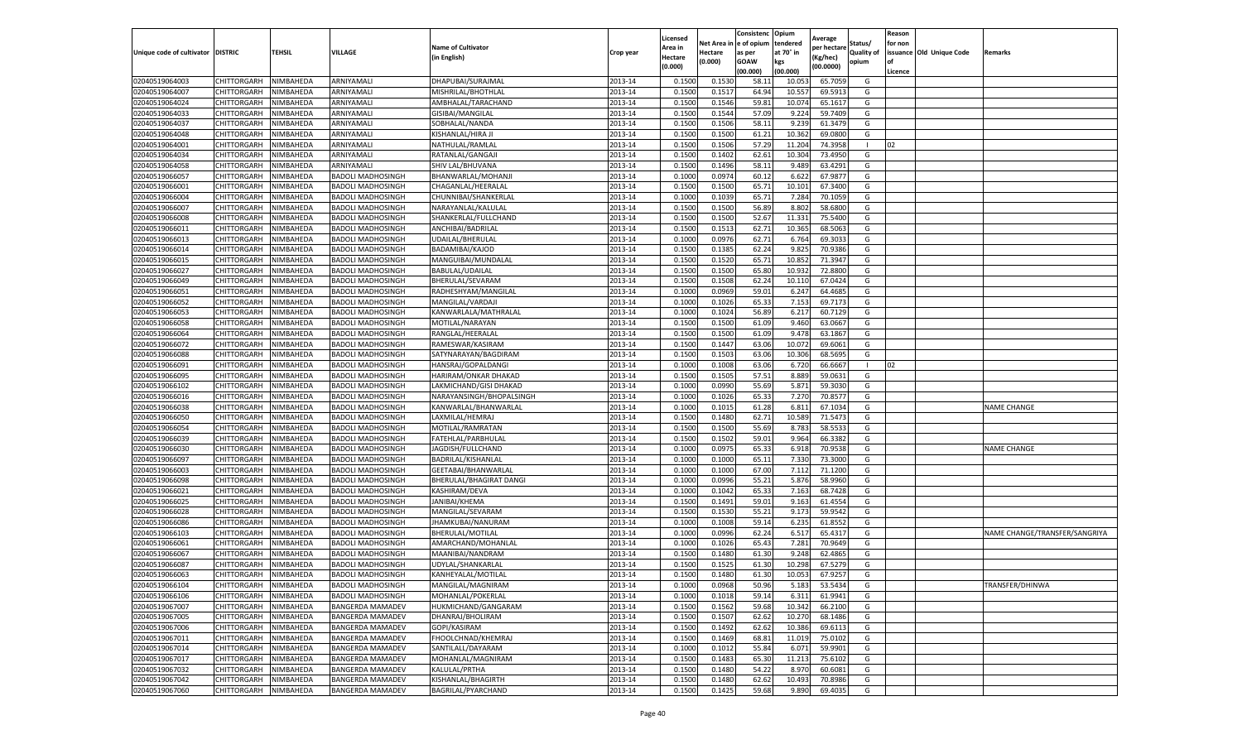|                           |                    |           |                          |                           |           | Licensed |         | Consistenc             | Opium     |                        |                   | Reason  |                          |                               |
|---------------------------|--------------------|-----------|--------------------------|---------------------------|-----------|----------|---------|------------------------|-----------|------------------------|-------------------|---------|--------------------------|-------------------------------|
|                           |                    |           |                          | <b>Name of Cultivator</b> |           | Area in  |         | Net Area in e of opium | tendered  | Average<br>per hectare | Status/           | for non |                          |                               |
| Unique code of cultivator | <b>DISTRIC</b>     | TEHSIL    | VILLAGE                  | in English)               | Crop year | Hectare  | Hectare | as per                 | at 70° in | (Kg/hec                | <b>Quality of</b> |         | issuance Old Unique Code | <b>Remarks</b>                |
|                           |                    |           |                          |                           |           | (0.000)  | (0.000) | <b>GOAW</b>            | kgs       | (00.0000)              | opium             |         |                          |                               |
|                           |                    |           |                          |                           |           |          |         | (00.000)               | (00.000)  |                        |                   | Licence |                          |                               |
| 02040519064003            | CHITTORGARH        | NIMBAHEDA | ARNIYAMALI               | DHAPUBAI/SURAJMAL         | 2013-14   | 0.1500   | 0.1530  | 58.1                   | 10.05     | 65.7059                | G                 |         |                          |                               |
| 02040519064007            | CHITTORGARH        | NIMBAHEDA | ARNIYAMALI               | MISHRILAL/BHOTHLAL        | 2013-14   | 0.1500   | 0.1517  | 64.94                  | 10.55     | 69.5913                | G                 |         |                          |                               |
| 02040519064024            | CHITTORGARH        | NIMBAHEDA | ARNIYAMALI               | AMBHALAL/TARACHAND        | 2013-14   | 0.1500   | 0.1546  | 59.81                  | 10.07     | 65.1617                | G                 |         |                          |                               |
| 02040519064033            | CHITTORGARH        | NIMBAHEDA | ARNIYAMALI               | GISIBAI/MANGILAL          | 2013-14   | 0.1500   | 0.1544  | 57.09                  | 9.224     | 59.7409                | G                 |         |                          |                               |
| 02040519064037            | CHITTORGARH        | NIMBAHEDA | ARNIYAMALI               | SOBHALAL/NANDA            | 2013-14   | 0.1500   | 0.1506  | 58.11                  | 9.23      | 61.3479                | G                 |         |                          |                               |
| 02040519064048            | CHITTORGARH        | NIMBAHEDA | ARNIYAMALI               | KISHANLAL/HIRA JI         | 2013-14   | 0.1500   | 0.1500  | 61.21                  | 10.362    | 69.0800                | G                 |         |                          |                               |
| 02040519064001            | CHITTORGARH        | NIMBAHEDA | ARNIYAMALI               | NATHULAL/RAMLAL           | 2013-14   | 0.1500   | 0.1506  | 57.29                  | 11.204    | 74.3958                | $\blacksquare$    | 02      |                          |                               |
| 02040519064034            | CHITTORGARH        | NIMBAHEDA | ARNIYAMALI               | RATANLAL/GANGAJI          | 2013-14   | 0.1500   | 0.1402  | 62.61                  | 10.304    | 73.4950                | G                 |         |                          |                               |
| 02040519064058            | CHITTORGARH        | NIMBAHEDA | ARNIYAMALI               | SHIV LAL/BHUVANA          | 2013-14   | 0.1500   | 0.1496  | 58.11                  | 9.489     | 63.4291                | G                 |         |                          |                               |
| 02040519066057            | CHITTORGARH        | NIMBAHEDA | <b>BADOLI MADHOSINGH</b> | BHANWARLAL/MOHANJI        | 2013-14   | 0.1000   | 0.0974  | 60.12                  | 6.622     | 67.9877                | G                 |         |                          |                               |
| 02040519066001            | CHITTORGARH        | NIMBAHEDA | <b>BADOLI MADHOSINGH</b> | CHAGANLAL/HEERALAL        | 2013-14   | 0.1500   | 0.1500  | 65.71                  | 10.101    | 67.3400                | G                 |         |                          |                               |
| 02040519066004            | CHITTORGARH        | NIMBAHEDA | <b>BADOLI MADHOSINGH</b> | CHUNNIBAI/SHANKERLAL      | 2013-14   | 0.1000   | 0.1039  | 65.71                  | 7.284     | 70.1059                | G                 |         |                          |                               |
| 02040519066007            | CHITTORGARH        | NIMBAHEDA | <b>BADOLI MADHOSINGH</b> | NARAYANLAL/KALULAI        | 2013-14   | 0.1500   | 0.1500  | 56.89                  | 8.802     | 58.6800                | G                 |         |                          |                               |
| 02040519066008            | CHITTORGARH        | NIMBAHEDA | <b>BADOLI MADHOSINGH</b> | SHANKERLAL/FULLCHAND      | 2013-14   | 0.1500   | 0.1500  | 52.67                  | 11.33     | 75.5400                | G                 |         |                          |                               |
| 02040519066011            | CHITTORGARH        | NIMBAHEDA | <b>BADOLI MADHOSINGH</b> | ANCHIBAI/BADRILAL         | 2013-14   | 0.1500   | 0.1513  | 62.71                  | 10.365    | 68.5063                | G                 |         |                          |                               |
| 02040519066013            | CHITTORGARH        | NIMBAHEDA | <b>BADOLI MADHOSINGH</b> | UDAILAL/BHERULAL          | 2013-14   | 0.1000   | 0.0976  | 62.71                  | 6.764     | 69.3033                | G                 |         |                          |                               |
| 02040519066014            | CHITTORGARH        | NIMBAHEDA | <b>BADOLI MADHOSINGH</b> | BADAMIBAI/KAJOD           | 2013-14   | 0.1500   | 0.1385  | 62.24                  | 9.825     | 70.9386                | G                 |         |                          |                               |
| 02040519066015            | CHITTORGARH        | NIMBAHEDA | <b>BADOLI MADHOSINGH</b> | MANGUIBAI/MUNDALAL        | 2013-14   | 0.1500   | 0.1520  | 65.71                  | 10.85     | 71.3947                | G                 |         |                          |                               |
| 02040519066027            | CHITTORGARH        | NIMBAHEDA | BADOLI MADHOSINGH        | BABULAL/UDAILAL           | 2013-14   | 0.1500   | 0.1500  | 65.80                  | 10.93     | 72.8800                | G                 |         |                          |                               |
| 02040519066049            | CHITTORGARH        | NIMBAHEDA | <b>BADOLI MADHOSINGH</b> | BHERULAL/SEVARAM          | 2013-14   | 0.1500   | 0.1508  | 62.24                  | 10.11     | 67.0424                | G                 |         |                          |                               |
| 02040519066051            | CHITTORGARH        | NIMBAHEDA | <b>BADOLI MADHOSINGH</b> | RADHESHYAM/MANGILAL       | 2013-14   | 0.1000   | 0.0969  | 59.01                  | 6.247     | 64.4685                | G                 |         |                          |                               |
| 02040519066052            | CHITTORGARH        | NIMBAHEDA | <b>BADOLI MADHOSINGH</b> | MANGILAL/VARDAJI          | 2013-14   | 0.1000   | 0.1026  | 65.33                  | 7.15      | 69.7173                | G                 |         |                          |                               |
| 02040519066053            | CHITTORGARH        | NIMBAHEDA | <b>BADOLI MADHOSINGH</b> | KANWARLALA/MATHRALAL      | 2013-14   | 0.1000   | 0.1024  | 56.89                  | 6.217     | 60.7129                | G                 |         |                          |                               |
| 02040519066058            | CHITTORGARH        | NIMBAHEDA | <b>BADOLI MADHOSINGH</b> | MOTILAL/NARAYAN           | 2013-14   | 0.1500   | 0.1500  | 61.09                  | 9.460     | 63.0667                | G                 |         |                          |                               |
| 02040519066064            | CHITTORGARH        | NIMBAHEDA | BADOLI MADHOSINGH        | RANGLAL/HEERALAL          | 2013-14   | 0.1500   | 0.1500  | 61.09                  | 9.47      | 63.1867                | G                 |         |                          |                               |
| 02040519066072            | CHITTORGARH        | NIMBAHEDA | <b>BADOLI MADHOSINGH</b> | RAMESWAR/KASIRAM          | 2013-14   | 0.1500   | 0.1447  | 63.06                  | 10.072    | 69.6061                | G                 |         |                          |                               |
| 02040519066088            | CHITTORGARH        | NIMBAHEDA | <b>BADOLI MADHOSINGH</b> | SATYNARAYAN/BAGDIRAM      | 2013-14   | 0.1500   | 0.1503  | 63.06                  | 10.30     | 68.5695                | G                 |         |                          |                               |
| 02040519066091            | CHITTORGARH        | NIMBAHEDA | <b>BADOLI MADHOSINGH</b> | HANSRAJ/GOPALDANGI        | 2013-14   | 0.1000   | 0.1008  | 63.06                  | 6.72      | 66.6667                | -1                | 02      |                          |                               |
| 02040519066095            | CHITTORGARH        | NIMBAHEDA | <b>BADOLI MADHOSINGH</b> | HARIRAM/ONKAR DHAKAD      | 2013-14   | 0.1500   | 0.1505  | 57.51                  | 8.889     | 59.0631                | G                 |         |                          |                               |
| 02040519066102            | CHITTORGARH        | NIMBAHEDA | <b>BADOLI MADHOSINGH</b> | LAKMICHAND/GISI DHAKAD    | 2013-14   | 0.1000   | 0.0990  | 55.69                  | 5.871     | 59.3030                | G                 |         |                          |                               |
| 02040519066016            | CHITTORGARH        | NIMBAHEDA | BADOLI MADHOSINGH        | NARAYANSINGH/BHOPALSINGH  | 2013-14   | 0.1000   | 0.1026  | 65.33                  | 7.27      | 70.857                 | G                 |         |                          |                               |
| 02040519066038            | CHITTORGARH        | NIMBAHEDA | <b>BADOLI MADHOSINGH</b> | KANWARLAL/BHANWARLAI      | 2013-14   | 0.1000   | 0.1015  | 61.28                  | 6.81      | 67.1034                | G                 |         |                          | <b>NAME CHANGE</b>            |
| 02040519066050            | CHITTORGARH        | NIMBAHEDA | <b>BADOLI MADHOSINGH</b> | LAXMILAL/HEMRAJ           | 2013-14   | 0.1500   | 0.1480  | 62.71                  | 10.589    | 71.5473                | G                 |         |                          |                               |
| 02040519066054            | CHITTORGARH        | NIMBAHEDA | <b>BADOLI MADHOSINGH</b> | MOTILAL/RAMRATAN          | 2013-14   | 0.1500   | 0.1500  | 55.69                  | 8.783     | 58.5533                | G                 |         |                          |                               |
| 02040519066039            | CHITTORGARH        | NIMBAHEDA | <b>BADOLI MADHOSINGH</b> | FATEHLAL/PARBHULAL        | 2013-14   | 0.1500   | 0.1502  | 59.01                  | 9.964     | 66.3382                | G                 |         |                          |                               |
| 02040519066030            | CHITTORGARH        | NIMBAHEDA | <b>BADOLI MADHOSINGH</b> | JAGDISH/FULLCHAND         | 2013-14   | 0.1000   | 0.0975  | 65.33                  | 6.91      | 70.9538                | G                 |         |                          | <b>NAME CHANGE</b>            |
| 02040519066097            | CHITTORGARH        | NIMBAHEDA | <b>BADOLI MADHOSINGH</b> | BADRILAL/KISHANLAL        | 2013-14   | 0.1000   | 0.1000  | 65.11                  | 7.330     | 73.3000                | G                 |         |                          |                               |
| 02040519066003            | CHITTORGARH        | NIMBAHEDA | BADOLI MADHOSINGH        | GEETABAI/BHANWARLAL       | 2013-14   | 0.1000   | 0.1000  | 67.00                  | 7.112     | 71.1200                | G                 |         |                          |                               |
| 02040519066098            | CHITTORGARH        | NIMBAHEDA | <b>BADOLI MADHOSINGH</b> | BHERULAL/BHAGIRAT DANG    | 2013-14   | 0.1000   | 0.0996  | 55.21                  | 5.876     | 58.9960                | G                 |         |                          |                               |
| 02040519066021            | CHITTORGARH        | NIMBAHEDA | <b>BADOLI MADHOSINGH</b> | KASHIRAM/DEVA             | 2013-14   | 0.1000   | 0.1042  | 65.33                  | 7.163     | 68.7428                | G                 |         |                          |                               |
| 02040519066025            | CHITTORGARH        | NIMBAHEDA | <b>BADOLI MADHOSINGH</b> | JANIBAI/KHEMA             | 2013-14   | 0.1500   | 0.1491  | 59.01                  | 9.163     | 61.4554                | G                 |         |                          |                               |
| 02040519066028            | CHITTORGARH        | NIMBAHEDA | <b>BADOLI MADHOSINGH</b> | MANGILAL/SEVARAM          | 2013-14   | 0.1500   | 0.1530  | 55.21                  | 9.173     | 59.9542                | G                 |         |                          |                               |
| 02040519066086            | CHITTORGARH        | NIMBAHEDA | <b>BADOLI MADHOSINGH</b> | JHAMKUBAI/NANURAM         | 2013-14   | 0.1000   | 0.1008  | 59.14                  | 6.235     | 61.8552                | G                 |         |                          |                               |
| 02040519066103            | CHITTORGARH        | NIMBAHEDA | <b>BADOLI MADHOSINGH</b> | <b>BHERULAL/MOTILAL</b>   | 2013-14   | 0.1000   | 0.0996  | 62.24                  | 6.51      | 65.4317                | G                 |         |                          | NAME CHANGE/TRANSFER/SANGRIYA |
| 02040519066061            | CHITTORGARH        | NIMBAHEDA | <b>BADOLI MADHOSINGH</b> | AMARCHAND/MOHANLAL        | 2013-14   | 0.1000   | 0.1026  | 65.43                  | 7.281     | 70.9649                | G                 |         |                          |                               |
| 02040519066067            | CHITTORGARH        | NIMBAHEDA | <b>BADOLI MADHOSINGH</b> | MAANIBAI/NANDRAM          | 2013-14   | 0.1500   | 0.1480  | 61.30                  | 9.24      | 62.4865                | G                 |         |                          |                               |
| 02040519066087            | CHITTORGARH        | NIMBAHEDA | <b>BADOLI MADHOSINGH</b> | UDYLAL/SHANKARLAL         | 2013-14   | 0.1500   | 0.1525  | 61.30                  | 10.29     | 67.5279                | G                 |         |                          |                               |
| 02040519066063            | CHITTORGARH        | NIMBAHEDA | <b>BADOLI MADHOSINGH</b> | KANHEYALAL/MOTILAL        | 2013-14   | 0.1500   | 0.1480  | 61.30                  | 10.053    | 67.9257                | G                 |         |                          |                               |
| 02040519066104            | CHITTORGARH        | NIMBAHEDA | <b>BADOLI MADHOSINGH</b> | MANGILAL/MAGNIRAM         | 2013-14   | 0.1000   | 0.0968  | 50.96                  | 5.183     | 53.5434                | G                 |         |                          | TRANSFER/DHINWA               |
| 02040519066106            | CHITTORGARH        | NIMBAHEDA | <b>BADOLI MADHOSINGH</b> | MOHANLAL/POKERLAL         | 2013-14   | 0.1000   | 0.1018  | 59.14                  | 6.311     | 61.9941                | G                 |         |                          |                               |
| 02040519067007            | CHITTORGARH        | NIMBAHEDA | <b>BANGERDA MAMADEV</b>  | HUKMICHAND/GANGARAM       | 2013-14   | 0.1500   | 0.1562  | 59.68                  | 10.342    | 66.2100                | G                 |         |                          |                               |
| 02040519067005            | <b>CHITTORGARH</b> | NIMBAHEDA | <b>BANGERDA MAMADEV</b>  | DHANRAJ/BHOLIRAM          | 2013-14   | 0.1500   | 0.1507  | 62.62                  | 10.270    | 68.1486                | G                 |         |                          |                               |
| 02040519067006            | <b>CHITTORGARH</b> | NIMBAHEDA | <b>BANGERDA MAMADEV</b>  | GOPI/KASIRAM              | 2013-14   | 0.1500   | 0.1492  | 62.62                  | 10.386    | 69.6113                | G                 |         |                          |                               |
| 02040519067011            | <b>CHITTORGARH</b> | NIMBAHEDA | <b>BANGERDA MAMADEV</b>  | FHOOLCHNAD/KHEMRAJ        | 2013-14   | 0.1500   | 0.1469  | 68.81                  | 11.019    | 75.0102                | G                 |         |                          |                               |
| 02040519067014            | CHITTORGARH        | NIMBAHEDA | <b>BANGERDA MAMADEV</b>  | SANTILALL/DAYARAM         | 2013-14   | 0.1000   | 0.1012  | 55.84                  | 6.071     | 59.9901                | G                 |         |                          |                               |
| 02040519067017            | CHITTORGARH        | NIMBAHEDA | <b>BANGERDA MAMADEV</b>  | MOHANLAL/MAGNIRAM         | 2013-14   | 0.1500   | 0.1483  | 65.30                  | 11.213    | 75.6102                | G                 |         |                          |                               |
| 02040519067032            | CHITTORGARH        | NIMBAHEDA | <b>BANGERDA MAMADEV</b>  | KALULAL/PRTHA             | 2013-14   | 0.1500   | 0.1480  | 54.22                  | 8.970     | 60.6081                | G                 |         |                          |                               |
| 02040519067042            | CHITTORGARH        | NIMBAHEDA | <b>BANGERDA MAMADEV</b>  | KISHANLAL/BHAGIRTH        | 2013-14   | 0.1500   | 0.1480  | 62.62                  | 10.493    | 70.8986                | G                 |         |                          |                               |
| 02040519067060            | <b>CHITTORGARH</b> | NIMBAHEDA | <b>BANGERDA MAMADEV</b>  | BAGRILAL/PYARCHAND        | 2013-14   | 0.1500   | 0.1425  | 59.68                  | 9.890     | 69.4035                | G                 |         |                          |                               |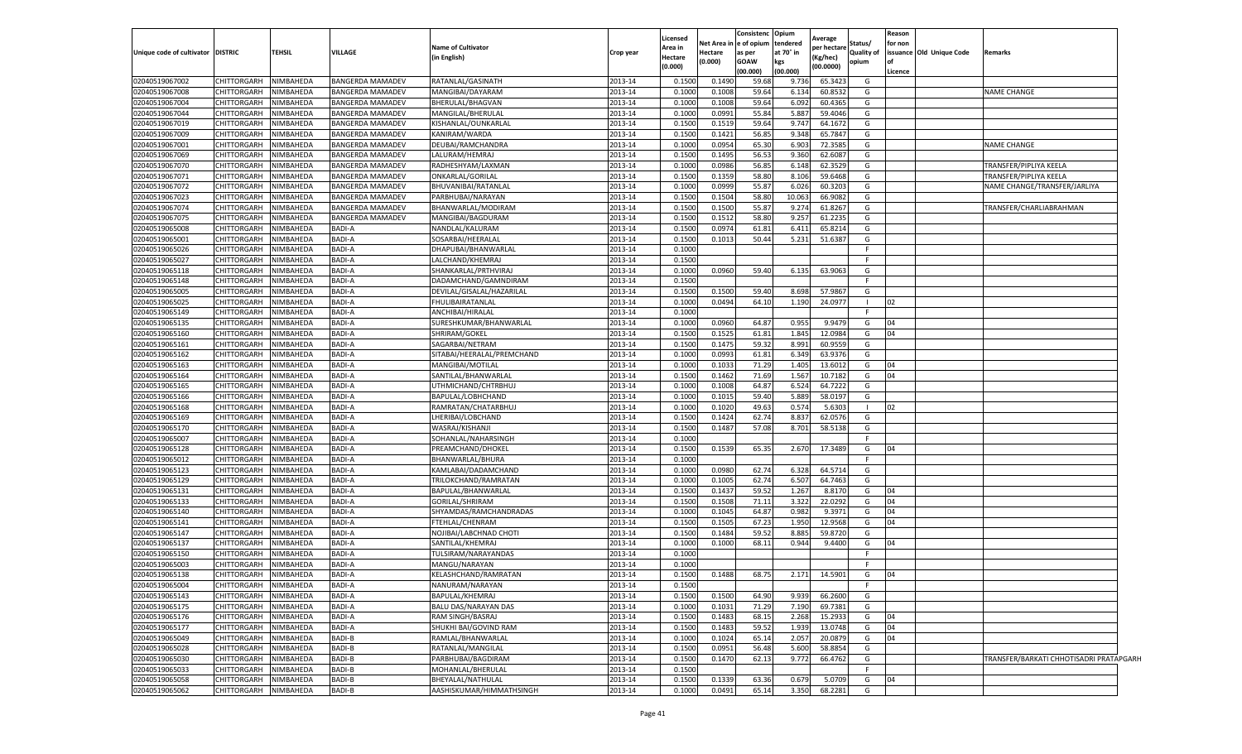|                                  |                            |                        |                                |                                          |                    | Licensed        |          | Consistenc              | Opium           | Average     |              | Reason         |                          |                                         |  |
|----------------------------------|----------------------------|------------------------|--------------------------------|------------------------------------------|--------------------|-----------------|----------|-------------------------|-----------------|-------------|--------------|----------------|--------------------------|-----------------------------------------|--|
|                                  |                            |                        |                                | <b>Name of Cultivator</b>                |                    | Area in         | Net Area | e of opium              | tendered        | per hectare | Status/      | for non        |                          |                                         |  |
| Unique code of cultivator        | <b>DISTRIC</b>             | <b>TEHSIL</b>          | <b>VILLAGE</b>                 | (in English)                             | Crop year          | Hectare         | Hectare  | as per                  | at 70° in       | (Kg/hec)    | Quality of   |                | issuance Old Unique Code | Remarks                                 |  |
|                                  |                            |                        |                                |                                          |                    | (0.000)         | (0.000)  | <b>GOAW</b><br>(00.000) | kgs<br>(00.000) | (00.0000)   | opium        | lof<br>Licence |                          |                                         |  |
| 02040519067002                   | CHITTORGARH                | NIMBAHEDA              | <b>BANGERDA MAMADEV</b>        | RATANLAL/GASINATH                        | 2013-14            | 0.150           | 0.1490   | 59.68                   | 9.736           | 65.3423     | G            |                |                          |                                         |  |
| 02040519067008                   | CHITTORGARH                | <b>NIMBAHEDA</b>       | <b>BANGERDA MAMADEV</b>        | MANGIBAI/DAYARAM                         | 2013-14            | 0.100           | 0.1008   | 59.64                   | 6.13            | 60.853      | G            |                |                          | <b>NAME CHANGE</b>                      |  |
| 02040519067004                   | CHITTORGARH                | <b>IIMBAHEDA</b>       | <b>BANGERDA MAMADEV</b>        | BHERULAL/BHAGVAN                         | 2013-14            | 0.1000          | 0.1008   | 59.64                   | 6.092           | 60.4365     | G            |                |                          |                                         |  |
| 02040519067044                   | CHITTORGARH                | VIMBAHEDA              | <b>BANGERDA MAMADEV</b>        | MANGILAL/BHERULAL                        | 2013-14            | 0.1000          | 0.0991   | 55.84                   | 5.887           | 59.4046     | G            |                |                          |                                         |  |
| 02040519067019                   | CHITTORGARH                | VIMBAHEDA              | <b>BANGERDA MAMADEV</b>        | KISHANLAL/OUNKARLAL                      | 2013-14            | 0.1500          | 0.1519   | 59.64                   | 9.747           | 64.1672     | G            |                |                          |                                         |  |
| 02040519067009                   | CHITTORGARH                | VIMBAHEDA              | <b>BANGERDA MAMADEV</b>        | KANIRAM/WARDA                            | 2013-14            | 0.150           | 0.1421   | 56.85                   | 9.348           | 65.7847     | G            |                |                          |                                         |  |
| 02040519067001                   | CHITTORGARH                | <b>IIMBAHEDA</b>       | BANGERDA MAMADEV               | DEUBAI/RAMCHANDRA                        | 2013-14            | 0.100           | 0.0954   | 65.30                   | 6.903           | 72.3585     | G            |                |                          | <b>NAME CHANGE</b>                      |  |
| 02040519067069                   | CHITTORGARH                | <b>NIMBAHEDA</b>       | <b>BANGERDA MAMADEV</b>        | LALURAM/HEMRAJ                           | 2013-14            | 0.1500          | 0.1495   | 56.53                   | 9.360           | 62.6087     | G            |                |                          |                                         |  |
| 02040519067070                   | CHITTORGARH                | <b>IIMBAHEDA</b>       | <b>BANGERDA MAMADEV</b>        | RADHESHYAM/LAXMAN                        | 2013-14            | 0.100           | 0.0986   | 56.85                   | 6.148           | 62.3529     | G            |                |                          | TRANSFER/PIPLIYA KEELA                  |  |
| 02040519067071                   | CHITTORGARH                | IIMBAHEDA              | <b>BANGERDA MAMADEV</b>        | ONKARLAL/GORILAL                         | 2013-14            | 0.1500          | 0.1359   | 58.80                   | 8.106           | 59.6468     | G            |                |                          | TRANSFER/PIPLIYA KEELA                  |  |
| 02040519067072                   | CHITTORGARH                | VIMBAHEDA              | <b>BANGERDA MAMADEV</b>        | BHUVANIBAI/RATANLAL                      | 2013-14            | 0.1000          | 0.0999   | 55.87                   | 6.026           | 60.3203     | G            |                |                          | NAME CHANGE/TRANSFER/JARLIYA            |  |
| 02040519067023                   | CHITTORGARH                | <b>IIMBAHEDA</b>       | <b>BANGERDA MAMADEV</b>        | PARBHUBAI/NARAYAN                        | 2013-14            | 0.1500          | 0.1504   | 58.80                   | 10.063          | 66.9082     | G            |                |                          |                                         |  |
| 02040519067074                   | CHITTORGARH                | <b>IIMBAHEDA</b>       | <b>BANGERDA MAMADEV</b>        | BHANWARLAL/MODIRAM                       | 2013-14            | 0.1500          | 0.1500   | 55.87                   | 9.274           | 61.8267     | G            |                |                          | TRANSFER/CHARLIABRAHMAN                 |  |
| 02040519067075                   | CHITTORGARH                | <b>NIMBAHEDA</b>       | <b>BANGERDA MAMADEV</b>        | MANGIBAI/BAGDURAM                        | 2013-14            | 0.1500          | 0.1512   | 58.80                   | 9.25            | 61.2235     | G            |                |                          |                                         |  |
| 02040519065008                   | CHITTORGARH                | IIMBAHEDA              | <b>BADI-A</b>                  | NANDLAL/KALURAM                          | 2013-14            | 0.1500          | 0.097    | 61.81                   | 6.411           | 65.8214     | G            |                |                          |                                         |  |
| 02040519065001                   | CHITTORGARH                | <b>IIMBAHEDA</b>       | <b>BADI-A</b>                  | SOSARBAI/HEERALAL                        | 2013-14            | 0.150           | 0.1013   | 50.44                   | 5.231           | 51.6387     | G            |                |                          |                                         |  |
| 02040519065026                   | CHITTORGARH                | <b>IIMBAHEDA</b>       | <b>BADI-A</b>                  | DHAPUBAI/BHANWARLAL                      | 2013-14            | 0.1000          |          |                         |                 |             | -F           |                |                          |                                         |  |
| 02040519065027                   | CHITTORGARH                | VIMBAHEDA              | <b>BADI-A</b>                  | LALCHAND/KHEMRAJ                         | 2013-14            | 0.1500          |          |                         |                 |             | F            |                |                          |                                         |  |
| 02040519065118                   | CHITTORGARH                | <b>IIMBAHEDA</b>       | BADI-A                         | SHANKARLAL/PRTHVIRAJ                     | 2013-14            | 0.1000          | 0.0960   | 59.40                   | 6.135           | 63.9063     | G            |                |                          |                                         |  |
| 02040519065148                   | CHITTORGARH                | <b>IIMBAHEDA</b>       | BADI-A                         | DADAMCHAND/GAMNDIRAM                     | 2013-14            | 0.1500          |          |                         |                 |             | F            |                |                          |                                         |  |
| 02040519065005                   | CHITTORGARH                | <b>IIMBAHEDA</b>       | <b>BADI-A</b>                  | DEVILAL/GISALAL/HAZARILAL                | 2013-14            | 0.150           | 0.150    | 59.40                   | 8.698           | 57.9867     | G            |                |                          |                                         |  |
| 02040519065025                   | CHITTORGARH                | <b>IIMBAHEDA</b>       | <b>BADI-A</b>                  | FHULIBAIRATANLAL                         | 2013-14            | 0.1000          | 0.0494   | 64.10                   | 1.190           | 24.0977     | $\mathbf{I}$ | 02             |                          |                                         |  |
| 02040519065149                   | CHITTORGARH                | <b>IIMBAHEDA</b>       | <b>BADI-A</b>                  | ANCHIBAI/HIRALAL                         | 2013-14            | 0.1000          |          |                         |                 |             | F.           |                |                          |                                         |  |
| 02040519065135                   | CHITTORGARH                | <b>IIMBAHEDA</b>       | <b>BADI-A</b>                  | SURESHKUMAR/BHANWARLAL                   | 2013-14            | 0.1000          | 0.0960   | 64.87                   | 0.955           | 9.9479      | G            | 04             |                          |                                         |  |
| 02040519065160                   | CHITTORGARH                | VIMBAHEDA              | BADI-A                         | SHRIRAM/GOKEL                            | 2013-14            | 0.1500          | 0.1525   | 61.81                   | 1.845           | 12.0984     | G            | 04             |                          |                                         |  |
| 02040519065161                   | CHITTORGARH                | <b>IIMBAHEDA</b>       | BADI-A                         | SAGARBAI/NETRAM                          | 2013-14            | 0.1500          | 0.147    | 59.32                   | 8.991           | 60.9559     | G            |                |                          |                                         |  |
| 02040519065162                   | CHITTORGARH                | <b>IIMBAHEDA</b>       | <b>BADI-A</b>                  | SITABAI/HEERALAL/PREMCHAND               | 2013-14            | 0.1000          | 0.0993   | 61.81                   | 6.349           | 63.937      | G            |                |                          |                                         |  |
| 02040519065163                   | CHITTORGARH                | <b>IIMBAHEDA</b>       | <b>BADI-A</b>                  | MANGIBAI/MOTILAL                         | 2013-14            | 0.1000          | 0.1033   | 71.29                   | 1.405           | 13.6012     | G            | 04             |                          |                                         |  |
| 02040519065164                   | CHITTORGARH                | <b>IIMBAHEDA</b>       | <b>BADI-A</b>                  | SANTILAL/BHANWARLAL                      | 2013-14            | 0.1500          | 0.1462   | 71.69                   | 1.567           | 10.7182     | G            | 04             |                          |                                         |  |
| 02040519065165                   | CHITTORGARH                | <b>IIMBAHEDA</b>       | <b>BADI-A</b>                  | UTHMICHAND/CHTRBHUJ                      | 2013-14            | 0.1000          | 0.1008   | 64.87                   | 6.524           | 64.7222     | G            |                |                          |                                         |  |
| 02040519065166                   | CHITTORGARH                | VIMBAHEDA              | BADI-A                         | BAPULAL/LOBHCHAND                        | 2013-14            | 0.100           | 0.1015   | 59.40                   | 5.889           | 58.0197     | G            |                |                          |                                         |  |
| 02040519065168                   | CHITTORGARH                | <b>IIMBAHEDA</b>       | <b>BADI-A</b>                  | RAMRATAN/CHATARBHUJ                      | 2013-14            | 0.1000          | 0.1020   | 49.63                   | 0.57            | 5.6303      |              | 02             |                          |                                         |  |
| 02040519065169                   | CHITTORGARH                | <b>NIMBAHEDA</b>       | <b>BADI-A</b>                  | LHERIBAI/LOBCHAND                        | 2013-14            | 0.1500          | 0.1424   | 62.74                   | 8.83            | 62.057      | G            |                |                          |                                         |  |
| 02040519065170<br>02040519065007 | CHITTORGARH                | IIMBAHEDA<br>VIMBAHEDA | <b>BADI-A</b><br><b>BADI-A</b> | WASRAJ/KISHANJI                          | 2013-14            | 0.150<br>0.1000 | 0.1487   | 57.08                   | 8.701           | 58.5138     | G<br>F.      |                |                          |                                         |  |
| 02040519065128                   | CHITTORGARH<br>CHITTORGARH | <b>IIMBAHEDA</b>       | <b>BADI-A</b>                  | SOHANLAL/NAHARSINGH<br>PREAMCHAND/DHOKEL | 2013-14<br>2013-14 | 0.1500          | 0.1539   | 65.35                   | 2.670           | 17.3489     | G            | 04             |                          |                                         |  |
| 02040519065012                   | CHITTORGARH                | VIMBAHEDA              | <b>BADI-A</b>                  | BHANWARLAL/BHURA                         | 2013-14            | 0.1000          |          |                         |                 |             |              |                |                          |                                         |  |
| 02040519065123                   | CHITTORGARH                | <b>IIMBAHEDA</b>       | BADI-A                         | KAMLABAI/DADAMCHAND                      | 2013-14            | 0.1000          | 0.0980   | 62.74                   | 6.328           | 64.5714     | G            |                |                          |                                         |  |
| 02040519065129                   | CHITTORGARH                | VIMBAHEDA              | <b>BADI-A</b>                  | TRILOKCHAND/RAMRATAN                     | 2013-14            | 0.1000          | 0.1005   | 62.74                   | 6.507           | 64.7463     | G            |                |                          |                                         |  |
| 02040519065131                   | CHITTORGARH                | <b>IIMBAHEDA</b>       | <b>BADI-A</b>                  | BAPULAL/BHANWARLAL                       | 2013-14            | 0.150           | 0.1437   | 59.52                   | 1.267           | 8.8170      | G            | 04             |                          |                                         |  |
| 02040519065133                   | CHITTORGARH                | <b>IIMBAHEDA</b>       | <b>BADI-A</b>                  | GORILAL/SHRIRAM                          | 2013-14            | 0.1500          | 0.1508   | 71.11                   | 3.322           | 22.0292     | G            | 04             |                          |                                         |  |
| 02040519065140                   | CHITTORGARH                | VIMBAHEDA              | <b>BADI-A</b>                  | SHYAMDAS/RAMCHANDRADAS                   | 2013-14            | 0.1000          | 0.1045   | 64.87                   | 0.982           | 9.3971      | G            | 04             |                          |                                         |  |
| 02040519065141                   | CHITTORGARH                | <b>IIMBAHEDA</b>       | <b>BADI-A</b>                  | FTEHLAL/CHENRAM                          | 2013-14            | 0.150           | 0.150    | 67.2                    | 1.950           | 12.9568     | G            | 04             |                          |                                         |  |
| 02040519065147                   | CHITTORGARH                | VIMBAHEDA              | BADI-A                         | NOJIBAI/LABCHNAD CHOTI                   | 2013-14            | 0.1500          | 0.1484   | 59.52                   | 8.885           | 59.8720     | G            |                |                          |                                         |  |
| 02040519065137                   | CHITTORGARH                | <b>IIMBAHEDA</b>       | BADI-A                         | SANTILAL/KHEMRAJ                         | 2013-14            | 0.1000          | 0.1000   | 68.11                   | 0.944           | 9.4400      | G            | 04             |                          |                                         |  |
| 02040519065150                   | CHITTORGARH                | IIMBAHEDA              | <b>BADI-A</b>                  | TULSIRAM/NARAYANDAS                      | 2013-14            | 0.100           |          |                         |                 |             | F.           |                |                          |                                         |  |
| 02040519065003                   | CHITTORGARH                | <b>IIMBAHEDA</b>       | BADI-A                         | MANGU/NARAYAN                            | 2013-14            | 0.1000          |          |                         |                 |             | F.           |                |                          |                                         |  |
| 02040519065138                   | CHITTORGARH                | NIMBAHEDA              | <b>BADI-A</b>                  | KELASHCHAND/RAMRATAN                     | 2013-14            | 0.1500          | 0.1488   | 68.75                   | 2.171           | 14.5901     | G            | 04             |                          |                                         |  |
| 02040519065004                   | CHITTORGARH                | NIMBAHEDA              | <b>BADI-A</b>                  | NANURAM/NARAYAN                          | 2013-14            | 0.1500          |          |                         |                 |             | -F           |                |                          |                                         |  |
| 02040519065143                   | CHITTORGARH                | NIMBAHEDA              | <b>BADI-A</b>                  | BAPULAL/KHEMRAJ                          | 2013-14            | 0.1500          | 0.1500   | 64.90                   | 9.939           | 66.2600     | G            |                |                          |                                         |  |
| 02040519065175                   | CHITTORGARH                | NIMBAHEDA              | <b>BADI-A</b>                  | BALU DAS/NARAYAN DAS                     | 2013-14            | 0.1000          | 0.1031   | 71.29                   | 7.190           | 69.7381     | G            |                |                          |                                         |  |
| 02040519065176                   | CHITTORGARH                | NIMBAHEDA              | <b>BADI-A</b>                  | RAM SINGH/BASRAJ                         | 2013-14            | 0.1500          | 0.1483   | 68.15                   | 2.268           | 15.2933     | G            | 04             |                          |                                         |  |
| 02040519065177                   | CHITTORGARH                | NIMBAHEDA              | <b>BADI-A</b>                  | SHUKHI BAI/GOVIND RAM                    | 2013-14            | 0.1500          | 0.1483   | 59.52                   | 1.939           | 13.0748     | G            | 04             |                          |                                         |  |
| 02040519065049                   | CHITTORGARH                | NIMBAHEDA              | BADI-B                         | RAMLAL/BHANWARLAL                        | 2013-14            | 0.1000          | 0.1024   | 65.14                   | 2.057           | 20.0879     | G            | 04             |                          |                                         |  |
| 02040519065028                   | CHITTORGARH                | NIMBAHEDA              | BADI-B                         | RATANLAL/MANGILAL                        | 2013-14            | 0.1500          | 0.0951   | 56.48                   | 5.600           | 58.8854     | G            |                |                          |                                         |  |
| 02040519065030                   | CHITTORGARH                | NIMBAHEDA              | BADI-B                         | PARBHUBAI/BAGDIRAM                       | 2013-14            | 0.1500          | 0.1470   | 62.13                   | 9.772           | 66.4762     | G            |                |                          | TRANSFER/BARKATI CHHOTISADRI PRATAPGARH |  |
| 02040519065033                   | CHITTORGARH                | NIMBAHEDA              | <b>BADI-B</b>                  | MOHANLAL/BHERULAL                        | 2013-14            | 0.1500          |          |                         |                 |             | F            |                |                          |                                         |  |
| 02040519065058                   | CHITTORGARH                | NIMBAHEDA              | BADI-B                         | BHEYALAL/NATHULAL                        | 2013-14            | 0.1500          | 0.1339   | 63.36                   | 0.679           | 5.0709      | G            | 04             |                          |                                         |  |
| 02040519065062                   | CHITTORGARH                | NIMBAHEDA              | <b>BADI-B</b>                  | AASHISKUMAR/HIMMATHSINGH                 | 2013-14            | 0.1000          | 0.0491   | 65.14                   | 3.350           | 68.2281     | G            |                |                          |                                         |  |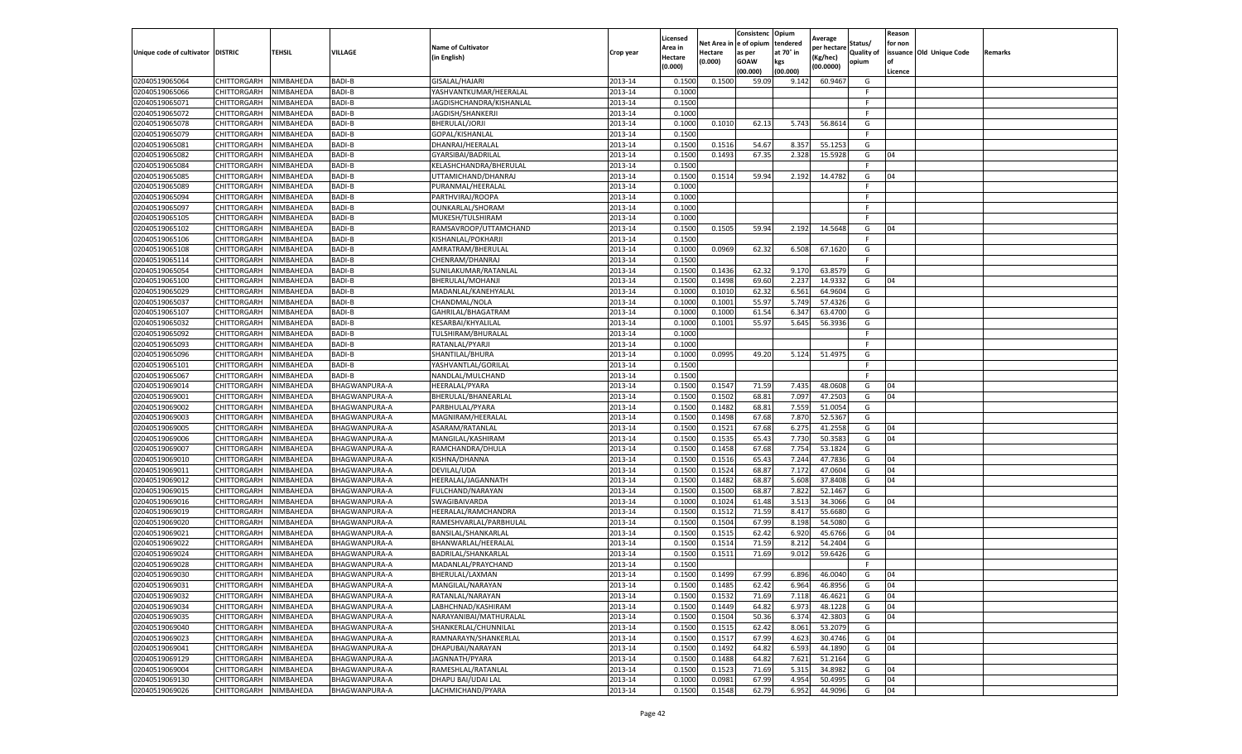|                                     |                    |           |                      |                           |           | Licensed       |                       | Consistenc Opium     |                       | Average     |                              | Reason  |                          |         |
|-------------------------------------|--------------------|-----------|----------------------|---------------------------|-----------|----------------|-----------------------|----------------------|-----------------------|-------------|------------------------------|---------|--------------------------|---------|
| Unique code of cultivator   DISTRIC |                    | TEHSIL    | VILLAGE              | <b>Name of Cultivator</b> | Crop year | Area in        | Net Area i<br>Hectare | e of opium<br>as per | tendered<br>at 70° in | per hectare | Status/<br><b>Quality of</b> | for non | issuance Old Unique Code | Remarks |
|                                     |                    |           |                      | in English)               |           | <b>Hectare</b> | (0.000)               | <b>GOAW</b>          | kgs                   | Kg/hec)     | opium                        | of      |                          |         |
|                                     |                    |           |                      |                           |           | (0.000)        |                       | (00.000)             | (00.000)              | (00.0000)   |                              | Licence |                          |         |
| 02040519065064                      | CHITTORGARH        | NIMBAHEDA | BADI-B               | GISALAL/HAJARI            | 2013-14   | 0.1500         | 0.1500                | 59.09                | 9.14                  | 60.9467     | G                            |         |                          |         |
| 02040519065066                      | CHITTORGARH        | NIMBAHEDA | BADI-B               | YASHVANTKUMAR/HEERALAL    | 2013-14   | 0.1000         |                       |                      |                       |             | F.                           |         |                          |         |
| 02040519065071                      | CHITTORGARH        | NIMBAHEDA | BADI-B               | JAGDISHCHANDRA/KISHANLAL  | 2013-14   | 0.1500         |                       |                      |                       |             | F.                           |         |                          |         |
| 02040519065072                      | CHITTORGARH        | NIMBAHEDA | BADI-B               | JAGDISH/SHANKERJI         | 2013-14   | 0.1000         |                       |                      |                       |             | F.                           |         |                          |         |
| 02040519065078                      | CHITTORGARH        | NIMBAHEDA | BADI-B               | BHERULAL/JORJI            | 2013-14   | 0.1000         | 0.1010                | 62.13                | 5.743                 | 56.8614     | G                            |         |                          |         |
| 02040519065079                      | CHITTORGARH        | NIMBAHEDA | <b>BADI-B</b>        | GOPAL/KISHANLAL           | 2013-14   | 0.1500         |                       |                      |                       |             | F                            |         |                          |         |
| 02040519065081                      | CHITTORGARH        | NIMBAHEDA | BADI-B               | DHANRAJ/HEERALAL          | 2013-14   | 0.1500         | 0.1516                | 54.67                | 8.357                 | 55.1253     | G                            |         |                          |         |
| 02040519065082                      | CHITTORGARH        | NIMBAHEDA | BADI-B               | <b>GYARSIBAI/BADRILAI</b> | 2013-14   | 0.1500         | 0.1493                | 67.35                | 2.328                 | 15.5928     | G                            | 04      |                          |         |
| 02040519065084                      | CHITTORGARH        | NIMBAHEDA | <b>BADI-B</b>        | KELASHCHANDRA/BHERULAL    | 2013-14   | 0.1500         |                       |                      |                       |             | F.                           |         |                          |         |
| 02040519065085                      | CHITTORGARH        | NIMBAHEDA | BADI-B               | UTTAMICHAND/DHANRAJ       | 2013-14   | 0.1500         | 0.1514                | 59.94                | 2.192                 | 14.4782     | G                            | 04      |                          |         |
| 02040519065089                      | CHITTORGARH        | NIMBAHEDA | BADI-B               | PURANMAL/HEERALAL         | 2013-14   | 0.1000         |                       |                      |                       |             | F                            |         |                          |         |
| 02040519065094                      | CHITTORGARH        | NIMBAHEDA | <b>BADI-B</b>        | PARTHVIRAJ/ROOPA          | 2013-14   | 0.1000         |                       |                      |                       |             | F                            |         |                          |         |
| 02040519065097                      | CHITTORGARH        | NIMBAHEDA | <b>BADI-B</b>        | OUNKARLAL/SHORAM          | 2013-14   | 0.1000         |                       |                      |                       |             | F                            |         |                          |         |
| 02040519065105                      | CHITTORGARH        | NIMBAHEDA | BADI-B               | MUKESH/TULSHIRAM          | 2013-14   | 0.1000         |                       |                      |                       |             | F.                           |         |                          |         |
| 02040519065102                      | CHITTORGARH        | NIMBAHEDA | <b>BADI-B</b>        | RAMSAVROOP/UTTAMCHAND     | 2013-14   | 0.1500         | 0.1505                | 59.94                | 2.192                 | 14.5648     | G                            | 04      |                          |         |
| 02040519065106                      | CHITTORGARH        | NIMBAHEDA | BADI-B               | KISHANLAL/POKHARJI        | 2013-14   | 0.1500         |                       |                      |                       |             | F.                           |         |                          |         |
| 02040519065108                      | CHITTORGARH        | NIMBAHEDA | BADI-B               | AMRATRAM/BHERULAL         | 2013-14   | 0.1000         | 0.0969                | 62.32                | 6.508                 | 67.1620     | G                            |         |                          |         |
| 02040519065114                      | CHITTORGARH        | NIMBAHEDA | BADI-B               | CHENRAM/DHANRAJ           | 2013-14   | 0.1500         |                       |                      |                       |             | F                            |         |                          |         |
| 02040519065054                      | CHITTORGARH        | NIMBAHEDA | <b>BADI-B</b>        | SUNILAKUMAR/RATANLAL      | 2013-14   | 0.1500         | 0.1436                | 62.32                | 9.17                  | 63.8579     | G                            |         |                          |         |
| 02040519065100                      | CHITTORGARH        | NIMBAHEDA | <b>BADI-B</b>        | BHERULAL/MOHANJ           | 2013-14   | 0.1500         | 0.1498                | 69.60                | 2.237                 | 14.933      | G                            | 04      |                          |         |
| 02040519065029                      | CHITTORGARH        | NIMBAHEDA | BADI-B               | MADANLAL/KANEHYALAL       | 2013-14   | 0.1000         | 0.1010                | 62.32                | 6.561                 | 64.9604     | G                            |         |                          |         |
| 02040519065037                      | CHITTORGARH        | NIMBAHEDA | BADI-B               | CHANDMAL/NOLA             | 2013-14   | 0.1000         | 0.1001                | 55.97                | 5.749                 | 57.4326     | G                            |         |                          |         |
| 02040519065107                      | CHITTORGARH        | NIMBAHEDA | BADI-B               | GAHRILAL/BHAGATRAM        | 2013-14   | 0.1000         | 0.1000                | 61.54                | 6.347                 | 63.4700     | G                            |         |                          |         |
| 02040519065032                      | CHITTORGARH        | NIMBAHEDA | BADI-B               | KESARBAI/KHYALILAL        | 2013-14   | 0.1000         | 0.1001                | 55.97                | 5.645                 | 56.3936     | G                            |         |                          |         |
| 02040519065092                      | <b>CHITTORGARH</b> | NIMBAHEDA | <b>BADI-B</b>        | TULSHIRAM/BHURALAL        | 2013-14   | 0.1000         |                       |                      |                       |             | F.                           |         |                          |         |
| 02040519065093                      | CHITTORGARH        | NIMBAHEDA | BADI-B               | RATANLAL/PYARJI           | 2013-14   | 0.1000         |                       |                      |                       |             | F.                           |         |                          |         |
| 02040519065096                      | CHITTORGARH        | NIMBAHEDA | BADI-B               | SHANTILAL/BHURA           | 2013-14   | 0.1000         | 0.0995                | 49.20                | 5.124                 | 51.4975     | G                            |         |                          |         |
| 02040519065101                      | CHITTORGARH        | NIMBAHEDA | BADI-B               | YASHVANTLAL/GORILAL       | 2013-14   | 0.1500         |                       |                      |                       |             | F.                           |         |                          |         |
| 02040519065067                      | CHITTORGARH        | NIMBAHEDA | BADI-B               | NANDLAL/MULCHAND          | 2013-14   | 0.1500         |                       |                      |                       |             | F                            |         |                          |         |
| 02040519069014                      | CHITTORGARH        | NIMBAHEDA | BHAGWANPURA-A        | HEERALAL/PYARA            | 2013-14   | 0.1500         | 0.1547                | 71.59                | 7.435                 | 48.0608     | G                            | 04      |                          |         |
| 02040519069001                      | CHITTORGARH        | NIMBAHEDA | BHAGWANPURA-A        | BHERULAL/BHANEARLAL       | 2013-14   | 0.1500         | 0.1502                | 68.81                | 7.097                 | 47.2503     | G                            | 04      |                          |         |
| 02040519069002                      | CHITTORGARH        | NIMBAHEDA | BHAGWANPURA-A        | PARBHULAL/PYARA           | 2013-14   | 0.1500         | 0.1482                | 68.81                | 7.559                 | 51.0054     | G                            |         |                          |         |
| 02040519069003                      | CHITTORGARH        | NIMBAHEDA | BHAGWANPURA-A        | MAGNIRAM/HEERALAI         | 2013-14   | 0.1500         | 0.1498                | 67.68                | 7.87                  | 52.5367     | G                            |         |                          |         |
| 02040519069005                      | CHITTORGARH        | NIMBAHEDA | BHAGWANPURA-A        | ASARAM/RATANLAL           | 2013-14   | 0.1500         | 0.1521                | 67.68                | 6.275                 | 41.2558     | G                            | 04      |                          |         |
| 02040519069006                      | CHITTORGARH        | NIMBAHEDA | BHAGWANPURA-A        | MANGILAL/KASHIRAM         | 2013-14   | 0.1500         | 0.1535                | 65.43                | 7.730                 | 50.3583     | G                            | 04      |                          |         |
| 02040519069007                      | CHITTORGARH        | NIMBAHEDA | BHAGWANPURA-A        | RAMCHANDRA/DHULA          | 2013-14   | 0.1500         | 0.1458                | 67.68                | 7.754                 | 53.1824     | G                            |         |                          |         |
| 02040519069010                      | CHITTORGARH        | NIMBAHEDA | BHAGWANPURA-A        | KISHNA/DHANNA             | 2013-14   | 0.1500         | 0.1516                | 65.43                | 7.244                 | 47.7836     | G                            | 04      |                          |         |
| 02040519069011                      | CHITTORGARH        | NIMBAHEDA | BHAGWANPURA-A        | DEVILAL/UDA               | 2013-14   | 0.1500         | 0.1524                | 68.87                | 7.172                 | 47.0604     | G                            | 04      |                          |         |
| 02040519069012                      | CHITTORGARH        | NIMBAHEDA | BHAGWANPURA-A        | HEERALAL/JAGANNATH        | 2013-14   | 0.1500         | 0.1482                | 68.87                | 5.608                 | 37.8408     | G                            | 04      |                          |         |
| 02040519069015                      | CHITTORGARH        | NIMBAHEDA | BHAGWANPURA-A        | FULCHAND/NARAYAN          | 2013-14   | 0.1500         | 0.1500                | 68.87                | 7.822                 | 52.1467     | G                            |         |                          |         |
| 02040519069016                      | CHITTORGARH        | NIMBAHEDA | BHAGWANPURA-A        | SWAGIBAIVARDA             | 2013-14   | 0.1000         | 0.1024                | 61.48                | 3.513                 | 34.3066     | G                            | 04      |                          |         |
| 02040519069019                      | CHITTORGARH        | NIMBAHEDA | BHAGWANPURA-A        | HEERALAL/RAMCHANDRA       | 2013-14   | 0.1500         | 0.1512                | 71.59                | 8.417                 | 55.6680     | G                            |         |                          |         |
| 02040519069020                      | CHITTORGARH        | NIMBAHEDA | BHAGWANPURA-A        | RAMESHVARLAL/PARBHULAL    | 2013-14   | 0.1500         | 0.1504                | 67.99                | 8.198                 | 54.5080     | G                            |         |                          |         |
| 02040519069021                      | CHITTORGARH        | NIMBAHEDA | BHAGWANPURA-A        | BANSILAL/SHANKARLAL       | 2013-14   | 0.1500         | 0.1515                | 62.42                | 6.920                 | 45.6766     | G                            | 04      |                          |         |
| 02040519069022                      | CHITTORGARH        | NIMBAHEDA | BHAGWANPURA-A        | BHANWARLAL/HEERALAL       | 2013-14   | 0.1500         | 0.1514                | 71.59                | 8.21                  | 54.2404     | G                            |         |                          |         |
| 02040519069024                      | CHITTORGARH        | NIMBAHEDA | BHAGWANPURA-A        | BADRILAL/SHANKARLAL       | 2013-14   | 0.1500         | 0.1511                | 71.69                | 9.012                 | 59.6426     | G                            |         |                          |         |
| 02040519069028                      | CHITTORGARH        | NIMBAHEDA | BHAGWANPURA-A        | MADANLAL/PRAYCHAND        | 2013-14   | 0.1500         |                       |                      |                       |             | F.                           |         |                          |         |
| 02040519069030                      | CHITTORGARH        | NIMBAHEDA | BHAGWANPURA-A        | BHERULAL/LAXMAN           | 2013-14   | 0.1500         | 0.1499                | 67.99                | 6.896                 | 46.0040     | G                            | 04      |                          |         |
| 02040519069031                      | CHITTORGARH        | NIMBAHEDA | <b>BHAGWANPURA-A</b> | MANGILAL/NARAYAN          | 2013-14   | 0.1500         | 0.1485                | 62.42                | 6.964                 | 46.8956     | G                            | 04      |                          |         |
| 02040519069032                      | <b>CHITTORGARH</b> | NIMBAHEDA | BHAGWANPURA-A        | RATANLAL/NARAYAN          | 2013-14   | 0.1500         | 0.1532                | 71.69                | 7.118                 | 46.4621     | G                            | 04      |                          |         |
| 02040519069034                      | <b>CHITTORGARH</b> | NIMBAHEDA | BHAGWANPURA-A        | LABHCHNAD/KASHIRAM        | 2013-14   | 0.1500         | 0.1449                | 64.82                | 6.973                 | 48.1228     | G                            | 04      |                          |         |
| 02040519069035                      | <b>CHITTORGARH</b> | NIMBAHEDA | BHAGWANPURA-A        | NARAYANIBAI/MATHURALAL    | 2013-14   | 0.1500         | 0.1504                | 50.36                | 6.374                 | 42.3803     | G                            | 04      |                          |         |
| 02040519069040                      | <b>CHITTORGARH</b> | NIMBAHEDA | BHAGWANPURA-A        | SHANKERLAL/CHUNNILAL      | 2013-14   | 0.1500         | 0.1515                | 62.42                | 8.061                 | 53.2079     | G                            |         |                          |         |
| 02040519069023                      | CHITTORGARH        | NIMBAHEDA | BHAGWANPURA-A        | RAMNARAYN/SHANKERLAL      | 2013-14   | 0.1500         | 0.1517                | 67.99                | 4.623                 | 30.4746     | G                            | 04      |                          |         |
| 02040519069041                      | <b>CHITTORGARH</b> | NIMBAHEDA | BHAGWANPURA-A        | DHAPUBAI/NARAYAN          | 2013-14   | 0.1500         | 0.1492                | 64.82                | 6.593                 | 44.1890     | G                            | 04      |                          |         |
| 02040519069129                      | CHITTORGARH        | NIMBAHEDA | BHAGWANPURA-A        | JAGNNATH/PYARA            | 2013-14   | 0.1500         | 0.1488                | 64.82                | 7.621                 | 51.2164     | G                            |         |                          |         |
| 02040519069004                      | CHITTORGARH        | NIMBAHEDA | BHAGWANPURA-A        | RAMESHLAL/RATANLAL        | 2013-14   | 0.1500         | 0.1523                | 71.69                | 5.315                 | 34.8982     | G                            | 04      |                          |         |
| 02040519069130                      | <b>CHITTORGARH</b> | NIMBAHEDA | BHAGWANPURA-A        | DHAPU BAI/UDAI LAL        | 2013-14   | 0.1000         | 0.0981                | 67.99                | 4.954                 | 50.4995     | G                            | 04      |                          |         |
| 02040519069026                      | <b>CHITTORGARH</b> | NIMBAHEDA | BHAGWANPURA-A        | LACHMICHAND/PYARA         | 2013-14   | 0.1500         | 0.1548                | 62.79                | 6.952                 | 44.9096     | G                            | 04      |                          |         |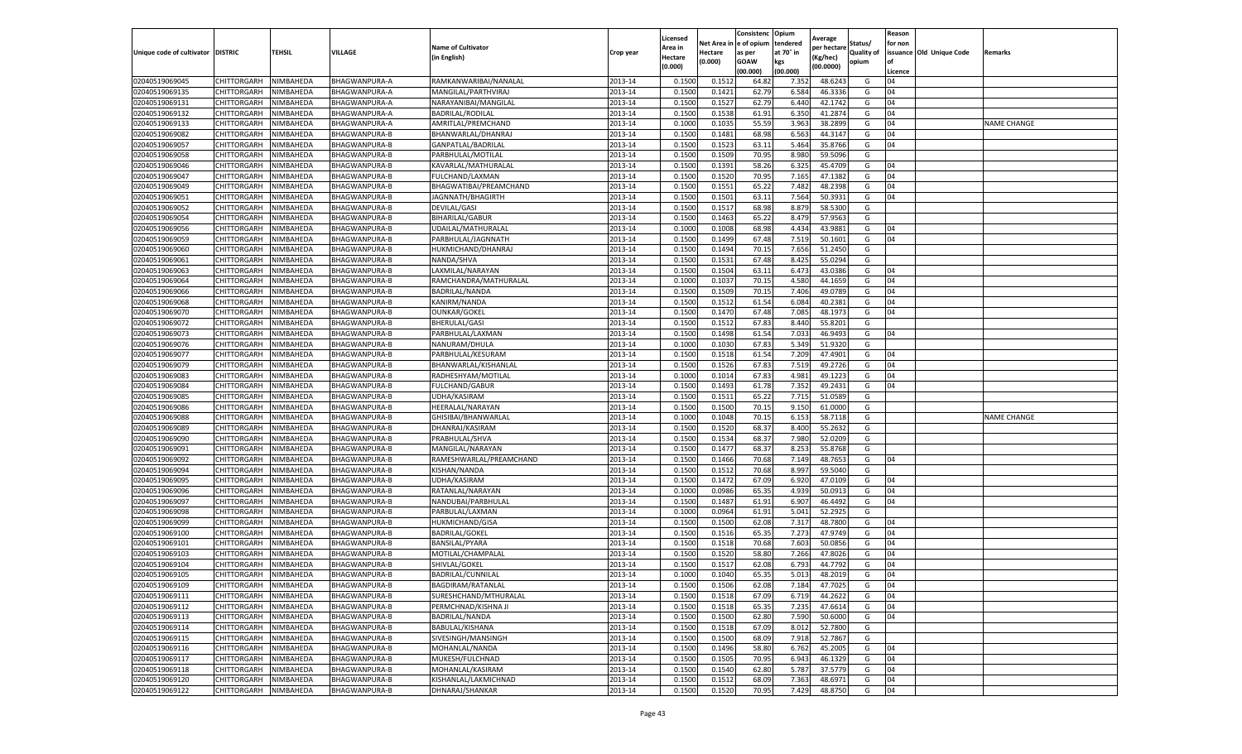|                           |                    |           |                      |                           |           |                     |         | Consistenc             | Opium     |                        |                   | Reason  |                          |                    |
|---------------------------|--------------------|-----------|----------------------|---------------------------|-----------|---------------------|---------|------------------------|-----------|------------------------|-------------------|---------|--------------------------|--------------------|
|                           |                    |           |                      | <b>Name of Cultivator</b> |           | Licensed<br>Area in |         | Net Area in e of opium | tendered  | Average<br>per hectare | Status/           | for non |                          |                    |
| Unique code of cultivator | <b>DISTRIC</b>     | TEHSIL    | VILLAGE              | in English)               | Crop year | Hectare             | Hectare | as per                 | at 70° in | (Kg/hec                | <b>Quality of</b> |         | issuance Old Unique Code | <b>Remarks</b>     |
|                           |                    |           |                      |                           |           | (0.000)             | (0.000) | <b>GOAW</b>            | kgs       | (00.0000)              | opium             |         |                          |                    |
|                           |                    |           |                      |                           |           |                     |         | (00.000)               | (00.000)  |                        |                   | Licence |                          |                    |
| 02040519069045            | CHITTORGARH        | NIMBAHEDA | BHAGWANPURA-A        | RAMKANWARIBAI/NANALAL     | 2013-14   | 0.1500              | 0.1512  | 64.82                  | 7.352     | 48.6243                | G                 | 04      |                          |                    |
| 02040519069135            | CHITTORGARH        | NIMBAHEDA | BHAGWANPURA-A        | MANGILAL/PARTHVIRAJ       | 2013-14   | 0.1500              | 0.1421  | 62.79                  | 6.584     | 46.3336                | G                 | 04      |                          |                    |
| 02040519069131            | CHITTORGARH        | NIMBAHEDA | BHAGWANPURA-A        | NARAYANIBAI/MANGILAL      | 2013-14   | 0.1500              | 0.1527  | 62.79                  | 6.440     | 42.1742                | G                 | 04      |                          |                    |
| 02040519069132            | CHITTORGARH        | NIMBAHEDA | BHAGWANPURA-A        | BADRILAL/RODILAL          | 2013-14   | 0.1500              | 0.1538  | 61.91                  | 6.350     | 41.2874                | G                 | 04      |                          |                    |
| 02040519069133            | CHITTORGARH        | NIMBAHEDA | BHAGWANPURA-A        | AMRITLAL/PREMCHAND        | 2013-14   | 0.1000              | 0.1035  | 55.59                  | 3.963     | 38.2899                | G                 | 04      |                          | <b>NAME CHANGE</b> |
| 02040519069082            | CHITTORGARH        | NIMBAHEDA | BHAGWANPURA-B        | BHANWARLAL/DHANRAJ        | 2013-14   | 0.1500              | 0.1481  | 68.98                  | 6.563     | 44.3147                | G                 | 04      |                          |                    |
| 02040519069057            | CHITTORGARH        | NIMBAHEDA | <b>BHAGWANPURA-B</b> | GANPATLAL/BADRILAL        | 2013-14   | 0.1500              | 0.1523  | 63.11                  | 5.464     | 35.8766                | G                 | 04      |                          |                    |
| 02040519069058            | CHITTORGARH        | NIMBAHEDA | <b>BHAGWANPURA-B</b> | PARBHULAL/MOTILAL         | 2013-14   | 0.1500              | 0.1509  | 70.95                  | 8.98      | 59.5096                | G                 |         |                          |                    |
| 02040519069046            | CHITTORGARH        | NIMBAHEDA | <b>BHAGWANPURA-B</b> | KAVARLAL/MATHURALAL       | 2013-14   | 0.1500              | 0.1391  | 58.26                  | 6.325     | 45.4709                | G                 | 04      |                          |                    |
| 02040519069047            | CHITTORGARH        | NIMBAHEDA | <b>BHAGWANPURA-B</b> | FULCHAND/LAXMAN           | 2013-14   | 0.1500              | 0.1520  | 70.95                  | 7.165     | 47.1382                | G                 | 04      |                          |                    |
| 02040519069049            | CHITTORGARH        | NIMBAHEDA | <b>BHAGWANPURA-B</b> | BHAGWATIBAI/PREAMCHAND    | 2013-14   | 0.1500              | 0.1551  | 65.22                  | 7.482     | 48.2398                | G                 | 04      |                          |                    |
| 02040519069051            | CHITTORGARH        | NIMBAHEDA | <b>BHAGWANPURA-B</b> | JAGNNATH/BHAGIRTH         | 2013-14   | 0.1500              | 0.1501  | 63.11                  | 7.564     | 50.3931                | G                 | 04      |                          |                    |
| 02040519069052            | CHITTORGARH        | NIMBAHEDA | BHAGWANPURA-B        | <b>DEVILAL/GASI</b>       | 2013-14   | 0.1500              | 0.1517  | 68.98                  | 8.879     | 58.5300                | G                 |         |                          |                    |
| 02040519069054            | CHITTORGARH        | NIMBAHEDA | <b>BHAGWANPURA-B</b> | <b>BIHARILAL/GABUR</b>    | 2013-14   | 0.1500              | 0.1463  | 65.22                  | 8.479     | 57.9563                | G                 |         |                          |                    |
| 02040519069056            | CHITTORGARH        | NIMBAHEDA | BHAGWANPURA-B        | UDAILAL/MATHURALAL        | 2013-14   | 0.1000              | 0.1008  | 68.98                  | 4.434     | 43.9881                | G                 | 04      |                          |                    |
| 02040519069059            | CHITTORGARH        | NIMBAHEDA | <b>BHAGWANPURA-B</b> | PARBHULAL/JAGNNATH        | 2013-14   | 0.1500              | 0.1499  | 67.48                  | 7.519     | 50.1601                | G                 | 04      |                          |                    |
| 02040519069060            | CHITTORGARH        | NIMBAHEDA | <b>BHAGWANPURA-B</b> | HUKMICHAND/DHANRAJ        | 2013-14   | 0.1500              | 0.1494  | 70.15                  | 7.656     | 51.2450                | G                 |         |                          |                    |
| 02040519069061            | CHITTORGARH        | NIMBAHEDA | BHAGWANPURA-B        | NANDA/SHVA                | 2013-14   | 0.1500              | 0.1531  | 67.48                  | 8.425     | 55.0294                | G                 |         |                          |                    |
| 02040519069063            | CHITTORGARH        | NIMBAHEDA | BHAGWANPURA-B        | LAXMILAL/NARAYAN          | 2013-14   | 0.1500              | 0.1504  | 63.11                  | 6.473     | 43.0386                | G                 | 04      |                          |                    |
| 02040519069064            | CHITTORGARH        | NIMBAHEDA | BHAGWANPURA-B        | RAMCHANDRA/MATHURALAI     | 2013-14   | 0.1000              | 0.1037  | 70.15                  | 4.580     | 44.1659                | G                 | 04      |                          |                    |
| 02040519069066            | CHITTORGARH        | NIMBAHEDA | <b>BHAGWANPURA-B</b> | BADRILAL/NANDA            | 2013-14   | 0.1500              | 0.1509  | 70.15                  | 7.406     | 49.0789                | G                 | 04      |                          |                    |
| 02040519069068            | CHITTORGARH        | NIMBAHEDA | <b>BHAGWANPURA-B</b> | KANIRM/NANDA              | 2013-14   | 0.1500              | 0.1512  | 61.54                  | 6.084     | 40.2381                | G                 | 04      |                          |                    |
| 02040519069070            | CHITTORGARH        | NIMBAHEDA | <b>BHAGWANPURA-B</b> | <b>OUNKAR/GOKEL</b>       | 2013-14   | 0.1500              | 0.1470  | 67.48                  | 7.085     | 48.1973                | G                 | 04      |                          |                    |
| 02040519069072            | CHITTORGARH        | NIMBAHEDA | BHAGWANPURA-B        | BHERULAL/GASI             | 2013-14   | 0.1500              | 0.1512  | 67.83                  | 8.440     | 55.8201                | G                 |         |                          |                    |
| 02040519069073            | CHITTORGARH        | NIMBAHEDA | BHAGWANPURA-B        | PARBHULAL/LAXMAN          | 2013-14   | 0.1500              | 0.1498  | 61.54                  | 7.033     | 46.9493                | G                 | 04      |                          |                    |
| 02040519069076            | CHITTORGARH        | NIMBAHEDA | BHAGWANPURA-B        | NANURAM/DHULA             | 2013-14   | 0.1000              | 0.1030  | 67.83                  | 5.349     | 51.9320                | G                 |         |                          |                    |
| 02040519069077            | CHITTORGARH        | NIMBAHEDA | <b>BHAGWANPURA-B</b> | PARBHULAL/KESURAM         | 2013-14   | 0.1500              | 0.1518  | 61.54                  | 7.209     | 47.4901                | G                 | 04      |                          |                    |
| 02040519069079            | CHITTORGARH        | NIMBAHEDA | BHAGWANPURA-B        | BHANWARLAL/KISHANLAL      | 2013-14   | 0.1500              | 0.1526  | 67.83                  | 7.519     | 49.2726                | G                 | 04      |                          |                    |
| 02040519069083            | CHITTORGARH        | NIMBAHEDA | <b>BHAGWANPURA-B</b> | RADHESHYAM/MOTILAL        | 2013-14   | 0.1000              | 0.1014  | 67.83                  | 4.981     | 49.1223                | G                 | 04      |                          |                    |
| 02040519069084            | CHITTORGARH        | NIMBAHEDA | <b>BHAGWANPURA-B</b> | <b>FULCHAND/GABUR</b>     | 2013-14   | 0.1500              | 0.1493  | 61.78                  | 7.352     | 49.2431                | G                 | 04      |                          |                    |
| 02040519069085            | CHITTORGARH        | NIMBAHEDA | BHAGWANPURA-B        | UDHA/KASIRAM              | 2013-14   | 0.1500              | 0.1511  | 65.22                  | 7.715     | 51.0589                | G                 |         |                          |                    |
| 02040519069086            | CHITTORGARH        | NIMBAHEDA | <b>BHAGWANPURA-B</b> | HEERALAL/NARAYAN          | 2013-14   | 0.1500              | 0.1500  | 70.15                  | 9.15      | 61.0000                | G                 |         |                          |                    |
| 02040519069088            | CHITTORGARH        | NIMBAHEDA | <b>BHAGWANPURA-B</b> | GHISIBAI/BHANWARLAL       | 2013-14   | 0.1000              | 0.1048  | 70.15                  | 6.153     | 58.7118                | G                 |         |                          | <b>NAME CHANGE</b> |
| 02040519069089            | CHITTORGARH        | NIMBAHEDA | BHAGWANPURA-B        | DHANRAJ/KASIRAM           | 2013-14   | 0.1500              | 0.1520  | 68.37                  | 8.400     | 55.2632                | G                 |         |                          |                    |
| 02040519069090            | CHITTORGARH        | NIMBAHEDA | <b>BHAGWANPURA-B</b> | PRABHULAL/SHVA            | 2013-14   | 0.1500              | 0.1534  | 68.37                  | 7.980     | 52.0209                | G                 |         |                          |                    |
| 02040519069091            | CHITTORGARH        | NIMBAHEDA | <b>BHAGWANPURA-B</b> | MANGILAL/NARAYAN          | 2013-14   | 0.1500              | 0.1477  | 68.37                  | 8.253     | 55.8768                | G                 |         |                          |                    |
| 02040519069092            | CHITTORGARH        | NIMBAHEDA | BHAGWANPURA-B        | RAMESHWARLAL/PREAMCHAND   | 2013-14   | 0.1500              | 0.1466  | 70.68                  | 7.149     | 48.7653                | G                 | 04      |                          |                    |
| 02040519069094            | CHITTORGARH        | NIMBAHEDA | BHAGWANPURA-B        | KISHAN/NANDA              | 2013-14   | 0.1500              | 0.1512  | 70.68                  | 8.997     | 59.5040                | G                 |         |                          |                    |
| 02040519069095            | CHITTORGARH        | NIMBAHEDA | <b>BHAGWANPURA-B</b> | UDHA/KASIRAM              | 2013-14   | 0.1500              | 0.1472  | 67.09                  | 6.920     | 47.0109                | G                 | 04      |                          |                    |
| 02040519069096            | CHITTORGARH        | NIMBAHEDA | <b>BHAGWANPURA-B</b> | RATANLAL/NARAYAN          | 2013-14   | 0.1000              | 0.0986  | 65.35                  | 4.939     | 50.0913                | G                 | 04      |                          |                    |
| 02040519069097            | CHITTORGARH        | NIMBAHEDA | BHAGWANPURA-B        | NANDUBAI/PARBHULAL        | 2013-14   | 0.1500              | 0.1487  | 61.91                  | 6.907     | 46.4492                | G                 | 04      |                          |                    |
| 02040519069098            | CHITTORGARH        | NIMBAHEDA | <b>BHAGWANPURA-B</b> | PARBULAL/LAXMAN           | 2013-14   | 0.1000              | 0.0964  | 61.91                  | 5.041     | 52.2925                | G                 |         |                          |                    |
| 02040519069099            | CHITTORGARH        | NIMBAHEDA | <b>BHAGWANPURA-B</b> | HUKMICHAND/GISA           | 2013-14   | 0.1500              | 0.1500  | 62.08                  | 7.317     | 48.7800                | G                 | 04      |                          |                    |
| 02040519069100            | CHITTORGARH        | NIMBAHEDA | BHAGWANPURA-B        | <b>BADRILAL/GOKEL</b>     | 2013-14   | 0.1500              | 0.1516  | 65.35                  | 7.273     | 47.9749                | G                 | 04      |                          |                    |
| 02040519069101            | CHITTORGARH        | NIMBAHEDA | BHAGWANPURA-B        | BANSILAL/PYARA            | 2013-14   | 0.1500              | 0.1518  | 70.68                  | 7.603     | 50.085                 | G                 | 04      |                          |                    |
| 02040519069103            | CHITTORGARH        | NIMBAHEDA | BHAGWANPURA-B        | MOTILAL/CHAMPALAL         | 2013-14   | 0.1500              | 0.1520  | 58.80                  | 7.266     | 47.8026                | G                 | 04      |                          |                    |
| 02040519069104            | CHITTORGARH        | NIMBAHEDA | BHAGWANPURA-B        | SHIVLAL/GOKEL             | 2013-14   | 0.1500              | 0.1517  | 62.08                  | 6.793     | 44.7792                | G                 | 04      |                          |                    |
| 02040519069105            | CHITTORGARH        | NIMBAHEDA | BHAGWANPURA-B        | BADRILAL/CUNNILAL         | 2013-14   | 0.1000              | 0.1040  | 65.35                  | 5.013     | 48.2019                | G                 | 04      |                          |                    |
| 02040519069109            | CHITTORGARH        | NIMBAHEDA | <b>BHAGWANPURA-B</b> | BAGDIRAM/RATANLAL         | 2013-14   | 0.1500              | 0.1506  | 62.08                  | 7.184     | 47.7025                | G                 | 04      |                          |                    |
| 02040519069111            | CHITTORGARH        | NIMBAHEDA | BHAGWANPURA-B        | SURESHCHAND/MTHURALAL     | 2013-14   | 0.1500              | 0.1518  | 67.09                  | 6.719     | 44.2622                | G                 | 04      |                          |                    |
| 02040519069112            | CHITTORGARH        | NIMBAHEDA | BHAGWANPURA-B        | PERMCHNAD/KISHNA JI       | 2013-14   | 0.1500              | 0.1518  | 65.35                  | 7.235     | 47.6614                | G                 | 04      |                          |                    |
| 02040519069113            | CHITTORGARH        | NIMBAHEDA | <b>BHAGWANPURA-B</b> | <b>BADRILAL/NANDA</b>     | 2013-14   | 0.1500              | 0.1500  | 62.80                  | 7.590     | 50.6000                | G                 | 04      |                          |                    |
| 02040519069114            | CHITTORGARH        | NIMBAHEDA | <b>BHAGWANPURA-B</b> | BABULAL/KISHANA           | 2013-14   | 0.1500              | 0.1518  | 67.09                  | 8.012     | 52.7800                | G                 |         |                          |                    |
| 02040519069115            | <b>CHITTORGARH</b> | NIMBAHEDA | <b>BHAGWANPURA-B</b> | SIVESINGH/MANSINGH        | 2013-14   | 0.1500              | 0.1500  | 68.09                  | 7.918     | 52.7867                | G                 |         |                          |                    |
| 02040519069116            | CHITTORGARH        | NIMBAHEDA | BHAGWANPURA-B        | MOHANLAL/NANDA            | 2013-14   | 0.1500              | 0.1496  | 58.80                  | 6.762     | 45.2005                | G                 | 04      |                          |                    |
| 02040519069117            | CHITTORGARH        | NIMBAHEDA | <b>BHAGWANPURA-B</b> | MUKESH/FULCHNAD           | 2013-14   | 0.1500              | 0.1505  | 70.95                  | 6.943     | 46.1329                | G                 | 04      |                          |                    |
| 02040519069118            | CHITTORGARH        | NIMBAHEDA | BHAGWANPURA-B        | MOHANLAL/KASIRAM          | 2013-14   | 0.1500              | 0.1540  | 62.80                  | 5.787     | 37.5779                | G                 | 04      |                          |                    |
| 02040519069120            | CHITTORGARH        | NIMBAHEDA | BHAGWANPURA-B        | KISHANLAL/LAKMICHNAD      | 2013-14   | 0.1500              | 0.1512  | 68.09                  | 7.363     | 48.6971                | G                 | 04      |                          |                    |
| 02040519069122            | <b>CHITTORGARH</b> | NIMBAHEDA | <b>BHAGWANPURA-B</b> | DHNARAJ/SHANKAR           | 2013-14   | 0.1500              | 0.1520  | 70.95                  | 7.429     | 48.8750                | G                 | 04      |                          |                    |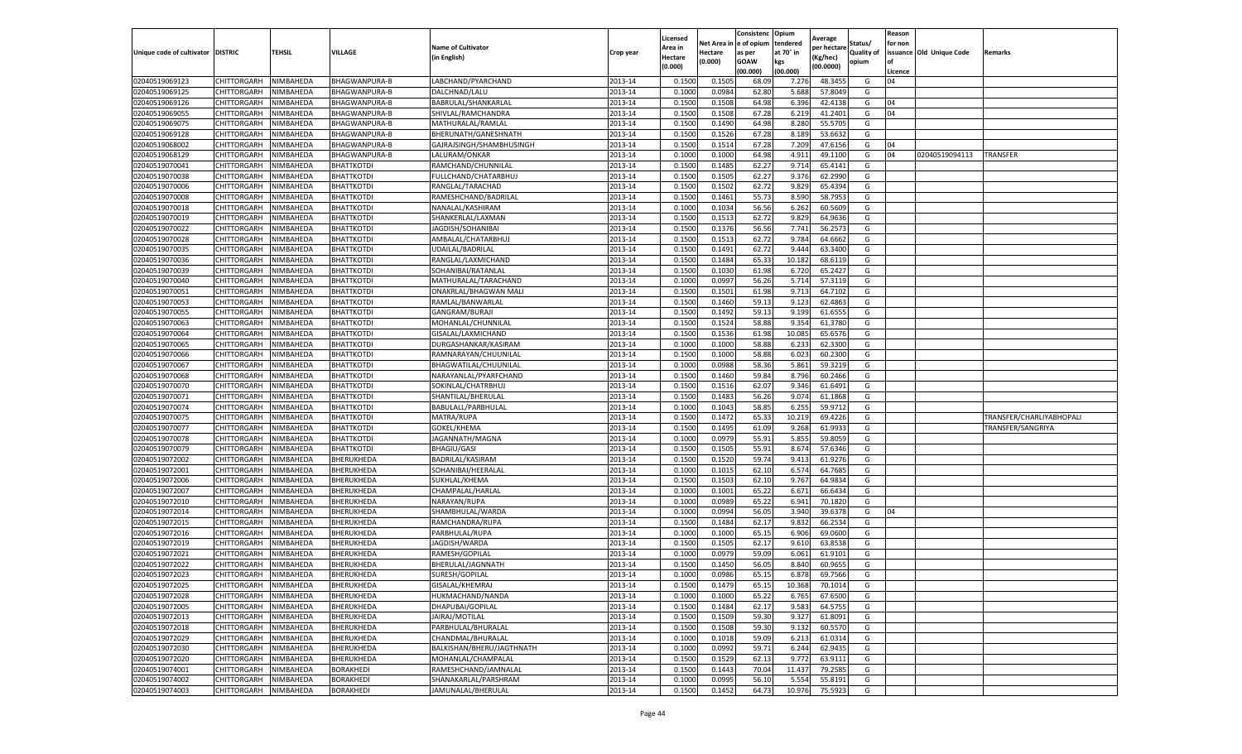|                           |                    |                  |                      |                           |           | Licensed |         | Consistenc             | Opium     | Average     |            | Reason  |                          |                          |
|---------------------------|--------------------|------------------|----------------------|---------------------------|-----------|----------|---------|------------------------|-----------|-------------|------------|---------|--------------------------|--------------------------|
|                           |                    |                  |                      | <b>Name of Cultivator</b> |           | Area in  |         | Net Area in e of opium | tendered  | per hectarı | Status/    | for non |                          |                          |
| Unique code of cultivator | <b>DISTRIC</b>     | TEHSIL           | VILLAGE              | (in English)              | Crop year | Hectare  | Hectare | as per                 | at 70° in | (Kg/hec)    | Quality of |         | issuance Old Unique Code | Remarks                  |
|                           |                    |                  |                      |                           |           | (0.000)  | (0.000) | <b>GOAW</b>            | kgs       | (00.0000)   | opium      | l of    |                          |                          |
|                           |                    |                  |                      |                           |           |          |         | (00.000)               | (00.000)  |             |            | Licence |                          |                          |
| 02040519069123            | CHITTORGARH        | NIMBAHEDA        | BHAGWANPURA-B        | LABCHAND/PYARCHAND        | 2013-14   | 0.150    | 0.150   | 68.09                  | 7.276     | 48.345      | G          | 04      |                          |                          |
| 02040519069125            | CHITTORGARH        | NIMBAHEDA        | <b>BHAGWANPURA-B</b> | DALCHNAD/LALU             | 2013-14   | 0.100    | 0.098   | 62.80                  | 5.688     | 57.804      | G          |         |                          |                          |
| 02040519069126            | CHITTORGARH        | NIMBAHEDA        | BHAGWANPURA-B        | BABRULAL/SHANKARLAL       | 2013-14   | 0.1500   | 0.1508  | 64.98                  | 6.396     | 42.413      | G          | 04      |                          |                          |
| 02040519069055            | CHITTORGARH        | NIMBAHEDA        | BHAGWANPURA-B        | SHIVLAL/RAMCHANDRA        | 2013-14   | 0.1500   | 0.1508  | 67.28                  | 6.219     | 41.240      | G          | 04      |                          |                          |
| 02040519069075            | CHITTORGARH        | NIMBAHEDA        | BHAGWANPURA-B        | MATHURALAL/RAMLAL         | 2013-14   | 0.1500   | 0.1490  | 64.98                  | 8.280     | 55.570      | G          |         |                          |                          |
| 02040519069128            | CHITTORGARH        | NIMBAHEDA        | BHAGWANPURA-B        | BHERUNATH/GANESHNATH      | 2013-14   | 0.1500   | 0.1526  | 67.28                  | 8.189     | 53.663      | G          |         |                          |                          |
| 02040519068002            | CHITTORGARH        | NIMBAHEDA        | BHAGWANPURA-B        | GAJRAJSINGH/SHAMBHUSINGH  | 2013-14   | 0.1500   | 0.151   | 67.28                  | 7.209     | 47.615      | G          | 04      |                          |                          |
| 02040519068129            | CHITTORGARH        | NIMBAHEDA        | BHAGWANPURA-B        | LALURAM/ONKAR             | 2013-14   | 0.1000   | 0.1000  | 64.98                  | 4.91      | 49.110      | G          | 04      | 02040519094113           | TRANSFER                 |
| 02040519070041            | CHITTORGARH        | NIMBAHEDA        | <b>BHATTKOTDI</b>    | RAMCHAND/CHUNNILAL        | 2013-14   | 0.1500   | 0.148   | 62.27                  | 9.714     | 65.414      | G          |         |                          |                          |
| 02040519070038            | CHITTORGARH        | NIMBAHEDA        | BHATTKOTDI           | FULLCHAND/CHATARBHUJ      | 2013-14   | 0.1500   | 0.150   | 62.27                  | 9.376     | 62.299      | G          |         |                          |                          |
| 02040519070006            | CHITTORGARH        | NIMBAHEDA        | <b>BHATTKOTDI</b>    | RANGLAL/TARACHAD          | 2013-14   | 0.1500   | 0.1502  | 62.72                  | 9.829     | 65.4394     | G          |         |                          |                          |
| 02040519070008            | CHITTORGARH        | NIMBAHEDA        | <b>BHATTKOTDI</b>    | RAMESHCHAND/BADRILAL      | 2013-14   | 0.1500   | 0.1462  | 55.7                   | 8.590     | 58.795      | G          |         |                          |                          |
| 02040519070018            | CHITTORGARH        | NIMBAHEDA        | <b>BHATTKOTDI</b>    | NANALAL/KASHIRAM          | 2013-14   | 0.1000   | 0.1034  | 56.56                  | 6.262     | 60.5609     | G          |         |                          |                          |
| 02040519070019            | CHITTORGARH        | NIMBAHEDA        | <b>BHATTKOTDI</b>    | SHANKERLAL/LAXMAN         | 2013-14   | 0.1500   | 0.1513  | 62.72                  | 9.829     | 64.963      | G          |         |                          |                          |
| 02040519070022            | CHITTORGARH        | NIMBAHEDA        | BHATTKOTDI           | JAGDISH/SOHANIBAI         | 2013-14   | 0.1500   | 0.137   | 56.56                  | 7.741     | 56.257      | G          |         |                          |                          |
| 02040519070028            | CHITTORGARH        | NIMBAHEDA        | BHATTKOTDI           | AMBALAL/CHATARBHU.        | 2013-14   | 0.1500   | 0.1513  | 62.72                  | 9.784     | 64.6662     | G          |         |                          |                          |
| 02040519070035            | CHITTORGARH        | NIMBAHEDA        | BHATTKOTDI           | UDAILAL/BADRILAL          | 2013-14   | 0.1500   | 0.1491  | 62.72                  | 9.444     | 63.340      | G          |         |                          |                          |
| 02040519070036            | CHITTORGARH        | NIMBAHEDA        | BHATTKOTDI           | RANGLAL/LAXMICHAND        | 2013-14   | 0.1500   | 0.1484  | 65.3                   | 10.182    | 68.611      | G          |         |                          |                          |
| 02040519070039            | CHITTORGARH        | NIMBAHEDA        | BHATTKOTDI           | SOHANIBAI/RATANLAL        | 2013-14   | 0.1500   | 0.103(  | 61.98                  | 6.720     | 65.242      | G          |         |                          |                          |
| 02040519070040            | CHITTORGARH        | NIMBAHEDA        | <b>BHATTKOTDI</b>    | MATHURALAL/TARACHAND      | 2013-14   | 0.1000   | 0.0997  | 56.26                  | 5.714     | 57.311      | G          |         |                          |                          |
| 02040519070051            | CHITTORGARH        | NIMBAHEDA        | BHATTKOTDI           | ONAKRLAL/BHAGWAN MALI     | 2013-14   | 0.1500   | 0.150   | 61.98                  | 9.713     | 64.710      | G          |         |                          |                          |
| 02040519070053            | CHITTORGARH        | NIMBAHEDA        | <b>BHATTKOTDI</b>    | RAMLAL/BANWARLAL          | 2013-14   | 0.1500   | 0.1460  | 59.13                  | 9.123     | 62.486      | G          |         |                          |                          |
| 02040519070055            | CHITTORGARH        | NIMBAHEDA        | <b>BHATTKOTDI</b>    | GANGRAM/BURAJI            | 2013-14   | 0.1500   | 0.1492  | 59.13                  | 9.199     | 61.655      | G          |         |                          |                          |
| 02040519070063            | CHITTORGARH        | NIMBAHEDA        | BHATTKOTDI           | MOHANLAL/CHUNNILAL        | 2013-14   | 0.1500   | 0.1524  | 58.88                  | 9.354     | 61.378      | G          |         |                          |                          |
| 02040519070064            | CHITTORGARH        | NIMBAHEDA        | <b>BHATTKOTDI</b>    | GISALAL/LAXMICHAND        | 2013-14   | 0.1500   | 0.1536  | 61.98                  | 10.085    | 65.657      | G          |         |                          |                          |
| 02040519070065            | CHITTORGARH        | NIMBAHEDA        | <b>BHATTKOTDI</b>    | DURGASHANKAR/KASIRAM      | 2013-14   | 0.1000   | 0.100   | 58.88                  | 6.233     | 62.330      | G          |         |                          |                          |
| 02040519070066            | CHITTORGARH        | <b>NIMBAHEDA</b> | BHATTKOTDI           | RAMNARAYAN/CHUUNILAL      | 2013-14   | 0.1500   | 0.1000  | 58.88                  | 6.023     | 60.230      | G          |         |                          |                          |
| 02040519070067            | CHITTORGARH        | NIMBAHEDA        | BHATTKOTDI           | BHAGWATILAL/CHUUNILAL     | 2013-14   | 0.1000   | 0.0988  | 58.36                  | 5.861     | 59.3219     | G          |         |                          |                          |
| 02040519070068            | CHITTORGARH        | NIMBAHEDA        | BHATTKOTDI           | NARAYANLAL/PYARFCHAND     | 2013-14   | 0.1500   | 0.1460  | 59.84                  | 8.796     | 60.2466     | G          |         |                          |                          |
| 02040519070070            | CHITTORGARH        | NIMBAHEDA        | BHATTKOTDI           | SOKINLAL/CHATRBHUJ        | 2013-14   | 0.1500   | 0.1516  | 62.07                  | 9.346     | 61.6491     | G          |         |                          |                          |
| 02040519070071            | CHITTORGARH        | NIMBAHEDA        | BHATTKOTDI           | SHANTILAL/BHERULAL        | 2013-14   | 0.1500   | 0.1483  | 56.26                  | 9.074     | 61.186      | G          |         |                          |                          |
| 02040519070074            | CHITTORGARH        | NIMBAHEDA        | <b>BHATTKOTDI</b>    | BABULALL/PARBHULAL        | 2013-14   | 0.1000   | 0.1043  | 58.85                  | 6.25!     | 59.971      | G          |         |                          |                          |
| 02040519070075            | CHITTORGARH        | NIMBAHEDA        | BHATTKOTDI           | MATRA/RUPA                | 2013-14   | 0.1500   | 0.1472  | 65.33                  | 10.219    | 69.422      | G          |         |                          | TRANSFER/CHARLIYABHOPALI |
| 02040519070077            | CHITTORGARH        | NIMBAHEDA        | BHATTKOTDI           | GOKEL/KHEMA               | 2013-14   | 0.1500   | 0.149   | 61.09                  | 9.268     | 61.993      | G          |         |                          | TRANSFER/SANGRIYA        |
| 02040519070078            | CHITTORGARH        | NIMBAHEDA        | BHATTKOTDI           | JAGANNATH/MAGNA           | 2013-14   | 0.1000   | 0.0979  | 55.91                  | 5.855     | 59.8059     | G          |         |                          |                          |
| 02040519070079            | CHITTORGARH        | NIMBAHEDA        | BHATTKOTDI           | BHAGIU/GASI               | 2013-14   | 0.1500   | 0.1505  | 55.91                  | 8.674     | 57.634      | G          |         |                          |                          |
| 02040519072002            | CHITTORGARH        | NIMBAHEDA        | BHERUKHEDA           | BADRILAL/KASIRAM          | 2013-14   | 0.1500   | 0.1520  | 59.74                  | 9.413     | 61.927      | G          |         |                          |                          |
| 02040519072001            | CHITTORGARH        | NIMBAHEDA        | BHERUKHEDA           | SOHANIBAI/HEERALAL        | 2013-14   | 0.1000   | 0.1015  | 62.10                  | 6.574     | 64.7685     | G          |         |                          |                          |
| 02040519072006            | CHITTORGARH        | NIMBAHEDA        | BHERUKHEDA           | SUKHLAL/KHEMA             | 2013-14   | 0.1500   | 0.1503  | 62.10                  | 9.767     | 64.983      | G          |         |                          |                          |
| 02040519072007            | CHITTORGARH        | NIMBAHEDA        | BHERUKHEDA           | CHAMPALAL/HARLAL          | 2013-14   | 0.1000   | 0.1002  | 65.22                  | 6.67      | 66.643      | G          |         |                          |                          |
| 02040519072010            | CHITTORGARH        | NIMBAHEDA        | BHERUKHEDA           | NARAYAN/RUPA              | 2013-14   | 0.1000   | 0.0989  | 65.22                  | 6.941     | 70.182      | G          |         |                          |                          |
| 02040519072014            | CHITTORGARH        | NIMBAHEDA        | BHERUKHEDA           | SHAMBHULAL/WARDA          | 2013-14   | 0.1000   | 0.0994  | 56.05                  | 3.940     | 39.637      | G          | 04      |                          |                          |
| 02040519072015            | CHITTORGARH        | NIMBAHEDA        | BHERUKHEDA           | RAMCHANDRA/RUPA           | 2013-14   | 0.1500   | 0.1484  | 62.17                  | 9.832     | 66.253      | G          |         |                          |                          |
| 02040519072016            | CHITTORGARH        | NIMBAHEDA        | BHERUKHEDA           | PARBHULAL/RUPA            | 2013-14   | 0.1000   | 0.1000  | 65.15                  | 6.906     | 69.0600     | G          |         |                          |                          |
| 02040519072019            | CHITTORGARH        | NIMBAHEDA        | BHERUKHEDA           | JAGDISH/WARDA             | 2013-14   | 0.150    | 0.150   | 62.17                  | 9.610     | 63.853      | G          |         |                          |                          |
| 02040519072021            | CHITTORGARH        | NIMBAHEDA        | BHERUKHEDA           | RAMESH/GOPILAL            | 2013-14   | 0.100    | 0.097   | 59.09                  | 6.06      | 61.910      | G          |         |                          |                          |
| 02040519072022            | CHITTORGARH        | NIMBAHEDA        | BHERUKHEDA           | BHERULAL/JAGNNATH         | 2013-14   | 0.1500   | 0.1450  | 56.05                  | 8.840     | 60.965      | G          |         |                          |                          |
| 02040519072023            | CHITTORGARH        | NIMBAHEDA        | BHERUKHEDA           | SURESH/GOPILAL            | 2013-14   | 0.1000   | 0.0986  | 65.15                  | 6.878     | 69.7566     | G          |         |                          |                          |
| 02040519072025            | CHITTORGARH        | NIMBAHEDA        | BHERUKHEDA           | GISALAL/KHEMRAJ           | 2013-14   | 0.1500   | 0.1479  | 65.15                  | 10.368    | 70.1014     | G          |         |                          |                          |
| 02040519072028            | CHITTORGARH        | NIMBAHEDA        | BHERUKHEDA           | HUKMACHAND/NANDA          | 2013-14   | 0.1000   | 0.1000  | 65.22                  | 6.765     | 67.6500     | G          |         |                          |                          |
| 02040519072005            | CHITTORGARH        | NIMBAHEDA        | BHERUKHEDA           | DHAPUBAI/GOPILAL          | 2013-14   | 0.1500   | 0.1484  | 62.17                  | 9.583     | 64.5755     | G          |         |                          |                          |
| 02040519072013            | <b>CHITTORGARH</b> | NIMBAHEDA        | BHERUKHEDA           | JAIRAJ/MOTILAL            | 2013-14   | 0.1500   | 0.1509  | 59.30                  | 9.327     | 61.8091     | G          |         |                          |                          |
| 02040519072018            | CHITTORGARH        | NIMBAHEDA        | BHERUKHEDA           | PARBHULAL/BHURALAL        | 2013-14   | 0.1500   | 0.1508  | 59.30                  | 9.132     | 60.557      | G          |         |                          |                          |
| 02040519072029            | CHITTORGARH        | NIMBAHEDA        | BHERUKHEDA           | CHANDMAL/BHURALAL         | 2013-14   | 0.1000   | 0.1018  | 59.09                  | 6.213     | 61.0314     | G          |         |                          |                          |
| 02040519072030            | <b>CHITTORGARH</b> | NIMBAHEDA        | BHERUKHEDA           | BALKISHAN/BHERU/JAGTHNATH | 2013-14   | 0.1000   | 0.0992  | 59.71                  | 6.244     | 62.9435     | G          |         |                          |                          |
| 02040519072020            | CHITTORGARH        | NIMBAHEDA        | BHERUKHEDA           | MOHANLAL/CHAMPALAL        | 2013-14   | 0.1500   | 0.1529  | 62.13                  | 9.772     | 63.9111     | G          |         |                          |                          |
| 02040519074001            | CHITTORGARH        | NIMBAHEDA        | <b>BORAKHEDI</b>     | RAMESHCHAND/JAMNALAL      | 2013-14   | 0.1500   | 0.1443  | 70.04                  | 11.437    | 79.258      | G          |         |                          |                          |
| 02040519074002            | CHITTORGARH        | NIMBAHEDA        | BORAKHEDI            | SHANAKARLAL/PARSHRAM      | 2013-14   | 0.1000   | 0.0995  | 56.10                  | 5.554     | 55.8191     | G          |         |                          |                          |
| 02040519074003            | CHITTORGARH        | NIMBAHEDA        | <b>BORAKHEDI</b>     | JAMUNALAL/BHERULAL        | 2013-14   | 0.1500   | 0.1452  | 64.73                  | 10.976    | 75.5923     | G          |         |                          |                          |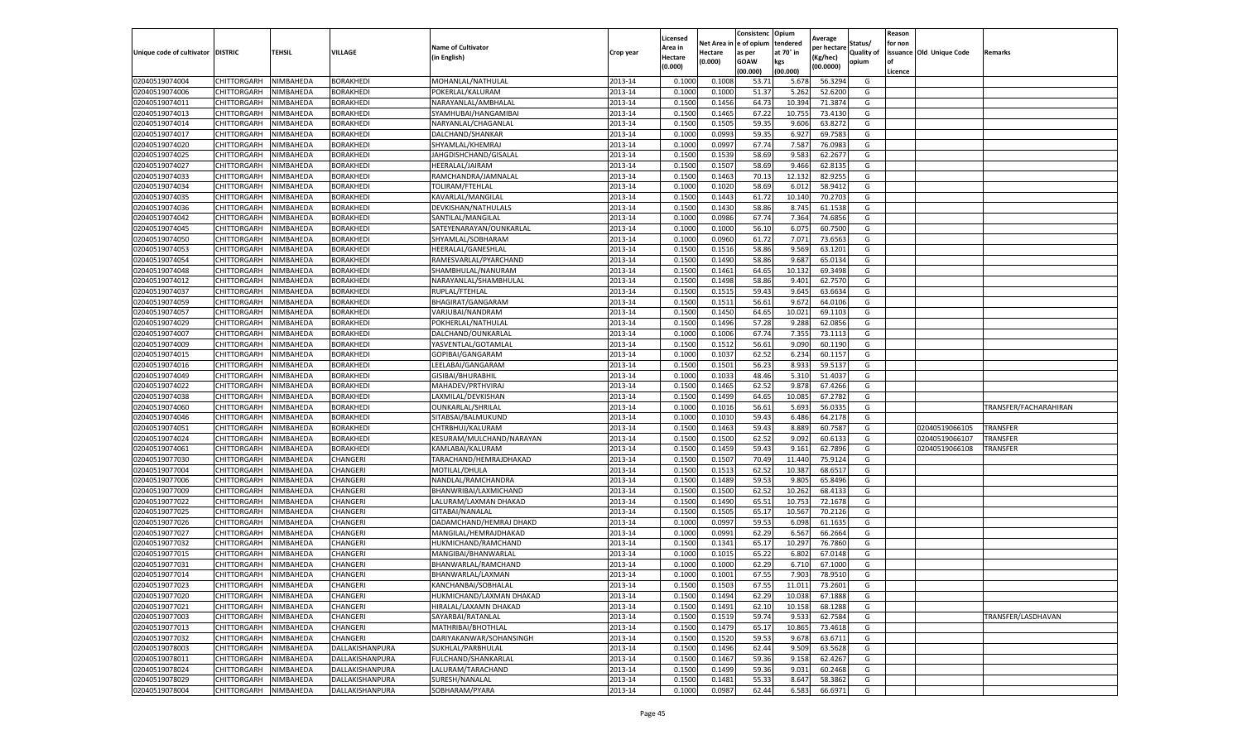|                           |                    |           |                  |                           |           | Licensed |         | Consistenc             | Opium     |                        |                   | Reason  |                          |                       |
|---------------------------|--------------------|-----------|------------------|---------------------------|-----------|----------|---------|------------------------|-----------|------------------------|-------------------|---------|--------------------------|-----------------------|
|                           |                    |           |                  | <b>Name of Cultivator</b> |           | Area in  |         | Net Area in e of opium | tendered  | Average<br>per hectare | Status/           | for non |                          |                       |
| Unique code of cultivator | <b>DISTRIC</b>     | TEHSIL    | VILLAGE          | in English)               | Crop year | Hectare  | Hectare | as per                 | at 70° in | (Kg/hec                | <b>Quality of</b> |         | issuance Old Unique Code | <b>Remarks</b>        |
|                           |                    |           |                  |                           |           | (0.000)  | (0.000) | <b>GOAW</b>            | kgs       | (00.0000)              | opium             |         |                          |                       |
|                           |                    |           |                  |                           |           |          |         | (00.000)               | (00.000)  |                        |                   | Licence |                          |                       |
| 02040519074004            | CHITTORGARH        | NIMBAHEDA | <b>BORAKHEDI</b> | MOHANLAL/NATHULAL         | 2013-14   | 0.1000   | 0.1008  | 53.7                   | 5.678     | 56.3294                | G                 |         |                          |                       |
| 02040519074006            | CHITTORGARH        | NIMBAHEDA | <b>BORAKHEDI</b> | POKERLAL/KALURAM          | 2013-14   | 0.1000   | 0.1000  | 51.37                  | 5.26      | 52.6200                | G                 |         |                          |                       |
| 02040519074011            | CHITTORGARH        | NIMBAHEDA | BORAKHEDI        | NARAYANLAL/AMBHALAL       | 2013-14   | 0.1500   | 0.1456  | 64.73                  | 10.394    | 71.3874                | G                 |         |                          |                       |
| 02040519074013            | CHITTORGARH        | NIMBAHEDA | BORAKHEDI        | SYAMHUBAI/HANGAMIBAI      | 2013-14   | 0.1500   | 0.1465  | 67.22                  | 10.755    | 73.4130                | G                 |         |                          |                       |
| 02040519074014            | CHITTORGARH        | NIMBAHEDA | BORAKHEDI        | NARYANLAL/CHAGANLAL       | 2013-14   | 0.1500   | 0.1505  | 59.35                  | 9.606     | 63.8272                | G                 |         |                          |                       |
| 02040519074017            | CHITTORGARH        | NIMBAHEDA | BORAKHEDI        | DALCHAND/SHANKAR          | 2013-14   | 0.1000   | 0.0993  | 59.35                  | 6.92      | 69.7583                | G                 |         |                          |                       |
| 02040519074020            | CHITTORGARH        | NIMBAHEDA | <b>BORAKHEDI</b> | SHYAMLAL/KHEMRAJ          | 2013-14   | 0.1000   | 0.0997  | 67.74                  | 7.587     | 76.0983                | G                 |         |                          |                       |
| 02040519074025            | CHITTORGARH        | NIMBAHEDA | BORAKHEDI        | JAHGDISHCHAND/GISALAL     | 2013-14   | 0.1500   | 0.1539  | 58.69                  | 9.583     | 62.2677                | G                 |         |                          |                       |
| 02040519074027            | CHITTORGARH        | NIMBAHEDA | BORAKHEDI        | HEERALAL/JAIRAM           | 2013-14   | 0.1500   | 0.1507  | 58.69                  | 9.466     | 62.8135                | G                 |         |                          |                       |
| 02040519074033            | <b>CHITTORGARH</b> | NIMBAHEDA | BORAKHEDI        | RAMCHANDRA/JAMNALAL       | 2013-14   | 0.1500   | 0.1463  | 70.13                  | 12.132    | 82.9255                | G                 |         |                          |                       |
| 02040519074034            | CHITTORGARH        | NIMBAHEDA | BORAKHEDI        | TOLIRAM/FTEHLAL           | 2013-14   | 0.1000   | 0.1020  | 58.69                  | 6.012     | 58.9412                | G                 |         |                          |                       |
| 02040519074035            | CHITTORGARH        | NIMBAHEDA | BORAKHEDI        | KAVARLAL/MANGILAL         | 2013-14   | 0.1500   | 0.1443  | 61.72                  | 10.14     | 70.2703                | G                 |         |                          |                       |
| 02040519074036            | CHITTORGARH        | NIMBAHEDA | <b>BORAKHEDI</b> | DEVKISHAN/NATHULALS       | 2013-14   | 0.1500   | 0.1430  | 58.86                  | 8.745     | 61.1538                | G                 |         |                          |                       |
| 02040519074042            | CHITTORGARH        | NIMBAHEDA | <b>BORAKHEDI</b> | SANTILAL/MANGILAL         | 2013-14   | 0.1000   | 0.0986  | 67.74                  | 7.364     | 74.6856                | G                 |         |                          |                       |
| 02040519074045            | CHITTORGARH        | NIMBAHEDA | BORAKHEDI        | SATEYENARAYAN/OUNKARLAL   | 2013-14   | 0.1000   | 0.1000  | 56.10                  | 6.075     | 60.7500                | G                 |         |                          |                       |
| 02040519074050            | CHITTORGARH        | NIMBAHEDA | BORAKHEDI        | SHYAMLAL/SOBHARAM         | 2013-14   | 0.1000   | 0.0960  | 61.72                  | 7.071     | 73.6563                | G                 |         |                          |                       |
| 02040519074053            | CHITTORGARH        | NIMBAHEDA | BORAKHEDI        | HEERALAL/GANESHLAL        | 2013-14   | 0.1500   | 0.1516  | 58.86                  | 9.569     | 63.1201                | G                 |         |                          |                       |
| 02040519074054            | CHITTORGARH        | NIMBAHEDA | BORAKHEDI        | RAMESVARLAL/PYARCHAND     | 2013-14   | 0.1500   | 0.1490  | 58.86                  | 9.68      | 65.0134                | G                 |         |                          |                       |
| 02040519074048            | CHITTORGARH        | NIMBAHEDA | BORAKHEDI        | SHAMBHULAL/NANURAM        | 2013-14   | 0.1500   | 0.1461  | 64.65                  | 10.13     | 69.3498                | G                 |         |                          |                       |
| 02040519074012            | CHITTORGARH        | NIMBAHEDA | BORAKHEDI        | NARAYANLAL/SHAMBHULAL     | 2013-14   | 0.1500   | 0.1498  | 58.86                  | 9.401     | 62.7570                | G                 |         |                          |                       |
| 02040519074037            | CHITTORGARH        | NIMBAHEDA | <b>BORAKHEDI</b> | RUPLAL/FTEHLAL            | 2013-14   | 0.1500   | 0.1515  | 59.43                  | 9.645     | 63.6634                | G                 |         |                          |                       |
| 02040519074059            | CHITTORGARH        | NIMBAHEDA | BORAKHEDI        | BHAGIRAT/GANGARAM         | 2013-14   | 0.1500   | 0.1511  | 56.61                  | 9.672     | 64.0106                | G                 |         |                          |                       |
| 02040519074057            | CHITTORGARH        | NIMBAHEDA | <b>BORAKHEDI</b> | VARJUBAI/NANDRAM          | 2013-14   | 0.1500   | 0.1450  | 64.65                  | 10.021    | 69.1103                | G                 |         |                          |                       |
| 02040519074029            | CHITTORGARH        | NIMBAHEDA | BORAKHEDI        | POKHERLAL/NATHULAL        | 2013-14   | 0.1500   | 0.1496  | 57.28                  | 9.288     | 62.0856                | G                 |         |                          |                       |
| 02040519074007            | CHITTORGARH        | NIMBAHEDA | BORAKHEDI        | DALCHAND/OUNKARLAL        | 2013-14   | 0.1000   | 0.1006  | 67.74                  | 7.355     | 73.1113                | G                 |         |                          |                       |
| 02040519074009            | CHITTORGARH        | NIMBAHEDA | <b>BORAKHEDI</b> | YASVENTLAL/GOTAMLAI       | 2013-14   | 0.1500   | 0.1512  | 56.61                  | 9.090     | 60.1190                | G                 |         |                          |                       |
| 02040519074015            | CHITTORGARH        | NIMBAHEDA | BORAKHEDI        | GOPIBAI/GANGARAM          | 2013-14   | 0.1000   | 0.1037  | 62.52                  | 6.234     | 60.1157                | G                 |         |                          |                       |
| 02040519074016            | CHITTORGARH        | NIMBAHEDA | <b>BORAKHEDI</b> | LEELABAI/GANGARAM         | 2013-14   | 0.1500   | 0.1501  | 56.23                  | 8.933     | 59.5137                | G                 |         |                          |                       |
| 02040519074049            | CHITTORGARH        | NIMBAHEDA | BORAKHEDI        | GISIBAI/BHURABHIL         | 2013-14   | 0.1000   | 0.1033  | 48.46                  | 5.31      | 51.4037                | G                 |         |                          |                       |
| 02040519074022            | CHITTORGARH        | NIMBAHEDA | BORAKHEDI        | MAHADEV/PRTHVIRAJ         | 2013-14   | 0.1500   | 0.1465  | 62.52                  | 9.878     | 67.4266                | G                 |         |                          |                       |
| 02040519074038            | CHITTORGARH        | NIMBAHEDA | BORAKHEDI        | LAXMILAL/DEVKISHAN        | 2013-14   | 0.1500   | 0.1499  | 64.65                  | 10.08     | 67.2782                | G                 |         |                          |                       |
| 02040519074060            | CHITTORGARH        | NIMBAHEDA | <b>BORAKHEDI</b> | OUNKARLAL/SHRILAL         | 2013-14   | 0.1000   | 0.1016  | 56.61                  | 5.693     | 56.0335                | G                 |         |                          | TRANSFER/FACHARAHIRAN |
| 02040519074046            | CHITTORGARH        | NIMBAHEDA | BORAKHEDI        | SITABSAI/BALMUKUND        | 2013-14   | 0.1000   | 0.1010  | 59.43                  | 6.486     | 64.2178                | G                 |         |                          |                       |
| 02040519074051            | CHITTORGARH        | NIMBAHEDA | BORAKHEDI        | CHTRBHUJ/KALURAM          | 2013-14   | 0.1500   | 0.1463  | 59.43                  | 8.889     | 60.7587                | G                 |         | 02040519066105           | <b>TRANSFER</b>       |
| 02040519074024            | CHITTORGARH        | NIMBAHEDA | BORAKHEDI        | KESURAM/MULCHAND/NARAYAN  | 2013-14   | 0.1500   | 0.1500  | 62.52                  | 9.092     | 60.6133                | G                 |         | 02040519066107           | TRANSFER              |
| 02040519074061            | CHITTORGARH        | NIMBAHEDA | BORAKHEDI        | KAMLABAI/KALURAM          | 2013-14   | 0.1500   | 0.1459  | 59.43                  | 9.161     | 62.7896                | G                 |         | 02040519066108           | TRANSFER              |
| 02040519077030            | CHITTORGARH        | NIMBAHEDA | CHANGERI         | TARACHAND/HEMRAJDHAKAD    | 2013-14   | 0.1500   | 0.1507  | 70.49                  | 11.44     | 75.9124                | G                 |         |                          |                       |
| 02040519077004            | CHITTORGARH        | NIMBAHEDA | CHANGERI         | MOTILAL/DHULA             | 2013-14   | 0.1500   | 0.1513  | 62.52                  | 10.38     | 68.651                 | G                 |         |                          |                       |
| 02040519077006            | CHITTORGARH        | NIMBAHEDA | CHANGERI         | NANDLAL/RAMCHANDRA        | 2013-14   | 0.1500   | 0.1489  | 59.53                  | 9.805     | 65.8496                | G                 |         |                          |                       |
| 02040519077009            | CHITTORGARH        | NIMBAHEDA | CHANGERI         | BHANWRIBAI/LAXMICHAND     | 2013-14   | 0.1500   | 0.1500  | 62.52                  | 10.262    | 68.4133                | G                 |         |                          |                       |
| 02040519077022            | CHITTORGARH        | NIMBAHEDA | CHANGERI         | LALURAM/LAXMAN DHAKAD     | 2013-14   | 0.1500   | 0.1490  | 65.51                  | 10.75     | 72.1678                | G                 |         |                          |                       |
| 02040519077025            | CHITTORGARH        | NIMBAHEDA | CHANGERI         | GITABAI/NANALAL           | 2013-14   | 0.1500   | 0.1505  | 65.17                  | 10.567    | 70.2126                | G                 |         |                          |                       |
| 02040519077026            | CHITTORGARH        | NIMBAHEDA | CHANGERI         | DADAMCHAND/HEMRAJ DHAKD   | 2013-14   | 0.1000   | 0.0997  | 59.53                  | 6.098     | 61.1635                | G                 |         |                          |                       |
| 02040519077027            | CHITTORGARH        | NIMBAHEDA | CHANGERI         | MANGILAL/HEMRAJDHAKAD     | 2013-14   | 0.1000   | 0.0991  | 62.29                  | 6.567     | 66.2664                | G                 |         |                          |                       |
| 02040519077032            | CHITTORGARH        | NIMBAHEDA | CHANGERI         | HUKMICHAND/RAMCHAND       | 2013-14   | 0.1500   | 0.1341  | 65.17                  | 10.297    | 76.7860                | G                 |         |                          |                       |
| 02040519077015            | CHITTORGARH        | NIMBAHEDA | CHANGERI         | MANGIBAI/BHANWARLAL       | 2013-14   | 0.1000   | 0.1015  | 65.22                  | 6.802     | 67.0148                | G                 |         |                          |                       |
| 02040519077031            | CHITTORGARH        | NIMBAHEDA | CHANGERI         | BHANWARLAL/RAMCHAND       | 2013-14   | 0.1000   | 0.1000  | 62.29                  | 6.71      | 67.1000                | G                 |         |                          |                       |
| 02040519077014            | CHITTORGARH        | NIMBAHEDA | CHANGERI         | BHANWARLAL/LAXMAN         | 2013-14   | 0.1000   | 0.1001  | 67.55                  | 7.903     | 78.9510                | G                 |         |                          |                       |
| 02040519077023            | CHITTORGARH        | NIMBAHEDA | CHANGERI         | KANCHANBAI/SOBHALAL       | 2013-14   | 0.1500   | 0.1503  | 67.55                  | 11.011    | 73.2601                | G                 |         |                          |                       |
| 02040519077020            | CHITTORGARH        | NIMBAHEDA | CHANGERI         | HUKMICHAND/LAXMAN DHAKAD  | 2013-14   | 0.1500   | 0.1494  | 62.29                  | 10.038    | 67.1888                | G                 |         |                          |                       |
| 02040519077021            | <b>CHITTORGARH</b> | NIMBAHEDA | CHANGERI         | HIRALAL/LAXAMN DHAKAD     | 2013-14   | 0.1500   | 0.1491  | 62.10                  | 10.158    | 68.1288                | G                 |         |                          |                       |
| 02040519077003            | <b>CHITTORGARH</b> | NIMBAHEDA | CHANGERI         | SAYARBAI/RATANLAL         | 2013-14   | 0.1500   | 0.1519  | 59.74                  | 9.533     | 62.7584                | G                 |         |                          | TRANSFER/LASDHAVAN    |
| 02040519077013            | <b>CHITTORGARH</b> | NIMBAHEDA | CHANGERI         | MATHRIBAI/BHOTHLAL        | 2013-14   | 0.1500   | 0.1479  | 65.17                  | 10.865    | 73.4618                | G                 |         |                          |                       |
| 02040519077032            | <b>CHITTORGARH</b> | NIMBAHEDA | CHANGERI         | DARIYAKANWAR/SOHANSINGH   | 2013-14   | 0.1500   | 0.1520  | 59.53                  | 9.678     | 63.6711                | G                 |         |                          |                       |
| 02040519078003            | CHITTORGARH        | NIMBAHEDA | DALLAKISHANPURA  | SUKHLAL/PARBHULAL         | 2013-14   | 0.1500   | 0.1496  | 62.44                  | 9.509     | 63.5628                | G                 |         |                          |                       |
| 02040519078011            | CHITTORGARH        | NIMBAHEDA | DALLAKISHANPURA  | FULCHAND/SHANKARLAL       | 2013-14   | 0.1500   | 0.1467  | 59.36                  | 9.158     | 62.4267                | G                 |         |                          |                       |
| 02040519078024            | CHITTORGARH        | NIMBAHEDA | DALLAKISHANPURA  | LALURAM/TARACHAND         | 2013-14   | 0.1500   | 0.1499  | 59.36                  | 9.031     | 60.2468                | G                 |         |                          |                       |
| 02040519078029            | CHITTORGARH        | NIMBAHEDA | DALLAKISHANPURA  | SURESH/NANALAL            | 2013-14   | 0.1500   | 0.1481  | 55.33                  | 8.647     | 58.3862                | G                 |         |                          |                       |
| 02040519078004            | <b>CHITTORGARH</b> | NIMBAHEDA | DALLAKISHANPURA  | SOBHARAM/PYARA            | 2013-14   | 0.1000   | 0.0987  | 62.44                  | 6.583     | 66.6971                | G                 |         |                          |                       |
|                           |                    |           |                  |                           |           |          |         |                        |           |                        |                   |         |                          |                       |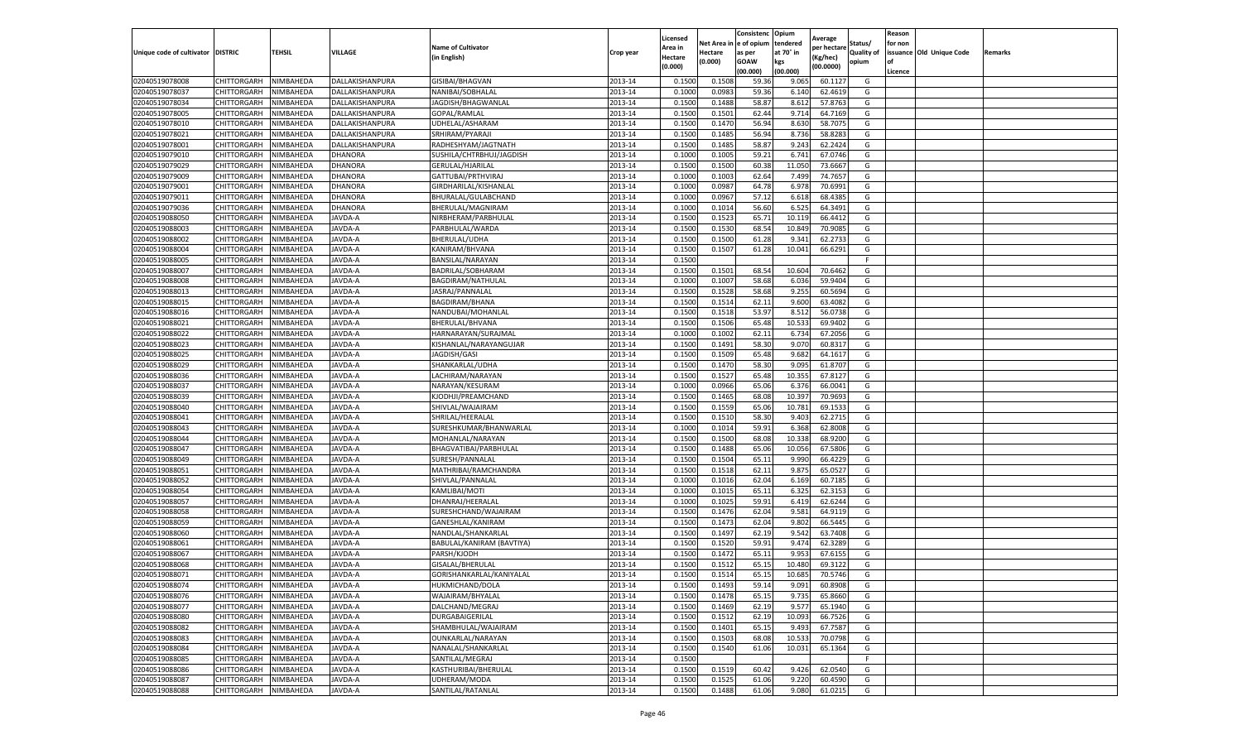|                                   |             |                  |                 |                           |           | Licensed |            | Consistenc  | Opium     | Average     |                   | Reason  |                          |         |
|-----------------------------------|-------------|------------------|-----------------|---------------------------|-----------|----------|------------|-------------|-----------|-------------|-------------------|---------|--------------------------|---------|
|                                   |             |                  |                 | <b>Name of Cultivator</b> |           | Area in  | Net Area i | e of opium  | tendered  | per hectare | Status/           | for non |                          |         |
| Unique code of cultivator DISTRIC |             | TEHSIL           | VILLAGE         | (in English)              | Crop year | Hectare  | Hectare    | as per      | at 70° in | (Kg/hec)    | <b>Quality of</b> |         | issuance Old Unique Code | Remarks |
|                                   |             |                  |                 |                           |           | (0.000)  | (0.000)    | <b>GOAW</b> | kgs       | (00.0000)   | opium             | οf      |                          |         |
|                                   |             |                  |                 |                           |           |          |            | (00.000     | (00.000)  |             |                   | Licence |                          |         |
| 02040519078008                    | CHITTORGARH | NIMBAHEDA        | DALLAKISHANPURA | GISIBAI/BHAGVAN           | 2013-14   | 0.1500   | 0.1508     | 59.36       | 9.065     | 60.1127     | G                 |         |                          |         |
| 02040519078037                    | CHITTORGARH | NIMBAHEDA        | DALLAKISHANPURA | NANIBAI/SOBHALAL          | 2013-14   | 0.100    | 0.0983     | 59.36       | 6.140     | 62.4619     | G                 |         |                          |         |
| 02040519078034                    | CHITTORGARH | NIMBAHEDA        | DALLAKISHANPURA | JAGDISH/BHAGWANLAL        | 2013-14   | 0.1500   | 0.1488     | 58.87       | 8.612     | 57.8763     | G                 |         |                          |         |
| 02040519078005                    | CHITTORGARH | NIMBAHEDA        | DALLAKISHANPURA | GOPAL/RAMLAL              | 2013-14   | 0.1500   | 0.1501     | 62.44       | 9.714     | 64.7169     | G                 |         |                          |         |
| 02040519078010                    | CHITTORGARH | NIMBAHEDA        | DALLAKISHANPURA | UDHELAL/ASHARAM           | 2013-14   | 0.1500   | 0.1470     | 56.94       | 8.630     | 58.7075     | G                 |         |                          |         |
| 02040519078021                    | CHITTORGARH | NIMBAHEDA        | DALLAKISHANPURA | SRHIRAM/PYARAJI           | 2013-14   | 0.1500   | 0.1485     | 56.94       | 8.736     | 58.828      | G                 |         |                          |         |
| 02040519078001                    | CHITTORGARH | NIMBAHEDA        | DALLAKISHANPURA | RADHESHYAM/JAGTNATH       | 2013-14   | 0.1500   | 0.1485     | 58.87       | 9.243     | 62.2424     | G                 |         |                          |         |
| 02040519079010                    | CHITTORGARH | NIMBAHEDA        | <b>DHANORA</b>  | SUSHILA/CHTRBHUJ/JAGDISH  | 2013-14   | 0.100    | 0.1005     | 59.2        | 6.741     | 67.0746     | G                 |         |                          |         |
| 02040519079029                    | CHITTORGARH | NIMBAHEDA        | DHANORA         | <b>GERULAL/HJARILAL</b>   | 2013-14   | 0.1500   | 0.1500     | 60.38       | 11.050    | 73.6667     | G                 |         |                          |         |
| 02040519079009                    | CHITTORGARH | NIMBAHEDA        | DHANORA         | GATTUBAI/PRTHVIRAJ        | 2013-14   | 0.1000   | 0.1003     | 62.64       | 7.499     | 74.7657     | G                 |         |                          |         |
| 02040519079001                    | CHITTORGARH | NIMBAHEDA        | DHANORA         | GIRDHARILAL/KISHANLAL     | 2013-14   | 0.1000   | 0.0987     | 64.78       | 6.978     | 70.6991     | G                 |         |                          |         |
| 02040519079011                    | CHITTORGARH | NIMBAHEDA        | <b>DHANORA</b>  | BHURALAL/GULABCHAND       | 2013-14   | 0.1000   | 0.0967     | 57.12       | 6.618     | 68.4385     | G                 |         |                          |         |
| 02040519079036                    | CHITTORGARH | NIMBAHEDA        | DHANORA         | BHERULAL/MAGNIRAM         | 2013-14   | 0.1000   | 0.1014     | 56.60       | 6.525     | 64.3491     | G                 |         |                          |         |
| 02040519088050                    | CHITTORGARH | NIMBAHEDA        | JAVDA-A         | NIRBHERAM/PARBHULAI       | 2013-14   | 0.150    | 0.1523     | 65.7        | 10.119    | 66.4412     | G                 |         |                          |         |
| 02040519088003                    | CHITTORGARH | NIMBAHEDA        | JAVDA-A         | PARBHULAL/WARDA           | 2013-14   | 0.1500   | 0.1530     | 68.54       | 10.849    | 70.9085     | G                 |         |                          |         |
| 02040519088002                    | CHITTORGARH | NIMBAHEDA        | JAVDA-A         | BHERULAL/UDHA             | 2013-14   | 0.1500   | 0.1500     | 61.28       | 9.341     | 62.2733     | G                 |         |                          |         |
| 02040519088004                    | CHITTORGARH | NIMBAHEDA        | JAVDA-A         | KANIRAM/BHVANA            | 2013-14   | 0.1500   | 0.1507     | 61.28       | 10.041    | 66.6291     | G                 |         |                          |         |
| 02040519088005                    | CHITTORGARH | NIMBAHEDA        | JAVDA-A         | BANSILAL/NARAYAN          | 2013-14   | 0.1500   |            |             |           |             | F                 |         |                          |         |
| 02040519088007                    | CHITTORGARH | NIMBAHEDA        | JAVDA-A         | BADRILAL/SOBHARAM         | 2013-14   | 0.1500   | 0.1501     | 68.5        | 10.604    | 70.646      | G                 |         |                          |         |
| 02040519088008                    | CHITTORGARH | <b>NIMBAHEDA</b> | JAVDA-A         | BAGDIRAM/NATHULAL         | 2013-14   | 0.1000   | 0.1007     | 58.68       | 6.036     | 59.9404     | G                 |         |                          |         |
| 02040519088013                    | CHITTORGARH | NIMBAHEDA        | JAVDA-A         | JASRAJ/PANNALAL           | 2013-14   | 0.1500   | 0.1528     | 58.68       | 9.255     | 60.5694     | G                 |         |                          |         |
| 02040519088015                    | CHITTORGARH | NIMBAHEDA        | JAVDA-A         | BAGDIRAM/BHANA            | 2013-14   | 0.1500   | 0.1514     | 62.11       | 9.600     | 63.4082     | G                 |         |                          |         |
| 02040519088016                    | CHITTORGARH | NIMBAHEDA        | JAVDA-A         | NANDUBAI/MOHANLAL         | 2013-14   | 0.1500   | 0.1518     | 53.97       | 8.512     | 56.0738     | G                 |         |                          |         |
| 02040519088021                    | CHITTORGARH | NIMBAHEDA        | JAVDA-A         | BHERULAL/BHVANA           | 2013-14   | 0.1500   | 0.1506     | 65.48       | 10.533    | 69.9402     | G                 |         |                          |         |
| 02040519088022                    | CHITTORGARH | NIMBAHEDA        | JAVDA-A         | HARNARAYAN/SURAJMAL       | 2013-14   | 0.1000   | 0.1002     | 62.11       | 6.734     | 67.2056     | G                 |         |                          |         |
|                                   | CHITTORGARH | NIMBAHEDA        |                 | KISHANLAL/NARAYANGUJAR    | 2013-14   | 0.1500   | 0.1491     | 58.30       |           | 60.8317     | G                 |         |                          |         |
| 02040519088023                    |             |                  | JAVDA-A         |                           |           |          |            |             | 9.070     |             |                   |         |                          |         |
| 02040519088025                    | CHITTORGARH | NIMBAHEDA        | JAVDA-A         | JAGDISH/GASI              | 2013-14   | 0.1500   | 0.1509     | 65.48       | 9.682     | 64.1617     | G                 |         |                          |         |
| 02040519088029                    | CHITTORGARH | NIMBAHEDA        | JAVDA-A         | SHANKARLAL/UDHA           | 2013-14   | 0.1500   | 0.1470     | 58.30       | 9.095     | 61.8707     | G                 |         |                          |         |
| 02040519088036                    | CHITTORGARH | NIMBAHEDA        | JAVDA-A         | LACHIRAM/NARAYAN          | 2013-14   | 0.1500   | 0.1527     | 65.48       | 10.355    | 67.8127     | G                 |         |                          |         |
| 02040519088037                    | CHITTORGARH | NIMBAHEDA        | JAVDA-A         | NARAYAN/KESURAM           | 2013-14   | 0.1000   | 0.0966     | 65.06       | 6.376     | 66.0041     | G                 |         |                          |         |
| 02040519088039                    | CHITTORGARH | NIMBAHEDA        | JAVDA-A         | KJODHJI/PREAMCHAND        | 2013-14   | 0.1500   | 0.1465     | 68.08       | 10.397    | 70.9693     | G                 |         |                          |         |
| 02040519088040                    | CHITTORGARH | NIMBAHEDA        | JAVDA-A         | SHIVLAL/WAJAIRAM          | 2013-14   | 0.1500   | 0.1559     | 65.06       | 10.781    | 69.1533     | G                 |         |                          |         |
| 02040519088041                    | CHITTORGARH | NIMBAHEDA        | JAVDA-A         | SHRILAL/HEERALAL          | 2013-14   | 0.1500   | 0.1510     | 58.30       | 9.403     | 62.2715     | G                 |         |                          |         |
| 02040519088043                    | CHITTORGARH | NIMBAHEDA        | JAVDA-A         | SURESHKUMAR/BHANWARLAL    | 2013-14   | 0.1000   | 0.1014     | 59.91       | 6.368     | 62.8008     | G                 |         |                          |         |
| 02040519088044                    | CHITTORGARH | NIMBAHEDA        | JAVDA-A         | MOHANLAL/NARAYAN          | 2013-14   | 0.1500   | 0.1500     | 68.08       | 10.338    | 68.9200     | G                 |         |                          |         |
| 02040519088047                    | CHITTORGARH | NIMBAHEDA        | JAVDA-A         | BHAGVATIBAI/PARBHULAL     | 2013-14   | 0.1500   | 0.1488     | 65.06       | 10.056    | 67.5806     | G                 |         |                          |         |
| 02040519088049                    | CHITTORGARH | NIMBAHEDA        | JAVDA-A         | SURESH/PANNALAL           | 2013-14   | 0.1500   | 0.1504     | 65.11       | 9.990     | 66.4229     | G                 |         |                          |         |
| 02040519088051                    | CHITTORGARH | NIMBAHEDA        | JAVDA-A         | MATHRIBAI/RAMCHANDRA      | 2013-14   | 0.1500   | 0.1518     | 62.11       | 9.875     | 65.0527     | G                 |         |                          |         |
| 02040519088052                    | CHITTORGARH | NIMBAHEDA        | JAVDA-A         | SHIVLAL/PANNALAL          | 2013-14   | 0.1000   | 0.1016     | 62.04       | 6.169     | 60.7185     | G                 |         |                          |         |
| 02040519088054                    | CHITTORGARH | NIMBAHEDA        | JAVDA-A         | KAMLIBAI/MOTI             | 2013-14   | 0.100    | 0.1015     | 65.11       | 6.325     | 62.3153     | G                 |         |                          |         |
| 02040519088057                    | CHITTORGARH | NIMBAHEDA        | JAVDA-A         | DHANRAJ/HEERALAL          | 2013-14   | 0.1000   | 0.1025     | 59.91       | 6.419     | 62.6244     | G                 |         |                          |         |
| 02040519088058                    | CHITTORGARH | NIMBAHEDA        | JAVDA-A         | SURESHCHAND/WAJAIRAM      | 2013-14   | 0.1500   | 0.1476     | 62.04       | 9.581     | 64.9119     | G                 |         |                          |         |
| 02040519088059                    | CHITTORGARH | NIMBAHEDA        | JAVDA-A         | GANESHLAL/KANIRAM         | 2013-14   | 0.1500   | 0.1473     | 62.04       | 9.802     | 66.5445     | G                 |         |                          |         |
| 02040519088060                    | CHITTORGARH | NIMBAHEDA        | JAVDA-A         | NANDLAL/SHANKARLAL        | 2013-14   | 0.1500   | 0.1497     | 62.19       | 9.542     | 63.7408     | G                 |         |                          |         |
| 02040519088061                    | CHITTORGARH | NIMBAHEDA        | JAVDA-A         | BABULAL/KANIRAM (BAVTIYA) | 2013-14   | 0.1500   | 0.1520     | 59.91       | 9.474     | 62.3289     | G                 |         |                          |         |
| 02040519088067                    | CHITTORGARH | NIMBAHEDA        | JAVDA-A         | PARSH/KJODH               | 2013-14   | 0.150    | 0.1472     | 65.1        | 9.953     | 67.6155     | G                 |         |                          |         |
| 02040519088068                    | CHITTORGARH | NIMBAHEDA        | JAVDA-A         | <b>GISALAL/BHERULAL</b>   | 2013-14   | 0.1500   | 0.151      | 65.15       | 10.480    | 69.3122     | G                 |         |                          |         |
| 02040519088071                    | CHITTORGARH | NIMBAHEDA        | JAVDA-A         | GORISHANKARLAL/KANIYALAL  | 2013-14   | 0.1500   | 0.1514     | 65.15       | 10.685    | 70.5746     | G                 |         |                          |         |
| 02040519088074                    | CHITTORGARH | NIMBAHEDA        | JAVDA-A         | HUKMICHAND/DOLA           | 2013-14   | 0.1500   | 0.1493     | 59.14       | 9.091     | 60.8908     | G                 |         |                          |         |
| 02040519088076                    | CHITTORGARH | NIMBAHEDA        | JAVDA-A         | WAJAIRAM/BHYALAL          | 2013-14   | 0.1500   | 0.1478     | 65.15       | 9.735     | 65.8660     | G                 |         |                          |         |
| 02040519088077                    | CHITTORGARH | NIMBAHEDA        | JAVDA-A         | DALCHAND/MEGRAJ           | 2013-14   | 0.1500   | 0.1469     | 62.19       | 9.577     | 65.1940     | G                 |         |                          |         |
| 02040519088080                    | CHITTORGARH | NIMBAHEDA        | JAVDA-A         | DURGABAIGERILAL           | 2013-14   | 0.1500   | 0.1512     | 62.19       | 10.093    | 66.7526     | G                 |         |                          |         |
| 02040519088082                    | CHITTORGARH | NIMBAHEDA        | JAVDA-A         | SHAMBHULAL/WAJAIRAM       | 2013-14   | 0.1500   | 0.1401     | 65.15       | 9.493     | 67.7587     | G                 |         |                          |         |
| 02040519088083                    | CHITTORGARH | NIMBAHEDA        | JAVDA-A         | OUNKARLAL/NARAYAN         | 2013-14   | 0.1500   | 0.1503     | 68.08       | 10.533    | 70.0798     | G                 |         |                          |         |
| 02040519088084                    | CHITTORGARH | NIMBAHEDA        | JAVDA-A         | NANALAL/SHANKARLAL        | 2013-14   | 0.1500   | 0.1540     | 61.06       | 10.031    | 65.1364     | G                 |         |                          |         |
| 02040519088085                    | CHITTORGARH | NIMBAHEDA        | JAVDA-A         | SANTILAL/MEGRAJ           | 2013-14   | 0.1500   |            |             |           |             | F.                |         |                          |         |
| 02040519088086                    | CHITTORGARH | NIMBAHEDA        | JAVDA-A         | KASTHURIBAI/BHERULAL      | 2013-14   | 0.1500   | 0.1519     | 60.42       | 9.426     | 62.0540     | G                 |         |                          |         |
| 02040519088087                    | CHITTORGARH | NIMBAHEDA        | JAVDA-A         | UDHERAM/MODA              | 2013-14   | 0.1500   | 0.1525     | 61.06       | 9.220     | 60.4590     | G                 |         |                          |         |
| 02040519088088                    | CHITTORGARH | NIMBAHEDA        | JAVDA-A         | SANTILAL/RATANLAL         | 2013-14   | 0.1500   | 0.1488     | 61.06       | 9.080     | 61.0215     | G                 |         |                          |         |
|                                   |             |                  |                 |                           |           |          |            |             |           |             |                   |         |                          |         |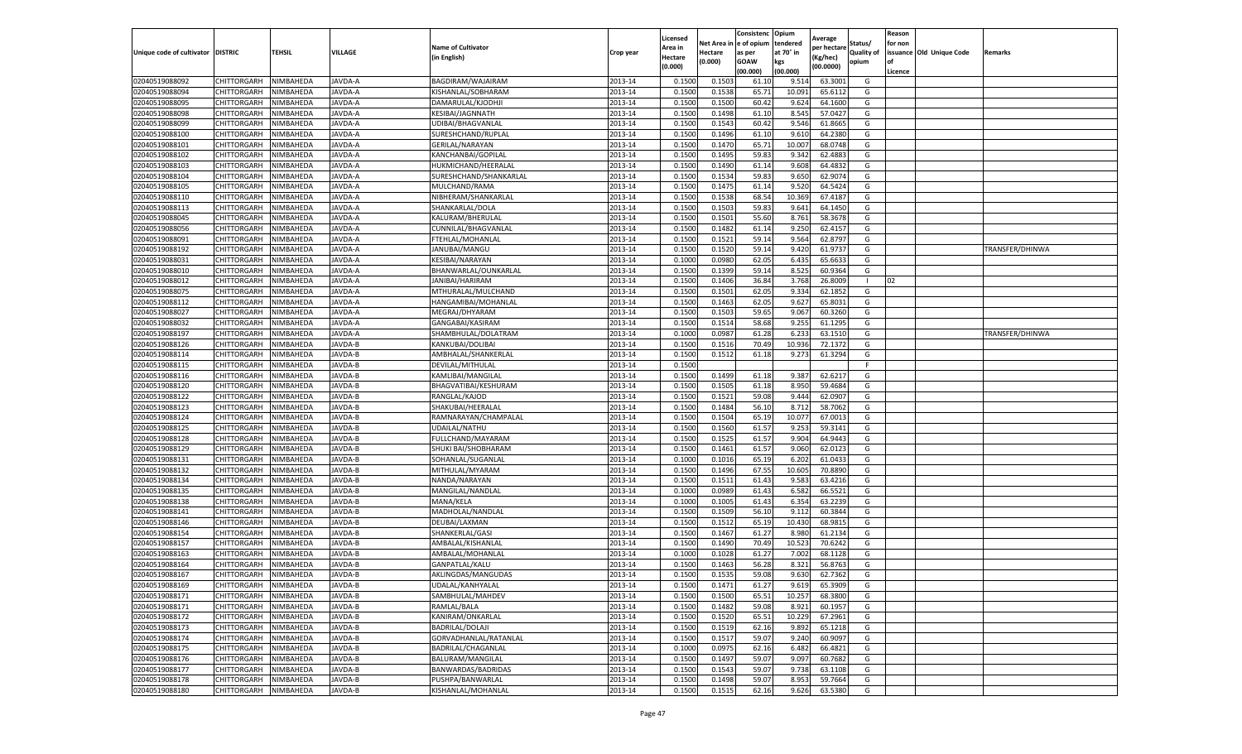|                           |                       |           |               |                           |           | Licensed |         | Consistenc             | Opium     |                        |                   | Reason  |                          |                 |
|---------------------------|-----------------------|-----------|---------------|---------------------------|-----------|----------|---------|------------------------|-----------|------------------------|-------------------|---------|--------------------------|-----------------|
|                           |                       |           |               | <b>Name of Cultivator</b> |           | Area in  |         | Net Area in e of opium | tendered  | Average<br>per hectare | Status/           | for non |                          |                 |
| Unique code of cultivator | <b>DISTRIC</b>        | TEHSIL    | VILLAGE       | in English)               | Crop year | Hectare  | Hectare | as per                 | at 70° in | (Kg/hec                | <b>Quality of</b> |         | issuance Old Unique Code | <b>Remarks</b>  |
|                           |                       |           |               |                           |           | (0.000)  | (0.000) | <b>GOAW</b>            | kgs       | (00.0000)              | opium             |         |                          |                 |
|                           |                       |           |               |                           |           |          |         | (00.000)               | (00.000)  |                        |                   | Licence |                          |                 |
| 02040519088092            | CHITTORGARH           | NIMBAHEDA | JAVDA-A       | BAGDIRAM/WAJAIRAM         | 2013-14   | 0.1500   | 0.1503  | 61.10                  | 9.51      | 63.3001                | G                 |         |                          |                 |
| 02040519088094            | CHITTORGARH           | NIMBAHEDA | JAVDA-A       | KISHANLAL/SOBHARAM        | 2013-14   | 0.1500   | 0.1538  | 65.71                  | 10.091    | 65.6112                | G                 |         |                          |                 |
| 02040519088095            | CHITTORGARH           | NIMBAHEDA | JAVDA-A       | DAMARULAL/KJODHJI         | 2013-14   | 0.1500   | 0.1500  | 60.42                  | 9.624     | 64.1600                | G                 |         |                          |                 |
| 02040519088098            | CHITTORGARH           | NIMBAHEDA | JAVDA-A       | KESIBAI/JAGNNATH          | 2013-14   | 0.1500   | 0.1498  | 61.10                  | 8.545     | 57.0427                | G                 |         |                          |                 |
| 02040519088099            | CHITTORGARH           | NIMBAHEDA | JAVDA-A       | UDIBAI/BHAGVANLAL         | 2013-14   | 0.1500   | 0.1543  | 60.42                  | 9.546     | 61.8665                | G                 |         |                          |                 |
| 02040519088100            | CHITTORGARH           | NIMBAHEDA | JAVDA-A       | SURESHCHAND/RUPLAL        | 2013-14   | 0.1500   | 0.1496  | 61.10                  | 9.61      | 64.2380                | G                 |         |                          |                 |
| 02040519088101            | CHITTORGARH           | NIMBAHEDA | JAVDA-A       | GERILAL/NARAYAN           | 2013-14   | 0.1500   | 0.1470  | 65.71                  | 10.007    | 68.0748                | G                 |         |                          |                 |
| 02040519088102            | CHITTORGARH           | NIMBAHEDA | JAVDA-A       | KANCHANBAI/GOPILAL        | 2013-14   | 0.1500   | 0.1495  | 59.83                  | 9.342     | 62.488                 | G                 |         |                          |                 |
| 02040519088103            | CHITTORGARH           | NIMBAHEDA | JAVDA-A       | HUKMICHAND/HEERALAL       | 2013-14   | 0.1500   | 0.1490  | 61.14                  | 9.608     | 64.4832                | G                 |         |                          |                 |
| 02040519088104            | CHITTORGARH           | NIMBAHEDA | JAVDA-A       | SURESHCHAND/SHANKARLAL    | 2013-14   | 0.1500   | 0.1534  | 59.83                  | 9.650     | 62.9074                | G                 |         |                          |                 |
| 02040519088105            | CHITTORGARH           | NIMBAHEDA | JAVDA-A       | MULCHAND/RAMA             | 2013-14   | 0.1500   | 0.1475  | 61.14                  | 9.520     | 64.5424                | G                 |         |                          |                 |
| 02040519088110            | CHITTORGARH           | NIMBAHEDA | JAVDA-A       | NIBHERAM/SHANKARLAL       | 2013-14   | 0.1500   | 0.1538  | 68.54                  | 10.36     | 67.4187                | G                 |         |                          |                 |
| 02040519088113            | CHITTORGARH           | NIMBAHEDA | JAVDA-A       | SHANKARLAL/DOLA           | 2013-14   | 0.1500   | 0.1503  | 59.83                  | 9.641     | 64.1450                | G                 |         |                          |                 |
| 02040519088045            | CHITTORGARH           | NIMBAHEDA | JAVDA-A       | KALURAM/BHERULAL          | 2013-14   | 0.1500   | 0.1501  | 55.60                  | 8.761     | 58.3678                | G                 |         |                          |                 |
| 02040519088056            | CHITTORGARH           | NIMBAHEDA | JAVDA-A       | CUNNILAL/BHAGVANLAL       | 2013-14   | 0.1500   | 0.1482  | 61.14                  | 9.250     | 62.4157                | G                 |         |                          |                 |
| 02040519088091            | CHITTORGARH           | NIMBAHEDA | JAVDA-A       | FTEHLAL/MOHANLAL          | 2013-14   | 0.1500   | 0.1521  | 59.14                  | 9.564     | 62.8797                | G                 |         |                          |                 |
| 02040519088192            | CHITTORGARH           | NIMBAHEDA | JAVDA-A       | JANUBAI/MANGU             | 2013-14   | 0.1500   | 0.1520  | 59.14                  | 9.420     | 61.973                 | G                 |         |                          | TRANSFER/DHINWA |
| 02040519088031            | CHITTORGARH           | NIMBAHEDA | JAVDA-A       | KESIBAI/NARAYAN           | 2013-14   | 0.1000   | 0.0980  | 62.05                  | 6.435     | 65.6633                | G                 |         |                          |                 |
| 02040519088010            | CHITTORGARH           | NIMBAHEDA | JAVDA-A       | BHANWARLAL/OUNKARLAL      | 2013-14   | 0.1500   | 0.1399  | 59.14                  | 8.525     | 60.9364                | G                 |         |                          |                 |
| 02040519088012            | CHITTORGARH           | NIMBAHEDA | JAVDA-A       | JANIBAI/HARIRAM           | 2013-14   | 0.1500   | 0.1406  | 36.84                  | 3.768     | 26.8009                | -1                | 02      |                          |                 |
| 02040519088075            | CHITTORGARH           | NIMBAHEDA | JAVDA-A       | MTHURALAL/MULCHAND        | 2013-14   | 0.1500   | 0.1501  | 62.05                  | 9.334     | 62.1852                | G                 |         |                          |                 |
| 02040519088112            | CHITTORGARH           | NIMBAHEDA | JAVDA-A       | HANGAMIBAI/MOHANLAL       | 2013-14   | 0.1500   | 0.1463  | 62.05                  | 9.627     | 65.8031                | G                 |         |                          |                 |
| 02040519088027            | CHITTORGARH           | NIMBAHEDA | JAVDA-A       | MEGRAJ/DHYARAM            | 2013-14   | 0.1500   | 0.1503  | 59.65                  | 9.067     | 60.3260                | G                 |         |                          |                 |
| 02040519088032            | CHITTORGARH           | NIMBAHEDA | JAVDA-A       | GANGABAI/KASIRAM          | 2013-14   | 0.1500   | 0.1514  | 58.68                  | 9.255     | 61.1295                | G                 |         |                          |                 |
| 02040519088197            | CHITTORGARH           | NIMBAHEDA | JAVDA-A       | SHAMBHULAL/DOLATRAM       | 2013-14   | 0.1000   | 0.0987  | 61.28                  | 6.23      | 63.1510                | G                 |         |                          | TRANSFER/DHINWA |
| 02040519088126            | CHITTORGARH           | NIMBAHEDA | JAVDA-B       | KANKUBAI/DOLIBAI          | 2013-14   | 0.1500   | 0.1516  | 70.49                  | 10.936    | 72.1372                | G                 |         |                          |                 |
| 02040519088114            | CHITTORGARH           | NIMBAHEDA | JAVDA-B       | AMBHALAL/SHANKERLAL       | 2013-14   | 0.1500   | 0.1512  | 61.18                  | 9.273     | 61.3294                | G                 |         |                          |                 |
| 02040519088115            | CHITTORGARH           | NIMBAHEDA | JAVDA-B       | DEVILAL/MITHULAL          | 2013-14   | 0.1500   |         |                        |           |                        | F.                |         |                          |                 |
| 02040519088116            | CHITTORGARH           | NIMBAHEDA | JAVDA-B       | KAMLIBAI/MANGILAL         | 2013-14   | 0.1500   | 0.1499  | 61.18                  | 9.387     | 62.6217                | G                 |         |                          |                 |
| 02040519088120            | CHITTORGARH           | NIMBAHEDA | JAVDA-B       | BHAGVATIBAI/KESHURAM      | 2013-14   | 0.1500   | 0.1505  | 61.18                  | 8.950     | 59.4684                | G                 |         |                          |                 |
| 02040519088122            | CHITTORGARH           | NIMBAHEDA | JAVDA-B       | RANGLAL/KAJOD             | 2013-14   | 0.1500   | 0.1521  | 59.08                  | 9.44      | 62.0907                | G                 |         |                          |                 |
| 02040519088123            | CHITTORGARH           | NIMBAHEDA | JAVDA-B       | SHAKUBAI/HEERALAL         | 2013-14   | 0.1500   | 0.1484  | 56.10                  | 8.712     | 58.7062                | G                 |         |                          |                 |
| 02040519088124            | CHITTORGARH           | NIMBAHEDA | JAVDA-B       | RAMNARAYAN/CHAMPALAL      | 2013-14   | 0.1500   | 0.1504  | 65.19                  | 10.07     | 67.0013                | G                 |         |                          |                 |
| 02040519088125            | CHITTORGARH           | NIMBAHEDA | JAVDA-B       | UDAILAL/NATHU             | 2013-14   | 0.1500   | 0.1560  | 61.57                  | 9.253     | 59.3141                | G                 |         |                          |                 |
| 02040519088128            | CHITTORGARH           | NIMBAHEDA | JAVDA-B       | FULLCHAND/MAYARAM         | 2013-14   | 0.1500   | 0.1525  | 61.57                  | 9.904     | 64.9443                | G                 |         |                          |                 |
| 02040519088129            | CHITTORGARH           | NIMBAHEDA | JAVDA-B       | SHUKI BAI/SHOBHARAM       | 2013-14   | 0.1500   | 0.1461  | 61.57                  | 9.060     | 62.0123                | G                 |         |                          |                 |
| 02040519088131            | CHITTORGARH           | NIMBAHEDA | JAVDA-B       | SOHANLAL/SUGANLAL         | 2013-14   | 0.1000   | 0.1016  | 65.19                  | 6.202     | 61.0433                | G                 |         |                          |                 |
| 02040519088132            | CHITTORGARH           | NIMBAHEDA | <b>AVDA-B</b> | MITHULAL/MYARAM           | 2013-14   | 0.1500   | 0.1496  | 67.55                  | 10.605    | 70.8890                | G                 |         |                          |                 |
| 02040519088134            | CHITTORGARH           | NIMBAHEDA | JAVDA-B       | NANDA/NARAYAN             | 2013-14   | 0.1500   | 0.1511  | 61.43                  | 9.583     | 63.4216                | G                 |         |                          |                 |
| 02040519088135            | CHITTORGARH           | NIMBAHEDA | JAVDA-B       | MANGILAL/NANDLAL          | 2013-14   | 0.1000   | 0.0989  | 61.43                  | 6.582     | 66.5521                | G                 |         |                          |                 |
| 02040519088138            | CHITTORGARH           | NIMBAHEDA | JAVDA-B       | MANA/KELA                 | 2013-14   | 0.1000   | 0.1005  | 61.43                  | 6.354     | 63.2239                | G                 |         |                          |                 |
| 02040519088141            | CHITTORGARH           | NIMBAHEDA | JAVDA-B       | MADHOLAL/NANDLAL          | 2013-14   | 0.1500   | 0.1509  | 56.10                  | 9.112     | 60.3844                | G                 |         |                          |                 |
| 02040519088146            | CHITTORGARH           | NIMBAHEDA | JAVDA-B       | DEUBAI/LAXMAN             | 2013-14   | 0.1500   | 0.1512  | 65.19                  | 10.43     | 68.9815                | G                 |         |                          |                 |
| 02040519088154            | CHITTORGARH           | NIMBAHEDA | JAVDA-B       | SHANKERLAL/GASI           | 2013-14   | 0.1500   | 0.1467  | 61.27                  | 8.98      | 61.2134                | G                 |         |                          |                 |
| 02040519088157            | CHITTORGARH           | NIMBAHEDA | JAVDA-B       | AMBALAL/KISHANLAI         | 2013-14   | 0.1500   | 0.1490  | 70.49                  | 10.523    | 70.6242                | G                 |         |                          |                 |
| 02040519088163            | CHITTORGARH           | NIMBAHEDA | JAVDA-B       | AMBALAL/MOHANLAL          | 2013-14   | 0.1000   | 0.1028  | 61.27                  | 7.002     | 68.1128                | G                 |         |                          |                 |
| 02040519088164            | CHITTORGARH           | NIMBAHEDA | JAVDA-B       | GANPATLAL/KALU            | 2013-14   | 0.1500   | 0.1463  | 56.28                  | 8.321     | 56.8763                | G                 |         |                          |                 |
| 02040519088167            | CHITTORGARH           | NIMBAHEDA | JAVDA-B       | AKLINGDAS/MANGUDAS        | 2013-14   | 0.1500   | 0.1535  | 59.08                  | 9.630     | 62.7362                | G                 |         |                          |                 |
| 02040519088169            | CHITTORGARH NIMBAHEDA |           | JAVDA-B       | UDALAL/KANHYALAL          | 2013-14   | 0.1500   | 0.1471  | 61.27                  | 9.619     | 65.3909                | G                 |         |                          |                 |
| 02040519088171            | CHITTORGARH           | NIMBAHEDA | JAVDA-B       | SAMBHULAL/MAHDEV          | 2013-14   | 0.1500   | 0.1500  | 65.51                  | 10.257    | 68.3800                | G                 |         |                          |                 |
| 02040519088171            | CHITTORGARH           | NIMBAHEDA | JAVDA-B       | RAMLAL/BALA               | 2013-14   | 0.1500   | 0.1482  | 59.08                  | 8.921     | 60.1957                | G                 |         |                          |                 |
| 02040519088172            | CHITTORGARH           | NIMBAHEDA | JAVDA-B       | KANIRAM/ONKARLAL          | 2013-14   | 0.1500   | 0.1520  | 65.51                  | 10.229    | 67.2961                | G                 |         |                          |                 |
| 02040519088173            | CHITTORGARH           | NIMBAHEDA | JAVDA-B       | BADRILAL/DOLAJI           | 2013-14   | 0.1500   | 0.1519  | 62.16                  | 9.892     | 65.1218                | G                 |         |                          |                 |
| 02040519088174            | <b>CHITTORGARH</b>    | NIMBAHEDA | JAVDA-B       | GORVADHANLAL/RATANLAL     | 2013-14   | 0.1500   | 0.1517  | 59.07                  | 9.240     | 60.9097                | G                 |         |                          |                 |
| 02040519088175            | CHITTORGARH           | NIMBAHEDA | JAVDA-B       | BADRILAL/CHAGANLAL        | 2013-14   | 0.1000   | 0.0975  | 62.16                  | 6.482     | 66.4821                | G                 |         |                          |                 |
| 02040519088176            | CHITTORGARH           | NIMBAHEDA | JAVDA-B       | <b>BALURAM/MANGILAL</b>   | 2013-14   | 0.1500   | 0.1497  | 59.07                  | 9.097     | 60.7682                | G                 |         |                          |                 |
| 02040519088177            | CHITTORGARH           | NIMBAHEDA | JAVDA-B       | BANWARDAS/BADRIDAS        | 2013-14   | 0.1500   | 0.1543  | 59.07                  | 9.738     | 63.1108                | G                 |         |                          |                 |
| 02040519088178            | CHITTORGARH           | NIMBAHEDA | JAVDA-B       | PUSHPA/BANWARLAL          | 2013-14   | 0.1500   | 0.1498  | 59.07                  | 8.953     | 59.7664                | G                 |         |                          |                 |
| 02040519088180            | <b>CHITTORGARH</b>    | NIMBAHEDA | JAVDA-B       | KISHANLAL/MOHANLAL        | 2013-14   | 0.1500   | 0.1515  | 62.16                  | 9.626     | 63.5380                | G                 |         |                          |                 |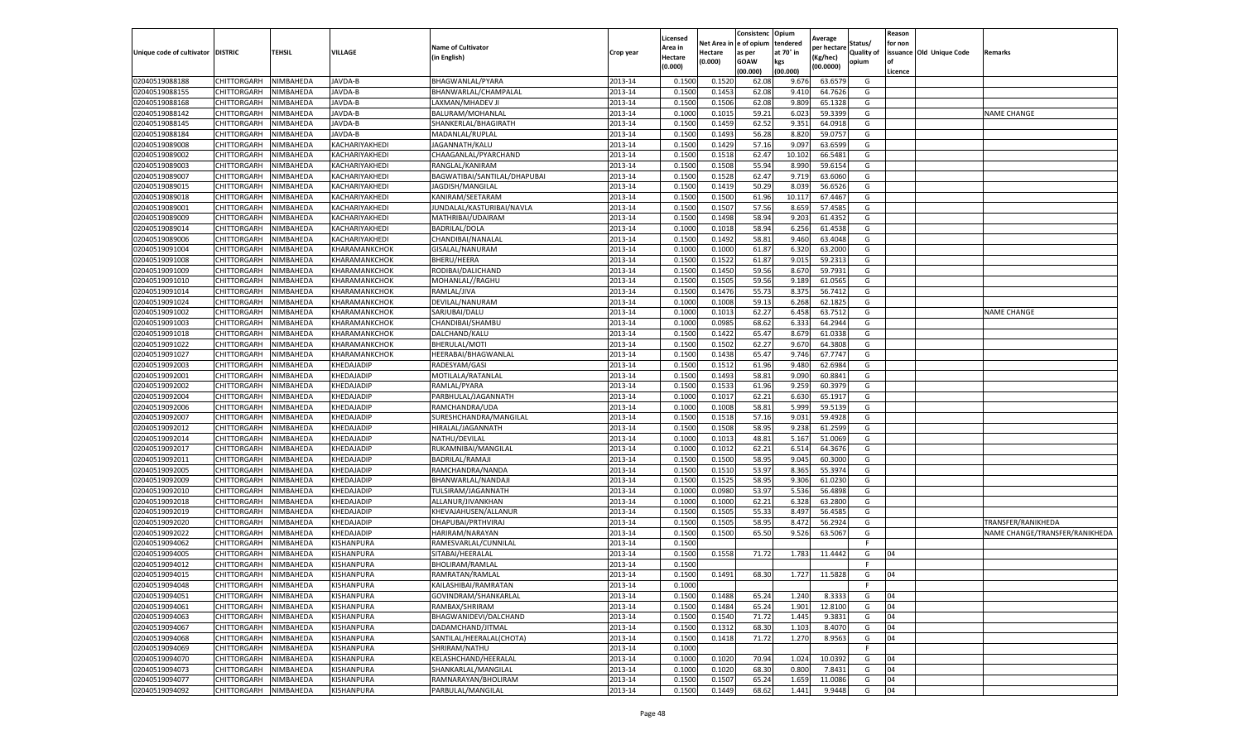|                           |                    |           |                   |                              |           | Licensed |         | Consistenc             | Opium     |                        |                   | Reason  |                          |                                |
|---------------------------|--------------------|-----------|-------------------|------------------------------|-----------|----------|---------|------------------------|-----------|------------------------|-------------------|---------|--------------------------|--------------------------------|
|                           |                    |           |                   | <b>Name of Cultivator</b>    |           | Area in  |         | Net Area in e of opium | tendered  | Average<br>per hectare | Status/           | for non |                          |                                |
| Unique code of cultivator | <b>DISTRIC</b>     | TEHSIL    | VILLAGE           | in English)                  | Crop year | Hectare  | Hectare | as per                 | at 70° in | (Kg/hec                | <b>Quality of</b> |         | issuance Old Unique Code | <b>Remarks</b>                 |
|                           |                    |           |                   |                              |           | (0.000)  | (0.000) | <b>GOAW</b>            | kgs       | (00.0000)              | opium             |         |                          |                                |
|                           |                    |           |                   |                              |           |          |         | (00.000)               | (00.000)  |                        |                   | Licence |                          |                                |
| 02040519088188            | CHITTORGARH        | NIMBAHEDA | JAVDA-B           | BHAGWANLAL/PYARA             | 2013-14   | 0.1500   | 0.1520  | 62.08                  | 9.676     | 63.6579                | G                 |         |                          |                                |
| 02040519088155            | CHITTORGARH        | NIMBAHEDA | JAVDA-B           | BHANWARLAL/CHAMPALAL         | 2013-14   | 0.1500   | 0.1453  | 62.08                  | 9.41      | 64.7626                | G                 |         |                          |                                |
| 02040519088168            | CHITTORGARH        | NIMBAHEDA | JAVDA-B           | LAXMAN/MHADEV J              | 2013-14   | 0.1500   | 0.1506  | 62.08                  | 9.809     | 65.1328                | G                 |         |                          |                                |
| 02040519088142            | CHITTORGARH        | NIMBAHEDA | JAVDA-B           | BALURAM/MOHANLAL             | 2013-14   | 0.1000   | 0.1015  | 59.21                  | 6.023     | 59.3399                | G                 |         |                          | <b>NAME CHANGE</b>             |
| 02040519088145            | CHITTORGARH        | NIMBAHEDA | JAVDA-B           | SHANKERLAL/BHAGIRATH         | 2013-14   | 0.1500   | 0.1459  | 62.52                  | 9.351     | 64.0918                | G                 |         |                          |                                |
| 02040519088184            | CHITTORGARH        | NIMBAHEDA | JAVDA-B           | MADANLAL/RUPLAL              | 2013-14   | 0.1500   | 0.1493  | 56.28                  | 8.82      | 59.075                 | G                 |         |                          |                                |
| 02040519089008            | CHITTORGARH        | NIMBAHEDA | KACHARIYAKHEDI    | JAGANNATH/KALU               | 2013-14   | 0.1500   | 0.1429  | 57.16                  | 9.097     | 63.6599                | G                 |         |                          |                                |
| 02040519089002            | CHITTORGARH        | NIMBAHEDA | KACHARIYAKHEDI    | CHAAGANLAL/PYARCHAND         | 2013-14   | 0.1500   | 0.1518  | 62.47                  | 10.102    | 66.5481                | G                 |         |                          |                                |
| 02040519089003            | CHITTORGARH        | NIMBAHEDA | KACHARIYAKHEDI    | RANGLAL/KANIRAM              | 2013-14   | 0.1500   | 0.1508  | 55.94                  | 8.990     | 59.6154                | G                 |         |                          |                                |
| 02040519089007            | CHITTORGARH        | NIMBAHEDA | KACHARIYAKHEDI    | BAGWATIBAI/SANTILAL/DHAPUBAI | 2013-14   | 0.1500   | 0.1528  | 62.47                  | 9.719     | 63.6060                | G                 |         |                          |                                |
| 02040519089015            | CHITTORGARH        | NIMBAHEDA | KACHARIYAKHEDI    | JAGDISH/MANGILAL             | 2013-14   | 0.1500   | 0.1419  | 50.29                  | 8.039     | 56.6526                | G                 |         |                          |                                |
| 02040519089018            | CHITTORGARH        | NIMBAHEDA | KACHARIYAKHEDI    | KANIRAM/SEETARAM             | 2013-14   | 0.1500   | 0.1500  | 61.96                  | 10.11     | 67.4467                | G                 |         |                          |                                |
| 02040519089001            | CHITTORGARH        | NIMBAHEDA | KACHARIYAKHEDI    | JUNDALAL/KASTURIBAI/NAVLA    | 2013-14   | 0.1500   | 0.1507  | 57.56                  | 8.659     | 57.4585                | G                 |         |                          |                                |
| 02040519089009            | CHITTORGARH        | NIMBAHEDA | KACHARIYAKHEDI    | MATHRIBAI/UDAIRAM            | 2013-14   | 0.1500   | 0.1498  | 58.94                  | 9.203     | 61.4352                | G                 |         |                          |                                |
| 02040519089014            | CHITTORGARH        | NIMBAHEDA | KACHARIYAKHEDI    | <b>BADRILAL/DOLA</b>         | 2013-14   | 0.1000   | 0.1018  | 58.94                  | 6.256     | 61.4538                | G                 |         |                          |                                |
| 02040519089006            | CHITTORGARH        | NIMBAHEDA | KACHARIYAKHEDI    | CHANDIBAI/NANALAL            | 2013-14   | 0.1500   | 0.1492  | 58.81                  | 9.460     | 63.4048                | G                 |         |                          |                                |
| 02040519091004            | CHITTORGARH        | NIMBAHEDA | KHARAMANKCHOK     | GISALAL/NANURAM              | 2013-14   | 0.1000   | 0.1000  | 61.87                  | 6.320     | 63.2000                | G                 |         |                          |                                |
| 02040519091008            | CHITTORGARH        | NIMBAHEDA | KHARAMANKCHOK     | BHERU/HEERA                  | 2013-14   | 0.1500   | 0.1522  | 61.87                  | 9.015     | 59.2313                | G                 |         |                          |                                |
| 02040519091009            | CHITTORGARH        | NIMBAHEDA | KHARAMANKCHOK     | RODIBAI/DALICHAND            | 2013-14   | 0.1500   | 0.1450  | 59.56                  | 8.67      | 59.7931                | G                 |         |                          |                                |
| 02040519091010            | CHITTORGARH        | NIMBAHEDA | KHARAMANKCHOK     | MOHANLAL//RAGHU              | 2013-14   | 0.1500   | 0.1505  | 59.56                  | 9.189     | 61.0565                | G                 |         |                          |                                |
| 02040519091014            | CHITTORGARH        | NIMBAHEDA | KHARAMANKCHOK     | RAMLAL/JIVA                  | 2013-14   | 0.1500   | 0.1476  | 55.73                  | 8.375     | 56.7412                | G                 |         |                          |                                |
| 02040519091024            | CHITTORGARH        | NIMBAHEDA | KHARAMANKCHOK     | DEVILAL/NANURAM              | 2013-14   | 0.1000   | 0.1008  | 59.13                  | 6.268     | 62.1825                | G                 |         |                          |                                |
| 02040519091002            | CHITTORGARH        | NIMBAHEDA | KHARAMANKCHOK     | SARJUBAI/DALU                | 2013-14   | 0.1000   | 0.1013  | 62.27                  | 6.458     | 63.7512                | G                 |         |                          | <b>NAME CHANGE</b>             |
| 02040519091003            | CHITTORGARH        | NIMBAHEDA | KHARAMANKCHOK     | CHANDIBAI/SHAMBU             | 2013-14   | 0.1000   | 0.0985  | 68.62                  | 6.333     | 64.2944                | G                 |         |                          |                                |
| 02040519091018            | <b>CHITTORGARH</b> | NIMBAHEDA | KHARAMANKCHOK     | DALCHAND/KALU                | 2013-14   | 0.1500   | 0.1422  | 65.47                  | 8.679     | 61.0338                | G                 |         |                          |                                |
| 02040519091022            | CHITTORGARH        | NIMBAHEDA | KHARAMANKCHOK     | BHERULAL/MOTI                | 2013-14   | 0.1500   | 0.1502  | 62.27                  | 9.670     | 64.3808                | G                 |         |                          |                                |
| 02040519091027            | CHITTORGARH        | NIMBAHEDA | KHARAMANKCHOK     | HEERABAI/BHAGWANLAL          | 2013-14   | 0.1500   | 0.1438  | 65.47                  | 9.746     | 67.7747                | G                 |         |                          |                                |
| 02040519092003            | CHITTORGARH        | NIMBAHEDA | KHEDAJADIP        | RADESYAM/GASI                | 2013-14   | 0.1500   | 0.1512  | 61.96                  | 9.480     | 62.6984                | G                 |         |                          |                                |
| 02040519092001            | <b>CHITTORGARH</b> | NIMBAHEDA | KHEDAJADIP        | MOTILALA/RATANLAL            | 2013-14   | 0.1500   | 0.1493  | 58.81                  | 9.090     | 60.8841                | G                 |         |                          |                                |
| 02040519092002            | CHITTORGARH        | NIMBAHEDA | KHEDAJADIP        | RAMLAL/PYARA                 | 2013-14   | 0.1500   | 0.1533  | 61.96                  | 9.259     | 60.3979                | G                 |         |                          |                                |
| 02040519092004            | CHITTORGARH        | NIMBAHEDA | KHEDAJADIP        | PARBHULAL/JAGANNATH          | 2013-14   | 0.1000   | 0.1017  | 62.21                  | 6.63      | 65.191                 | G                 |         |                          |                                |
| 02040519092006            | CHITTORGARH        | NIMBAHEDA | KHEDAJADIP        | RAMCHANDRA/UDA               | 2013-14   | 0.1000   | 0.1008  | 58.81                  | 5.999     | 59.5139                | G                 |         |                          |                                |
| 02040519092007            | CHITTORGARH        | NIMBAHEDA | KHEDAJADIP        | SURESHCHANDRA/MANGILAL       | 2013-14   | 0.1500   | 0.1518  | 57.16                  | 9.03      | 59.4928                | G                 |         |                          |                                |
| 02040519092012            | CHITTORGARH        | NIMBAHEDA | KHEDAJADIP        | HIRALAL/JAGANNATH            | 2013-14   | 0.1500   | 0.1508  | 58.95                  | 9.238     | 61.2599                | G                 |         |                          |                                |
| 02040519092014            | CHITTORGARH        | NIMBAHEDA | KHEDAJADIP        | NATHU/DEVILAL                | 2013-14   | 0.1000   | 0.1013  | 48.81                  | 5.167     | 51.0069                | G                 |         |                          |                                |
| 02040519092017            | CHITTORGARH        | NIMBAHEDA | KHEDAJADIP        | RUKAMNIBAI/MANGILAL          | 2013-14   | 0.1000   | 0.1012  | 62.21                  | 6.51      | 64.3676                | G                 |         |                          |                                |
| 02040519092011            | CHITTORGARH        | NIMBAHEDA | KHEDAJADIP        | BADRILAL/RAMAJI              | 2013-14   | 0.1500   | 0.1500  | 58.95                  | 9.045     | 60.3000                | G                 |         |                          |                                |
| 02040519092005            | CHITTORGARH        | NIMBAHEDA | KHEDAJADIP        | RAMCHANDRA/NANDA             | 2013-14   | 0.1500   | 0.1510  | 53.97                  | 8.365     | 55.3974                | G                 |         |                          |                                |
| 02040519092009            | CHITTORGARH        | NIMBAHEDA | KHEDAJADIP        | BHANWARLAL/NANDAJ            | 2013-14   | 0.1500   | 0.1525  | 58.95                  | 9.306     | 61.0230                | G                 |         |                          |                                |
| 02040519092010            | CHITTORGARH        | NIMBAHEDA | KHEDAJADIP        | TULSIRAM/JAGANNATH           | 2013-14   | 0.1000   | 0.0980  | 53.97                  | 5.536     | 56.4898                | G                 |         |                          |                                |
| 02040519092018            | CHITTORGARH        | NIMBAHEDA | KHEDAJADIP        | ALLANUR/JIVANKHAN            | 2013-14   | 0.1000   | 0.1000  | 62.21                  | 6.328     | 63.2800                | G                 |         |                          |                                |
| 02040519092019            | CHITTORGARH        | NIMBAHEDA | KHEDAJADIP        | KHEVAJAHUSEN/ALLANUR         | 2013-14   | 0.1500   | 0.1505  | 55.33                  | 8.497     | 56.4585                | G                 |         |                          |                                |
| 02040519092020            | CHITTORGARH        | NIMBAHEDA | KHEDAJADIP        | DHAPUBAI/PRTHVIRAJ           | 2013-14   | 0.1500   | 0.1505  | 58.95                  | 8.472     | 56.2924                | G                 |         |                          | TRANSFER/RANIKHEDA             |
| 02040519092022            | CHITTORGARH        | NIMBAHEDA | KHEDAJADIP        | HARIRAM/NARAYAN              | 2013-14   | 0.1500   | 0.1500  | 65.50                  | 9.526     | 63.506                 | G                 |         |                          | NAME CHANGE/TRANSFER/RANIKHEDA |
| 02040519094062            | CHITTORGARH        | NIMBAHEDA | KISHANPURA        | RAMESVARLAL/CUNNILAL         | 2013-14   | 0.1500   |         |                        |           |                        | F.                |         |                          |                                |
| 02040519094005            | CHITTORGARH        | NIMBAHEDA | KISHANPURA        | SITABAI/HEERALAL             | 2013-14   | 0.1500   | 0.1558  | 71.72                  | 1.783     | 11.4442                | G                 | 04      |                          |                                |
| 02040519094012            | CHITTORGARH        | NIMBAHEDA | KISHANPURA        | <b>BHOLIRAM/RAMLAL</b>       | 2013-14   | 0.1500   |         |                        |           |                        | F                 |         |                          |                                |
| 02040519094015            | CHITTORGARH        | NIMBAHEDA | KISHANPURA        | RAMRATAN/RAMLAL              | 2013-14   | 0.1500   | 0.1491  | 68.30                  | 1.727     | 11.5828                | G                 | 04      |                          |                                |
| 02040519094048            | CHITTORGARH        | NIMBAHEDA | KISHANPURA        | KAILASHIBAI/RAMRATAN         | 2013-14   | 0.1000   |         |                        |           |                        | F.                |         |                          |                                |
| 02040519094051            | CHITTORGARH        | NIMBAHEDA | KISHANPURA        | GOVINDRAM/SHANKARLAL         | 2013-14   | 0.1500   | 0.1488  | 65.24                  | 1.240     | 8.3333                 | G                 | 04      |                          |                                |
| 02040519094061            | CHITTORGARH        | NIMBAHEDA | KISHANPURA        | RAMBAX/SHRIRAM               | 2013-14   | 0.1500   | 0.1484  | 65.24                  | 1.901     | 12.8100                | G                 | 04      |                          |                                |
| 02040519094063            | CHITTORGARH        | NIMBAHEDA | KISHANPURA        | BHAGWANIDEVI/DALCHAND        | 2013-14   | 0.1500   | 0.1540  | 71.72                  | 1.445     | 9.3831                 | G                 | 04      |                          |                                |
| 02040519094067            | CHITTORGARH        | NIMBAHEDA | KISHANPURA        | DADAMCHAND/JITMAL            | 2013-14   | 0.1500   | 0.1312  | 68.30                  | 1.103     | 8.4070                 | G                 | 04      |                          |                                |
| 02040519094068            | <b>CHITTORGARH</b> | NIMBAHEDA | <b>KISHANPURA</b> | SANTILAL/HEERALAL(CHOTA)     | 2013-14   | 0.1500   | 0.1418  | 71.72                  | 1.270     | 8.9563                 | G                 | 04      |                          |                                |
| 02040519094069            | CHITTORGARH        | NIMBAHEDA | KISHANPURA        | SHRIRAM/NATHU                | 2013-14   | 0.1000   |         |                        |           |                        | F                 |         |                          |                                |
| 02040519094070            | CHITTORGARH        | NIMBAHEDA | KISHANPURA        | KELASHCHAND/HEERALAL         | 2013-14   | 0.1000   | 0.1020  | 70.94                  | 1.024     | 10.0392                | G                 | 04      |                          |                                |
| 02040519094073            | CHITTORGARH        | NIMBAHEDA | <b>KISHANPURA</b> | SHANKARLAL/MANGILAL          | 2013-14   | 0.1000   | 0.1020  | 68.30                  | 0.800     | 7.8431                 | G                 | 04      |                          |                                |
| 02040519094077            | CHITTORGARH        | NIMBAHEDA | KISHANPURA        | RAMNARAYAN/BHOLIRAM          | 2013-14   | 0.1500   | 0.1507  | 65.24                  | 1.659     | 11.0086                | G                 | 04      |                          |                                |
| 02040519094092            | <b>CHITTORGARH</b> | NIMBAHEDA | KISHANPURA        | PARBULAL/MANGILAL            | 2013-14   | 0.1500   | 0.1449  | 68.62                  | 1.441     | 9.9448                 | G                 | 04      |                          |                                |
|                           |                    |           |                   |                              |           |          |         |                        |           |                        |                   |         |                          |                                |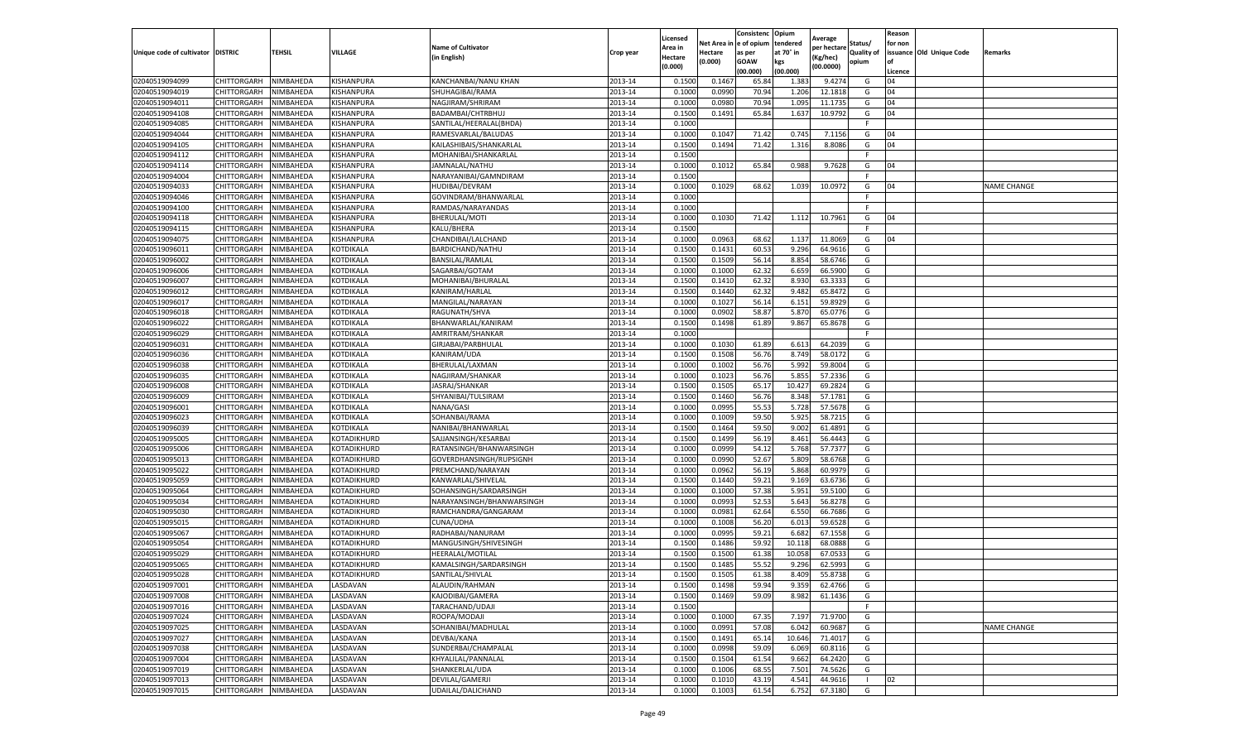|                                   |                            |                        |                      |                                    |                    | Licensed         |                  | Consistenc             | Opium          |                        |                   | Reason  |                          |                    |
|-----------------------------------|----------------------------|------------------------|----------------------|------------------------------------|--------------------|------------------|------------------|------------------------|----------------|------------------------|-------------------|---------|--------------------------|--------------------|
|                                   |                            |                        |                      | <b>Name of Cultivator</b>          |                    | Area in          |                  | Net Area in e of opium | tendered       | Average<br>per hectare | Status/           | for non |                          |                    |
| Unique code of cultivator DISTRIC |                            | TEHSIL                 | VILLAGE              | in English)                        | Crop year          | Hectare          | Hectare          | as per                 | at 70° in      | (Kg/hec                | <b>Quality of</b> |         | issuance Old Unique Code | <b>Remarks</b>     |
|                                   |                            |                        |                      |                                    |                    | (0.000)          | (0.000)          | <b>GOAW</b>            | kgs            | (00.0000)              | opium             |         |                          |                    |
|                                   |                            |                        |                      |                                    |                    |                  |                  | (00.000)               | (00.000)       |                        |                   | Licence |                          |                    |
| 02040519094099                    | CHITTORGARH                | NIMBAHEDA              | KISHANPURA           | KANCHANBAI/NANU KHAN               | 2013-14            | 0.1500           | 0.1467           | 65.84                  | 1.383          | 9.4274                 | G                 | 04      |                          |                    |
| 02040519094019                    | CHITTORGARH                | NIMBAHEDA              | KISHANPURA           | SHUHAGIBAI/RAMA                    | 2013-14            | 0.1000           | 0.0990           | 70.94                  | 1.206          | 12.1818                | G                 | 04      |                          |                    |
| 02040519094011                    | CHITTORGARH                | NIMBAHEDA              | KISHANPURA           | NAGJIRAM/SHRIRAM                   | 2013-14            | 0.1000           | 0.0980           | 70.94                  | 1.095          | 11.1735                | G                 | 04      |                          |                    |
| 02040519094108                    | CHITTORGARH                | NIMBAHEDA              | KISHANPURA           | BADAMBAI/CHTRBHUJ                  | 2013-14            | 0.1500           | 0.1491           | 65.84                  | 1.637          | 10.9792                | G                 | 04      |                          |                    |
| 02040519094085                    | CHITTORGARH                | NIMBAHEDA              | KISHANPURA           | SANTILAL/HEERALAL(BHDA)            | 2013-14            | 0.1000           |                  |                        |                |                        | F                 |         |                          |                    |
| 02040519094044                    | CHITTORGARH                | NIMBAHEDA              | KISHANPURA           | RAMESVARLAL/BALUDAS                | 2013-14            | 0.1000           | 0.1047           | 71.42                  | 0.745          | 7.1156                 | G                 | 04      |                          |                    |
| 02040519094105                    | CHITTORGARH                | NIMBAHEDA              | KISHANPURA           | KAILASHIBAIS/SHANKARLAL            | 2013-14            | 0.1500           | 0.1494           | 71.42                  | 1.316          | 8.8086                 | G                 | 04      |                          |                    |
| 02040519094112                    | CHITTORGARH                | NIMBAHEDA              | KISHANPURA           | MOHANIBAI/SHANKARLAL               | 2013-14            | 0.1500           |                  |                        |                |                        | F.                |         |                          |                    |
| 02040519094114                    | CHITTORGARH                | NIMBAHEDA              | KISHANPURA           | JAMNALAL/NATHU                     | 2013-14            | 0.1000           | 0.1012           | 65.84                  | 0.988          | 9.7628                 | G                 | 04      |                          |                    |
| 02040519094004                    | CHITTORGARH                | NIMBAHEDA              | KISHANPURA           | NARAYANIBAI/GAMNDIRAM              | 2013-14            | 0.1500           |                  |                        |                |                        | F.                |         |                          |                    |
| 02040519094033                    | CHITTORGARH                | NIMBAHEDA              | KISHANPURA           | HUDIBAI/DEVRAM                     | 2013-14            | 0.1000           | 0.1029           | 68.62                  | 1.039          | 10.0972                | G                 | 04      |                          | <b>NAME CHANGE</b> |
| 02040519094046                    | CHITTORGARH                | NIMBAHEDA              | KISHANPURA           | GOVINDRAM/BHANWARLAL               | 2013-14            | 0.1000           |                  |                        |                |                        | F                 |         |                          |                    |
| 02040519094100                    | CHITTORGARH                | NIMBAHEDA              | KISHANPURA           | RAMDAS/NARAYANDAS                  | 2013-14            | 0.1000           |                  |                        |                |                        | F                 |         |                          |                    |
| 02040519094118                    | CHITTORGARH                | NIMBAHEDA              | KISHANPURA           | BHERULAL/MOTI                      | 2013-14            | 0.1000           | 0.1030           | 71.42                  | 1.112          | 10.7961                | G                 | 04      |                          |                    |
| 02040519094115                    | CHITTORGARH                | NIMBAHEDA              | KISHANPURA           | KALU/BHERA                         | 2013-14            | 0.1500           |                  |                        |                |                        | F.                |         |                          |                    |
| 02040519094075                    | CHITTORGARH                | NIMBAHEDA              | KISHANPURA           | CHANDIBAI/LALCHAND                 | 2013-14            | 0.1000           | 0.0963           | 68.62                  | 1.137          | 11.8069                | G                 | 04      |                          |                    |
| 02040519096011                    | CHITTORGARH                | NIMBAHEDA              | KOTDIKALA            | BARDICHAND/NATHU                   | 2013-14            | 0.1500           | 0.1431           | 60.53                  | 9.296          | 64.9616                | G                 |         |                          |                    |
| 02040519096002                    | CHITTORGARH                | NIMBAHEDA              | KOTDIKALA            | BANSILAL/RAMLAL                    | 2013-14            | 0.1500           | 0.1509           | 56.14                  | 8.854          | 58.6746                | G                 |         |                          |                    |
| 02040519096006                    | CHITTORGARH                | NIMBAHEDA              | KOTDIKALA            | SAGARBAI/GOTAM                     | 2013-14            | 0.1000           | 0.1000           | 62.32                  | 6.659          | 66.5900                | G                 |         |                          |                    |
| 02040519096007                    | CHITTORGARH                | NIMBAHEDA              | KOTDIKALA            | MOHANIBAI/BHURALAL                 | 2013-14            | 0.1500           | 0.1410           | 62.32                  | 8.930          | 63.3333                | G                 |         |                          |                    |
| 02040519096012                    | CHITTORGARH                | NIMBAHEDA              | KOTDIKALA            | KANIRAM/HARLAL                     | 2013-14            | 0.1500           | 0.1440           | 62.32                  | 9.482          | 65.8472                | G                 |         |                          |                    |
| 02040519096017                    | CHITTORGARH                | NIMBAHEDA              | KOTDIKALA            | MANGILAL/NARAYAN                   | 2013-14            | 0.1000           | 0.1027           | 56.14                  | 6.151          | 59.8929                | G                 |         |                          |                    |
| 02040519096018                    | CHITTORGARH                | NIMBAHEDA              | KOTDIKALA            | RAGUNATH/SHVA                      | 2013-14            | 0.1000           | 0.0902           | 58.87                  | 5.870          | 65.0776                | G                 |         |                          |                    |
| 02040519096022                    | CHITTORGARH                | NIMBAHEDA              | KOTDIKALA            | BHANWARLAL/KANIRAM                 | 2013-14            | 0.1500           | 0.1498           | 61.89                  | 9.867          | 65.8678                | G                 |         |                          |                    |
| 02040519096029                    | CHITTORGARH                | NIMBAHEDA              | KOTDIKALA            | AMRITRAM/SHANKAR                   | 2013-14            | 0.1000           |                  |                        |                |                        | F                 |         |                          |                    |
| 02040519096031                    | CHITTORGARH                | NIMBAHEDA              | KOTDIKALA            | GIRJABAI/PARBHULAI                 | 2013-14            | 0.1000           | 0.1030           | 61.89                  | 6.613          | 64.2039                | G                 |         |                          |                    |
| 02040519096036                    | CHITTORGARH                | NIMBAHEDA              | KOTDIKALA            | KANIRAM/UDA                        | 2013-14            | 0.1500           | 0.1508           | 56.76                  | 8.749          | 58.0172                | G                 |         |                          |                    |
| 02040519096038                    | CHITTORGARH                | NIMBAHEDA              | KOTDIKALA            | BHERULAL/LAXMAN                    | 2013-14            | 0.1000           | 0.1002           | 56.76                  | 5.992          | 59.8004                | G                 |         |                          |                    |
| 02040519096035                    | CHITTORGARH                | NIMBAHEDA              | KOTDIKALA            | NAGJIRAM/SHANKAR                   | 2013-14            | 0.1000           | 0.1023           | 56.76                  | 5.855          | 57.2336                | G                 |         |                          |                    |
| 02040519096008                    | CHITTORGARH                | NIMBAHEDA              | KOTDIKALA            | JASRAJ/SHANKAR                     | 2013-14            | 0.1500           | 0.1505           | 65.17                  | 10.427         | 69.2824                | G                 |         |                          |                    |
| 02040519096009                    | CHITTORGARH                | NIMBAHEDA              | KOTDIKALA            | SHYANIBAI/TULSIRAM                 | 2013-14            | 0.1500           | 0.1460           | 56.76                  | 8.348          | 57.1781                | G                 |         |                          |                    |
| 02040519096001                    | CHITTORGARH                | NIMBAHEDA              | KOTDIKALA            | NANA/GASI                          | 2013-14            | 0.1000           | 0.0995           | 55.53                  | 5.728          | 57.5678                | G                 |         |                          |                    |
| 02040519096023                    | CHITTORGARH                | NIMBAHEDA              | KOTDIKALA            | SOHANBAI/RAMA                      | 2013-14            | 0.1000           | 0.1009           | 59.50                  | 5.925          | 58.7215                | G                 |         |                          |                    |
| 02040519096039                    | CHITTORGARH                | NIMBAHEDA              | KOTDIKALA            | NANIBAI/BHANWARLAL                 | 2013-14            | 0.1500           | 0.1464           | 59.50                  | 9.002          | 61.4891                | G                 |         |                          |                    |
| 02040519095005                    | CHITTORGARH                | NIMBAHEDA              | KOTADIKHURD          | SAJJANSINGH/KESARBAI               | 2013-14            | 0.1500           | 0.1499           | 56.19                  | 8.461          | 56.4443                | G                 |         |                          |                    |
| 02040519095006                    | CHITTORGARH                | NIMBAHEDA              | KOTADIKHURD          | RATANSINGH/BHANWARSINGH            | 2013-14            | 0.1000           | 0.0999           | 54.12                  | 5.768          | 57.7377                | G                 |         |                          |                    |
| 02040519095013                    | CHITTORGARH                | NIMBAHEDA              | KOTADIKHURD          | GOVERDHANSINGH/RUPSIGNH            | 2013-14            | 0.1000           | 0.0990           | 52.67                  | 5.809          | 58.6768                | G                 |         |                          |                    |
| 02040519095022                    | CHITTORGARH                | NIMBAHEDA              | KOTADIKHURD          | PREMCHAND/NARAYAN                  | 2013-14            | 0.1000           | 0.0962           | 56.19                  | 5.868          | 60.9979                | G                 |         |                          |                    |
| 02040519095059                    | CHITTORGARH                | NIMBAHEDA              | KOTADIKHURD          | KANWARLAL/SHIVELAL                 | 2013-14            | 0.1500           | 0.1440           | 59.21                  | 9.169          | 63.6736                | G                 |         |                          |                    |
| 02040519095064                    | CHITTORGARH                | NIMBAHEDA              | KOTADIKHURD          | SOHANSINGH/SARDARSINGH             | 2013-14            | 0.1000           | 0.1000           | 57.38                  | 5.951          | 59.5100                | G                 |         |                          |                    |
| 02040519095034                    | CHITTORGARH                | NIMBAHEDA              | KOTADIKHURD          | NARAYANSINGH/BHANWARSINGH          | 2013-14            | 0.1000           | 0.0993           | 52.53                  | 5.643          | 56.8278                | G                 |         |                          |                    |
| 02040519095030                    | CHITTORGARH                | NIMBAHEDA              | KOTADIKHURD          | RAMCHANDRA/GANGARAM                | 2013-14            | 0.1000           | 0.0981           | 62.64                  | 6.550          | 66.7686                | G                 |         |                          |                    |
| 02040519095015                    | CHITTORGARH                | NIMBAHEDA              | KOTADIKHURD          | CUNA/UDHA                          | 2013-14            | 0.1000           | 0.1008           | 56.20                  | 6.013          | 59.6528                | G                 |         |                          |                    |
| 02040519095067                    | CHITTORGARH                | NIMBAHEDA              | KOTADIKHURD          | RADHABAI/NANURAM                   | 2013-14            | 0.1000           | 0.0995           | 59.21                  | 6.682          | 67.1558                | G                 |         |                          |                    |
| 02040519095054                    | CHITTORGARH                | NIMBAHEDA              | KOTADIKHURD          | MANGUSINGH/SHIVESINGH              | 2013-14            | 0.1500           | 0.1486           | 59.92                  | 10.118         | 68.0888                | G                 |         |                          |                    |
| 02040519095029                    | CHITTORGARH                | NIMBAHEDA              | KOTADIKHURD          | HEERALAL/MOTILAL                   | 2013-14            | 0.1500           | 0.1500           | 61.38                  | 10.05          | 67.053                 | G                 |         |                          |                    |
| 02040519095065                    | CHITTORGARH                | NIMBAHEDA              | KOTADIKHURD          | KAMALSINGH/SARDARSINGH             | 2013-14            | 0.1500           | 0.1485           | 55.52                  | 9.296          | 62.5993                | G                 |         |                          |                    |
| 02040519095028                    | CHITTORGARH                | NIMBAHEDA              | KOTADIKHURD          | SANTILAL/SHIVLAL                   | 2013-14            | 0.1500           | 0.1505           | 61.38                  | 8.409          | 55.8738                | G                 |         |                          |                    |
| 02040519097001                    | CHITTORGARH                | NIMBAHEDA              | LASDAVAN             | ALAUDIN/RAHMAN                     | 2013-14            | 0.1500           | 0.1498           | 59.94                  | 9.359          | 62.4766                | G                 |         |                          |                    |
| 02040519097008                    | CHITTORGARH                | NIMBAHEDA              | LASDAVAN             | KAJODIBAI/GAMERA                   | 2013-14            | 0.1500           | 0.1469           | 59.09                  | 8.982          | 61.1436                | G                 |         |                          |                    |
| 02040519097016                    | CHITTORGARH                | NIMBAHEDA              | LASDAVAN             | TARACHAND/UDAJI                    | 2013-14            | 0.1500           |                  |                        |                |                        | F.                |         |                          |                    |
|                                   |                            |                        |                      |                                    |                    |                  |                  |                        |                |                        |                   |         |                          |                    |
| 02040519097024<br>02040519097025  | CHITTORGARH<br>CHITTORGARH | NIMBAHEDA<br>NIMBAHEDA | LASDAVAN<br>LASDAVAN | ROOPA/MODAJI<br>SOHANIBAI/MADHULAL | 2013-14<br>2013-14 | 0.1000<br>0.1000 | 0.1000<br>0.0991 | 67.35<br>57.08         | 7.197<br>6.042 | 71.9700<br>60.9687     | G<br>G            |         |                          | <b>NAME CHANGE</b> |
|                                   |                            |                        |                      |                                    | 2013-14            |                  |                  |                        |                |                        | G                 |         |                          |                    |
| 02040519097027                    | <b>CHITTORGARH</b>         | NIMBAHEDA              | LASDAVAN             | DEVBAI/KANA                        |                    | 0.1500           | 0.1491           | 65.14                  | 10.646         | 71.4017                |                   |         |                          |                    |
| 02040519097038                    | CHITTORGARH                | NIMBAHEDA              | LASDAVAN             | SUNDERBAI/CHAMPALAL                | 2013-14            | 0.1000           | 0.0998           | 59.09                  | 6.069          | 60.8116                | G                 |         |                          |                    |
| 02040519097004<br>02040519097019  | CHITTORGARH                | NIMBAHEDA              | LASDAVAN             | KHYALILAL/PANNALAL                 | 2013-14            | 0.1500           | 0.1504           | 61.54<br>68.55         | 9.662          | 64.2420<br>74.5626     | G<br>G            |         |                          |                    |
| 02040519097013                    | CHITTORGARH                | NIMBAHEDA              | LASDAVAN             | SHANKERLAL/UDA                     | 2013-14            | 0.1000           | 0.1006           |                        | 7.501          |                        | $\mathbf{I}$      |         |                          |                    |
|                                   | CHITTORGARH                | NIMBAHEDA              | LASDAVAN             | DEVILAL/GAMERJI                    | 2013-14            | 0.1000           | 0.1010           | 43.19                  | 4.541          | 44.9616                |                   | 02      |                          |                    |
| 02040519097015                    | <b>CHITTORGARH</b>         | NIMBAHEDA              | LASDAVAN             | UDAILAL/DALICHAND                  | 2013-14            | 0.1000           | 0.1003           | 61.54                  | 6.752          | 67.3180                | G                 |         |                          |                    |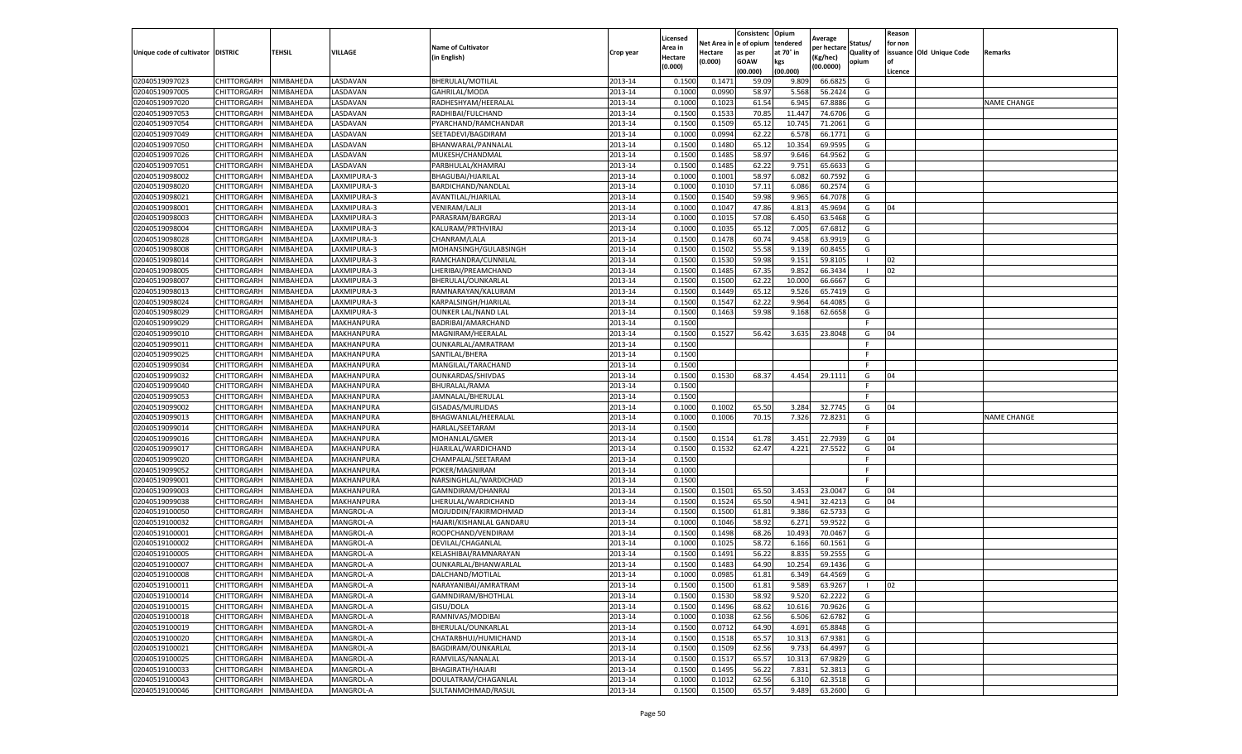|                                   |                            |                        |                         |                                             |           | Licensed         |                  | Consistenc     | Opium          | Average            |                   | Reason  |                          |                    |
|-----------------------------------|----------------------------|------------------------|-------------------------|---------------------------------------------|-----------|------------------|------------------|----------------|----------------|--------------------|-------------------|---------|--------------------------|--------------------|
|                                   |                            |                        |                         | <b>Name of Cultivator</b>                   |           | Area in          | Net Area i       | e of opium     | tendered       | per hectare        | Status/           | for non |                          |                    |
| Unique code of cultivator DISTRIC |                            | TEHSIL                 | VILLAGE                 | (in English)                                | Crop year | Hectare          | Hectare          | as per         | at 70° in      | (Kg/hec)           | <b>Quality of</b> |         | issuance Old Unique Code | <b>Remarks</b>     |
|                                   |                            |                        |                         |                                             |           | (0.000)          | (0.000)          | <b>GOAW</b>    | kgs            | (00.0000)          | opium             | οf      |                          |                    |
|                                   |                            |                        |                         |                                             |           |                  |                  | (00.000        | (00.000)       |                    |                   | Licence |                          |                    |
| 02040519097023                    | CHITTORGARH                | NIMBAHEDA              | LASDAVAN                | BHERULAL/MOTILAL                            | 2013-14   | 0.1500           | 0.147            | 59.09          | 9.809          | 66.6825            | G                 |         |                          |                    |
| 02040519097005                    | CHITTORGARH                | NIMBAHEDA              | LASDAVAN                | GAHRILAL/MODA                               | 2013-14   | 0.100            | 0.0990           | 58.97          | 5.568          | 56.2424            | G                 |         |                          |                    |
| 02040519097020                    | CHITTORGARH                | NIMBAHEDA              | LASDAVAN                | RADHESHYAM/HEERALAL                         | 2013-14   | 0.1000           | 0.1023           | 61.54          | 6.945          | 67.8886            | G                 |         |                          | <b>NAME CHANGE</b> |
| 02040519097053                    | CHITTORGARH                | NIMBAHEDA              | LASDAVAN                | RADHIBAI/FULCHAND                           | 2013-14   | 0.1500           | 0.1533           | 70.85          | 11.447         | 74.6706            | G                 |         |                          |                    |
| 02040519097054                    | CHITTORGARH                | NIMBAHEDA              | LASDAVAN                | PYARCHAND/RAMCHANDAR                        | 2013-14   | 0.1500           | 0.1509           | 65.12          | 10.745         | 71.2061            | G                 |         |                          |                    |
| 02040519097049                    | CHITTORGARH                | NIMBAHEDA              | LASDAVAN                | SEETADEVI/BAGDIRAM                          | 2013-14   | 0.1000           | 0.0994           | 62.22          | 6.578          | 66.1771            | G                 |         |                          |                    |
| 02040519097050                    | CHITTORGARH                | NIMBAHEDA              | LASDAVAN                | BHANWARAL/PANNALAI                          | 2013-14   | 0.1500           | 0.1480           | 65.12          | 10.354         | 69.9595            | G                 |         |                          |                    |
| 02040519097026                    | CHITTORGARH                | NIMBAHEDA              | LASDAVAN                | MUKESH/CHANDMAL                             | 2013-14   | 0.1500           | 0.1485           | 58.97          | 9.646          | 64.9562            | G                 |         |                          |                    |
| 02040519097051                    | CHITTORGARH                | NIMBAHEDA              | LASDAVAN                | PARBHULAL/KHAMRAJ                           | 2013-14   | 0.1500           | 0.1485           | 62.22          | 9.751          | 65.6633            | G                 |         |                          |                    |
| 02040519098002                    | CHITTORGARH                | NIMBAHEDA              | LAXMIPURA-3             | BHAGUBAI/HJARILAL                           | 2013-14   | 0.1000           | 0.1001           | 58.97          | 6.082          | 60.7592            | G                 |         |                          |                    |
| 02040519098020                    | CHITTORGARH                | NIMBAHEDA              | LAXMIPURA-3             | BARDICHAND/NANDLAL                          | 2013-14   | 0.1000           | 0.1010           | 57.11          | 6.086          | 60.2574            | G                 |         |                          |                    |
| 02040519098021                    | CHITTORGARH                | NIMBAHEDA              | LAXMIPURA-3             | AVANTILAL/HJARILAL                          | 2013-14   | 0.1500           | 0.1540           | 59.98          | 9.965          | 64.7078            | G                 |         |                          |                    |
| 02040519098001                    | CHITTORGARH                | NIMBAHEDA              | LAXMIPURA-3             | <b>VENIRAM/LALJI</b>                        | 2013-14   | 0.1000           | 0.1047           | 47.86          | 4.813          | 45.9694            | G                 | 04      |                          |                    |
| 02040519098003                    | CHITTORGARH                | NIMBAHEDA              | LAXMIPURA-3             | PARASRAM/BARGRAJ                            | 2013-14   | 0.100            | 0.1015           | 57.08          | 6.450          | 63.5468            | G                 |         |                          |                    |
| 02040519098004                    | CHITTORGARH                | NIMBAHEDA              | LAXMIPURA-3             | KALURAM/PRTHVIRAJ                           | 2013-14   | 0.1000           | 0.1035           | 65.12          | 7.005          | 67.6812            | G                 |         |                          |                    |
| 02040519098028                    | CHITTORGARH                | NIMBAHEDA              | LAXMIPURA-3             | CHANRAM/LALA                                | 2013-14   | 0.1500           | 0.1478           | 60.74          | 9.458          | 63.9919            | G                 |         |                          |                    |
| 02040519098008                    | CHITTORGARH                | NIMBAHEDA              | LAXMIPURA-3             | MOHANSINGH/GULABSINGH                       | 2013-14   | 0.1500           | 0.1502           | 55.58          | 9.139          | 60.845             | G                 |         |                          |                    |
| 02040519098014                    | CHITTORGARH                | NIMBAHEDA              | LAXMIPURA-3             | RAMCHANDRA/CUNNILAL                         | 2013-14   | 0.1500           | 0.1530           | 59.98          | 9.151          | 59.8105            |                   | 02      |                          |                    |
| 02040519098005                    | CHITTORGARH                | NIMBAHEDA              | LAXMIPURA-3             | LHERIBAI/PREAMCHAND                         | 2013-14   | 0.1500           | 0.1485           | 67.35          | 9.852          | 66.3434            |                   | 02      |                          |                    |
| 02040519098007                    | CHITTORGARH                | NIMBAHEDA              | LAXMIPURA-3             | BHERULAL/OUNKARLAL                          | 2013-14   | 0.1500           | 0.1500           | 62.22          | 10.000         | 66.6667            | G                 |         |                          |                    |
| 02040519098013                    | CHITTORGARH                | NIMBAHEDA              | LAXMIPURA-3             | RAMNARAYAN/KALURAM                          | 2013-14   | 0.1500           | 0.1449           | 65.12          | 9.526          | 65.7419            | G                 |         |                          |                    |
| 02040519098024                    | CHITTORGARH                | NIMBAHEDA              | LAXMIPURA-3             | KARPALSINGH/HJARILAL                        | 2013-14   | 0.1500           | 0.1547           | 62.22          | 9.964          | 64.4085            | G                 |         |                          |                    |
| 02040519098029                    | CHITTORGARH                | NIMBAHEDA              | LAXMIPURA-3             | OUNKER LAL/NAND LAL                         | 2013-14   | 0.1500           | 0.1463           | 59.98          | 9.168          | 62.6658            | G                 |         |                          |                    |
| 02040519099029                    | CHITTORGARH                | NIMBAHEDA              | MAKHANPURA              | BADRIBAI/AMARCHAND                          | 2013-14   | 0.1500           |                  |                |                |                    |                   |         |                          |                    |
| 02040519099010                    | CHITTORGARH                | NIMBAHEDA              | MAKHANPURA              | MAGNIRAM/HEERALAL                           | 2013-14   | 0.1500           | 0.1527           | 56.42          | 3.635          | 23.8048            | G                 | 04      |                          |                    |
| 02040519099011                    | CHITTORGARH                | NIMBAHEDA              | MAKHANPURA              | OUNKARLAL/AMRATRAM                          | 2013-14   | 0.1500           |                  |                |                |                    | F                 |         |                          |                    |
| 02040519099025                    | CHITTORGARH                | NIMBAHEDA              | MAKHANPURA              | SANTILAL/BHERA                              | 2013-14   | 0.1500           |                  |                |                |                    | F.                |         |                          |                    |
| 02040519099034                    | CHITTORGARH                | NIMBAHEDA              | MAKHANPURA              | MANGILAL/TARACHAND                          | 2013-14   | 0.1500           |                  |                |                |                    | F.                |         |                          |                    |
| 02040519099032                    | CHITTORGARH                | NIMBAHEDA              | <b>MAKHANPURA</b>       | OUNKARDAS/SHIVDAS                           | 2013-14   | 0.1500           | 0.1530           | 68.37          | 4.454          | 29.1111            | G                 | 04      |                          |                    |
| 02040519099040                    | CHITTORGARH                | NIMBAHEDA              | MAKHANPURA              | BHURALAL/RAMA                               | 2013-14   | 0.1500           |                  |                |                |                    | F.                |         |                          |                    |
| 02040519099053                    | CHITTORGARH                | NIMBAHEDA              | MAKHANPURA              | JAMNALAL/BHERULAL                           | 2013-14   | 0.1500           |                  |                |                |                    |                   |         |                          |                    |
| 02040519099002                    | CHITTORGARH                | NIMBAHEDA              | MAKHANPURA              | GISADAS/MURLIDAS                            | 2013-14   | 0.1000           | 0.1002           | 65.50          | 3.284          | 32.7745            | G                 | 04      |                          |                    |
| 02040519099013                    | CHITTORGARH                | NIMBAHEDA              | MAKHANPURA              | BHAGWANLAL/HEERALAL                         | 2013-14   | 0.1000           | 0.1006           | 70.15          | 7.326          | 72.8231            | G                 |         |                          | <b>NAME CHANGE</b> |
| 02040519099014                    | CHITTORGARH                | NIMBAHEDA              | MAKHANPURA              | HARLAL/SEETARAM                             | 2013-14   | 0.150            |                  |                |                |                    | F.                |         |                          |                    |
| 02040519099016                    | CHITTORGARH                | NIMBAHEDA              | MAKHANPURA              | MOHANLAL/GMER                               | 2013-14   | 0.1500           | 0.1514           | 61.78          | 3.451          | 22.7939            | G                 | 04      |                          |                    |
| 02040519099017                    | CHITTORGARH                | NIMBAHEDA              | MAKHANPURA              | HJARILAL/WARDICHAND                         | 2013-14   | 0.1500           | 0.1532           | 62.47          | 4.221          | 27.5522            | G                 | 04      |                          |                    |
| 02040519099020                    | CHITTORGARH                | NIMBAHEDA              | MAKHANPURA              | CHAMPALAL/SEETARAM                          | 2013-14   | 0.1500           |                  |                |                |                    |                   |         |                          |                    |
| 02040519099052                    | CHITTORGARH                | NIMBAHEDA              | MAKHANPURA              | POKER/MAGNIRAM                              | 2013-14   | 0.1000           |                  |                |                |                    | F                 |         |                          |                    |
| 02040519099001                    | CHITTORGARH                | NIMBAHEDA              | MAKHANPURA              | NARSINGHLAL/WARDICHAD                       | 2013-14   | 0.1500           |                  |                |                |                    | F.                |         |                          |                    |
| 02040519099003                    | CHITTORGARH                | NIMBAHEDA              | MAKHANPURA              | GAMNDIRAM/DHANRAJ                           | 2013-14   | 0.1500           | 0.1501           | 65.50          | 3.453          | 23.0047            | G                 | 04      |                          |                    |
|                                   |                            |                        |                         |                                             | 2013-14   |                  |                  |                |                |                    |                   | 04      |                          |                    |
| 02040519099038<br>02040519100050  | CHITTORGARH<br>CHITTORGARH | NIMBAHEDA<br>NIMBAHEDA | MAKHANPURA<br>MANGROL-A | LHERULAL/WARDICHAND<br>MOJUDDIN/FAKIRMOHMAD | 2013-14   | 0.1500<br>0.1500 | 0.1524<br>0.1500 | 65.50<br>61.81 | 4.941<br>9.386 | 32.4213<br>62.5733 | G<br>G            |         |                          |                    |
| 02040519100032                    | CHITTORGARH                | NIMBAHEDA              | MANGROL-A               | HAJARI/KISHANLAL GANDARU                    | 2013-14   | 0.1000           | 0.1046           | 58.92          | 6.271          | 59.9522            | G                 |         |                          |                    |
| 02040519100001                    | CHITTORGARH                |                        | MANGROL-A               | ROOPCHAND/VENDIRAM                          | 2013-14   | 0.1500           | 0.1498           | 68.26          | 10.493         | 70.0467            | G                 |         |                          |                    |
| 02040519100002                    | CHITTORGARH                | NIMBAHEDA<br>NIMBAHEDA | MANGROL-A               | DEVILAL/CHAGANLAL                           | 2013-14   | 0.1000           | 0.1025           | 58.72          | 6.166          | 60.1561            | G                 |         |                          |                    |
| 02040519100005                    | CHITTORGARH                | NIMBAHEDA              | MANGROL-A               | KELASHIBAI/RAMNARAYAN                       | 2013-14   | 0.150            | 0.1491           | 56.22          | 8.835          | 59.2555            | G                 |         |                          |                    |
| 02040519100007                    | CHITTORGARH                |                        |                         |                                             | 2013-14   | 0.1500           |                  | 64.90          | 10.254         | 69.1436            | G                 |         |                          |                    |
|                                   |                            | NIMBAHEDA              | MANGROL-A               | OUNKARLAL/BHANWARLAL                        |           |                  | 0.1483           |                |                |                    |                   |         |                          |                    |
| 02040519100008                    | CHITTORGARH                | NIMBAHEDA              | MANGROL-A               | DALCHAND/MOTILAL                            | 2013-14   | 0.1000           | 0.0985           | 61.81          | 6.349          | 64.4569            | G                 |         |                          |                    |
| 02040519100011                    | CHITTORGARH                | NIMBAHEDA              | MANGROL-A               | NARAYANIBAI/AMRATRAM                        | 2013-14   | 0.1500           | 0.1500           | 61.81          | 9.589          | 63.9267            | $\mathbf{L}$      | 02      |                          |                    |
| 02040519100014                    | CHITTORGARH                | NIMBAHEDA              | MANGROL-A               | GAMNDIRAM/BHOTHLAL                          | 2013-14   | 0.1500           | 0.1530           | 58.92          | 9.520          | 62.2222            | G                 |         |                          |                    |
| 02040519100015                    | CHITTORGARH                | NIMBAHEDA              | MANGROL-A               | GISU/DOLA                                   | 2013-14   | 0.1500           | 0.1496           | 68.62          | 10.616         | 70.9626            | G                 |         |                          |                    |
| 02040519100018                    | CHITTORGARH                | NIMBAHEDA              | MANGROL-A               | RAMNIVAS/MODIBAI                            | 2013-14   | 0.1000           | 0.1038           | 62.56          | 6.506          | 62.6782            | G                 |         |                          |                    |
| 02040519100019                    | CHITTORGARH                | NIMBAHEDA              | MANGROL-A               | BHERULAL/OUNKARLAL                          | 2013-14   | 0.1500           | 0.0712           | 64.90          | 4.691          | 65.8848            | G                 |         |                          |                    |
| 02040519100020                    | CHITTORGARH                | NIMBAHEDA              | MANGROL-A               | CHATARBHUJ/HUMICHAND                        | 2013-14   | 0.1500           | 0.1518           | 65.57          | 10.313         | 67.9381            | G                 |         |                          |                    |
| 02040519100021                    | CHITTORGARH                | NIMBAHEDA              | MANGROL-A               | BAGDIRAM/OUNKARLAL                          | 2013-14   | 0.1500           | 0.1509           | 62.56          | 9.733          | 64.4997            | G                 |         |                          |                    |
| 02040519100025                    | CHITTORGARH                | NIMBAHEDA              | MANGROL-A               | RAMVILAS/NANALAL                            | 2013-14   | 0.1500           | 0.1517           | 65.57          | 10.313         | 67.9829            | G                 |         |                          |                    |
| 02040519100033                    | CHITTORGARH                | NIMBAHEDA              | MANGROL-A               | BHAGIRATH/HAJARI                            | 2013-14   | 0.1500           | 0.1495           | 56.22          | 7.831          | 52.3813            | G                 |         |                          |                    |
| 02040519100043                    | CHITTORGARH                | NIMBAHEDA              | MANGROL-A               | DOULATRAM/CHAGANLAL                         | 2013-14   | 0.1000           | 0.1012           | 62.56          | 6.31           | 62.3518            | G                 |         |                          |                    |
| 02040519100046                    | CHITTORGARH                | NIMBAHEDA              | MANGROL-A               | SULTANMOHMAD/RASUL                          | 2013-14   | 0.1500           | 0.1500           | 65.57          | 9.489          | 63.2600            | G                 |         |                          |                    |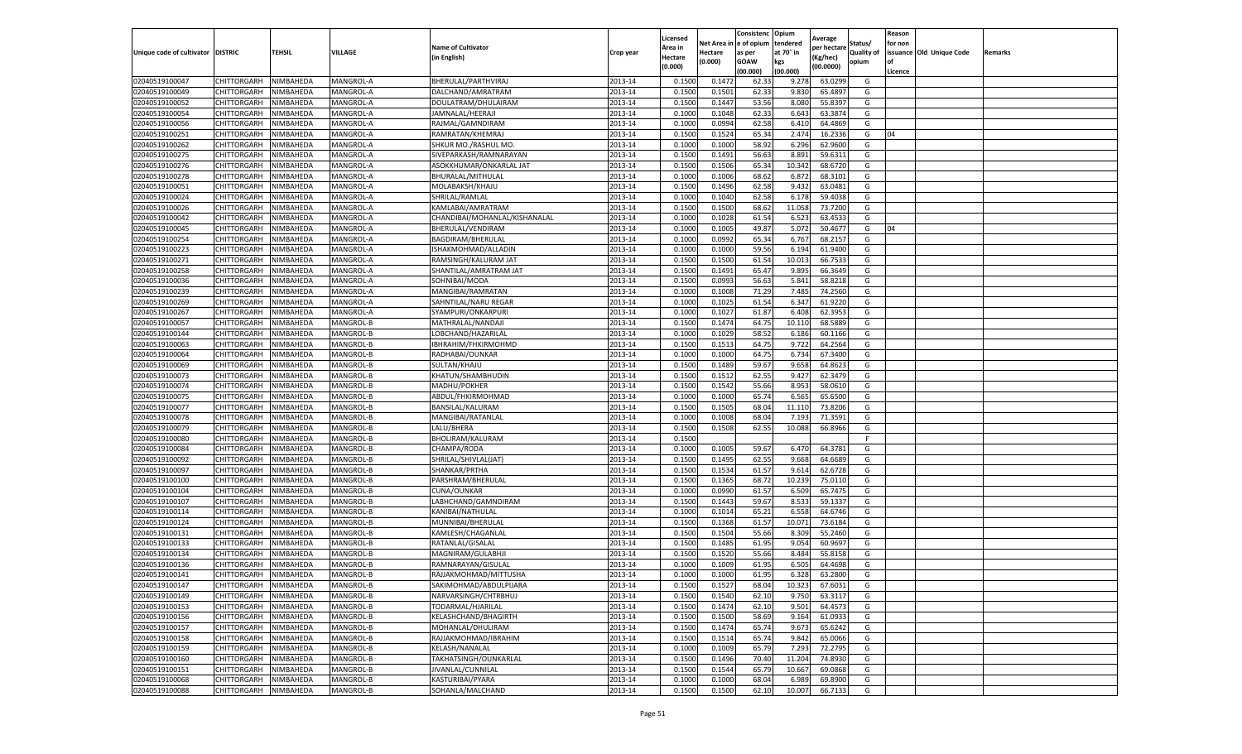|                                   |                    |           |                  |                               |           | Licensed |         | Consistenc             | Opium     |                        |                   | Reason  |                          |                |
|-----------------------------------|--------------------|-----------|------------------|-------------------------------|-----------|----------|---------|------------------------|-----------|------------------------|-------------------|---------|--------------------------|----------------|
|                                   |                    |           |                  | <b>Name of Cultivator</b>     |           | Area in  |         | Net Area in e of opium | tendered  | Average<br>per hectare | Status/           | for non |                          |                |
| Unique code of cultivator DISTRIC |                    | TEHSIL    | VILLAGE          | in English)                   | Crop year | Hectare  | Hectare | as per                 | at 70° in | (Kg/hec                | <b>Quality of</b> |         | issuance Old Unique Code | <b>Remarks</b> |
|                                   |                    |           |                  |                               |           | (0.000)  | (0.000) | <b>GOAW</b>            | kgs       | (00.0000)              | opium             |         |                          |                |
|                                   |                    |           |                  |                               |           |          |         | (00.000)               | (00.000)  |                        |                   | Licence |                          |                |
| 02040519100047                    | CHITTORGARH        | NIMBAHEDA | MANGROL-A        | BHERULAL/PARTHVIRAJ           | 2013-14   | 0.1500   | 0.1472  | 62.33                  | 9.278     | 63.0299                | G                 |         |                          |                |
| 02040519100049                    | CHITTORGARH        | NIMBAHEDA | MANGROL-A        | DALCHAND/AMRATRAM             | 2013-14   | 0.1500   | 0.1501  | 62.33                  | 9.83      | 65.4897                | G                 |         |                          |                |
| 02040519100052                    | CHITTORGARH        | NIMBAHEDA | MANGROL-A        | DOULATRAM/DHULAIRAM           | 2013-14   | 0.1500   | 0.1447  | 53.56                  | 8.080     | 55.8397                | G                 |         |                          |                |
| 02040519100054                    | CHITTORGARH        | NIMBAHEDA | MANGROL-A        | JAMNALAL/HEERAJI              | 2013-14   | 0.1000   | 0.1048  | 62.33                  | 6.643     | 63.3874                | G                 |         |                          |                |
| 02040519100056                    | CHITTORGARH        | NIMBAHEDA | MANGROL-A        | RAJMAL/GAMNDIRAM              | 2013-14   | 0.1000   | 0.0994  | 62.58                  | 6.410     | 64.4869                | G                 |         |                          |                |
| 02040519100251                    | CHITTORGARH        | NIMBAHEDA | MANGROL-A        | RAMRATAN/KHEMRAJ              | 2013-14   | 0.1500   | 0.1524  | 65.34                  | 2.474     | 16.2336                | G                 | 04      |                          |                |
| 02040519100262                    | CHITTORGARH        | NIMBAHEDA | MANGROL-A        | SHKUR MO./RASHUL MO.          | 2013-14   | 0.1000   | 0.1000  | 58.92                  | 6.296     | 62.9600                | G                 |         |                          |                |
| 02040519100275                    | CHITTORGARH        | NIMBAHEDA | MANGROL-A        | SIVEPARKASH/RAMNARAYAN        | 2013-14   | 0.1500   | 0.1491  | 56.63                  | 8.891     | 59.6311                | G                 |         |                          |                |
| 02040519100276                    | CHITTORGARH        | NIMBAHEDA | MANGROL-A        | ASOKKHUMAR/ONKARLAL JAT       | 2013-14   | 0.1500   | 0.1506  | 65.34                  | 10.342    | 68.6720                | G                 |         |                          |                |
| 02040519100278                    | CHITTORGARH        | NIMBAHEDA | MANGROL-A        | BHURALAL/MITHULAL             | 2013-14   | 0.1000   | 0.1006  | 68.62                  | 6.872     | 68.3101                | G                 |         |                          |                |
| 02040519100051                    | CHITTORGARH        | NIMBAHEDA | MANGROL-A        | MOLABAKSH/KHAJU               | 2013-14   | 0.1500   | 0.1496  | 62.58                  | 9.432     | 63.0481                | G                 |         |                          |                |
| 02040519100024                    | CHITTORGARH        | NIMBAHEDA | MANGROL-A        | SHRILAL/RAMLAL                | 2013-14   | 0.1000   | 0.1040  | 62.58                  | 6.178     | 59.4038                | G                 |         |                          |                |
| 02040519100026                    | CHITTORGARH        | NIMBAHEDA | MANGROL-A        | KAMLABAI/AMRATRAN             | 2013-14   | 0.1500   | 0.1500  | 68.62                  | 11.058    | 73.7200                | G                 |         |                          |                |
| 02040519100042                    | CHITTORGARH        | NIMBAHEDA | MANGROL-A        | CHANDIBAI/MOHANLAL/KISHANALAL | 2013-14   | 0.1000   | 0.1028  | 61.54                  | 6.523     | 63.453                 | G                 |         |                          |                |
| 02040519100045                    | CHITTORGARH        | NIMBAHEDA | MANGROL-A        | BHERULAL/VENDIRAM             | 2013-14   | 0.1000   | 0.1005  | 49.87                  | 5.072     | 50.4677                | G                 | 04      |                          |                |
| 02040519100254                    | CHITTORGARH        | NIMBAHEDA | MANGROL-A        | BAGDIRAM/BHERULAL             | 2013-14   | 0.1000   | 0.0992  | 65.34                  | 6.767     | 68.2157                | G                 |         |                          |                |
| 02040519100223                    | CHITTORGARH        | NIMBAHEDA | MANGROL-A        | ISHAKMOHMAD/ALLADIN           | 2013-14   | 0.1000   | 0.1000  | 59.56                  | 6.194     | 61.9400                | G                 |         |                          |                |
| 02040519100271                    | CHITTORGARH        | NIMBAHEDA | MANGROL-A        | RAMSINGH/KALURAM JAT          | 2013-14   | 0.1500   | 0.1500  | 61.54                  | 10.013    | 66.7533                | G                 |         |                          |                |
| 02040519100258                    | CHITTORGARH        | NIMBAHEDA | MANGROL-A        | SHANTILAL/AMRATRAM JAT        | 2013-14   | 0.1500   | 0.1491  | 65.47                  | 9.895     | 66.3649                | G                 |         |                          |                |
| 02040519100036                    | CHITTORGARH        | NIMBAHEDA | MANGROL-A        | SOHNIBAI/MODA                 | 2013-14   | 0.1500   | 0.0993  | 56.63                  | 5.841     | 58.8218                | G                 |         |                          |                |
| 02040519100239                    | CHITTORGARH        | NIMBAHEDA | MANGROL-A        | MANGIBAI/RAMRATAN             | 2013-14   | 0.1000   | 0.1008  | 71.29                  | 7.485     | 74.2560                | G                 |         |                          |                |
| 02040519100269                    | CHITTORGARH        | NIMBAHEDA | MANGROL-A        | SAHNTILAL/NARU REGAR          | 2013-14   | 0.1000   | 0.1025  | 61.54                  | 6.347     | 61.9220                | G                 |         |                          |                |
| 02040519100267                    | CHITTORGARH        | NIMBAHEDA | MANGROL-A        | SYAMPURI/ONKARPURI            | 2013-14   | 0.1000   | 0.1027  | 61.87                  | 6.408     | 62.3953                | G                 |         |                          |                |
| 02040519100057                    | CHITTORGARH        | NIMBAHEDA | MANGROL-B        | MATHRALAL/NANDAJI             | 2013-14   | 0.1500   | 0.1474  | 64.75                  | 10.11     | 68.5889                | G                 |         |                          |                |
| 02040519100144                    | CHITTORGARH        | NIMBAHEDA | MANGROL-B        | LOBCHAND/HAZARILAI            | 2013-14   | 0.1000   | 0.1029  | 58.52                  | 6.186     | 60.1166                | G                 |         |                          |                |
| 02040519100063                    | CHITTORGARH        | NIMBAHEDA | MANGROL-B        | IBHRAHIM/FHKIRMOHMD           | 2013-14   | 0.1500   | 0.1513  | 64.75                  | 9.722     | 64.2564                | G                 |         |                          |                |
| 02040519100064                    | CHITTORGARH        | NIMBAHEDA | MANGROL-B        | RADHABAI/OUNKAR               | 2013-14   | 0.1000   | 0.1000  | 64.75                  | 6.734     | 67.3400                | G                 |         |                          |                |
| 02040519100069                    | CHITTORGARH        | NIMBAHEDA | MANGROL-B        | SULTAN/KHAJU                  | 2013-14   | 0.1500   | 0.1489  | 59.67                  | 9.658     | 64.8623                | G                 |         |                          |                |
| 02040519100073                    | CHITTORGARH        | NIMBAHEDA | MANGROL-B        | KHATUN/SHAMBHUDIN             | 2013-14   | 0.1500   | 0.1512  | 62.55                  | 9.427     | 62.3479                | G                 |         |                          |                |
| 02040519100074                    | CHITTORGARH        | NIMBAHEDA | MANGROL-B        | MADHU/POKHER                  | 2013-14   | 0.1500   | 0.1542  | 55.66                  | 8.953     | 58.0610                | G                 |         |                          |                |
| 02040519100075                    | CHITTORGARH        | NIMBAHEDA | MANGROL-B        | ABDUL/FHKIRMOHMAD             | 2013-14   | 0.1000   | 0.1000  | 65.74                  | 6.565     | 65.6500                | G                 |         |                          |                |
| 02040519100077                    | CHITTORGARH        | NIMBAHEDA | MANGROL-B        | BANSILAL/KALURAM              | 2013-14   | 0.1500   | 0.1505  | 68.04                  | 11.11     | 73.8206                | G                 |         |                          |                |
| 02040519100078                    | CHITTORGARH        | NIMBAHEDA | MANGROL-B        | MANGIBAI/RATANLAL             | 2013-14   | 0.1000   | 0.1008  | 68.04                  | 7.193     | 71.3591                | G                 |         |                          |                |
| 02040519100079                    | CHITTORGARH        | NIMBAHEDA | MANGROL-B        | LALU/BHERA                    | 2013-14   | 0.1500   | 0.1508  | 62.55                  | 10.088    | 66.8966                | G                 |         |                          |                |
| 02040519100080                    | CHITTORGARH        | NIMBAHEDA | MANGROL-B        | BHOLIRAM/KALURAM              | 2013-14   | 0.1500   |         |                        |           |                        | F.                |         |                          |                |
| 02040519100084                    | CHITTORGARH        | NIMBAHEDA | MANGROL-B        | CHAMPA/RODA                   | 2013-14   | 0.1000   | 0.1005  | 59.67                  | 6.470     | 64.3781                | G                 |         |                          |                |
| 02040519100092                    | CHITTORGARH        | NIMBAHEDA | MANGROL-B        | SHRILAL/SHIVLAL(JAT)          | 2013-14   | 0.1500   | 0.1495  | 62.55                  | 9.668     | 64.6689                | G                 |         |                          |                |
| 02040519100097                    | CHITTORGARH        | NIMBAHEDA | <b>MANGROL-B</b> | SHANKAR/PRTHA                 | 2013-14   | 0.1500   | 0.1534  | 61.57                  | 9.61      | 62.6728                | G                 |         |                          |                |
| 02040519100100                    | CHITTORGARH        | NIMBAHEDA | MANGROL-B        | PARSHRAM/BHERULAL             | 2013-14   | 0.1500   | 0.1365  | 68.72                  | 10.23     | 75.0110                | G                 |         |                          |                |
| 02040519100104                    | CHITTORGARH        | NIMBAHEDA | MANGROL-B        | CUNA/OUNKAR                   | 2013-14   | 0.1000   | 0.0990  | 61.57                  | 6.509     | 65.7475                | G                 |         |                          |                |
| 02040519100107                    | CHITTORGARH        | NIMBAHEDA | MANGROL-B        | LABHCHAND/GAMNDIRAM           | 2013-14   | 0.1500   | 0.1443  | 59.67                  | 8.533     | 59.1337                | G                 |         |                          |                |
| 02040519100114                    | CHITTORGARH        | NIMBAHEDA | MANGROL-B        | KANIBAI/NATHULAL              | 2013-14   | 0.1000   | 0.1014  | 65.21                  | 6.558     | 64.6746                | G                 |         |                          |                |
| 02040519100124                    | CHITTORGARH        | NIMBAHEDA | MANGROL-B        | MUNNIBAI/BHERULAL             | 2013-14   | 0.1500   | 0.1368  | 61.57                  | 10.071    | 73.6184                | G                 |         |                          |                |
| 02040519100131                    | CHITTORGARH        | NIMBAHEDA | MANGROL-B        | KAMLESH/CHAGANLAL             | 2013-14   | 0.1500   | 0.1504  | 55.66                  | 8.309     | 55.2460                | G                 |         |                          |                |
| 02040519100133                    | CHITTORGARH        | NIMBAHEDA | MANGROL-B        | RATANLAL/GISALAI              | 2013-14   | 0.1500   | 0.1485  | 61.95                  | 9.054     | 60.9697                | G                 |         |                          |                |
| 02040519100134                    | CHITTORGARH        | NIMBAHEDA | MANGROL-B        | MAGNIRAM/GULABHJI             | 2013-14   | 0.1500   | 0.1520  | 55.66                  | 8.484     | 55.8158                | G                 |         |                          |                |
| 02040519100136                    | CHITTORGARH        | NIMBAHEDA | MANGROL-B        | RAMNARAYAN/GISULAL            | 2013-14   | 0.1000   | 0.1009  | 61.95                  | 6.505     | 64.4698                | G                 |         |                          |                |
| 02040519100141                    | CHITTORGARH        | NIMBAHEDA | MANGROL-B        | RAJJAKMOHMAD/MITTUSHA         | 2013-14   | 0.1000   | 0.1000  | 61.95                  | 6.328     | 63.2800                | G                 |         |                          |                |
| 02040519100147                    | CHITTORGARH        | NIMBAHEDA | MANGROL-B        | SAKIMOHMAD/ABDULPIJARA        | 2013-14   | 0.1500   | 0.1527  | 68.04                  | 10.323    | 67.6031                | G                 |         |                          |                |
| 02040519100149                    | CHITTORGARH        | NIMBAHEDA | MANGROL-B        | NARVARSINGH/CHTRBHUJ          | 2013-14   | 0.1500   | 0.1540  | 62.10                  | 9.750     | 63.3117                | G                 |         |                          |                |
| 02040519100153                    | CHITTORGARH        | NIMBAHEDA | MANGROL-B        | TODARMAL/HJARILAL             | 2013-14   | 0.1500   | 0.1474  | 62.10                  | 9.501     | 64.4573                | G                 |         |                          |                |
| 02040519100156                    | <b>CHITTORGARH</b> | NIMBAHEDA | MANGROL-B        | KELASHCHAND/BHAGIRTH          | 2013-14   | 0.1500   | 0.1500  | 58.69                  | 9.164     | 61.0933                | G                 |         |                          |                |
| 02040519100157                    | CHITTORGARH        | NIMBAHEDA | MANGROL-B        | MOHANLAL/DHULIRAM             | 2013-14   | 0.1500   | 0.1474  | 65.74                  | 9.673     | 65.6242                | G                 |         |                          |                |
| 02040519100158                    | <b>CHITTORGARH</b> | NIMBAHEDA | MANGROL-B        | RAJJAKMOHMAD/IBRAHIM          | 2013-14   | 0.1500   | 0.1514  | 65.74                  | 9.842     | 65.0066                | G                 |         |                          |                |
| 02040519100159                    | CHITTORGARH        | NIMBAHEDA | MANGROL-B        | KELASH/NANALAL                | 2013-14   | 0.1000   | 0.1009  | 65.79                  | 7.293     | 72.2795                | G                 |         |                          |                |
| 02040519100160                    | CHITTORGARH        | NIMBAHEDA | MANGROL-B        | TAKHATSINGH/OUNKARLAL         | 2013-14   | 0.1500   | 0.1496  | 70.40                  | 11.204    | 74.8930                | G                 |         |                          |                |
| 02040519100151                    | CHITTORGARH        | NIMBAHEDA | MANGROL-B        | JIVANLAL/CUNNILAL             | 2013-14   | 0.1500   | 0.1544  | 65.79                  | 10.667    | 69.0868                | G                 |         |                          |                |
| 02040519100068                    | CHITTORGARH        | NIMBAHEDA | MANGROL-B        | KASTURIBAI/PYARA              | 2013-14   | 0.1000   | 0.1000  | 68.04                  | 6.989     | 69.8900                | G                 |         |                          |                |
| 02040519100088                    | <b>CHITTORGARH</b> | NIMBAHEDA | MANGROL-B        | SOHANLA/MALCHAND              | 2013-14   | 0.1500   | 0.1500  | 62.10                  | 10.007    | 66.7133                | G                 |         |                          |                |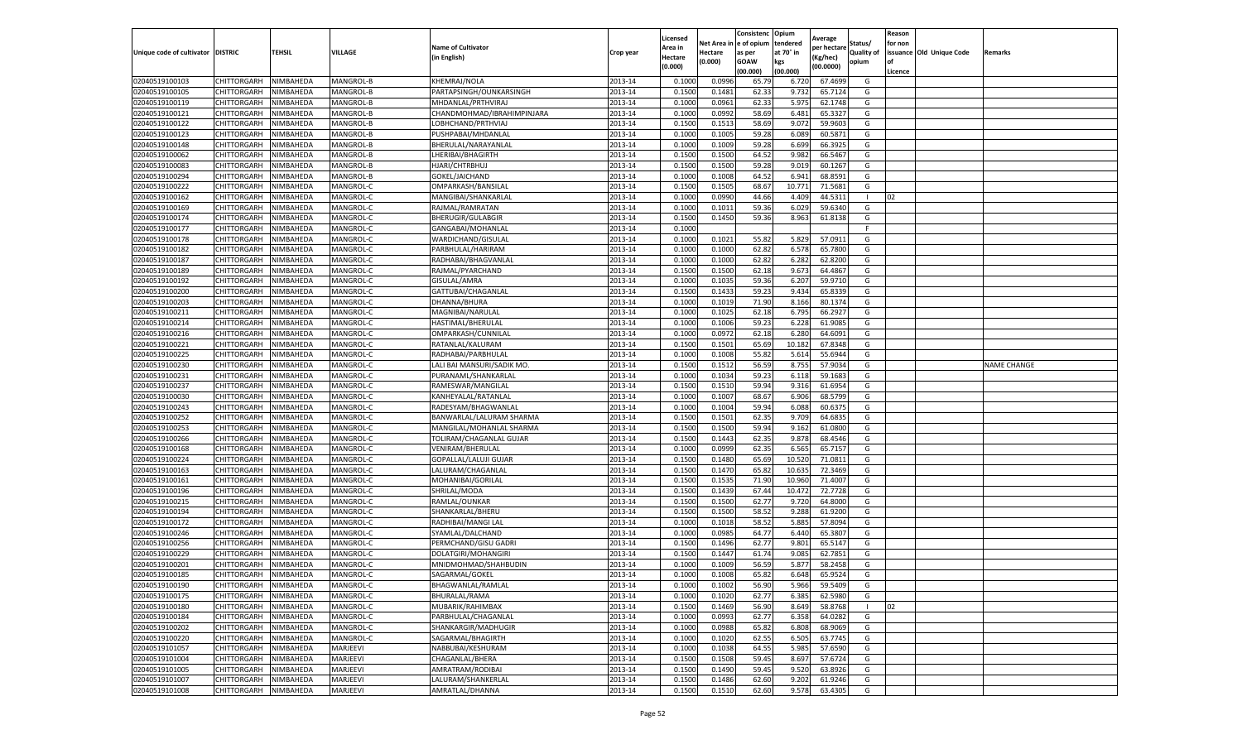|                                   |                            |                        |                      |                                      |                    | Licensed |                  | Consistenc             | Opium     |                        |                   | Reason  |                          |                    |
|-----------------------------------|----------------------------|------------------------|----------------------|--------------------------------------|--------------------|----------|------------------|------------------------|-----------|------------------------|-------------------|---------|--------------------------|--------------------|
|                                   |                            |                        |                      | <b>Name of Cultivator</b>            |                    | Area in  |                  | Net Area in e of opium | tendered  | Average<br>per hectare | Status/           | for non |                          |                    |
| Unique code of cultivator DISTRIC |                            | TEHSIL                 | VILLAGE              | in English)                          | Crop year          | Hectare  | Hectare          | as per                 | at 70° in | (Kg/hec                | <b>Quality of</b> |         | issuance Old Unique Code | <b>Remarks</b>     |
|                                   |                            |                        |                      |                                      |                    | (0.000)  | (0.000)          | <b>GOAW</b>            | kgs       | (00.0000)              | opium             |         |                          |                    |
|                                   |                            |                        |                      |                                      |                    |          |                  | (00.000)               | (00.000)  |                        |                   | Licence |                          |                    |
| 02040519100103                    | CHITTORGARH                | NIMBAHEDA              | MANGROL-B            | KHEMRAJ/NOLA                         | 2013-14            | 0.1000   | 0.0996           | 65.79                  | 6.720     | 67.4699                | G                 |         |                          |                    |
| 02040519100105                    | CHITTORGARH                | NIMBAHEDA              | MANGROL-B            | PARTAPSINGH/OUNKARSINGH              | 2013-14            | 0.1500   | 0.1481           | 62.33                  | 9.73      | 65.7124                | G                 |         |                          |                    |
| 02040519100119                    | CHITTORGARH                | NIMBAHEDA              | MANGROL-B            | MHDANLAL/PRTHVIRAJ                   | 2013-14            | 0.1000   | 0.0961           | 62.33                  | 5.975     | 62.1748                | G                 |         |                          |                    |
| 02040519100121                    | CHITTORGARH                | NIMBAHEDA              | MANGROL-B            | CHANDMOHMAD/IBRAHIMPINJARA           | 2013-14            | 0.1000   | 0.0992           | 58.69                  | 6.481     | 65.3327                | G                 |         |                          |                    |
| 02040519100122                    | CHITTORGARH                | NIMBAHEDA              | MANGROL-B            | LOBHCHAND/PRTHVIAJ                   | 2013-14            | 0.1500   | 0.1513           | 58.69                  | 9.072     | 59.9603                | G                 |         |                          |                    |
| 02040519100123                    | CHITTORGARH                | NIMBAHEDA              | MANGROL-B            | PUSHPABAI/MHDANLAL                   | 2013-14            | 0.1000   | 0.1005           | 59.28                  | 6.089     | 60.5871                | G                 |         |                          |                    |
| 02040519100148                    | CHITTORGARH                | NIMBAHEDA              | MANGROL-B            | BHERULAL/NARAYANLAL                  | 2013-14            | 0.1000   | 0.1009           | 59.28                  | 6.699     | 66.3925                | G                 |         |                          |                    |
| 02040519100062                    | CHITTORGARH                | NIMBAHEDA              | MANGROL-B            | LHERIBAI/BHAGIRTH                    | 2013-14            | 0.1500   | 0.1500           | 64.52                  | 9.982     | 66.5467                | G                 |         |                          |                    |
| 02040519100083                    | CHITTORGARH                | NIMBAHEDA              | MANGROL-B            | HJARI/CHTRBHUJ                       | 2013-14            | 0.1500   | 0.1500           | 59.28                  | 9.019     | 60.1267                | G                 |         |                          |                    |
| 02040519100294                    | CHITTORGARH                | NIMBAHEDA              | MANGROL-B            | GOKEL/JAICHAND                       | 2013-14            | 0.1000   | 0.1008           | 64.52                  | 6.941     | 68.8591                | G                 |         |                          |                    |
| 02040519100222                    | CHITTORGARH                | NIMBAHEDA              | MANGROL-C            | OMPARKASH/BANSILAL                   | 2013-14            | 0.1500   | 0.1505           | 68.67                  | 10.771    | 71.5681                | G                 |         |                          |                    |
| 02040519100162                    | CHITTORGARH                | NIMBAHEDA              | MANGROL-C            | MANGIBAI/SHANKARLAL                  | 2013-14            | 0.1000   | 0.0990           | 44.66                  | 4.409     | 44.5311                |                   | 02      |                          |                    |
| 02040519100169                    | CHITTORGARH                | NIMBAHEDA              | MANGROL-C            | RAJMAL/RAMRATAN                      | 2013-14            | 0.1000   | 0.1011           | 59.36                  | 6.029     | 59.6340                | G                 |         |                          |                    |
| 02040519100174                    | CHITTORGARH                | NIMBAHEDA              | MANGROL-C            | <b>BHERUGIR/GULABGIR</b>             | 2013-14            | 0.1500   | 0.1450           | 59.36                  | 8.963     | 61.8138                | G                 |         |                          |                    |
| 02040519100177                    | CHITTORGARH                | NIMBAHEDA              | MANGROL-C            | GANGABAI/MOHANLAL                    | 2013-14            | 0.1000   |                  |                        |           |                        | F.                |         |                          |                    |
| 02040519100178                    | CHITTORGARH                | NIMBAHEDA              | MANGROL-C            | WARDICHAND/GISULAL                   | 2013-14            | 0.1000   | 0.1021           | 55.82                  | 5.829     | 57.0911                | G                 |         |                          |                    |
| 02040519100182                    | CHITTORGARH                | NIMBAHEDA              | MANGROL-C            | PARBHULAL/HARIRAM                    | 2013-14            | 0.1000   | 0.1000           | 62.82                  | 6.578     | 65.7800                | G                 |         |                          |                    |
| 02040519100187                    | CHITTORGARH                | NIMBAHEDA              | MANGROL-C            | RADHABAI/BHAGVANLAI                  | 2013-14            | 0.1000   | 0.1000           | 62.82                  | 6.282     | 62.8200                | G                 |         |                          |                    |
| 02040519100189                    | CHITTORGARH                | NIMBAHEDA              | MANGROL-C            | RAJMAL/PYARCHAND                     | 2013-14            | 0.1500   | 0.1500           | 62.18                  | 9.673     | 64.4867                | G                 |         |                          |                    |
| 02040519100192                    | CHITTORGARH                | NIMBAHEDA              | MANGROL-C            | GISULAL/AMRA                         | 2013-14            | 0.1000   | 0.1035           | 59.36                  | 6.207     | 59.9710                | G                 |         |                          |                    |
| 02040519100200                    | CHITTORGARH                | NIMBAHEDA              | MANGROL-C            | GATTUBAI/CHAGANLAL                   | 2013-14            | 0.1500   | 0.1433           | 59.23                  | 9.434     | 65.8339                | G                 |         |                          |                    |
| 02040519100203                    | CHITTORGARH                | NIMBAHEDA              | MANGROL-C            | DHANNA/BHURA                         | 2013-14            | 0.1000   | 0.1019           | 71.90                  | 8.166     | 80.1374                | G                 |         |                          |                    |
| 02040519100211                    | CHITTORGARH                | NIMBAHEDA              | MANGROL-C            | MAGNIBAI/NARULAL                     | 2013-14            | 0.1000   | 0.1025           | 62.18                  | 6.795     | 66.2927                | G                 |         |                          |                    |
| 02040519100214                    | CHITTORGARH                | NIMBAHEDA              | MANGROL-C            | HASTIMAL/BHERULAL                    | 2013-14            | 0.1000   | 0.1006           | 59.23                  | 6.228     | 61.9085                | G                 |         |                          |                    |
| 02040519100216                    | CHITTORGARH                | NIMBAHEDA              | MANGROL-C            | OMPARKASH/CUNNILAL                   | 2013-14            | 0.1000   | 0.0972           | 62.18                  | 6.28      | 64.6091                | G                 |         |                          |                    |
| 02040519100221                    | CHITTORGARH                | NIMBAHEDA              | MANGROL-C            | RATANLAL/KALURAM                     | 2013-14            | 0.1500   | 0.1501           | 65.69                  | 10.182    | 67.8348                | G                 |         |                          |                    |
| 02040519100225                    | CHITTORGARH                | NIMBAHEDA              | MANGROL-C            | RADHABAI/PARBHULAL                   | 2013-14            | 0.1000   | 0.1008           | 55.82                  | 5.61      | 55.6944                | G                 |         |                          |                    |
| 02040519100230                    | CHITTORGARH                | NIMBAHEDA              | MANGROL-C            | LALI BAI MANSURI/SADIK MO.           | 2013-14            | 0.1500   | 0.1512           | 56.59                  | 8.755     | 57.9034                | G                 |         |                          | <b>NAME CHANGE</b> |
| 02040519100231                    | CHITTORGARH                | NIMBAHEDA              | MANGROL-C            | PURANAML/SHANKARLAL                  | 2013-14            | 0.1000   | 0.1034           | 59.23                  | 6.118     | 59.1683                | G                 |         |                          |                    |
| 02040519100237                    | CHITTORGARH                | NIMBAHEDA              | MANGROL-C            | RAMESWAR/MANGILAL                    | 2013-14            | 0.1500   | 0.1510           | 59.94                  | 9.316     | 61.6954                | G                 |         |                          |                    |
| 02040519100030                    | CHITTORGARH                | NIMBAHEDA              | MANGROL-C            | KANHEYALAL/RATANLAL                  | 2013-14            | 0.1000   | 0.1007           | 68.67                  | 6.906     | 68.5799                | G                 |         |                          |                    |
| 02040519100243                    | CHITTORGARH                | NIMBAHEDA              | MANGROL-C            | RADESYAM/BHAGWANLAL                  | 2013-14            | 0.1000   | 0.1004           | 59.94                  | 6.088     | 60.6375                | G                 |         |                          |                    |
| 02040519100252                    | CHITTORGARH                | NIMBAHEDA              | MANGROL-C            | BANWARLAL/LALURAM SHARMA             | 2013-14            | 0.1500   | 0.1501           | 62.35                  | 9.709     | 64.6835                | G                 |         |                          |                    |
| 02040519100253                    | CHITTORGARH                | NIMBAHEDA              | MANGROL-C            | MANGILAL/MOHANLAL SHARMA             | 2013-14            | 0.1500   | 0.1500           | 59.94                  | 9.162     | 61.0800                | G                 |         |                          |                    |
| 02040519100266                    | CHITTORGARH                | NIMBAHEDA              | MANGROL-C            | TOLIRAM/CHAGANLAL GUJAR              | 2013-14            | 0.1500   | 0.1443           | 62.35                  | 9.878     | 68.4546                | G                 |         |                          |                    |
| 02040519100168                    | CHITTORGARH                | NIMBAHEDA              | MANGROL-C            | VENIRAM/BHERULAL                     | 2013-14            | 0.1000   | 0.0999           | 62.35                  | 6.565     | 65.7157                | G                 |         |                          |                    |
| 02040519100224                    | CHITTORGARH                | NIMBAHEDA              | MANGROL-C            | GOPALLAL/LALUJI GUJAR                | 2013-14            | 0.1500   | 0.1480           | 65.69                  | 10.52     | 71.0811                | G                 |         |                          |                    |
| 02040519100163                    | CHITTORGARH                | NIMBAHEDA              | MANGROL-C            | LALURAM/CHAGANLAI                    | 2013-14            | 0.1500   | 0.1470           | 65.82                  | 10.63     | 72.3469                | G                 |         |                          |                    |
| 02040519100161                    | CHITTORGARH                | NIMBAHEDA              | MANGROL-C            | MOHANIBAI/GORILAL                    | 2013-14            | 0.1500   | 0.1535           | 71.90                  | 10.960    | 71.4007                | G                 |         |                          |                    |
| 02040519100196                    | CHITTORGARH                | NIMBAHEDA              | MANGROL-C            | SHRILAL/MODA                         | 2013-14            | 0.1500   | 0.1439           | 67.44                  | 10.472    | 72.7728                | G                 |         |                          |                    |
| 02040519100215                    | CHITTORGARH                | NIMBAHEDA              | MANGROL-C            | RAMLAL/OUNKAR                        | 2013-14            | 0.1500   | 0.1500           | 62.77                  | 9.72      | 64.8000                | G                 |         |                          |                    |
| 02040519100194                    | CHITTORGARH                | NIMBAHEDA              | MANGROL-C            | SHANKARLAL/BHERU                     | 2013-14            | 0.1500   | 0.1500           | 58.52                  | 9.288     | 61.9200                | G                 |         |                          |                    |
| 02040519100172                    | CHITTORGARH                | NIMBAHEDA              | MANGROL-C            | RADHIBAI/MANGI LAL                   | 2013-14            | 0.1000   | 0.1018           | 58.52                  | 5.885     | 57.8094                | G                 |         |                          |                    |
| 02040519100246                    | CHITTORGARH                | NIMBAHEDA              | MANGROL-C            | SYAMLAL/DALCHAND                     | 2013-14            | 0.1000   | 0.0985           | 64.77                  | 6.44      | 65.3807                | G                 |         |                          |                    |
| 02040519100256                    | CHITTORGARH                | NIMBAHEDA              | MANGROL-C            | PERMCHAND/GISU GADRI                 | 2013-14            | 0.1500   | 0.1496           | 62.77                  | 9.801     | 65.5147                | G                 |         |                          |                    |
| 02040519100229                    | CHITTORGARH                | NIMBAHEDA              | MANGROL-C            | DOLATGIRI/MOHANGIRI                  | 2013-14            | 0.1500   | 0.1447           | 61.74                  | 9.085     | 62.7851                | G                 |         |                          |                    |
| 02040519100201                    | CHITTORGARH                | NIMBAHEDA              | MANGROL-C            | MNIDMOHMAD/SHAHBUDIN                 | 2013-14            | 0.1000   | 0.1009           | 56.59                  | 5.87      | 58.2458                | G                 |         |                          |                    |
| 02040519100185                    | CHITTORGARH                | NIMBAHEDA              | MANGROL-C            | SAGARMAL/GOKEL                       | 2013-14            | 0.1000   | 0.1008           | 65.82                  | 6.648     | 65.9524                | G                 |         |                          |                    |
| 02040519100190                    | CHITTORGARH                | NIMBAHEDA              | MANGROL-C            | BHAGWANLAL/RAMLAL                    | 2013-14            | 0.1000   | 0.1002           | 56.90                  | 5.966     | 59.5409                | G                 |         |                          |                    |
| 02040519100175                    | CHITTORGARH                | NIMBAHEDA              | MANGROL-C            | <b>BHURALAL/RAMA</b>                 | 2013-14            | 0.1000   | 0.1020           | 62.77                  | 6.385     | 62.5980                | G                 |         |                          |                    |
| 02040519100180                    | <b>CHITTORGARH</b>         | NIMBAHEDA              | MANGROL-C            | MUBARIK/RAHIMBAX                     | 2013-14            | 0.1500   | 0.1469           | 56.90                  | 8.649     | 58.8768                | $\mathbf{I}$      | 02      |                          |                    |
|                                   |                            |                        |                      |                                      |                    |          | 0.0993           |                        |           | 64.0282                |                   |         |                          |                    |
| 02040519100184<br>02040519100202  | CHITTORGARH<br>CHITTORGARH | NIMBAHEDA              | MANGROL-C            | PARBHULAL/CHAGANLAL                  | 2013-14            | 0.1000   |                  | 62.77<br>65.82         | 6.358     |                        | G                 |         |                          |                    |
| 02040519100220                    |                            | NIMBAHEDA              | MANGROL-C            | SHANKARGIR/MADHUGIR                  | 2013-14<br>2013-14 | 0.1000   | 0.0988<br>0.1020 | 62.55                  | 6.808     | 68.9069<br>63.7745     | G<br>G            |         |                          |                    |
|                                   | <b>CHITTORGARH</b>         | NIMBAHEDA              | MANGROL-C            | SAGARMAL/BHAGIRTH                    |                    | 0.1000   |                  |                        | 6.505     |                        |                   |         |                          |                    |
| 02040519101057                    | CHITTORGARH                | NIMBAHEDA              | MARJEEVI             | NABBUBAI/KESHURAM<br>CHAGANLAL/BHERA | 2013-14            | 0.1000   | 0.1038           | 64.55                  | 5.985     | 57.6590                | G                 |         |                          |                    |
| 02040519101004                    | CHITTORGARH                | NIMBAHEDA<br>NIMBAHEDA | MARJEEVI<br>MARJEEVI |                                      | 2013-14            | 0.1500   | 0.1508<br>0.1490 | 59.45                  | 8.697     | 57.6724                | G<br>G            |         |                          |                    |
| 02040519101005                    | CHITTORGARH                |                        |                      | AMRATRAM/RODIBAI                     | 2013-14            | 0.1500   |                  | 59.45                  | 9.520     | 63.8926                |                   |         |                          |                    |
| 02040519101007                    | CHITTORGARH                | NIMBAHEDA              | MARJEEVI             | LALURAM/SHANKERLAL                   | 2013-14            | 0.1500   | 0.1486           | 62.60                  | 9.202     | 61.9246                | G                 |         |                          |                    |
| 02040519101008                    | <b>CHITTORGARH</b>         | NIMBAHEDA              | MARJEEVI             | AMRATLAL/DHANNA                      | 2013-14            | 0.1500   | 0.1510           | 62.60                  | 9.578     | 63.4305                | G                 |         |                          |                    |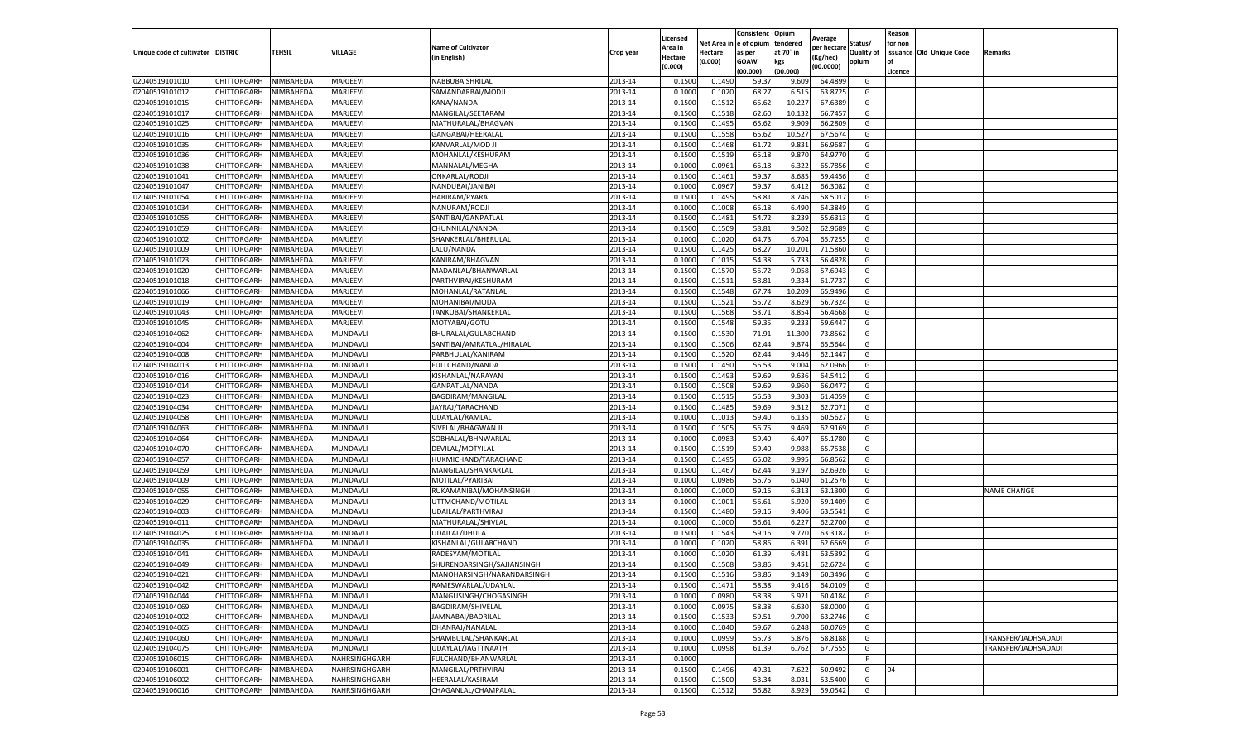|                                   |                    |           |                 |                            |           | Licensed |         | Consistenc             | Opium     |                        |                   | Reason  |                          |                     |
|-----------------------------------|--------------------|-----------|-----------------|----------------------------|-----------|----------|---------|------------------------|-----------|------------------------|-------------------|---------|--------------------------|---------------------|
|                                   |                    |           |                 | <b>Name of Cultivator</b>  |           | Area in  |         | Net Area in e of opium | tendered  | Average<br>per hectare | Status/           | for non |                          |                     |
| Unique code of cultivator DISTRIC |                    | TEHSIL    | VILLAGE         | in English)                | Crop year | Hectare  | Hectare | as per                 | at 70° in | (Kg/hec                | <b>Quality of</b> |         | issuance Old Unique Code | <b>Remarks</b>      |
|                                   |                    |           |                 |                            |           | (0.000)  | (0.000) | <b>GOAW</b>            | kgs       | (00.0000)              | opium             |         |                          |                     |
|                                   |                    |           |                 |                            |           |          |         | (00.000)               | (00.000)  |                        |                   | Licence |                          |                     |
| 02040519101010                    | CHITTORGARH        | NIMBAHEDA | MARJEEVI        | NABBUBAISHRILAL            | 2013-14   | 0.1500   | 0.1490  | 59.37                  | 9.609     | 64.4899                | G                 |         |                          |                     |
| 02040519101012                    | CHITTORGARH        | NIMBAHEDA | MARJEEVI        | SAMANDARBAI/MODJI          | 2013-14   | 0.1000   | 0.1020  | 68.27                  | 6.51      | 63.8725                | G                 |         |                          |                     |
| 02040519101015                    | CHITTORGARH        | NIMBAHEDA | MARJEEVI        | KANA/NANDA                 | 2013-14   | 0.1500   | 0.1512  | 65.62                  | 10.227    | 67.6389                | G                 |         |                          |                     |
| 02040519101017                    | CHITTORGARH        | NIMBAHEDA | MARJEEVI        | MANGILAL/SEETARAM          | 2013-14   | 0.1500   | 0.1518  | 62.60                  | 10.132    | 66.7457                | G                 |         |                          |                     |
| 02040519101025                    | CHITTORGARH        | NIMBAHEDA | MARJEEVI        | MATHURALAL/BHAGVAN         | 2013-14   | 0.1500   | 0.1495  | 65.62                  | 9.909     | 66.2809                | G                 |         |                          |                     |
| 02040519101016                    | CHITTORGARH        | NIMBAHEDA | MARJEEVI        | GANGABAI/HEERALAL          | 2013-14   | 0.1500   | 0.1558  | 65.62                  | 10.52     | 67.5674                | G                 |         |                          |                     |
| 02040519101035                    | CHITTORGARH        | NIMBAHEDA | MARJEEVI        | KANVARLAL/MOD JI           | 2013-14   | 0.1500   | 0.1468  | 61.72                  | 9.831     | 66.9687                | G                 |         |                          |                     |
| 02040519101036                    | CHITTORGARH        | NIMBAHEDA | MARJEEVI        | MOHANLAL/KESHURAM          | 2013-14   | 0.1500   | 0.1519  | 65.18                  | 9.87      | 64.9770                | G                 |         |                          |                     |
| 02040519101038                    | CHITTORGARH        | NIMBAHEDA | MARJEEVI        | MANNALAL/MEGHA             | 2013-14   | 0.1000   | 0.0961  | 65.18                  | 6.322     | 65.7856                | G                 |         |                          |                     |
| 02040519101041                    | CHITTORGARH        | NIMBAHEDA | MARJEEVI        | ONKARLAL/RODJI             | 2013-14   | 0.1500   | 0.1461  | 59.37                  | 8.685     | 59.4456                | G                 |         |                          |                     |
| 02040519101047                    | CHITTORGARH        | NIMBAHEDA | MARJEEVI        | NANDUBAI/JANIBAI           | 2013-14   | 0.1000   | 0.0967  | 59.37                  | 6.412     | 66.3082                | G                 |         |                          |                     |
| 02040519101054                    | CHITTORGARH        | NIMBAHEDA | MARJEEVI        | HARIRAM/PYARA              | 2013-14   | 0.1500   | 0.1495  | 58.81                  | 8.746     | 58.5017                | G                 |         |                          |                     |
| 02040519101034                    | CHITTORGARH        | NIMBAHEDA | MARJEEVI        | NANURAM/RODJI              | 2013-14   | 0.1000   | 0.1008  | 65.18                  | 6.490     | 64.3849                | G                 |         |                          |                     |
| 02040519101055                    | CHITTORGARH        | NIMBAHEDA | MARJEEVI        | SANTIBAI/GANPATLAL         | 2013-14   | 0.1500   | 0.1481  | 54.72                  | 8.239     | 55.6313                | G                 |         |                          |                     |
| 02040519101059                    | CHITTORGARH        | NIMBAHEDA | MARJEEVI        | CHUNNILAL/NANDA            | 2013-14   | 0.1500   | 0.1509  | 58.81                  | 9.502     | 62.9689                | G                 |         |                          |                     |
| 02040519101002                    | CHITTORGARH        | NIMBAHEDA | MARJEEVI        | SHANKERLAL/BHERULAL        | 2013-14   | 0.1000   | 0.1020  | 64.73                  | 6.704     | 65.7255                | G                 |         |                          |                     |
| 02040519101009                    | CHITTORGARH        | NIMBAHEDA | MARJEEVI        | LALU/NANDA                 | 2013-14   | 0.1500   | 0.1425  | 68.27                  | 10.201    | 71.5860                | G                 |         |                          |                     |
| 02040519101023                    | CHITTORGARH        | NIMBAHEDA | MARJEEVI        | KANIRAM/BHAGVAN            | 2013-14   | 0.1000   | 0.1015  | 54.38                  | 5.733     | 56.4828                | G                 |         |                          |                     |
| 02040519101020                    | CHITTORGARH        | NIMBAHEDA | MARJEEVI        | MADANLAL/BHANWARLAL        | 2013-14   | 0.1500   | 0.1570  | 55.72                  | 9.058     | 57.6943                | G                 |         |                          |                     |
| 02040519101018                    | CHITTORGARH        | NIMBAHEDA | MARJEEVI        | PARTHVIRAJ/KESHURAM        | 2013-14   | 0.1500   | 0.1511  | 58.81                  | 9.334     | 61.7737                | G                 |         |                          |                     |
| 02040519101066                    | CHITTORGARH        | NIMBAHEDA | MARJEEVI        | MOHANLAL/RATANLAL          | 2013-14   | 0.1500   | 0.1548  | 67.74                  | 10.209    | 65.9496                | G                 |         |                          |                     |
| 02040519101019                    | CHITTORGARH        | NIMBAHEDA | MARJEEVI        | MOHANIBAI/MODA             | 2013-14   | 0.1500   | 0.1521  | 55.72                  | 8.629     | 56.7324                | G                 |         |                          |                     |
| 02040519101043                    | CHITTORGARH        | NIMBAHEDA | MARJEEVI        | TANKUBAI/SHANKERLAL        | 2013-14   | 0.1500   | 0.1568  | 53.71                  | 8.854     | 56.4668                | G                 |         |                          |                     |
| 02040519101045                    | CHITTORGARH        | NIMBAHEDA | MARJEEVI        | MOTYABAI/GOTU              | 2013-14   | 0.1500   | 0.1548  | 59.35                  | 9.233     | 59.6447                | G                 |         |                          |                     |
| 02040519104062                    | CHITTORGARH        | NIMBAHEDA | MUNDAVLI        | BHURALAL/GULABCHAND        | 2013-14   | 0.1500   | 0.1530  | 71.91                  | 11.300    | 73.8562                | G                 |         |                          |                     |
| 02040519104004                    | CHITTORGARH        | NIMBAHEDA | MUNDAVLI        | SANTIBAI/AMRATLAL/HIRALAL  | 2013-14   | 0.1500   | 0.1506  | 62.44                  | 9.874     | 65.5644                | G                 |         |                          |                     |
| 02040519104008                    | CHITTORGARH        | NIMBAHEDA | MUNDAVLI        | PARBHULAL/KANIRAM          | 2013-14   | 0.1500   | 0.1520  | 62.44                  | 9.446     | 62.1447                | G                 |         |                          |                     |
| 02040519104013                    | CHITTORGARH        | NIMBAHEDA | MUNDAVLI        | FULLCHAND/NANDA            | 2013-14   | 0.1500   | 0.1450  | 56.53                  | 9.004     | 62.0966                | G                 |         |                          |                     |
| 02040519104016                    | CHITTORGARH        | NIMBAHEDA | MUNDAVLI        | KISHANLAL/NARAYAN          | 2013-14   | 0.1500   | 0.1493  | 59.69                  | 9.636     | 64.5412                | G                 |         |                          |                     |
| 02040519104014                    | CHITTORGARH        | NIMBAHEDA | MUNDAVLI        | GANPATLAL/NANDA            | 2013-14   | 0.1500   | 0.1508  | 59.69                  | 9.960     | 66.0477                | G                 |         |                          |                     |
| 02040519104023                    | CHITTORGARH        | NIMBAHEDA | MUNDAVLI        | BAGDIRAM/MANGILAL          | 2013-14   | 0.1500   | 0.1515  | 56.53                  | 9.303     | 61.4059                | G                 |         |                          |                     |
| 02040519104034                    | CHITTORGARH        | NIMBAHEDA | MUNDAVLI        | JAYRAJ/TARACHAND           | 2013-14   | 0.1500   | 0.1485  | 59.69                  | 9.312     | 62.7071                | G                 |         |                          |                     |
| 02040519104058                    | CHITTORGARH        | NIMBAHEDA | MUNDAVLI        | UDAYLAL/RAMLAL             | 2013-14   | 0.1000   | 0.1013  | 59.40                  | 6.135     | 60.562                 | G                 |         |                          |                     |
| 02040519104063                    | CHITTORGARH        | NIMBAHEDA | MUNDAVLI        | SIVELAL/BHAGWAN J          | 2013-14   | 0.1500   | 0.1505  | 56.75                  | 9.469     | 62.9169                | G                 |         |                          |                     |
| 02040519104064                    | CHITTORGARH        | NIMBAHEDA | MUNDAVLI        | SOBHALAL/BHNWARLAL         | 2013-14   | 0.1000   | 0.0983  | 59.40                  | 6.407     | 65.1780                | G                 |         |                          |                     |
| 02040519104070                    | CHITTORGARH        | NIMBAHEDA | MUNDAVLI        | DEVILAL/MOTYILAL           | 2013-14   | 0.1500   | 0.1519  | 59.40                  | 9.988     | 65.7538                | G                 |         |                          |                     |
| 02040519104057                    | CHITTORGARH        | NIMBAHEDA | MUNDAVLI        | HUKMICHAND/TARACHAND       | 2013-14   | 0.1500   | 0.1495  | 65.02                  | 9.995     | 66.8562                | G                 |         |                          |                     |
| 02040519104059                    | CHITTORGARH        | NIMBAHEDA | MUNDAVLI        | MANGILAL/SHANKARLAL        | 2013-14   | 0.1500   | 0.1467  | 62.44                  | 9.19      | 62.6926                | G                 |         |                          |                     |
| 02040519104009                    | CHITTORGARH        | NIMBAHEDA | MUNDAVLI        | MOTILAL/PYARIBAI           | 2013-14   | 0.1000   | 0.0986  | 56.75                  | 6.04      | 61.2576                | G                 |         |                          |                     |
| 02040519104055                    | CHITTORGARH        | NIMBAHEDA | MUNDAVLI        | RUKAMANIBAI/MOHANSINGH     | 2013-14   | 0.1000   | 0.1000  | 59.16                  | 6.313     | 63.1300                | G                 |         |                          | <b>NAME CHANGE</b>  |
| 02040519104029                    | CHITTORGARH        | NIMBAHEDA | MUNDAVLI        | UTTMCHAND/MOTILAL          | 2013-14   | 0.1000   | 0.1001  | 56.61                  | 5.92      | 59.1409                | G                 |         |                          |                     |
| 02040519104003                    | CHITTORGARH        | NIMBAHEDA | MUNDAVLI        | UDAILAL/PARTHVIRAJ         | 2013-14   | 0.1500   | 0.1480  | 59.16                  | 9.406     | 63.5541                | G                 |         |                          |                     |
| 02040519104011                    | CHITTORGARH        | NIMBAHEDA | MUNDAVLI        | MATHURALAL/SHIVLAL         | 2013-14   | 0.1000   | 0.1000  | 56.61                  | 6.227     | 62.2700                | G                 |         |                          |                     |
| 02040519104025                    | CHITTORGARH        | NIMBAHEDA | MUNDAVLI        | <b>UDAILAL/DHULA</b>       | 2013-14   | 0.1500   | 0.1543  | 59.16                  | 9.77      | 63.3182                | G                 |         |                          |                     |
| 02040519104035                    | CHITTORGARH        | NIMBAHEDA | MUNDAVLI        | KISHANLAL/GULABCHAND       | 2013-14   | 0.1000   | 0.1020  | 58.86                  | 6.391     | 62.6569                | G                 |         |                          |                     |
| 02040519104041                    | CHITTORGARH        | NIMBAHEDA | MUNDAVLI        | RADESYAM/MOTILAL           | 2013-14   | 0.1000   | 0.1020  | 61.39                  | 6.481     | 63.5392                | G                 |         |                          |                     |
| 02040519104049                    | CHITTORGARH        | NIMBAHEDA | MUNDAVLI        | SHURENDARSINGH/SAJJANSINGH | 2013-14   | 0.1500   | 0.1508  | 58.86                  | 9.451     | 62.6724                | G                 |         |                          |                     |
| 02040519104021                    | CHITTORGARH        | NIMBAHEDA | <b>MUNDAVLI</b> | MANOHARSINGH/NARANDARSINGH | 2013-14   | 0.1500   | 0.1516  | 58.86                  | 9.149     | 60.3496                | G                 |         |                          |                     |
| 02040519104042                    | CHITTORGARH        | NIMBAHEDA | <b>MUNDAVLI</b> | RAMESWARLAL/UDAYLAL        | 2013-14   | 0.1500   | 0.1471  | 58.38                  | 9.416     | 64.0109                | G                 |         |                          |                     |
| 02040519104044                    | CHITTORGARH        | NIMBAHEDA | MUNDAVLI        | MANGUSINGH/CHOGASINGH      | 2013-14   | 0.1000   | 0.0980  | 58.38                  | 5.921     | 60.4184                | G                 |         |                          |                     |
| 02040519104069                    | CHITTORGARH        | NIMBAHEDA | MUNDAVLI        | BAGDIRAM/SHIVELAL          | 2013-14   | 0.1000   | 0.0975  | 58.38                  | 6.630     | 68.0000                | G                 |         |                          |                     |
| 02040519104002                    | CHITTORGARH        | NIMBAHEDA | MUNDAVLI        | JAMNABAI/BADRILAL          | 2013-14   | 0.1500   | 0.1533  | 59.51                  | 9.700     | 63.2746                | G                 |         |                          |                     |
| 02040519104065                    | CHITTORGARH        | NIMBAHEDA | MUNDAVLI        | DHANRAJ/NANALAL            | 2013-14   | 0.1000   | 0.1040  | 59.67                  | 6.248     | 60.0769                | G                 |         |                          |                     |
| 02040519104060                    | <b>CHITTORGARH</b> | NIMBAHEDA | MUNDAVLI        | SHAMBULAL/SHANKARLAL       | 2013-14   | 0.1000   | 0.0999  | 55.73                  | 5.876     | 58.8188                | G                 |         |                          | TRANSFER/JADHSADADI |
| 02040519104075                    | CHITTORGARH        | NIMBAHEDA | MUNDAVLI        | UDAYLAL/JAGTTNAATH         | 2013-14   | 0.1000   | 0.0998  | 61.39                  | 6.762     | 67.7555                | G                 |         |                          | TRANSFER/JADHSADADI |
| 02040519106015                    | CHITTORGARH        | NIMBAHEDA | NAHRSINGHGARH   | FULCHAND/BHANWARLAL        | 2013-14   | 0.1000   |         |                        |           |                        | F                 |         |                          |                     |
| 02040519106001                    | CHITTORGARH        | NIMBAHEDA | NAHRSINGHGARH   | MANGILAL/PRTHVIRAJ         | 2013-14   | 0.1500   | 0.1496  | 49.31                  | 7.622     | 50.9492                | G                 | 04      |                          |                     |
| 02040519106002                    | CHITTORGARH        | NIMBAHEDA | NAHRSINGHGARH   | HEERALAL/KASIRAM           | 2013-14   | 0.1500   | 0.1500  | 53.34                  | 8.03      | 53.5400                | G                 |         |                          |                     |
| 02040519106016                    | <b>CHITTORGARH</b> | NIMBAHEDA | NAHRSINGHGARH   | CHAGANLAL/CHAMPALAL        | 2013-14   | 0.1500   | 0.1512  | 56.82                  | 8.929     | 59.0542                | G                 |         |                          |                     |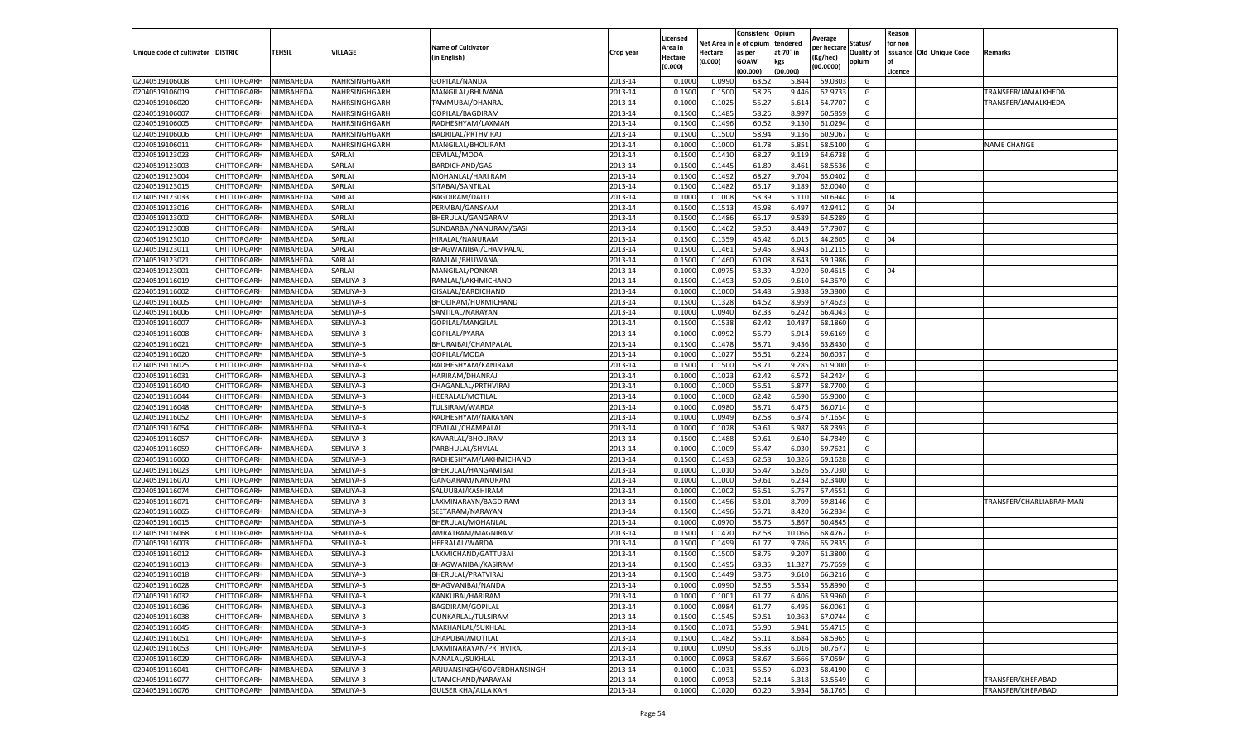|                                   |                    |                  |               |                            |           | Licensed |         | Consistenc              | Opium     | Average     |            | Reason  |                          |                         |
|-----------------------------------|--------------------|------------------|---------------|----------------------------|-----------|----------|---------|-------------------------|-----------|-------------|------------|---------|--------------------------|-------------------------|
|                                   |                    |                  |               | <b>Name of Cultivator</b>  |           | Area in  |         | Net Area in le of opium | tendered  | per hectare | Status/    | for non |                          |                         |
| Unique code of cultivator DISTRIC |                    | <b>TEHSIL</b>    | VILLAGE       | (in English)               | Crop year | Hectare  | Hectare | as per                  | at 70° in | Kg/hec)     | Quality of |         | issuance Old Unique Code | Remarks                 |
|                                   |                    |                  |               |                            |           | (0.000)  | (0.000) | GOAW                    | kgs       | (00.0000)   | opium      |         |                          |                         |
|                                   |                    |                  |               |                            |           |          |         | (00.000)                | (00.000)  |             |            | Licence |                          |                         |
| 02040519106008                    | CHITTORGARH        | NIMBAHEDA        | NAHRSINGHGARH | GOPILAL/NANDA              | 2013-14   | 0.100    | 0.099   | 63.52                   | 5.844     | 59.030      | G          |         |                          |                         |
| 02040519106019                    | CHITTORGARH        | NIMBAHEDA        | NAHRSINGHGARH | MANGILAL/BHUVANA           | 2013-14   | 0.1500   | 0.150   | 58.26                   | 9.446     | 62.973      | G          |         |                          | TRANSFER/JAMALKHEDA     |
| 02040519106020                    | CHITTORGARH        | NIMBAHEDA        | NAHRSINGHGARH | TAMMUBAI/DHANRAJ           | 2013-14   | 0.1000   | 0.1025  | 55.27                   | 5.614     | 54.770      | G          |         |                          | TRANSFER/JAMALKHEDA     |
| 02040519106007                    | CHITTORGARH        | NIMBAHEDA        | NAHRSINGHGARH | GOPILAL/BAGDIRAM           | 2013-14   | 0.1500   | 0.1485  | 58.26                   | 8.997     | 60.5859     | G          |         |                          |                         |
| 02040519106005                    | CHITTORGARH        | NIMBAHEDA        | NAHRSINGHGARH | RADHESHYAM/LAXMAN          | 2013-14   | 0.1500   | 0.1496  | 60.5                    | 9.13(     | 61.029      | G          |         |                          |                         |
| 02040519106006                    | CHITTORGARH        | NIMBAHEDA        | NAHRSINGHGARH | BADRILAL/PRTHVIRAJ         | 2013-14   | 0.1500   | 0.150   | 58.94                   | 9.136     | 60.906      | G          |         |                          |                         |
| 02040519106011                    | CHITTORGARH        | NIMBAHEDA        | NAHRSINGHGARH | MANGILAL/BHOLIRAM          | 2013-14   | 0.1000   | 0.1000  | 61.78                   | 5.851     | 58.510      | G          |         |                          | <b>NAME CHANGE</b>      |
| 02040519123023                    | CHITTORGARH        | NIMBAHEDA        | SARLAI        | DEVILAL/MODA               | 2013-14   | 0.1500   | 0.1410  | 68.27                   | 9.119     | 64.673      | G          |         |                          |                         |
| 02040519123003                    | CHITTORGARH        | NIMBAHEDA        | SARLAI        | <b>BARDICHAND/GASI</b>     | 2013-14   | 0.1500   | 0.1445  | 61.89                   | 8.461     | 58.553      | G          |         |                          |                         |
| 02040519123004                    | CHITTORGARH        | NIMBAHEDA        | SARLAI        | MOHANLAL/HARI RAM          | 2013-14   | 0.1500   | 0.1492  | 68.27                   | 9.704     | 65.0402     | G          |         |                          |                         |
| 02040519123015                    | CHITTORGARH        | NIMBAHEDA        | SARLAI        | SITABAI/SANTILAL           | 2013-14   | 0.1500   | 0.1482  | 65.17                   | 9.189     | 62.004      | G          |         |                          |                         |
| 02040519123033                    | CHITTORGARH        | NIMBAHEDA        | SARLAI        | BAGDIRAM/DALU              | 2013-14   | 0.1000   | 0.1008  | 53.39                   | 5.11(     | 50.694      | G          | 04      |                          |                         |
| 02040519123016                    | CHITTORGARH        | <b>NIMBAHEDA</b> | SARLAI        | PERMBAI/GANSYAM            | 2013-14   | 0.1500   | 0.151   | 46.98                   | 6.497     | 42.941      | G          | 04      |                          |                         |
| 02040519123002                    | CHITTORGARH        | NIMBAHEDA        | SARLAI        | BHERULAL/GANGARAM          | 2013-14   | 0.1500   | 0.1486  | 65.17                   | 9.589     | 64.528      | G          |         |                          |                         |
| 02040519123008                    | CHITTORGARH        | NIMBAHEDA        | SARLAI        | SUNDARBAI/NANURAM/GASI     | 2013-14   | 0.1500   | 0.1462  | 59.50                   | 8.449     | 57.790      | G          |         |                          |                         |
| 02040519123010                    | CHITTORGARH        | NIMBAHEDA        | SARLAI        | HIRALAL/NANURAM            | 2013-14   | 0.1500   | 0.1359  | 46.42                   | 6.01      | 44.260      | G          | 04      |                          |                         |
| 02040519123011                    | CHITTORGARH        | NIMBAHEDA        | SARLAI        | BHAGWANIBAI/CHAMPALAL      | 2013-14   | 0.1500   | 0.1461  | 59.4                    | 8.943     | 61.211      | G          |         |                          |                         |
| 02040519123021                    | CHITTORGARH        | NIMBAHEDA        | SARLAI        | RAMLAL/BHUWANA             | 2013-14   | 0.1500   | 0.1460  | 60.08                   | 8.643     | 59.198      | G          |         |                          |                         |
| 02040519123001                    | CHITTORGARH        | NIMBAHEDA        | SARLAI        | MANGILAL/PONKAR            | 2013-14   | 0.1000   | 0.097!  | 53.3                    | 4.920     | 50.461      | G          | 04      |                          |                         |
| 02040519116019                    | CHITTORGARH        | <b>NIMBAHEDA</b> | SEMLIYA-3     | RAMLAL/LAKHMICHAND         | 2013-14   | 0.1500   | 0.149   | 59.06                   | 9.610     | 64.367      | G          |         |                          |                         |
| 02040519116002                    | CHITTORGARH        | NIMBAHEDA        | SEMLIYA-3     | GISALAL/BARDICHAND         | 2013-14   | 0.1000   | 0.1000  | 54.48                   | 5.938     | 59.3800     | G          |         |                          |                         |
| 02040519116005                    | CHITTORGARH        | NIMBAHEDA        | SEMLIYA-3     | BHOLIRAM/HUKMICHAND        | 2013-14   | 0.1500   | 0.1328  | 64.52                   | 8.959     | 67.462      | G          |         |                          |                         |
| 02040519116006                    | CHITTORGARH        | NIMBAHEDA        | SEMLIYA-3     | SANTILAL/NARAYAN           | 2013-14   | 0.1000   | 0.0940  | 62.33                   | 6.242     | 66.4043     | G          |         |                          |                         |
| 02040519116007                    | CHITTORGARH        | NIMBAHEDA        | SEMLIYA-3     | GOPILAL/MANGILAL           | 2013-14   | 0.1500   | 0.1538  | 62.42                   | 10.487    | 68.186      | G          |         |                          |                         |
| 02040519116008                    | CHITTORGARH        | NIMBAHEDA        | SEMLIYA-3     | GOPILAL/PYARA              | 2013-14   | 0.1000   | 0.0992  | 56.79                   | 5.914     | 59.616      | G          |         |                          |                         |
| 02040519116021                    | CHITTORGARH        | NIMBAHEDA        | SEMLIYA-3     | BHURAIBAI/CHAMPALAL        | 2013-14   | 0.1500   | 0.1478  | 58.71                   | 9.436     | 63.843      | G          |         |                          |                         |
| 02040519116020                    | CHITTORGARH        | NIMBAHEDA        | SEMLIYA-3     | GOPILAL/MODA               | 2013-14   | 0.1000   | 0.102   | 56.51                   | 6.224     | 60.603      | G          |         |                          |                         |
| 02040519116025                    | CHITTORGARH        | NIMBAHEDA        | SEMLIYA-3     | RADHESHYAM/KANIRAM         | 2013-14   | 0.1500   | 0.1500  | 58.71                   | 9.285     | 61.900      | G          |         |                          |                         |
| 02040519116031                    | CHITTORGARH        | NIMBAHEDA        | SEMLIYA-3     | HARIRAM/DHANRAJ            | 2013-14   | 0.1000   | 0.1023  | 62.42                   | 6.572     | 64.2424     | G          |         |                          |                         |
| 02040519116040                    | CHITTORGARH        | NIMBAHEDA        | SEMLIYA-3     | CHAGANLAL/PRTHVIRAJ        | 2013-14   | 0.1000   | 0.1000  | 56.51                   | 5.877     | 58.770      | G          |         |                          |                         |
| 02040519116044                    | <b>CHITTORGARH</b> | NIMBAHEDA        | SEMLIYA-3     | HEERALAL/MOTILAL           | 2013-14   | 0.1000   | 0.1000  | 62.42                   | 6.590     | 65.900      | G          |         |                          |                         |
| 02040519116048                    | CHITTORGARH        | <b>NIMBAHEDA</b> | SEMLIYA-3     | TULSIRAM/WARDA             | 2013-14   | 0.1000   | 0.098   | 58.71                   | 6.475     | 66.071      | G          |         |                          |                         |
| 02040519116052                    | CHITTORGARH        | NIMBAHEDA        | SEMLIYA-3     | RADHESHYAM/NARAYAN         | 2013-14   | 0.1000   | 0.0949  | 62.58                   | 6.374     | 67.165      | G          |         |                          |                         |
| 02040519116054                    | CHITTORGARH        | NIMBAHEDA        | SEMLIYA-3     | DEVILAL/CHAMPALAL          | 2013-14   | 0.1000   | 0.1028  | 59.61                   | 5.987     | 58.239      | G          |         |                          |                         |
| 02040519116057                    | CHITTORGARH        | NIMBAHEDA        | SEMLIYA-3     | KAVARLAL/BHOLIRAM          | 2013-14   | 0.1500   | 0.1488  | 59.61                   | 9.640     | 64.7849     | G          |         |                          |                         |
| 02040519116059                    | CHITTORGARH        | NIMBAHEDA        | SEMLIYA-3     | PARBHULAL/SHVLAL           | 2013-14   | 0.1000   | 0.1009  | 55.4                    | 6.030     | 59.762      | G          |         |                          |                         |
| 02040519116060                    | CHITTORGARH        | NIMBAHEDA        | SEMLIYA-3     | RADHESHYAM/LAKHMICHAND     | 2013-14   | 0.1500   | 0.1493  | 62.58                   | 10.326    | 69.162      | G          |         |                          |                         |
| 02040519116023                    | CHITTORGARH        | <b>NIMBAHEDA</b> | SEMLIYA-3     | BHERULAL/HANGAMIBA         | 2013-14   | 0.1000   | 0.101   | 55.47                   | 5.626     | 55.703      | G          |         |                          |                         |
| 02040519116070                    | CHITTORGARH        | NIMBAHEDA        | SEMLIYA-3     | GANGARAM/NANURAM           | 2013-14   | 0.1000   | 0.100   | 59.61                   | 6.234     | 62.340      | G          |         |                          |                         |
| 02040519116074                    | CHITTORGARH        | NIMBAHEDA        | SEMLIYA-3     | SALUUBAI/KASHIRAM          | 2013-14   | 0.1000   | 0.1002  | 55.51                   | 5.757     | 57.455      | G          |         |                          |                         |
| 02040519116071                    | CHITTORGARH        | NIMBAHEDA        | SEMLIYA-3     | LAXMINARAYN/BAGDIRAM       | 2013-14   | 0.150    | 0.1456  | 53.0                    | 8.709     | 59.814      | G          |         |                          | TRANSFER/CHARLIABRAHMAN |
| 02040519116065                    | CHITTORGARH        | NIMBAHEDA        | SEMLIYA-3     | SEETARAM/NARAYAN           | 2013-14   | 0.1500   | 0.1496  | 55.71                   | 8.420     | 56.283      | G          |         |                          |                         |
| 02040519116015                    | CHITTORGARH        | NIMBAHEDA        | SEMLIYA-3     | BHERULAL/MOHANLAI          | 2013-14   | 0.1000   | 0.097   | 58.7                    | 5.867     | 60.484      | G          |         |                          |                         |
| 02040519116068                    | CHITTORGARH        | NIMBAHEDA        | SEMLIYA-3     | AMRATRAM/MAGNIRAM          | 2013-14   | 0.1500   | 0.147   | 62.58                   | 10.066    | 68.476      | G          |         |                          |                         |
| 02040519116003                    | CHITTORGARH        | NIMBAHEDA        | SEMLIYA-3     | HEERALAL/WARDA             | 2013-14   | 0.1500   | 0.1499  | 61.77                   | 9.786     | 65.283      | G          |         |                          |                         |
| 02040519116012                    | CHITTORGARH        | NIMBAHEDA        | SEMLIYA-3     | LAKMICHAND/GATTUBAI        | 2013-14   | 0.1500   | 0.150   | 58.7                    | 9.207     | 61.380      | G          |         |                          |                         |
| 02040519116013                    | CHITTORGARH        | NIMBAHEDA        | SEMLIYA-3     | BHAGWANIBAI/KASIRAM        | 2013-14   | 0.150    | 0.149   | 68.35                   | 11.327    | 75.7659     | G          |         |                          |                         |
| 02040519116018                    | CHITTORGARH        | <b>NIMBAHEDA</b> | SEMLIYA-3     | BHERULAL/PRATVIRAJ         | 2013-14   | 0.1500   | 0.1449  | 58.75                   | 9.610     | 66.3216     | G          |         |                          |                         |
| 02040519116028                    | CHITTORGARH        | NIMBAHEDA        | SEMLIYA-3     | BHAGVANIBAI/NANDA          | 2013-14   | 0.1000   | 0.0990  | 52.56                   | 5.534     | 55.8990     | G          |         |                          |                         |
| 02040519116032                    | CHITTORGARH        | NIMBAHEDA        | SEMLIYA-3     | KANKUBAI/HARIRAM           | 2013-14   | 0.1000   | 0.1001  | 61.77                   | 6.406     | 63.9960     | G          |         |                          |                         |
| 02040519116036                    | CHITTORGARH        | NIMBAHEDA        | SEMLIYA-3     | BAGDIRAM/GOPILAL           | 2013-14   | 0.1000   | 0.0984  | 61.77                   | 6.495     | 66.0061     | G          |         |                          |                         |
| 02040519116038                    | CHITTORGARH        | NIMBAHEDA        | SEMLIYA-3     | OUNKARLAL/TULSIRAM         | 2013-14   | 0.1500   | 0.154   | 59.51                   | 10.363    | 67.0744     | G          |         |                          |                         |
| 02040519116045                    | CHITTORGARH        | NIMBAHEDA        | SEMLIYA-3     | MAKHANLAL/SUKHLAL          | 2013-14   | 0.1500   | 0.1072  | 55.90                   | 5.941     | 55.471      | G          |         |                          |                         |
| 02040519116051                    | CHITTORGARH        | NIMBAHEDA        | SEMLIYA-3     | DHAPUBAI/MOTILAL           | 2013-14   | 0.1500   | 0.1482  | 55.11                   | 8.684     | 58.5965     | G          |         |                          |                         |
| 02040519116053                    | CHITTORGARH        | NIMBAHEDA        | SEMLIYA-3     | LAXMINARAYAN/PRTHVIRAJ     | 2013-14   | 0.1000   | 0.0990  | 58.33                   | 6.016     | 60.7677     | G          |         |                          |                         |
| 02040519116029                    | CHITTORGARH        | NIMBAHEDA        | SEMLIYA-3     | NANALAL/SUKHLAL            | 2013-14   | 0.1000   | 0.0993  | 58.67                   | 5.666     | 57.0594     | G          |         |                          |                         |
| 02040519116041                    | CHITTORGARH        | NIMBAHEDA        | SEMLIYA-3     | ARJUANSINGH/GOVERDHANSINGH | 2013-14   | 0.1000   | 0.1032  | 56.59                   | 6.023     | 58.4190     | G          |         |                          |                         |
| 02040519116077                    | CHITTORGARH        | NIMBAHEDA        | SEMLIYA-3     | UTAMCHAND/NARAYAN          | 2013-14   | 0.1000   | 0.0993  | 52.14                   | 5.318     | 53.5549     | G          |         |                          | TRANSFER/KHERABAD       |
| 02040519116076                    | CHITTORGARH        | NIMBAHEDA        | SEMLIYA-3     | <b>GULSER KHA/ALLA KAH</b> | 2013-14   | 0.1000   | 0.1020  | 60.20                   | 5.934     | 58.1765     | G          |         |                          | TRANSFER/KHERABAD       |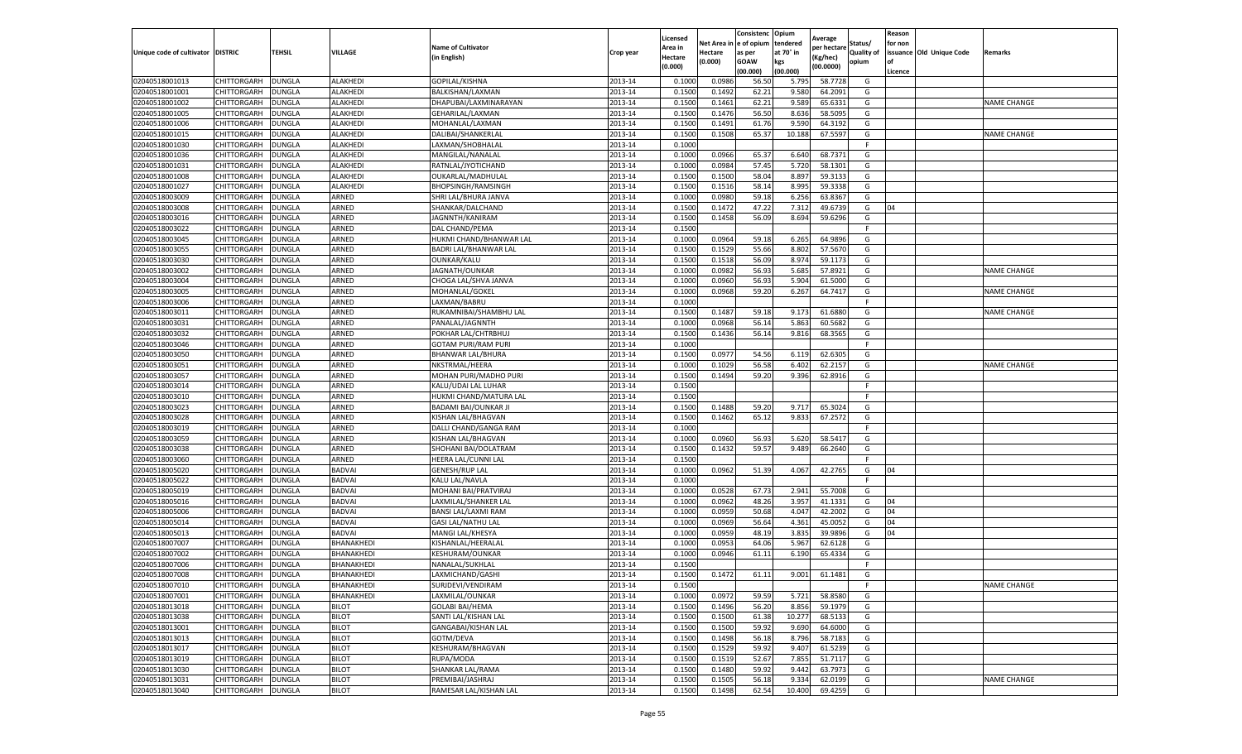|                           |                    |               |                 |                             |           | Licensed |         | Consistenc             | Opium     | Average     |                   | Reason  |                          |                    |
|---------------------------|--------------------|---------------|-----------------|-----------------------------|-----------|----------|---------|------------------------|-----------|-------------|-------------------|---------|--------------------------|--------------------|
|                           |                    |               |                 | <b>Name of Cultivator</b>   |           | Area in  |         | Net Area in e of opium | tendered  | per hectare | Status/           | for non |                          |                    |
| Unique code of cultivator | <b>DISTRIC</b>     | TEHSIL        | VILLAGE         | in English)                 | Crop year | Hectare  | Hectare | as per                 | at 70° in | (Kg/hec     | <b>Quality of</b> |         | issuance Old Unique Code | <b>Remarks</b>     |
|                           |                    |               |                 |                             |           | (0.000)  | (0.000) | <b>GOAW</b>            | kgs       | (00.0000)   | opium             |         |                          |                    |
|                           |                    |               |                 |                             |           |          |         | (00.000)               | (00.000)  |             |                   | Licence |                          |                    |
| 02040518001013            | CHITTORGARH        | <b>DUNGLA</b> | ALAKHEDI        | GOPILAL/KISHNA              | 2013-14   | 0.1000   | 0.0986  | 56.50                  | 5.795     | 58.7728     | G                 |         |                          |                    |
| 02040518001001            | CHITTORGARH        | DUNGLA        | <b>ALAKHEDI</b> | BALKISHAN/LAXMAN            | 2013-14   | 0.1500   | 0.1492  | 62.21                  | 9.580     | 64.2091     | G                 |         |                          |                    |
| 02040518001002            | CHITTORGARH        | <b>DUNGLA</b> | ALAKHEDI        | DHAPUBAI/LAXMINARAYAN       | 2013-14   | 0.1500   | 0.1461  | 62.21                  | 9.589     | 65.6331     | G                 |         |                          | <b>NAME CHANGE</b> |
| 02040518001005            | CHITTORGARH        | <b>DUNGLA</b> | ALAKHEDI        | GEHARILAL/LAXMAN            | 2013-14   | 0.1500   | 0.1476  | 56.50                  | 8.636     | 58.5095     | G                 |         |                          |                    |
| 02040518001006            | CHITTORGARH        | <b>DUNGLA</b> | ALAKHEDI        | MOHANLAL/LAXMAN             | 2013-14   | 0.1500   | 0.1491  | 61.76                  | 9.59      | 64.3192     | G                 |         |                          |                    |
| 02040518001015            | CHITTORGARH        | DUNGLA        | <b>ALAKHEDI</b> | DALIBAI/SHANKERLAL          | 2013-14   | 0.1500   | 0.1508  | 65.37                  | 10.188    | 67.5597     | G                 |         |                          | <b>NAME CHANGE</b> |
| 02040518001030            | CHITTORGARH        | <b>DUNGLA</b> | ALAKHEDI        | LAXMAN/SHOBHALAL            | 2013-14   | 0.1000   |         |                        |           |             | F                 |         |                          |                    |
| 02040518001036            | CHITTORGARH        | DUNGLA        | ALAKHEDI        | MANGILAL/NANALAL            | 2013-14   | 0.1000   | 0.0966  | 65.37                  | 6.640     | 68.7371     | G                 |         |                          |                    |
| 02040518001031            | CHITTORGARH        | DUNGLA        | <b>ALAKHEDI</b> | RATNLAL/JYOTICHAND          | 2013-14   | 0.1000   | 0.0984  | 57.45                  | 5.720     | 58.1301     | G                 |         |                          |                    |
| 02040518001008            | CHITTORGARH        | <b>DUNGLA</b> | ALAKHEDI        | OUKARLAL/MADHULAL           | 2013-14   | 0.1500   | 0.1500  | 58.04                  | 8.897     | 59.3133     | G                 |         |                          |                    |
| 02040518001027            | CHITTORGARH        | <b>DUNGLA</b> | ALAKHEDI        | <b>BHOPSINGH/RAMSINGH</b>   | 2013-14   | 0.1500   | 0.1516  | 58.14                  | 8.995     | 59.3338     | G                 |         |                          |                    |
| 02040518003009            | CHITTORGARH        | <b>DUNGLA</b> | ARNED           | SHRI LAL/BHURA JANVA        | 2013-14   | 0.1000   | 0.0980  | 59.18                  | 6.256     | 63.8367     | G                 |         |                          |                    |
| 02040518003008            | CHITTORGARH        | DUNGLA        | ARNED           | SHANKAR/DALCHAND            | 2013-14   | 0.1500   | 0.1472  | 47.22                  | 7.312     | 49.6739     | G                 | 04      |                          |                    |
| 02040518003016            | CHITTORGARH        | DUNGLA        | ARNED           | JAGNNTH/KANIRAM             | 2013-14   | 0.1500   | 0.1458  | 56.09                  | 8.694     | 59.6296     | G                 |         |                          |                    |
| 02040518003022            | CHITTORGARH        | DUNGLA        | ARNED           | DAL CHAND/PEMA              | 2013-14   | 0.1500   |         |                        |           |             | F.                |         |                          |                    |
| 02040518003045            | CHITTORGARH        | <b>DUNGLA</b> | ARNED           | HUKMI CHAND/BHANWAR LAL     | 2013-14   | 0.1000   | 0.0964  | 59.18                  | 6.265     | 64.9896     | G                 |         |                          |                    |
| 02040518003055            | CHITTORGARH        | <b>DUNGLA</b> | ARNED           | BADRI LAL/BHANWAR LAL       | 2013-14   | 0.1500   | 0.1529  | 55.66                  | 8.802     | 57.5670     | G                 |         |                          |                    |
| 02040518003030            | CHITTORGARH        | <b>DUNGLA</b> | ARNED           | OUNKAR/KALU                 | 2013-14   | 0.1500   | 0.1518  | 56.09                  | 8.974     | 59.1173     | G                 |         |                          |                    |
| 02040518003002            | CHITTORGARH        | DUNGLA        | ARNED           | JAGNATH/OUNKAR              | 2013-14   | 0.1000   | 0.0982  | 56.93                  | 5.685     | 57.8921     | G                 |         |                          | <b>NAME CHANGE</b> |
| 02040518003004            | CHITTORGARH        | DUNGLA        | ARNED           | CHOGA LAL/SHVA JANVA        | 2013-14   | 0.1000   | 0.0960  | 56.93                  | 5.904     | 61.5000     | G                 |         |                          |                    |
| 02040518003005            | CHITTORGARH        | <b>DUNGLA</b> | ARNED           | MOHANLAL/GOKEL              | 2013-14   | 0.1000   | 0.0968  | 59.20                  | 6.267     | 64.7417     | G                 |         |                          | <b>NAME CHANGE</b> |
| 02040518003006            | CHITTORGARH        | DUNGLA        | ARNED           | LAXMAN/BABRU                | 2013-14   | 0.1000   |         |                        |           |             | F                 |         |                          |                    |
| 02040518003011            | CHITTORGARH        | <b>DUNGLA</b> | ARNED           | RUKAMNIBAI/SHAMBHU LAL      | 2013-14   | 0.1500   | 0.1487  | 59.18                  | 9.173     | 61.6880     | G                 |         |                          | <b>NAME CHANGE</b> |
| 02040518003031            | CHITTORGARH        | DUNGLA        | ARNED           | PANALAL/JAGNNTH             | 2013-14   | 0.1000   | 0.0968  | 56.14                  | 5.863     | 60.5682     | G                 |         |                          |                    |
| 02040518003032            | CHITTORGARH        | <b>DUNGLA</b> | ARNED           | POKHAR LAL/CHTRBHUJ         | 2013-14   | 0.1500   | 0.1436  | 56.14                  | 9.816     | 68.3565     | G                 |         |                          |                    |
| 02040518003046            | CHITTORGARH        | DUNGLA        | ARNED           | <b>GOTAM PURI/RAM PURI</b>  | 2013-14   | 0.1000   |         |                        |           |             | F.                |         |                          |                    |
| 02040518003050            | CHITTORGARH        | DUNGLA        | ARNED           | BHANWAR LAL/BHURA           | 2013-14   | 0.1500   | 0.0977  | 54.56                  | 6.119     | 62.6305     | G                 |         |                          |                    |
| 02040518003051            | CHITTORGARH        | <b>DUNGLA</b> | ARNED           | NKSTRMAL/HEERA              | 2013-14   | 0.1000   | 0.1029  | 56.58                  | 6.402     | 62.2157     | G                 |         |                          | <b>NAME CHANGE</b> |
| 02040518003057            | CHITTORGARH        | <b>DUNGLA</b> | ARNED           | MOHAN PURI/MADHO PURI       | 2013-14   | 0.1500   | 0.1494  | 59.20                  | 9.396     | 62.8916     | G                 |         |                          |                    |
| 02040518003014            | CHITTORGARH        | <b>DUNGLA</b> | ARNED           | KALU/UDAI LAL LUHAR         | 2013-14   | 0.1500   |         |                        |           |             | F.                |         |                          |                    |
| 02040518003010            | CHITTORGARH        | DUNGLA        | ARNED           | HUKMI CHAND/MATURA LAL      | 2013-14   | 0.1500   |         |                        |           |             | F                 |         |                          |                    |
| 02040518003023            | CHITTORGARH        | DUNGLA        | ARNED           | <b>BADAMI BAI/OUNKAR JI</b> | 2013-14   | 0.1500   | 0.1488  | 59.20                  | 9.717     | 65.3024     | G                 |         |                          |                    |
| 02040518003028            | CHITTORGARH        | DUNGLA        | ARNED           | KISHAN LAL/BHAGVAN          | 2013-14   | 0.1500   | 0.1462  | 65.12                  | 9.833     | 67.2572     | G                 |         |                          |                    |
| 02040518003019            | CHITTORGARH        | DUNGLA        | ARNED           | DALLI CHAND/GANGA RAM       | 2013-14   | 0.1000   |         |                        |           |             | F.                |         |                          |                    |
| 02040518003059            | CHITTORGARH        | <b>DUNGLA</b> | ARNED           | KISHAN LAL/BHAGVAN          | 2013-14   | 0.1000   | 0.0960  | 56.93                  | 5.620     | 58.5417     | G                 |         |                          |                    |
| 02040518003038            | CHITTORGARH        | <b>DUNGLA</b> | ARNED           | SHOHANI BAI/DOLATRAM        | 2013-14   | 0.1500   | 0.1432  | 59.57                  | 9.489     | 66.2640     | G                 |         |                          |                    |
| 02040518003060            | CHITTORGARH        | <b>DUNGLA</b> | ARNED           | HEERA LAL/CUNNI LAL         | 2013-14   | 0.1500   |         |                        |           |             | F.                |         |                          |                    |
| 02040518005020            | CHITTORGARH        | DUNGLA        | BADVAI          | <b>GENESH/RUP LAL</b>       | 2013-14   | 0.1000   | 0.0962  | 51.39                  | 4.067     | 42.2765     | G                 | 04      |                          |                    |
| 02040518005022            | CHITTORGARH        | DUNGLA        | <b>BADVAI</b>   | KALU LAL/NAVLA              | 2013-14   | 0.1000   |         |                        |           |             | F.                |         |                          |                    |
| 02040518005019            | CHITTORGARH        | <b>DUNGLA</b> | <b>BADVAI</b>   | MOHANI BAI/PRATVIRAJ        | 2013-14   | 0.1000   | 0.0528  | 67.73                  | 2.941     | 55.7008     | G                 |         |                          |                    |
| 02040518005016            | CHITTORGARH        | DUNGLA        | <b>BADVAI</b>   | LAXMILAL/SHANKER LAL        | 2013-14   | 0.1000   | 0.0962  | 48.26                  | 3.957     | 41.1331     | G                 | 04      |                          |                    |
| 02040518005006            | CHITTORGARH        | <b>DUNGLA</b> | <b>BADVAI</b>   | BANSI LAL/LAXMI RAM         | 2013-14   | 0.1000   | 0.0959  | 50.68                  | 4.047     | 42.2002     | G                 | 04      |                          |                    |
| 02040518005014            | CHITTORGARH        | DUNGLA        | <b>BADVAI</b>   | <b>GASI LAL/NATHU LAL</b>   | 2013-14   | 0.1000   | 0.0969  | 56.64                  | 4.361     | 45.0052     | G                 | 04      |                          |                    |
| 02040518005013            | CHITTORGARH        | <b>DUNGLA</b> | <b>BADVAI</b>   | MANGI LAL/KHESYA            | 2013-14   | 0.1000   | 0.0959  | 48.19                  | 3.835     | 39.9896     | G                 | 04      |                          |                    |
| 02040518007007            | <b>CHITTORGARH</b> | <b>DUNGLA</b> | BHANAKHEDI      | KISHANLAL/HEERALAI          | 2013-14   | 0.1000   | 0.0953  | 64.06                  | 5.967     | 62.6128     | G                 |         |                          |                    |
| 02040518007002            | CHITTORGARH        | DUNGLA        | BHANAKHEDI      | KESHURAM/OUNKAR             | 2013-14   | 0.1000   | 0.0946  | 61.11                  | 6.190     | 65.4334     | G                 |         |                          |                    |
| 02040518007006            | CHITTORGARH        | DUNGLA        | BHANAKHEDI      | NANALAL/SUKHLAL             | 2013-14   | 0.1500   |         |                        |           |             | F.                |         |                          |                    |
| 02040518007008            | CHITTORGARH        | <b>DUNGLA</b> | BHANAKHEDI      | LAXMICHAND/GASHI            | 2013-14   | 0.1500   | 0.1472  | 61.11                  | 9.001     | 61.1481     | G                 |         |                          |                    |
| 02040518007010            | CHITTORGARH        | <b>DUNGLA</b> | BHANAKHEDI      | SURJDEVI/VENDIRAM           | 2013-14   | 0.1500   |         |                        |           |             | F                 |         |                          | <b>NAME CHANGE</b> |
| 02040518007001            | CHITTORGARH        | <b>DUNGLA</b> | BHANAKHEDI      | LAXMILAL/OUNKAR             | 2013-14   | 0.1000   | 0.0972  | 59.59                  | 5.721     | 58.8580     | G                 |         |                          |                    |
| 02040518013018            | CHITTORGARH        | <b>DUNGLA</b> | <b>BILOT</b>    | <b>GOLABI BAI/HEMA</b>      | 2013-14   | 0.1500   | 0.1496  | 56.20                  | 8.856     | 59.1979     | G                 |         |                          |                    |
| 02040518013038            | CHITTORGARH        | <b>DUNGLA</b> | <b>BILOT</b>    | SANTI LAL/KISHAN LAL        | 2013-14   | 0.1500   | 0.1500  | 61.38                  | 10.277    | 68.5133     | G                 |         |                          |                    |
| 02040518013001            | CHITTORGARH        | <b>DUNGLA</b> | <b>BILOT</b>    | GANGABAI/KISHAN LAL         | 2013-14   | 0.1500   | 0.1500  | 59.92                  | 9.690     | 64.6000     | G                 |         |                          |                    |
| 02040518013013            | <b>CHITTORGARH</b> | <b>DUNGLA</b> | <b>BILOT</b>    | GOTM/DEVA                   | 2013-14   | 0.1500   | 0.1498  | 56.18                  | 8.796     | 58.7183     | G                 |         |                          |                    |
| 02040518013017            | CHITTORGARH        | <b>DUNGLA</b> | <b>BILOT</b>    | KESHURAM/BHAGVAN            | 2013-14   | 0.1500   | 0.1529  | 59.92                  | 9.407     | 61.5239     | G                 |         |                          |                    |
| 02040518013019            | <b>CHITTORGARH</b> | <b>DUNGLA</b> | <b>BILOT</b>    | RUPA/MODA                   | 2013-14   | 0.1500   | 0.1519  | 52.67                  | 7.855     | 51.7117     | G                 |         |                          |                    |
| 02040518013030            | CHITTORGARH        | <b>DUNGLA</b> | <b>BILOT</b>    | SHANKAR LAL/RAMA            | 2013-14   | 0.1500   | 0.1480  | 59.92                  | 9.442     | 63.7973     | G                 |         |                          |                    |
| 02040518013031            | CHITTORGARH        | DUNGLA        | <b>BILOT</b>    | PREMIBAI/JASHRAJ            | 2013-14   | 0.1500   | 0.1505  | 56.18                  | 9.334     | 62.0199     | G                 |         |                          | <b>NAME CHANGE</b> |
| 02040518013040            | <b>CHITTORGARH</b> | <b>DUNGLA</b> | <b>BILOT</b>    | RAMESAR LAL/KISHAN LAL      | 2013-14   | 0.1500   | 0.1498  | 62.54                  | 10.400    | 69.4259     | G                 |         |                          |                    |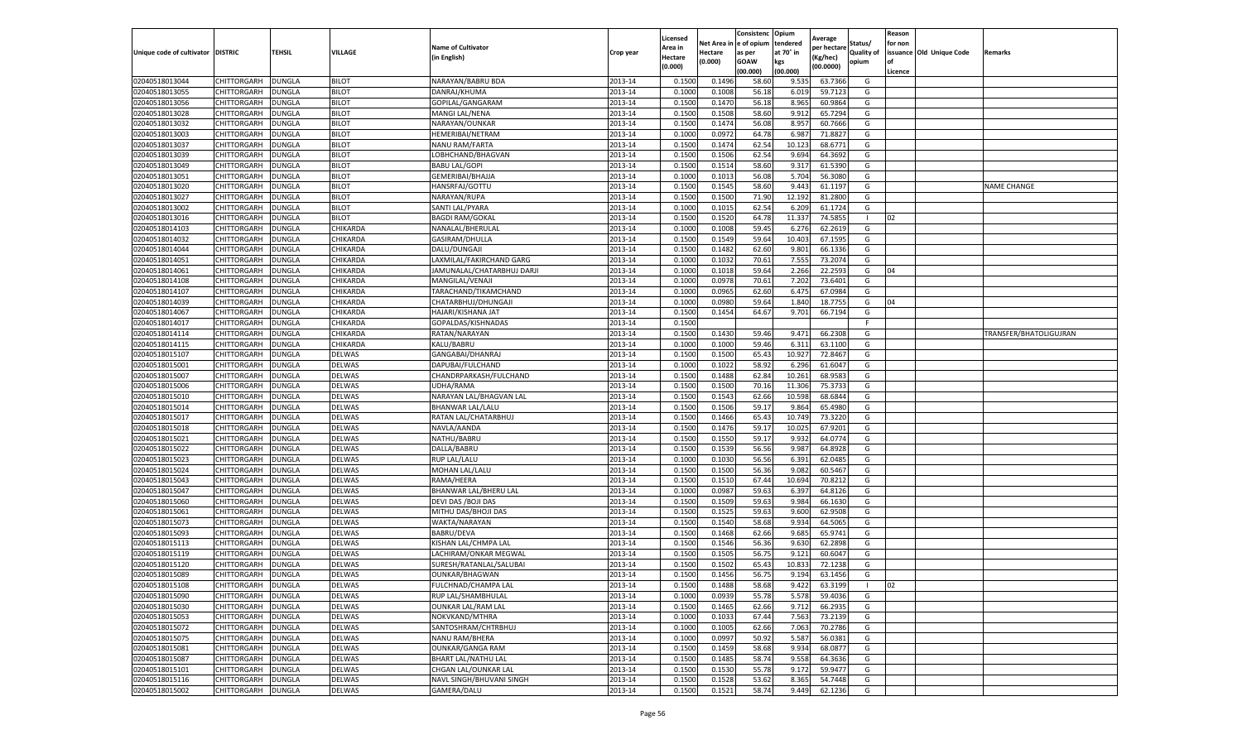|                                   |                            |                                |                              |                                           |                    | Licensed         |                  | Consistenc     | Opium           | Average           |                   | Reason  |                          |                        |
|-----------------------------------|----------------------------|--------------------------------|------------------------------|-------------------------------------------|--------------------|------------------|------------------|----------------|-----------------|-------------------|-------------------|---------|--------------------------|------------------------|
|                                   |                            |                                |                              | <b>Name of Cultivator</b>                 |                    | Area in          | Net Area         | e of opium     | tendered        | per hectarı       | Status/           | for non |                          |                        |
| Unique code of cultivator DISTRIC |                            | TEHSIL                         | VILLAGE                      | (in English)                              | Crop year          | Hectare          | Hectare          | as per         | at 70° in       | (Kg/hec)          | <b>Quality of</b> |         | issuance Old Unique Code | Remarks                |
|                                   |                            |                                |                              |                                           |                    | (0.000)          | (0.000)          | <b>GOAW</b>    | kgs             | (00.0000)         | opium             | οf      |                          |                        |
|                                   |                            |                                |                              |                                           |                    |                  |                  | (00.000)       | (00.000)        |                   |                   | Licence |                          |                        |
| 02040518013044                    | CHITTORGARH                | <b>DUNGLA</b>                  | <b>BILOT</b>                 | NARAYAN/BABRU BDA                         | 2013-14            | 0.1500           | 0.1496           | 58.60          | 9.535           | 63.7366           | G                 |         |                          |                        |
| 02040518013055                    | CHITTORGARH                | <b>DUNGLA</b>                  | <b>BILOT</b>                 | DANRAJ/KHUMA                              | 2013-14            | 0.1000           | 0.1008           | 56.18          | 6.019           | 59.7123           | G                 |         |                          |                        |
| 02040518013056                    | CHITTORGARH                | DUNGLA                         | <b>BILOT</b>                 | GOPILAL/GANGARAM                          | 2013-14            | 0.1500           | 0.1470           | 56.18          | 8.965           | 60.9864           | G                 |         |                          |                        |
| 02040518013028                    | CHITTORGARH                | <b>DUNGLA</b>                  | <b>BILOT</b>                 | MANGI LAL/NENA                            | 2013-14            | 0.1500           | 0.1508           | 58.60          | 9.912           | 65.7294           | G                 |         |                          |                        |
| 02040518013032                    | CHITTORGARH                | <b>DUNGLA</b>                  | <b>BILOT</b>                 | NARAYAN/OUNKAR                            | 2013-14            | 0.1500           | 0.1474           | 56.08          | 8.957           | 60.7666<br>71.882 | G<br>G            |         |                          |                        |
| 02040518013003                    | CHITTORGARH<br>CHITTORGARH | DUNGLA<br><b>DUNGLA</b>        | <b>BILOT</b><br><b>BILOT</b> | <b>HEMERIBAI/NETRAM</b>                   | 2013-14<br>2013-14 | 0.1000<br>0.1500 | 0.0972<br>0.1474 | 64.78<br>62.54 | 6.987           | 68.6771           | G                 |         |                          |                        |
| 02040518013037<br>02040518013039  |                            |                                |                              | NANU RAM/FARTA                            | 2013-14            | 0.1500           | 0.1506           | 62.54          | 10.123<br>9.694 | 64.369            |                   |         |                          |                        |
| 02040518013049                    | CHITTORGARH                | DUNGLA                         | <b>BILOT</b><br><b>BILOT</b> | LOBHCHAND/BHAGVAN<br><b>BABU LAL/GOPI</b> | 2013-14            | 0.1500           | 0.1514           | 58.60          | 9.317           | 61.5390           | G<br>G            |         |                          |                        |
| 02040518013051                    | CHITTORGARH<br>CHITTORGARH | <b>DUNGLA</b><br><b>DUNGLA</b> | <b>BILOT</b>                 | <b>GEMERIBAI/BHAJJA</b>                   | 2013-14            | 0.1000           | 0.1013           | 56.08          | 5.704           | 56.3080           | G                 |         |                          |                        |
| 02040518013020                    | CHITTORGARH                | <b>DUNGLA</b>                  | <b>BILOT</b>                 | HANSRFAJ/GOTTU                            | 2013-14            | 0.1500           | 0.1545           | 58.60          | 9.443           | 61.1197           | G                 |         |                          | <b>NAME CHANGE</b>     |
| 02040518013027                    | CHITTORGARH                | <b>DUNGLA</b>                  | <b>BILOT</b>                 | NARAYAN/RUPA                              | 2013-14            | 0.1500           | 0.1500           | 71.90          | 12.192          | 81.2800           | G                 |         |                          |                        |
| 02040518013002                    | CHITTORGARH                | DUNGLA                         | <b>BILOT</b>                 | SANTI LAL/PYARA                           | 2013-14            | 0.1000           | 0.1015           | 62.54          | 6.209           | 61.1724           | G                 |         |                          |                        |
| 02040518013016                    | CHITTORGARH                | <b>DUNGLA</b>                  | <b>BILOT</b>                 | <b>BAGDI RAM/GOKAL</b>                    | 2013-14            | 0.1500           | 0.1520           | 64.78          | 11.33           | 74.585            |                   | 02      |                          |                        |
| 02040518014103                    | CHITTORGARH                | DUNGLA                         | CHIKARDA                     | NANALAL/BHERULAI                          | 2013-14            | 0.1000           | 0.1008           | 59.45          | 6.276           | 62.2619           | G                 |         |                          |                        |
| 02040518014032                    | CHITTORGARH                | <b>DUNGLA</b>                  | CHIKARDA                     | GASIRAM/DHULLA                            | 2013-14            | 0.1500           | 0.1549           | 59.64          | 10.403          | 67.1595           | G                 |         |                          |                        |
| 02040518014044                    | CHITTORGARH                | <b>DUNGLA</b>                  | CHIKARDA                     | DALU/DUNGAJI                              | 2013-14            | 0.1500           | 0.1482           | 62.60          | 9.801           | 66.1336           | G                 |         |                          |                        |
| 02040518014051                    | CHITTORGARH                | <b>DUNGLA</b>                  | CHIKARDA                     | LAXMILAL/FAKIRCHAND GARG                  | 2013-14            | 0.1000           | 0.1032           | 70.61          | 7.555           | 73.2074           | G                 |         |                          |                        |
| 02040518014061                    | CHITTORGARH                | DUNGLA                         | CHIKARDA                     | JAMUNALAL/CHATARBHUJ DARJI                | 2013-14            | 0.1000           | 0.1018           | 59.64          | 2.266           | 22.2593           | G                 | 04      |                          |                        |
| 02040518014108                    | CHITTORGARH                | DUNGLA                         | CHIKARDA                     | MANGILAL/VENAJI                           | 2013-14            | 0.1000           | 0.0978           | 70.61          | 7.202           | 73.6401           | G                 |         |                          |                        |
| 02040518014107                    | CHITTORGARH                | <b>DUNGLA</b>                  | CHIKARDA                     | TARACHAND/TIKAMCHAND                      | 2013-14            | 0.1000           | 0.0965           | 62.60          | 6.475           | 67.0984           | G                 |         |                          |                        |
| 02040518014039                    | CHITTORGARH                | DUNGLA                         | CHIKARDA                     | CHATARBHUJ/DHUNGAJI                       | 2013-14            | 0.1000           | 0.0980           | 59.64          | 1.840           | 18.7755           | G                 | 04      |                          |                        |
| 02040518014067                    | CHITTORGARH                | <b>DUNGLA</b>                  | CHIKARDA                     | HAJARI/KISHANA JAT                        | 2013-14            | 0.1500           | 0.1454           | 64.67          | 9.701           | 66.7194           | G                 |         |                          |                        |
| 02040518014017                    | CHITTORGARH                | <b>DUNGLA</b>                  | CHIKARDA                     | GOPALDAS/KISHNADAS                        | 2013-14            | 0.1500           |                  |                |                 |                   |                   |         |                          |                        |
| 02040518014114                    | CHITTORGARH                | DUNGLA                         | CHIKARDA                     | RATAN/NARAYAN                             | 2013-14            | 0.1500           | 0.1430           | 59.46          | 9.471           | 66.2308           | G                 |         |                          | TRANSFER/BHATOLIGUJRAN |
| 02040518014115                    | CHITTORGARH                | <b>DUNGLA</b>                  | CHIKARDA                     | KALU/BABRU                                | 2013-14            | 0.1000           | 0.1000           | 59.46          | 6.311           | 63.1100           | G                 |         |                          |                        |
| 02040518015107                    | CHITTORGARH                |                                |                              | GANGABAI/DHANRAJ                          | 2013-14            | 0.1500           | 0.1500           | 65.43          | 10.927          | 72.8467           | G                 |         |                          |                        |
| 02040518015001                    | CHITTORGARH                | DUNGLA<br><b>DUNGLA</b>        | <b>DELWAS</b><br>DELWAS      | DAPUBAI/FULCHAND                          | 2013-14            | 0.1000           | 0.1022           | 58.92          | 6.296           | 61.6047           | G                 |         |                          |                        |
| 02040518015007                    | CHITTORGARH                | <b>DUNGLA</b>                  | <b>DELWAS</b>                | CHANDRPARKASH/FULCHAND                    | 2013-14            | 0.1500           | 0.1488           | 62.84          | 10.261          | 68.9583           | G                 |         |                          |                        |
| 02040518015006                    | CHITTORGARH                | <b>DUNGLA</b>                  | DELWAS                       | UDHA/RAMA                                 | 2013-14            | 0.1500           | 0.1500           | 70.16          | 11.306          | 75.3733           | G                 |         |                          |                        |
| 02040518015010                    | CHITTORGARH                | DUNGLA                         | <b>DELWAS</b>                | NARAYAN LAL/BHAGVAN LAL                   | 2013-14            | 0.1500           | 0.1543           | 62.66          | 10.598          | 68.6844           | G                 |         |                          |                        |
| 02040518015014                    | CHITTORGARH                | DUNGLA                         | <b>DELWAS</b>                | <b>BHANWAR LAL/LALU</b>                   | 2013-14            | 0.1500           | 0.1506           | 59.17          | 9.864           | 65.4980           | G                 |         |                          |                        |
| 02040518015017                    | CHITTORGARH                | <b>DUNGLA</b>                  | <b>DELWAS</b>                | RATAN LAL/CHATARBHUJ                      | 2013-14            | 0.1500           | 0.1466           | 65.43          | 10.74           | 73.3220           | G                 |         |                          |                        |
| 02040518015018                    | CHITTORGARH                | <b>DUNGLA</b>                  | <b>DELWAS</b>                | NAVLA/AANDA                               | 2013-14            | 0.1500           | 0.1476           | 59.1           | 10.025          | 67.9201           | G                 |         |                          |                        |
| 02040518015021                    | CHITTORGARH                | <b>DUNGLA</b>                  | <b>DELWAS</b>                | NATHU/BABRU                               | 2013-14            | 0.1500           | 0.1550           | 59.17          | 9.932           | 64.0774           | G                 |         |                          |                        |
| 02040518015022                    | CHITTORGARH                | <b>DUNGLA</b>                  | DELWAS                       | DALLA/BABRU                               | 2013-14            | 0.1500           | 0.1539           | 56.56          | 9.987           | 64.8928           | G                 |         |                          |                        |
| 02040518015023                    | CHITTORGARH                | <b>DUNGLA</b>                  | <b>DELWAS</b>                | RUP LAL/LALU                              | 2013-14            | 0.1000           | 0.1030           | 56.56          | 6.391           | 62.0485           | G                 |         |                          |                        |
| 02040518015024                    | CHITTORGARH                | DUNGLA                         | <b>DELWAS</b>                | MOHAN LAL/LALU                            | 2013-14            | 0.1500           | 0.1500           | 56.36          | 9.082           | 60.5467           | G                 |         |                          |                        |
| 02040518015043                    | CHITTORGARH                | DUNGLA                         | <b>DELWAS</b>                | RAMA/HEERA                                | 2013-14            | 0.1500           | 0.1510           | 67.44          | 10.694          | 70.821            | G                 |         |                          |                        |
| 02040518015047                    | CHITTORGARH                | <b>DUNGLA</b>                  | <b>DELWAS</b>                | BHANWAR LAL/BHERU LAL                     | 2013-14            | 0.1000           | 0.0987           | 59.63          | 6.397           | 64.8126           | G                 |         |                          |                        |
| 02040518015060                    | CHITTORGARH                | <b>DUNGLA</b>                  | <b>DELWAS</b>                | DEVI DAS / BOJI DAS                       | 2013-14            | 0.1500           | 0.1509           | 59.63          | 9.984           | 66.1630           | G                 |         |                          |                        |
| 02040518015061                    | CHITTORGARH                | <b>DUNGLA</b>                  | DELWAS                       | MITHU DAS/BHOJI DAS                       | 2013-14            | 0.1500           | 0.1525           | 59.63          | 9.600           | 62.9508           | G                 |         |                          |                        |
| 02040518015073                    | CHITTORGARH                | <b>DUNGLA</b>                  | <b>DELWAS</b>                | WAKTA/NARAYAN                             | 2013-14            | 0.1500           | 0.1540           | 58.68          | 9.934           | 64.5065           | G                 |         |                          |                        |
| 02040518015093                    | CHITTORGARH                | DUNGLA                         | DELWAS                       | <b>BABRU/DEVA</b>                         | 2013-14            | 0.1500           | 0.1468           | 62.66          | 9.685           | 65.9741           | G                 |         |                          |                        |
| 02040518015113                    | CHITTORGARH                | <b>DUNGLA</b>                  | <b>DELWAS</b>                | KISHAN LAL/CHMPA LAL                      | 2013-14            | 0.1500           | 0.1546           | 56.36          | 9.630           | 62.2898           | G                 |         |                          |                        |
| 02040518015119                    | CHITTORGARH                | <b>DUNGLA</b>                  | <b>DELWAS</b>                | LACHIRAM/ONKAR MEGWAL                     | 2013-14            | 0.1500           | 0.1505           | 56.7           | 9.121           | 60.6047           | G                 |         |                          |                        |
| 02040518015120                    | CHITTORGARH                | <b>DUNGLA</b>                  | <b>DELWAS</b>                | SURESH/RATANLAL/SALUBAI                   | 2013-14            | 0.1500           | 0.1502           | 65.43          | 10.833          | 72.1238           | G                 |         |                          |                        |
| 02040518015089                    | CHITTORGARH                | <b>DUNGLA</b>                  | <b>DELWAS</b>                | <b>OUNKAR/BHAGWAN</b>                     | 2013-14            | 0.1500           | 0.1456           | 56.75          | 9.194           | 63.1456           | G                 |         |                          |                        |
| 02040518015108                    | <b>CHITTORGARH</b>         | <b>DUNGLA</b>                  | <b>DELWAS</b>                | FULCHNAD/CHAMPA LAL                       | 2013-14            | 0.1500           | 0.1488           | 58.68          | 9.422           | 63.3199           |                   | 02      |                          |                        |
| 02040518015090                    | CHITTORGARH                | <b>DUNGLA</b>                  | <b>DELWAS</b>                | RUP LAL/SHAMBHULAL                        | 2013-14            | 0.1000           | 0.0939           | 55.78          | 5.578           | 59.4036           | G                 |         |                          |                        |
| 02040518015030                    | CHITTORGARH                | <b>DUNGLA</b>                  | DELWAS                       | <b>OUNKAR LAL/RAM LAL</b>                 | 2013-14            | 0.1500           | 0.1465           | 62.66          | 9.712           | 66.2935           | G                 |         |                          |                        |
| 02040518015053                    | CHITTORGARH                | <b>DUNGLA</b>                  | DELWAS                       | NOKVKAND/MTHRA                            | 2013-14            | 0.1000           | 0.1033           | 67.44          | 7.563           | 73.2139           | G                 |         |                          |                        |
| 02040518015072                    | CHITTORGARH                | <b>DUNGLA</b>                  | DELWAS                       | SANTOSHRAM/CHTRBHUJ                       | 2013-14            | 0.1000           | 0.1005           | 62.66          | 7.063           | 70.2786           | G                 |         |                          |                        |
| 02040518015075                    | CHITTORGARH                | <b>DUNGLA</b>                  | <b>DELWAS</b>                | NANU RAM/BHERA                            | 2013-14            | 0.1000           | 0.0997           | 50.92          | 5.587           | 56.0381           | G                 |         |                          |                        |
| 02040518015081                    | CHITTORGARH                | <b>DUNGLA</b>                  | DELWAS                       | <b>OUNKAR/GANGA RAM</b>                   | 2013-14            | 0.1500           | 0.1459           | 58.68          | 9.934           | 68.0877           | G                 |         |                          |                        |
| 02040518015087                    | CHITTORGARH                | <b>DUNGLA</b>                  | DELWAS                       | <b>BHART LAL/NATHU LAL</b>                | 2013-14            | 0.1500           | 0.1485           | 58.74          | 9.558           | 64.3636           | G                 |         |                          |                        |
| 02040518015101                    | CHITTORGARH                | <b>DUNGLA</b>                  | <b>DELWAS</b>                | CHGAN LAL/OUNKAR LAL                      | 2013-14            | 0.1500           | 0.1530           | 55.78          | 9.172           | 59.9477           | G                 |         |                          |                        |
| 02040518015116                    | CHITTORGARH                | <b>DUNGLA</b>                  | <b>DELWAS</b>                | NAVL SINGH/BHUVANI SINGH                  | 2013-14            | 0.1500           | 0.1528           | 53.62          | 8.365           | 54.7448           | G                 |         |                          |                        |
| 02040518015002                    | CHITTORGARH                | <b>DUNGLA</b>                  | <b>DELWAS</b>                | GAMERA/DALU                               | 2013-14            | 0.1500           | 0.1521           | 58.74          | 9.449           | 62.1236           | G                 |         |                          |                        |
|                                   |                            |                                |                              |                                           |                    |                  |                  |                |                 |                   |                   |         |                          |                        |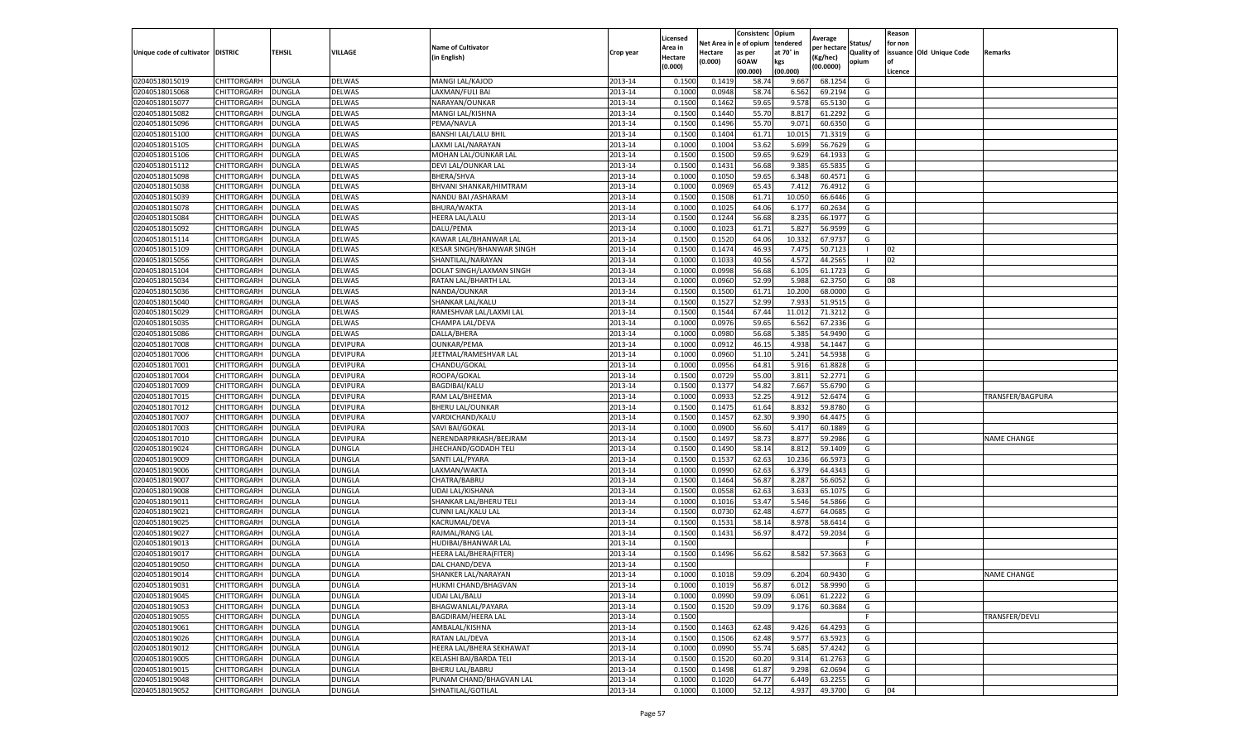|                           |                    |               |                 |                           |           | Licensed |         | Consistenc             | Opium     |                        |                   | Reason  |                          |                    |
|---------------------------|--------------------|---------------|-----------------|---------------------------|-----------|----------|---------|------------------------|-----------|------------------------|-------------------|---------|--------------------------|--------------------|
|                           |                    |               |                 | <b>Name of Cultivator</b> |           | Area in  |         | Net Area in e of opium | tendered  | Average<br>per hectare | Status/           | for non |                          |                    |
| Unique code of cultivator | <b>DISTRIC</b>     | TEHSIL        | VILLAGE         | in English)               | Crop year | Hectare  | Hectare | as per                 | at 70° in | (Kg/hec                | <b>Quality of</b> |         | issuance Old Unique Code | <b>Remarks</b>     |
|                           |                    |               |                 |                           |           | (0.000)  | (0.000) | <b>GOAW</b>            | kgs       | (00.0000)              | opium             |         |                          |                    |
|                           |                    |               |                 |                           |           |          |         | (00.000)               | (00.000)  |                        |                   | Licence |                          |                    |
| 02040518015019            | CHITTORGARH        | <b>DUNGLA</b> | DELWAS          | MANGI LAL/KAJOD           | 2013-14   | 0.1500   | 0.1419  | 58.74                  | 9.667     | 68.1254                | G                 |         |                          |                    |
| 02040518015068            | CHITTORGARH        | DUNGLA        | <b>DELWAS</b>   | LAXMAN/FULI BAI           | 2013-14   | 0.1000   | 0.0948  | 58.74                  | 6.562     | 69.2194                | G                 |         |                          |                    |
| 02040518015077            | CHITTORGARH        | DUNGLA        | DELWAS          | NARAYAN/OUNKAR            | 2013-14   | 0.1500   | 0.1462  | 59.65                  | 9.578     | 65.5130                | G                 |         |                          |                    |
| 02040518015082            | CHITTORGARH        | <b>DUNGLA</b> | DELWAS          | MANGI LAL/KISHNA          | 2013-14   | 0.1500   | 0.1440  | 55.70                  | 8.817     | 61.2292                | G                 |         |                          |                    |
| 02040518015096            | <b>CHITTORGARH</b> | DUNGLA        | DELWAS          | PEMA/NAVLA                | 2013-14   | 0.1500   | 0.1496  | 55.70                  | 9.071     | 60.6350                | G                 |         |                          |                    |
| 02040518015100            | CHITTORGARH        | DUNGLA        | DELWAS          | BANSHI LAL/LALU BHIL      | 2013-14   | 0.1500   | 0.1404  | 61.71                  | 10.015    | 71.3319                | G                 |         |                          |                    |
| 02040518015105            | CHITTORGARH        | <b>DUNGLA</b> | DELWAS          | LAXMI LAL/NARAYAN         | 2013-14   | 0.1000   | 0.1004  | 53.62                  | 5.699     | 56.7629                | G                 |         |                          |                    |
| 02040518015106            | CHITTORGARH        | DUNGLA        | DELWAS          | MOHAN LAL/OUNKAR LAL      | 2013-14   | 0.1500   | 0.1500  | 59.65                  | 9.629     | 64.1933                | G                 |         |                          |                    |
| 02040518015112            | CHITTORGARH        | DUNGLA        | DELWAS          | DEVI LAL/OUNKAR LAL       | 2013-14   | 0.1500   | 0.1431  | 56.68                  | 9.385     | 65.5835                | G                 |         |                          |                    |
| 02040518015098            | CHITTORGARH        | <b>DUNGLA</b> | DELWAS          | BHERA/SHVA                | 2013-14   | 0.1000   | 0.1050  | 59.65                  | 6.348     | 60.4571                | G                 |         |                          |                    |
| 02040518015038            | CHITTORGARH        | <b>DUNGLA</b> | DELWAS          | BHVANI SHANKAR/HIMTRAM    | 2013-14   | 0.1000   | 0.0969  | 65.43                  | 7.412     | 76.4912                | G                 |         |                          |                    |
| 02040518015039            | CHITTORGARH        | <b>DUNGLA</b> | DELWAS          | NANDU BAI / ASHARAM       | 2013-14   | 0.1500   | 0.1508  | 61.71                  | 10.05     | 66.6446                | G                 |         |                          |                    |
| 02040518015078            | CHITTORGARH        | DUNGLA        | DELWAS          | BHURA/WAKTA               | 2013-14   | 0.1000   | 0.1025  | 64.06                  | 6.177     | 60.2634                | G                 |         |                          |                    |
| 02040518015084            | CHITTORGARH        | DUNGLA        | DELWAS          | HEERA LAL/LALU            | 2013-14   | 0.1500   | 0.1244  | 56.68                  | 8.235     | 66.1977                | G                 |         |                          |                    |
| 02040518015092            | CHITTORGARH        | DUNGLA        | DELWAS          | DALU/PEMA                 | 2013-14   | 0.1000   | 0.1023  | 61.71                  | 5.827     | 56.9599                | G                 |         |                          |                    |
| 02040518015114            | CHITTORGARH        | <b>DUNGLA</b> | DELWAS          | KAWAR LAL/BHANWAR LAL     | 2013-14   | 0.1500   | 0.1520  | 64.06                  | 10.332    | 67.9737                | G                 |         |                          |                    |
| 02040518015109            | CHITTORGARH        | <b>DUNGLA</b> | DELWAS          | KESAR SINGH/BHANWAR SINGH | 2013-14   | 0.1500   | 0.1474  | 46.93                  | 7.475     | 50.7123                |                   | 02      |                          |                    |
| 02040518015056            | CHITTORGARH        | <b>DUNGLA</b> | DELWAS          | SHANTILAL/NARAYAN         | 2013-14   | 0.1000   | 0.1033  | 40.56                  | 4.572     | 44.2565                |                   | 02      |                          |                    |
| 02040518015104            | CHITTORGARH        | DUNGLA        | DELWAS          | DOLAT SINGH/LAXMAN SINGH  | 2013-14   | 0.1000   | 0.0998  | 56.68                  | 6.105     | 61.1723                | G                 |         |                          |                    |
| 02040518015034            | CHITTORGARH        | DUNGLA        | DELWAS          | RATAN LAL/BHARTH LAL      | 2013-14   | 0.1000   | 0.0960  | 52.99                  | 5.988     | 62.3750                | G                 | 08      |                          |                    |
| 02040518015036            | CHITTORGARH        | <b>DUNGLA</b> | DELWAS          | NANDA/OUNKAR              | 2013-14   | 0.1500   | 0.1500  | 61.71                  | 10.200    | 68.0000                | G                 |         |                          |                    |
| 02040518015040            | CHITTORGARH        | DUNGLA        | DELWAS          | SHANKAR LAL/KALU          | 2013-14   | 0.1500   | 0.1527  | 52.99                  | 7.933     | 51.9515                | G                 |         |                          |                    |
| 02040518015029            | CHITTORGARH        | <b>DUNGLA</b> | DELWAS          | RAMESHVAR LAL/LAXMI LAL   | 2013-14   | 0.1500   | 0.1544  | 67.44                  | 11.012    | 71.3212                | G                 |         |                          |                    |
| 02040518015035            | CHITTORGARH        | DUNGLA        | <b>DELWAS</b>   | CHAMPA LAL/DEVA           | 2013-14   | 0.1000   | 0.0976  | 59.65                  | 6.562     | 67.2336                | G                 |         |                          |                    |
| 02040518015086            | CHITTORGARH        | DUNGLA        | DELWAS          | DALLA/BHERA               | 2013-14   | 0.1000   | 0.0980  | 56.68                  | 5.385     | 54.9490                | G                 |         |                          |                    |
| 02040518017008            | CHITTORGARH        | DUNGLA        | DEVIPURA        | <b>OUNKAR/PEMA</b>        | 2013-14   | 0.1000   | 0.0912  | 46.15                  | 4.938     | 54.1447                | G                 |         |                          |                    |
| 02040518017006            | CHITTORGARH        | DUNGLA        | DEVIPURA        | JEETMAL/RAMESHVAR LAL     | 2013-14   | 0.1000   | 0.0960  | 51.10                  | 5.241     | 54.5938                | G                 |         |                          |                    |
| 02040518017001            | CHITTORGARH        | <b>DUNGLA</b> | DEVIPURA        | CHANDU/GOKAL              | 2013-14   | 0.1000   | 0.0956  | 64.81                  | 5.916     | 61.8828                | G                 |         |                          |                    |
| 02040518017004            | CHITTORGARH        | <b>DUNGLA</b> | DEVIPURA        | ROOPA/GOKAL               | 2013-14   | 0.1500   | 0.0729  | 55.00                  | 3.811     | 52.2771                | G                 |         |                          |                    |
| 02040518017009            | CHITTORGARH        | <b>DUNGLA</b> | DEVIPURA        | BAGDIBAI/KALU             | 2013-14   | 0.1500   | 0.1377  | 54.82                  | 7.667     | 55.6790                | G                 |         |                          |                    |
| 02040518017015            | CHITTORGARH        | DUNGLA        | <b>DEVIPURA</b> | RAM LAL/BHEEMA            | 2013-14   | 0.1000   | 0.0933  | 52.25                  | 4.912     | 52.6474                | G                 |         |                          | TRANSFER/BAGPURA   |
| 02040518017012            | CHITTORGARH        | DUNGLA        | DEVIPURA        | <b>BHERU LAL/OUNKAR</b>   | 2013-14   | 0.1500   | 0.1475  | 61.64                  | 8.832     | 59.8780                | G                 |         |                          |                    |
| 02040518017007            | CHITTORGARH        | DUNGLA        | DEVIPURA        | VARDICHAND/KALU           | 2013-14   | 0.1500   | 0.1457  | 62.30                  | 9.390     | 64.4475                | G                 |         |                          |                    |
| 02040518017003            | CHITTORGARH        | DUNGLA        | DEVIPURA        | SAVI BAI/GOKAL            | 2013-14   | 0.1000   | 0.0900  | 56.60                  | 5.417     | 60.1889                | G                 |         |                          |                    |
| 02040518017010            | CHITTORGARH        | <b>DUNGLA</b> | DEVIPURA        | NERENDARPRKASH/BEEJRAM    | 2013-14   | 0.1500   | 0.1497  | 58.73                  | 8.877     | 59.2986                | G                 |         |                          | <b>NAME CHANGE</b> |
| 02040518019024            | CHITTORGARH        | DUNGLA        | DUNGLA          | JHECHAND/GODADH TELI      | 2013-14   | 0.1500   | 0.1490  | 58.14                  | 8.812     | 59.1409                | G                 |         |                          |                    |
| 02040518019009            | CHITTORGARH        | <b>DUNGLA</b> | DUNGLA          | SANTI LAL/PYARA           | 2013-14   | 0.1500   | 0.1537  | 62.63                  | 10.236    | 66.597                 | G                 |         |                          |                    |
| 02040518019006            | CHITTORGARH        | DUNGLA        | DUNGLA          | LAXMAN/WAKTA              | 2013-14   | 0.1000   | 0.0990  | 62.63                  | 6.37      | 64.4343                | G                 |         |                          |                    |
| 02040518019007            | CHITTORGARH        | DUNGLA        | DUNGLA          | CHATRA/BABRU              | 2013-14   | 0.1500   | 0.1464  | 56.87                  | 8.287     | 56.605                 | G                 |         |                          |                    |
| 02040518019008            | CHITTORGARH        | <b>DUNGLA</b> | <b>DUNGLA</b>   | UDAI LAL/KISHANA          | 2013-14   | 0.1500   | 0.0558  | 62.63                  | 3.633     | 65.1075                | G                 |         |                          |                    |
| 02040518019011            | CHITTORGARH        | DUNGLA        | DUNGLA          | SHANKAR LAL/BHERU TELI    | 2013-14   | 0.1000   | 0.1016  | 53.47                  | 5.546     | 54.5866                | G                 |         |                          |                    |
| 02040518019021            | CHITTORGARH        | <b>DUNGLA</b> | DUNGLA          | CUNNI LAL/KALU LAL        | 2013-14   | 0.1500   | 0.0730  | 62.48                  | 4.677     | 64.0685                | G                 |         |                          |                    |
| 02040518019025            | CHITTORGARH        | DUNGLA        | DUNGLA          | KACRUMAL/DEVA             | 2013-14   | 0.1500   | 0.1531  | 58.14                  | 8.97      | 58.6414                | G                 |         |                          |                    |
| 02040518019027            | CHITTORGARH        | <b>DUNGLA</b> | <b>DUNGLA</b>   | RAJMAL/RANG LAL           | 2013-14   | 0.1500   | 0.1431  | 56.97                  | 8.472     | 59.2034                | G                 |         |                          |                    |
| 02040518019013            | <b>CHITTORGARH</b> | <b>DUNGLA</b> | DUNGLA          | HUDIBAI/BHANWAR LAL       | 2013-14   | 0.1500   |         |                        |           |                        | F                 |         |                          |                    |
| 02040518019017            | CHITTORGARH        | DUNGLA        | DUNGLA          | HEERA LAL/BHERA(FITER)    | 2013-14   | 0.1500   | 0.1496  | 56.62                  | 8.582     | 57.3663                | G                 |         |                          |                    |
| 02040518019050            | CHITTORGARH        | DUNGLA        | <b>DUNGLA</b>   | DAL CHAND/DEVA            | 2013-14   | 0.1500   |         |                        |           |                        | F.                |         |                          |                    |
| 02040518019014            | CHITTORGARH        | <b>DUNGLA</b> | DUNGLA          | SHANKER LAL/NARAYAN       | 2013-14   | 0.1000   | 0.1018  | 59.09                  | 6.204     | 60.9430                | G                 |         |                          | <b>NAME CHANGE</b> |
| 02040518019031            | CHITTORGARH        | <b>DUNGLA</b> | <b>DUNGLA</b>   | HUKMI CHAND/BHAGVAN       | 2013-14   | 0.1000   | 0.1019  | 56.87                  | 6.012     | 58.9990                | G                 |         |                          |                    |
| 02040518019045            | CHITTORGARH        | <b>DUNGLA</b> | <b>DUNGLA</b>   | <b>UDAI LAL/BALU</b>      | 2013-14   | 0.1000   | 0.0990  | 59.09                  | 6.061     | 61.2222                | G                 |         |                          |                    |
| 02040518019053            | <b>CHITTORGARH</b> | <b>DUNGLA</b> | DUNGLA          | BHAGWANLAL/PAYARA         | 2013-14   | 0.1500   | 0.1520  | 59.09                  | 9.176     | 60.3684                | G                 |         |                          |                    |
| 02040518019055            | CHITTORGARH        | <b>DUNGLA</b> | DUNGLA          | <b>BAGDIRAM/HEERA LAL</b> | 2013-14   | 0.1500   |         |                        |           |                        | F                 |         |                          | TRANSFER/DEVLI     |
| 02040518019061            | CHITTORGARH        | <b>DUNGLA</b> | DUNGLA          | AMBALAL/KISHNA            | 2013-14   | 0.1500   | 0.1463  | 62.48                  | 9.426     | 64.4293                | G                 |         |                          |                    |
| 02040518019026            | <b>CHITTORGARH</b> | <b>DUNGLA</b> | <b>DUNGLA</b>   | RATAN LAL/DEVA            | 2013-14   | 0.1500   | 0.1506  | 62.48                  | 9.577     | 63.5923                | G                 |         |                          |                    |
| 02040518019012            | CHITTORGARH        | <b>DUNGLA</b> | DUNGLA          | HEERA LAL/BHERA SEKHAWAT  | 2013-14   | 0.1000   | 0.0990  | 55.74                  | 5.685     | 57.4242                | G                 |         |                          |                    |
| 02040518019005            | CHITTORGARH        | <b>DUNGLA</b> | DUNGLA          | KELASHI BAI/BARDA TELI    | 2013-14   | 0.1500   | 0.1520  | 60.20                  | 9.314     | 61.2763                | G                 |         |                          |                    |
| 02040518019015            | CHITTORGARH        | <b>DUNGLA</b> | DUNGLA          | <b>BHERU LAL/BABRU</b>    | 2013-14   | 0.1500   | 0.1498  | 61.87                  | 9.298     | 62.0694                | G                 |         |                          |                    |
| 02040518019048            | CHITTORGARH        | DUNGLA        | DUNGLA          | PUNAM CHAND/BHAGVAN LAL   | 2013-14   | 0.1000   | 0.1020  | 64.77                  | 6.449     | 63.2255                | G                 |         |                          |                    |
| 02040518019052            | <b>CHITTORGARH</b> | <b>DUNGLA</b> | <b>DUNGLA</b>   | SHNATILAL/GOTILAL         | 2013-14   | 0.1000   | 0.1000  | 52.12                  | 4.937     | 49.3700                | G                 | 04      |                          |                    |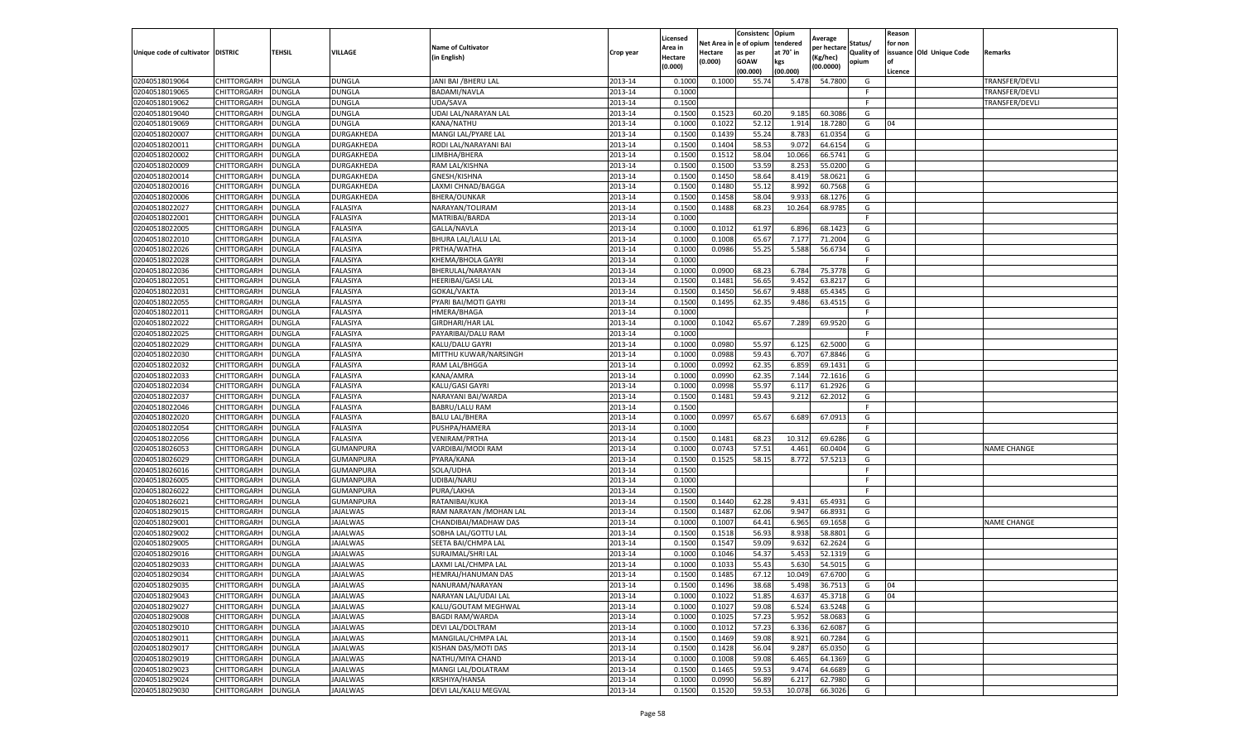|                                   |                    |               |                  |                           |           | Licensed                  | Net Area i | Consistenc Opium<br>e of opium | tendered  | Average              | Status/           | Reason<br>for non |                          |                    |
|-----------------------------------|--------------------|---------------|------------------|---------------------------|-----------|---------------------------|------------|--------------------------------|-----------|----------------------|-------------------|-------------------|--------------------------|--------------------|
| Unique code of cultivator DISTRIC |                    | TEHSIL        | VILLAGE          | <b>Name of Cultivator</b> | Crop year | Area in                   | Hectare    | as per                         | at 70° in | per hectare          | <b>Quality of</b> |                   | issuance Old Unique Code | Remarks            |
|                                   |                    |               |                  | in English)               |           | <b>Hectare</b><br>(0.000) | (0.000)    | <b>GOAW</b>                    | kgs       | Kg/hec)<br>(00.0000) | opium             | of                |                          |                    |
|                                   |                    |               |                  |                           |           |                           |            | (00.000)                       | (00.000)  |                      |                   | Licence           |                          |                    |
| 02040518019064                    | CHITTORGARH        | DUNGLA        | DUNGLA           | JANI BAI / BHERU LAL      | 2013-14   | 0.1000                    | 0.1000     | 55.74                          | 5.478     | 54.7800              | G                 |                   |                          | TRANSFER/DEVLI     |
| 02040518019065                    | CHITTORGARH        | <b>DUNGLA</b> | <b>DUNGLA</b>    | BADAMI/NAVLA              | 2013-14   | 0.1000                    |            |                                |           |                      | F.                |                   |                          | TRANSFER/DEVLI     |
| 02040518019062                    | CHITTORGARH        | <b>DUNGLA</b> | DUNGLA           | UDA/SAVA                  | 2013-14   | 0.1500                    |            |                                |           |                      | F                 |                   |                          | TRANSFER/DEVLI     |
| 02040518019040                    | CHITTORGARH        | <b>DUNGLA</b> | DUNGLA           | UDAI LAL/NARAYAN LAL      | 2013-14   | 0.1500                    | 0.1523     | 60.20                          | 9.185     | 60.3086              | G                 |                   |                          |                    |
| 02040518019069                    | CHITTORGARH        | DUNGLA        | DUNGLA           | KANA/NATHU                | 2013-14   | 0.1000                    | 0.1022     | 52.12                          | 1.914     | 18.7280              | G                 | 04                |                          |                    |
| 02040518020007                    | CHITTORGARH        | DUNGLA        | DURGAKHEDA       | MANGI LAL/PYARE LAL       | 2013-14   | 0.1500                    | 0.1439     | 55.24                          | 8.783     | 61.0354              | G                 |                   |                          |                    |
| 02040518020011                    | CHITTORGARH        | DUNGLA        | DURGAKHEDA       | RODI LAL/NARAYANI BAI     | 2013-14   | 0.1500                    | 0.1404     | 58.53                          | 9.072     | 64.6154              | G                 |                   |                          |                    |
| 02040518020002                    | CHITTORGARH        | DUNGLA        | DURGAKHEDA       | LIMBHA/BHERA              | 2013-14   | 0.1500                    | 0.1512     | 58.04                          | 10.066    | 66.5741              | G                 |                   |                          |                    |
| 02040518020009                    | CHITTORGARH        | <b>DUNGLA</b> | DURGAKHEDA       | RAM LAL/KISHNA            | 2013-14   | 0.1500                    | 0.1500     | 53.59                          | 8.253     | 55.0200              | G                 |                   |                          |                    |
| 02040518020014                    | CHITTORGARH        | DUNGLA        | DURGAKHEDA       | GNESH/KISHNA              | 2013-14   | 0.1500                    | 0.1450     | 58.64                          | 8.419     | 58.0621              | G                 |                   |                          |                    |
| 02040518020016                    | CHITTORGARH        | <b>DUNGLA</b> | DURGAKHEDA       | LAXMI CHNAD/BAGGA         | 2013-14   | 0.1500                    | 0.1480     | 55.12                          | 8.992     | 60.7568              | G                 |                   |                          |                    |
| 02040518020006                    | CHITTORGARH        | <b>DUNGLA</b> | DURGAKHEDA       | BHERA/OUNKAR              | 2013-14   | 0.1500                    | 0.1458     | 58.04                          | 9.93      | 68.1276              | G                 |                   |                          |                    |
| 02040518022027                    | CHITTORGARH        | DUNGLA        | FALASIYA         | NARAYAN/TOLIRAM           | 2013-14   | 0.1500                    | 0.1488     | 68.23                          | 10.264    | 68.9785              | G                 |                   |                          |                    |
| 02040518022001                    | CHITTORGARH        | <b>DUNGLA</b> | FALASIYA         | MATRIBAI/BARDA            | 2013-14   | 0.1000                    |            |                                |           |                      | F.                |                   |                          |                    |
| 02040518022005                    | CHITTORGARH        | DUNGLA        | FALASIYA         | GALLA/NAVLA               | 2013-14   | 0.1000                    | 0.1012     | 61.97                          | 6.896     | 68.1423              | G                 |                   |                          |                    |
| 02040518022010                    | CHITTORGARH        | <b>DUNGLA</b> | FALASIYA         | <b>BHURA LAL/LALU LAL</b> | 2013-14   | 0.1000                    | 0.1008     | 65.67                          | 7.177     | 71.2004              | G                 |                   |                          |                    |
| 02040518022026                    | CHITTORGARH        | DUNGLA        | FALASIYA         | PRTHA/WATHA               | 2013-14   | 0.1000                    | 0.0986     | 55.25                          | 5.588     | 56.6734              | G                 |                   |                          |                    |
| 02040518022028                    | CHITTORGARH        | <b>DUNGLA</b> | FALASIYA         | KHEMA/BHOLA GAYRI         | 2013-14   | 0.1000                    |            |                                |           |                      | F                 |                   |                          |                    |
| 02040518022036                    | CHITTORGARH        | <b>DUNGLA</b> | FALASIYA         | BHERULAL/NARAYAN          | 2013-14   | 0.1000                    | 0.0900     | 68.23                          | 6.784     | 75.3778              | G                 |                   |                          |                    |
| 02040518022051                    | CHITTORGARH        | DUNGLA        | FALASIYA         | HEERIBAI/GASI LAL         | 2013-14   | 0.1500                    | 0.1481     | 56.65                          | 9.452     | 63.8217              | G                 |                   |                          |                    |
| 02040518022031                    | CHITTORGARH        | <b>DUNGLA</b> | FALASIYA         | GOKAL/VAKTA               | 2013-14   | 0.1500                    | 0.1450     | 56.67                          | 9.488     | 65.4345              | G                 |                   |                          |                    |
| 02040518022055                    | CHITTORGARH        | <b>DUNGLA</b> | FALASIYA         | PYARI BAI/MOTI GAYRI      | 2013-14   | 0.1500                    | 0.1495     | 62.35                          | 9.486     | 63.4515              | G                 |                   |                          |                    |
| 02040518022011                    | CHITTORGARH        | <b>DUNGLA</b> | FALASIYA         | HMERA/BHAGA               | 2013-14   | 0.1000                    |            |                                |           |                      | F.                |                   |                          |                    |
| 02040518022022                    | CHITTORGARH        | DUNGLA        | FALASIYA         | <b>GIRDHARI/HAR LAL</b>   | 2013-14   | 0.1000                    | 0.1042     | 65.67                          | 7.289     | 69.9520              | G                 |                   |                          |                    |
| 02040518022025                    | CHITTORGARH        | DUNGLA        | FALASIYA         | PAYARIBAI/DALU RAM        | 2013-14   | 0.1000                    |            |                                |           |                      | F.                |                   |                          |                    |
| 02040518022029                    | CHITTORGARH        | DUNGLA        | FALASIYA         | KALU/DALU GAYRI           | 2013-14   | 0.1000                    | 0.0980     | 55.97                          | 6.125     | 62.5000              | G                 |                   |                          |                    |
| 02040518022030                    | CHITTORGARH        | DUNGLA        | FALASIYA         | MITTHU KUWAR/NARSINGH     | 2013-14   | 0.1000                    | 0.0988     | 59.43                          | 6.707     | 67.8846              | G                 |                   |                          |                    |
| 02040518022032                    | CHITTORGARH        | <b>DUNGLA</b> | FALASIYA         | RAM LAL/BHGGA             | 2013-14   | 0.1000                    | 0.0992     | 62.35                          | 6.859     | 69.1431              | G                 |                   |                          |                    |
| 02040518022033                    | CHITTORGARH        | <b>DUNGLA</b> | FALASIYA         | KANA/AMRA                 | 2013-14   | 0.1000                    | 0.0990     | 62.35                          | 7.144     | 72.1616              | G                 |                   |                          |                    |
| 02040518022034                    | CHITTORGARH        | DUNGLA        | FALASIYA         | KALU/GASI GAYRI           | 2013-14   | 0.1000                    | 0.0998     | 55.97                          | 6.117     | 61.2926              | G                 |                   |                          |                    |
| 02040518022037                    | CHITTORGARH        | DUNGLA        | FALASIYA         | NARAYANI BAI/WARDA        | 2013-14   | 0.1500                    | 0.1481     | 59.43                          | 9.212     | 62.2012              | G                 |                   |                          |                    |
| 02040518022046                    | CHITTORGARH        | DUNGLA        | FALASIYA         | <b>BABRU/LALU RAM</b>     | 2013-14   | 0.1500                    |            |                                |           |                      | F.                |                   |                          |                    |
| 02040518022020                    | CHITTORGARH        | <b>DUNGLA</b> | FALASIYA         | <b>BALU LAL/BHERA</b>     | 2013-14   | 0.1000                    | 0.0997     | 65.67                          | 6.689     | 67.0913              | G                 |                   |                          |                    |
| 02040518022054                    | CHITTORGARH        | <b>DUNGLA</b> | FALASIYA         | PUSHPA/HAMERA             | 2013-14   | 0.1000                    |            |                                |           |                      | F.                |                   |                          |                    |
| 02040518022056                    | CHITTORGARH        | <b>DUNGLA</b> | FALASIYA         | <b>VENIRAM/PRTHA</b>      | 2013-14   | 0.1500                    | 0.1481     | 68.23                          | 10.31     | 69.6286              | G                 |                   |                          |                    |
| 02040518026053                    | CHITTORGARH        | <b>DUNGLA</b> | GUMANPURA        | VARDIBAI/MODI RAM         | 2013-14   | 0.1000                    | 0.0743     | 57.51                          | 4.461     | 60.0404              | G                 |                   |                          | <b>NAME CHANGE</b> |
| 02040518026029                    | CHITTORGARH        | DUNGLA        | <b>GUMANPURA</b> | PYARA/KANA                | 2013-14   | 0.1500                    | 0.1525     | 58.15                          | 8.772     | 57.5213              | G                 |                   |                          |                    |
| 02040518026016                    | CHITTORGARH        | DUNGLA        | GUMANPURA        | SOLA/UDHA                 | 2013-14   | 0.1500                    |            |                                |           |                      | F                 |                   |                          |                    |
| 02040518026005                    | CHITTORGARH        | DUNGLA        | GUMANPURA        | UDIBAI/NARU               | 2013-14   | 0.1000                    |            |                                |           |                      | F.                |                   |                          |                    |
| 02040518026022                    | CHITTORGARH        | <b>DUNGLA</b> | GUMANPURA        | PURA/LAKHA                | 2013-14   | 0.1500                    |            |                                |           |                      | F.                |                   |                          |                    |
| 02040518026021                    | <b>CHITTORGARH</b> | <b>DUNGLA</b> | GUMANPURA        | RATANIBAI/KUKA            | 2013-14   | 0.1500                    | 0.1440     | 62.28                          | 9.431     | 65.4931              | G                 |                   |                          |                    |
| 02040518029015                    | CHITTORGARH        | DUNGLA        | <b>JAJALWAS</b>  | RAM NARAYAN / MOHAN LAI   | 2013-14   | 0.1500                    | 0.1487     | 62.06                          | 9.947     | 66.8931              | G                 |                   |                          |                    |
| 02040518029001                    | CHITTORGARH        | DUNGLA        | JAJALWAS         | CHANDIBAI/MADHAW DAS      | 2013-14   | 0.1000                    | 0.1007     | 64.41                          | 6.965     | 69.1658              | G                 |                   |                          | <b>NAME CHANGE</b> |
| 02040518029002                    | CHITTORGARH        | DUNGLA        | <b>JAJALWAS</b>  | SOBHA LAL/GOTTU LAL       | 2013-14   | 0.1500                    | 0.1518     | 56.93                          | 8.938     | 58.8801              | G                 |                   |                          |                    |
| 02040518029005                    | CHITTORGARH        | DUNGLA        | JAJALWAS         | SEETA BAI/CHMPA LAL       | 2013-14   | 0.1500                    | 0.1547     | 59.09                          | 9.632     | 62.2624              | G                 |                   |                          |                    |
| 02040518029016                    | CHITTORGARH        | DUNGLA        | JAJALWAS         | SURAJMAL/SHRI LAL         | 2013-14   | 0.1000                    | 0.1046     | 54.37                          | 5.453     | 52.1319              | G                 |                   |                          |                    |
| 02040518029033                    | CHITTORGARH        | <b>DUNGLA</b> | <b>JAJALWAS</b>  | LAXMI LAL/CHMPA LAL       | 2013-14   | 0.1000                    | 0.1033     | 55.43                          | 5.630     | 54.5015              | G                 |                   |                          |                    |
| 02040518029034                    | CHITTORGARH        | <b>DUNGLA</b> | JAJALWAS         | HEMRAJ/HANUMAN DAS        | 2013-14   | 0.1500                    | 0.1485     | 67.12                          | 10.049    | 67.6700              | G                 |                   |                          |                    |
| 02040518029035                    | CHITTORGARH        | <b>DUNGLA</b> | JAJALWAS         | NANURAM/NARAYAN           | 2013-14   | 0.1500                    | 0.1496     | 38.68                          | 5.498     | 36.7513              | G                 | 04                |                          |                    |
| 02040518029043                    | <b>CHITTORGARH</b> | <b>DUNGLA</b> | <b>JAJALWAS</b>  | NARAYAN LAL/UDAI LAL      | 2013-14   | 0.1000                    | 0.1022     | 51.85                          | 4.637     | 45.3718              | G                 | 04                |                          |                    |
| 02040518029027                    | <b>CHITTORGARH</b> | <b>DUNGLA</b> | JAJALWAS         | KALU/GOUTAM MEGHWAL       | 2013-14   | 0.1000                    | 0.1027     | 59.08                          | 6.524     | 63.5248              | G                 |                   |                          |                    |
| 02040518029008                    | <b>CHITTORGARH</b> | <b>DUNGLA</b> | <b>JAJALWAS</b>  | <b>BAGDI RAM/WARDA</b>    | 2013-14   | 0.1000                    | 0.1025     | 57.23                          | 5.952     | 58.0683              | G                 |                   |                          |                    |
| 02040518029010                    | <b>CHITTORGARH</b> | <b>DUNGLA</b> | JAJALWAS         | DEVI LAL/DOLTRAM          | 2013-14   | 0.1000                    | 0.1012     | 57.23                          | 6.336     | 62.6087              | G                 |                   |                          |                    |
| 02040518029011                    | <b>CHITTORGARH</b> | <b>DUNGLA</b> | JAJALWAS         | MANGILAL/CHMPA LAL        | 2013-14   | 0.1500                    | 0.1469     | 59.08                          | 8.921     | 60.7284              | G                 |                   |                          |                    |
| 02040518029017                    | <b>CHITTORGARH</b> | <b>DUNGLA</b> | <b>JAJALWAS</b>  | KISHAN DAS/MOTI DAS       | 2013-14   | 0.1500                    | 0.1428     | 56.04                          | 9.287     | 65.0350              | G                 |                   |                          |                    |
| 02040518029019                    | <b>CHITTORGARH</b> | DUNGLA        | <b>JAJALWAS</b>  | NATHU/MIYA CHAND          | 2013-14   | 0.1000                    | 0.1008     | 59.08                          | 6.465     | 64.1369              | G                 |                   |                          |                    |
| 02040518029023                    | CHITTORGARH        | <b>DUNGLA</b> | JAJALWAS         | MANGI LAL/DOLATRAM        | 2013-14   | 0.1500                    | 0.1465     | 59.53                          | 9.474     | 64.6689              | G                 |                   |                          |                    |
| 02040518029024                    | <b>CHITTORGARH</b> | <b>DUNGLA</b> | JAJALWAS         | KRSHIYA/HANSA             | 2013-14   | 0.1000                    | 0.0990     | 56.89                          | 6.217     | 62.7980              | G                 |                   |                          |                    |
| 02040518029030                    | <b>CHITTORGARH</b> | <b>DUNGLA</b> | JAJALWAS         | DEVI LAL/KALU MEGVAL      | 2013-14   | 0.1500                    | 0.1520     | 59.53                          | 10.078    | 66.3026              | G                 |                   |                          |                    |
|                                   |                    |               |                  |                           |           |                           |            |                                |           |                      |                   |                   |                          |                    |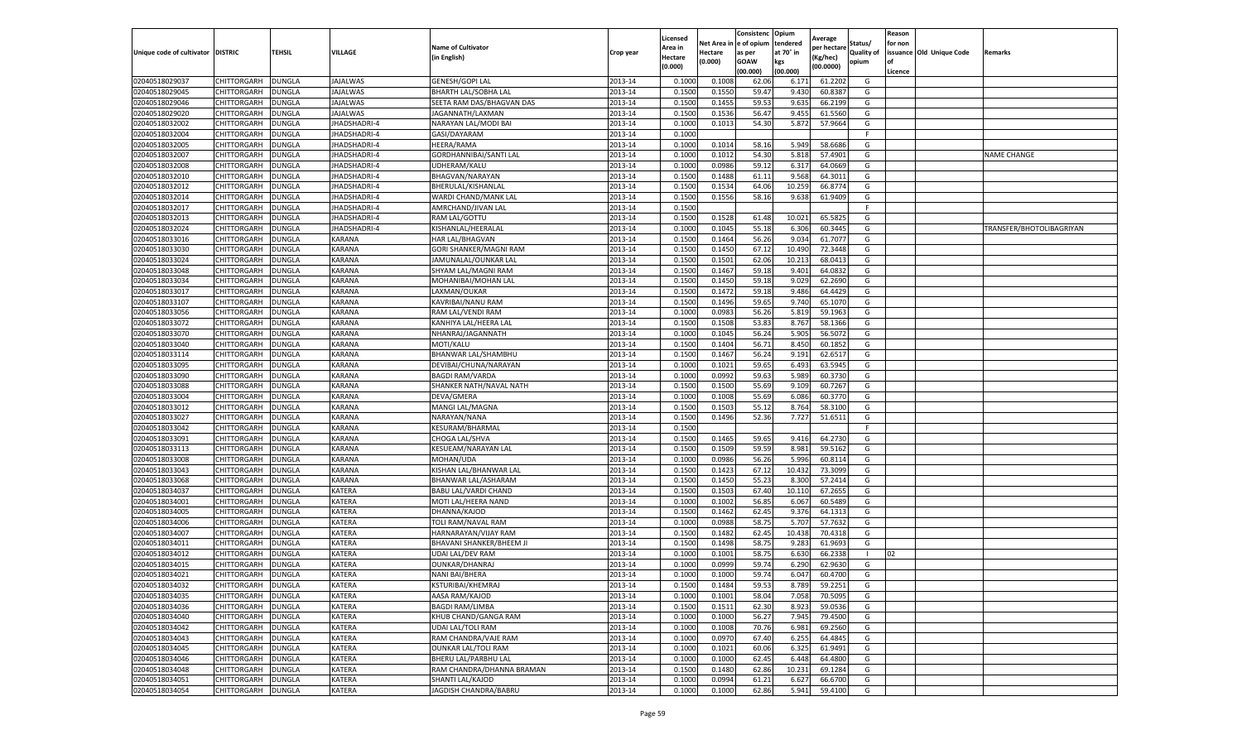|                           |                    |               |                     |                             |           | Licensed |         | Consistenc             | Opium     |                        |                   | Reason  |                          |                          |
|---------------------------|--------------------|---------------|---------------------|-----------------------------|-----------|----------|---------|------------------------|-----------|------------------------|-------------------|---------|--------------------------|--------------------------|
|                           |                    |               |                     | <b>Name of Cultivator</b>   |           | Area in  |         | Net Area in e of opium | tendered  | Average<br>per hectare | Status/           | for non |                          |                          |
| Unique code of cultivator | <b>DISTRIC</b>     | TEHSIL        | VILLAGE             | in English)                 | Crop year | Hectare  | Hectare | as per                 | at 70° in | (Kg/hec                | <b>Quality of</b> |         | issuance Old Unique Code | <b>Remarks</b>           |
|                           |                    |               |                     |                             |           | (0.000)  | (0.000) | <b>GOAW</b>            | kgs       | (00.0000)              | opium             |         |                          |                          |
|                           |                    |               |                     |                             |           |          |         | (00.000)               | (00.000)  |                        |                   | Licence |                          |                          |
| 02040518029037            | CHITTORGARH        | <b>DUNGLA</b> | <b>JAJALWAS</b>     | GENESH/GOPI LAL             | 2013-14   | 0.1000   | 0.1008  | 62.06                  | 6.171     | 61.2202                | G                 |         |                          |                          |
| 02040518029045            | CHITTORGARH        | DUNGLA        | <b>JAJALWAS</b>     | <b>BHARTH LAL/SOBHA LAL</b> | 2013-14   | 0.1500   | 0.1550  | 59.47                  | 9.43      | 60.8387                | G                 |         |                          |                          |
| 02040518029046            | CHITTORGARH        | DUNGLA        | JAJALWAS            | SEETA RAM DAS/BHAGVAN DAS   | 2013-14   | 0.1500   | 0.1455  | 59.53                  | 9.635     | 66.2199                | G                 |         |                          |                          |
| 02040518029020            | CHITTORGARH        | <b>DUNGLA</b> | <b>JAJALWAS</b>     | JAGANNATH/LAXMAN            | 2013-14   | 0.1500   | 0.1536  | 56.47                  | 9.455     | 61.5560                | G                 |         |                          |                          |
| 02040518032002            | CHITTORGARH        | DUNGLA        | JHADSHADRI-4        | NARAYAN LAL/MODI BAI        | 2013-14   | 0.1000   | 0.1013  | 54.30                  | 5.872     | 57.9664                | G                 |         |                          |                          |
| 02040518032004            | CHITTORGARH        | DUNGLA        | JHADSHADRI-4        | GASI/DAYARAM                | 2013-14   | 0.1000   |         |                        |           |                        | F                 |         |                          |                          |
| 02040518032005            | CHITTORGARH        | DUNGLA        | JHADSHADRI-4        | HEERA/RAMA                  | 2013-14   | 0.1000   | 0.1014  | 58.16                  | 5.949     | 58.6686                | G                 |         |                          |                          |
| 02040518032007            | CHITTORGARH        | DUNGLA        | JHADSHADRI-4        | GORDHANNIBAI/SANTI LAL      | 2013-14   | 0.1000   | 0.1012  | 54.30                  | 5.81      | 57.4901                | G                 |         |                          | <b>NAME CHANGE</b>       |
| 02040518032008            | CHITTORGARH        | DUNGLA        | JHADSHADRI-4        | UDHERAM/KALU                | 2013-14   | 0.1000   | 0.0986  | 59.12                  | 6.317     | 64.0669                | G                 |         |                          |                          |
| 02040518032010            | CHITTORGARH        | <b>DUNGLA</b> | <b>JHADSHADRI-4</b> | BHAGVAN/NARAYAN             | 2013-14   | 0.1500   | 0.1488  | 61.11                  | 9.568     | 64.3011                | G                 |         |                          |                          |
| 02040518032012            | CHITTORGARH        | <b>DUNGLA</b> | JHADSHADRI-4        | BHERULAL/KISHANLAL          | 2013-14   | 0.1500   | 0.1534  | 64.06                  | 10.259    | 66.8774                | G                 |         |                          |                          |
| 02040518032014            | CHITTORGARH        | DUNGLA        | <b>IHADSHADRI-4</b> | WARDI CHAND/MANK LAL        | 2013-14   | 0.1500   | 0.1556  | 58.16                  | 9.638     | 61.9409                | G                 |         |                          |                          |
| 02040518032017            | CHITTORGARH        | DUNGLA        | JHADSHADRI-4        | AMRCHAND/JIVAN LAL          | 2013-14   | 0.1500   |         |                        |           |                        | F                 |         |                          |                          |
| 02040518032013            | CHITTORGARH        | DUNGLA        | JHADSHADRI-4        | RAM LAL/GOTTU               | 2013-14   | 0.1500   | 0.1528  | 61.48                  | 10.02     | 65.5825                | G                 |         |                          |                          |
| 02040518032024            | CHITTORGARH        | DUNGLA        | JHADSHADRI-4        | KISHANLAL/HEERALAL          | 2013-14   | 0.1000   | 0.1045  | 55.18                  | 6.306     | 60.3445                | G                 |         |                          | TRANSFER/BHOTOLIBAGRIYAN |
| 02040518033016            | CHITTORGARH        | <b>DUNGLA</b> | KARANA              | HAR LAL/BHAGVAN             | 2013-14   | 0.1500   | 0.1464  | 56.26                  | 9.034     | 61.7077                | G                 |         |                          |                          |
| 02040518033030            | CHITTORGARH        | <b>DUNGLA</b> | KARANA              | GORI SHANKER/MAGNI RAM      | 2013-14   | 0.1500   | 0.1450  | 67.12                  | 10.490    | 72.3448                | G                 |         |                          |                          |
| 02040518033024            | CHITTORGARH        | <b>DUNGLA</b> | KARANA              | JAMUNALAL/OUNKAR LAL        | 2013-14   | 0.1500   | 0.1501  | 62.06                  | 10.213    | 68.0413                | G                 |         |                          |                          |
| 02040518033048            | CHITTORGARH        | DUNGLA        | KARANA              | SHYAM LAL/MAGNI RAM         | 2013-14   | 0.1500   | 0.1467  | 59.18                  | 9.401     | 64.0832                | G                 |         |                          |                          |
| 02040518033034            | CHITTORGARH        | DUNGLA        | KARANA              | MOHANIBAI/MOHAN LAL         | 2013-14   | 0.1500   | 0.1450  | 59.18                  | 9.029     | 62.2690                | G                 |         |                          |                          |
| 02040518033017            | CHITTORGARH        | <b>DUNGLA</b> | KARANA              | LAXMAN/OUKAR                | 2013-14   | 0.1500   | 0.1472  | 59.18                  | 9.486     | 64.4429                | G                 |         |                          |                          |
| 02040518033107            | CHITTORGARH        | DUNGLA        | KARANA              | KAVRIBAI/NANU RAM           | 2013-14   | 0.1500   | 0.1496  | 59.65                  | 9.74      | 65.1070                | G                 |         |                          |                          |
| 02040518033056            | CHITTORGARH        | <b>DUNGLA</b> | KARANA              | RAM LAL/VENDI RAM           | 2013-14   | 0.1000   | 0.0983  | 56.26                  | 5.819     | 59.1963                | G                 |         |                          |                          |
| 02040518033072            | CHITTORGARH        | DUNGLA        | KARANA              | KANHIYA LAL/HEERA LAL       | 2013-14   | 0.1500   | 0.1508  | 53.83                  | 8.767     | 58.1366                | G                 |         |                          |                          |
| 02040518033070            | CHITTORGARH        | DUNGLA        | KARANA              | NHANRAJ/JAGANNATH           | 2013-14   | 0.1000   | 0.1045  | 56.24                  | 5.905     | 56.5072                | G                 |         |                          |                          |
| 02040518033040            | CHITTORGARH        | DUNGLA        | KARANA              | MOTI/KALU                   | 2013-14   | 0.1500   | 0.1404  | 56.71                  | 8.450     | 60.1852                | G                 |         |                          |                          |
| 02040518033114            | CHITTORGARH        | DUNGLA        | KARANA              | BHANWAR LAL/SHAMBHU         | 2013-14   | 0.1500   | 0.1467  | 56.24                  | 9.191     | 62.6517                | G                 |         |                          |                          |
| 02040518033095            | CHITTORGARH        | <b>DUNGLA</b> | KARANA              | DEVIBAI/CHUNA/NARAYAN       | 2013-14   | 0.1000   | 0.1021  | 59.65                  | 6.493     | 63.5945                | G                 |         |                          |                          |
| 02040518033090            | CHITTORGARH        | <b>DUNGLA</b> | KARANA              | <b>BAGDI RAM/VARDA</b>      | 2013-14   | 0.1000   | 0.0992  | 59.63                  | 5.989     | 60.3730                | G                 |         |                          |                          |
| 02040518033088            | CHITTORGARH        | <b>DUNGLA</b> | KARANA              | SHANKER NATH/NAVAL NATH     | 2013-14   | 0.1500   | 0.1500  | 55.69                  | 9.109     | 60.7267                | G                 |         |                          |                          |
| 02040518033004            | CHITTORGARH        | DUNGLA        | KARANA              | DEVA/GMERA                  | 2013-14   | 0.1000   | 0.1008  | 55.69                  | 6.086     | 60.3770                | G                 |         |                          |                          |
| 02040518033012            | CHITTORGARH        | DUNGLA        | KARANA              | MANGI LAL/MAGNA             | 2013-14   | 0.1500   | 0.1503  | 55.12                  | 8.764     | 58.3100                | G                 |         |                          |                          |
| 02040518033027            | CHITTORGARH        | DUNGLA        | KARANA              | NARAYAN/NANA                | 2013-14   | 0.1500   | 0.1496  | 52.36                  | 7.727     | 51.6511                | G                 |         |                          |                          |
| 02040518033042            | CHITTORGARH        | DUNGLA        | KARANA              | KESURAM/BHARMAL             | 2013-14   | 0.1500   |         |                        |           |                        | F.                |         |                          |                          |
| 02040518033091            | CHITTORGARH        | <b>DUNGLA</b> | KARANA              | CHOGA LAL/SHVA              | 2013-14   | 0.1500   | 0.1465  | 59.65                  | 9.416     | 64.2730                | G                 |         |                          |                          |
| 02040518033113            | CHITTORGARH        | DUNGLA        | KARANA              | KESUEAM/NARAYAN LAL         | 2013-14   | 0.1500   | 0.1509  | 59.59                  | 8.981     | 59.5162                | G                 |         |                          |                          |
| 02040518033008            | CHITTORGARH        | <b>DUNGLA</b> | KARANA              | MOHAN/UDA                   | 2013-14   | 0.1000   | 0.0986  | 56.26                  | 5.996     | 60.8114                | G                 |         |                          |                          |
| 02040518033043            | CHITTORGARH        | DUNGLA        | KARANA              | KISHAN LAL/BHANWAR LAL      | 2013-14   | 0.1500   | 0.1423  | 67.12                  | 10.43     | 73.3099                | G                 |         |                          |                          |
| 02040518033068            | CHITTORGARH        | DUNGLA        | KARANA              | BHANWAR LAL/ASHARAM         | 2013-14   | 0.1500   | 0.1450  | 55.23                  | 8.300     | 57.2414                | G                 |         |                          |                          |
| 02040518034037            | CHITTORGARH        | <b>DUNGLA</b> | KATERA              | BABU LAL/VARDI CHAND        | 2013-14   | 0.1500   | 0.1503  | 67.40                  | 10.11     | 67.2655                | G                 |         |                          |                          |
| 02040518034001            | CHITTORGARH        | DUNGLA        | KATERA              | MOTI LAL/HEERA NAND         | 2013-14   | 0.1000   | 0.1002  | 56.85                  | 6.067     | 60.5489                | G                 |         |                          |                          |
| 02040518034005            | CHITTORGARH        | <b>DUNGLA</b> | KATERA              | DHANNA/KAJOD                | 2013-14   | 0.1500   | 0.1462  | 62.45                  | 9.376     | 64.1313                | G                 |         |                          |                          |
| 02040518034006            | CHITTORGARH        | DUNGLA        | KATERA              | TOLI RAM/NAVAL RAM          | 2013-14   | 0.1000   | 0.0988  | 58.75                  | 5.707     | 57.7632                | G                 |         |                          |                          |
| 02040518034007            | CHITTORGARH        | <b>DUNGLA</b> | KATERA              | HARNARAYAN/VIJAY RAM        | 2013-14   | 0.1500   | 0.1482  | 62.45                  | 10.438    | 70.4318                | G                 |         |                          |                          |
| 02040518034011            | CHITTORGARH        | <b>DUNGLA</b> | KATERA              | BHAVANI SHANKER/BHEEM JI    | 2013-14   | 0.1500   | 0.1498  | 58.75                  | 9.283     | 61.9693                | G                 |         |                          |                          |
| 02040518034012            | CHITTORGARH        | DUNGLA        | KATERA              | UDAI LAL/DEV RAM            | 2013-14   | 0.1000   | 0.1001  | 58.75                  | 6.63      | 66.2338                | $\mathbf{L}$      | 02      |                          |                          |
| 02040518034015            | CHITTORGARH        | DUNGLA        | KATERA              | OUNKAR/DHANRAJ              | 2013-14   | 0.1000   | 0.0999  | 59.74                  | 6.290     | 62.9630                | G                 |         |                          |                          |
| 02040518034021            | CHITTORGARH        | <b>DUNGLA</b> | KATERA              | NANI BAI/BHERA              | 2013-14   | 0.1000   | 0.1000  | 59.74                  | 6.047     | 60.4700                | G                 |         |                          |                          |
| 02040518034032            | CHITTORGARH        | <b>DUNGLA</b> | <b>KATERA</b>       | KSTURIBAI/KHEMRAJ           | 2013-14   | 0.1500   | 0.1484  | 59.53                  | 8.789     | 59.2251                | G                 |         |                          |                          |
| 02040518034035            | CHITTORGARH        | <b>DUNGLA</b> | KATERA              | AASA RAM/KAJOD              | 2013-14   | 0.1000   | 0.1001  | 58.04                  | 7.058     | 70.5095                | G                 |         |                          |                          |
| 02040518034036            | <b>CHITTORGARH</b> | <b>DUNGLA</b> | KATERA              | <b>BAGDI RAM/LIMBA</b>      | 2013-14   | 0.1500   | 0.1511  | 62.30                  | 8.923     | 59.0536                | G                 |         |                          |                          |
| 02040518034040            | CHITTORGARH        | <b>DUNGLA</b> | KATERA              | KHUB CHAND/GANGA RAM        | 2013-14   | 0.1000   | 0.1000  | 56.27                  | 7.945     | 79.4500                | G                 |         |                          |                          |
| 02040518034042            | <b>CHITTORGARH</b> | <b>DUNGLA</b> | KATERA              | <b>UDAI LAL/TOLI RAM</b>    | 2013-14   | 0.1000   | 0.1008  | 70.76                  | 6.981     | 69.2560                | G                 |         |                          |                          |
| 02040518034043            | <b>CHITTORGARH</b> | <b>DUNGLA</b> | KATERA              | RAM CHANDRA/VAJE RAM        | 2013-14   | 0.1000   | 0.0970  | 67.40                  | 6.255     | 64.4845                | G                 |         |                          |                          |
| 02040518034045            | CHITTORGARH        | <b>DUNGLA</b> | KATERA              | <b>OUNKAR LAL/TOLI RAM</b>  | 2013-14   | 0.1000   | 0.1021  | 60.06                  | 6.325     | 61.9491                | G                 |         |                          |                          |
| 02040518034046            | <b>CHITTORGARH</b> | <b>DUNGLA</b> | KATERA              | <b>BHERU LAL/PARBHU LAL</b> | 2013-14   | 0.1000   | 0.1000  | 62.45                  | 6.448     | 64.4800                | G                 |         |                          |                          |
| 02040518034048            | CHITTORGARH        | <b>DUNGLA</b> | KATERA              | RAM CHANDRA/DHANNA BRAMAN   | 2013-14   | 0.1500   | 0.1480  | 62.86                  | 10.231    | 69.1284                | G                 |         |                          |                          |
| 02040518034051            | CHITTORGARH        | DUNGLA        | KATERA              | SHANTI LAL/KAJOD            | 2013-14   | 0.1000   | 0.0994  | 61.21                  | 6.627     | 66.6700                | G                 |         |                          |                          |
| 02040518034054            | <b>CHITTORGARH</b> | <b>DUNGLA</b> | KATERA              | JAGDISH CHANDRA/BABRU       | 2013-14   | 0.1000   | 0.1000  | 62.86                  | 5.941     | 59.4100                | G                 |         |                          |                          |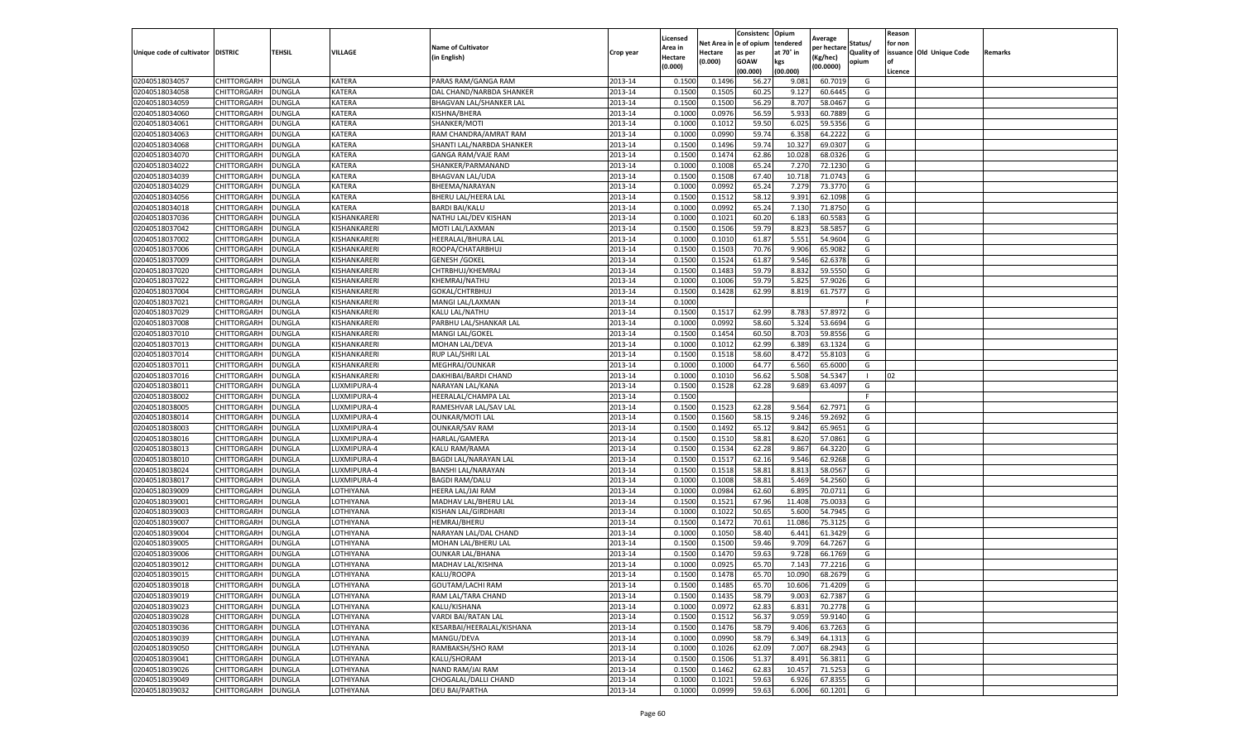|                           |                    |               |                        |                                                  |           | Licensed |                  | Consistenc             | Opium           |                        |                   | Reason  |                          |                |
|---------------------------|--------------------|---------------|------------------------|--------------------------------------------------|-----------|----------|------------------|------------------------|-----------------|------------------------|-------------------|---------|--------------------------|----------------|
|                           |                    |               |                        | <b>Name of Cultivator</b>                        |           | Area in  |                  | Net Area in e of opium | tendered        | Average<br>per hectare | Status/           | for non |                          |                |
| Unique code of cultivator | <b>DISTRIC</b>     | TEHSIL        | VILLAGE                | in English)                                      | Crop year | Hectare  | Hectare          | as per                 | at 70° in       | (Kg/hec                | <b>Quality of</b> |         | issuance Old Unique Code | <b>Remarks</b> |
|                           |                    |               |                        |                                                  |           | (0.000)  | (0.000)          | <b>GOAW</b>            | kgs             | (00.0000)              | opium             |         |                          |                |
|                           |                    |               |                        |                                                  |           |          |                  | (00.000)               | (00.000)        |                        |                   | Licence |                          |                |
| 02040518034057            | CHITTORGARH        | <b>DUNGLA</b> | KATERA                 | PARAS RAM/GANGA RAM                              | 2013-14   | 0.1500   | 0.1496           | 56.27                  | 9.081           | 60.7019                | G                 |         |                          |                |
| 02040518034058            | CHITTORGARH        | DUNGLA        | KATERA                 | DAL CHAND/NARBDA SHANKER                         | 2013-14   | 0.1500   | 0.1505           | 60.25                  | 9.12            | 60.6445                | G                 |         |                          |                |
| 02040518034059            | CHITTORGARH        | DUNGLA        | KATERA                 | BHAGVAN LAL/SHANKER LAL                          | 2013-14   | 0.1500   | 0.1500           | 56.29                  | 8.707           | 58.0467                | G                 |         |                          |                |
| 02040518034060            | CHITTORGARH        | <b>DUNGLA</b> | KATERA                 | KISHNA/BHERA                                     | 2013-14   | 0.1000   | 0.0976           | 56.59                  | 5.933           | 60.7889                | G                 |         |                          |                |
| 02040518034061            | <b>CHITTORGARH</b> | DUNGLA        | KATERA                 | SHANKER/MOTI                                     | 2013-14   | 0.1000   | 0.1012           | 59.50                  | 6.025           | 59.5356                | G                 |         |                          |                |
| 02040518034063            | CHITTORGARH        | DUNGLA        | KATERA                 | RAM CHANDRA/AMRAT RAM                            | 2013-14   | 0.1000   | 0.0990           | 59.74                  | 6.358           | 64.2222                | G                 |         |                          |                |
| 02040518034068            | CHITTORGARH        | <b>DUNGLA</b> | KATERA                 | SHANTI LAL/NARBDA SHANKER                        | 2013-14   | 0.1500   | 0.1496           | 59.74                  | 10.327          | 69.0307                | G                 |         |                          |                |
| 02040518034070            | CHITTORGARH        | DUNGLA        | KATERA                 | <b>GANGA RAM/VAJE RAM</b>                        | 2013-14   | 0.1500   | 0.1474           | 62.86                  | 10.02           | 68.0326                | G                 |         |                          |                |
| 02040518034022            | CHITTORGARH        | DUNGLA        | KATERA                 | SHANKER/PARMANAND                                | 2013-14   | 0.1000   | 0.1008           | 65.24                  | 7.27            | 72.1230                | G                 |         |                          |                |
| 02040518034039            | CHITTORGARH        | <b>DUNGLA</b> | KATERA                 | <b>BHAGVAN LAL/UDA</b>                           | 2013-14   | 0.1500   | 0.1508           | 67.40                  | 10.718          | 71.0743                | G                 |         |                          |                |
| 02040518034029            | CHITTORGARH        | <b>DUNGLA</b> | KATERA                 | BHEEMA/NARAYAN                                   | 2013-14   | 0.1000   | 0.0992           | 65.24                  | 7.279           | 73.3770                | G                 |         |                          |                |
| 02040518034056            | CHITTORGARH        | <b>DUNGLA</b> | KATERA                 | BHERU LAL/HEERA LAL                              | 2013-14   | 0.1500   | 0.1512           | 58.12                  | 9.391           | 62.1098                | G                 |         |                          |                |
| 02040518034018            | CHITTORGARH        | DUNGLA        | KATERA                 | <b>BARDI BAI/KALU</b>                            | 2013-14   | 0.1000   | 0.0992           | 65.24                  | 7.13            | 71.8750                | G                 |         |                          |                |
| 02040518037036            | CHITTORGARH        | DUNGLA        | KISHANKARERI           | NATHU LAL/DEV KISHAN                             | 2013-14   | 0.1000   | 0.1021           | 60.20                  | 6.183           | 60.558                 | G                 |         |                          |                |
| 02040518037042            | CHITTORGARH        | DUNGLA        | KISHANKARERI           | MOTI LAL/LAXMAN                                  | 2013-14   | 0.1500   | 0.1506           | 59.79                  | 8.823           | 58.5857                | G                 |         |                          |                |
| 02040518037002            | CHITTORGARH        | <b>DUNGLA</b> | KISHANKARERI           | HEERALAL/BHURA LAL                               | 2013-14   | 0.1000   | 0.1010           | 61.87                  | 5.551           | 54.9604                | G                 |         |                          |                |
| 02040518037006            | CHITTORGARH        | <b>DUNGLA</b> | KISHANKARERI           | ROOPA/CHATARBHUJ                                 | 2013-14   | 0.1500   | 0.1503           | 70.76                  | 9.906           | 65.9082                | G                 |         |                          |                |
| 02040518037009            | CHITTORGARH        | <b>DUNGLA</b> | KISHANKARERI           | <b>GENESH /GOKEL</b>                             | 2013-14   | 0.1500   | 0.1524           | 61.87                  | 9.546           | 62.6378                | G                 |         |                          |                |
| 02040518037020            | CHITTORGARH        | DUNGLA        | KISHANKARERI           | CHTRBHUJ/KHEMRAJ                                 | 2013-14   | 0.1500   | 0.1483           | 59.79                  | 8.832           | 59.5550                | G                 |         |                          |                |
| 02040518037022            | CHITTORGARH        | DUNGLA        | KISHANKARERI           | KHEMRAJ/NATHU                                    | 2013-14   | 0.1000   | 0.1006           | 59.79                  | 5.825           | 57.9026                | G                 |         |                          |                |
| 02040518037004            | CHITTORGARH        | <b>DUNGLA</b> | KISHANKARERI           | GOKAL/CHTRBHUJ                                   | 2013-14   | 0.1500   | 0.1428           | 62.99                  | 8.819           | 61.7577                | G                 |         |                          |                |
| 02040518037021            | CHITTORGARH        | DUNGLA        | KISHANKARERI           | MANGI LAL/LAXMAN                                 | 2013-14   | 0.1000   |                  |                        |                 |                        | F                 |         |                          |                |
| 02040518037029            | CHITTORGARH        | <b>DUNGLA</b> | KISHANKARERI           | KALU LAL/NATHU                                   | 2013-14   | 0.1500   | 0.1517           | 62.99                  | 8.783           | 57.8972                | G                 |         |                          |                |
| 02040518037008            | CHITTORGARH        | DUNGLA        | KISHANKARERI           | PARBHU LAL/SHANKAR LAL                           | 2013-14   | 0.1000   | 0.0992           | 58.60                  | 5.324           | 53.6694                | G                 |         |                          |                |
| 02040518037010            | CHITTORGARH        | DUNGLA        | KISHANKARERI           | MANGI LAL/GOKEI                                  | 2013-14   | 0.1500   | 0.1454           | 60.50                  | 8.703           | 59.8556                | G                 |         |                          |                |
| 02040518037013            | CHITTORGARH        | DUNGLA        | KISHANKARERI           | MOHAN LAL/DEVA                                   | 2013-14   | 0.1000   | 0.1012           | 62.99                  | 6.389           | 63.1324                | G                 |         |                          |                |
| 02040518037014            | CHITTORGARH        | DUNGLA        | KISHANKARERI           | RUP LAL/SHRI LAL                                 | 2013-14   | 0.1500   | 0.1518           | 58.60                  | 8.472           | 55.8103                | G                 |         |                          |                |
| 02040518037011            | CHITTORGARH        | <b>DUNGLA</b> | KISHANKARERI           | MEGHRAJ/OUNKAR                                   | 2013-14   | 0.1000   | 0.1000           | 64.77                  | 6.560           | 65.6000                | G                 |         |                          |                |
| 02040518037016            | CHITTORGARH        | <b>DUNGLA</b> | KISHANKARERI           | DAKHIBAI/BARDI CHAND                             | 2013-14   | 0.1000   | 0.1010           | 56.62                  | 5.508           | 54.5347                | $\mathbf{I}$      | 02      |                          |                |
| 02040518038011            | CHITTORGARH        | <b>DUNGLA</b> | LUXMIPURA-4            | NARAYAN LAL/KANA                                 | 2013-14   | 0.1500   | 0.1528           | 62.28                  | 9.689           | 63.4097                | G                 |         |                          |                |
| 02040518038002            | CHITTORGARH        | DUNGLA        | LUXMIPURA-4            | HEERALAL/CHAMPA LAL                              | 2013-14   | 0.1500   |                  |                        |                 |                        | F                 |         |                          |                |
| 02040518038005            | CHITTORGARH        | DUNGLA        | LUXMIPURA-4            | RAMESHVAR LAL/SAV LAL                            | 2013-14   | 0.1500   | 0.1523           | 62.28                  | 9.564           | 62.7971                | G                 |         |                          |                |
| 02040518038014            | CHITTORGARH        | DUNGLA        | LUXMIPURA-4            | <b>OUNKAR/MOTI LAL</b>                           | 2013-14   | 0.1500   | 0.1560           | 58.15                  | 9.246           | 59.2692                | G                 |         |                          |                |
| 02040518038003            | CHITTORGARH        | DUNGLA        | LUXMIPURA-4            | <b>OUNKAR/SAV RAM</b>                            | 2013-14   | 0.1500   | 0.1492           | 65.12                  | 9.842           | 65.9651                | G                 |         |                          |                |
| 02040518038016            | CHITTORGARH        | <b>DUNGLA</b> | LUXMIPURA-4            | HARLAL/GAMERA                                    | 2013-14   | 0.1500   | 0.1510           | 58.81                  | 8.620           | 57.0861                | G                 |         |                          |                |
| 02040518038013            | CHITTORGARH        | <b>DUNGLA</b> | LUXMIPURA-4            | KALU RAM/RAMA                                    | 2013-14   | 0.1500   | 0.1534           | 62.28                  | 9.867           | 64.3220                | G                 |         |                          |                |
| 02040518038010            | CHITTORGARH        | <b>DUNGLA</b> | LUXMIPURA-4            | BAGDI LAL/NARAYAN LAL                            | 2013-14   | 0.1500   | 0.1517           | 62.16                  | 9.546           | 62.9268                | G                 |         |                          |                |
| 02040518038024            | CHITTORGARH        | DUNGLA        | UXMIPURA-4             | BANSHI LAL/NARAYAN                               | 2013-14   | 0.1500   | 0.1518           | 58.81                  | 8.81            | 58.0567                | G                 |         |                          |                |
| 02040518038017            | CHITTORGARH        | DUNGLA        | LUXMIPURA-4            | <b>BAGDI RAM/DALU</b>                            | 2013-14   | 0.1000   | 0.1008           | 58.81                  | 5.469           | 54.2560                | G                 |         |                          |                |
| 02040518039009            | CHITTORGARH        | <b>DUNGLA</b> | LOTHIYANA              | HEERA LAL/JAI RAM                                | 2013-14   | 0.1000   | 0.0984           | 62.60                  | 6.895           | 70.0711                | G                 |         |                          |                |
| 02040518039001            | CHITTORGARH        | DUNGLA        | LOTHIYANA              | MADHAV LAL/BHERU LAL                             | 2013-14   | 0.1500   | 0.1521           | 67.96                  | 11.408          | 75.003                 | G                 |         |                          |                |
| 02040518039003            | CHITTORGARH        | <b>DUNGLA</b> | LOTHIYANA              | KISHAN LAL/GIRDHARI                              | 2013-14   | 0.1000   | 0.1022           | 50.65                  | 5.600           | 54.7945                | G                 |         |                          |                |
| 02040518039007            | CHITTORGARH        | DUNGLA        | LOTHIYANA              | <b>HEMRAJ/BHERU</b>                              | 2013-14   | 0.1500   | 0.1472           | 70.61                  | 11.086          | 75.3125                | G                 |         |                          |                |
| 02040518039004            | CHITTORGARH        | DUNGLA        | LOTHIYANA              | NARAYAN LAL/DAL CHAND                            | 2013-14   | 0.1000   | 0.1050           | 58.40                  | 6.441           | 61.3429                | G                 |         |                          |                |
| 02040518039005            | <b>CHITTORGARH</b> | <b>DUNGLA</b> | LOTHIYANA              | MOHAN LAL/BHERU LAI                              | 2013-14   | 0.1500   | 0.1500           | 59.46                  | 9.709           | 64.7267                | G                 |         |                          |                |
| 02040518039006            | CHITTORGARH        | DUNGLA        | LOTHIYANA              | <b>OUNKAR LAL/BHANA</b>                          | 2013-14   | 0.1500   | 0.1470           | 59.63                  | 9.728           | 66.1769                | G                 |         |                          |                |
| 02040518039012            | CHITTORGARH        | DUNGLA        | LOTHIYANA              | MADHAV LAL/KISHNA                                | 2013-14   | 0.1000   | 0.0925           | 65.70                  | 7.14            | 77.2216                | G                 |         |                          |                |
| 02040518039015            | CHITTORGARH        | <b>DUNGLA</b> | LOTHIYANA              | KALU/ROOPA                                       | 2013-14   | 0.1500   | 0.1478           | 65.70                  | 10.090          | 68.2679                | G                 |         |                          |                |
| 02040518039018            | CHITTORGARH        | <b>DUNGLA</b> | LOTHIYANA              | GOUTAM/LACHI RAM                                 | 2013-14   | 0.1500   | 0.1485           | 65.70                  | 10.606          | 71.4209                | G                 |         |                          |                |
| 02040518039019            | CHITTORGARH        | <b>DUNGLA</b> | LOTHIYANA              | RAM LAL/TARA CHAND                               | 2013-14   | 0.1500   | 0.1435           | 58.79                  | 9.003           | 62.7387                | G                 |         |                          |                |
| 02040518039023            | <b>CHITTORGARH</b> | <b>DUNGLA</b> | LOTHIYANA              | KALU/KISHANA                                     | 2013-14   | 0.1000   | 0.0972           | 62.83                  | 6.831           | 70.2778                | G                 |         |                          |                |
|                           |                    |               |                        |                                                  |           |          |                  |                        |                 |                        |                   |         |                          |                |
| 02040518039028            | CHITTORGARH        | <b>DUNGLA</b> | LOTHIYANA              | VARDI BAI/RATAN LAL<br>KESARBAI/HEERALAL/KISHANA | 2013-14   | 0.1500   | 0.1512           | 56.37                  | 9.059           | 59.9140                | G<br>G            |         |                          |                |
| 02040518039036            | <b>CHITTORGARH</b> | <b>DUNGLA</b> | LOTHIYANA              |                                                  | 2013-14   | 0.1500   | 0.1476<br>0.0990 | 58.79                  | 9.406<br>6.349  | 63.7263<br>64.1313     | G                 |         |                          |                |
| 02040518039039            | <b>CHITTORGARH</b> | <b>DUNGLA</b> | LOTHIYANA              | MANGU/DEVA                                       | 2013-14   | 0.1000   |                  | 58.79                  |                 |                        |                   |         |                          |                |
| 02040518039050            | CHITTORGARH        | <b>DUNGLA</b> | LOTHIYANA              | RAMBAKSH/SHO RAM                                 | 2013-14   | 0.1000   | 0.1026           | 62.09                  | 7.007           | 68.2943                | G                 |         |                          |                |
| 02040518039041            | <b>CHITTORGARH</b> | <b>DUNGLA</b> | LOTHIYANA<br>LOTHIYANA | KALU/SHORAM<br>NAND RAM/JAI RAM                  | 2013-14   | 0.1500   | 0.1506<br>0.1462 | 51.37                  | 8.491<br>10.457 | 56.3811<br>71.5253     | G<br>G            |         |                          |                |
| 02040518039026            | CHITTORGARH        | <b>DUNGLA</b> |                        |                                                  | 2013-14   | 0.1500   |                  | 62.83                  |                 |                        |                   |         |                          |                |
| 02040518039049            | CHITTORGARH        | DUNGLA        | LOTHIYANA              | CHOGALAL/DALLI CHAND                             | 2013-14   | 0.1000   | 0.1021           | 59.63                  | 6.926           | 67.8355                | G                 |         |                          |                |
| 02040518039032            | <b>CHITTORGARH</b> | <b>DUNGLA</b> | LOTHIYANA              | <b>DEU BAI/PARTHA</b>                            | 2013-14   | 0.1000   | 0.0999           | 59.63                  | 6.006           | 60.1201                | G                 |         |                          |                |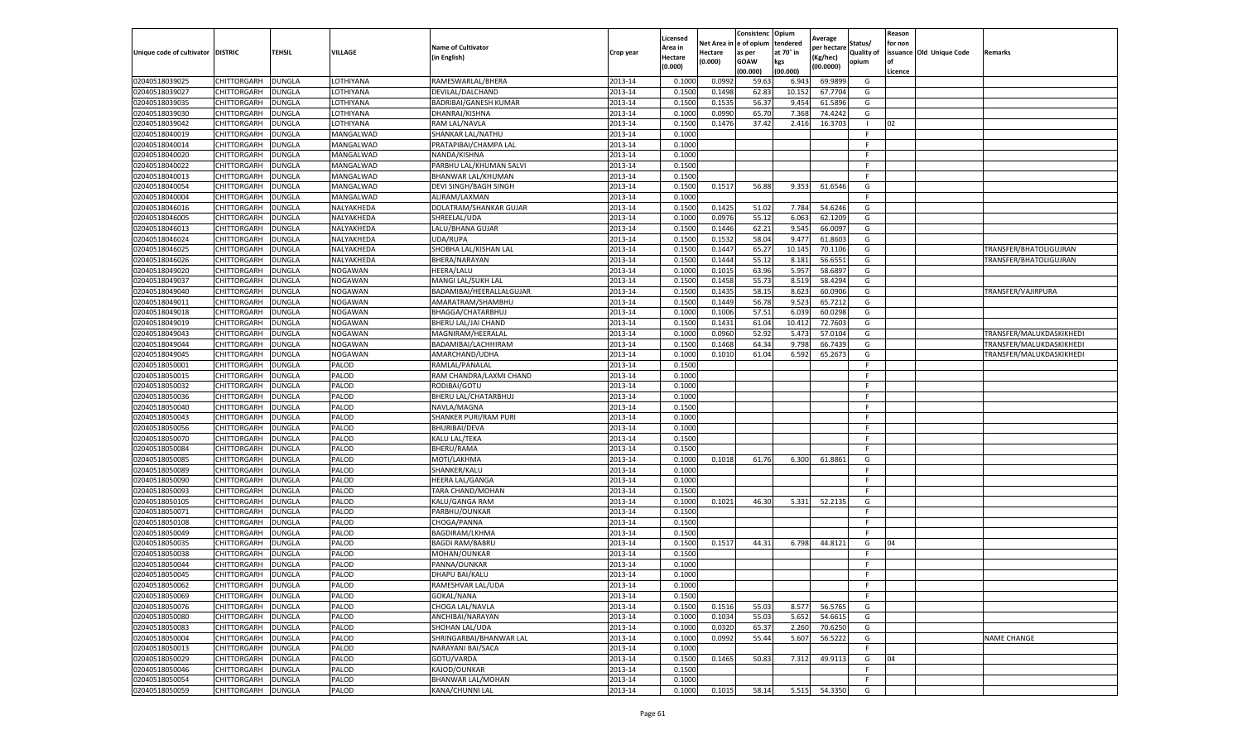|                           |                    |               |                |                              |           | Licensed |         | Consistenc             | Opium     |                        |                   | Reason  |                          |                          |
|---------------------------|--------------------|---------------|----------------|------------------------------|-----------|----------|---------|------------------------|-----------|------------------------|-------------------|---------|--------------------------|--------------------------|
|                           |                    |               |                | <b>Name of Cultivator</b>    |           | Area in  |         | Net Area in e of opium | tendered  | Average<br>oer hectare | Status/           | for non |                          |                          |
| Unique code of cultivator | <b>DISTRIC</b>     | TEHSIL        | VILLAGE        | in English)                  | Crop year | Hectare  | Hectare | as per                 | at 70° in | (Kg/hec                | <b>Quality of</b> |         | issuance Old Unique Code | <b>Remarks</b>           |
|                           |                    |               |                |                              |           | (0.000)  | (0.000) | <b>GOAW</b>            | kgs       | (00.0000)              | opium             |         |                          |                          |
|                           |                    |               |                |                              |           |          |         | (00.000)               | (00.000)  |                        |                   | Licence |                          |                          |
| 02040518039025            | <b>CHITTORGARH</b> | <b>DUNGLA</b> | LOTHIYANA      | RAMESWARLAL/BHERA            | 2013-14   | 0.1000   | 0.0992  | 59.63                  | 6.94      | 69.9899                | G                 |         |                          |                          |
| 02040518039027            | <b>CHITTORGARH</b> | DUNGLA        | LOTHIYANA      | DEVILAL/DALCHAND             | 2013-14   | 0.1500   | 0.1498  | 62.83                  | 10.15     | 67.7704                | G                 |         |                          |                          |
| 02040518039035            | CHITTORGARH        | <b>DUNGLA</b> | LOTHIYANA      | BADRIBAI/GANESH KUMAR        | 2013-14   | 0.1500   | 0.1535  | 56.37                  | 9.454     | 61.5896                | G                 |         |                          |                          |
| 02040518039030            | CHITTORGARH        | <b>DUNGLA</b> | LOTHIYANA      | DHANRAJ/KISHNA               | 2013-14   | 0.1000   | 0.0990  | 65.70                  | 7.368     | 74.4242                | G                 |         |                          |                          |
| 02040518039042            | <b>CHITTORGARH</b> | <b>DUNGLA</b> | LOTHIYANA      | RAM LAL/NAVLA                | 2013-14   | 0.1500   | 0.1476  | 37.42                  | 2.416     | 16.3703                |                   | 02      |                          |                          |
| 02040518040019            | CHITTORGARH        | DUNGLA        | MANGALWAD      | SHANKAR LAL/NATHU            | 2013-14   | 0.1000   |         |                        |           |                        | F                 |         |                          |                          |
| 02040518040014            | CHITTORGARH        | <b>DUNGLA</b> | MANGALWAD      | PRATAPIBAI/CHAMPA LAL        | 2013-14   | 0.1000   |         |                        |           |                        | F                 |         |                          |                          |
| 02040518040020            | CHITTORGARH        | DUNGLA        | MANGALWAD      | NANDA/KISHNA                 | 2013-14   | 0.1000   |         |                        |           |                        | F.                |         |                          |                          |
| 02040518040022            | CHITTORGARH        | <b>DUNGLA</b> | MANGALWAD      | PARBHU LAL/KHUMAN SALVI      | 2013-14   | 0.1500   |         |                        |           |                        | F                 |         |                          |                          |
| 02040518040013            | CHITTORGARH        | <b>DUNGLA</b> | MANGALWAD      | BHANWAR LAL/KHUMAN           | 2013-14   | 0.1500   |         |                        |           |                        | F.                |         |                          |                          |
| 02040518040054            | CHITTORGARH        | <b>DUNGLA</b> | MANGALWAD      | <b>DEVI SINGH/BAGH SINGH</b> | 2013-14   | 0.1500   | 0.1517  | 56.88                  | 9.353     | 61.6546                | G                 |         |                          |                          |
| 02040518040004            | CHITTORGARH        | DUNGLA        | MANGALWAD      | ALIRAM/LAXMAN                | 2013-14   | 0.1000   |         |                        |           |                        | F                 |         |                          |                          |
| 02040518046016            | CHITTORGARH        | DUNGLA        | NALYAKHEDA     | DOLATRAM/SHANKAR GUJAR       | 2013-14   | 0.1500   | 0.1425  | 51.02                  | 7.784     | 54.6246                | G                 |         |                          |                          |
| 02040518046005            | CHITTORGARH        | DUNGLA        | NALYAKHEDA     | SHREELAL/UDA                 | 2013-14   | 0.1000   | 0.0976  | 55.12                  | 6.063     | 62.1209                | G                 |         |                          |                          |
| 02040518046013            | CHITTORGARH        | DUNGLA        | NALYAKHEDA     | LALU/BHANA GUJAR             | 2013-14   | 0.1500   | 0.1446  | 62.21                  | 9.545     | 66.0097                | G                 |         |                          |                          |
| 02040518046024            | CHITTORGARH        | <b>DUNGLA</b> | NALYAKHEDA     | UDA/RUPA                     | 2013-14   | 0.1500   | 0.1532  | 58.04                  | 9.477     | 61.8603                | G                 |         |                          |                          |
| 02040518046025            | CHITTORGARH        | <b>DUNGLA</b> | NALYAKHEDA     | SHOBHA LAL/KISHAN LAL        | 2013-14   | 0.1500   | 0.1447  | 65.27                  | 10.145    | 70.1106                | G                 |         |                          | TRANSFER/BHATOLIGUJRAN   |
| 02040518046026            | CHITTORGARH        | <b>DUNGLA</b> | NALYAKHEDA     | BHERA/NARAYAN                | 2013-14   | 0.1500   | 0.1444  | 55.12                  | 8.181     | 56.6551                | G                 |         |                          | TRANSFER/BHATOLIGUJRAN   |
| 02040518049020            | CHITTORGARH        | DUNGLA        | NOGAWAN        | <b>HEERA/LALU</b>            | 2013-14   | 0.1000   | 0.1015  | 63.96                  | 5.957     | 58.6897                | G                 |         |                          |                          |
| 02040518049037            | CHITTORGARH        | DUNGLA        | NOGAWAN        | MANGI LAL/SUKH LAL           | 2013-14   | 0.1500   | 0.1458  | 55.73                  | 8.519     | 58.4294                | G                 |         |                          |                          |
| 02040518049040            | CHITTORGARH        | <b>DUNGLA</b> | NOGAWAN        | BADAMIBAI/HEERALLALGUJAR     | 2013-14   | 0.1500   | 0.1435  | 58.15                  | 8.623     | 60.0906                | G                 |         |                          | TRANSFER/VAJIRPURA       |
| 02040518049011            | CHITTORGARH        | DUNGLA        | NOGAWAN        | AMARATRAM/SHAMBHU            | 2013-14   | 0.1500   | 0.1449  | 56.78                  | 9.523     | 65.7212                | G                 |         |                          |                          |
| 02040518049018            | CHITTORGARH        | <b>DUNGLA</b> | <b>NOGAWAN</b> | BHAGGA/CHATARBHUJ            | 2013-14   | 0.1000   | 0.1006  | 57.51                  | 6.039     | 60.0298                | G                 |         |                          |                          |
| 02040518049019            | CHITTORGARH        | <b>DUNGLA</b> | NOGAWAN        | BHERU LAL/JAI CHAND          | 2013-14   | 0.1500   | 0.1431  | 61.04                  | 10.412    | 72.7603                | G                 |         |                          |                          |
| 02040518049043            | <b>CHITTORGARH</b> | DUNGLA        | NOGAWAN        | MAGNIRAM/HEERALAL            | 2013-14   | 0.1000   | 0.0960  | 52.92                  | 5.47      | 57.0104                | G                 |         |                          | TRANSFER/MALUKDASKIKHEDI |
| 02040518049044            | CHITTORGARH        | <b>DUNGLA</b> | <b>NOGAWAN</b> | BADAMIBAI/LACHHIRAM          | 2013-14   | 0.1500   | 0.1468  | 64.34                  | 9.798     | 66.7439                | G                 |         |                          | TRANSFER/MALUKDASKIKHEDI |
| 02040518049045            | CHITTORGARH        | <b>DUNGLA</b> | <b>NOGAWAN</b> | AMARCHAND/UDHA               | 2013-14   | 0.1000   | 0.1010  | 61.04                  | 6.592     | 65.2673                | G                 |         |                          | TRANSFER/MALUKDASKIKHEDI |
| 02040518050001            | CHITTORGARH        | <b>DUNGLA</b> | PALOD          | RAMLAL/PANALAL               | 2013-14   | 0.1500   |         |                        |           |                        | F.                |         |                          |                          |
| 02040518050015            | CHITTORGARH        | <b>DUNGLA</b> | PALOD          | RAM CHANDRA/LAXMI CHAND      | 2013-14   | 0.1000   |         |                        |           |                        | F                 |         |                          |                          |
| 02040518050032            | CHITTORGARH        | <b>DUNGLA</b> | PALOD          | RODIBAI/GOTU                 | 2013-14   | 0.1000   |         |                        |           |                        | F                 |         |                          |                          |
| 02040518050036            | CHITTORGARH        | DUNGLA        | PALOD          | BHERU LAL/CHATARBHUJ         | 2013-14   | 0.1000   |         |                        |           |                        | F                 |         |                          |                          |
| 02040518050040            | CHITTORGARH        | DUNGLA        | PALOD          | NAVLA/MAGNA                  | 2013-14   | 0.1500   |         |                        |           |                        | F                 |         |                          |                          |
| 02040518050043            | CHITTORGARH        | DUNGLA        | PALOD          | SHANKER PURI/RAM PURI        | 2013-14   | 0.1000   |         |                        |           |                        | F.                |         |                          |                          |
| 02040518050056            | CHITTORGARH        | DUNGLA        | PALOD          | <b>BHURIBAI/DEVA</b>         | 2013-14   | 0.1000   |         |                        |           |                        | F.                |         |                          |                          |
| 02040518050070            | CHITTORGARH        | <b>DUNGLA</b> | PALOD          | KALU LAL/TEKA                | 2013-14   | 0.1500   |         |                        |           |                        | F                 |         |                          |                          |
| 02040518050084            | CHITTORGARH        | <b>DUNGLA</b> | PALOD          | <b>BHERU/RAMA</b>            | 2013-14   | 0.1500   |         |                        |           |                        | F                 |         |                          |                          |
| 02040518050085            | CHITTORGARH        | <b>DUNGLA</b> | PALOD          | MOTI/LAKHMA                  | 2013-14   | 0.1000   | 0.1018  | 61.76                  | 6.300     | 61.8861                | G                 |         |                          |                          |
| 02040518050089            | CHITTORGARH        | DUNGLA        | PALOD          | SHANKER/KALU                 | 2013-14   | 0.1000   |         |                        |           |                        | F                 |         |                          |                          |
| 02040518050090            | CHITTORGARH        | DUNGLA        | PALOD          | HEERA LAL/GANGA              | 2013-14   | 0.1000   |         |                        |           |                        | F.                |         |                          |                          |
| 02040518050093            | CHITTORGARH        | <b>DUNGLA</b> | PALOD          | TARA CHAND/MOHAN             | 2013-14   | 0.1500   |         |                        |           |                        | F.                |         |                          |                          |
| 02040518050105            | CHITTORGARH        | <b>DUNGLA</b> | PALOD          | KALU/GANGA RAM               | 2013-14   | 0.1000   | 0.1021  | 46.30                  | 5.331     | 52.2135                | G                 |         |                          |                          |
| 02040518050071            | CHITTORGARH        | <b>DUNGLA</b> | PALOD          | PARBHU/OUNKAR                | 2013-14   | 0.1500   |         |                        |           |                        | F                 |         |                          |                          |
| 02040518050108            | CHITTORGARH        | <b>DUNGLA</b> | PALOD          | CHOGA/PANNA                  | 2013-14   | 0.1500   |         |                        |           |                        | F                 |         |                          |                          |
| 02040518050049            | CHITTORGARH        | <b>DUNGLA</b> | PALOD          | <b>BAGDIRAM/LKHMA</b>        | 2013-14   | 0.1500   |         |                        |           |                        | F                 |         |                          |                          |
| 02040518050035            | CHITTORGARH        | <b>DUNGLA</b> | PALOD          | <b>BAGDI RAM/BABRL</b>       | 2013-14   | 0.1500   | 0.1517  | 44.31                  | 6.798     | 44.8121                | G                 | 04      |                          |                          |
| 02040518050038            | CHITTORGARH        | DUNGLA        | PALOD          | MOHAN/OUNKAR                 | 2013-14   | 0.1500   |         |                        |           |                        | F.                |         |                          |                          |
| 02040518050044            | CHITTORGARH        | DUNGLA        | PALOD          | PANNA/OUNKAR                 | 2013-14   | 0.1000   |         |                        |           |                        | F                 |         |                          |                          |
| 02040518050045            | CHITTORGARH        | <b>DUNGLA</b> | PALOD          | DHAPU BAI/KALU               | 2013-14   | 0.1000   |         |                        |           |                        | F                 |         |                          |                          |
| 02040518050062            | CHITTORGARH        | <b>DUNGLA</b> | PALOD          | RAMESHVAR LAL/UDA            | 2013-14   | 0.1000   |         |                        |           |                        | F.                |         |                          |                          |
| 02040518050069            | CHITTORGARH        | <b>DUNGLA</b> | PALOD          | GOKAL/NANA                   | 2013-14   | 0.1500   |         |                        |           |                        | F                 |         |                          |                          |
| 02040518050076            | CHITTORGARH        | <b>DUNGLA</b> | PALOD          | CHOGA LAL/NAVLA              | 2013-14   | 0.1500   | 0.1516  | 55.03                  | 8.577     | 56.5765                | G                 |         |                          |                          |
| 02040518050080            | CHITTORGARH        | <b>DUNGLA</b> | PALOD          | ANCHIBAI/NARAYAN             | 2013-14   | 0.1000   | 0.1034  | 55.03                  | 5.652     | 54.6615                | G                 |         |                          |                          |
| 02040518050083            | CHITTORGARH        | <b>DUNGLA</b> | PALOD          | SHOHAN LAL/UDA               | 2013-14   | 0.1000   | 0.0320  | 65.37                  | 2.260     | 70.6250                | G                 |         |                          |                          |
| 02040518050004            | <b>CHITTORGARH</b> | <b>DUNGLA</b> | PALOD          | SHRINGARBAI/BHANWAR LAL      | 2013-14   | 0.1000   | 0.0992  | 55.44                  | 5.607     | 56.5222                | G                 |         |                          | <b>NAME CHANGE</b>       |
| 02040518050013            | CHITTORGARH        | <b>DUNGLA</b> | PALOD          | NARAYANI BAI/SACA            | 2013-14   | 0.1000   |         |                        |           |                        | F.                |         |                          |                          |
| 02040518050029            | <b>CHITTORGARH</b> | <b>DUNGLA</b> | PALOD          | GOTU/VARDA                   | 2013-14   | 0.1500   | 0.1465  | 50.83                  | 7.312     | 49.9113                | G                 | 04      |                          |                          |
| 02040518050046            | CHITTORGARH        | <b>DUNGLA</b> | PALOD          | KAJOD/OUNKAR                 | 2013-14   | 0.1500   |         |                        |           |                        | F.                |         |                          |                          |
| 02040518050054            | CHITTORGARH        | DUNGLA        | PALOD          | <b>BHANWAR LAL/MOHAN</b>     | 2013-14   | 0.1000   |         |                        |           |                        | F                 |         |                          |                          |
| 02040518050059            | <b>CHITTORGARH</b> | <b>DUNGLA</b> | PALOD          | <b>KANA/CHUNNI LAL</b>       | 2013-14   | 0.1000   | 0.1015  | 58.14                  | 5.515     | 54.3350                | G                 |         |                          |                          |
|                           |                    |               |                |                              |           |          |         |                        |           |                        |                   |         |                          |                          |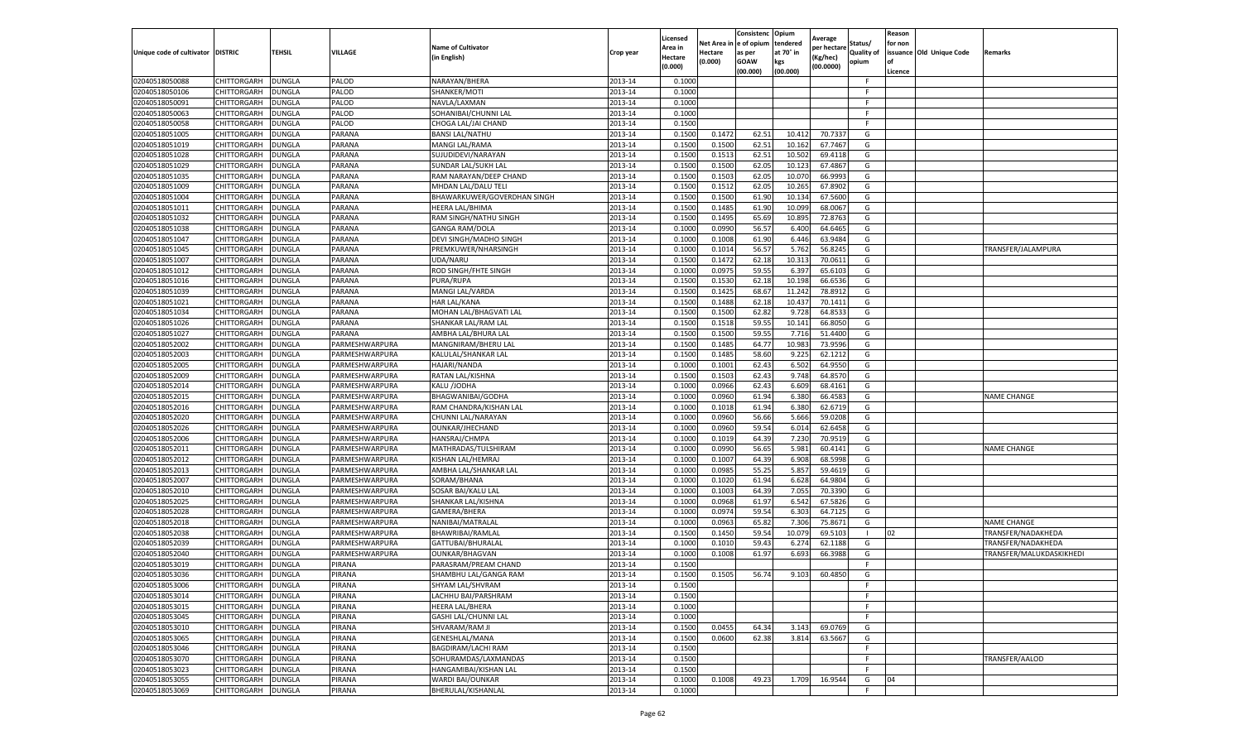|                                     |                    |               |                |                                           |           | Licensed                  | Net Area | Consistenc<br>e of opium | Opium<br>tendered | Average                 | Status/           | Reason<br>for non |                          |                          |
|-------------------------------------|--------------------|---------------|----------------|-------------------------------------------|-----------|---------------------------|----------|--------------------------|-------------------|-------------------------|-------------------|-------------------|--------------------------|--------------------------|
| Unique code of cultivator   DISTRIC |                    | <b>TEHSIL</b> | VILLAGE        | <b>Name of Cultivator</b><br>(in English) | Crop year | Area in<br><b>Hectare</b> | Hectare  | as per                   | at 70° in         | per hectarı<br>(Kg/hec) | <b>Quality of</b> |                   | issuance Old Unique Code | Remarks                  |
|                                     |                    |               |                |                                           |           | (0.000)                   | (0.000)  | <b>GOAW</b><br>(00.000)  | kgs<br>(00.000)   | (00.0000)               | opium             | of<br>Licence     |                          |                          |
| 02040518050088                      | CHITTORGARH        | <b>DUNGLA</b> | PALOD          | NARAYAN/BHERA                             | 2013-14   | 0.1000                    |          |                          |                   |                         | F                 |                   |                          |                          |
| 02040518050106                      | CHITTORGARH        | <b>DUNGLA</b> | PALOD          | SHANKER/MOTI                              | 2013-14   | 0.1000                    |          |                          |                   |                         | F                 |                   |                          |                          |
| 02040518050091                      | CHITTORGARH        | <b>DUNGLA</b> | PALOD          | NAVLA/LAXMAN                              | 2013-14   | 0.1000                    |          |                          |                   |                         | F                 |                   |                          |                          |
| 02040518050063                      | CHITTORGARH        | <b>DUNGLA</b> | PALOD          | SOHANIBAI/CHUNNI LAL                      | 2013-14   | 0.1000                    |          |                          |                   |                         |                   |                   |                          |                          |
| 02040518050058                      | CHITTORGARH        | <b>DUNGLA</b> | PALOD          | CHOGA LAL/JAI CHAND                       | 2013-14   | 0.1500                    |          |                          |                   |                         |                   |                   |                          |                          |
| 02040518051005                      | CHITTORGARH        | DUNGLA        | PARANA         | <b>BANSI LAL/NATHU</b>                    | 2013-14   | 0.1500                    | 0.1472   | 62.51                    | 10.412            | 70.7337                 | G                 |                   |                          |                          |
| 02040518051019                      | CHITTORGARH        | <b>DUNGLA</b> | PARANA         | MANGI LAL/RAMA                            | 2013-14   | 0.1500                    | 0.1500   | 62.51                    | 10.162            | 67.7467                 | G                 |                   |                          |                          |
| 02040518051028                      | CHITTORGARH        | <b>DUNGLA</b> | PARANA         | SUJUDIDEVI/NARAYAN                        | 2013-14   | 0.1500                    | 0.1513   | 62.51                    | 10.502            | 69.4118                 | G                 |                   |                          |                          |
| 02040518051029                      | CHITTORGARH        | <b>DUNGLA</b> | PARANA         | SUNDAR LAL/SUKH LAL                       | 2013-14   | 0.1500                    | 0.1500   | 62.05                    | 10.123            | 67.4867                 | G                 |                   |                          |                          |
| 02040518051035                      | CHITTORGARH        | <b>DUNGLA</b> | PARANA         | RAM NARAYAN/DEEP CHAND                    | 2013-14   | 0.1500                    | 0.1503   | 62.05                    | 10.07             | 66.9993                 | G                 |                   |                          |                          |
| 02040518051009                      | CHITTORGARH        | <b>DUNGLA</b> | PARANA         | MHDAN LAL/DALU TELI                       | 2013-14   | 0.1500                    | 0.1512   | 62.05                    | 10.265            | 67.8902                 | G                 |                   |                          |                          |
| 02040518051004                      | CHITTORGARH        | DUNGLA        | PARANA         | BHAWARKUWER/GOVERDHAN SINGH               | 2013-14   | 0.1500                    | 0.1500   | 61.90                    | 10.13             | 67.5600                 | G                 |                   |                          |                          |
| 02040518051011                      | CHITTORGARH        | DUNGLA        | PARANA         | HEERA LAL/BHIMA                           | 2013-14   | 0.1500                    | 0.1485   | 61.90                    | 10.099            | 68.0067                 | G                 |                   |                          |                          |
| 02040518051032                      | CHITTORGARH        | <b>DUNGLA</b> | PARANA         | RAM SINGH/NATHU SINGH                     | 2013-14   | 0.1500                    | 0.1495   | 65.69                    | 10.895            | 72.8763                 | G                 |                   |                          |                          |
| 02040518051038                      | CHITTORGARH        | <b>DUNGLA</b> | PARANA         | <b>GANGA RAM/DOLA</b>                     | 2013-14   | 0.1000                    | 0.0990   | 56.57                    | 6.400             | 64.6465                 | G                 |                   |                          |                          |
| 02040518051047                      | CHITTORGARH        | <b>DUNGLA</b> | PARANA         | DEVI SINGH/MADHO SINGH                    | 2013-14   | 0.1000                    | 0.1008   | 61.90                    | 6.446             | 63.9484                 | G                 |                   |                          |                          |
| 02040518051045                      | CHITTORGARH        | <b>DUNGLA</b> | PARANA         | PREMKUWER/NHARSINGH                       | 2013-14   | 0.1000                    | 0.1014   | 56.57                    | 5.762             | 56.8245                 | G                 |                   |                          | TRANSFER/JALAMPURA       |
| 02040518051007                      | CHITTORGARH        | DUNGLA        | PARANA         | UDA/NARU                                  | 2013-14   | 0.1500                    | 0.1472   | 62.18                    | 10.31             | 70.061                  | G                 |                   |                          |                          |
| 02040518051012                      | CHITTORGARH        | <b>DUNGLA</b> | PARANA         | ROD SINGH/FHTE SINGH                      | 2013-14   | 0.1000                    | 0.0975   | 59.55                    | 6.397             | 65.6103                 | G                 |                   |                          |                          |
| 02040518051016                      | CHITTORGARH        | DUNGLA        | PARANA         | PURA/RUPA                                 | 2013-14   | 0.1500                    | 0.1530   | 62.18                    | 10.198            | 66.6536                 | G                 |                   |                          |                          |
| 02040518051039                      | CHITTORGARH        | <b>DUNGLA</b> | PARANA         | MANGI LAL/VARDA                           | 2013-14   | 0.1500                    | 0.1425   | 68.67                    | 11.242            | 78.8912                 | G                 |                   |                          |                          |
| 02040518051021                      | CHITTORGARH        | DUNGLA        | PARANA         | <b>HAR LAL/KANA</b>                       | 2013-14   | 0.1500                    | 0.1488   | 62.18                    | 10.437            | 70.1411                 | G                 |                   |                          |                          |
| 02040518051034                      | CHITTORGARH        | <b>DUNGLA</b> | PARANA         | MOHAN LAL/BHAGVATI LAL                    | 2013-14   | 0.1500                    | 0.1500   | 62.82                    | 9.728             | 64.853                  | G                 |                   |                          |                          |
| 02040518051026                      | CHITTORGARH        | DUNGLA        | PARANA         | SHANKAR LAL/RAM LAL                       | 2013-14   | 0.1500                    | 0.1518   | 59.55                    | 10.141            | 66.8050                 | G                 |                   |                          |                          |
| 02040518051027                      | CHITTORGARH        | <b>DUNGLA</b> | PARANA         | AMBHA LAL/BHURA LAL                       | 2013-14   | 0.1500                    | 0.1500   | 59.55                    | 7.716             | 51.4400                 | G                 |                   |                          |                          |
| 02040518052002                      | CHITTORGARH        | <b>DUNGLA</b> | PARMESHWARPURA | MANGNIRAM/BHERU LAL                       | 2013-14   | 0.1500                    | 0.1485   | 64.77                    | 10.983            | 73.9596                 | G                 |                   |                          |                          |
| 02040518052003                      | CHITTORGARH        | <b>DUNGLA</b> | PARMESHWARPURA | KALULAL/SHANKAR LAL                       | 2013-14   | 0.1500                    | 0.1485   | 58.60                    | 9.225             | 62.1212                 | G                 |                   |                          |                          |
| 02040518052005                      | CHITTORGARH        | <b>DUNGLA</b> | PARMESHWARPURA | HAJARI/NANDA                              | 2013-14   | 0.1000                    | 0.1001   | 62.43                    | 6.502             | 64.9550                 | G                 |                   |                          |                          |
| 02040518052009                      | CHITTORGARH        | <b>DUNGLA</b> | PARMESHWARPURA | RATAN LAL/KISHNA                          | 2013-14   | 0.1500                    | 0.1503   | 62.43                    | 9.748             | 64.8570                 | G                 |                   |                          |                          |
| 02040518052014                      | CHITTORGARH        | <b>DUNGLA</b> | PARMESHWARPURA | KALU /JODHA                               | 2013-14   | 0.1000                    | 0.0966   | 62.43                    | 6.609             | 68.4161                 | G                 |                   |                          |                          |
| 02040518052015                      | CHITTORGARH        | <b>DUNGLA</b> | PARMESHWARPURA | BHAGWANIBAI/GODHA                         | 2013-14   | 0.1000                    | 0.0960   | 61.94                    | 6.380             | 66.4583                 | G                 |                   |                          | <b>NAME CHANGE</b>       |
| 02040518052016                      | CHITTORGARH        | <b>DUNGLA</b> | PARMESHWARPURA | RAM CHANDRA/KISHAN LAL                    | 2013-14   | 0.1000                    | 0.1018   | 61.94                    | 6.380             | 62.6719                 | G                 |                   |                          |                          |
| 02040518052020                      | CHITTORGARH        | <b>DUNGLA</b> | PARMESHWARPURA | CHUNNI LAL/NARAYAN                        | 2013-14   | 0.1000                    | 0.0960   | 56.66                    | 5.666             | 59.0208                 | G                 |                   |                          |                          |
| 02040518052026                      | CHITTORGARH        | <b>DUNGLA</b> | PARMESHWARPURA | OUNKAR/JHECHAND                           | 2013-14   | 0.1000                    | 0.0960   | 59.54                    | 6.014             | 62.6458                 | G                 |                   |                          |                          |
| 02040518052006                      | CHITTORGARH        | <b>DUNGLA</b> | PARMESHWARPURA | HANSRAJ/CHMPA                             | 2013-14   | 0.1000                    | 0.1019   | 64.39                    | 7.230             | 70.9519                 | G                 |                   |                          |                          |
| 02040518052011                      | CHITTORGARH        | DUNGLA        | PARMESHWARPURA | MATHRADAS/TULSHIRAM                       | 2013-14   | 0.1000                    | 0.0990   | 56.65                    | 5.981             | 60.4141                 | G                 |                   |                          | <b>NAME CHANGE</b>       |
| 02040518052012                      | CHITTORGARH        | DUNGLA        | PARMESHWARPURA | KISHAN LAL/HEMRAJ                         | 2013-14   | 0.1000                    | 0.1007   | 64.39                    | 6.908             | 68.5998                 | G                 |                   |                          |                          |
| 02040518052013                      | CHITTORGARH        | <b>DUNGLA</b> | PARMESHWARPURA | AMBHA LAL/SHANKAR LAL                     | 2013-14   | 0.1000                    | 0.0985   | 55.25                    | 5.857             | 59.4619                 | G                 |                   |                          |                          |
| 02040518052007                      | CHITTORGARH        | DUNGLA        | PARMESHWARPURA | SORAM/BHANA                               | 2013-14   | 0.1000                    | 0.1020   | 61.94                    | 6.628             | 64.9804                 | G                 |                   |                          |                          |
| 02040518052010                      | CHITTORGARH        | <b>DUNGLA</b> | PARMESHWARPURA | SOSAR BAI/KALU LAI                        | 2013-14   | 0.1000                    | 0.1003   | 64.39                    | 7.055             | 70.3390                 | G                 |                   |                          |                          |
| 02040518052025                      | CHITTORGARH        | <b>DUNGLA</b> | PARMESHWARPURA | SHANKAR LAL/KISHNA                        | 2013-14   | 0.1000                    | 0.0968   | 61.97                    | 6.542             | 67.5826                 | G                 |                   |                          |                          |
| 02040518052028                      | CHITTORGARH        | <b>DUNGLA</b> | PARMESHWARPURA | GAMERA/BHERA                              | 2013-14   | 0.1000                    | 0.0974   | 59.54                    | 6.303             | 64.712                  | G                 |                   |                          |                          |
| 02040518052018                      | CHITTORGARH        | DUNGLA        | PARMESHWARPURA | NANIBAI/MATRALAL                          | 2013-14   | 0.1000                    | 0.0963   | 65.82                    | 7.306             | 75.8671                 | G                 |                   |                          | <b>NAME CHANGE</b>       |
| 02040518052038                      | CHITTORGARH        | <b>DUNGLA</b> | PARMESHWARPURA | BHAWRIBAI/RAMLAL                          | 2013-14   | 0.1500                    | 0.1450   | 59.54                    | 10.079            | 69.5103                 |                   | 02                |                          | TRANSFER/NADAKHEDA       |
| 02040518052039                      | CHITTORGARH        | <b>DUNGLA</b> | PARMESHWARPURA | GATTUBAI/BHURALAI                         | 2013-14   | 0.1000                    | 0.1010   | 59.43                    | 6.27              | 62.1188                 | G                 |                   |                          | TRANSFER/NADAKHEDA       |
| 02040518052040                      | CHITTORGARH        | DUNGLA        | PARMESHWARPURA | <b>OUNKAR/BHAGVAN</b>                     | 2013-14   | 0.1000                    | 0.1008   | 61.97                    | 6.693             | 66.3988                 | G                 |                   |                          | TRANSFER/MALUKDASKIKHEDI |
| 02040518053019                      | CHITTORGARH        | <b>DUNGLA</b> | PIRANA         | PARASRAM/PREAM CHAND                      | 2013-14   | 0.1500                    |          |                          |                   |                         | F                 |                   |                          |                          |
| 02040518053036                      | CHITTORGARH        | <b>DUNGLA</b> | PIRANA         | SHAMBHU LAL/GANGA RAM                     | 2013-14   | 0.1500                    | 0.1505   | 56.74                    | 9.103             | 60.4850                 | G                 |                   |                          |                          |
| 02040518053006                      | <b>CHITTORGARH</b> | DUNGLA        | PIRANA         | SHYAM LAL/SHVRAM                          | 2013-14   | 0.1500                    |          |                          |                   |                         |                   |                   |                          |                          |
| 02040518053014                      | CHITTORGARH        | <b>DUNGLA</b> | PIRANA         | LACHHU BAI/PARSHRAM                       | 2013-14   | 0.1500                    |          |                          |                   |                         | F                 |                   |                          |                          |
| 02040518053015                      | CHITTORGARH        | <b>DUNGLA</b> | PIRANA         | <b>HEERA LAL/BHERA</b>                    | 2013-14   | 0.1000                    |          |                          |                   |                         | F.                |                   |                          |                          |
| 02040518053045                      | CHITTORGARH        | <b>DUNGLA</b> | PIRANA         | GASHI LAL/CHUNNI LAL                      | 2013-14   | 0.1000                    |          |                          |                   |                         | F.                |                   |                          |                          |
| 02040518053010                      | CHITTORGARH        | <b>DUNGLA</b> | PIRANA         | SHVARAM/RAM JI                            | 2013-14   | 0.1500                    | 0.0455   | 64.34                    | 3.143             | 69.0769                 | G                 |                   |                          |                          |
| 02040518053065                      | CHITTORGARH        | <b>DUNGLA</b> | PIRANA         | GENESHLAL/MANA                            | 2013-14   | 0.1500                    | 0.0600   | 62.38                    | 3.814             | 63.5667                 | G                 |                   |                          |                          |
| 02040518053046                      | CHITTORGARH        | <b>DUNGLA</b> | PIRANA         | <b>BAGDIRAM/LACHI RAM</b>                 | 2013-14   | 0.1500                    |          |                          |                   |                         |                   |                   |                          |                          |
| 02040518053070                      | CHITTORGARH        | DUNGLA        | PIRANA         | SOHURAMDAS/LAXMANDAS                      | 2013-14   | 0.1500                    |          |                          |                   |                         |                   |                   |                          | TRANSFER/AALOD           |
| 02040518053023                      | CHITTORGARH        | <b>DUNGLA</b> | PIRANA         | HANGAMIBAI/KISHAN LAL                     | 2013-14   | 0.1500                    |          |                          |                   |                         | F                 |                   |                          |                          |
| 02040518053055                      | CHITTORGARH        | <b>DUNGLA</b> | PIRANA         | WARDI BAI/OUNKAR                          | 2013-14   | 0.1000                    | 0.1008   | 49.23                    | 1.709             | 16.9544                 | G                 | 04                |                          |                          |
| 02040518053069                      | CHITTORGARH        | <b>DUNGLA</b> | PIRANA         | BHERULAL/KISHANLAL                        | 2013-14   | 0.1000                    |          |                          |                   |                         | F.                |                   |                          |                          |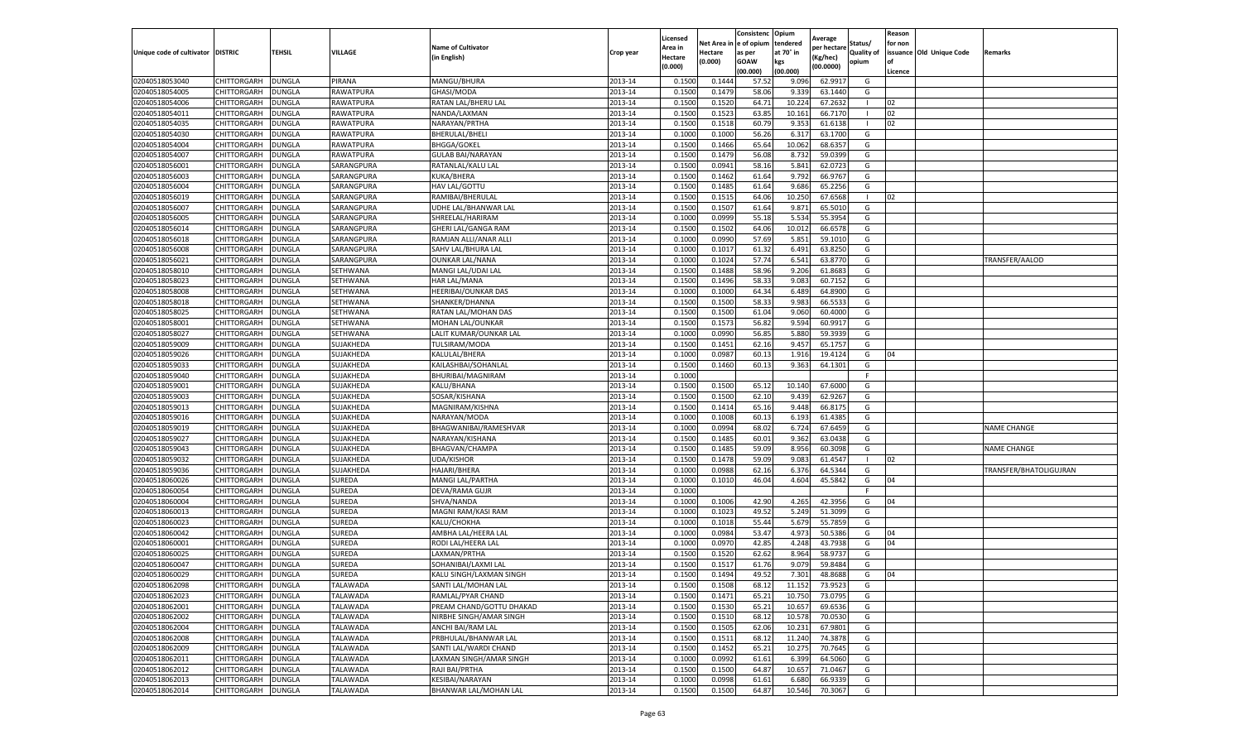|                           |                    |               |                 |                           |           | Licensed |         | Consistenc             | Opium     |                        |                   | Reason  |                          |                        |
|---------------------------|--------------------|---------------|-----------------|---------------------------|-----------|----------|---------|------------------------|-----------|------------------------|-------------------|---------|--------------------------|------------------------|
|                           |                    |               |                 | <b>Name of Cultivator</b> |           | Area in  |         | Net Area in e of opium | tendered  | Average<br>per hectare | Status/           | for non |                          |                        |
| Unique code of cultivator | <b>DISTRIC</b>     | TEHSIL        | VILLAGE         | in English)               | Crop year | Hectare  | Hectare | as per                 | at 70° in | (Kg/hec                | <b>Quality of</b> |         | issuance Old Unique Code | <b>Remarks</b>         |
|                           |                    |               |                 |                           |           | (0.000)  | (0.000) | <b>GOAW</b>            | kgs       | (00.0000)              | opium             |         |                          |                        |
|                           |                    |               |                 |                           |           |          |         | (00.000)               | (00.000)  |                        |                   | Licence |                          |                        |
| 02040518053040            | CHITTORGARH        | <b>DUNGLA</b> | PIRANA          | MANGU/BHURA               | 2013-14   | 0.1500   | 0.1444  | 57.52                  | 9.096     | 62.9917                | G                 |         |                          |                        |
| 02040518054005            | CHITTORGARH        | DUNGLA        | RAWATPURA       | GHASI/MODA                | 2013-14   | 0.1500   | 0.1479  | 58.06                  | 9.33      | 63.1440                | G                 |         |                          |                        |
| 02040518054006            | CHITTORGARH        | DUNGLA        | RAWATPURA       | RATAN LAL/BHERU LAL       | 2013-14   | 0.1500   | 0.1520  | 64.71                  | 10.22     | 67.2632                | -1                | 02      |                          |                        |
| 02040518054011            | CHITTORGARH        | <b>DUNGLA</b> | RAWATPURA       | NANDA/LAXMAN              | 2013-14   | 0.1500   | 0.1523  | 63.85                  | 10.161    | 66.7170                | -1                | 02      |                          |                        |
| 02040518054035            | CHITTORGARH        | DUNGLA        | RAWATPURA       | NARAYAN/PRTHA             | 2013-14   | 0.1500   | 0.1518  | 60.79                  | 9.353     | 61.6138                |                   | 02      |                          |                        |
| 02040518054030            | CHITTORGARH        | DUNGLA        | RAWATPURA       | BHERULAL/BHELI            | 2013-14   | 0.1000   | 0.1000  | 56.26                  | 6.31      | 63.1700                | G                 |         |                          |                        |
| 02040518054004            | CHITTORGARH        | DUNGLA        | RAWATPURA       | <b>BHGGA/GOKEL</b>        | 2013-14   | 0.1500   | 0.1466  | 65.64                  | 10.062    | 68.6357                | G                 |         |                          |                        |
| 02040518054007            | CHITTORGARH        | DUNGLA        | RAWATPURA       | <b>GULAB BAI/NARAYAN</b>  | 2013-14   | 0.1500   | 0.1479  | 56.08                  | 8.73      | 59.0399                | G                 |         |                          |                        |
| 02040518056001            | CHITTORGARH        | DUNGLA        | SARANGPURA      | RATANLAL/KALU LAL         | 2013-14   | 0.1500   | 0.0941  | 58.16                  | 5.841     | 62.0723                | G                 |         |                          |                        |
| 02040518056003            | CHITTORGARH        | <b>DUNGLA</b> | SARANGPURA      | KUKA/BHERA                | 2013-14   | 0.1500   | 0.1462  | 61.64                  | 9.792     | 66.9767                | G                 |         |                          |                        |
| 02040518056004            | CHITTORGARH        | <b>DUNGLA</b> | SARANGPURA      | HAV LAL/GOTTU             | 2013-14   | 0.1500   | 0.1485  | 61.64                  | 9.686     | 65.2256                | G                 |         |                          |                        |
| 02040518056019            | CHITTORGARH        | <b>DUNGLA</b> | SARANGPURA      | RAMIBAI/BHERULAL          | 2013-14   | 0.1500   | 0.1515  | 64.06                  | 10.25     | 67.6568                |                   | 02      |                          |                        |
| 02040518056007            | CHITTORGARH        | DUNGLA        | SARANGPURA      | UDHE LAL/BHANWAR LAL      | 2013-14   | 0.1500   | 0.1507  | 61.64                  | 9.87      | 65.5010                | G                 |         |                          |                        |
| 02040518056005            | CHITTORGARH        | DUNGLA        | SARANGPURA      | SHREELAL/HARIRAM          | 2013-14   | 0.1000   | 0.0999  | 55.18                  | 5.534     | 55.3954                | G                 |         |                          |                        |
| 02040518056014            | CHITTORGARH        | DUNGLA        | SARANGPURA      | GHERI LAL/GANGA RAM       | 2013-14   | 0.1500   | 0.1502  | 64.06                  | 10.012    | 66.6578                | G                 |         |                          |                        |
| 02040518056018            | CHITTORGARH        | <b>DUNGLA</b> | SARANGPURA      | RAMJAN ALLI/ANAR ALLI     | 2013-14   | 0.1000   | 0.0990  | 57.69                  | 5.851     | 59.1010                | G                 |         |                          |                        |
| 02040518056008            | CHITTORGARH        | <b>DUNGLA</b> | SARANGPURA      | SAHV LAL/BHURA LAL        | 2013-14   | 0.1000   | 0.1017  | 61.32                  | 6.491     | 63.8250                | G                 |         |                          |                        |
| 02040518056021            | CHITTORGARH        | <b>DUNGLA</b> | SARANGPURA      | OUNKAR LAL/NANA           | 2013-14   | 0.1000   | 0.1024  | 57.74                  | 6.541     | 63.8770                | G                 |         |                          | TRANSFER/AALOD         |
| 02040518058010            | CHITTORGARH        | DUNGLA        | SETHWANA        | MANGI LAL/UDAI LAL        | 2013-14   | 0.1500   | 0.1488  | 58.96                  | 9.206     | 61.8683                | G                 |         |                          |                        |
| 02040518058023            | CHITTORGARH        | DUNGLA        | SETHWANA        | HAR LAL/MANA              | 2013-14   | 0.1500   | 0.1496  | 58.33                  | 9.083     | 60.7152                | G                 |         |                          |                        |
| 02040518058008            | CHITTORGARH        | <b>DUNGLA</b> | SETHWANA        | HEERIBAI/OUNKAR DAS       | 2013-14   | 0.1000   | 0.1000  | 64.34                  | 6.489     | 64.8900                | G                 |         |                          |                        |
| 02040518058018            | CHITTORGARH        | DUNGLA        | SETHWANA        | SHANKER/DHANNA            | 2013-14   | 0.1500   | 0.1500  | 58.33                  | 9.983     | 66.5533                | G                 |         |                          |                        |
| 02040518058025            | CHITTORGARH        | <b>DUNGLA</b> | SETHWANA        | RATAN LAL/MOHAN DAS       | 2013-14   | 0.1500   | 0.1500  | 61.04                  | 9.060     | 60.4000                | G                 |         |                          |                        |
| 02040518058001            | CHITTORGARH        | DUNGLA        | SETHWANA        | MOHAN LAL/OUNKAR          | 2013-14   | 0.1500   | 0.1573  | 56.82                  | 9.594     | 60.9917                | G                 |         |                          |                        |
| 02040518058027            | CHITTORGARH        | DUNGLA        | SETHWANA        | LALIT KUMAR/OUNKAR LAL    | 2013-14   | 0.1000   | 0.0990  | 56.85                  | 5.880     | 59.3939                | G                 |         |                          |                        |
| 02040518059009            | CHITTORGARH        | DUNGLA        | SUJAKHEDA       | TULSIRAM/MODA             | 2013-14   | 0.1500   | 0.1451  | 62.16                  | 9.457     | 65.1757                | G                 |         |                          |                        |
| 02040518059026            | CHITTORGARH        | DUNGLA        | SUJAKHEDA       | KALULAL/BHERA             | 2013-14   | 0.1000   | 0.0987  | 60.1                   | 1.916     | 19.4124                | G                 | 04      |                          |                        |
| 02040518059033            | CHITTORGARH        | <b>DUNGLA</b> | SUJAKHEDA       | KAILASHBAI/SOHANLAL       | 2013-14   | 0.1500   | 0.1460  | 60.13                  | 9.363     | 64.1301                | G                 |         |                          |                        |
| 02040518059040            | CHITTORGARH        | <b>DUNGLA</b> | SUJAKHEDA       | BHURIBAI/MAGNIRAM         | 2013-14   | 0.1000   |         |                        |           |                        | F.                |         |                          |                        |
| 02040518059001            | CHITTORGARH        | <b>DUNGLA</b> | SUJAKHEDA       | KALU/BHANA                | 2013-14   | 0.1500   | 0.1500  | 65.12                  | 10.14     | 67.6000                | G                 |         |                          |                        |
| 02040518059003            | CHITTORGARH        | DUNGLA        | SUJAKHEDA       | SOSAR/KISHANA             | 2013-14   | 0.1500   | 0.1500  | 62.10                  | 9.43      | 62.9267                | G                 |         |                          |                        |
| 02040518059013            | CHITTORGARH        | DUNGLA        | SUJAKHEDA       | MAGNIRAM/KISHNA           | 2013-14   | 0.1500   | 0.1414  | 65.16                  | 9.448     | 66.8175                | G                 |         |                          |                        |
| 02040518059016            | CHITTORGARH        | DUNGLA        | SUJAKHEDA       | NARAYAN/MODA              | 2013-14   | 0.1000   | 0.1008  | 60.13                  | 6.193     | 61.4385                | G                 |         |                          |                        |
| 02040518059019            | CHITTORGARH        | DUNGLA        | SUJAKHEDA       | BHAGWANIBAI/RAMESHVAR     | 2013-14   | 0.1000   | 0.0994  | 68.02                  | 6.724     | 67.6459                | G                 |         |                          | <b>NAME CHANGE</b>     |
| 02040518059027            | CHITTORGARH        | <b>DUNGLA</b> | SUJAKHEDA       | NARAYAN/KISHANA           | 2013-14   | 0.1500   | 0.1485  | 60.01                  | 9.362     | 63.0438                | G                 |         |                          |                        |
| 02040518059043            | CHITTORGARH        | DUNGLA        | SUJAKHEDA       | BHAGVAN/CHAMPA            | 2013-14   | 0.1500   | 0.1485  | 59.09                  | 8.956     | 60.3098                | G                 |         |                          | <b>NAME CHANGE</b>     |
| 02040518059032            | CHITTORGARH        | <b>DUNGLA</b> | SUJAKHEDA       | <b>UDA/KISHOR</b>         | 2013-14   | 0.1500   | 0.1478  | 59.09                  | 9.08      | 61.4547                |                   | 02      |                          |                        |
| 02040518059036            | CHITTORGARH        | DUNGLA        | SUJAKHEDA       | HAJARI/BHERA              | 2013-14   | 0.1000   | 0.0988  | 62.16                  | 6.37      | 64.5344                | G                 |         |                          | TRANSFER/BHATOLIGUJRAN |
| 02040518060026            | CHITTORGARH        | DUNGLA        | SUREDA          | MANGI LAL/PARTHA          | 2013-14   | 0.1000   | 0.1010  | 46.04                  | 4.604     | 45.5842                | G                 | 04      |                          |                        |
| 02040518060054            | CHITTORGARH        | <b>DUNGLA</b> | SUREDA          | DEVA/RAMA GUJR            | 2013-14   | 0.1000   |         |                        |           |                        | F                 |         |                          |                        |
| 02040518060004            | CHITTORGARH        | DUNGLA        | SUREDA          | SHVA/NANDA                | 2013-14   | 0.1000   | 0.1006  | 42.90                  | 4.265     | 42.3956                | G                 | 04      |                          |                        |
| 02040518060013            | CHITTORGARH        | <b>DUNGLA</b> | SUREDA          | MAGNI RAM/KASI RAM        | 2013-14   | 0.1000   | 0.1023  | 49.52                  | 5.249     | 51.3099                | G                 |         |                          |                        |
| 02040518060023            | CHITTORGARH        | DUNGLA        | SUREDA          | KALU/CHOKHA               | 2013-14   | 0.1000   | 0.1018  | 55.44                  | 5.679     | 55.7859                | G                 |         |                          |                        |
| 02040518060042            | CHITTORGARH        | DUNGLA        | SUREDA          | AMBHA LAL/HEERA LAL       | 2013-14   | 0.1000   | 0.0984  | 53.47                  | 4.973     | 50.5386                | G                 | 04      |                          |                        |
| 02040518060001            | CHITTORGARH        | <b>DUNGLA</b> | SUREDA          | RODI LAL/HEERA LAL        | 2013-14   | 0.1000   | 0.0970  | 42.85                  | 4.248     | 43.7938                | G                 | 04      |                          |                        |
| 02040518060025            | CHITTORGARH        | DUNGLA        | SUREDA          | LAXMAN/PRTHA              | 2013-14   | 0.1500   | 0.1520  | 62.62                  | 8.964     | 58.9737                | G                 |         |                          |                        |
| 02040518060047            | CHITTORGARH        | DUNGLA        | SUREDA          | SOHANIBAI/LAXMI LAL       | 2013-14   | 0.1500   | 0.1517  | 61.76                  | 9.07      | 59.8484                | G                 |         |                          |                        |
| 02040518060029            | CHITTORGARH        | <b>DUNGLA</b> | SUREDA          | KALU SINGH/LAXMAN SINGH   | 2013-14   | 0.1500   | 0.1494  | 49.52                  | 7.301     | 48.8688                | G                 | 04      |                          |                        |
| 02040518062098            | CHITTORGARH        | <b>DUNGLA</b> | <b>TALAWADA</b> | SANTI LAL/MOHAN LAL       | 2013-14   | 0.1500   | 0.1508  | 68.12                  | 11.152    | 73.9523                | G                 |         |                          |                        |
| 02040518062023            | CHITTORGARH        | <b>DUNGLA</b> | TALAWADA        | RAMLAL/PYAR CHAND         | 2013-14   | 0.1500   | 0.1471  | 65.21                  | 10.750    | 73.0795                | G                 |         |                          |                        |
| 02040518062001            | <b>CHITTORGARH</b> | <b>DUNGLA</b> | TALAWADA        | PREAM CHAND/GOTTU DHAKAD  | 2013-14   | 0.1500   | 0.1530  | 65.21                  | 10.657    | 69.6536                | G                 |         |                          |                        |
| 02040518062002            | CHITTORGARH        | DUNGLA        | TALAWADA        | NIRBHE SINGH/AMAR SINGH   | 2013-14   | 0.1500   | 0.1510  | 68.12                  | 10.578    | 70.0530                | G                 |         |                          |                        |
| 02040518062004            | CHITTORGARH        | <b>DUNGLA</b> | TALAWADA        | ANCHI BAI/RAM LAL         | 2013-14   | 0.1500   | 0.1505  | 62.06                  | 10.231    | 67.9801                | G                 |         |                          |                        |
| 02040518062008            | <b>CHITTORGARH</b> | <b>DUNGLA</b> | TALAWADA        | PRBHULAL/BHANWAR LAL      | 2013-14   | 0.1500   | 0.1511  | 68.12                  | 11.240    | 74.3878                | G                 |         |                          |                        |
| 02040518062009            | CHITTORGARH        | <b>DUNGLA</b> | TALAWADA        | SANTI LAL/WARDI CHAND     | 2013-14   | 0.1500   | 0.1452  | 65.21                  | 10.275    | 70.7645                | G                 |         |                          |                        |
| 02040518062011            | <b>CHITTORGARH</b> | <b>DUNGLA</b> | TALAWADA        | LAXMAN SINGH/AMAR SINGH   | 2013-14   | 0.1000   | 0.0992  | 61.61                  | 6.399     | 64.5060                | G                 |         |                          |                        |
| 02040518062012            | CHITTORGARH        | <b>DUNGLA</b> | TALAWADA        | RAJI BAI/PRTHA            | 2013-14   | 0.1500   | 0.1500  | 64.87                  | 10.657    | 71.0467                | G                 |         |                          |                        |
| 02040518062013            | CHITTORGARH        | DUNGLA        | TALAWADA        | KESIBAI/NARAYAN           | 2013-14   | 0.1000   | 0.0998  | 61.61                  | 6.680     | 66.9339                | G                 |         |                          |                        |
| 02040518062014            | <b>CHITTORGARH</b> | <b>DUNGLA</b> | TALAWADA        | BHANWAR LAL/MOHAN LAL     | 2013-14   | 0.1500   | 0.1500  | 64.87                  | 10.546    | 70.3067                | G                 |         |                          |                        |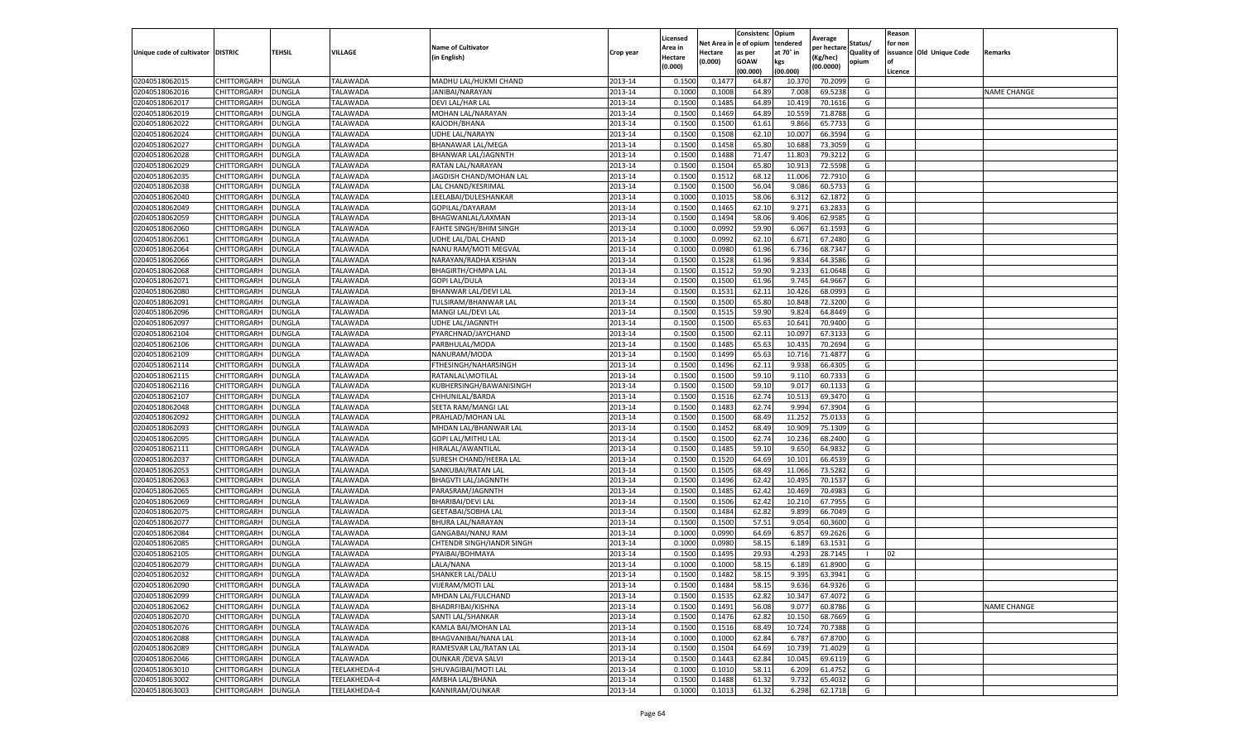|                                   |             |               |              |                            |           | Licensed |            | Consistenc  | Opium     | Average     |                   | Reason  |                          |                    |
|-----------------------------------|-------------|---------------|--------------|----------------------------|-----------|----------|------------|-------------|-----------|-------------|-------------------|---------|--------------------------|--------------------|
|                                   |             |               |              | <b>Name of Cultivator</b>  |           | Area in  | Net Area i | e of opium  | tendered  | per hectare | Status/           | for non |                          |                    |
| Unique code of cultivator DISTRIC |             | TEHSIL        | VILLAGE      | (in English)               | Crop year | Hectare  | Hectare    | as per      | at 70° in | (Kg/hec)    | <b>Quality of</b> |         | issuance Old Unique Code | Remarks            |
|                                   |             |               |              |                            |           | (0.000)  | (0.000)    | <b>GOAW</b> | kgs       | (00.0000)   | opium             | οf      |                          |                    |
|                                   |             |               |              |                            |           |          |            | (00.000     | (00.000)  |             |                   | Licence |                          |                    |
| 02040518062015                    | CHITTORGARH | <b>DUNGLA</b> | TALAWADA     | MADHU LAL/HUKMI CHAND      | 2013-14   | 0.1500   | 0.147      | 64.87       | 10.37     | 70.2099     | G                 |         |                          |                    |
| 02040518062016                    | CHITTORGARH | DUNGLA        | TALAWADA     | JANIBAI/NARAYAN            | 2013-14   | 0.100    | 0.1008     | 64.89       | 7.008     | 69.5238     | G                 |         |                          | <b>NAME CHANGE</b> |
| 02040518062017                    | CHITTORGARH | DUNGLA        | TALAWADA     | DEVI LAL/HAR LAL           | 2013-14   | 0.1500   | 0.1485     | 64.89       | 10.419    | 70.1616     | G                 |         |                          |                    |
| 02040518062019                    | CHITTORGARH | <b>DUNGLA</b> | TALAWADA     | MOHAN LAL/NARAYAN          | 2013-14   | 0.1500   | 0.1469     | 64.89       | 10.559    | 71.8788     | G                 |         |                          |                    |
| 02040518062022                    | CHITTORGARH | DUNGLA        | TALAWADA     | KAJODH/BHANA               | 2013-14   | 0.1500   | 0.1500     | 61.61       | 9.866     | 65.7733     | G                 |         |                          |                    |
| 02040518062024                    | CHITTORGARH | DUNGLA        | TALAWADA     | UDHE LAL/NARAYN            | 2013-14   | 0.1500   | 0.1508     | 62.10       | 10.007    | 66.3594     | G                 |         |                          |                    |
| 02040518062027                    | CHITTORGARH | DUNGLA        | TALAWADA     | BHANAWAR LAL/MEGA          | 2013-14   | 0.1500   | 0.1458     | 65.80       | 10.688    | 73.3059     | G                 |         |                          |                    |
| 02040518062028                    | CHITTORGARH | DUNGLA        | TALAWADA     | BHANWAR LAL/JAGNNTH        | 2013-14   | 0.1500   | 0.1488     | 71.4        | 11.803    | 79.3212     | G                 |         |                          |                    |
| 02040518062029                    | CHITTORGARH | DUNGLA        | TALAWADA     | RATAN LAL/NARAYAN          | 2013-14   | 0.1500   | 0.1504     | 65.80       | 10.913    | 72.5598     | G                 |         |                          |                    |
| 02040518062035                    | CHITTORGARH | <b>DUNGLA</b> | TALAWADA     | JAGDISH CHAND/MOHAN LAL    | 2013-14   | 0.1500   | 0.1512     | 68.12       | 11.006    | 72.7910     | G                 |         |                          |                    |
| 02040518062038                    | CHITTORGARH | <b>DUNGLA</b> | TALAWADA     | LAL CHAND/KESRIMAL         | 2013-14   | 0.1500   | 0.1500     | 56.04       | 9.086     | 60.5733     | G                 |         |                          |                    |
| 02040518062040                    | CHITTORGARH | DUNGLA        | TALAWADA     | LEELABAI/DULESHANKAR       | 2013-14   | 0.1000   | 0.1015     | 58.06       | 6.312     | 62.1872     | G                 |         |                          |                    |
| 02040518062049                    | CHITTORGARH | DUNGLA        | TALAWADA     | GOPILAL/DAYARAN            | 2013-14   | 0.1500   | 0.1465     | 62.10       | 9.271     | 63.2833     | G                 |         |                          |                    |
| 02040518062059                    | CHITTORGARH | DUNGLA        | TALAWADA     | BHAGWANLAL/LAXMAN          | 2013-14   | 0.1500   | 0.1494     | 58.06       | 9.406     | 62.9585     | G                 |         |                          |                    |
| 02040518062060                    | CHITTORGARH | DUNGLA        | TALAWADA     | FAHTE SINGH/BHIM SINGH     | 2013-14   | 0.1000   | 0.0992     | 59.90       | 6.067     | 61.1593     | G                 |         |                          |                    |
| 02040518062061                    | CHITTORGARH | DUNGLA        | TALAWADA     | UDHE LAL/DAL CHAND         | 2013-14   | 0.1000   | 0.0992     | 62.10       | 6.671     | 67.2480     | G                 |         |                          |                    |
| 02040518062064                    | CHITTORGARH | DUNGLA        | TALAWADA     | NANU RAM/MOTI MEGVAL       | 2013-14   | 0.1000   | 0.0980     | 61.96       | 6.736     | 68.7347     | G                 |         |                          |                    |
| 02040518062066                    | CHITTORGARH | DUNGLA        | TALAWADA     | NARAYAN/RADHA KISHAN       | 2013-14   | 0.1500   | 0.1528     | 61.96       | 9.834     | 64.3586     | G                 |         |                          |                    |
| 02040518062068                    | CHITTORGARH | DUNGLA        | TALAWADA     | <b>BHAGIRTH/CHMPA LAL</b>  | 2013-14   | 0.1500   | 0.1512     | 59.90       | 9.233     | 61.0648     | G                 |         |                          |                    |
| 02040518062071                    | CHITTORGARH | DUNGLA        | TALAWADA     | <b>GOPI LAL/DULA</b>       | 2013-14   | 0.1500   | 0.1500     | 61.96       | 9.745     | 64.9667     | G                 |         |                          |                    |
| 02040518062080                    | CHITTORGARH | DUNGLA        | TALAWADA     | BHANWAR LAL/DEVI LAL       | 2013-14   | 0.1500   | 0.1531     | 62.11       | 10.426    | 68.0993     | G                 |         |                          |                    |
| 02040518062091                    | CHITTORGARH | DUNGLA        | TALAWADA     | TULSIRAM/BHANWAR LAL       | 2013-14   | 0.1500   | 0.1500     | 65.80       | 10.848    | 72.3200     | G                 |         |                          |                    |
| 02040518062096                    | CHITTORGARH | <b>DUNGLA</b> | TALAWADA     | MANGI LAL/DEVI LAL         | 2013-14   | 0.1500   | 0.1515     | 59.90       | 9.824     | 64.8449     | G                 |         |                          |                    |
| 02040518062097                    | CHITTORGARH | DUNGLA        | TALAWADA     | <b>UDHE LAL/JAGNNTH</b>    | 2013-14   | 0.1500   | 0.1500     | 65.63       | 10.641    | 70.9400     | G                 |         |                          |                    |
| 02040518062104                    | CHITTORGARH | DUNGLA        | TALAWADA     | PYARCHNAD/JAYCHAND         | 2013-14   | 0.1500   | 0.1500     | 62.11       | 10.09     | 67.3133     | G                 |         |                          |                    |
| 02040518062106                    | CHITTORGARH | DUNGLA        | TALAWADA     | PARBHULAL/MODA             | 2013-14   | 0.1500   | 0.1485     | 65.63       | 10.435    | 70.2694     | G                 |         |                          |                    |
| 02040518062109                    | CHITTORGARH | DUNGLA        | TALAWADA     | NANURAM/MODA               | 2013-14   | 0.1500   | 0.1499     | 65.63       | 10.716    | 71.4877     | G                 |         |                          |                    |
| 02040518062114                    | CHITTORGARH | DUNGLA        | TALAWADA     | FTHESINGH/NAHARSINGH       | 2013-14   | 0.1500   | 0.1496     | 62.11       | 9.938     | 66.4305     | G                 |         |                          |                    |
| 02040518062115                    | CHITTORGARH | <b>DUNGLA</b> | TALAWADA     | RATANLAL\MOTILAL           | 2013-14   | 0.1500   | 0.1500     | 59.10       | 9.110     | 60.7333     | G                 |         |                          |                    |
| 02040518062116                    | CHITTORGARH | <b>DUNGLA</b> | TALAWADA     | KUBHERSINGH/BAWANISINGH    | 2013-14   | 0.1500   | 0.1500     | 59.10       | 9.017     | 60.1133     | G                 |         |                          |                    |
| 02040518062107                    | CHITTORGARH | DUNGLA        | TALAWADA     | CHHUNILAL/BARDA            | 2013-14   | 0.1500   | 0.1516     | 62.74       | 10.513    | 69.3470     | G                 |         |                          |                    |
| 02040518062048                    | CHITTORGARH | DUNGLA        | TALAWADA     | SEETA RAM/MANGI LAL        | 2013-14   | 0.1500   | 0.1483     | 62.74       | 9.994     | 67.3904     | G                 |         |                          |                    |
| 02040518062092                    | CHITTORGARH | DUNGLA        | TALAWADA     | PRAHLAD/MOHAN LAL          | 2013-14   | 0.1500   | 0.1500     | 68.49       | 11.25     | 75.0133     | G                 |         |                          |                    |
| 02040518062093                    | CHITTORGARH | DUNGLA        | TALAWADA     | MHDAN LAL/BHANWAR LAL      | 2013-14   | 0.1500   | 0.1452     | 68.49       | 10.909    | 75.1309     | G                 |         |                          |                    |
| 02040518062095                    | CHITTORGARH | <b>DUNGLA</b> | TALAWADA     | GOPI LAL/MITHU LAL         | 2013-14   | 0.1500   | 0.1500     | 62.74       | 10.236    | 68.2400     | G                 |         |                          |                    |
| 02040518062111                    | CHITTORGARH | DUNGLA        | TALAWADA     | HIRALAL/AWANTILAL          | 2013-14   | 0.1500   | 0.1485     | 59.10       | 9.650     | 64.9832     | G                 |         |                          |                    |
| 02040518062037                    | CHITTORGARH | DUNGLA        | TALAWADA     | SURESH CHAND/HEERA LAL     | 2013-14   | 0.1500   | 0.1520     | 64.69       | 10.101    | 66.4539     | G                 |         |                          |                    |
| 02040518062053                    | CHITTORGARH | DUNGLA        | TALAWADA     | SANKUBAI/RATAN LAL         | 2013-14   | 0.1500   | 0.1505     | 68.49       | 11.066    | 73.5282     | G                 |         |                          |                    |
| 02040518062063                    | CHITTORGARH | DUNGLA        | TALAWADA     | <b>BHAGVTI LAL/JAGNNTH</b> | 2013-14   | 0.1500   | 0.1496     | 62.4        | 10.495    | 70.1537     | G                 |         |                          |                    |
| 02040518062065                    | CHITTORGARH | DUNGLA        | TALAWADA     | PARASRAM/JAGNNTH           | 2013-14   | 0.1500   | 0.1485     | 62.42       | 10.469    | 70.4983     | G                 |         |                          |                    |
| 02040518062069                    | CHITTORGARH | DUNGLA        | TALAWADA     | BHARIBAI/DEVI LAL          | 2013-14   | 0.1500   | 0.1506     | 62.42       | 10.210    | 67.7955     | G                 |         |                          |                    |
| 02040518062075                    | CHITTORGARH | <b>DUNGLA</b> | TALAWADA     | <b>GEETABAI/SOBHA LAL</b>  | 2013-14   | 0.1500   | 0.1484     | 62.82       | 9.899     | 66.7049     | G                 |         |                          |                    |
| 02040518062077                    | CHITTORGARH | DUNGLA        | TALAWADA     | BHURA LAL/NARAYAN          | 2013-14   | 0.1500   | 0.1500     | 57.51       | 9.054     | 60.3600     | G                 |         |                          |                    |
| 02040518062084                    | CHITTORGARH | DUNGLA        | TALAWADA     | GANGABAI/NANU RAM          | 2013-14   | 0.1000   | 0.0990     | 64.69       | 6.857     | 69.2626     | G                 |         |                          |                    |
| 02040518062085                    | CHITTORGARH | DUNGLA        | TALAWADA     | CHTENDR SINGH/IANDR SINGH  | 2013-14   | 0.1000   | 0.0980     | 58.15       | 6.189     | 63.1531     | G                 |         |                          |                    |
| 02040518062105                    | CHITTORGARH | DUNGLA        | TALAWADA     | PYAIBAI/BOHMAYA            | 2013-14   | 0.150    | 0.149      | 29.93       | 4.293     | 28.7145     | $\mathbf{L}$      | 02      |                          |                    |
| 02040518062079                    | CHITTORGARH | DUNGLA        | TALAWADA     | LALA/NANA                  | 2013-14   | 0.1000   | 0.1000     | 58.15       | 6.189     | 61.8900     | G                 |         |                          |                    |
| 02040518062032                    | CHITTORGARH | <b>DUNGLA</b> | TALAWADA     | SHANKER LAL/DALU           | 2013-14   | 0.1500   | 0.1482     | 58.15       | 9.395     | 63.3941     | G                 |         |                          |                    |
| 02040518062090                    | CHITTORGARH | <b>DUNGLA</b> | TALAWADA     | VIJERAM/MOTI LAL           | 2013-14   | 0.1500   | 0.1484     | 58.15       | 9.636     | 64.9326     | G                 |         |                          |                    |
| 02040518062099                    | CHITTORGARH | <b>DUNGLA</b> | TALAWADA     | MHDAN LAL/FULCHAND         | 2013-14   | 0.1500   | 0.1535     | 62.82       | 10.347    | 67.4072     | G                 |         |                          |                    |
| 02040518062062                    | CHITTORGARH | <b>DUNGLA</b> | TALAWADA     | BHADRFIBAI/KISHNA          | 2013-14   | 0.1500   | 0.1491     | 56.08       | 9.077     | 60.8786     | G                 |         |                          | <b>NAME CHANGE</b> |
| 02040518062070                    | CHITTORGARH | DUNGLA        | TALAWADA     | SANTI LAL/SHANKAR          | 2013-14   | 0.1500   | 0.1476     | 62.82       | 10.150    | 68.7669     | G                 |         |                          |                    |
| 02040518062076                    | CHITTORGARH | DUNGLA        | TALAWADA     | KAMLA BAI/MOHAN LAL        | 2013-14   | 0.1500   | 0.1516     | 68.49       | 10.724    | 70.7388     | G                 |         |                          |                    |
| 02040518062088                    | CHITTORGARH | <b>DUNGLA</b> | TALAWADA     | BHAGVANIBAI/NANA LAL       | 2013-14   | 0.1000   | 0.1000     | 62.84       | 6.787     | 67.8700     | G                 |         |                          |                    |
| 02040518062089                    | CHITTORGARH | <b>DUNGLA</b> | TALAWADA     | RAMESVAR LAL/RATAN LAL     | 2013-14   | 0.1500   | 0.1504     | 64.69       | 10.739    | 71.4029     | G                 |         |                          |                    |
| 02040518062046                    | CHITTORGARH | DUNGLA        | TALAWADA     | <b>OUNKAR / DEVA SALVI</b> | 2013-14   | 0.1500   | 0.1443     | 62.84       | 10.045    | 69.6119     | G                 |         |                          |                    |
| 02040518063010                    | CHITTORGARH | <b>DUNGLA</b> | TEELAKHEDA-4 | SHUVAGIBAI/MOTI LAL        | 2013-14   | 0.1000   | 0.1010     | 58.11       | 6.209     | 61.4752     | G                 |         |                          |                    |
| 02040518063002                    | CHITTORGARH | DUNGLA        | TEELAKHEDA-4 | AMBHA LAL/BHANA            | 2013-14   | 0.1500   | 0.1488     | 61.32       | 9.732     | 65.4032     | G                 |         |                          |                    |
| 02040518063003                    | CHITTORGARH | <b>DUNGLA</b> | TEELAKHEDA-4 | KANNIRAM/OUNKAR            | 2013-14   | 0.1000   | 0.1013     | 61.32       | 6.298     | 62.1718     | G                 |         |                          |                    |
|                                   |             |               |              |                            |           |          |            |             |           |             |                   |         |                          |                    |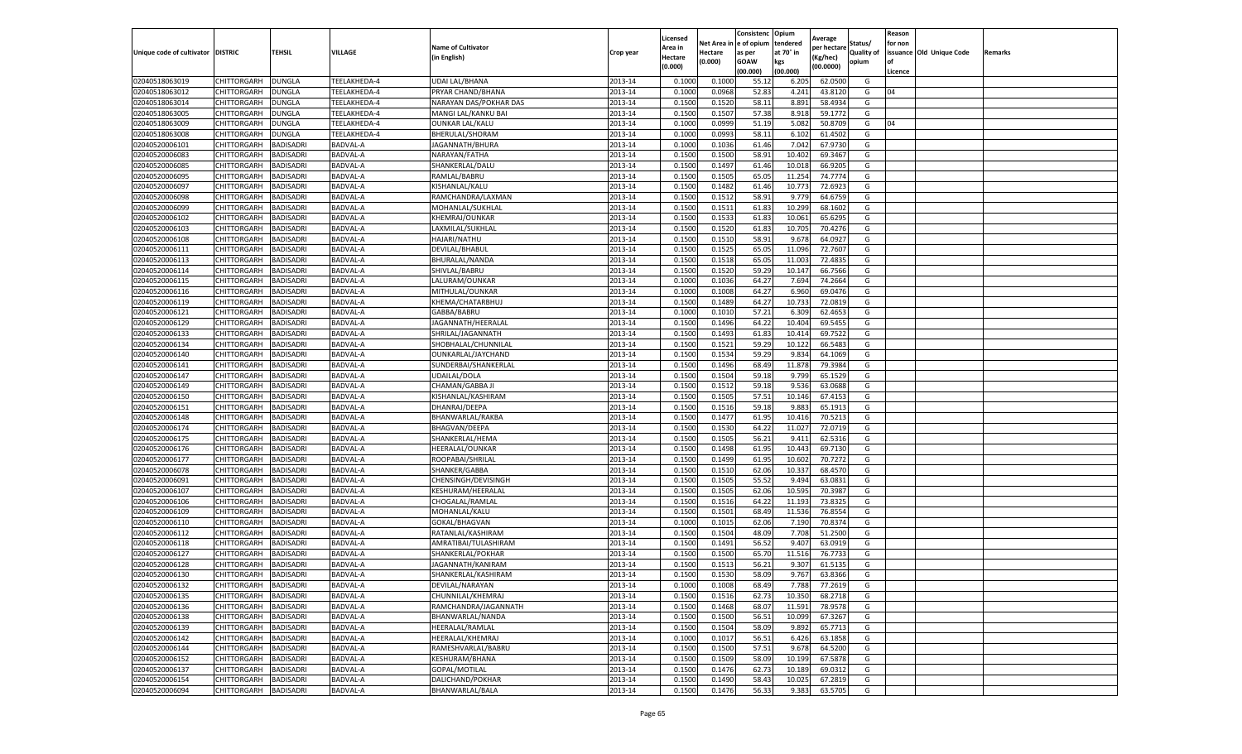|                                   |                            |                               |                      |                                      |                    | Licensed         |                  | Consistenc     | Opium           |                        |                   | Reason  |                          |                |
|-----------------------------------|----------------------------|-------------------------------|----------------------|--------------------------------------|--------------------|------------------|------------------|----------------|-----------------|------------------------|-------------------|---------|--------------------------|----------------|
|                                   |                            |                               |                      | <b>Name of Cultivator</b>            |                    | Area in          | Net Area i       | e of opium     | tendered        | Average<br>per hectare | Status/           | for non |                          |                |
| Unique code of cultivator DISTRIC |                            | TEHSIL                        | VILLAGE              | (in English)                         | Crop year          | Hectare          | Hectare          | as per         | at 70° in       | (Kg/hec)               | <b>Quality of</b> |         | issuance Old Unique Code | <b>Remarks</b> |
|                                   |                            |                               |                      |                                      |                    | (0.000)          | (0.000)          | <b>GOAW</b>    | kgs             | (00.0000)              | opium             | οf      |                          |                |
|                                   |                            |                               |                      |                                      |                    |                  |                  | (00.000        | (00.000)        |                        |                   | Licence |                          |                |
| 02040518063019                    | CHITTORGARH                | <b>DUNGLA</b>                 | TEELAKHEDA-4         | <b>UDAI LAL/BHANA</b>                | 2013-14            | 0.1000           | 0.1000           | 55.1           | 6.205           | 62.0500                | G                 |         |                          |                |
| 02040518063012                    | CHITTORGARH                | DUNGLA                        | TEELAKHEDA-4         | PRYAR CHAND/BHANA                    | 2013-14            | 0.100            | 0.0968           | 52.83          | 4.241           | 43.8120                | G                 | 04      |                          |                |
| 02040518063014                    | CHITTORGARH                | DUNGLA                        | TEELAKHEDA-4         | NARAYAN DAS/POKHAR DAS               | 2013-14            | 0.1500           | 0.1520           | 58.1           | 8.891           | 58.4934                | G                 |         |                          |                |
| 02040518063005                    | CHITTORGARH                | <b>DUNGLA</b>                 | TEELAKHEDA-4         | MANGI LAL/KANKU BAI                  | 2013-14            | 0.1500           | 0.1507           | 57.38          | 8.918           | 59.1772                | G                 |         |                          |                |
| 02040518063009                    | CHITTORGARH                | DUNGLA                        | TEELAKHEDA-4         | <b>OUNKAR LAL/KALU</b>               | 2013-14            | 0.1000           | 0.0999           | 51.19          | 5.082           | 50.8709                | G                 | 04      |                          |                |
| 02040518063008                    | CHITTORGARH                | DUNGLA                        | TEELAKHEDA-4         | BHERULAL/SHORAM                      | 2013-14            | 0.1000           | 0.0993           | 58.11          | 6.102           | 61.4502                | G                 |         |                          |                |
| 02040520006101                    | CHITTORGARH                | BADISADRI                     | BADVAL-A             | JAGANNATH/BHURA                      | 2013-14            | 0.1000           | 0.1036           | 61.46          | 7.042           | 67.9730                | G                 |         |                          |                |
| 02040520006083                    | CHITTORGARH                | BADISADRI                     | <b>BADVAL-A</b>      | NARAYAN/FATHA                        | 2013-14            | 0.1500           | 0.1500           | 58.91          | 10.402          | 69.3467                | G                 |         |                          |                |
| 02040520006085                    | CHITTORGARH                | BADISADRI                     | BADVAL-A             | SHANKERLAL/DALU                      | 2013-14            | 0.1500           | 0.1497           | 61.46          | 10.018          | 66.9205                | G                 |         |                          |                |
| 02040520006095                    | CHITTORGARH                | BADISADRI                     | BADVAL-A             | RAMLAL/BABRU                         | 2013-14            | 0.1500           | 0.1505           | 65.05          | 11.254          | 74.7774                | G                 |         |                          |                |
| 02040520006097                    | CHITTORGARH                | BADISADRI                     | <b>BADVAL-A</b>      | KISHANLAL/KALU                       | 2013-14            | 0.1500           | 0.1482           | 61.46          | 10.773          | 72.6923                | G                 |         |                          |                |
| 02040520006098                    | CHITTORGARH                | BADISADRI                     | <b>BADVAL-A</b>      | RAMCHANDRA/LAXMAN                    | 2013-14            | 0.1500           | 0.1512           | 58.91          | 9.779           | 64.6759                | G                 |         |                          |                |
| 02040520006099                    | CHITTORGARH                | BADISADRI                     | <b>BADVAL-A</b>      | MOHANLAL/SUKHLAI                     | 2013-14            | 0.1500           | 0.1511           | 61.83          | 10.299          | 68.1602                | G                 |         |                          |                |
| 02040520006102                    | CHITTORGARH                | BADISADRI                     | <b>BADVAL-A</b>      | KHEMRAJ/OUNKAR                       | 2013-14            | 0.1500           | 0.1533           | 61.83          | 10.06           | 65.6295                | G                 |         |                          |                |
| 02040520006103                    | CHITTORGARH                | BADISADRI                     | BADVAL-A             | LAXMILAL/SUKHLAL                     | 2013-14            | 0.1500           | 0.1520           | 61.83          | 10.705          | 70.4276                | G                 |         |                          |                |
| 02040520006108                    | CHITTORGARH                | BADISADRI                     | BADVAL-A             | HAJARI/NATHU                         | 2013-14            | 0.1500           | 0.1510           | 58.91          | 9.678           | 64.0927                | G                 |         |                          |                |
| 02040520006111                    | CHITTORGARH                | BADISADRI                     | BADVAL-A             | DEVILAL/BHABUL                       | 2013-14            | 0.1500           | 0.1525           | 65.0           | 11.096          | 72.7607                | G                 |         |                          |                |
| 02040520006113                    | CHITTORGARH                | BADISADRI                     | BADVAL-A             | BHURALAL/NANDA                       | 2013-14            | 0.1500           | 0.1518           | 65.05          | 11.003          | 72.4835                | G                 |         |                          |                |
| 02040520006114                    | CHITTORGARH                | BADISADRI                     | BADVAL-A             | SHIVLAL/BABRU                        | 2013-14            | 0.1500           | 0.1520           | 59.29          | 10.14           | 66.7566                | G                 |         |                          |                |
| 02040520006115                    | CHITTORGARH                | BADISADRI                     | <b>BADVAL-A</b>      | LALURAM/OUNKAR                       | 2013-14            | 0.1000           | 0.1036           | 64.27          | 7.694           | 74.2664                | G                 |         |                          |                |
| 02040520006116                    | CHITTORGARH                | BADISADRI                     | BADVAL-A             | MITHULAL/OUNKAR                      | 2013-14            | 0.1000           | 0.1008           | 64.27          | 6.960           | 69.0476                | G                 |         |                          |                |
| 02040520006119                    | CHITTORGARH                | BADISADRI                     | BADVAL-A             | KHEMA/CHATARBHUJ                     | 2013-14            | 0.1500           | 0.1489           | 64.27          | 10.733          | 72.0819                | G                 |         |                          |                |
| 02040520006121                    | CHITTORGARH                | BADISADRI                     | <b>BADVAL-A</b>      | GABBA/BABRU                          | 2013-14            | 0.1000           | 0.1010           | 57.21          | 6.309           | 62.4653                | G                 |         |                          |                |
| 02040520006129                    | CHITTORGARH                | BADISADRI                     | BADVAL-A             | JAGANNATH/HEERALAL                   | 2013-14            | 0.1500           | 0.1496           | 64.22          | 10.404          | 69.5455                | G                 |         |                          |                |
| 02040520006133                    | CHITTORGARH                | BADISADRI                     | BADVAL-A             | SHRILAL/JAGANNATH                    | 2013-14            | 0.1500           | 0.1493           | 61.83          | 10.41           | 69.7522                | G                 |         |                          |                |
| 02040520006134                    | CHITTORGARH                | BADISADRI                     | BADVAL-A             | SHOBHALAL/CHUNNILAL                  | 2013-14            | 0.1500           | 0.1521           | 59.29          | 10.122          | 66.5483                | G                 |         |                          |                |
| 02040520006140                    | CHITTORGARH                | BADISADRI                     | BADVAL-A             | OUNKARLAL/JAYCHAND                   | 2013-14            | 0.1500           | 0.1534           | 59.29          | 9.834           | 64.1069                | G                 |         |                          |                |
| 02040520006141                    | CHITTORGARH                | BADISADRI                     | BADVAL-A             | SUNDERBAI/SHANKERLAL                 | 2013-14            | 0.1500           | 0.1496           | 68.49          | 11.878          | 79.3984                | G                 |         |                          |                |
| 02040520006147                    | CHITTORGARH                | BADISADRI                     | BADVAL-A             | UDAILAL/DOLA                         | 2013-14            | 0.1500           | 0.1504           | 59.18          | 9.799           | 65.1529                | G                 |         |                          |                |
| 02040520006149                    | CHITTORGARH                | BADISADRI                     | BADVAL-A             | CHAMAN/GABBA J                       | 2013-14            | 0.1500           | 0.1512           | 59.18          | 9.536           | 63.0688                | G                 |         |                          |                |
| 02040520006150                    | CHITTORGARH                | BADISADRI                     | BADVAL-A             | KISHANLAL/KASHIRAM                   | 2013-14            | 0.1500           | 0.1505           | 57.51          | 10.146          | 67.4153                | G                 |         |                          |                |
| 02040520006151                    | CHITTORGARH                | BADISADRI                     | <b>BADVAL-A</b>      | DHANRAJ/DEEPA                        | 2013-14            | 0.1500           | 0.1516           | 59.18          | 9.883           | 65.1913                | G                 |         |                          |                |
| 02040520006148                    | CHITTORGARH                | BADISADRI                     | BADVAL-A             | BHANWARLAL/RAKBA                     | 2013-14            | 0.1500           | 0.1477           | 61.95          | 10.416          | 70.5213                | G                 |         |                          |                |
| 02040520006174                    | CHITTORGARH                | BADISADRI                     | BADVAL-A             | BHAGVAN/DEEPA                        | 2013-14            | 0.1500           | 0.1530           | 64.22          | 11.027          | 72.0719                | G                 |         |                          |                |
| 02040520006175                    | CHITTORGARH                | BADISADRI                     | <b>BADVAL-A</b>      | SHANKERLAL/HEMA                      | 2013-14            | 0.1500           | 0.1505           | 56.21          | 9.411           | 62.5316                | G                 |         |                          |                |
| 02040520006176                    | CHITTORGARH                | BADISADRI                     | BADVAL-A             | HEERALAL/OUNKAR                      | 2013-14            | 0.1500           | 0.1498           | 61.95          | 10.443          | 69.7130                | G                 |         |                          |                |
| 02040520006177                    | CHITTORGARH                | BADISADRI                     | <b>BADVAL-A</b>      | ROOPABAI/SHRILAL                     | 2013-14            | 0.1500           | 0.1499           | 61.95          | 10.602          | 70.7272                | G                 |         |                          |                |
| 02040520006078                    | CHITTORGARH                | BADISADRI                     | BADVAL-A             | SHANKER/GABBA                        | 2013-14            | 0.1500           | 0.1510           | 62.06          | 10.33           | 68.4570                | G                 |         |                          |                |
| 02040520006091                    | CHITTORGARH                | BADISADRI                     | BADVAL-A             | CHENSINGH/DEVISINGH                  | 2013-14            | 0.1500           | 0.1505           | 55.52          | 9.494           | 63.0831                | G                 |         |                          |                |
| 02040520006107                    | CHITTORGARH                | BADISADRI                     | BADVAL-A             | KESHURAM/HEERALAL                    | 2013-14            | 0.1500           | 0.1505           | 62.06          | 10.595          | 70.3987                | G                 |         |                          |                |
| 02040520006106                    | CHITTORGARH                | BADISADRI                     | BADVAL-A             | CHOGALAL/RAMLAL                      | 2013-14            | 0.1500           | 0.1516           | 64.22          | 11.193          | 73.8325                | G                 |         |                          |                |
| 02040520006109                    | CHITTORGARH                | BADISADRI                     | BADVAL-A             | MOHANLAL/KALU                        | 2013-14            | 0.1500           | 0.1501           | 68.49          | 11.536          | 76.8554                | G                 |         |                          |                |
| 02040520006110                    | CHITTORGARH                | BADISADRI                     | BADVAL-A             | GOKAL/BHAGVAN                        | 2013-14            | 0.1000           | 0.1015           | 62.06          | 7.190           | 70.8374                | G                 |         |                          |                |
| 02040520006112                    | CHITTORGARH                | BADISADRI                     | BADVAL-A             | RATANLAL/KASHIRAM                    | 2013-14            | 0.1500           | 0.1504           | 48.09          | 7.708           | 51.2500                | G                 |         |                          |                |
| 02040520006118                    | CHITTORGARH                | BADISADRI                     | BADVAL-A             | AMRATIBAI/TULASHIRAM                 | 2013-14            | 0.1500           | 0.1491           | 56.52          | 9.407           | 63.0919                | G                 |         |                          |                |
| 02040520006127                    | CHITTORGARH                | BADISADRI                     | BADVAL-A             | SHANKERLAL/POKHAR                    | 2013-14            | 0.150            | 0.1500           | 65.70          | 11.516          | 76.7733                | G                 |         |                          |                |
| 02040520006128                    | CHITTORGARH                | BADISADRI                     | BADVAL-A             | JAGANNATH/KANIRAM                    | 2013-14            | 0.1500           | 0.1513           | 56.21          | 9.307           | 61.5135                | G                 |         |                          |                |
| 02040520006130                    | CHITTORGARH                | <b>BADISADRI</b>              | BADVAL-A             | SHANKERLAL/KASHIRAM                  | 2013-14            | 0.1500           | 0.1530           | 58.09          | 9.767           | 63.8366                | G                 |         |                          |                |
|                                   |                            |                               |                      |                                      |                    |                  |                  |                |                 |                        |                   |         |                          |                |
| 02040520006132<br>02040520006135  | CHITTORGARH<br>CHITTORGARH | <b>BADISADRI</b><br>BADISADRI | BADVAL-A<br>BADVAL-A | DEVILAL/NARAYAN<br>CHUNNILAL/KHEMRAJ | 2013-14<br>2013-14 | 0.1000<br>0.1500 | 0.1008<br>0.1516 | 68.49<br>62.73 | 7.788<br>10.350 | 77.2619<br>68.2718     | G<br>G            |         |                          |                |
|                                   |                            |                               |                      | RAMCHANDRA/JAGANNATH                 | 2013-14            |                  |                  | 68.07          |                 |                        | G                 |         |                          |                |
| 02040520006136                    | CHITTORGARH                | BADISADRI                     | BADVAL-A             |                                      |                    | 0.1500           | 0.1468           |                | 11.591          | 78.9578                |                   |         |                          |                |
| 02040520006138                    | CHITTORGARH                | BADISADRI                     | BADVAL-A             | BHANWARLAL/NANDA                     | 2013-14            | 0.1500           | 0.1500           | 56.51          | 10.099          | 67.3267                | G                 |         |                          |                |
| 02040520006139                    | CHITTORGARH                | BADISADRI                     | BADVAL-A             | HEERALAL/RAMLAL                      | 2013-14            | 0.1500           | 0.1504           | 58.09          | 9.892           | 65.7713                | G                 |         |                          |                |
| 02040520006142                    | CHITTORGARH                | <b>BADISADRI</b>              | BADVAL-A             | HEERALAL/KHEMRAJ                     | 2013-14            | 0.1000           | 0.1017           | 56.51          | 6.426           | 63.1858                | G                 |         |                          |                |
| 02040520006144                    | CHITTORGARH                | BADISADRI                     | BADVAL-A             | RAMESHVARLAL/BABRU                   | 2013-14            | 0.1500           | 0.1500           | 57.51          | 9.678           | 64.5200                | G                 |         |                          |                |
| 02040520006152                    | CHITTORGARH                | BADISADRI                     | BADVAL-A             | KESHURAM/BHANA                       | 2013-14            | 0.1500           | 0.1509           | 58.09          | 10.199          | 67.5878                | G                 |         |                          |                |
| 02040520006137                    | CHITTORGARH                | BADISADRI                     | BADVAL-A             | GOPAL/MOTILAL                        | 2013-14            | 0.1500           | 0.1476           | 62.73          | 10.189          | 69.0312                | G                 |         |                          |                |
| 02040520006154                    | CHITTORGARH                | BADISADRI                     | BADVAL-A             | DALICHAND/POKHAR                     | 2013-14            | 0.1500           | 0.1490           | 58.43          | 10.025          | 67.2819                | G                 |         |                          |                |
| 02040520006094                    | CHITTORGARH                | <b>BADISADRI</b>              | BADVAL-A             | BHANWARLAL/BALA                      | 2013-14            | 0.1500           | 0.1476           | 56.33          | 9.383           | 63.5705                | G                 |         |                          |                |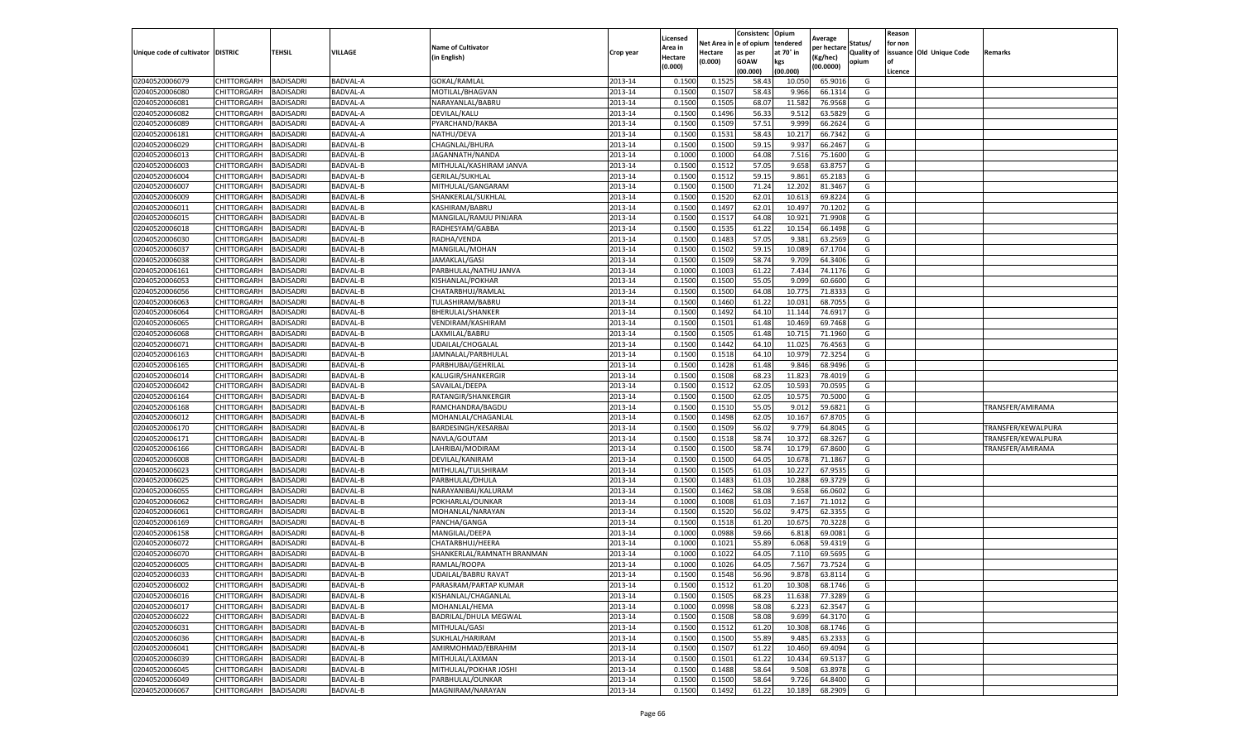|                           |                       |                  |                 |                              |           | Licensed |         | Consistenc             | Opium     |                        |                   | Reason  |                          |                    |
|---------------------------|-----------------------|------------------|-----------------|------------------------------|-----------|----------|---------|------------------------|-----------|------------------------|-------------------|---------|--------------------------|--------------------|
|                           |                       |                  |                 | <b>Name of Cultivator</b>    |           | Area in  |         | Net Area in e of opium | tendered  | Average<br>per hectare | Status/           | for non |                          |                    |
| Unique code of cultivator | <b>DISTRIC</b>        | TEHSIL           | VILLAGE         | in English)                  | Crop year | Hectare  | Hectare | as per                 | at 70° in | (Kg/hec                | <b>Quality of</b> |         | issuance Old Unique Code | <b>Remarks</b>     |
|                           |                       |                  |                 |                              |           | (0.000)  | (0.000) | <b>GOAW</b>            | kgs       | (00.0000)              | opium             |         |                          |                    |
|                           |                       |                  |                 |                              |           |          |         | (00.000)               | (00.000)  |                        |                   | Licence |                          |                    |
| 02040520006079            | CHITTORGARH           | <b>BADISADRI</b> | BADVAL-A        | <b>GOKAL/RAMLAL</b>          | 2013-14   | 0.1500   | 0.1525  | 58.43                  | 10.05     | 65.901                 | G                 |         |                          |                    |
| 02040520006080            | CHITTORGARH           | <b>BADISADRI</b> | BADVAL-A        | MOTILAL/BHAGVAN              | 2013-14   | 0.1500   | 0.1507  | 58.43                  | 9.966     | 66.1314                | G                 |         |                          |                    |
| 02040520006081            | CHITTORGARH           | <b>BADISADRI</b> | BADVAL-A        | NARAYANLAL/BABRU             | 2013-14   | 0.1500   | 0.1505  | 68.07                  | 11.582    | 76.9568                | G                 |         |                          |                    |
| 02040520006082            | CHITTORGARH           | <b>BADISADRI</b> | BADVAL-A        | DEVILAL/KALU                 | 2013-14   | 0.1500   | 0.1496  | 56.33                  | 9.512     | 63.5829                | G                 |         |                          |                    |
| 02040520006089            | CHITTORGARH           | <b>BADISADRI</b> | BADVAL-A        | PYARCHAND/RAKBA              | 2013-14   | 0.1500   | 0.1509  | 57.51                  | 9.999     | 66.2624                | G                 |         |                          |                    |
| 02040520006181            | CHITTORGARH           | <b>BADISADRI</b> | BADVAL-A        | NATHU/DEVA                   | 2013-14   | 0.1500   | 0.1531  | 58.43                  | 10.21     | 66.7342                | G                 |         |                          |                    |
| 02040520006029            | CHITTORGARH           | <b>BADISADRI</b> | BADVAL-B        | CHAGNLAL/BHURA               | 2013-14   | 0.1500   | 0.1500  | 59.15                  | 9.937     | 66.2467                | G                 |         |                          |                    |
| 02040520006013            | CHITTORGARH           | BADISADRI        | BADVAL-B        | JAGANNATH/NANDA              | 2013-14   | 0.1000   | 0.1000  | 64.08                  | 7.516     | 75.1600                | G                 |         |                          |                    |
| 02040520006003            | CHITTORGARH           | <b>BADISADRI</b> | BADVAL-B        | MITHULAL/KASHIRAM JANVA      | 2013-14   | 0.1500   | 0.1512  | 57.05                  | 9.658     | 63.8757                | G                 |         |                          |                    |
| 02040520006004            | CHITTORGARH           | <b>BADISADRI</b> | BADVAL-B        | <b>GERILAL/SUKHLAL</b>       | 2013-14   | 0.1500   | 0.1512  | 59.15                  | 9.861     | 65.2183                | G                 |         |                          |                    |
| 02040520006007            | CHITTORGARH           | <b>BADISADRI</b> | BADVAL-B        | MITHULAL/GANGARAM            | 2013-14   | 0.1500   | 0.1500  | 71.24                  | 12.202    | 81.3467                | G                 |         |                          |                    |
| 02040520006009            | CHITTORGARH           | <b>BADISADRI</b> | BADVAL-B        | SHANKERLAL/SUKHLAL           | 2013-14   | 0.1500   | 0.1520  | 62.01                  | 10.61     | 69.8224                | G                 |         |                          |                    |
| 02040520006011            | CHITTORGARH           | <b>BADISADRI</b> | BADVAL-B        | KASHIRAM/BABRL               | 2013-14   | 0.1500   | 0.1497  | 62.01                  | 10.49     | 70.1202                | G                 |         |                          |                    |
| 02040520006015            | CHITTORGARH           | <b>BADISADRI</b> | BADVAL-B        | MANGILAL/RAMJU PINJARA       | 2013-14   | 0.1500   | 0.1517  | 64.08                  | 10.92     | 71.9908                | G                 |         |                          |                    |
| 02040520006018            | CHITTORGARH           | <b>BADISADRI</b> | BADVAL-B        | RADHESYAM/GABBA              | 2013-14   | 0.1500   | 0.1535  | 61.22                  | 10.154    | 66.1498                | G                 |         |                          |                    |
| 02040520006030            | CHITTORGARH           | <b>BADISADRI</b> | <b>BADVAL-B</b> | RADHA/VENDA                  | 2013-14   | 0.1500   | 0.1483  | 57.05                  | 9.381     | 63.2569                | G                 |         |                          |                    |
| 02040520006037            | CHITTORGARH           | <b>BADISADRI</b> | BADVAL-B        | MANGILAL/MOHAN               | 2013-14   | 0.1500   | 0.1502  | 59.15                  | 10.08     | 67.1704                | G                 |         |                          |                    |
| 02040520006038            | CHITTORGARH           | <b>BADISADRI</b> | BADVAL-B        | JAMAKLAL/GASI                | 2013-14   | 0.1500   | 0.1509  | 58.74                  | 9.709     | 64.3406                | G                 |         |                          |                    |
| 02040520006161            | CHITTORGARH           | <b>BADISADRI</b> | BADVAL-B        | PARBHULAL/NATHU JANVA        | 2013-14   | 0.1000   | 0.1003  | 61.22                  | 7.43      | 74.1176                | G                 |         |                          |                    |
| 02040520006053            | CHITTORGARH           | <b>BADISADRI</b> | BADVAL-B        | KISHANLAL/POKHAR             | 2013-14   | 0.1500   | 0.1500  | 55.05                  | 9.099     | 60.6600                | G                 |         |                          |                    |
| 02040520006056            | CHITTORGARH           | <b>BADISADRI</b> | BADVAL-B        | CHATARBHUJ/RAMLAL            | 2013-14   | 0.1500   | 0.1500  | 64.08                  | 10.775    | 71.8333                | G                 |         |                          |                    |
| 02040520006063            | CHITTORGARH           | <b>BADISADRI</b> | BADVAL-B        | TULASHIRAM/BABRU             | 2013-14   | 0.1500   | 0.1460  | 61.22                  | 10.03     | 68.7055                | G                 |         |                          |                    |
| 02040520006064            | CHITTORGARH           | <b>BADISADRI</b> | BADVAL-B        | <b>BHERULAL/SHANKER</b>      | 2013-14   | 0.1500   | 0.1492  | 64.10                  | 11.144    | 74.6917                | G                 |         |                          |                    |
| 02040520006065            | CHITTORGARH           | <b>BADISADRI</b> | BADVAL-B        | VENDIRAM/KASHIRAM            | 2013-14   | 0.1500   | 0.1501  | 61.48                  | 10.469    | 69.7468                | G                 |         |                          |                    |
| 02040520006068            | CHITTORGARH           | <b>BADISADRI</b> | BADVAL-B        | LAXMILAL/BABRU               | 2013-14   | 0.1500   | 0.1505  | 61.48                  | 10.71     | 71.1960                | G                 |         |                          |                    |
| 02040520006071            | CHITTORGARH           | <b>BADISADRI</b> | BADVAL-B        | UDAILAL/CHOGALAL             | 2013-14   | 0.1500   | 0.1442  | 64.10                  | 11.025    | 76.4563                | G                 |         |                          |                    |
| 02040520006163            | CHITTORGARH           | BADISADRI        | BADVAL-B        | JAMNALAL/PARBHULAI           | 2013-14   | 0.1500   | 0.1518  | 64.10                  | 10.979    | 72.3254                | G                 |         |                          |                    |
| 02040520006165            | CHITTORGARH           | <b>BADISADRI</b> | BADVAL-B        | PARBHUBAI/GEHRILAL           | 2013-14   | 0.1500   | 0.1428  | 61.48                  | 9.846     | 68.9496                | G                 |         |                          |                    |
| 02040520006014            | CHITTORGARH           | <b>BADISADRI</b> | BADVAL-B        | KALUGIR/SHANKERGIR           | 2013-14   | 0.1500   | 0.1508  | 68.23                  | 11.823    | 78.4019                | G                 |         |                          |                    |
| 02040520006042            | CHITTORGARH           | <b>BADISADRI</b> | BADVAL-B        | SAVAILAL/DEEPA               | 2013-14   | 0.1500   | 0.1512  | 62.05                  | 10.593    | 70.0595                | G                 |         |                          |                    |
| 02040520006164            | CHITTORGARH           | <b>BADISADRI</b> | BADVAL-B        | RATANGIR/SHANKERGIR          | 2013-14   | 0.1500   | 0.1500  | 62.05                  | 10.57     | 70.5000                | G                 |         |                          |                    |
| 02040520006168            | CHITTORGARH           | <b>BADISADRI</b> | BADVAL-B        | RAMCHANDRA/BAGDU             | 2013-14   | 0.1500   | 0.1510  | 55.05                  | 9.01      | 59.6821                | G                 |         |                          | TRANSFER/AMIRAMA   |
| 02040520006012            | CHITTORGARH           | <b>BADISADRI</b> | BADVAL-B        | MOHANLAL/CHAGANLAI           | 2013-14   | 0.1500   | 0.1498  | 62.05                  | 10.167    | 67.8705                | G                 |         |                          |                    |
| 02040520006170            | CHITTORGARH           | <b>BADISADRI</b> | BADVAL-B        | BARDESINGH/KESARBAI          | 2013-14   | 0.1500   | 0.1509  | 56.02                  | 9.779     | 64.8045                | G                 |         |                          | TRANSFER/KEWALPURA |
| 02040520006171            | CHITTORGARH           | <b>BADISADRI</b> | BADVAL-B        | NAVLA/GOUTAM                 | 2013-14   | 0.1500   | 0.1518  | 58.74                  | 10.372    | 68.3267                | G                 |         |                          | TRANSFER/KEWALPURA |
| 02040520006166            | CHITTORGARH           | <b>BADISADRI</b> | BADVAL-B        | LAHRIBAI/MODIRAM             | 2013-14   | 0.1500   | 0.1500  | 58.74                  | 10.17     | 67.8600                | G                 |         |                          | TRANSFER/AMIRAMA   |
| 02040520006008            | CHITTORGARH           | <b>BADISADRI</b> | BADVAL-B        | DEVILAL/KANIRAM              | 2013-14   | 0.1500   | 0.1500  | 64.05                  | 10.67     | 71.1867                | G                 |         |                          |                    |
| 02040520006023            | CHITTORGARH           | <b>BADISADRI</b> | BADVAL-B        | MITHULAL/TULSHIRAM           | 2013-14   | 0.1500   | 0.1505  | 61.03                  | 10.22     | 67.9535                | G                 |         |                          |                    |
| 02040520006025            | CHITTORGARH           | BADISADRI        | BADVAL-B        | PARBHULAL/DHULA              | 2013-14   | 0.1500   | 0.1483  | 61.03                  | 10.28     | 69.3729                | G                 |         |                          |                    |
| 02040520006055            | CHITTORGARH           | <b>BADISADRI</b> | BADVAL-B        | NARAYANIBAI/KALURAM          | 2013-14   | 0.1500   | 0.1462  | 58.08                  | 9.658     | 66.0602                | G                 |         |                          |                    |
| 02040520006062            | CHITTORGARH           | <b>BADISADRI</b> | BADVAL-B        | POKHARLAL/OUNKAR             | 2013-14   | 0.1000   | 0.1008  | 61.03                  | 7.16      | 71.1012                | G                 |         |                          |                    |
| 02040520006061            | CHITTORGARH           | <b>BADISADRI</b> | BADVAL-B        | MOHANLAL/NARAYAN             | 2013-14   | 0.1500   | 0.1520  | 56.02                  | 9.475     | 62.3355                | G                 |         |                          |                    |
| 02040520006169            | CHITTORGARH           | <b>BADISADRI</b> | BADVAL-B        | PANCHA/GANGA                 | 2013-14   | 0.1500   | 0.1518  | 61.20                  | 10.675    | 70.3228                | G                 |         |                          |                    |
| 02040520006158            | CHITTORGARH           | <b>BADISADRI</b> | BADVAL-B        | MANGILAL/DEEPA               | 2013-14   | 0.1000   | 0.0988  | 59.66                  | 6.81      | 69.0081                | G                 |         |                          |                    |
| 02040520006072            | <b>CHITTORGARH</b>    | <b>BADISADRI</b> | BADVAL-B        | CHATARBHUJ/HEERA             | 2013-14   | 0.1000   | 0.1021  | 55.89                  | 6.068     | 59.4319                | G                 |         |                          |                    |
| 02040520006070            | CHITTORGARH           | BADISADRI        | BADVAL-B        | SHANKERLAL/RAMNATH BRANMAN   | 2013-14   | 0.1000   | 0.1022  | 64.05                  | 7.11      | 69.5695                | G                 |         |                          |                    |
| 02040520006005            | CHITTORGARH           | <b>BADISADRI</b> | <b>BADVAL-B</b> | RAMLAL/ROOPA                 | 2013-14   | 0.1000   | 0.1026  | 64.05                  | 7.567     | 73.7524                | G                 |         |                          |                    |
| 02040520006033            | CHITTORGARH           | <b>BADISADRI</b> | BADVAL-B        | UDAILAL/BABRU RAVAT          | 2013-14   | 0.1500   | 0.1548  | 56.96                  | 9.878     | 63.8114                | G                 |         |                          |                    |
| 02040520006002            | CHITTORGARH BADISADRI |                  | BADVAL-B        | PARASRAM/PARTAP KUMAR        | 2013-14   | 0.1500   | 0.1512  | 61.20                  | 10.308    | 68.1746                | G                 |         |                          |                    |
| 02040520006016            | CHITTORGARH           | <b>BADISADRI</b> | BADVAL-B        | KISHANLAL/CHAGANLAL          | 2013-14   | 0.1500   | 0.1505  | 68.23                  | 11.638    | 77.3289                | G                 |         |                          |                    |
| 02040520006017            | <b>CHITTORGARH</b>    | <b>BADISADRI</b> | BADVAL-B        | MOHANLAL/HEMA                | 2013-14   | 0.1000   | 0.0998  | 58.08                  | 6.223     | 62.3547                | G                 |         |                          |                    |
| 02040520006022            | CHITTORGARH           | <b>BADISADRI</b> | BADVAL-B        | <b>BADRILAL/DHULA MEGWAL</b> | 2013-14   | 0.1500   | 0.1508  | 58.08                  | 9.699     | 64.3170                | G                 |         |                          |                    |
| 02040520006031            | CHITTORGARH           | <b>BADISADRI</b> | BADVAL-B        | MITHULAL/GASI                | 2013-14   | 0.1500   | 0.1512  | 61.20                  | 10.308    | 68.1746                | G                 |         |                          |                    |
| 02040520006036            | <b>CHITTORGARH</b>    | <b>BADISADRI</b> | BADVAL-B        | SUKHLAL/HARIRAM              | 2013-14   | 0.1500   | 0.1500  | 55.89                  | 9.485     | 63.2333                | G                 |         |                          |                    |
| 02040520006041            | CHITTORGARH           | <b>BADISADRI</b> | BADVAL-B        | AMIRMOHMAD/EBRAHIM           | 2013-14   | 0.1500   | 0.1507  | 61.22                  | 10.460    | 69.4094                | G                 |         |                          |                    |
| 02040520006039            | <b>CHITTORGARH</b>    | <b>BADISADRI</b> | BADVAL-B        | MITHULAL/LAXMAN              | 2013-14   | 0.1500   | 0.1501  | 61.22                  | 10.434    | 69.5137                | G                 |         |                          |                    |
| 02040520006045            | CHITTORGARH           | <b>BADISADRI</b> | BADVAL-B        | MITHULAL/POKHAR JOSHI        | 2013-14   | 0.1500   | 0.1488  | 58.64                  | 9.508     | 63.8978                | G                 |         |                          |                    |
| 02040520006049            | CHITTORGARH           | <b>BADISADRI</b> | BADVAL-B        | PARBHULAL/OUNKAR             | 2013-14   | 0.1500   | 0.1500  | 58.64                  | 9.726     | 64.8400                | G                 |         |                          |                    |
| 02040520006067            | <b>CHITTORGARH</b>    | <b>BADISADRI</b> | BADVAL-B        | MAGNIRAM/NARAYAN             | 2013-14   | 0.1500   | 0.1492  | 61.22                  | 10.189    | 68.2909                | G                 |         |                          |                    |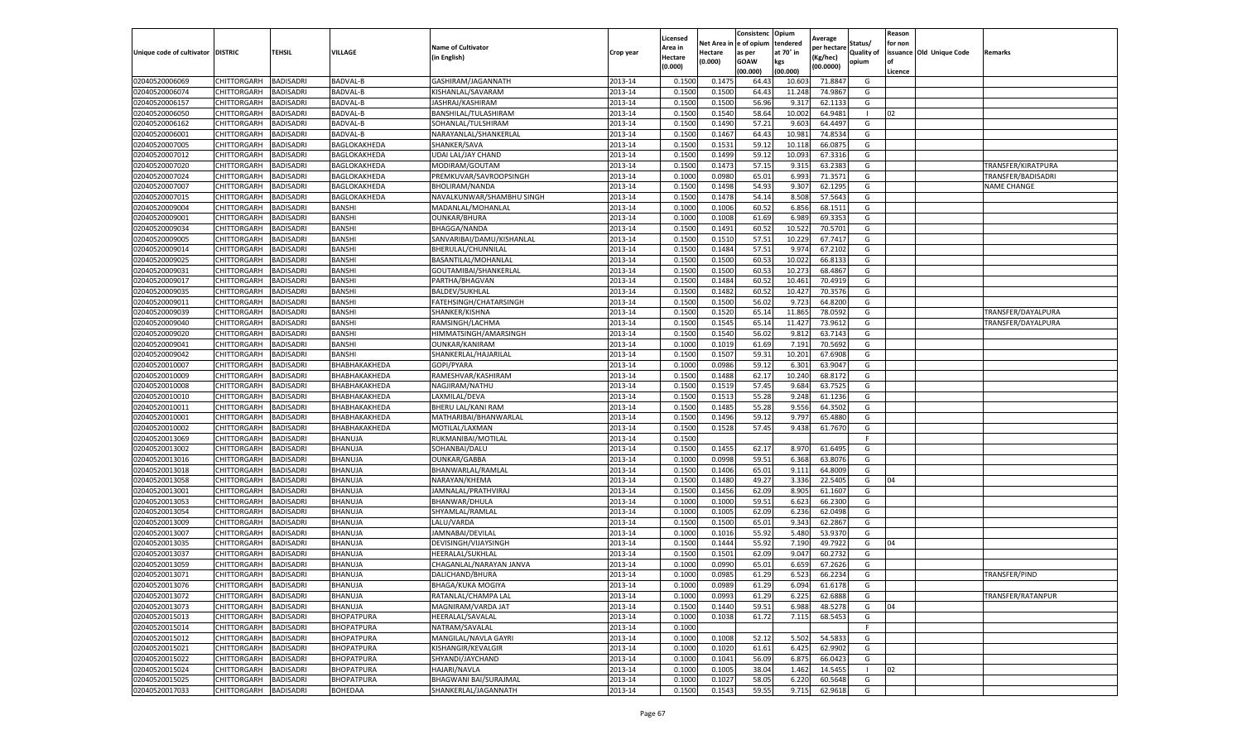|                                   |             |                  |                   |                              |           | Licensed |         | Consistenc              | Opium     | Average     |            | Reason  |                          |                    |
|-----------------------------------|-------------|------------------|-------------------|------------------------------|-----------|----------|---------|-------------------------|-----------|-------------|------------|---------|--------------------------|--------------------|
|                                   |             |                  |                   | <b>Name of Cultivator</b>    |           | Area in  |         | Net Area in le of opium | tendered  | per hectare | Status/    | for non |                          |                    |
| Unique code of cultivator DISTRIC |             | <b>TEHSIL</b>    | VILLAGE           | (in English)                 | Crop year | Hectare  | Hectare | as per                  | at 70° in | Kg/hec)     | Quality of |         | issuance Old Unique Code | Remarks            |
|                                   |             |                  |                   |                              |           | (0.000)  | (0.000) | GOAW                    | kgs       | (00.0000)   | opium      | l of    |                          |                    |
|                                   |             |                  |                   |                              |           |          |         | (00.000)                | (00.000)  |             |            | Licence |                          |                    |
| 02040520006069                    | CHITTORGARH | BADISADRI        | <b>BADVAL-B</b>   | GASHIRAM/JAGANNATH           | 2013-14   | 0.150    | 0.147   | 64.4                    | 10.60     | 71.884      | G          |         |                          |                    |
| 02040520006074                    | CHITTORGARH | BADISADRI        | <b>BADVAL-B</b>   | KISHANLAL/SAVARAM            | 2013-14   | 0.1500   | 0.150   | 64.4                    | 11.248    | 74.986      | G          |         |                          |                    |
| 02040520006157                    | CHITTORGARH | BADISADRI        | BADVAL-B          | JASHRAJ/KASHIRAM             | 2013-14   | 0.1500   | 0.1500  | 56.96                   | 9.317     | 62.113      | G          |         |                          |                    |
| 02040520006050                    | CHITTORGARH | <b>BADISADRI</b> | BADVAL-B          | BANSHILAL/TULASHIRAM         | 2013-14   | 0.1500   | 0.1540  | 58.64                   | 10.002    | 64.9481     |            | 02      |                          |                    |
| 02040520006162                    | CHITTORGARH | BADISADRI        | BADVAL-B          | SOHANLAL/TULSHIRAM           | 2013-14   | 0.1500   | 0.1490  | 57.21                   | 9.603     | 64.449      | G          |         |                          |                    |
| 02040520006001                    | CHITTORGARH | BADISADRI        | BADVAL-B          | NARAYANLAL/SHANKERLAI        | 2013-14   | 0.1500   | 0.1467  | 64.4                    | 10.98     | 74.853      | G          |         |                          |                    |
| 02040520007005                    | CHITTORGARH | BADISADRI        | BAGLOKAKHEDA      | SHANKER/SAVA                 | 2013-14   | 0.1500   | 0.153   | 59.12                   | 10.118    | 66.087      | G          |         |                          |                    |
| 02040520007012                    | CHITTORGARH | <b>BADISADRI</b> | BAGLOKAKHEDA      | UDAI LAL/JAY CHAND           | 2013-14   | 0.1500   | 0.1499  | 59.12                   | 10.093    | 67.331      | G          |         |                          |                    |
| 02040520007020                    | CHITTORGARH | BADISADRI        | BAGLOKAKHEDA      | MODIRAM/GOUTAM               | 2013-14   | 0.1500   | 0.1473  | 57.15                   | 9.315     | 63.238      | G          |         |                          | TRANSFER/KIRATPURA |
| 02040520007024                    | CHITTORGARH | BADISADRI        | BAGLOKAKHEDA      | PREMKUVAR/SAVROOPSINGH       | 2013-14   | 0.1000   | 0.0980  | 65.01                   | 6.993     | 71.3571     | G          |         |                          | TRANSFER/BADISADRI |
| 02040520007007                    | CHITTORGARH | BADISADRI        | BAGLOKAKHEDA      | BHOLIRAM/NANDA               | 2013-14   | 0.1500   | 0.1498  | 54.93                   | 9.307     | 62.1295     | G          |         |                          | <b>NAME CHANGE</b> |
| 02040520007015                    | CHITTORGARH | BADISADRI        | BAGLOKAKHEDA      | NAVALKUNWAR/SHAMBHU SINGH    | 2013-14   | 0.1500   | 0.1478  | 54.14                   | 8.508     | 57.564      | G          |         |                          |                    |
| 02040520009004                    | CHITTORGARH | BADISADRI        | BANSHI            | MADANLAL/MOHANLAL            | 2013-14   | 0.1000   | 0.100(  | 60.52                   | 6.856     | 68.151      | G          |         |                          |                    |
| 02040520009001                    | CHITTORGARH | BADISADRI        | BANSHI            | <b>OUNKAR/BHURA</b>          | 2013-14   | 0.1000   | 0.100   | 61.69                   | 6.989     | 69.335      | G          |         |                          |                    |
| 02040520009034                    | CHITTORGARH | BADISADRI        | BANSHI            | BHAGGA/NANDA                 | 2013-14   | 0.1500   | 0.1491  | 60.52                   | 10.522    | 70.570      | G          |         |                          |                    |
| 02040520009005                    | CHITTORGARH | BADISADRI        | BANSHI            | SANVARIBAI/DAMU/KISHANLAL    | 2013-14   | 0.1500   | 0.151   | 57.51                   | 10.229    | 67.741      | G          |         |                          |                    |
| 02040520009014                    | CHITTORGARH | BADISADRI        | BANSHI            | BHERULAL/CHUNNILAL           | 2013-14   | 0.1500   | 0.1484  | 57.51                   | 9.974     | 67.2102     | G          |         |                          |                    |
| 02040520009025                    | CHITTORGARH | BADISADRI        | BANSHI            | BASANTILAL/MOHANLAL          | 2013-14   | 0.1500   | 0.1500  | 60.5                    | 10.022    | 66.813      | G          |         |                          |                    |
| 02040520009031                    | CHITTORGARH | BADISADRI        | BANSH             | GOUTAMIBAI/SHANKERLAL        | 2013-14   | 0.1500   | 0.150   | 60.5                    | 10.273    | 68.486      | G          |         |                          |                    |
| 02040520009017                    | CHITTORGARH | <b>BADISADRI</b> | BANSHI            | PARTHA/BHAGVAN               | 2013-14   | 0.1500   | 0.1484  | 60.5                    | 10.46     | 70.491      | G          |         |                          |                    |
| 02040520009035                    | CHITTORGARH | BADISADRI        | BANSHI            | <b>BALDEV/SUKHLAL</b>        | 2013-14   | 0.1500   | 0.1482  | 60.52                   | 10.427    | 70.3576     | G          |         |                          |                    |
| 02040520009011                    | CHITTORGARH | BADISADRI        | BANSHI            | FATEHSINGH/CHATARSINGH       | 2013-14   | 0.1500   | 0.150   | 56.0                    | 9.723     | 64.820      | G          |         |                          |                    |
| 02040520009039                    | CHITTORGARH | <b>BADISADRI</b> | BANSHI            | SHANKER/KISHNA               | 2013-14   | 0.1500   | 0.1520  | 65.14                   | 11.865    | 78.0592     | G          |         |                          | TRANSFER/DAYALPURA |
| 02040520009040                    | CHITTORGARH | BADISADRI        | BANSHI            | RAMSINGH/LACHMA              | 2013-14   | 0.1500   | 0.1545  | 65.14                   | 11.427    | 73.961      | G          |         |                          | TRANSFER/DAYALPURA |
| 02040520009020                    | CHITTORGARH | BADISADRI        | BANSHI            | HIMMATSINGH/AMARSINGH        | 2013-14   | 0.1500   | 0.154   | 56.02                   | 9.81      | 63.714      | G          |         |                          |                    |
| 02040520009041                    | CHITTORGARH | BADISADRI        | BANSHI            | <b>OUNKAR/KANIRAM</b>        | 2013-14   | 0.1000   | 0.1019  | 61.69                   | 7.191     | 70.569      | G          |         |                          |                    |
| 02040520009042                    | CHITTORGARH | <b>BADISADRI</b> | BANSHI            | SHANKERLAL/HAJARILAI         | 2013-14   | 0.1500   | 0.1507  | 59.3                    | 10.20     | 67.690      | G          |         |                          |                    |
| 02040520010007                    | CHITTORGARH | BADISADRI        | ВНАВНАКАКНЕDА     | GOPI/PYARA                   | 2013-14   | 0.1000   | 0.0986  | 59.12                   | 6.301     | 63.904      | G          |         |                          |                    |
| 02040520010009                    | CHITTORGARH | <b>BADISADRI</b> | ВНАВНАКАКНЕДА     | RAMESHVAR/KASHIRAM           | 2013-14   | 0.1500   | 0.1488  | 62.17                   | 10.240    | 68.8172     | G          |         |                          |                    |
| 02040520010008                    | CHITTORGARH | BADISADRI        | ВНАВНАКАКНЕДА     | NAGJIRAM/NATHU               | 2013-14   | 0.1500   | 0.1519  | 57.45                   | 9.684     | 63.752      | G          |         |                          |                    |
| 02040520010010                    | CHITTORGARH | BADISADRI        | ВНАВНАКАКНЕDА     | LAXMILAL/DEVA                | 2013-14   | 0.1500   | 0.151   | 55.2                    | 9.248     | 61.123      | G          |         |                          |                    |
| 02040520010011                    | CHITTORGARH | BADISADRI        | ВНАВНАКАКНЕДА     | BHERU LAL/KANI RAM           | 2013-14   | 0.1500   | 0.148   | 55.28                   | 9.556     | 64.350      | G          |         |                          |                    |
| 02040520010001                    | CHITTORGARH | BADISADRI        | ВНАВНАКАКНЕДА     | MATHARIBAI/BHANWARLAL        | 2013-14   | 0.1500   | 0.1496  | 59.12                   | 9.797     | 65.488      | G          |         |                          |                    |
| 02040520010002                    | CHITTORGARH | BADISADRI        | BHABHAKAKHEDA     | MOTILAL/LAXMAN               | 2013-14   | 0.1500   | 0.1528  | 57.45                   | 9.438     | 61.767      | G          |         |                          |                    |
| 02040520013069                    | CHITTORGARH | <b>BADISADRI</b> | BHANUJA           | RUKMANIBAI/MOTILAL           | 2013-14   | 0.1500   |         |                         |           |             | E          |         |                          |                    |
| 02040520013002                    | CHITTORGARH | BADISADRI        | BHANUJA           | SOHANBAI/DALU                | 2013-14   | 0.1500   | 0.1455  | 62.17                   | 8.970     | 61.649      | G          |         |                          |                    |
| 02040520013016                    | CHITTORGARH | BADISADRI        | BHANUJA           | OUNKAR/GABBA                 | 2013-14   | 0.1000   | 0.0998  | 59.51                   | 6.368     | 63.807      | G          |         |                          |                    |
| 02040520013018                    | CHITTORGARH | <b>BADISADRI</b> | BHANUJA           | BHANWARLAL/RAMLAL            | 2013-14   | 0.1500   | 0.1406  | 65.01                   | 9.11      | 64.800      | G          |         |                          |                    |
| 02040520013058                    | CHITTORGARH | <b>BADISADRI</b> | BHANUJA           | NARAYAN/KHEMA                | 2013-14   | 0.1500   | 0.1480  | 49.27                   | 3.336     | 22.540      | G          | 04      |                          |                    |
| 02040520013001                    | CHITTORGARH | BADISADRI        | BHANUJA           | JAMNALAL/PRATHVIRAJ          | 2013-14   | 0.1500   | 0.1456  | 62.09                   | 8.905     | 61.1607     | G          |         |                          |                    |
| 02040520013053                    | CHITTORGARH | BADISADRI        | BHANUJA           | BHANWAR/DHULA                | 2013-14   | 0.1000   | 0.1000  | 59.51                   | 6.623     | 66.230      | G          |         |                          |                    |
| 02040520013054                    | CHITTORGARH | BADISADRI        | BHANUJA           | SHYAMLAL/RAMLAL              | 2013-14   | 0.1000   | 0.1005  | 62.09                   | 6.236     | 62.0498     | G          |         |                          |                    |
| 02040520013009                    | CHITTORGARH | BADISADRI        | BHANUJA           | LALU/VARDA                   | 2013-14   | 0.1500   | 0.1500  | 65.01                   | 9.343     | 62.286      | G          |         |                          |                    |
| 02040520013007                    | CHITTORGARH | BADISADRI        | BHANUJA           | JAMNABAI/DEVILAL             | 2013-14   | 0.1000   | 0.101   | 55.92                   | 5.480     | 53.937      | G          |         |                          |                    |
| 02040520013035                    | CHITTORGARH | BADISADRI        | BHANUJA           | DEVISINGH/VIJAYSINGH         | 2013-14   | 0.1500   | 0.1444  | 55.92                   | 7.190     | 49.792      | G          | 04      |                          |                    |
| 02040520013037                    | CHITTORGARH | BADISADRI        | BHANUJA           | HEERALAL/SUKHLAL             | 2013-14   | 0.1500   | 0.150   | 62.09                   | 9.047     | 60.273      | G          |         |                          |                    |
| 02040520013059                    | CHITTORGARH | BADISADRI        | BHANUJA           | CHAGANLAL/NARAYAN JANVA      | 2013-14   | 0.1000   | 0.099   | 65.01                   | 6.659     | 67.2626     | G          |         |                          |                    |
| 02040520013071                    | CHITTORGARH | <b>BADISADRI</b> | BHANUJA           | DALICHAND/BHURA              | 2013-14   | 0.1000   | 0.0985  | 61.29                   | 6.523     | 66.2234     | G          |         |                          | TRANSFER/PIND      |
| 02040520013076                    | CHITTORGARH | <b>BADISADRI</b> | BHANUJA           | BHAGA/KUKA MOGIYA            | 2013-14   | 0.1000   | 0.0989  | 61.29                   | 6.094     | 61.6178     | G          |         |                          |                    |
| 02040520013072                    | CHITTORGARH | BADISADRI        | BHANUJA           | RATANLAL/CHAMPA LAL          | 2013-14   | 0.1000   | 0.0993  | 61.29                   | 6.225     | 62.6888     | G          |         |                          | TRANSFER/RATANPUR  |
| 02040520013073                    | CHITTORGARH | <b>BADISADRI</b> | BHANUJA           | MAGNIRAM/VARDA JAT           | 2013-14   | 0.1500   | 0.1440  | 59.51                   | 6.988     | 48.5278     | G          | 04      |                          |                    |
| 02040520015013                    | CHITTORGARH | BADISADRI        | <b>BHOPATPURA</b> | HEERALAL/SAVALAL             | 2013-14   | 0.1000   | 0.1038  | 61.72                   | 7.115     | 68.5453     | G          |         |                          |                    |
| 02040520015014                    | CHITTORGARH | BADISADRI        | <b>BHOPATPURA</b> | NATRAM/SAVALAL               | 2013-14   | 0.1000   |         |                         |           |             | -F         |         |                          |                    |
| 02040520015012                    | CHITTORGARH | <b>BADISADRI</b> | <b>BHOPATPURA</b> | MANGILAL/NAVLA GAYRI         | 2013-14   | 0.1000   | 0.1008  | 52.12                   | 5.502     | 54.5833     | G          |         |                          |                    |
| 02040520015021                    | CHITTORGARH | BADISADRI        | <b>BHOPATPURA</b> | KISHANGIR/KEVALGIR           | 2013-14   | 0.1000   | 0.1020  | 61.61                   | 6.425     | 62.9902     | G          |         |                          |                    |
| 02040520015022                    | CHITTORGARH | BADISADRI        | <b>BHOPATPURA</b> | SHYANDI/JAYCHAND             | 2013-14   | 0.1000   | 0.1041  | 56.09                   | 6.875     | 66.0423     | G          |         |                          |                    |
| 02040520015024                    | CHITTORGARH | BADISADRI        | <b>BHOPATPURA</b> | HAJARI/NAVLA                 | 2013-14   | 0.1000   | 0.1005  | 38.04                   | 1.462     | 14.545      |            | 02      |                          |                    |
| 02040520015025                    | CHITTORGARH | BADISADRI        | <b>BHOPATPURA</b> | <b>BHAGWANI BAI/SURAJMAL</b> | 2013-14   | 0.1000   | 0.102   | 58.05                   | 6.220     | 60.5648     | G          |         |                          |                    |
| 02040520017033                    | CHITTORGARH | <b>BADISADRI</b> | BOHEDAA           | SHANKERLAL/JAGANNATH         | 2013-14   | 0.1500   | 0.1543  | 59.55                   | 9.715     | 62.9618     | G          |         |                          |                    |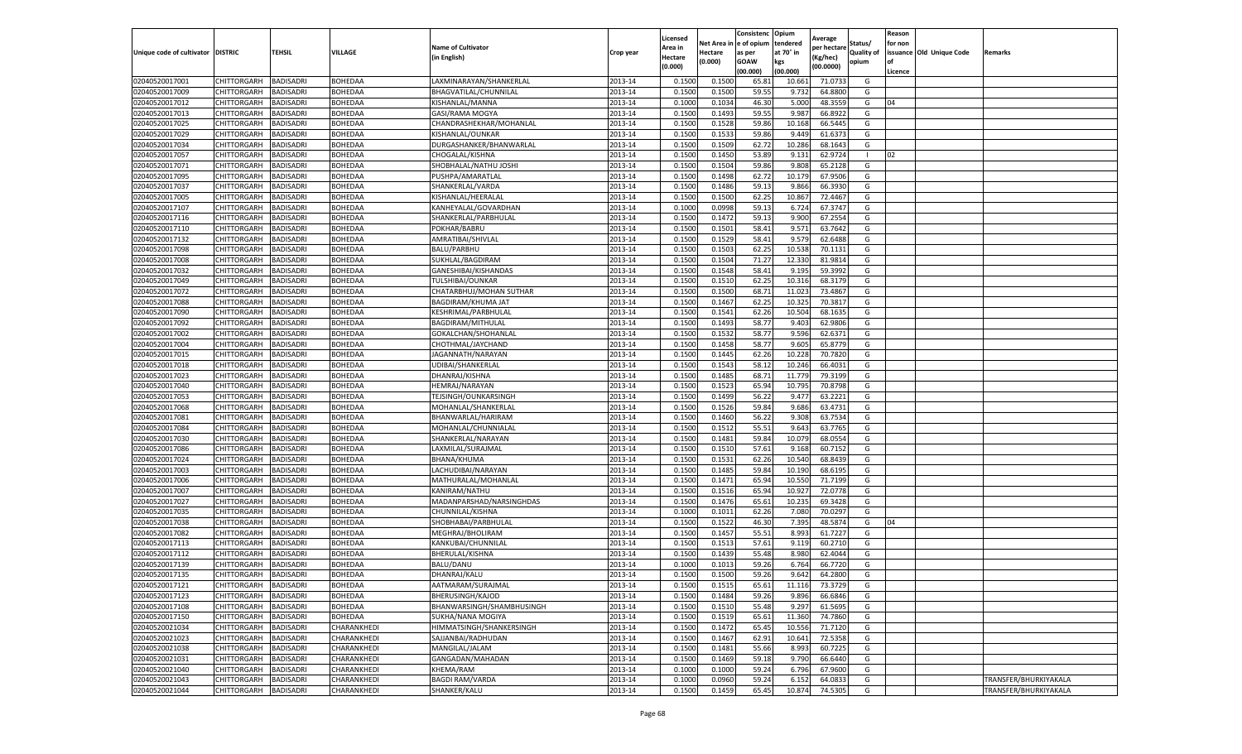|                                   |                       |                  |                |                           |           | Licensed |         | Consistenc             | Opium     |                        |                   | Reason  |                          |                       |
|-----------------------------------|-----------------------|------------------|----------------|---------------------------|-----------|----------|---------|------------------------|-----------|------------------------|-------------------|---------|--------------------------|-----------------------|
|                                   |                       |                  |                | <b>Name of Cultivator</b> |           | Area in  |         | Net Area in e of opium | tendered  | Average<br>per hectare | Status/           | for non |                          |                       |
| Unique code of cultivator DISTRIC |                       | TEHSIL           | VILLAGE        | in English)               | Crop year | Hectare  | Hectare | as per                 | at 70° in | (Kg/hec                | <b>Quality of</b> |         | issuance Old Unique Code | <b>Remarks</b>        |
|                                   |                       |                  |                |                           |           | (0.000)  | (0.000) | <b>GOAW</b>            | kgs       | (00.0000)              | opium             |         |                          |                       |
|                                   |                       |                  |                |                           |           |          |         | (00.000)               | (00.000)  |                        |                   | Licence |                          |                       |
| 02040520017001                    | CHITTORGARH           | <b>BADISADRI</b> | BOHEDAA        | LAXMINARAYAN/SHANKERLAI   | 2013-14   | 0.1500   | 0.1500  | 65.81                  | 10.661    | 71.0733                | G                 |         |                          |                       |
| 02040520017009                    | CHITTORGARH           | <b>BADISADRI</b> | <b>BOHEDAA</b> | BHAGVATILAL/CHUNNILAL     | 2013-14   | 0.1500   | 0.1500  | 59.55                  | 9.73      | 64.8800                | G                 |         |                          |                       |
| 02040520017012                    | CHITTORGARH           | <b>BADISADRI</b> | BOHEDAA        | KISHANLAL/MANNA           | 2013-14   | 0.1000   | 0.1034  | 46.30                  | 5.000     | 48.3559                | G                 | 04      |                          |                       |
| 02040520017013                    | CHITTORGARH           | <b>BADISADRI</b> | BOHEDAA        | GASI/RAMA MOGYA           | 2013-14   | 0.1500   | 0.1493  | 59.55                  | 9.987     | 66.8922                | G                 |         |                          |                       |
| 02040520017025                    | <b>CHITTORGARH</b>    | <b>BADISADRI</b> | BOHEDAA        | CHANDRASHEKHAR/MOHANLAL   | 2013-14   | 0.1500   | 0.1528  | 59.86                  | 10.16     | 66.5445                | G                 |         |                          |                       |
| 02040520017029                    | CHITTORGARH           | <b>BADISADRI</b> | BOHEDAA        | KISHANLAL/OUNKAR          | 2013-14   | 0.1500   | 0.1533  | 59.86                  | 9.449     | 61.6373                | G                 |         |                          |                       |
| 02040520017034                    | CHITTORGARH           | <b>BADISADRI</b> | BOHEDAA        | DURGASHANKER/BHANWARLAL   | 2013-14   | 0.1500   | 0.1509  | 62.72                  | 10.286    | 68.1643                | G                 |         |                          |                       |
| 02040520017057                    | CHITTORGARH           | BADISADRI        | BOHEDAA        | CHOGALAL/KISHNA           | 2013-14   | 0.1500   | 0.1450  | 53.89                  | 9.131     | 62.9724                | -1                | 02      |                          |                       |
| 02040520017071                    | CHITTORGARH           | <b>BADISADRI</b> | BOHEDAA        | SHOBHALAL/NATHU JOSHI     | 2013-14   | 0.1500   | 0.1504  | 59.86                  | 9.808     | 65.2128                | G                 |         |                          |                       |
| 02040520017095                    | CHITTORGARH           | <b>BADISADRI</b> | BOHEDAA        | PUSHPA/AMARATLAL          | 2013-14   | 0.1500   | 0.1498  | 62.72                  | 10.179    | 67.9506                | G                 |         |                          |                       |
| 02040520017037                    | CHITTORGARH           | <b>BADISADRI</b> | BOHEDAA        | SHANKERLAL/VARDA          | 2013-14   | 0.1500   | 0.1486  | 59.13                  | 9.866     | 66.3930                | G                 |         |                          |                       |
| 02040520017005                    | CHITTORGARH           | <b>BADISADRI</b> | BOHEDAA        | KISHANLAL/HEERALAI        | 2013-14   | 0.1500   | 0.1500  | 62.25                  | 10.86     | 72.4467                | G                 |         |                          |                       |
| 02040520017107                    | CHITTORGARH           | <b>BADISADRI</b> | BOHEDAA        | KANHEYALAL/GOVARDHAN      | 2013-14   | 0.1000   | 0.0998  | 59.13                  | 6.724     | 67.3747                | G                 |         |                          |                       |
| 02040520017116                    | CHITTORGARH           | <b>BADISADRI</b> | BOHEDAA        | SHANKERLAL/PARBHULAL      | 2013-14   | 0.1500   | 0.1472  | 59.13                  | 9.900     | 67.255                 | G                 |         |                          |                       |
| 02040520017110                    | CHITTORGARH           | <b>BADISADRI</b> | BOHEDAA        | POKHAR/BABRU              | 2013-14   | 0.1500   | 0.1501  | 58.41                  | 9.571     | 63.7642                | G                 |         |                          |                       |
| 02040520017132                    | CHITTORGARH           | <b>BADISADRI</b> | BOHEDAA        | AMRATIBAI/SHIVLAL         | 2013-14   | 0.1500   | 0.1529  | 58.41                  | 9.579     | 62.6488                | G                 |         |                          |                       |
| 02040520017098                    | CHITTORGARH           | <b>BADISADRI</b> | BOHEDAA        | BALU/PARBHU               | 2013-14   | 0.1500   | 0.1503  | 62.25                  | 10.538    | 70.1131                | G                 |         |                          |                       |
| 02040520017008                    | CHITTORGARH           | <b>BADISADRI</b> | BOHEDAA        | SUKHLAL/BAGDIRAM          | 2013-14   | 0.1500   | 0.1504  | 71.27                  | 12.33     | 81.9814                | G                 |         |                          |                       |
| 02040520017032                    | CHITTORGARH           | <b>BADISADRI</b> | BOHEDAA        | GANESHIBAI/KISHANDAS      | 2013-14   | 0.1500   | 0.1548  | 58.41                  | 9.195     | 59.3992                | G                 |         |                          |                       |
| 02040520017049                    | CHITTORGARH           | <b>BADISADRI</b> | BOHEDAA        | TULSHIBAI/OUNKAR          | 2013-14   | 0.1500   | 0.1510  | 62.25                  | 10.31     | 68.3179                | G                 |         |                          |                       |
| 02040520017072                    | CHITTORGARH           | <b>BADISADRI</b> | BOHEDAA        | CHATARBHUJ/MOHAN SUTHAR   | 2013-14   | 0.1500   | 0.1500  | 68.71                  | 11.023    | 73.4867                | G                 |         |                          |                       |
| 02040520017088                    | CHITTORGARH           | <b>BADISADRI</b> | BOHEDAA        | BAGDIRAM/KHUMA JAT        | 2013-14   | 0.1500   | 0.1467  | 62.25                  | 10.32     | 70.3817                | G                 |         |                          |                       |
| 02040520017090                    | CHITTORGARH           | <b>BADISADRI</b> | BOHEDAA        | KESHRIMAL/PARBHULAL       | 2013-14   | 0.1500   | 0.1541  | 62.26                  | 10.504    | 68.1635                | G                 |         |                          |                       |
| 02040520017092                    | CHITTORGARH           | <b>BADISADRI</b> | BOHEDAA        | BAGDIRAM/MITHULAL         | 2013-14   | 0.1500   | 0.1493  | 58.77                  | 9.403     | 62.9806                | G                 |         |                          |                       |
| 02040520017002                    | CHITTORGARH           | <b>BADISADRI</b> | BOHEDAA        | GOKALCHAN/SHOHANLAL       | 2013-14   | 0.1500   | 0.1532  | 58.77                  | 9.596     | 62.6371                | G                 |         |                          |                       |
| 02040520017004                    | CHITTORGARH           | <b>BADISADRI</b> | BOHEDAA        | CHOTHMAL/JAYCHAND         | 2013-14   | 0.1500   | 0.1458  | 58.77                  | 9.605     | 65.8779                | G                 |         |                          |                       |
| 02040520017015                    | CHITTORGARH           | BADISADRI        | BOHEDAA        | JAGANNATH/NARAYAN         | 2013-14   | 0.1500   | 0.1445  | 62.26                  | 10.22     | 70.7820                | G                 |         |                          |                       |
| 02040520017018                    | CHITTORGARH           | <b>BADISADRI</b> | BOHEDAA        | UDIBAI/SHANKERLAL         | 2013-14   | 0.1500   | 0.1543  | 58.12                  | 10.246    | 66.4031                | G                 |         |                          |                       |
| 02040520017023                    | CHITTORGARH           | <b>BADISADRI</b> | BOHEDAA        | DHANRAJ/KISHNA            | 2013-14   | 0.1500   | 0.1485  | 68.71                  | 11.779    | 79.3199                | G                 |         |                          |                       |
| 02040520017040                    | CHITTORGARH           | <b>BADISADRI</b> | BOHEDAA        | HEMRAJ/NARAYAN            | 2013-14   | 0.1500   | 0.1523  | 65.94                  | 10.795    | 70.8798                | G                 |         |                          |                       |
| 02040520017053                    | CHITTORGARH           | <b>BADISADRI</b> | BOHEDAA        | TEJSINGH/OUNKARSINGH      | 2013-14   | 0.1500   | 0.1499  | 56.22                  | 9.47      | 63.2221                | G                 |         |                          |                       |
| 02040520017068                    | CHITTORGARH           | <b>BADISADRI</b> | BOHEDAA        | MOHANLAL/SHANKERLAL       | 2013-14   | 0.1500   | 0.1526  | 59.84                  | 9.686     | 63.4731                | G                 |         |                          |                       |
| 02040520017081                    | CHITTORGARH           | <b>BADISADRI</b> | BOHEDAA        | BHANWARLAL/HARIRAM        | 2013-14   | 0.1500   | 0.1460  | 56.22                  | 9.30      | 63.7534                | G                 |         |                          |                       |
| 02040520017084                    | CHITTORGARH           | <b>BADISADRI</b> | BOHEDAA        | MOHANLAL/CHUNNIALAL       | 2013-14   | 0.1500   | 0.1512  | 55.51                  | 9.643     | 63.7765                | G                 |         |                          |                       |
| 02040520017030                    | CHITTORGARH           | <b>BADISADRI</b> | BOHEDAA        | SHANKERLAL/NARAYAN        | 2013-14   | 0.1500   | 0.1481  | 59.84                  | 10.079    | 68.0554                | G                 |         |                          |                       |
| 02040520017086                    | CHITTORGARH           | <b>BADISADRI</b> | BOHEDAA        | LAXMILAL/SURAJMAL         | 2013-14   | 0.1500   | 0.1510  | 57.61                  | 9.16      | 60.7152                | G                 |         |                          |                       |
| 02040520017024                    | CHITTORGARH           | <b>BADISADRI</b> | BOHEDAA        | BHANA/KHUMA               | 2013-14   | 0.1500   | 0.1531  | 62.26                  | 10.54     | 68.8439                | G                 |         |                          |                       |
| 02040520017003                    | CHITTORGARH           | <b>BADISADRI</b> | BOHEDAA        | LACHUDIBAI/NARAYAN        | 2013-14   | 0.1500   | 0.1485  | 59.84                  | 10.19     | 68.6195                | G                 |         |                          |                       |
| 02040520017006                    | CHITTORGARH           | BADISADRI        | <b>BOHEDAA</b> | MATHURALAL/MOHANLAL       | 2013-14   | 0.1500   | 0.1471  | 65.94                  | 10.55     | 71.7199                | G                 |         |                          |                       |
| 02040520017007                    | CHITTORGARH           | <b>BADISADRI</b> | BOHEDAA        | KANIRAM/NATHU             | 2013-14   | 0.1500   | 0.1516  | 65.94                  | 10.927    | 72.0778                | G                 |         |                          |                       |
| 02040520017027                    | CHITTORGARH           | <b>BADISADRI</b> | BOHEDAA        | MADANPARSHAD/NARSINGHDAS  | 2013-14   | 0.1500   | 0.1476  | 65.61                  | 10.23     | 69.3428                | G                 |         |                          |                       |
| 02040520017035                    | CHITTORGARH           | <b>BADISADRI</b> | <b>BOHEDAA</b> | CHUNNILAL/KISHNA          | 2013-14   | 0.1000   | 0.1011  | 62.26                  | 7.080     | 70.0297                | G                 |         |                          |                       |
| 02040520017038                    | CHITTORGARH           | <b>BADISADRI</b> | BOHEDAA        | SHOBHABAI/PARBHULAL       | 2013-14   | 0.1500   | 0.1522  | 46.30                  | 7.395     | 48.5874                | G                 | 04      |                          |                       |
| 02040520017082                    | CHITTORGARH           | <b>BADISADRI</b> | BOHEDAA        | MEGHRAJ/BHOLIRAM          | 2013-14   | 0.1500   | 0.1457  | 55.51                  | 8.993     | 61.7227                | G                 |         |                          |                       |
| 02040520017113                    | CHITTORGARH           | <b>BADISADRI</b> | BOHEDAA        | KANKUBAI/CHUNNILAL        | 2013-14   | 0.1500   | 0.1513  | 57.61                  | 9.119     | 60.2710                | G                 |         |                          |                       |
| 02040520017112                    | CHITTORGARH           | BADISADRI        | BOHEDAA        | BHERULAL/KISHNA           | 2013-14   | 0.1500   | 0.1439  | 55.48                  | 8.980     | 62.4044                | G                 |         |                          |                       |
| 02040520017139                    | CHITTORGARH           | <b>BADISADRI</b> | BOHEDAA        | <b>BALU/DANU</b>          | 2013-14   | 0.1000   | 0.1013  | 59.26                  | 6.764     | 66.7720                | G                 |         |                          |                       |
| 02040520017135                    | CHITTORGARH           | <b>BADISADRI</b> | BOHEDAA        | DHANRAJ/KALU              | 2013-14   | 0.1500   | 0.1500  | 59.26                  | 9.642     | 64.2800                | G                 |         |                          |                       |
| 02040520017121                    | CHITTORGARH BADISADRI |                  | BOHEDAA        | AATMARAM/SURAJMAL         | 2013-14   | 0.1500   | 0.1515  | 65.61                  | 11.116    | 73.3729                | G                 |         |                          |                       |
| 02040520017123                    | CHITTORGARH           | <b>BADISADRI</b> | BOHEDAA        | BHERUSINGH/KAJOD          | 2013-14   | 0.1500   | 0.1484  | 59.26                  | 9.896     | 66.6846                | G                 |         |                          |                       |
| 02040520017108                    | <b>CHITTORGARH</b>    | <b>BADISADRI</b> | BOHEDAA        | BHANWARSINGH/SHAMBHUSINGH | 2013-14   | 0.1500   | 0.1510  | 55.48                  | 9.297     | 61.5695                | G                 |         |                          |                       |
| 02040520017150                    | CHITTORGARH           | <b>BADISADRI</b> | BOHEDAA        | SUKHA/NANA MOGIYA         | 2013-14   | 0.1500   | 0.1519  | 65.61                  | 11.360    | 74.7860                | G                 |         |                          |                       |
| 02040520021034                    | <b>CHITTORGARH</b>    | <b>BADISADRI</b> | CHARANKHEDI    | HIMMATSINGH/SHANKERSINGH  | 2013-14   | 0.1500   | 0.1472  | 65.45                  | 10.556    | 71.7120                | G                 |         |                          |                       |
| 02040520021023                    | <b>CHITTORGARH</b>    | <b>BADISADRI</b> | CHARANKHEDI    | SAJJANBAI/RADHUDAN        | 2013-14   | 0.1500   | 0.1467  | 62.91                  | 10.641    | 72.5358                | G                 |         |                          |                       |
| 02040520021038                    | CHITTORGARH           | <b>BADISADRI</b> | CHARANKHEDI    | MANGILAL/JALAM            | 2013-14   | 0.1500   | 0.1481  | 55.66                  | 8.993     | 60.7225                | G                 |         |                          |                       |
| 02040520021031                    | CHITTORGARH           | <b>BADISADRI</b> | CHARANKHEDI    | GANGADAN/MAHADAN          | 2013-14   | 0.1500   | 0.1469  | 59.18                  | 9.790     | 66.6440                | G                 |         |                          |                       |
| 02040520021040                    | CHITTORGARH           | <b>BADISADRI</b> | CHARANKHEDI    | KHEMA/RAM                 | 2013-14   | 0.1000   | 0.1000  | 59.24                  | 6.796     | 67.9600                | G                 |         |                          |                       |
| 02040520021043                    | CHITTORGARH           | <b>BADISADRI</b> | CHARANKHEDI    | <b>BAGDI RAM/VARDA</b>    | 2013-14   | 0.1000   | 0.0960  | 59.24                  | 6.152     | 64.0833                | G                 |         |                          | TRANSFER/BHURKIYAKALA |
| 02040520021044                    | <b>CHITTORGARH</b>    | <b>BADISADRI</b> | CHARANKHEDI    | SHANKER/KALU              | 2013-14   | 0.1500   | 0.1459  | 65.45                  | 10.874    | 74.5305                | G                 |         |                          | TRANSFER/BHURKIYAKALA |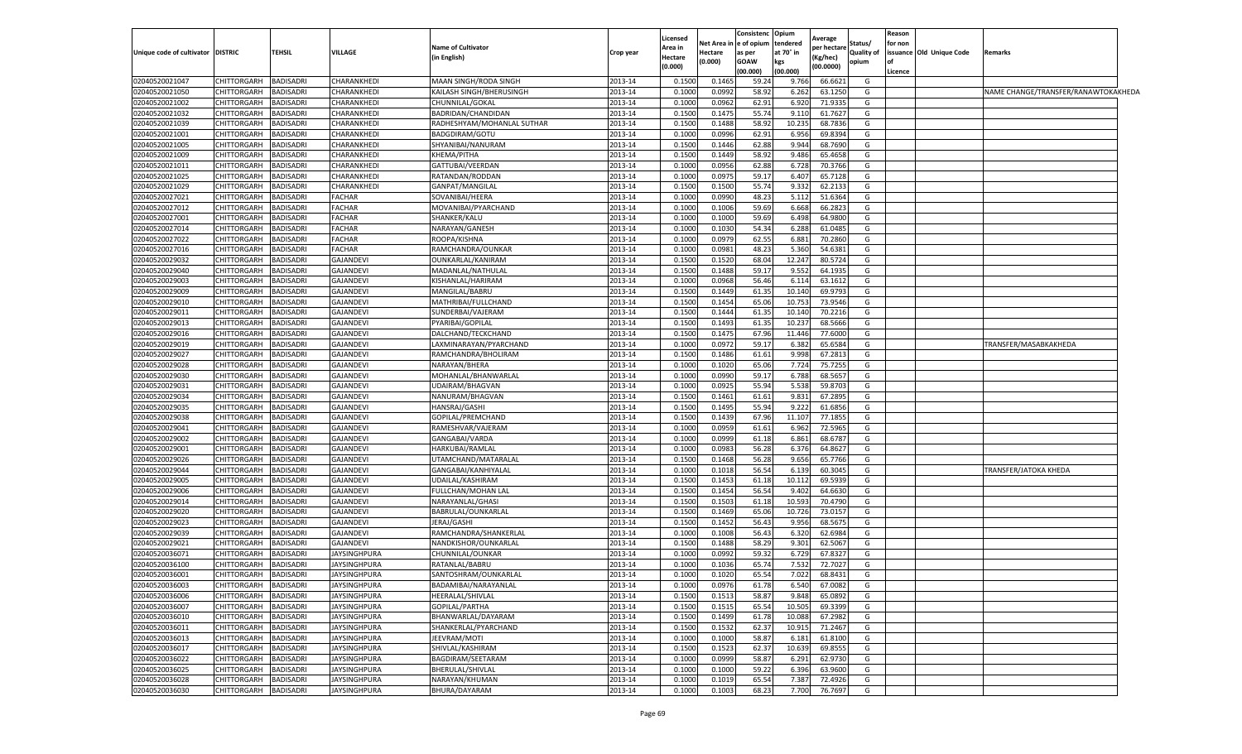| Unique code of cultivator | <b>DISTRIC</b>        | <b>TEHSIL</b>    | <b>VILLAGE</b>                       | <b>Name of Cultivator</b>  | Crop year          | Licensed<br>Area in | Net Area in<br>Hectare | Consistenc<br>e of opium<br>as per | Opium<br>tendered<br>at 70° in | <b>Average</b><br>per hectare | Status/<br>Quality of | Reason<br>for non | issuance Old Unique Code | Remarks                             |  |
|---------------------------|-----------------------|------------------|--------------------------------------|----------------------------|--------------------|---------------------|------------------------|------------------------------------|--------------------------------|-------------------------------|-----------------------|-------------------|--------------------------|-------------------------------------|--|
|                           |                       |                  |                                      | in English)                |                    | Hectare<br>(0.000)  | (0.000)                | GOAW<br>(00.000)                   | kes<br>(00.000)                | Kg/hec)<br>(00.0000)          | opium                 | Licence           |                          |                                     |  |
| 02040520021047            | CHITTORGARH           | <b>BADISADRI</b> | CHARANKHEDI                          | MAAN SINGH/RODA SINGH      | 2013-14            | 0.150               | 0.146                  | 59.2                               | 9.766                          | 66.6621                       | G                     |                   |                          |                                     |  |
| 02040520021050            | CHITTORGARH           | <b>BADISADRI</b> | <b>CHARANKHEDI</b>                   | KAILASH SINGH/BHERUSINGH   | 2013-14            | 0.100               | 0.0992                 | 58.92                              | 6.26                           | 63.1250                       | G                     |                   |                          | NAME CHANGE/TRANSFER/RANAWTOKAKHEDA |  |
| 02040520021002            | CHITTORGARH           | <b>BADISADRI</b> | CHARANKHEDI                          | CHUNNILAL/GOKAL            | 2013-14            | 0.1000              | 0.0962                 | 62.91                              | 6.920                          | 71.9335                       | G                     |                   |                          |                                     |  |
| 02040520021032            | CHITTORGARH           | <b>BADISADRI</b> | CHARANKHEDI                          | BADRIDAN/CHANDIDAN         | 2013-14            | 0.150               | 0.1475                 | 55.74                              | 9.11                           | 61.7627                       | G                     |                   |                          |                                     |  |
| 02040520021039            | CHITTORGARH           | BADISADRI        | CHARANKHEDI                          | RADHESHYAM/MOHANLAL SUTHAR | 2013-14            | 0.1500              | 0.1488                 | 58.92                              | 10.23                          | 68.7836                       | G                     |                   |                          |                                     |  |
| 02040520021001            | CHITTORGARH           | <b>BADISADRI</b> | CHARANKHED                           | BADGDIRAM/GOTU             | 2013-14            | 0.100               | 0.0996                 | 62.91                              | 6.956                          | 69.839                        | G                     |                   |                          |                                     |  |
| 02040520021005            | CHITTORGARH           | BADISADRI        | CHARANKHEDI                          | SHYANIBAI/NANURAM          | 2013-14            | 0.150               | 0.1446                 | 62.88                              | 9.944                          | 68.769                        | G                     |                   |                          |                                     |  |
| 02040520021009            | CHITTORGARH           | BADISADRI        | CHARANKHEDI                          | KHEMA/PITHA                | 2013-14            | 0.1500              | 0.1449                 | 58.92                              | 9.486                          | 65.4658                       | G                     |                   |                          |                                     |  |
| 02040520021011            | CHITTORGARH           | BADISADRI        | CHARANKHEDI                          | GATTUBAI/VEERDAN           | 2013-14            | 0.100               | 0.0956                 | 62.88                              | 6.728                          | 70.3766                       | G                     |                   |                          |                                     |  |
| 02040520021025            | CHITTORGARH           | BADISADRI        | CHARANKHEDI                          | RATANDAN/RODDAN            | 2013-14            | 0.100               | 0.0975                 | 59.17                              | 6.407                          | 65.7128                       | G                     |                   |                          |                                     |  |
| 02040520021029            | CHITTORGARH           | BADISADRI        | CHARANKHEDI                          | <b>GANPAT/MANGILAL</b>     | 2013-14            | 0.150               | 0.1500                 | 55.74                              | 9.33                           | 62.213                        | G                     |                   |                          |                                     |  |
| 02040520027021            | <b>CHITTORGARH</b>    | <b>BADISADRI</b> | <b>FACHAR</b>                        | SOVANIBAI/HEERA            | 2013-14            | 0.100               | 0.0990                 | 48.23                              | 5.112                          | 51.636                        | G                     |                   |                          |                                     |  |
| 02040520027012            | CHITTORGARH           | BADISADRI        | <b>FACHAR</b>                        | MOVANIBAI/PYARCHAND        | 2013-14            | 0.100               | 0.1006                 | 59.69                              | 6.668                          | 66.2823                       | G                     |                   |                          |                                     |  |
| 02040520027001            | CHITTORGARH           | BADISADRI        | <b>FACHAR</b>                        | SHANKER/KALU               | 2013-14            | 0.100               | 0.1000                 | 59.69                              | 6.498                          | 64.9800                       | G                     |                   |                          |                                     |  |
| 02040520027014            | CHITTORGARH           | BADISADRI        | <b>FACHAR</b>                        | NARAYAN/GANESH             | 2013-14            | 0.100               | 0.1030                 | 54.34                              | 6.288                          | 61.0485                       | G                     |                   |                          |                                     |  |
| 02040520027022            | CHITTORGARH           | <b>BADISADRI</b> | <b>FACHAR</b>                        | ROOPA/KISHNA               | 2013-14            | 0.1000              | 0.0979                 | 62.55                              | 6.881                          | 70.2860                       | G                     |                   |                          |                                     |  |
| 02040520027016            | CHITTORGARH           | <b>BADISADRI</b> | <b>FACHAR</b>                        | RAMCHANDRA/OUNKAR          | 2013-14            | 0.1000              | 0.0981                 | 48.23                              | 5.360                          | 54.6381                       | G                     |                   |                          |                                     |  |
| 02040520029032            | CHITTORGARH           | BADISADRI        | <b>GAJANDEVI</b>                     | OUNKARLAL/KANIRAM          | 2013-14            | 0.150               | 0.1520                 | 68.04                              | 12.24                          | 80.572                        | G                     |                   |                          |                                     |  |
| 02040520029040            | <b>CHITTORGARH</b>    | BADISADRI        | <b>GAJANDEVI</b>                     | MADANLAL/NATHULAI          | 2013-14            | 0.1500              | 0.1488                 | 59.17                              | 9.552                          | 64.193                        | G                     |                   |                          |                                     |  |
| 02040520029003            | CHITTORGARH           | BADISADRI        | <b>GAJANDEVI</b>                     | KISHANLAL/HARIRAM          | 2013-14            | 0.100               | 0.0968                 | 56.46                              | 6.114                          | 63.161                        | G                     |                   |                          |                                     |  |
| 02040520029009            | CHITTORGARH           | BADISADRI        | <b>GAJANDEVI</b>                     | MANGILAL/BABRU             | 2013-14            | 0.1500              | 0.1449                 | 61.35                              | 10.140                         | 69.9793                       | G                     |                   |                          |                                     |  |
| 02040520029010            | CHITTORGARH           | BADISADRI        | <b>GAJANDEVI</b>                     |                            | 2013-14            | 0.1500              | 0.1454                 | 65.06                              | 10.753                         | 73.9546                       | G                     |                   |                          |                                     |  |
| 02040520029011            | CHITTORGARH           | BADISADRI        |                                      | MATHRIBAI/FULLCHAND        |                    | 0.1500              |                        |                                    | 10.140                         |                               |                       |                   |                          |                                     |  |
| 02040520029013            | CHITTORGARH           | BADISADRI        | <b>GAJANDEVI</b><br><b>GAJANDEVI</b> | SUNDERBAI/VAJERAM          | 2013-14<br>2013-14 | 0.1500              | 0.1444<br>0.1493       | 61.35<br>61.35                     | 10.23                          | 70.221<br>68.5666             | G<br>G                |                   |                          |                                     |  |
|                           |                       |                  |                                      | PYARIBAI/GOPILAL           |                    | 0.1500              | 0.1475                 |                                    | 11.446                         |                               | G                     |                   |                          |                                     |  |
| 02040520029016            | CHITTORGARH           | BADISADRI        | <b>GAJANDEVI</b>                     | DALCHAND/TECKCHAND         | 2013-14            |                     |                        | 67.96                              |                                | 77.600                        |                       |                   |                          |                                     |  |
| 02040520029019            | CHITTORGARH           | BADISADRI        | <b>GAJANDEVI</b>                     | LAXMINARAYAN/PYARCHAND     | 2013-14            | 0.100               | 0.0972                 | 59.1                               | 6.382                          | 65.6584                       | G                     |                   |                          | TRANSFER/MASABKAKHEDA               |  |
| 02040520029027            | CHITTORGARH           | BADISADRI        | <b>GAJANDEVI</b>                     | RAMCHANDRA/BHOLIRAM        | 2013-14            | 0.1500              | 0.1486                 | 61.61                              | 9.998                          | 67.281                        | G                     |                   |                          |                                     |  |
| 02040520029028            | CHITTORGARH           | <b>BADISADRI</b> | <b>GAJANDEVI</b>                     | NARAYAN/BHERA              | 2013-14            | 0.1000              | 0.1020                 | 65.06                              | 7.724                          | 75.7255                       | G                     |                   |                          |                                     |  |
| 02040520029030            | CHITTORGARH           | BADISADRI        | <b>GAJANDEVI</b>                     | MOHANLAL/BHANWARLAL        | 2013-14            | 0.100               | 0.0990                 | 59.17                              | 6.788                          | 68.565                        | G                     |                   |                          |                                     |  |
| 02040520029031            | CHITTORGARH           | BADISADRI        | <b>GAJANDEVI</b>                     | UDAIRAM/BHAGVAN            | 2013-14            | 0.100               | 0.0925                 | 55.94                              | 5.538                          | 59.8703                       | G                     |                   |                          |                                     |  |
| 02040520029034            | CHITTORGARH           | BADISADRI        | <b>GAJANDEVI</b>                     | NANURAM/BHAGVAN            | 2013-14            | 0.150               | 0.1462                 | 61.61                              | 9.83                           | 67.289                        | G                     |                   |                          |                                     |  |
| 02040520029035            | CHITTORGARH           | BADISADRI        | <b>GAJANDEVI</b>                     | HANSRAJ/GASHI              | 2013-14            | 0.150               | 0.1495                 | 55.94                              | 9.22                           | 61.685                        | G                     |                   |                          |                                     |  |
| 02040520029038            | CHITTORGARH           | BADISADRI        | <b>GAJANDEVI</b>                     | GOPILAL/PREMCHAND          | 2013-14            | 0.1500              | 0.1439                 | 67.96                              | 11.10                          | 77.185                        | G                     |                   |                          |                                     |  |
| 02040520029041            | CHITTORGARH           | BADISADRI        | <b>GAJANDEVI</b>                     | RAMESHVAR/VAJERAM          | 2013-14            | 0.100               | 0.0959                 | 61.61                              | 6.962                          | 72.596                        | G                     |                   |                          |                                     |  |
| 02040520029002            | CHITTORGARH           | <b>BADISADRI</b> | <b>GAJANDEVI</b>                     | GANGABAI/VARDA             | 2013-14            | 0.1000              | 0.0999                 | 61.18                              | 6.861                          | 68.678                        | G                     |                   |                          |                                     |  |
| 02040520029001            | CHITTORGARH           | BADISADRI        | <b>GAJANDEVI</b>                     | HARKUBAI/RAMLAL            | 2013-14            | 0.100               | 0.0983                 | 56.28                              | 6.376                          | 64.862                        | G                     |                   |                          |                                     |  |
| 02040520029026            | CHITTORGARH           | <b>BADISADRI</b> | <b>GAJANDEVI</b>                     | UTAMCHAND/MATARALAL        | 2013-14            | 0.1500              | 0.1468                 | 56.28                              | 9.656                          | 65.7766                       | G                     |                   |                          |                                     |  |
| 02040520029044            | CHITTORGARH           | BADISADRI        | <b>GAJANDEVI</b>                     | GANGABAI/KANHIYALAL        | 2013-14            | 0.100               | 0.1018                 | 56.54                              | 6.13                           | 60.304                        | G                     |                   |                          | TRANSFER/JATOKA KHEDA               |  |
| 02040520029005            | CHITTORGARH           | BADISADRI        | <b>GAJANDEVI</b>                     | UDAILAL/KASHIRAM           | 2013-14            | 0.1500              | 0.1453                 | 61.18                              | 10.112                         | 69.593                        | G                     |                   |                          |                                     |  |
| 02040520029006            | CHITTORGARH           | BADISADRI        | <b>GAJANDEVI</b>                     | FULLCHAN/MOHAN LAL         | 2013-14            | 0.1500              | 0.1454                 | 56.54                              | 9.402                          | 64.663                        | G                     |                   |                          |                                     |  |
| 02040520029014            | CHITTORGARH           | <b>BADISADRI</b> | <b>GAJANDEVI</b>                     | NARAYANLAL/GHASI           | 2013-14            | 0.1500              | 0.1503                 | 61.18                              | 10.593                         | 70.4790                       | G                     |                   |                          |                                     |  |
| 02040520029020            | CHITTORGARH           | BADISADRI        | <b>GAJANDEVI</b>                     | BABRULAL/OUNKARLAL         | 2013-14            | 0.150               | 0.1469                 | 65.06                              | 10.726                         | 73.015                        | G                     |                   |                          |                                     |  |
| 02040520029023            | CHITTORGARH           | BADISADRI        | <b>GAJANDEVI</b>                     | <b>IERAJ/GASHI</b>         | 2013-14            | 0.150               | 0.1452                 | 56.43                              | 9.956                          | 68.567                        | G                     |                   |                          |                                     |  |
| 02040520029039            | CHITTORGARH           | BADISADRI        | <b>GAJANDEVI</b>                     | RAMCHANDRA/SHANKERLAL      | 2013-14            | 0.100               | 0.1008                 | 56.43                              | 6.320                          | 62.698                        | G                     |                   |                          |                                     |  |
| 02040520029021            | CHITTORGARH           | BADISADRI        | <b>GAJANDEVI</b>                     | NANDKISHOR/OUNKARLAL       | 2013-14            | 0.150               | 0.1488                 | 58.29                              | 9.30                           | 62.506                        | G                     |                   |                          |                                     |  |
| 02040520036071            | CHITTORGARH           | BADISADRI        | <b>JAYSINGHPURA</b>                  | CHUNNILAL/OUNKAR           | 2013-14            | 0.100               | 0.0992                 | 59.32                              | 6.729                          | 67.832                        | G                     |                   |                          |                                     |  |
| 02040520036100            | CHITTORGARH           | <b>BADISADRI</b> | <b>JAYSINGHPURA</b>                  | RATANLAL/BABRU             | 2013-14            | 0.100               | 0.1036                 | 65.74                              | 7.532                          | 72.7027                       | G                     |                   |                          |                                     |  |
| 02040520036001            | CHITTORGARH           | <b>BADISADRI</b> | <b>JAYSINGHPURA</b>                  | SANTOSHRAM/OUNKARLAL       | 2013-14            | 0.1000              | 0.1020                 | 65.54                              | 7.022                          | 68.8431                       | G                     |                   |                          |                                     |  |
| 02040520036003            | CHITTORGARH BADISADRI |                  | <b>JAYSINGHPURA</b>                  | BADAMIBAI/NARAYANLAL       | 2013-14            | 0.1000              | 0.0976                 | 61.78                              | 6.540                          | 67.0082                       | G                     |                   |                          |                                     |  |
| 02040520036006            | CHITTORGARH           | <b>BADISADRI</b> | <b>JAYSINGHPURA</b>                  | HEERALAL/SHIVLAL           | 2013-14            | 0.1500              | 0.1513                 | 58.87                              | 9.848                          | 65.0892                       | G                     |                   |                          |                                     |  |
| 02040520036007            | CHITTORGARH           | <b>BADISADRI</b> | <b>JAYSINGHPURA</b>                  | GOPILAL/PARTHA             | 2013-14            | 0.1500              | 0.1515                 | 65.54                              | 10.505                         | 69.3399                       | G                     |                   |                          |                                     |  |
| 02040520036010            | CHITTORGARH           | <b>BADISADRI</b> | <b>JAYSINGHPURA</b>                  | BHANWARLAL/DAYARAM         | 2013-14            | 0.1500              | 0.1499                 | 61.78                              | 10.088                         | 67.2982                       | G                     |                   |                          |                                     |  |
| 02040520036011            | CHITTORGARH           | <b>BADISADRI</b> | <b>JAYSINGHPURA</b>                  | SHANKERLAL/PYARCHAND       | 2013-14            | 0.1500              | 0.1532                 | 62.37                              | 10.915                         | 71.2467                       | G                     |                   |                          |                                     |  |
| 02040520036013            | CHITTORGARH           | <b>BADISADRI</b> | <b>JAYSINGHPURA</b>                  | JEEVRAM/MOTI               | 2013-14            | 0.1000              | 0.1000                 | 58.87                              | 6.181                          | 61.8100                       | G                     |                   |                          |                                     |  |
| 02040520036017            | CHITTORGARH           | BADISADRI        | <b>JAYSINGHPURA</b>                  | SHIVLAL/KASHIRAM           | 2013-14            | 0.1500              | 0.1523                 | 62.37                              | 10.639                         | 69.8555                       | G                     |                   |                          |                                     |  |
| 02040520036022            | <b>CHITTORGARH</b>    | BADISADRI        | <b>JAYSINGHPURA</b>                  | BAGDIRAM/SEETARAM          | 2013-14            | 0.1000              | 0.0999                 | 58.87                              | 6.291                          | 62.9730                       | G                     |                   |                          |                                     |  |
| 02040520036025            | CHITTORGARH           | <b>BADISADRI</b> | <b>JAYSINGHPURA</b>                  | BHERULAL/SHIVLAL           | 2013-14            | 0.100               | 0.1000                 | 59.22                              | 6.396                          | 63.9600                       | G                     |                   |                          |                                     |  |
| 02040520036028            | CHITTORGARH           | <b>BADISADRI</b> | <b>JAYSINGHPURA</b>                  | NARAYAN/KHUMAN             | 2013-14            | 0.1000              | 0.1019                 | 65.54                              | 7.387                          | 72.4926                       | G                     |                   |                          |                                     |  |
| 02040520036030            | CHITTORGARH           | <b>BADISADRI</b> | <b>JAYSINGHPURA</b>                  | BHURA/DAYARAM              | 2013-14            | 0.1000              | 0.1003                 | 68.23                              | 7.700                          | 76.7697                       | G                     |                   |                          |                                     |  |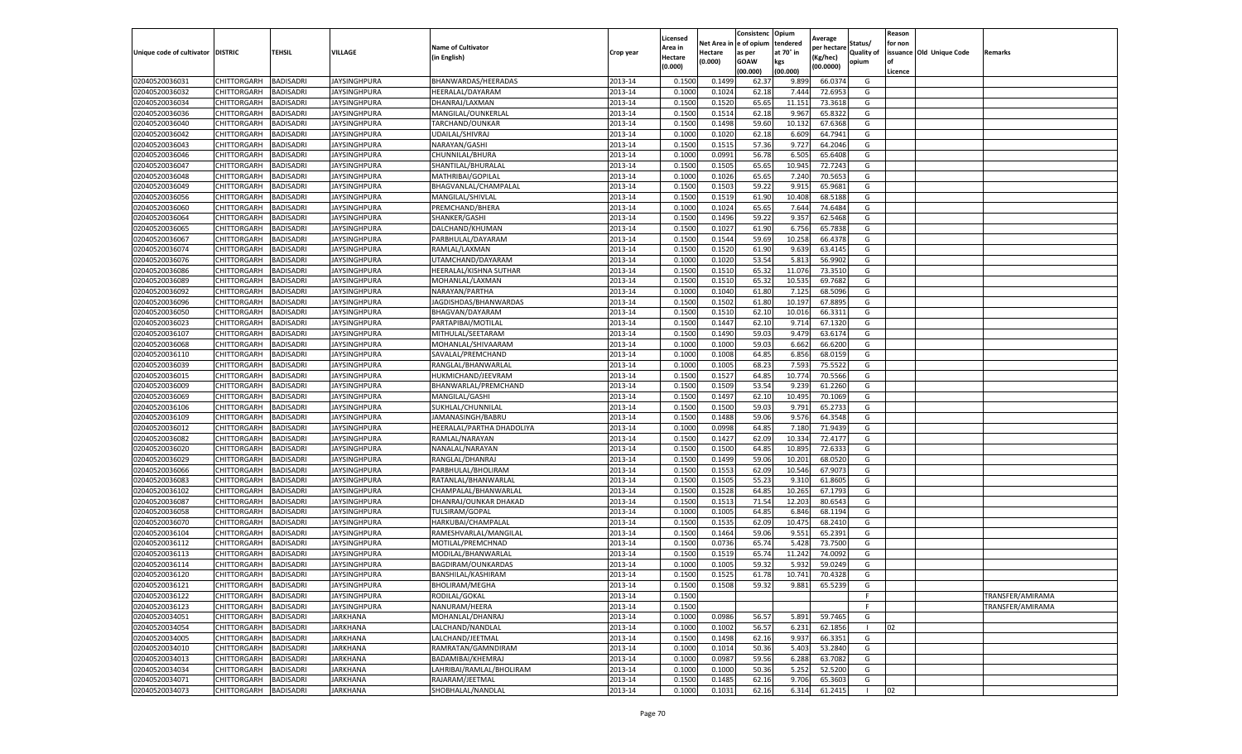|                                   |                    |                  |                     |                                |           | Licensed |         | Consistenc             | Opium     |                        |                   | Reason  |                          |                  |
|-----------------------------------|--------------------|------------------|---------------------|--------------------------------|-----------|----------|---------|------------------------|-----------|------------------------|-------------------|---------|--------------------------|------------------|
|                                   |                    |                  |                     | <b>Name of Cultivator</b>      |           | Area in  |         | Net Area in e of opium | tendered  | Average<br>per hectare | Status/           | for non |                          |                  |
| Unique code of cultivator DISTRIC |                    | TEHSIL           | VILLAGE             | in English)                    | Crop year | Hectare  | Hectare | as per                 | at 70° in | (Kg/hec                | <b>Quality of</b> |         | issuance Old Unique Code | <b>Remarks</b>   |
|                                   |                    |                  |                     |                                |           | (0.000)  | (0.000) | <b>GOAW</b>            | kgs       | (00.0000)              | opium             |         |                          |                  |
|                                   |                    |                  |                     |                                |           |          |         | (00.000)               | (00.000)  |                        |                   | Licence |                          |                  |
| 02040520036031                    | CHITTORGARH        | <b>BADISADRI</b> | <b>JAYSINGHPURA</b> | BHANWARDAS/HEERADAS            | 2013-14   | 0.1500   | 0.1499  | 62.37                  | 9.899     | 66.037                 | G                 |         |                          |                  |
| 02040520036032                    | CHITTORGARH        | <b>BADISADRI</b> | JAYSINGHPURA        | HEERALAL/DAYARAM               | 2013-14   | 0.1000   | 0.1024  | 62.18                  | 7.444     | 72.6953                | G                 |         |                          |                  |
| 02040520036034                    | CHITTORGARH        | <b>BADISADRI</b> | JAYSINGHPURA        | DHANRAJ/LAXMAN                 | 2013-14   | 0.1500   | 0.1520  | 65.65                  | 11.15     | 73.3618                | G                 |         |                          |                  |
| 02040520036036                    | CHITTORGARH        | <b>BADISADRI</b> | JAYSINGHPURA        | MANGILAL/OUNKERLAL             | 2013-14   | 0.1500   | 0.1514  | 62.18                  | 9.967     | 65.8322                | G                 |         |                          |                  |
| 02040520036040                    | CHITTORGARH        | <b>BADISADRI</b> | JAYSINGHPURA        | TARCHAND/OUNKAR                | 2013-14   | 0.1500   | 0.1498  | 59.60                  | 10.13     | 67.6368                | G                 |         |                          |                  |
| 02040520036042                    | CHITTORGARH        | <b>BADISADRI</b> | JAYSINGHPURA        | UDAILAL/SHIVRAJ                | 2013-14   | 0.1000   | 0.1020  | 62.18                  | 6.609     | 64.7941                | G                 |         |                          |                  |
| 02040520036043                    | CHITTORGARH        | <b>BADISADRI</b> | <b>JAYSINGHPURA</b> | NARAYAN/GASHI                  | 2013-14   | 0.1500   | 0.1515  | 57.36                  | 9.727     | 64.2046                | G                 |         |                          |                  |
| 02040520036046                    | CHITTORGARH        | BADISADRI        | JAYSINGHPURA        | CHUNNILAL/BHURA                | 2013-14   | 0.1000   | 0.0991  | 56.78                  | 6.50      | 65.6408                | G                 |         |                          |                  |
| 02040520036047                    | CHITTORGARH        | <b>BADISADRI</b> | JAYSINGHPURA        | SHANTILAL/BHURALAL             | 2013-14   | 0.1500   | 0.1505  | 65.65                  | 10.945    | 72.7243                | G                 |         |                          |                  |
| 02040520036048                    | CHITTORGARH        | <b>BADISADRI</b> | JAYSINGHPURA        | MATHRIBAI/GOPILAL              | 2013-14   | 0.1000   | 0.1026  | 65.65                  | 7.240     | 70.5653                | G                 |         |                          |                  |
| 02040520036049                    | CHITTORGARH        | <b>BADISADRI</b> | JAYSINGHPURA        | BHAGVANLAL/CHAMPALAL           | 2013-14   | 0.1500   | 0.1503  | 59.22                  | 9.915     | 65.9681                | G                 |         |                          |                  |
| 02040520036056                    | CHITTORGARH        | <b>BADISADRI</b> | JAYSINGHPURA        | MANGILAL/SHIVLAL               | 2013-14   | 0.1500   | 0.1519  | 61.90                  | 10.408    | 68.5188                | G                 |         |                          |                  |
| 02040520036060                    | CHITTORGARH        | <b>BADISADRI</b> | JAYSINGHPURA        | PREMCHAND/BHERA                | 2013-14   | 0.1000   | 0.1024  | 65.65                  | 7.644     | 74.6484                | G                 |         |                          |                  |
| 02040520036064                    | CHITTORGARH        | <b>BADISADRI</b> | JAYSINGHPURA        | SHANKER/GASHI                  | 2013-14   | 0.1500   | 0.1496  | 59.22                  | 9.35      | 62.5468                | G                 |         |                          |                  |
| 02040520036065                    | CHITTORGARH        | <b>BADISADRI</b> | JAYSINGHPURA        | DALCHAND/KHUMAN                | 2013-14   | 0.1500   | 0.1027  | 61.90                  | 6.756     | 65.7838                | G                 |         |                          |                  |
| 02040520036067                    | CHITTORGARH        | <b>BADISADRI</b> | <b>JAYSINGHPURA</b> | PARBHULAL/DAYARAM              | 2013-14   | 0.1500   | 0.1544  | 59.69                  | 10.258    | 66.4378                | G                 |         |                          |                  |
| 02040520036074                    | CHITTORGARH        | <b>BADISADRI</b> | JAYSINGHPURA        | RAMLAL/LAXMAN                  | 2013-14   | 0.1500   | 0.1520  | 61.90                  | 9.639     | 63.4145                | G                 |         |                          |                  |
| 02040520036076                    | CHITTORGARH        | <b>BADISADRI</b> | JAYSINGHPURA        | UTAMCHAND/DAYARAM              | 2013-14   | 0.1000   | 0.1020  | 53.54                  | 5.81      | 56.9902                | G                 |         |                          |                  |
| 02040520036086                    | CHITTORGARH        | <b>BADISADRI</b> | JAYSINGHPURA        | HEERALAL/KISHNA SUTHAR         | 2013-14   | 0.1500   | 0.1510  | 65.32                  | 11.07     | 73.3510                | G                 |         |                          |                  |
| 02040520036089                    | CHITTORGARH        | <b>BADISADRI</b> | <b>JAYSINGHPURA</b> | MOHANLAL/LAXMAN                | 2013-14   | 0.1500   | 0.1510  | 65.32                  | 10.535    | 69.7682                | G                 |         |                          |                  |
| 02040520036092                    | CHITTORGARH        | <b>BADISADRI</b> | JAYSINGHPURA        | NARAYAN/PARTHA                 | 2013-14   | 0.1000   | 0.1040  | 61.80                  | 7.125     | 68.5096                | G                 |         |                          |                  |
| 02040520036096                    | CHITTORGARH        | <b>BADISADRI</b> | <b>JAYSINGHPURA</b> | JAGDISHDAS/BHANWARDAS          | 2013-14   | 0.1500   | 0.1502  | 61.80                  | 10.197    | 67.8895                | G                 |         |                          |                  |
| 02040520036050                    | CHITTORGARH        | <b>BADISADRI</b> | JAYSINGHPURA        | BHAGVAN/DAYARAM                | 2013-14   | 0.1500   | 0.1510  | 62.10                  | 10.016    | 66.3311                | G                 |         |                          |                  |
| 02040520036023                    | CHITTORGARH        | <b>BADISADRI</b> | <b>JAYSINGHPURA</b> | PARTAPIBAI/MOTILAL             | 2013-14   | 0.1500   | 0.1447  | 62.10                  | 9.71      | 67.1320                | G                 |         |                          |                  |
| 02040520036107                    | CHITTORGARH        | <b>BADISADRI</b> | JAYSINGHPURA        | MITHULAL/SEETARAM              | 2013-14   | 0.1500   | 0.1490  | 59.03                  | 9.47      | 63.6174                | G                 |         |                          |                  |
| 02040520036068                    | CHITTORGARH        | <b>BADISADRI</b> | <b>JAYSINGHPURA</b> | MOHANLAL/SHIVAARAM             | 2013-14   | 0.1000   | 0.1000  | 59.03                  | 6.662     | 66.6200                | G                 |         |                          |                  |
| 02040520036110                    | CHITTORGARH        | BADISADRI        | JAYSINGHPURA        | SAVALAL/PREMCHAND              | 2013-14   | 0.1000   | 0.1008  | 64.85                  | 6.856     | 68.0159                | G                 |         |                          |                  |
| 02040520036039                    | CHITTORGARH        | <b>BADISADRI</b> | JAYSINGHPURA        | RANGLAL/BHANWARLAL             | 2013-14   | 0.1000   | 0.1005  | 68.23                  | 7.593     | 75.5522                | G                 |         |                          |                  |
| 02040520036015                    | CHITTORGARH        | <b>BADISADRI</b> | <b>JAYSINGHPURA</b> | HUKMICHAND/JEEVRAM             | 2013-14   | 0.1500   | 0.1527  | 64.85                  | 10.774    | 70.5566                | G                 |         |                          |                  |
| 02040520036009                    | CHITTORGARH        | <b>BADISADRI</b> | <b>JAYSINGHPURA</b> | BHANWARLAL/PREMCHAND           | 2013-14   | 0.1500   | 0.1509  | 53.54                  | 9.239     | 61.2260                | G                 |         |                          |                  |
| 02040520036069                    | CHITTORGARH        | <b>BADISADRI</b> | JAYSINGHPURA        | MANGILAL/GASHI                 | 2013-14   | 0.1500   | 0.1497  | 62.10                  | 10.495    | 70.1069                | G                 |         |                          |                  |
| 02040520036106                    | CHITTORGARH        | <b>BADISADRI</b> | <b>JAYSINGHPURA</b> | SUKHLAL/CHUNNILAI              | 2013-14   | 0.1500   | 0.1500  | 59.03                  | 9.791     | 65.2733                | G                 |         |                          |                  |
| 02040520036109                    | CHITTORGARH        | <b>BADISADRI</b> | JAYSINGHPURA        | JAMANASINGH/BABRU              | 2013-14   | 0.1500   | 0.1488  | 59.06                  | 9.576     | 64.3548                | G                 |         |                          |                  |
| 02040520036012                    | CHITTORGARH        | <b>BADISADRI</b> | JAYSINGHPURA        | HEERALAL/PARTHA DHADOLIYA      | 2013-14   | 0.1000   | 0.0998  | 64.85                  | 7.180     | 71.9439                | G                 |         |                          |                  |
| 02040520036082                    | CHITTORGARH        | <b>BADISADRI</b> | <b>JAYSINGHPURA</b> | RAMLAL/NARAYAN                 | 2013-14   | 0.1500   | 0.1427  | 62.09                  | 10.334    | 72.4177                | G                 |         |                          |                  |
| 02040520036020                    | CHITTORGARH        | <b>BADISADRI</b> | JAYSINGHPURA        | NANALAL/NARAYAN                | 2013-14   | 0.1500   | 0.1500  | 64.85                  | 10.89     | 72.633                 | G                 |         |                          |                  |
| 02040520036029                    | CHITTORGARH        | <b>BADISADRI</b> | JAYSINGHPURA        | RANGLAL/DHANRAJ                | 2013-14   | 0.1500   | 0.1499  | 59.06                  | 10.201    | 68.0520                | G                 |         |                          |                  |
| 02040520036066                    | CHITTORGARH        | <b>BADISADRI</b> | JAYSINGHPURA        | PARBHULAL/BHOLIRAM             | 2013-14   | 0.1500   | 0.1553  | 62.09                  | 10.546    | 67.9073                | G                 |         |                          |                  |
| 02040520036083                    | CHITTORGARH        | BADISADRI        | JAYSINGHPURA        | RATANLAL/BHANWARLAL            | 2013-14   | 0.1500   | 0.1505  | 55.23                  | 9.31      | 61.8605                | G                 |         |                          |                  |
| 02040520036102                    | CHITTORGARH        | <b>BADISADRI</b> | JAYSINGHPURA        | CHAMPALAL/BHANWARLAL           | 2013-14   | 0.1500   | 0.1528  | 64.85                  | 10.265    | 67.1793                | G                 |         |                          |                  |
| 02040520036087                    | CHITTORGARH        | <b>BADISADRI</b> | JAYSINGHPURA        | DHANRAJ/OUNKAR DHAKAD          | 2013-14   | 0.1500   | 0.1513  | 71.54                  | 12.203    | 80.6543                | G                 |         |                          |                  |
| 02040520036058                    | CHITTORGARH        | <b>BADISADRI</b> | JAYSINGHPURA        | TULSIRAM/GOPAL                 | 2013-14   | 0.1000   | 0.1005  | 64.85                  | 6.846     | 68.1194                | G                 |         |                          |                  |
| 02040520036070                    | CHITTORGARH        | <b>BADISADRI</b> | JAYSINGHPURA        | HARKUBAI/CHAMPALAL             | 2013-14   | 0.1500   | 0.1535  | 62.09                  | 10.475    | 68.2410                | G                 |         |                          |                  |
| 02040520036104                    | CHITTORGARH        | BADISADRI        | JAYSINGHPURA        | RAMESHVARLAL/MANGILAL          | 2013-14   | 0.1500   | 0.1464  | 59.06                  | 9.551     | 65.2391                | G                 |         |                          |                  |
| 02040520036112                    | CHITTORGARH        | <b>BADISADRI</b> | <b>JAYSINGHPURA</b> | MOTILAL/PREMCHNAD              | 2013-14   | 0.1500   | 0.0736  | 65.74                  | 5.428     | 73.7500                | G                 |         |                          |                  |
| 02040520036113                    | CHITTORGARH        | BADISADRI        | JAYSINGHPURA        | MODILAL/BHANWARLAL             | 2013-14   | 0.1500   | 0.1519  | 65.74                  | 11.24     | 74.0092                | G                 |         |                          |                  |
| 02040520036114                    | CHITTORGARH        | <b>BADISADRI</b> | <b>JAYSINGHPURA</b> | BAGDIRAM/OUNKARDAS             | 2013-14   | 0.1000   | 0.1005  | 59.32                  | 5.932     | 59.0249                | G                 |         |                          |                  |
| 02040520036120                    | CHITTORGARH        | <b>BADISADRI</b> | JAYSINGHPURA        | BANSHILAL/KASHIRAM             | 2013-14   | 0.1500   | 0.1525  | 61.78                  | 10.741    | 70.4328                | G                 |         |                          |                  |
| 02040520036121                    | CHITTORGARH        | <b>BADISADRI</b> | <b>JAYSINGHPURA</b> | <b>BHOLIRAM/MEGHA</b>          | 2013-14   | 0.1500   | 0.1508  | 59.32                  | 9.881     | 65.5239                | G                 |         |                          |                  |
|                                   | CHITTORGARH        |                  |                     |                                | 2013-14   | 0.1500   |         |                        |           |                        | F                 |         |                          | TRANSFER/AMIRAMA |
| 02040520036122<br>02040520036123  |                    | <b>BADISADRI</b> | JAYSINGHPURA        | RODILAL/GOKAL<br>NANURAM/HEERA | 2013-14   |          |         |                        |           |                        | F.                |         |                          |                  |
|                                   | <b>CHITTORGARH</b> | <b>BADISADRI</b> | JAYSINGHPURA        |                                |           | 0.1500   |         |                        |           |                        |                   |         |                          | TRANSFER/AMIRAMA |
| 02040520034051                    | CHITTORGARH        | <b>BADISADRI</b> | <b>JARKHANA</b>     | MOHANLAL/DHANRAJ               | 2013-14   | 0.1000   | 0.0986  | 56.57                  | 5.891     | 59.7465                | G                 |         |                          |                  |
| 02040520034054                    | CHITTORGARH        | <b>BADISADRI</b> | <b>JARKHANA</b>     | LALCHAND/NANDLAL               | 2013-14   | 0.1000   | 0.1002  | 56.57                  | 6.231     | 62.1856                | -1                | 02      |                          |                  |
| 02040520034005                    | <b>CHITTORGARH</b> | <b>BADISADRI</b> | JARKHANA            | LALCHAND/JEETMAL               | 2013-14   | 0.1500   | 0.1498  | 62.16                  | 9.937     | 66.3351                | G                 |         |                          |                  |
| 02040520034010                    | CHITTORGARH        | <b>BADISADRI</b> | JARKHANA            | RAMRATAN/GAMNDIRAM             | 2013-14   | 0.1000   | 0.1014  | 50.36                  | 5.403     | 53.2840                | G                 |         |                          |                  |
| 02040520034013                    | <b>CHITTORGARH</b> | <b>BADISADRI</b> | <b>JARKHANA</b>     | BADAMIBAI/KHEMRAJ              | 2013-14   | 0.1000   | 0.0987  | 59.56                  | 6.288     | 63.7082                | G                 |         |                          |                  |
| 02040520034034                    | CHITTORGARH        | <b>BADISADRI</b> | <b>JARKHANA</b>     | LAHRIBAI/RAMLAL/BHOLIRAM       | 2013-14   | 0.1000   | 0.1000  | 50.36                  | 5.252     | 52.5200                | G                 |         |                          |                  |
| 02040520034071                    | CHITTORGARH        | <b>BADISADRI</b> | JARKHANA            | RAJARAM/JEETMAL                | 2013-14   | 0.1500   | 0.1485  | 62.16                  | 9.706     | 65.3603                | G                 |         |                          |                  |
| 02040520034073                    | <b>CHITTORGARH</b> | <b>BADISADRI</b> | <b>JARKHANA</b>     | SHOBHALAL/NANDLAL              | 2013-14   | 0.1000   | 0.1031  | 62.16                  | 6.314     | 61.2415                | $\mathbf{I}$      | 02      |                          |                  |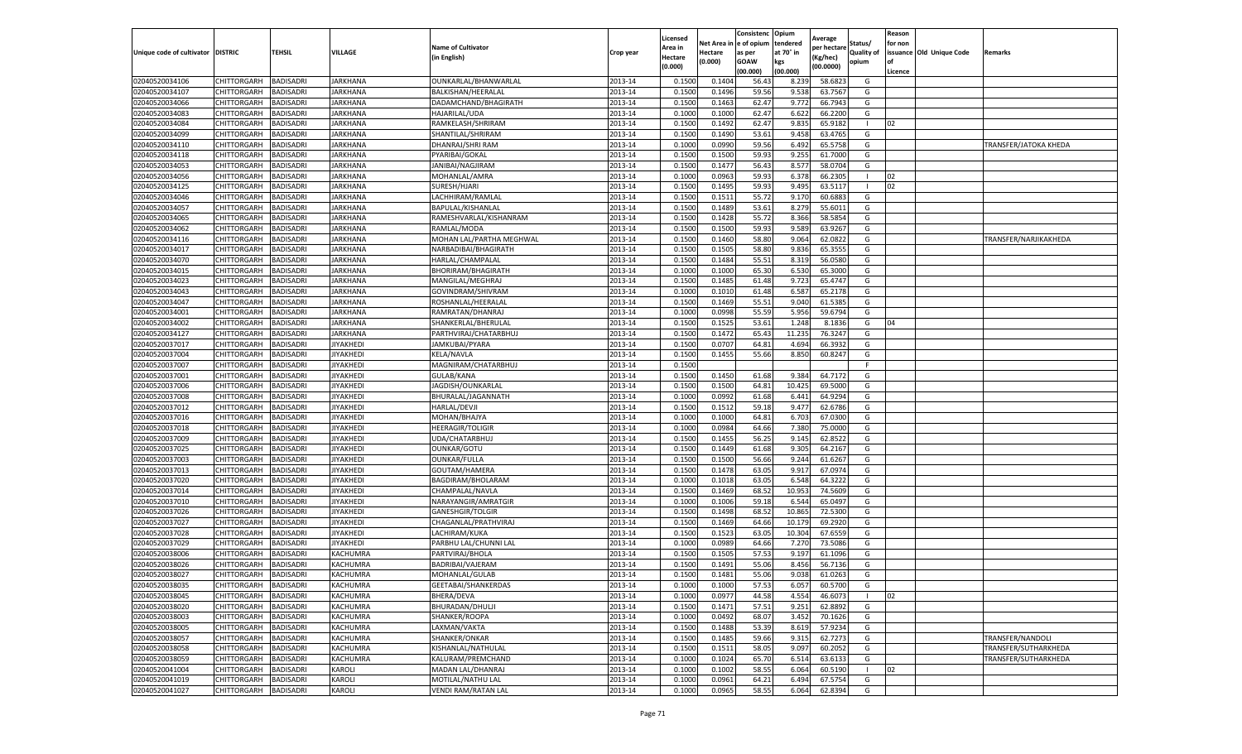|                                   |             |                  |                  |                            |           | Licensed |            | Consistenc  | Opium     |                        |                   | Reason  |                          |                       |
|-----------------------------------|-------------|------------------|------------------|----------------------------|-----------|----------|------------|-------------|-----------|------------------------|-------------------|---------|--------------------------|-----------------------|
|                                   |             |                  |                  | <b>Name of Cultivator</b>  |           | Area in  | Net Area i | e of opium  | tendered  | Average<br>per hectare | Status/           | for non |                          |                       |
| Unique code of cultivator DISTRIC |             | TEHSIL           | VILLAGE          | (in English)               | Crop year | Hectare  | Hectare    | as per      | at 70° in | (Kg/hec)               | <b>Quality of</b> |         | issuance Old Unique Code | Remarks               |
|                                   |             |                  |                  |                            |           | (0.000)  | (0.000)    | <b>GOAW</b> | kgs       | (00.0000)              | opium             | οf      |                          |                       |
|                                   |             |                  |                  |                            |           |          |            | (00.000)    | (00.000)  |                        |                   | Licence |                          |                       |
| 02040520034106                    | CHITTORGARH | BADISADRI        | <b>JARKHANA</b>  | OUNKARLAL/BHANWARLAL       | 2013-14   | 0.1500   | 0.1404     | 56.4        | 8.239     | 58.6823                | G                 |         |                          |                       |
| 02040520034107                    | CHITTORGARH | BADISADRI        | JARKHANA         | BALKISHAN/HEERALAL         | 2013-14   | 0.150    | 0.1496     | 59.56       | 9.538     | 63.7567                | G                 |         |                          |                       |
| 02040520034066                    | CHITTORGARH | BADISADRI        | JARKHANA         | DADAMCHAND/BHAGIRATH       | 2013-14   | 0.1500   | 0.1463     | 62.47       | 9.772     | 66.7943                | G                 |         |                          |                       |
| 02040520034083                    | CHITTORGARH | BADISADRI        | <b>JARKHANA</b>  | HAJARILAL/UDA              | 2013-14   | 0.1000   | 0.1000     | 62.47       | 6.622     | 66.2200                | G                 |         |                          |                       |
| 02040520034084                    | CHITTORGARH | BADISADRI        | <b>JARKHANA</b>  | RAMKELASH/SHRIRAM          | 2013-14   | 0.1500   | 0.1492     | 62.47       | 9.835     | 65.9182                |                   | 02      |                          |                       |
| 02040520034099                    | CHITTORGARH | BADISADRI        | JARKHANA         | SHANTILAL/SHRIRAM          | 2013-14   | 0.1500   | 0.1490     | 53.61       | 9.458     | 63.4765                | G                 |         |                          |                       |
| 02040520034110                    | CHITTORGARH | BADISADRI        | <b>JARKHANA</b>  | DHANRAJ/SHRI RAM           | 2013-14   | 0.1000   | 0.0990     | 59.56       | 6.492     | 65.5758                | G                 |         |                          | TRANSFER/JATOKA KHEDA |
| 02040520034118                    | CHITTORGARH | BADISADRI        | JARKHANA         | PYARIBAI/GOKAL             | 2013-14   | 0.1500   | 0.1500     | 59.93       | 9.255     | 61.7000                | G                 |         |                          |                       |
| 02040520034053                    | CHITTORGARH | BADISADRI        | JARKHANA         | JANIBAI/NAGJIRAM           | 2013-14   | 0.1500   | 0.1477     | 56.43       | 8.577     | 58.0704                | G                 |         |                          |                       |
| 02040520034056                    | CHITTORGARH | BADISADRI        | JARKHANA         | MOHANLAL/AMRA              | 2013-14   | 0.1000   | 0.0963     | 59.93       | 6.378     | 66.2305                | -1                | 02      |                          |                       |
| 02040520034125                    | CHITTORGARH | BADISADRI        | <b>JARKHANA</b>  | SURESH/HJARI               | 2013-14   | 0.1500   | 0.1495     | 59.93       | 9.495     | 63.5117                |                   | 02      |                          |                       |
| 02040520034046                    | CHITTORGARH | BADISADRI        | JARKHANA         | LACHHIRAM/RAMLAL           | 2013-14   | 0.1500   | 0.1511     | 55.72       | 9.17      | 60.6883                | G                 |         |                          |                       |
| 02040520034057                    | CHITTORGARH | BADISADRI        | <b>JARKHANA</b>  | BAPULAL/KISHANLAL          | 2013-14   | 0.1500   | 0.1489     | 53.61       | 8.279     | 55.6011                | G                 |         |                          |                       |
| 02040520034065                    | CHITTORGARH | BADISADRI        | <b>JARKHANA</b>  | RAMESHVARLAL/KISHANRAM     | 2013-14   | 0.1500   | 0.1428     | 55.72       | 8.366     | 58.5854                | G                 |         |                          |                       |
| 02040520034062                    | CHITTORGARH | BADISADRI        | JARKHANA         | RAMLAL/MODA                | 2013-14   | 0.1500   | 0.1500     | 59.93       | 9.589     | 63.9267                | G                 |         |                          |                       |
| 02040520034116                    | CHITTORGARH | BADISADRI        | JARKHANA         | MOHAN LAL/PARTHA MEGHWAL   | 2013-14   | 0.1500   | 0.1460     | 58.80       | 9.064     | 62.0822                | G                 |         |                          | TRANSFER/NARJIKAKHEDA |
| 02040520034017                    | CHITTORGARH | BADISADRI        | JARKHANA         | NARBADIBAI/BHAGIRATH       | 2013-14   | 0.1500   | 0.1505     | 58.80       | 9.836     | 65.355                 | G                 |         |                          |                       |
| 02040520034070                    | CHITTORGARH | BADISADRI        | JARKHANA         | HARLAL/CHAMPALAL           | 2013-14   | 0.1500   | 0.1484     | 55.51       | 8.319     | 56.0580                | G                 |         |                          |                       |
| 02040520034015                    | CHITTORGARH | BADISADRI        | JARKHANA         | <b>BHORIRAM/BHAGIRATH</b>  | 2013-14   | 0.1000   | 0.1000     | 65.30       | 6.530     | 65.3000                | G                 |         |                          |                       |
| 02040520034023                    | CHITTORGARH | BADISADRI        | <b>JARKHANA</b>  | MANGILAL/MEGHRAJ           | 2013-14   | 0.1500   | 0.1485     | 61.48       | 9.723     | 65.4747                | G                 |         |                          |                       |
| 02040520034043                    | CHITTORGARH | BADISADRI        | JARKHANA         | GOVINDRAM/SHIVRAM          | 2013-14   | 0.1000   | 0.1010     | 61.48       | 6.587     | 65.2178                | G                 |         |                          |                       |
| 02040520034047                    | CHITTORGARH | BADISADRI        | JARKHANA         | ROSHANLAL/HEERALAL         | 2013-14   | 0.1500   | 0.1469     | 55.51       | 9.040     | 61.5385                | G                 |         |                          |                       |
| 02040520034001                    | CHITTORGARH | BADISADRI        | <b>JARKHANA</b>  | RAMRATAN/DHANRAJ           | 2013-14   | 0.1000   | 0.0998     | 55.59       | 5.956     | 59.6794                | G                 |         |                          |                       |
| 02040520034002                    | CHITTORGARH | BADISADRI        | JARKHANA         | SHANKERLAL/BHERULAL        | 2013-14   | 0.1500   | 0.1525     | 53.61       | 1.248     | 8.1836                 | G                 | 04      |                          |                       |
| 02040520034127                    | CHITTORGARH | BADISADRI        | JARKHANA         | PARTHVIRAJ/CHATARBHUJ      | 2013-14   | 0.1500   | 0.1472     | 65.43       | 11.235    | 76.3247                | G                 |         |                          |                       |
| 02040520037017                    | CHITTORGARH | BADISADRI        | <b>JIYAKHEDI</b> | JAMKUBAI/PYARA             | 2013-14   | 0.1500   | 0.0707     | 64.81       | 4.694     | 66.3932                | G                 |         |                          |                       |
| 02040520037004                    | CHITTORGARH | BADISADRI        | JIYAKHEDI        | <b>KELA/NAVLA</b>          | 2013-14   | 0.1500   | 0.1455     | 55.66       | 8.850     | 60.8247                | G                 |         |                          |                       |
| 02040520037007                    | CHITTORGARH | BADISADRI        | JIYAKHEDI        | MAGNIRAM/CHATARBHUJ        | 2013-14   | 0.1500   |            |             |           |                        | F.                |         |                          |                       |
| 02040520037001                    | CHITTORGARH | BADISADRI        | <b>JIYAKHEDI</b> | GULAB/KANA                 | 2013-14   | 0.1500   | 0.1450     | 61.68       | 9.384     | 64.7172                | G                 |         |                          |                       |
| 02040520037006                    | CHITTORGARH | BADISADRI        | <b>JIYAKHEDI</b> | JAGDISH/OUNKARLAL          | 2013-14   | 0.1500   | 0.1500     | 64.81       | 10.425    | 69.5000                | G                 |         |                          |                       |
| 02040520037008                    | CHITTORGARH | BADISADRI        | JIYAKHEDI        | BHURALAL/JAGANNATH         | 2013-14   | 0.1000   | 0.0992     | 61.68       | 6.441     | 64.9294                | G                 |         |                          |                       |
| 02040520037012                    | CHITTORGARH | BADISADRI        | <b>JIYAKHEDI</b> | HARLAL/DEVJI               | 2013-14   | 0.1500   | 0.1512     | 59.18       | 9.477     | 62.6786                | G                 |         |                          |                       |
| 02040520037016                    | CHITTORGARH | BADISADRI        | <b>JIYAKHEDI</b> | MOHAN/BHAJYA               | 2013-14   | 0.100    | 0.1000     | 64.81       | 6.703     | 67.0300                | G                 |         |                          |                       |
| 02040520037018                    | CHITTORGARH | BADISADRI        | JIYAKHEDI        | <b>HEERAGIR/TOLIGIR</b>    | 2013-14   | 0.100    | 0.0984     | 64.66       | 7.380     | 75.0000                | G                 |         |                          |                       |
| 02040520037009                    | CHITTORGARH | <b>BADISADRI</b> | <b>JIYAKHEDI</b> | UDA/CHATARBHUJ             | 2013-14   | 0.1500   | 0.1455     | 56.25       | 9.145     | 62.8522                | G                 |         |                          |                       |
| 02040520037025                    | CHITTORGARH | BADISADRI        | JIYAKHEDI        | OUNKAR/GOTU                | 2013-14   | 0.1500   | 0.1449     | 61.68       | 9.305     | 64.2167                | G                 |         |                          |                       |
| 02040520037003                    | CHITTORGARH | BADISADRI        | JIYAKHEDI        | OUNKAR/FULLA               | 2013-14   | 0.1500   | 0.1500     | 56.66       | 9.244     | 61.6267                | G                 |         |                          |                       |
| 02040520037013                    | CHITTORGARH | BADISADRI        | JIYAKHEDI        | GOUTAM/HAMERA              | 2013-14   | 0.1500   | 0.1478     | 63.05       | 9.917     | 67.0974                | G                 |         |                          |                       |
| 02040520037020                    | CHITTORGARH | BADISADRI        | JIYAKHEDI        | BAGDIRAM/BHOLARAM          | 2013-14   | 0.1000   | 0.1018     | 63.05       | 6.548     | 64.3222                | G                 |         |                          |                       |
| 02040520037014                    | CHITTORGARH | BADISADRI        | JIYAKHEDI        | CHAMPALAL/NAVLA            | 2013-14   | 0.1500   | 0.1469     | 68.52       | 10.953    | 74.5609                | G                 |         |                          |                       |
| 02040520037010                    | CHITTORGARH | BADISADRI        | JIYAKHEDI        | NARAYANGIR/AMRATGIR        | 2013-14   | 0.1000   | 0.1006     | 59.18       | 6.544     | 65.0497                | G                 |         |                          |                       |
| 02040520037026                    | CHITTORGARH | BADISADRI        | JIYAKHEDI        | GANESHGIR/TOLGIR           | 2013-14   | 0.1500   | 0.1498     | 68.52       | 10.865    | 72.5300                | G                 |         |                          |                       |
| 02040520037027                    | CHITTORGARH | BADISADRI        | JIYAKHEDI        | CHAGANLAL/PRATHVIRAJ       | 2013-14   | 0.1500   | 0.1469     | 64.66       | 10.179    | 69.2920                | G                 |         |                          |                       |
| 02040520037028                    | CHITTORGARH | BADISADRI        | JIYAKHEDI        | LACHIRAM/KUKA              | 2013-14   | 0.1500   | 0.1523     | 63.05       | 10.304    | 67.6559                | G                 |         |                          |                       |
| 02040520037029                    | CHITTORGARH | BADISADRI        | <b>JIYAKHEDI</b> | PARBHU LAL/CHUNNI LAL      | 2013-14   | 0.1000   | 0.0989     | 64.66       | 7.27      | 73.5086                | G                 |         |                          |                       |
| 02040520038006                    | CHITTORGARH | BADISADRI        | KACHUMRA         | PARTVIRAJ/BHOLA            | 2013-14   | 0.150    | 0.150      | 57.53       | 9.197     | 61.1096                | G                 |         |                          |                       |
| 02040520038026                    | CHITTORGARH | BADISADRI        | KACHUMRA         | BADRIBAI/VAJERAM           | 2013-14   | 0.1500   | 0.1491     | 55.06       | 8.456     | 56.7136                | G                 |         |                          |                       |
| 02040520038027                    | CHITTORGARH | <b>BADISADRI</b> | KACHUMRA         | MOHANLAL/GULAB             | 2013-14   | 0.1500   | 0.1481     | 55.06       | 9.038     | 61.0263                | G                 |         |                          |                       |
| 02040520038035                    | CHITTORGARH | <b>BADISADRI</b> | KACHUMRA         | GEETABAI/SHANKERDAS        | 2013-14   | 0.1000   | 0.1000     | 57.53       | 6.057     | 60.5700                | G                 |         |                          |                       |
| 02040520038045                    | CHITTORGARH | BADISADRI        | KACHUMRA         | BHERA/DEVA                 | 2013-14   | 0.1000   | 0.0977     | 44.58       | 4.554     | 46.6073                |                   | 02      |                          |                       |
| 02040520038020                    | CHITTORGARH | BADISADRI        | KACHUMRA         | BHURADAN/DHULJI            | 2013-14   | 0.1500   | 0.1471     | 57.51       | 9.251     | 62.8892                | G                 |         |                          |                       |
| 02040520038003                    | CHITTORGARH | BADISADRI        | KACHUMRA         | SHANKER/ROOPA              | 2013-14   | 0.1000   | 0.0492     | 68.07       | 3.452     | 70.1626                | G                 |         |                          |                       |
| 02040520038005                    | CHITTORGARH | BADISADRI        | KACHUMRA         | LAXMAN/VAKTA               | 2013-14   | 0.1500   | 0.1488     | 53.39       | 8.619     | 57.9234                | G                 |         |                          |                       |
| 02040520038057                    | CHITTORGARH | <b>BADISADRI</b> | KACHUMRA         | SHANKER/ONKAR              | 2013-14   | 0.1500   | 0.1485     | 59.66       | 9.315     | 62.7273                | G                 |         |                          | TRANSFER/NANDOLI      |
| 02040520038058                    | CHITTORGARH | BADISADRI        | KACHUMRA         | KISHANLAL/NATHULAL         | 2013-14   | 0.1500   | 0.1511     | 58.05       | 9.097     | 60.2052                | G                 |         |                          | TRANSFER/SUTHARKHEDA  |
| 02040520038059                    | CHITTORGARH | BADISADRI        | KACHUMRA         | KALURAM/PREMCHAND          | 2013-14   | 0.1000   | 0.1024     | 65.70       | 6.514     | 63.6133                | G                 |         |                          | TRANSFER/SUTHARKHEDA  |
| 02040520041004                    | CHITTORGARH | BADISADRI        | KAROLI           | MADAN LAL/DHANRAJ          | 2013-14   | 0.1000   | 0.1002     | 58.55       | 6.064     | 60.5190                |                   | 02      |                          |                       |
| 02040520041019                    | CHITTORGARH | BADISADRI        | KAROLI           | MOTILAL/NATHU LAL          | 2013-14   | 0.1000   | 0.0961     | 64.21       | 6.494     | 67.5754                | G                 |         |                          |                       |
| 02040520041027                    | CHITTORGARH | <b>BADISADRI</b> | KAROLI           | <b>VENDI RAM/RATAN LAL</b> | 2013-14   | 0.1000   | 0.0965     | 58.55       |           | 62.8394                | G                 |         |                          |                       |
|                                   |             |                  |                  |                            |           |          |            |             | 6.064     |                        |                   |         |                          |                       |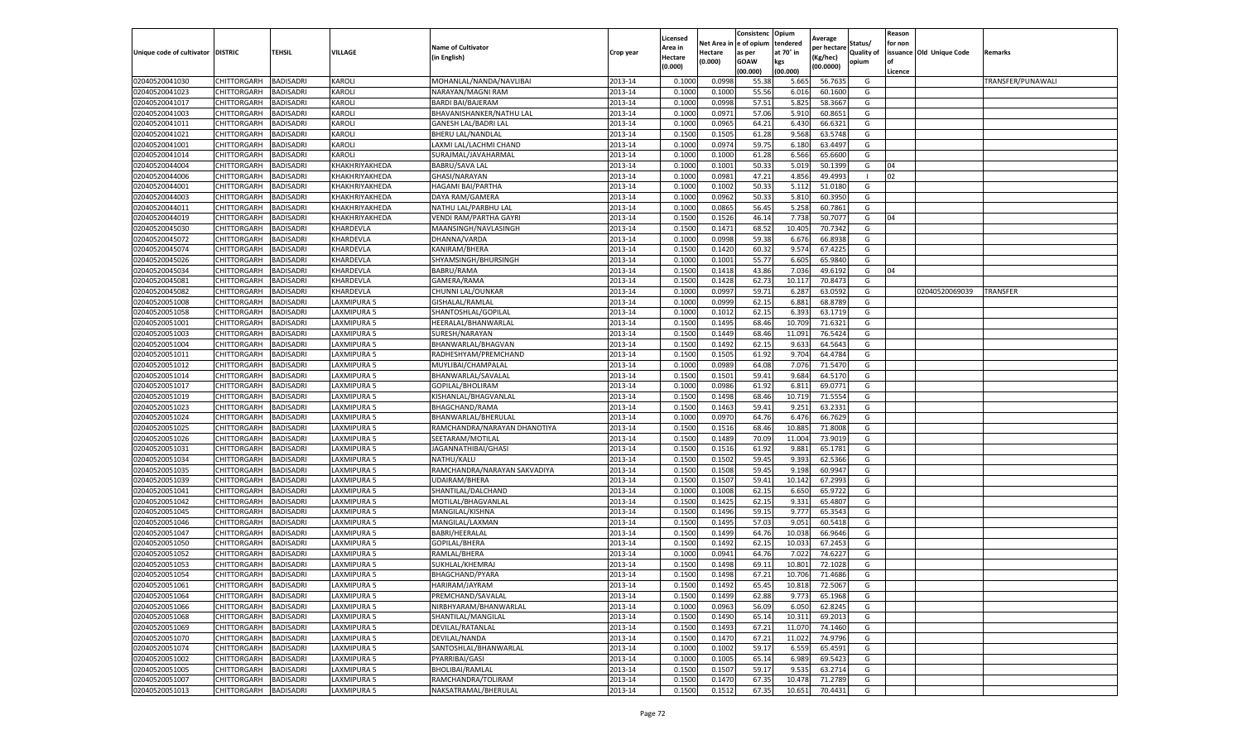|                                  |                    |                  |                |                              |           | Licensed |         | Consistenc             | Opium     |                        |            | Reason  |                          |                   |
|----------------------------------|--------------------|------------------|----------------|------------------------------|-----------|----------|---------|------------------------|-----------|------------------------|------------|---------|--------------------------|-------------------|
|                                  |                    |                  |                | <b>Name of Cultivator</b>    |           | Area in  |         | Net Area in e of opium | tendered  | Average<br>per hectare | Status/    | for non |                          |                   |
| Unique code of cultivator        | <b>DISTRIC</b>     | TEHSIL           | VILLAGE        | in English)                  | Crop year | Hectare  | Hectare | as per                 | at 70° in | (Kg/hec                | Quality of |         | issuance Old Unique Code | <b>Remarks</b>    |
|                                  |                    |                  |                |                              |           | (0.000)  | (0.000) | <b>GOAW</b>            | kgs       | (00.0000)              | opium      |         |                          |                   |
|                                  |                    |                  |                |                              |           |          |         | (00.000)               | (00.000)  |                        |            | Licence |                          |                   |
| 02040520041030                   | CHITTORGARH        | <b>BADISADRI</b> | KAROLI         | MOHANLAL/NANDA/NAVLIBAI      | 2013-14   | 0.1000   | 0.0998  | 55.38                  | 5.665     | 56.7635                | G          |         |                          | TRANSFER/PUNAWALI |
| 02040520041023                   | CHITTORGARH        | <b>BADISADRI</b> | KAROLI         | NARAYAN/MAGNI RAM            | 2013-14   | 0.1000   | 0.1000  | 55.56                  | 6.01      | 60.1600                | G          |         |                          |                   |
| 02040520041017                   | CHITTORGARH        | <b>BADISADRI</b> | KAROLI         | <b>BARDI BAI/BAJERAM</b>     | 2013-14   | 0.1000   | 0.0998  | 57.51                  | 5.825     | 58.3667                | G          |         |                          |                   |
| 02040520041003                   | CHITTORGARH        | <b>BADISADRI</b> | KAROLI         | BHAVANISHANKER/NATHU LAL     | 2013-14   | 0.1000   | 0.0971  | 57.06                  | 5.910     | 60.8651                | G          |         |                          |                   |
| 02040520041011                   | <b>CHITTORGARH</b> | <b>BADISADRI</b> | KAROLI         | <b>GANESH LAL/BADRI LAL</b>  | 2013-14   | 0.1000   | 0.0965  | 64.21                  | 6.430     | 66.6321                | G          |         |                          |                   |
| 02040520041021                   | CHITTORGARH        | <b>BADISADRI</b> | KAROLI         | <b>BHERU LAL/NANDLAL</b>     | 2013-14   | 0.1500   | 0.1505  | 61.28                  | 9.568     | 63.5748                | G          |         |                          |                   |
| 02040520041001                   | CHITTORGARH        | <b>BADISADRI</b> | KAROLI         | LAXMI LAL/LACHMI CHAND       | 2013-14   | 0.1000   | 0.0974  | 59.75                  | 6.180     | 63.4497                | G          |         |                          |                   |
| 02040520041014                   | CHITTORGARH        | BADISADRI        | KAROLI         | SURAJMAL/JAVAHARMAL          | 2013-14   | 0.1000   | 0.1000  | 61.28                  | 6.566     | 65.6600                | G          |         |                          |                   |
| 02040520044004                   | CHITTORGARH        | <b>BADISADRI</b> | KHAKHRIYAKHEDA | BABRU/SAVA LAL               | 2013-14   | 0.1000   | 0.1001  | 50.33                  | 5.019     | 50.1399                | G          | 04      |                          |                   |
| 02040520044006                   | CHITTORGARH        | <b>BADISADRI</b> | KHAKHRIYAKHEDA | GHASI/NARAYAN                | 2013-14   | 0.1000   | 0.0981  | 47.21                  | 4.856     | 49.4993                | -1         | 02      |                          |                   |
| 02040520044001                   | CHITTORGARH        | <b>BADISADRI</b> | KHAKHRIYAKHEDA | HAGAMI BAI/PARTHA            | 2013-14   | 0.1000   | 0.1002  | 50.33                  | 5.112     | 51.0180                | G          |         |                          |                   |
| 02040520044003                   | CHITTORGARH        | <b>BADISADRI</b> | KHAKHRIYAKHEDA | DAYA RAM/GAMERA              | 2013-14   | 0.1000   | 0.0962  | 50.33                  | 5.81      | 60.3950                | G          |         |                          |                   |
| 02040520044011                   | CHITTORGARH        | <b>BADISADRI</b> | KHAKHRIYAKHEDA | NATHU LAL/PARBHU LAL         | 2013-14   | 0.1000   | 0.0865  | 56.45                  | 5.258     | 60.7861                | G          |         |                          |                   |
| 02040520044019                   | CHITTORGARH        | <b>BADISADRI</b> | KHAKHRIYAKHEDA | VENDI RAM/PARTHA GAYRI       | 2013-14   | 0.1500   | 0.1526  | 46.14                  | 7.738     | 50.7077                | G          | 04      |                          |                   |
| 02040520045030                   | CHITTORGARH        | <b>BADISADRI</b> | KHARDEVLA      | MAANSINGH/NAVLASINGH         | 2013-14   | 0.1500   | 0.1471  | 68.52                  | 10.405    | 70.7342                | G          |         |                          |                   |
| 02040520045072                   | CHITTORGARH        | <b>BADISADRI</b> | KHARDEVLA      | DHANNA/VARDA                 | 2013-14   | 0.1000   | 0.0998  | 59.38                  | 6.67      | 66.8938                | G          |         |                          |                   |
| 02040520045074                   | CHITTORGARH        | <b>BADISADRI</b> | KHARDEVLA      | KANIRAM/BHERA                | 2013-14   | 0.1500   | 0.1420  | 60.32                  | 9.574     | 67.4225                | G          |         |                          |                   |
| 02040520045026                   | CHITTORGARH        | <b>BADISADRI</b> | KHARDEVLA      | SHYAMSINGH/BHURSINGH         | 2013-14   | 0.1000   | 0.1001  | 55.77                  | 6.605     | 65.9840                | G          |         |                          |                   |
| 02040520045034                   | CHITTORGARH        | <b>BADISADRI</b> | KHARDEVLA      | BABRU/RAMA                   | 2013-14   | 0.1500   | 0.1418  | 43.86                  | 7.036     | 49.6192                | G          | 04      |                          |                   |
| 02040520045081                   | CHITTORGARH        | <b>BADISADRI</b> | KHARDEVLA      | GAMERA/RAMA                  | 2013-14   | 0.1500   | 0.1428  | 62.73                  | 10.117    | 70.8473                | G          |         |                          |                   |
| 02040520045082                   | CHITTORGARH        | <b>BADISADRI</b> | KHARDEVLA      | CHUNNI LAL/OUNKAR            | 2013-14   | 0.1000   | 0.0997  | 59.71                  | 6.287     | 63.0592                | G          |         | 02040520069039           | <b>TRANSFER</b>   |
| 02040520051008                   | CHITTORGARH        | <b>BADISADRI</b> | LAXMIPURA 5    | GISHALAL/RAMLAL              | 2013-14   | 0.1000   | 0.0999  | 62.15                  | 6.881     | 68.8789                | G          |         |                          |                   |
| 02040520051058                   | CHITTORGARH        | <b>BADISADRI</b> | LAXMIPURA 5    | SHANTOSHLAL/GOPILAL          | 2013-14   | 0.1000   | 0.1012  | 62.15                  | 6.393     | 63.1719                | G          |         |                          |                   |
| 02040520051001                   | CHITTORGARH        | <b>BADISADRI</b> | LAXMIPURA 5    | HEERALAL/BHANWARLAL          | 2013-14   | 0.1500   | 0.1495  | 68.46                  | 10.709    | 71.6321                | G          |         |                          |                   |
| 02040520051003                   | <b>CHITTORGARH</b> | <b>BADISADRI</b> | LAXMIPURA 5    | SURESH/NARAYAN               | 2013-14   | 0.1500   | 0.1449  | 68.46                  | 11.091    | 76.5424                | G          |         |                          |                   |
| 02040520051004                   | CHITTORGARH        | <b>BADISADRI</b> | LAXMIPURA 5    | BHANWARLAL/BHAGVAN           | 2013-14   | 0.1500   | 0.1492  | 62.15                  | 9.633     | 64.5643                | G          |         |                          |                   |
| 02040520051011                   | CHITTORGARH        | BADISADRI        | LAXMIPURA 5    | RADHESHYAM/PREMCHAND         | 2013-14   | 0.1500   | 0.1505  | 61.92                  | 9.704     | 64.4784                | G          |         |                          |                   |
| 02040520051012                   | CHITTORGARH        | <b>BADISADRI</b> | LAXMIPURA 5    | MUYLIBAI/CHAMPALAL           | 2013-14   | 0.1000   | 0.0989  | 64.08                  | 7.076     | 71.5470                | G          |         |                          |                   |
| 02040520051014                   | CHITTORGARH        | <b>BADISADRI</b> | LAXMIPURA 5    | BHANWARLAL/SAVALAL           | 2013-14   | 0.1500   | 0.1501  | 59.41                  | 9.684     | 64.5170                | G          |         |                          |                   |
| 02040520051017                   | CHITTORGARH        | <b>BADISADRI</b> | LAXMIPURA 5    | GOPILAL/BHOLIRAM             | 2013-14   | 0.1000   | 0.0986  | 61.92                  | 6.81      | 69.0771                | G          |         |                          |                   |
| 02040520051019                   | CHITTORGARH        | <b>BADISADRI</b> | LAXMIPURA 5    | KISHANLAL/BHAGVANLAL         | 2013-14   | 0.1500   | 0.1498  | 68.46                  | 10.71     | 71.5554                | G          |         |                          |                   |
| 02040520051023                   | CHITTORGARH        | <b>BADISADRI</b> | LAXMIPURA 5    | BHAGCHAND/RAMA               | 2013-14   | 0.1500   | 0.1463  | 59.41                  | 9.251     | 63.2331                | G          |         |                          |                   |
| 02040520051024                   | CHITTORGARH        | <b>BADISADRI</b> | LAXMIPURA 5    | BHANWARLAL/BHERULAL          | 2013-14   | 0.1000   | 0.0970  | 64.76                  | 6.476     | 66.7629                | G          |         |                          |                   |
| 02040520051025                   | CHITTORGARH        | <b>BADISADRI</b> | LAXMIPURA 5    | RAMCHANDRA/NARAYAN DHANOTIYA | 2013-14   | 0.1500   | 0.1516  | 68.46                  | 10.885    | 71.8008                | G          |         |                          |                   |
| 02040520051026                   | CHITTORGARH        | <b>BADISADRI</b> | LAXMIPURA 5    | SEETARAM/MOTILAL             | 2013-14   | 0.1500   | 0.1489  | 70.09                  | 11.004    | 73.9019                | G          |         |                          |                   |
| 02040520051031                   | CHITTORGARH        | <b>BADISADRI</b> | LAXMIPURA 5    | JAGANNATHIBAI/GHASI          | 2013-14   | 0.1500   | 0.1516  | 61.92                  | 9.881     | 65.1781                | G          |         |                          |                   |
| 02040520051034                   | CHITTORGARH        | <b>BADISADRI</b> | LAXMIPURA 5    | NATHU/KALU                   | 2013-14   | 0.1500   | 0.1502  | 59.45                  | 9.393     | 62.5366                | G          |         |                          |                   |
| 02040520051035                   | CHITTORGARH        | <b>BADISADRI</b> | AXMIPURA 5     | RAMCHANDRA/NARAYAN SAKVADIYA | 2013-14   | 0.1500   | 0.1508  | 59.45                  | 9.19      | 60.9947                | G          |         |                          |                   |
| 02040520051039                   | CHITTORGARH        | BADISADRI        | LAXMIPURA 5    | UDAIRAM/BHERA                | 2013-14   | 0.1500   | 0.1507  | 59.41                  | 10.14     | 67.2993                | G          |         |                          |                   |
| 02040520051041                   | CHITTORGARH        | <b>BADISADRI</b> | LAXMIPURA 5    | SHANTILAL/DALCHAND           | 2013-14   | 0.1000   | 0.1008  | 62.15                  | 6.650     | 65.9722                | G          |         |                          |                   |
| 02040520051042                   | CHITTORGARH        | <b>BADISADRI</b> | LAXMIPURA 5    | MOTILAL/BHAGVANLAL           | 2013-14   | 0.1500   | 0.1425  | 62.15                  | 9.331     | 65.4807                | G          |         |                          |                   |
| 02040520051045                   | CHITTORGARH        | <b>BADISADRI</b> | LAXMIPURA 5    | MANGILAL/KISHNA              | 2013-14   | 0.1500   | 0.1496  | 59.15                  | 9.777     | 65.3543                | G          |         |                          |                   |
| 02040520051046                   | CHITTORGARH        | <b>BADISADRI</b> | LAXMIPURA 5    | MANGILAL/LAXMAN              | 2013-14   | 0.1500   | 0.1495  | 57.03                  | 9.051     | 60.5418                | G          |         |                          |                   |
| 02040520051047                   | CHITTORGARH        | <b>BADISADRI</b> | LAXMIPURA 5    | BABRI/HEERALAL               | 2013-14   | 0.1500   | 0.1499  | 64.76                  | 10.03     | 66.9646                | G          |         |                          |                   |
| 02040520051050                   | <b>CHITTORGARH</b> | <b>BADISADRI</b> | LAXMIPURA 5    | GOPILAL/BHERA                | 2013-14   | 0.1500   | 0.1492  | 62.15                  | 10.03     | 67.2453                | G          |         |                          |                   |
| 02040520051052                   | CHITTORGARH        | BADISADRI        | LAXMIPURA 5    | RAMLAL/BHERA                 | 2013-14   | 0.1000   | 0.0941  | 64.76                  | 7.02      | 74.6227                | G          |         |                          |                   |
| 02040520051053                   | CHITTORGARH        | <b>BADISADRI</b> | LAXMIPURA 5    | SUKHLAL/KHEMRAJ              | 2013-14   | 0.1500   | 0.1498  | 69.11                  | 10.801    | 72.1028                | G          |         |                          |                   |
| 02040520051054                   | CHITTORGARH        | <b>BADISADRI</b> | LAXMIPURA 5    | BHAGCHAND/PYARA              | 2013-14   | 0.1500   | 0.1498  | 67.21                  | 10.706    | 71.4686                | G          |         |                          |                   |
| 02040520051061                   | CHITTORGARH        | <b>BADISADRI</b> | LAXMIPURA 5    | HARIRAM/JAYRAM               | 2013-14   | 0.1500   | 0.1492  | 65.45                  | 10.818    | 72.5067                | G          |         |                          |                   |
|                                  | CHITTORGARH        | <b>BADISADRI</b> | LAXMIPURA 5    | PREMCHAND/SAVALAL            | 2013-14   | 0.1500   | 0.1499  | 62.88                  | 9.773     | 65.1968                | G          |         |                          |                   |
| 02040520051064<br>02040520051066 | <b>CHITTORGARH</b> | <b>BADISADRI</b> | LAXMIPURA 5    | NIRBHYARAM/BHANWARLAL        | 2013-14   | 0.1000   | 0.0963  | 56.09                  | 6.050     | 62.8245                | G          |         |                          |                   |
|                                  |                    |                  |                |                              |           |          |         |                        |           |                        |            |         |                          |                   |
| 02040520051068                   | CHITTORGARH        | <b>BADISADRI</b> | LAXMIPURA 5    | SHANTILAL/MANGILAL           | 2013-14   | 0.1500   | 0.1490  | 65.14                  | 10.31     | 69.2013                | G          |         |                          |                   |
| 02040520051069                   | <b>CHITTORGARH</b> | <b>BADISADRI</b> | LAXMIPURA 5    | DEVILAL/RATANLAL             | 2013-14   | 0.1500   | 0.1493  | 67.21                  | 11.07     | 74.1460                | G          |         |                          |                   |
| 02040520051070                   | <b>CHITTORGARH</b> | <b>BADISADRI</b> | LAXMIPURA 5    | DEVILAL/NANDA                | 2013-14   | 0.1500   | 0.1470  | 67.21                  | 11.022    | 74.9796                | G          |         |                          |                   |
| 02040520051074                   | CHITTORGARH        | <b>BADISADRI</b> | LAXMIPURA 5    | SANTOSHLAL/BHANWARLAL        | 2013-14   | 0.1000   | 0.1002  | 59.17                  | 6.559     | 65.4591                | G          |         |                          |                   |
| 02040520051002                   | <b>CHITTORGARH</b> | <b>BADISADRI</b> | LAXMIPURA 5    | PYARRIBAI/GASI               | 2013-14   | 0.1000   | 0.1005  | 65.14                  | 6.989     | 69.5423                | G          |         |                          |                   |
| 02040520051005                   | CHITTORGARH        | <b>BADISADRI</b> | LAXMIPURA 5    | <b>BHOLIBAI/RAMLAL</b>       | 2013-14   | 0.1500   | 0.1507  | 59.17                  | 9.535     | 63.2714                | G          |         |                          |                   |
| 02040520051007                   | CHITTORGARH        | <b>BADISADRI</b> | LAXMIPURA 5    | RAMCHANDRA/TOLIRAM           | 2013-14   | 0.1500   | 0.1470  | 67.35                  | 10.478    | 71.2789                | G          |         |                          |                   |
| 02040520051013                   | <b>CHITTORGARH</b> | <b>BADISADRI</b> | LAXMIPURA 5    | NAKSATRAMAL/BHERULAL         | 2013-14   | 0.1500   | 0.1512  | 67.35                  | 10.651    | 70.4431                | G          |         |                          |                   |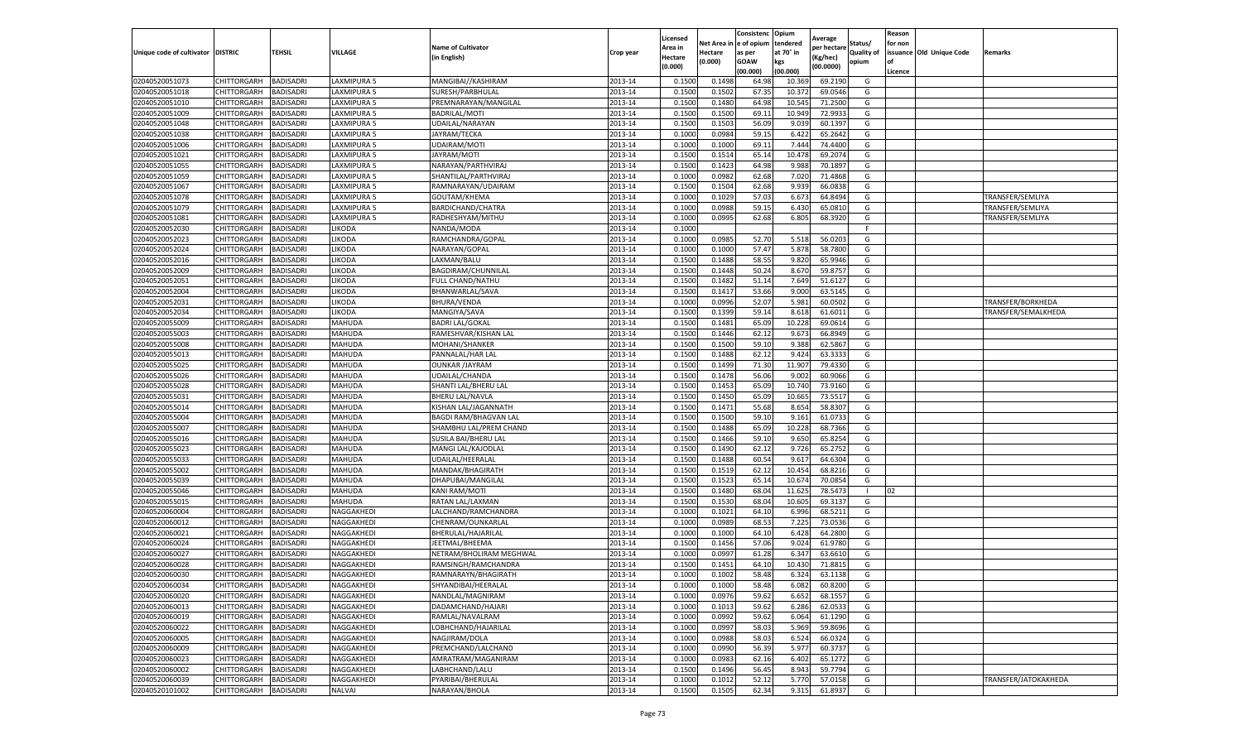|                           |                    |                  |              |                           |           | Licensed |         | Consistenc             | Opium     | Average     |                   | Reason  |                          |                      |
|---------------------------|--------------------|------------------|--------------|---------------------------|-----------|----------|---------|------------------------|-----------|-------------|-------------------|---------|--------------------------|----------------------|
|                           |                    |                  |              | <b>Name of Cultivator</b> |           | Area in  |         | Net Area in e of opium | tendered  | per hectare | Status/           | for non |                          |                      |
| Unique code of cultivator | <b>DISTRIC</b>     | TEHSIL           | VILLAGE      | in English)               | Crop year | Hectare  | Hectare | as per                 | at 70° in | (Kg/hec     | <b>Quality of</b> |         | issuance Old Unique Code | <b>Remarks</b>       |
|                           |                    |                  |              |                           |           | (0.000)  | (0.000) | <b>GOAW</b>            | kgs       | (00.0000)   | opium             |         |                          |                      |
|                           |                    |                  |              |                           |           |          |         | (00.000)               | (00.000)  |             |                   | Licence |                          |                      |
| 02040520051073            | CHITTORGARH        | <b>BADISADRI</b> | LAXMIPURA 5  | MANGIBAI//KASHIRAM        | 2013-14   | 0.1500   | 0.1498  | 64.98                  | 10.36     | 69.2190     | G                 |         |                          |                      |
| 02040520051018            | CHITTORGARH        | <b>BADISADRI</b> | LAXMIPURA 5  | SURESH/PARBHULAL          | 2013-14   | 0.1500   | 0.1502  | 67.35                  | 10.37     | 69.0546     | G                 |         |                          |                      |
| 02040520051010            | CHITTORGARH        | <b>BADISADRI</b> | LAXMIPURA 5  | PREMNARAYAN/MANGILAL      | 2013-14   | 0.1500   | 0.1480  | 64.98                  | 10.545    | 71.2500     | G                 |         |                          |                      |
| 02040520051009            | CHITTORGARH        | <b>BADISADRI</b> | LAXMIPURA 5  | BADRILAL/MOTI             | 2013-14   | 0.1500   | 0.1500  | 69.11                  | 10.949    | 72.9933     | G                 |         |                          |                      |
| 02040520051048            | CHITTORGARH        | <b>BADISADRI</b> | LAXMIPURA 5  | UDAILAL/NARAYAN           | 2013-14   | 0.1500   | 0.1503  | 56.09                  | 9.039     | 60.1397     | G                 |         |                          |                      |
| 02040520051038            | CHITTORGARH        | <b>BADISADRI</b> | AXMIPURA 5   | JAYRAM/TECKA              | 2013-14   | 0.1000   | 0.0984  | 59.15                  | 6.422     | 65.2642     | G                 |         |                          |                      |
| 02040520051006            | CHITTORGARH        | <b>BADISADRI</b> | LAXMIPURA 5  | UDAIRAM/MOTI              | 2013-14   | 0.1000   | 0.1000  | 69.11                  | 7.44      | 74.4400     | G                 |         |                          |                      |
| 02040520051021            | CHITTORGARH        | BADISADRI        | LAXMIPURA 5  | JAYRAM/MOT                | 2013-14   | 0.1500   | 0.1514  | 65.14                  | 10.47     | 69.2074     | G                 |         |                          |                      |
| 02040520051055            | CHITTORGARH        | <b>BADISADRI</b> | LAXMIPURA 5  | NARAYAN/PARTHVIRAJ        | 2013-14   | 0.1500   | 0.1423  | 64.98                  | 9.988     | 70.1897     | G                 |         |                          |                      |
| 02040520051059            | CHITTORGARH        | <b>BADISADRI</b> | LAXMIPURA 5  | SHANTILAL/PARTHVIRAJ      | 2013-14   | 0.1000   | 0.0982  | 62.68                  | 7.020     | 71.4868     | G                 |         |                          |                      |
| 02040520051067            | CHITTORGARH        | <b>BADISADRI</b> | LAXMIPURA 5  | RAMNARAYAN/UDAIRAM        | 2013-14   | 0.1500   | 0.1504  | 62.68                  | 9.939     | 66.0838     | G                 |         |                          |                      |
| 02040520051078            | CHITTORGARH        | <b>BADISADRI</b> | LAXMIPURA 5  | GOUTAM/KHEMA              | 2013-14   | 0.1000   | 0.1029  | 57.03                  | 6.673     | 64.8494     | G                 |         |                          | TRANSFER/SEMLIYA     |
| 02040520051079            | CHITTORGARH        | <b>BADISADRI</b> | LAXMIPURA 5  | BARDICHAND/CHATRA         | 2013-14   | 0.1000   | 0.0988  | 59.15                  | 6.43      | 65.0810     | G                 |         |                          | TRANSFER/SEMLIYA     |
| 02040520051081            | CHITTORGARH        | <b>BADISADRI</b> | LAXMIPURA 5  | RADHESHYAM/MITHU          | 2013-14   | 0.1000   | 0.0995  | 62.68                  | 6.805     | 68.3920     | G                 |         |                          | TRANSFER/SEMLIYA     |
| 02040520052030            | CHITTORGARH        | <b>BADISADRI</b> | <b>IKODA</b> | NANDA/MODA                | 2013-14   | 0.1000   |         |                        |           |             | F.                |         |                          |                      |
| 02040520052023            | CHITTORGARH        | <b>BADISADRI</b> | <b>IKODA</b> | RAMCHANDRA/GOPAL          | 2013-14   | 0.1000   | 0.0985  | 52.70                  | 5.518     | 56.0203     | G                 |         |                          |                      |
| 02040520052024            | CHITTORGARH        | <b>BADISADRI</b> | likoda       | NARAYAN/GOPAL             | 2013-14   | 0.1000   | 0.1000  | 57.47                  | 5.878     | 58.7800     | G                 |         |                          |                      |
| 02040520052016            | CHITTORGARH        | <b>BADISADRI</b> | <b>IKODA</b> | LAXMAN/BALU               | 2013-14   | 0.1500   | 0.1488  | 58.55                  | 9.820     | 65.9946     | G                 |         |                          |                      |
| 02040520052009            | CHITTORGARH        | <b>BADISADRI</b> | <b>IKODA</b> | BAGDIRAM/CHUNNILAL        | 2013-14   | 0.1500   | 0.1448  | 50.24                  | 8.67      | 59.8757     | G                 |         |                          |                      |
| 02040520052051            | CHITTORGARH        | BADISADRI        | <b>IKODA</b> | <b>FULL CHAND/NATHU</b>   | 2013-14   | 0.1500   | 0.1482  | 51.14                  | 7.649     | 51.6127     | G                 |         |                          |                      |
| 02040520052004            | CHITTORGARH        | <b>BADISADRI</b> | <b>IKODA</b> | BHANWARLAL/SAVA           | 2013-14   | 0.1500   | 0.1417  | 53.66                  | 9.000     | 63.5145     | G                 |         |                          |                      |
| 02040520052031            | CHITTORGARH        | <b>BADISADRI</b> | <b>IKODA</b> | <b>BHURA/VENDA</b>        | 2013-14   | 0.1000   | 0.0996  | 52.07                  | 5.981     | 60.0502     | G                 |         |                          | TRANSFER/BORKHEDA    |
| 02040520052034            | CHITTORGARH        | <b>BADISADRI</b> | LIKODA       | MANGIYA/SAVA              | 2013-14   | 0.1500   | 0.1399  | 59.14                  | 8.618     | 61.6011     | G                 |         |                          | TRANSFER/SEMALKHEDA  |
| 02040520055009            | CHITTORGARH        | <b>BADISADRI</b> | MAHUDA       | <b>BADRI LAL/GOKAL</b>    | 2013-14   | 0.1500   | 0.1481  | 65.09                  | 10.228    | 69.0614     | G                 |         |                          |                      |
| 02040520055003            | CHITTORGARH        | <b>BADISADRI</b> | MAHUDA       | RAMESHVAR/KISHAN LAL      | 2013-14   | 0.1500   | 0.1446  | 62.12                  | 9.673     | 66.8949     | G                 |         |                          |                      |
| 02040520055008            | CHITTORGARH        | <b>BADISADRI</b> | MAHUDA       | MOHANI/SHANKER            | 2013-14   | 0.1500   | 0.1500  | 59.10                  | 9.388     | 62.5867     | G                 |         |                          |                      |
| 02040520055013            | CHITTORGARH        | <b>BADISADRI</b> | MAHUDA       | PANNALAL/HAR LAL          | 2013-14   | 0.1500   | 0.1488  | 62.12                  | 9.424     | 63.3333     | G                 |         |                          |                      |
| 02040520055025            | CHITTORGARH        | <b>BADISADRI</b> | MAHUDA       | <b>OUNKAR /JAYRAM</b>     | 2013-14   | 0.1500   | 0.1499  | 71.30                  | 11.907    | 79.4330     | G                 |         |                          |                      |
| 02040520055026            | CHITTORGARH        | <b>BADISADRI</b> | MAHUDA       | UDAILAL/CHANDA            | 2013-14   | 0.1500   | 0.1478  | 56.06                  | 9.002     | 60.9066     | G                 |         |                          |                      |
| 02040520055028            | CHITTORGARH        | <b>BADISADRI</b> | MAHUDA       | SHANTI LAL/BHERU LAL      | 2013-14   | 0.1500   | 0.1453  | 65.09                  | 10.74     | 73.9160     | G                 |         |                          |                      |
| 02040520055031            | CHITTORGARH        | <b>BADISADRI</b> | MAHUDA       | <b>BHERU LAL/NAVLA</b>    | 2013-14   | 0.1500   | 0.1450  | 65.09                  | 10.66     | 73.5517     | G                 |         |                          |                      |
| 02040520055014            | CHITTORGARH        | <b>BADISADRI</b> | MAHUDA       | KISHAN LAL/JAGANNATH      | 2013-14   | 0.1500   | 0.1471  | 55.68                  | 8.654     | 58.8307     | G                 |         |                          |                      |
| 02040520055004            | CHITTORGARH        | <b>BADISADRI</b> | MAHUDA       | BAGDI RAM/BHAGVAN LAI     | 2013-14   | 0.1500   | 0.1500  | 59.10                  | 9.161     | 61.0733     | G                 |         |                          |                      |
| 02040520055007            | CHITTORGARH        | <b>BADISADRI</b> | MAHUDA       | SHAMBHU LAL/PREM CHAND    | 2013-14   | 0.1500   | 0.1488  | 65.09                  | 10.228    | 68.7366     | G                 |         |                          |                      |
| 02040520055016            | CHITTORGARH        | <b>BADISADRI</b> | MAHUDA       | SUSILA BAI/BHERU LAL      | 2013-14   | 0.1500   | 0.1466  | 59.10                  | 9.650     | 65.8254     | G                 |         |                          |                      |
| 02040520055023            | CHITTORGARH        | <b>BADISADRI</b> | MAHUDA       | MANGI LAL/KAJODLAL        | 2013-14   | 0.1500   | 0.1490  | 62.12                  | 9.726     | 65.2752     | G                 |         |                          |                      |
| 02040520055033            | CHITTORGARH        | <b>BADISADRI</b> | MAHUDA       | UDAILAL/HEERALAL          | 2013-14   | 0.1500   | 0.1488  | 60.54                  | 9.617     | 64.6304     | G                 |         |                          |                      |
| 02040520055002            | CHITTORGARH        | <b>BADISADRI</b> | MAHUDA       | MANDAK/BHAGIRATH          | 2013-14   | 0.1500   | 0.1519  | 62.12                  | 10.45     | 68.8216     | G                 |         |                          |                      |
| 02040520055039            | CHITTORGARH        | BADISADRI        | MAHUDA       | DHAPUBAI/MANGILAL         | 2013-14   | 0.1500   | 0.1523  | 65.14                  | 10.67     | 70.0854     | G                 |         |                          |                      |
| 02040520055046            | CHITTORGARH        | <b>BADISADRI</b> | MAHUDA       | KANI RAM/MOTI             | 2013-14   | 0.1500   | 0.1480  | 68.04                  | 11.625    | 78.5473     | -1                | 02      |                          |                      |
| 02040520055015            | CHITTORGARH        | <b>BADISADRI</b> | MAHUDA       | RATAN LAL/LAXMAN          | 2013-14   | 0.1500   | 0.1530  | 68.04                  | 10.605    | 69.3137     | G                 |         |                          |                      |
| 02040520060004            | CHITTORGARH        | <b>BADISADRI</b> | NAGGAKHEDI   | LALCHAND/RAMCHANDRA       | 2013-14   | 0.1000   | 0.1021  | 64.10                  | 6.996     | 68.5211     | G                 |         |                          |                      |
| 02040520060012            | CHITTORGARH        | <b>BADISADRI</b> | NAGGAKHEDI   | CHENRAM/OUNKARLAL         | 2013-14   | 0.1000   | 0.0989  | 68.53                  | 7.225     | 73.0536     | G                 |         |                          |                      |
| 02040520060021            | CHITTORGARH        | <b>BADISADRI</b> | NAGGAKHEDI   | BHERULAL/HAJARILAL        | 2013-14   | 0.1000   | 0.1000  | 64.10                  | 6.428     | 64.2800     | G                 |         |                          |                      |
| 02040520060024            | CHITTORGARH        | <b>BADISADRI</b> | NAGGAKHEDI   | JEETMAL/BHEEMA            | 2013-14   | 0.1500   | 0.1456  | 57.06                  | 9.024     | 61.9780     | G                 |         |                          |                      |
| 02040520060027            | CHITTORGARH        | BADISADRI        | NAGGAKHEDI   | NETRAM/BHOLIRAM MEGHWAL   | 2013-14   | 0.1000   | 0.0997  | 61.28                  | 6.34      | 63.6610     | G                 |         |                          |                      |
| 02040520060028            | CHITTORGARH        | <b>BADISADRI</b> | NAGGAKHEDI   | RAMSINGH/RAMCHANDRA       | 2013-14   | 0.1500   | 0.1451  | 64.10                  | 10.43     | 71.8815     | G                 |         |                          |                      |
| 02040520060030            | CHITTORGARH        | <b>BADISADRI</b> | NAGGAKHEDI   | RAMNARAYN/BHAGIRATH       | 2013-14   | 0.1000   | 0.1002  | 58.48                  | 6.324     | 63.1138     | G                 |         |                          |                      |
| 02040520060034            | CHITTORGARH        | <b>BADISADRI</b> | NAGGAKHEDI   | SHYANDIBAI/HEERALAL       | 2013-14   | 0.1000   | 0.1000  | 58.48                  | 6.082     | 60.8200     | G                 |         |                          |                      |
| 02040520060020            | CHITTORGARH        | <b>BADISADRI</b> | NAGGAKHEDI   | NANDLAL/MAGNIRAM          | 2013-14   | 0.1000   | 0.0976  | 59.62                  | 6.652     | 68.1557     | G                 |         |                          |                      |
| 02040520060013            | <b>CHITTORGARH</b> | <b>BADISADRI</b> | NAGGAKHEDI   | DADAMCHAND/HAJARI         | 2013-14   | 0.1000   | 0.1013  | 59.62                  | 6.286     | 62.0533     | G                 |         |                          |                      |
| 02040520060019            | CHITTORGARH        | <b>BADISADRI</b> | NAGGAKHEDI   | RAMLAL/NAVALRAM           | 2013-14   | 0.1000   | 0.0992  | 59.62                  | 6.064     | 61.1290     | G                 |         |                          |                      |
| 02040520060022            | CHITTORGARH        | <b>BADISADRI</b> | NAGGAKHEDI   | LOBHCHAND/HAJARILAL       | 2013-14   | 0.1000   | 0.0997  | 58.03                  | 5.969     | 59.8696     | G                 |         |                          |                      |
| 02040520060005            | <b>CHITTORGARH</b> | <b>BADISADRI</b> | NAGGAKHEDI   | NAGJIRAM/DOLA             | 2013-14   | 0.1000   | 0.0988  | 58.03                  | 6.524     | 66.0324     | G                 |         |                          |                      |
| 02040520060009            | CHITTORGARH        | <b>BADISADRI</b> | NAGGAKHEDI   | PREMCHAND/LALCHAND        | 2013-14   | 0.1000   | 0.0990  | 56.39                  | 5.977     | 60.3737     | G                 |         |                          |                      |
| 02040520060023            | CHITTORGARH        | <b>BADISADRI</b> | NAGGAKHEDI   | AMRATRAM/MAGANIRAM        | 2013-14   | 0.1000   | 0.0983  | 62.16                  | 6.402     | 65.1272     | G                 |         |                          |                      |
| 02040520060002            | CHITTORGARH        | <b>BADISADRI</b> | NAGGAKHEDI   | LABHCHAND/LALU            | 2013-14   | 0.1500   | 0.1496  | 56.45                  | 8.943     | 59.7794     | G                 |         |                          |                      |
| 02040520060039            | CHITTORGARH        | BADISADRI        | NAGGAKHEDI   | PYARIBAI/BHERULAL         | 2013-14   | 0.1000   | 0.1012  | 52.12                  | 5.770     | 57.0158     | G                 |         |                          | TRANSFER/JATOKAKHEDA |
| 02040520101002            | <b>CHITTORGARH</b> | <b>BADISADRI</b> | NALVAI       | NARAYAN/BHOLA             | 2013-14   | 0.1500   | 0.1505  | 62.34                  | 9.315     | 61.8937     | G                 |         |                          |                      |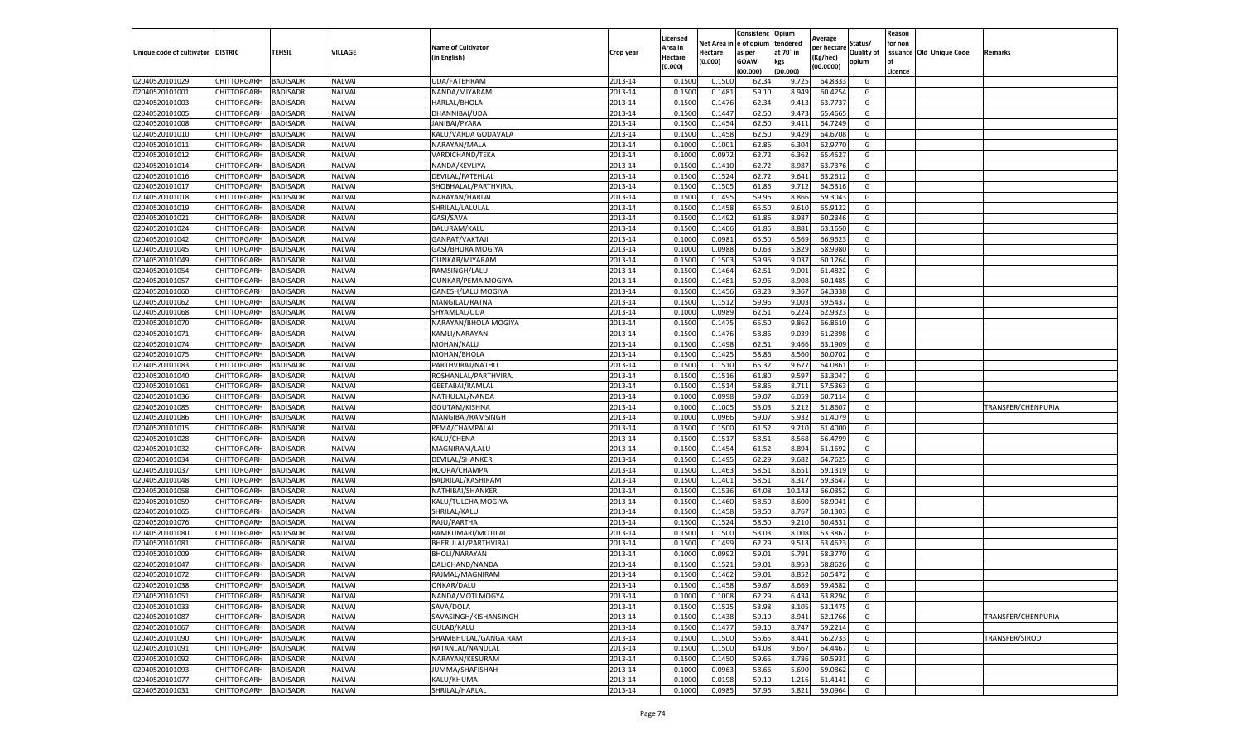|                                   |             |                  |               |                           |           | Licensed |            | Consistenc  | Opium     |                        |                   | Reason  |                          |                    |
|-----------------------------------|-------------|------------------|---------------|---------------------------|-----------|----------|------------|-------------|-----------|------------------------|-------------------|---------|--------------------------|--------------------|
|                                   |             |                  |               | <b>Name of Cultivator</b> |           | Area in  | Net Area i | e of opium  | tendered  | Average<br>per hectare | Status/           | for non |                          |                    |
| Unique code of cultivator DISTRIC |             | TEHSIL           | VILLAGE       | (in English)              | Crop year | Hectare  | Hectare    | as per      | at 70° in | (Kg/hec)               | <b>Quality of</b> |         | issuance Old Unique Code | Remarks            |
|                                   |             |                  |               |                           |           | (0.000)  | (0.000)    | <b>GOAW</b> | kgs       | (00.0000)              | opium             |         |                          |                    |
|                                   |             |                  |               |                           |           |          |            | (00.000     | (00.000)  |                        |                   | Licence |                          |                    |
| 02040520101029                    | CHITTORGARH | BADISADRI        | <b>NALVAI</b> | UDA/FATEHRAM              | 2013-14   | 0.1500   | 0.1500     | 62.34       | 9.725     | 64.8333                | G                 |         |                          |                    |
| 02040520101001                    | CHITTORGARH | BADISADRI        | <b>NALVAI</b> | NANDA/MIYARAM             | 2013-14   | 0.150    | 0.1481     | 59.10       | 8.949     | 60.4254                | G                 |         |                          |                    |
| 02040520101003                    | CHITTORGARH | BADISADRI        | NALVAI        | HARLAL/BHOLA              | 2013-14   | 0.1500   | 0.1476     | 62.34       | 9.413     | 63.7737                | G                 |         |                          |                    |
| 02040520101005                    | CHITTORGARH | BADISADRI        | <b>NALVAI</b> | DHANNIBAI/UDA             | 2013-14   | 0.1500   | 0.1447     | 62.50       | 9.473     | 65.4665                | G                 |         |                          |                    |
| 02040520101008                    | CHITTORGARH | BADISADRI        | <b>NALVAI</b> | JANIBAI/PYARA             | 2013-14   | 0.1500   | 0.1454     | 62.50       | 9.411     | 64.7249                | G                 |         |                          |                    |
| 02040520101010                    | CHITTORGARH | BADISADRI        | <b>NALVAI</b> | KALU/VARDA GODAVALA       | 2013-14   | 0.1500   | 0.1458     | 62.50       | 9.429     | 64.6708                | G                 |         |                          |                    |
| 02040520101011                    | CHITTORGARH | BADISADRI        | <b>NALVAI</b> | NARAYAN/MALA              | 2013-14   | 0.1000   | 0.1001     | 62.86       | 6.304     | 62.9770                | G                 |         |                          |                    |
| 02040520101012                    | CHITTORGARH | BADISADRI        | <b>NALVAI</b> | VARDICHAND/TEKA           | 2013-14   | 0.100    | 0.097      | 62.72       | 6.362     | 65.4527                | G                 |         |                          |                    |
| 02040520101014                    | CHITTORGARH | BADISADRI        | <b>NALVAI</b> | NANDA/KEVLIYA             | 2013-14   | 0.1500   | 0.1410     | 62.72       | 8.987     | 63.7376                | G                 |         |                          |                    |
| 02040520101016                    | CHITTORGARH | BADISADRI        | NALVAI        | DEVILAL/FATEHLAL          | 2013-14   | 0.1500   | 0.1524     | 62.72       | 9.641     | 63.2612                | G                 |         |                          |                    |
| 02040520101017                    | CHITTORGARH | BADISADRI        | <b>NALVAI</b> | SHOBHALAL/PARTHVIRAJ      | 2013-14   | 0.1500   | 0.1505     | 61.86       | 9.712     | 64.5316                | G                 |         |                          |                    |
| 02040520101018                    | CHITTORGARH | BADISADRI        | <b>NALVAI</b> | NARAYAN/HARLAL            | 2013-14   | 0.1500   | 0.1495     | 59.96       | 8.866     | 59.3043                | G                 |         |                          |                    |
| 02040520101019                    | CHITTORGARH | BADISADRI        | <b>NALVAI</b> | SHRILAL/LALULAL           | 2013-14   | 0.1500   | 0.1458     | 65.50       | 9.61      | 65.9122                | G                 |         |                          |                    |
| 02040520101021                    | CHITTORGARH | BADISADRI        | <b>NALVAI</b> | GASI/SAVA                 | 2013-14   | 0.1500   | 0.1492     | 61.86       | 8.987     | 60.2346                | G                 |         |                          |                    |
| 02040520101024                    | CHITTORGARH | BADISADRI        | NALVAI        | BALURAM/KALU              | 2013-14   | 0.1500   | 0.1406     | 61.86       | 8.881     | 63.1650                | G                 |         |                          |                    |
| 02040520101042                    | CHITTORGARH | BADISADRI        | NALVAI        | GANPAT/VAKTAJI            | 2013-14   | 0.1000   | 0.0981     | 65.50       | 6.569     | 66.9623                | G                 |         |                          |                    |
| 02040520101045                    | CHITTORGARH | BADISADRI        | NALVAI        | GASI/BHURA MOGIYA         | 2013-14   | 0.1000   | 0.0988     | 60.63       | 5.829     | 58.9980                | G                 |         |                          |                    |
| 02040520101049                    | CHITTORGARH | BADISADRI        | <b>NALVAI</b> | OUNKAR/MIYARAM            | 2013-14   | 0.1500   | 0.1503     | 59.96       | 9.037     | 60.1264                | G                 |         |                          |                    |
| 02040520101054                    | CHITTORGARH | BADISADRI        | <b>NALVAI</b> | RAMSINGH/LALU             | 2013-14   | 0.1500   | 0.1464     | 62.51       | 9.001     | 61.4822                | G                 |         |                          |                    |
| 02040520101057                    | CHITTORGARH | BADISADRI        | <b>NALVAI</b> | <b>OUNKAR/PEMA MOGIYA</b> | 2013-14   | 0.1500   | 0.1481     | 59.96       | 8.908     | 60.1485                | G                 |         |                          |                    |
| 02040520101060                    | CHITTORGARH | BADISADRI        | NALVAI        | GANESH/LALU MOGIYA        | 2013-14   | 0.1500   | 0.1456     | 68.23       | 9.367     | 64.3338                | G                 |         |                          |                    |
| 02040520101062                    | CHITTORGARH | BADISADRI        | NALVAI        | MANGILAL/RATNA            | 2013-14   | 0.1500   | 0.1512     | 59.96       | 9.003     | 59.5437                | G                 |         |                          |                    |
| 02040520101068                    | CHITTORGARH | BADISADRI        | <b>NALVAI</b> | SHYAMLAL/UDA              | 2013-14   | 0.1000   | 0.0989     | 62.51       | 6.224     | 62.9323                | G                 |         |                          |                    |
| 02040520101070                    | CHITTORGARH | BADISADRI        | <b>NALVAI</b> | NARAYAN/BHOLA MOGIYA      | 2013-14   | 0.1500   | 0.1475     | 65.50       | 9.862     | 66.8610                | G                 |         |                          |                    |
| 02040520101071                    | CHITTORGARH | BADISADRI        | <b>NALVAI</b> | KAMLI/NARAYAN             | 2013-14   | 0.1500   | 0.1476     | 58.86       | 9.039     | 61.2398                | G                 |         |                          |                    |
| 02040520101074                    | CHITTORGARH | BADISADRI        | <b>NALVAI</b> | MOHAN/KALU                | 2013-14   | 0.1500   | 0.1498     | 62.51       | 9.466     | 63.1909                | G                 |         |                          |                    |
| 02040520101075                    | CHITTORGARH | BADISADRI        | NALVAI        | MOHAN/BHOLA               | 2013-14   | 0.1500   | 0.1425     | 58.86       | 8.560     | 60.0702                | G                 |         |                          |                    |
| 02040520101083                    | CHITTORGARH | BADISADRI        | NALVAI        | PARTHVIRAJ/NATHU          | 2013-14   | 0.1500   | 0.1510     | 65.32       | 9.677     | 64.0861                | G                 |         |                          |                    |
| 02040520101040                    | CHITTORGARH | BADISADRI        | NALVAI        | ROSHANLAL/PARTHVIRAJ      | 2013-14   | 0.1500   | 0.1516     | 61.80       | 9.597     | 63.3047                | G                 |         |                          |                    |
| 02040520101061                    | CHITTORGARH | BADISADRI        | <b>NALVAI</b> | GEETABAI/RAMLAL           | 2013-14   | 0.1500   | 0.1514     | 58.86       | 8.711     | 57.5363                | G                 |         |                          |                    |
| 02040520101036                    | CHITTORGARH | BADISADRI        | NALVAI        | NATHULAL/NANDA            | 2013-14   | 0.1000   | 0.0998     | 59.07       | 6.059     | 60.7114                | G                 |         |                          |                    |
| 02040520101085                    | CHITTORGARH | BADISADRI        | <b>NALVAI</b> | GOUTAM/KISHNA             | 2013-14   | 0.1000   | 0.1005     | 53.03       | 5.212     | 51.8607                | G                 |         |                          | TRANSFER/CHENPURIA |
| 02040520101086                    | CHITTORGARH | BADISADRI        | <b>NALVAI</b> | MANGIBAI/RAMSINGH         | 2013-14   | 0.100    | 0.0966     | 59.07       | 5.932     | 61.4079                | G                 |         |                          |                    |
| 02040520101015                    | CHITTORGARH | BADISADRI        | NALVAI        | PEMA/CHAMPALAL            | 2013-14   | 0.1500   | 0.1500     | 61.52       | 9.210     | 61.4000                | G                 |         |                          |                    |
| 02040520101028                    | CHITTORGARH | BADISADRI        | <b>NALVAI</b> | KALU/CHENA                | 2013-14   | 0.1500   | 0.1517     | 58.51       | 8.568     | 56.4799                | G                 |         |                          |                    |
| 02040520101032                    | CHITTORGARH | BADISADRI        | <b>NALVAI</b> | MAGNIRAM/LALU             | 2013-14   | 0.1500   | 0.1454     | 61.52       | 8.894     | 61.1692                | G                 |         |                          |                    |
| 02040520101034                    | CHITTORGARH | BADISADRI        | <b>NALVAI</b> | DEVILAL/SHANKER           | 2013-14   | 0.1500   | 0.1495     | 62.29       | 9.682     | 64.7625                | G                 |         |                          |                    |
| 02040520101037                    | CHITTORGARH | BADISADRI        | <b>NALVAI</b> | ROOPA/CHAMPA              | 2013-14   | 0.1500   | 0.1463     | 58.51       | 8.65      | 59.1319                | G                 |         |                          |                    |
| 02040520101048                    | CHITTORGARH | BADISADRI        | <b>NALVAI</b> | BADRILAL/KASHIRAM         | 2013-14   | 0.1500   | 0.1401     | 58.51       | 8.317     | 59.3647                | G                 |         |                          |                    |
| 02040520101058                    | CHITTORGARH | BADISADRI        | <b>NALVAI</b> | NATHIBAI/SHANKER          | 2013-14   | 0.1500   | 0.1536     | 64.08       | 10.143    | 66.0352                | G                 |         |                          |                    |
| 02040520101059                    | CHITTORGARH | BADISADRI        | NALVAI        | KALU/TULCHA MOGIYA        | 2013-14   | 0.1500   | 0.1460     | 58.50       | 8.600     | 58.9041                | G                 |         |                          |                    |
| 02040520101065                    | CHITTORGARH | BADISADRI        | <b>NALVAI</b> | SHRILAL/KALU              | 2013-14   | 0.1500   | 0.1458     | 58.50       | 8.767     | 60.1303                | G                 |         |                          |                    |
| 02040520101076                    | CHITTORGARH | BADISADRI        | <b>NALVAI</b> | RAJU/PARTHA               | 2013-14   | 0.1500   | 0.1524     | 58.50       | 9.210     | 60.4331                | G                 |         |                          |                    |
| 02040520101080                    | CHITTORGARH | BADISADRI        | <b>NALVAI</b> | RAMKUMARI/MOTILAL         | 2013-14   | 0.1500   | 0.1500     | 53.03       | 8.008     | 53.3867                | G                 |         |                          |                    |
| 02040520101081                    | CHITTORGARH | BADISADRI        | <b>NALVAI</b> | BHERULAL/PARTHVIRAJ       | 2013-14   | 0.1500   | 0.1499     | 62.29       | 9.513     | 63.4623                | G                 |         |                          |                    |
| 02040520101009                    | CHITTORGARH | BADISADRI        | NALVAI        | BHOLI/NARAYAN             | 2013-14   | 0.100    | 0.0992     | 59.01       | 5.791     | 58.3770                | G                 |         |                          |                    |
| 02040520101047                    | CHITTORGARH | BADISADRI        | NALVAI        | DALICHAND/NANDA           | 2013-14   | 0.1500   | 0.1522     | 59.01       | 8.953     | 58.8626                | G                 |         |                          |                    |
| 02040520101072                    | CHITTORGARH | <b>BADISADRI</b> | NALVAI        | RAJMAL/MAGNIRAM           | 2013-14   | 0.1500   | 0.1462     | 59.01       | 8.852     | 60.5472                | G                 |         |                          |                    |
| 02040520101038                    | CHITTORGARH | <b>BADISADRI</b> | NALVAI        | ONKAR/DALU                | 2013-14   | 0.1500   | 0.1458     | 59.67       | 8.669     | 59.4582                | G                 |         |                          |                    |
| 02040520101051                    | CHITTORGARH | BADISADRI        | <b>NALVAI</b> | NANDA/MOTI MOGYA          | 2013-14   | 0.1000   | 0.1008     | 62.29       | 6.434     | 63.8294                | G                 |         |                          |                    |
| 02040520101033                    | CHITTORGARH | BADISADRI        | <b>NALVAI</b> | SAVA/DOLA                 | 2013-14   | 0.1500   | 0.1525     | 53.98       | 8.105     | 53.1475                | G                 |         |                          |                    |
| 02040520101087                    | CHITTORGARH | BADISADRI        | <b>NALVAI</b> | SAVASINGH/KISHANSINGH     | 2013-14   | 0.1500   | 0.1438     | 59.10       | 8.941     | 62.1766                | G                 |         |                          | TRANSFER/CHENPURIA |
| 02040520101067                    | CHITTORGARH | BADISADRI        | NALVAI        | GULAB/KALU                | 2013-14   | 0.1500   | 0.1477     | 59.10       | 8.747     | 59.2214                | G                 |         |                          |                    |
| 02040520101090                    | CHITTORGARH | <b>BADISADRI</b> | NALVAI        | SHAMBHULAL/GANGA RAM      | 2013-14   | 0.1500   | 0.1500     | 56.65       | 8.441     | 56.2733                | G                 |         |                          | TRANSFER/SIROD     |
| 02040520101091                    | CHITTORGARH | BADISADRI        | NALVAI        | RATANLAL/NANDLAL          | 2013-14   | 0.1500   | 0.1500     | 64.08       | 9.667     | 64.4467                | G                 |         |                          |                    |
| 02040520101092                    | CHITTORGARH | BADISADRI        | <b>NALVAI</b> | NARAYAN/KESURAM           | 2013-14   | 0.1500   | 0.1450     | 59.65       | 8.786     | 60.5931                | G                 |         |                          |                    |
| 02040520101093                    | CHITTORGARH | BADISADRI        | <b>NALVAI</b> | JUMMA/SHAFISHAH           | 2013-14   | 0.1000   | 0.0963     | 58.66       | 5.690     | 59.0862                | G                 |         |                          |                    |
| 02040520101077                    | CHITTORGARH | BADISADRI        | <b>NALVAI</b> | KALU/KHUMA                | 2013-14   | 0.1000   | 0.0198     | 59.10       | 1.216     | 61.4141                | G                 |         |                          |                    |
| 02040520101031                    | CHITTORGARH | <b>BADISADRI</b> | NALVAI        | SHRILAL/HARLAL            | 2013-14   | 0.1000   | 0.0985     | 57.96       | 5.821     | 59.0964                | G                 |         |                          |                    |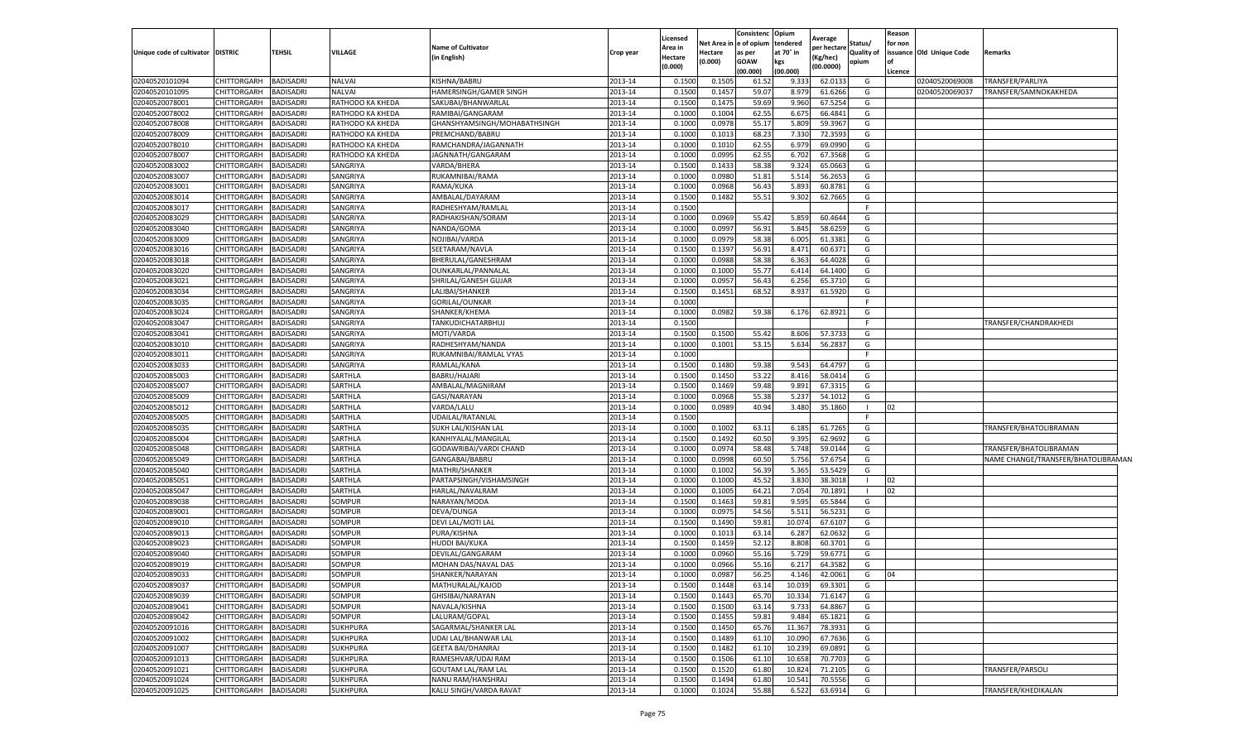|                           |                    |                  |                  |                              |           | Licensed |         | Consistenc Opium                 |                       | Average     |                       | Reason  |                         |                                    |
|---------------------------|--------------------|------------------|------------------|------------------------------|-----------|----------|---------|----------------------------------|-----------------------|-------------|-----------------------|---------|-------------------------|------------------------------------|
| Unique code of cultivator | <b>DISTRIC</b>     | <b>TEHSIL</b>    | <b>VILLAGE</b>   | <b>Name of Cultivator</b>    | Crop year | Area in  | Hectare | Net Area in e of opium<br>as per | tendered<br>at 70° in | per hectarı | Status/<br>Quality of | for non | ssuance Old Unique Code | Remarks                            |
|                           |                    |                  |                  | in English)                  |           | Hectare  | (0.000) | <b>GOAW</b>                      | kgs                   | Kg/hec)     | opium                 |         |                         |                                    |
|                           |                    |                  |                  |                              |           | (0.000)  |         | (00.000)                         | (00.000)              | (00.0000)   |                       | Licence |                         |                                    |
| 02040520101094            | CHITTORGARH        | <b>BADISADRI</b> | <b>NALVAI</b>    | KISHNA/BABRU                 | 2013-14   | 0.150    | 0.1505  | 61.52                            | 9.333                 | 62.013      | G                     |         | 02040520069008          | TRANSFER/PARLIYA                   |
| 02040520101095            | CHITTORGARH        | <b>BADISADRI</b> | <b>NALVAI</b>    | HAMERSINGH/GAMER SINGH       | 2013-14   | 0.150    | 0.145   | 59.07                            | 8.97                  | 61.6266     | G                     |         | 02040520069037          | TRANSFER/SAMNOKAKHEDA              |
| 02040520078001            | CHITTORGARH        | <b>BADISADRI</b> | RATHODO KA KHEDA | SAKUBAI/BHANWARLAL           | 2013-14   | 0.1500   | 0.1475  | 59.69                            | 9.960                 | 67.5254     | G                     |         |                         |                                    |
| 02040520078002            | CHITTORGARH        | <b>BADISADRI</b> | RATHODO KA KHEDA | RAMIBAI/GANGARAM             | 2013-14   | 0.1000   | 0.1004  | 62.55                            | 6.67                  | 66.4841     | G                     |         |                         |                                    |
| 02040520078008            | CHITTORGARH        | BADISADRI        | RATHODO KA KHEDA | GHANSHYAMSINGH/MOHABATHSINGH | 2013-14   | 0.1000   | 0.0978  | 55.17                            | 5.809                 | 59.3967     | G                     |         |                         |                                    |
| 02040520078009            | CHITTORGARH        | BADISADRI        | RATHODO KA KHEDA | PREMCHAND/BABRU              | 2013-14   | 0.1000   | 0.1013  | 68.23                            | 7.330                 | 72.359      | G                     |         |                         |                                    |
| 02040520078010            | CHITTORGARH        | <b>BADISADRI</b> | RATHODO KA KHEDA | RAMCHANDRA/JAGANNATH         | 2013-14   | 0.1000   | 0.101   | 62.55                            | 6.97                  | 69.0990     | G                     |         |                         |                                    |
| 02040520078007            | CHITTORGARH        | <b>BADISADRI</b> | RATHODO KA KHEDA | JAGNNATH/GANGARAM            | 2013-14   | 0.100    | 0.0995  | 62.55                            | 6.702                 | 67.3568     | G                     |         |                         |                                    |
| 02040520083002            | CHITTORGARH        | <b>BADISADRI</b> | SANGRIYA         | VARDA/BHERA                  | 2013-14   | 0.1500   | 0.1433  | 58.38                            | 9.324                 | 65.0663     | G                     |         |                         |                                    |
| 02040520083007            | CHITTORGARH        | <b>BADISADRI</b> | SANGRIYA         | RUKAMNIBAI/RAMA              | 2013-14   | 0.1000   | 0.0980  | 51.81                            | 5.514                 | 56.2653     | G                     |         |                         |                                    |
| 02040520083001            | <b>CHITTORGARH</b> | <b>BADISADRI</b> | SANGRIYA         | RAMA/KUKA                    | 2013-14   | 0.1000   | 0.0968  | 56.43                            | 5.893                 | 60.8781     | G                     |         |                         |                                    |
| 02040520083014            | CHITTORGARH        | <b>BADISADRI</b> | SANGRIYA         | AMBALAL/DAYARAM              | 2013-14   | 0.1500   | 0.1482  | 55.51                            | 9.302                 | 62.7665     | G                     |         |                         |                                    |
| 02040520083017            | CHITTORGARH        | <b>BADISADRI</b> | SANGRIYA         | RADHESHYAM/RAMLAI            | 2013-14   | 0.1500   |         |                                  |                       |             | F                     |         |                         |                                    |
| 02040520083029            | CHITTORGARH        | <b>BADISADRI</b> | SANGRIYA         | RADHAKISHAN/SORAM            | 2013-14   | 0.1000   | 0.0969  | 55.42                            | 5.85                  | 60.464      | G                     |         |                         |                                    |
| 02040520083040            | CHITTORGARH        | <b>BADISADRI</b> | SANGRIYA         | NANDA/GOMA                   | 2013-14   | 0.100    | 0.0997  | 56.91                            | 5.845                 | 58.6259     | G                     |         |                         |                                    |
| 02040520083009            | CHITTORGARH        | <b>BADISADRI</b> | SANGRIYA         | NOJIBAI/VARDA                | 2013-14   | 0.1000   | 0.0979  | 58.38                            | 6.005                 | 61.3381     | G                     |         |                         |                                    |
| 02040520083016            | CHITTORGARH        | <b>BADISADRI</b> | SANGRIYA         | SEETARAM/NAVLA               | 2013-14   | 0.1500   | 0.1397  | 56.91                            | 8.471                 | 60.6371     | G                     |         |                         |                                    |
| 02040520083018            | CHITTORGARH        | BADISADRI        | SANGRIYA         | BHERULAL/GANESHRAM           | 2013-14   | 0.1000   | 0.0988  | 58.38                            | 6.363                 | 64.4028     | G                     |         |                         |                                    |
| 02040520083020            | CHITTORGARH        | BADISADRI        | SANGRIYA         | OUNKARLAL/PANNALAL           | 2013-14   | 0.1000   | 0.1000  | 55.77                            | 6.414                 | 64.1400     | G                     |         |                         |                                    |
| 02040520083021            | CHITTORGARH        | <b>BADISADRI</b> | SANGRIYA         | SHRILAL/GANESH GUJAR         | 2013-14   | 0.1000   | 0.095   | 56.43                            | 6.256                 | 65.3710     | G                     |         |                         |                                    |
| 02040520083034            | CHITTORGARH        | <b>BADISADRI</b> | SANGRIYA         | LALIBAI/SHANKER              | 2013-14   | 0.150    | 0.1451  | 68.52                            | 8.93                  | 61.5920     | G                     |         |                         |                                    |
| 02040520083035            | CHITTORGARH        | <b>BADISADRI</b> | SANGRIYA         | GORILAL/OUNKAR               | 2013-14   | 0.1000   |         |                                  |                       |             | F.                    |         |                         |                                    |
| 02040520083024            | CHITTORGARH        | <b>BADISADRI</b> | SANGRIYA         | SHANKER/KHEMA                | 2013-14   | 0.1000   | 0.0982  | 59.38                            | 6.176                 | 62.8921     | G                     |         |                         |                                    |
| 02040520083047            | CHITTORGARH        | <b>BADISADRI</b> | SANGRIYA         | TANKUDICHATARBHUJ            | 2013-14   | 0.1500   |         |                                  |                       |             |                       |         |                         | TRANSFER/CHANDRAKHEDI              |
| 02040520083041            | <b>CHITTORGARH</b> | BADISADRI        | SANGRIYA         | MOTI/VARDA                   | 2013-14   | 0.1500   | 0.1500  | 55.42                            | 8.60                  | 57.3733     | G                     |         |                         |                                    |
| 02040520083010            | CHITTORGARH        | <b>BADISADRI</b> | SANGRIYA         | RADHESHYAM/NANDA             | 2013-14   | 0.1000   | 0.1001  | 53.15                            | 5.634                 | 56.2837     | G                     |         |                         |                                    |
| 02040520083011            | CHITTORGARH        | <b>BADISADRI</b> | SANGRIYA         | RUKAMNIBAI/RAMLAL VYAS       | 2013-14   | 0.1000   |         |                                  |                       |             | F.                    |         |                         |                                    |
| 02040520083033            | CHITTORGARH        | <b>BADISADRI</b> | SANGRIYA         | RAMLAL/KANA                  | 2013-14   | 0.1500   | 0.1480  | 59.38                            | 9.543                 | 64.4797     | G                     |         |                         |                                    |
| 02040520085003            | CHITTORGARH        | <b>BADISADRI</b> | SARTHLA          | BABRU/HAJARI                 | 2013-14   | 0.1500   | 0.1450  | 53.22                            | 8.416                 | 58.0414     | G                     |         |                         |                                    |
| 02040520085007            | CHITTORGARH        | BADISADRI        | SARTHLA          | AMBALAL/MAGNIRAM             | 2013-14   | 0.1500   | 0.1469  | 59.48                            | 9.891                 | 67.3315     | G                     |         |                         |                                    |
| 02040520085009            | CHITTORGARH        | <b>BADISADRI</b> | SARTHLA          | GASI/NARAYAN                 | 2013-14   | 0.1000   | 0.0968  | 55.38                            | 5.23                  | 54.1012     | G                     |         |                         |                                    |
| 02040520085012            | CHITTORGARH        | BADISADRI        | SARTHLA          | VARDA/LALU                   | 2013-14   | 0.1000   | 0.0989  | 40.94                            | 3.480                 | 35.1860     |                       | 12      |                         |                                    |
| 02040520085005            | CHITTORGARH        | <b>BADISADRI</b> | SARTHLA          | UDAILAL/RATANLAL             | 2013-14   | 0.1500   |         |                                  |                       |             | F.                    |         |                         |                                    |
| 02040520085035            | CHITTORGARH        | <b>BADISADRI</b> | SARTHLA          | SUKH LAL/KISHAN LAL          | 2013-14   | 0.100    | 0.100   | 63.11                            | 6.18                  | 61.7265     | G                     |         |                         | TRANSFER/BHATOLIBRAMAN             |
| 02040520085004            | CHITTORGARH        | <b>BADISADRI</b> | SARTHLA          | KANHIYALAL/MANGILAL          | 2013-14   | 0.1500   | 0.1492  | 60.50                            | 9.395                 | 62.9692     | G                     |         |                         |                                    |
| 02040520085048            | CHITTORGARH        | BADISADRI        | SARTHLA          | GODAWRIBAI/VARDI CHAND       | 2013-14   | 0.1000   | 0.0974  | 58.48                            | 5.748                 | 59.0144     | G                     |         |                         | TRANSFER/BHATOLIBRAMAN             |
| 02040520085049            | CHITTORGARH        | BADISADRI        | SARTHLA          | GANGABAI/BABRU               | 2013-14   | 0.1000   | 0.0998  | 60.50                            | 5.756                 | 57.6754     | G                     |         |                         | NAME CHANGE/TRANSFER/BHATOLIBRAMAN |
| 02040520085040            | CHITTORGARH        | BADISADRI        | SARTHLA          | MATHRI/SHANKER               | 2013-14   | 0.1000   | 0.1002  | 56.39                            | 5.36                  | 53.5429     | G                     |         |                         |                                    |
| 02040520085051            | CHITTORGARH        | <b>BADISADRI</b> | SARTHLA          | PARTAPSINGH/VISHAMSINGH      | 2013-14   | 0.1000   | 0.1000  | 45.52                            | 3.830                 | 38.3018     | $\mathbf{I}$          | 02      |                         |                                    |
| 02040520085047            | CHITTORGARH        | <b>BADISADRI</b> | SARTHLA          | HARLAL/NAVALRAM              | 2013-14   | 0.100    | 0.1005  | 64.21                            | 7.054                 | 70.1891     | $\mathbf{I}$          | 02      |                         |                                    |
| 02040520089038            | CHITTORGARH        | <b>BADISADRI</b> | SOMPUR           | NARAYAN/MODA                 | 2013-14   | 0.1500   | 0.1463  | 59.81                            | 9.595                 | 65.5844     | G                     |         |                         |                                    |
| 02040520089001            | <b>CHITTORGARH</b> | <b>BADISADRI</b> | SOMPUR           | DEVA/DUNGA                   | 2013-14   | 0.1000   | 0.0975  | 54.56                            | 5.511                 | 56.523      | G                     |         |                         |                                    |
| 02040520089010            | CHITTORGARH        | <b>BADISADRI</b> | SOMPUR           | DEVI LAL/MOTI LAL            | 2013-14   | 0.1500   | 0.1490  | 59.81                            | 10.07                 | 67.6107     | G                     |         |                         |                                    |
| 02040520089013            | CHITTORGARH        | BADISADRI        | SOMPUR           | PURA/KISHNA                  | 2013-14   | 0.1000   | 0.1013  | 63.14                            | 6.287                 | 62.0632     | G                     |         |                         |                                    |
| 02040520089023            | CHITTORGARH        | BADISADRI        | SOMPUR           | HUDDI BAI/KUKA               | 2013-14   | 0.150    | 0.1459  | 52.12                            | 8.80                  | 60.3701     | G                     |         |                         |                                    |
| 02040520089040            | CHITTORGARH        | BADISADRI        | SOMPUR           | DEVILAL/GANGARAM             | 2013-14   | 0.100    | 0.0960  | 55.16                            | 5.72                  | 59.6771     | G                     |         |                         |                                    |
| 02040520089019            | <b>CHITTORGARH</b> | <b>BADISADRI</b> | SOMPUR           | MOHAN DAS/NAVAL DAS          | 2013-14   | 0.1000   | 0.0966  | 55.16                            | 6.21                  | 64.3582     | G                     |         |                         |                                    |
| 02040520089033            | CHITTORGARH        | <b>BADISADRI</b> | SOMPUR           | SHANKER/NARAYAN              | 2013-14   | 0.1000   | 0.0987  | 56.25                            | 4.146                 | 42.0061     | G                     | 04      |                         |                                    |
| 02040520089037            | CHITTORGARH        | <b>BADISADRI</b> | SOMPUR           | MATHURALAL/KAJOD             | 2013-14   | 0.1500   | 0.1448  | 63.14                            | 10.039                | 69.3301     | G                     |         |                         |                                    |
| 02040520089039            | <b>CHITTORGARH</b> | <b>BADISADRI</b> | SOMPUR           | GHISIBAI/NARAYAN             | 2013-14   | 0.1500   | 0.1443  | 65.70                            | 10.334                | 71.6147     | G                     |         |                         |                                    |
| 02040520089041            | <b>CHITTORGARH</b> | <b>BADISADRI</b> | SOMPUR           | NAVALA/KISHNA                | 2013-14   | 0.1500   | 0.1500  | 63.14                            | 9.733                 | 64.8867     | G                     |         |                         |                                    |
| 02040520089042            | <b>CHITTORGARH</b> | <b>BADISADRI</b> | <b>SOMPUR</b>    | LALURAM/GOPAL                | 2013-14   | 0.1500   | 0.1455  | 59.81                            | 9.484                 | 65.1821     | G                     |         |                         |                                    |
| 02040520091016            | <b>CHITTORGARH</b> | <b>BADISADRI</b> | <b>SUKHPURA</b>  | SAGARMAL/SHANKER LAL         | 2013-14   | 0.1500   | 0.1450  | 65.76                            | 11.367                | 78.3931     | G                     |         |                         |                                    |
| 02040520091002            | <b>CHITTORGARH</b> | <b>BADISADRI</b> | <b>SUKHPURA</b>  | UDAI LAL/BHANWAR LAL         | 2013-14   | 0.1500   | 0.1489  | 61.10                            | 10.090                | 67.7636     | G                     |         |                         |                                    |
| 02040520091007            | CHITTORGARH        | <b>BADISADRI</b> | <b>SUKHPURA</b>  | <b>GEETA BAI/DHANRAJ</b>     | 2013-14   | 0.1500   | 0.1482  | 61.10                            | 10.239                | 69.0891     | G                     |         |                         |                                    |
| 02040520091013            | <b>CHITTORGARH</b> | <b>BADISADRI</b> | <b>SUKHPURA</b>  | RAMESHVAR/UDAI RAM           | 2013-14   | 0.1500   | 0.1506  | 61.10                            | 10.658                | 70.7703     | G                     |         |                         |                                    |
| 02040520091021            | <b>CHITTORGARH</b> | <b>BADISADRI</b> | <b>SUKHPURA</b>  | GOUTAM LAL/RAM LAL           | 2013-14   | 0.1500   | 0.1520  | 61.80                            | 10.824                | 71.2105     | G                     |         |                         | TRANSFER/PARSOLI                   |
| 02040520091024            | CHITTORGARH        | <b>BADISADRI</b> | <b>SUKHPURA</b>  | NANU RAM/HANSHRAJ            | 2013-14   | 0.1500   | 0.1494  | 61.80                            | 10.541                | 70.5556     | G                     |         |                         |                                    |
| 02040520091025            | CHITTORGARH        | <b>BADISADRI</b> | <b>SUKHPURA</b>  | KALU SINGH/VARDA RAVAT       | 2013-14   | 0.1000   | 0.1024  | 55.88                            | 6.522                 | 63.6914     | G                     |         |                         | TRANSFER/KHEDIKALAN                |
|                           |                    |                  |                  |                              |           |          |         |                                  |                       |             |                       |         |                         |                                    |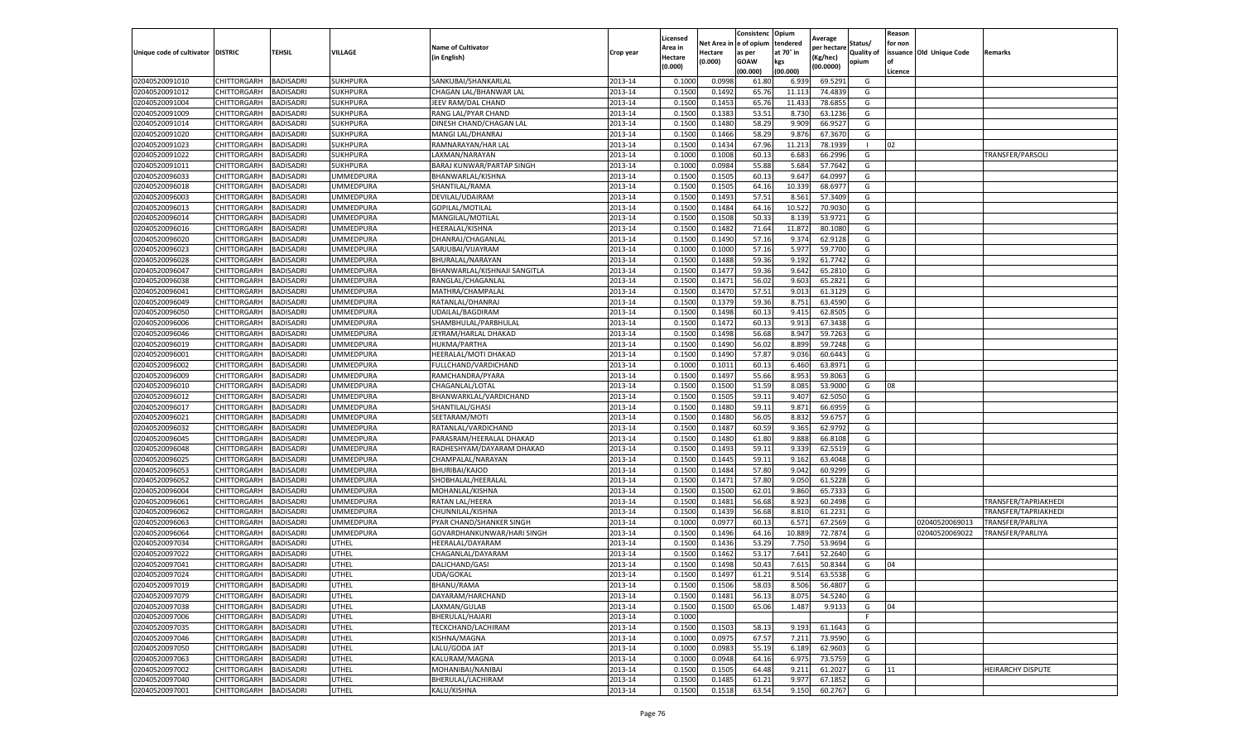|                           |                       |                  |                  |                              |           | Licensed |         | Consistenc             | Opium     |                        |                | Reason  |                          |                          |
|---------------------------|-----------------------|------------------|------------------|------------------------------|-----------|----------|---------|------------------------|-----------|------------------------|----------------|---------|--------------------------|--------------------------|
|                           |                       |                  |                  | <b>Name of Cultivator</b>    |           | Area in  |         | Net Area in e of opium | tendered  | Average<br>per hectare | Status/        | for non |                          |                          |
| Unique code of cultivator | <b>DISTRIC</b>        | TEHSIL           | VILLAGE          | in English)                  | Crop year | Hectare  | Hectare | as per                 | at 70° in | (Kg/hec                | Quality of     |         | issuance Old Unique Code | <b>Remarks</b>           |
|                           |                       |                  |                  |                              |           | (0.000)  | (0.000) | <b>GOAW</b>            | kgs       | (00.0000)              | opium          |         |                          |                          |
|                           |                       |                  |                  |                              |           |          |         | (00.000)               | (00.000)  |                        |                | Licence |                          |                          |
| 02040520091010            | CHITTORGARH           | <b>BADISADRI</b> | SUKHPURA         | SANKUBAI/SHANKARLAL          | 2013-14   | 0.1000   | 0.0998  | 61.80                  | 6.939     | 69.5291                | G              |         |                          |                          |
| 02040520091012            | CHITTORGARH           | <b>BADISADRI</b> | SUKHPURA         | CHAGAN LAL/BHANWAR LAL       | 2013-14   | 0.1500   | 0.1492  | 65.76                  | 11.11     | 74.4839                | G              |         |                          |                          |
| 02040520091004            | CHITTORGARH           | <b>BADISADRI</b> | SUKHPURA         | JEEV RAM/DAL CHAND           | 2013-14   | 0.1500   | 0.1453  | 65.76                  | 11.433    | 78.6855                | G              |         |                          |                          |
| 02040520091009            | CHITTORGARH           | <b>BADISADRI</b> | <b>SUKHPURA</b>  | RANG LAL/PYAR CHAND          | 2013-14   | 0.1500   | 0.1383  | 53.51                  | 8.730     | 63.1236                | G              |         |                          |                          |
| 02040520091014            | <b>CHITTORGARH</b>    | <b>BADISADRI</b> | SUKHPURA         | DINESH CHAND/CHAGAN LAL      | 2013-14   | 0.1500   | 0.1480  | 58.29                  | 9.909     | 66.9527                | G              |         |                          |                          |
| 02040520091020            | CHITTORGARH           | <b>BADISADRI</b> | SUKHPURA         | MANGI LAL/DHANRAJ            | 2013-14   | 0.1500   | 0.1466  | 58.29                  | 9.87      | 67.3670                | G              |         |                          |                          |
| 02040520091023            | CHITTORGARH           | <b>BADISADRI</b> | SUKHPURA         | RAMNARAYAN/HAR LAL           | 2013-14   | 0.1500   | 0.1434  | 67.96                  | 11.213    | 78.1939                | $\blacksquare$ | 02      |                          |                          |
| 02040520091022            | CHITTORGARH           | BADISADRI        | SUKHPURA         | LAXMAN/NARAYAN               | 2013-14   | 0.1000   | 0.1008  | 60.13                  | 6.683     | 66.2996                | G              |         |                          | TRANSFER/PARSOLI         |
| 02040520091011            | CHITTORGARH           | <b>BADISADRI</b> | SUKHPURA         | BARAJ KUNWAR/PARTAP SINGH    | 2013-14   | 0.1000   | 0.0984  | 55.88                  | 5.684     | 57.7642                | G              |         |                          |                          |
| 02040520096033            | <b>CHITTORGARH</b>    | <b>BADISADRI</b> | UMMEDPURA        | BHANWARLAL/KISHNA            | 2013-14   | 0.1500   | 0.1505  | 60.13                  | 9.647     | 64.0997                | G              |         |                          |                          |
| 02040520096018            | CHITTORGARH           | <b>BADISADRI</b> | UMMEDPURA        | SHANTILAL/RAMA               | 2013-14   | 0.1500   | 0.1505  | 64.16                  | 10.339    | 68.697                 | G              |         |                          |                          |
| 02040520096003            | CHITTORGARH           | <b>BADISADRI</b> | <b>JMMEDPURA</b> | DEVILAL/UDAIRAM              | 2013-14   | 0.1500   | 0.1493  | 57.51                  | 8.561     | 57.3409                | G              |         |                          |                          |
| 02040520096013            | CHITTORGARH           | <b>BADISADRI</b> | UMMEDPURA        | GOPILAL/MOTILAL              | 2013-14   | 0.1500   | 0.1484  | 64.16                  | 10.522    | 70.9030                | G              |         |                          |                          |
| 02040520096014            | CHITTORGARH           | <b>BADISADRI</b> | UMMEDPURA        | MANGILAL/MOTILAL             | 2013-14   | 0.1500   | 0.1508  | 50.33                  | 8.139     | 53.9721                | G              |         |                          |                          |
| 02040520096016            | CHITTORGARH           | <b>BADISADRI</b> | UMMEDPURA        | HEERALAL/KISHNA              | 2013-14   | 0.1500   | 0.1482  | 71.64                  | 11.872    | 80.1080                | G              |         |                          |                          |
| 02040520096020            | CHITTORGARH           | <b>BADISADRI</b> | UMMEDPURA        | DHANRAJ/CHAGANLAL            | 2013-14   | 0.1500   | 0.1490  | 57.16                  | 9.374     | 62.9128                | G              |         |                          |                          |
| 02040520096023            | CHITTORGARH           | <b>BADISADRI</b> | UMMEDPURA        | SARJUBAI/VIJAYRAM            | 2013-14   | 0.1000   | 0.1000  | 57.16                  | 5.977     | 59.7700                | G              |         |                          |                          |
| 02040520096028            | CHITTORGARH           | <b>BADISADRI</b> | <b>JMMEDPURA</b> | BHURALAL/NARAYAN             | 2013-14   | 0.1500   | 0.1488  | 59.36                  | 9.192     | 61.7742                | G              |         |                          |                          |
| 02040520096047            | CHITTORGARH           | <b>BADISADRI</b> | UMMEDPURA        | BHANWARLAL/KISHNAJI SANGITLA | 2013-14   | 0.1500   | 0.1477  | 59.36                  | 9.642     | 65.2810                | G              |         |                          |                          |
| 02040520096038            | CHITTORGARH           | <b>BADISADRI</b> | UMMEDPURA        | RANGLAL/CHAGANLAL            | 2013-14   | 0.1500   | 0.1471  | 56.02                  | 9.603     | 65.2821                | G              |         |                          |                          |
| 02040520096041            | CHITTORGARH           | <b>BADISADRI</b> | UMMEDPURA        | MATHRA/CHAMPALAL             | 2013-14   | 0.1500   | 0.1470  | 57.51                  | 9.013     | 61.3129                | G              |         |                          |                          |
| 02040520096049            | CHITTORGARH           | <b>BADISADRI</b> | UMMEDPURA        | RATANLAL/DHANRAJ             | 2013-14   | 0.1500   | 0.1379  | 59.36                  | 8.751     | 63.4590                | G              |         |                          |                          |
| 02040520096050            | CHITTORGARH           | <b>BADISADRI</b> | UMMEDPURA        | UDAILAL/BAGDIRAM             | 2013-14   | 0.1500   | 0.1498  | 60.13                  | 9.415     | 62.8505                | G              |         |                          |                          |
| 02040520096006            | CHITTORGARH           | <b>BADISADRI</b> | <b>JMMEDPURA</b> | SHAMBHULAL/PARBHULAL         | 2013-14   | 0.1500   | 0.1472  | 60.13                  | 9.913     | 67.3438                | G              |         |                          |                          |
| 02040520096046            | CHITTORGARH           | <b>BADISADRI</b> | UMMEDPURA        | JEYRAM/HARLAL DHAKAD         | 2013-14   | 0.1500   | 0.1498  | 56.68                  | 8.947     | 59.7263                | G              |         |                          |                          |
| 02040520096019            | CHITTORGARH           | <b>BADISADRI</b> | UMMEDPURA        | HUKMA/PARTHA                 | 2013-14   | 0.1500   | 0.1490  | 56.02                  | 8.899     | 59.7248                | G              |         |                          |                          |
| 02040520096001            | CHITTORGARH           | <b>BADISADRI</b> | UMMEDPURA        | HEERALAL/MOTI DHAKAD         | 2013-14   | 0.1500   | 0.1490  | 57.87                  | 9.036     | 60.6443                | G              |         |                          |                          |
| 02040520096002            | CHITTORGARH           | <b>BADISADRI</b> | UMMEDPURA        | FULLCHAND/VARDICHAND         | 2013-14   | 0.1000   | 0.1011  | 60.13                  | 6.460     | 63.8971                | G              |         |                          |                          |
| 02040520096009            | CHITTORGARH           | <b>BADISADRI</b> | UMMEDPURA        | RAMCHANDRA/PYARA             | 2013-14   | 0.1500   | 0.1497  | 55.66                  | 8.953     | 59.8063                | G              |         |                          |                          |
| 02040520096010            | CHITTORGARH           | <b>BADISADRI</b> | UMMEDPURA        | CHAGANLAL/LOTAL              | 2013-14   | 0.1500   | 0.1500  | 51.59                  | 8.085     | 53.9000                | G              | 08      |                          |                          |
| 02040520096012            | CHITTORGARH           | <b>BADISADRI</b> | <b>JMMEDPURA</b> | BHANWARKLAL/VARDICHAND       | 2013-14   | 0.1500   | 0.1505  | 59.1                   | 9.407     | 62.5050                | G              |         |                          |                          |
| 02040520096017            | CHITTORGARH           | <b>BADISADRI</b> | UMMEDPURA        | SHANTILAL/GHASI              | 2013-14   | 0.1500   | 0.1480  | 59.11                  | 9.871     | 66.6959                | G              |         |                          |                          |
| 02040520096021            | CHITTORGARH           | <b>BADISADRI</b> | UMMEDPURA        | SEETARAM/MOTI                | 2013-14   | 0.1500   | 0.1480  | 56.05                  | 8.83      | 59.675                 | G              |         |                          |                          |
| 02040520096032            | CHITTORGARH           | <b>BADISADRI</b> | UMMEDPURA        | RATANLAL/VARDICHAND          | 2013-14   | 0.1500   | 0.1487  | 60.59                  | 9.365     | 62.9792                | G              |         |                          |                          |
| 02040520096045            | CHITTORGARH           | <b>BADISADRI</b> | UMMEDPURA        | PARASRAM/HEERALAL DHAKAD     | 2013-14   | 0.1500   | 0.1480  | 61.80                  | 9.888     | 66.8108                | G              |         |                          |                          |
| 02040520096048            | CHITTORGARH           | <b>BADISADRI</b> | UMMEDPURA        | RADHESHYAM/DAYARAM DHAKAD    | 2013-14   | 0.1500   | 0.1493  | 59.11                  | 9.33      | 62.5519                | G              |         |                          |                          |
| 02040520096025            | CHITTORGARH           | <b>BADISADRI</b> | <b>JMMEDPURA</b> | CHAMPALAL/NARAYAN            | 2013-14   | 0.1500   | 0.1445  | 59.11                  | 9.162     | 63.4048                | G              |         |                          |                          |
| 02040520096053            | CHITTORGARH           | <b>BADISADRI</b> | <b>JMMEDPURA</b> | <b>BHURIBAI/KAJOD</b>        | 2013-14   | 0.1500   | 0.1484  | 57.80                  | 9.042     | 60.9299                | G              |         |                          |                          |
| 02040520096052            | CHITTORGARH           | BADISADRI        | UMMEDPURA        | SHOBHALAL/HEERALAI           | 2013-14   | 0.1500   | 0.1471  | 57.80                  | 9.050     | 61.5228                | G              |         |                          |                          |
| 02040520096004            | CHITTORGARH           | <b>BADISADRI</b> | UMMEDPURA        | MOHANLAL/KISHNA              | 2013-14   | 0.1500   | 0.1500  | 62.01                  | 9.860     | 65.7333                | G              |         |                          |                          |
| 02040520096061            | CHITTORGARH           | <b>BADISADRI</b> | UMMEDPURA        | RATAN LAL/HEERA              | 2013-14   | 0.1500   | 0.1481  | 56.68                  | 8.923     | 60.2498                | G              |         |                          | TRANSFER/TAPRIAKHEDI     |
| 02040520096062            | CHITTORGARH           | <b>BADISADRI</b> | UMMEDPURA        | CHUNNILAL/KISHNA             | 2013-14   | 0.1500   | 0.1439  | 56.68                  | 8.81      | 61.2231                | G              |         |                          | TRANSFER/TAPRIAKHEDI     |
| 02040520096063            | CHITTORGARH           | <b>BADISADRI</b> | <b>JMMEDPURA</b> | PYAR CHAND/SHANKER SINGH     | 2013-14   | 0.1000   | 0.0977  | 60.13                  | 6.571     | 67.2569                | G              |         | 02040520069013           | TRANSFER/PARLIYA         |
| 02040520096064            | CHITTORGARH           | <b>BADISADRI</b> | <b>UMMEDPURA</b> | GOVARDHANKUNWAR/HARI SINGH   | 2013-14   | 0.1500   | 0.1496  | 64.16                  | 10.88     | 72.7874                | G              |         | 02040520069022           | TRANSFER/PARLIYA         |
| 02040520097034            | CHITTORGARH           | <b>BADISADRI</b> | UTHEL            | HEERALAL/DAYARAM             | 2013-14   | 0.1500   | 0.1436  | 53.29                  | 7.750     | 53.969                 | G              |         |                          |                          |
| 02040520097022            | CHITTORGARH           | BADISADRI        | UTHEL            | CHAGANLAL/DAYARAM            | 2013-14   | 0.1500   | 0.1462  | 53.17                  | 7.641     | 52.2640                | G              |         |                          |                          |
| 02040520097041            | CHITTORGARH           | <b>BADISADRI</b> | <b>UTHEL</b>     | DALICHAND/GASI               | 2013-14   | 0.1500   | 0.1498  | 50.43                  | 7.615     | 50.8344                | G              | 04      |                          |                          |
| 02040520097024            | CHITTORGARH           | <b>BADISADRI</b> | UTHEL            | UDA/GOKAL                    | 2013-14   | 0.1500   | 0.1497  | 61.21                  | 9.514     | 63.5538                | G              |         |                          |                          |
| 02040520097019            | CHITTORGARH BADISADRI |                  | UTHEL            | BHANU/RAMA                   | 2013-14   | 0.1500   | 0.1506  | 58.03                  | 8.506     | 56.4807                | G              |         |                          |                          |
| 02040520097079            | CHITTORGARH           | <b>BADISADRI</b> | UTHEL            | DAYARAM/HARCHAND             | 2013-14   | 0.1500   | 0.1481  | 56.13                  | 8.075     | 54.5240                | G              |         |                          |                          |
| 02040520097038            | <b>CHITTORGARH</b>    | <b>BADISADRI</b> | UTHEL            | LAXMAN/GULAB                 | 2013-14   | 0.1500   | 0.1500  | 65.06                  | 1.487     | 9.9133                 | G              | 04      |                          |                          |
| 02040520097006            | CHITTORGARH           | <b>BADISADRI</b> | UTHEL            | BHERULAL/HAJARI              | 2013-14   | 0.1000   |         |                        |           |                        | F              |         |                          |                          |
| 02040520097035            | <b>CHITTORGARH</b>    | <b>BADISADRI</b> | UTHEL            | TECKCHAND/LACHIRAM           | 2013-14   | 0.1500   | 0.1503  | 58.13                  | 9.193     | 61.1643                | G              |         |                          |                          |
| 02040520097046            | <b>CHITTORGARH</b>    | <b>BADISADRI</b> | UTHEL            | KISHNA/MAGNA                 | 2013-14   | 0.1000   | 0.0975  | 67.57                  | 7.211     | 73.9590                | G              |         |                          |                          |
| 02040520097050            | CHITTORGARH           | <b>BADISADRI</b> | UTHEL            | LALU/GODA JAT                | 2013-14   | 0.1000   | 0.0983  | 55.19                  | 6.189     | 62.9603                | G              |         |                          |                          |
| 02040520097063            | <b>CHITTORGARH</b>    | <b>BADISADRI</b> | UTHEL            | KALURAM/MAGNA                | 2013-14   | 0.1000   | 0.0948  | 64.16                  | 6.975     | 73.5759                | G              |         |                          |                          |
| 02040520097002            | CHITTORGARH           | <b>BADISADRI</b> | UTHEL            | MOHANIBAI/NANIBAI            | 2013-14   | 0.1500   | 0.1505  | 64.48                  | 9.211     | 61.2027                | G              | 11      |                          | <b>HEIRARCHY DISPUTE</b> |
| 02040520097040            | CHITTORGARH           | <b>BADISADRI</b> | UTHEL            | BHERULAL/LACHIRAM            | 2013-14   | 0.1500   | 0.1485  | 61.21                  | 9.977     | 67.1852                | G              |         |                          |                          |
| 02040520097001            | <b>CHITTORGARH</b>    | <b>BADISADRI</b> | UTHEL            | KALU/KISHNA                  | 2013-14   | 0.1500   | 0.1518  | 63.54                  | 9.150     | 60.2767                | G              |         |                          |                          |
|                           |                       |                  |                  |                              |           |          |         |                        |           |                        |                |         |                          |                          |